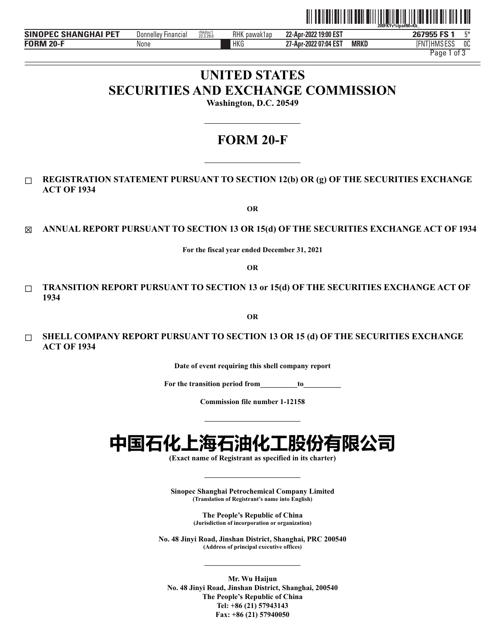

| <b>SINOPEC SHANGHAI PET</b> | <b>Financial</b><br>Jonnellev | rhkdoc1<br>22.3.29.0 | RHK<br>pawak1ap | 19:00 EST<br>າາ<br>$-2022$<br>2-Anr-<br>" |             | <u>го</u><br>ንፍ7ዓፍፍ      | $-x$ |
|-----------------------------|-------------------------------|----------------------|-----------------|-------------------------------------------|-------------|--------------------------|------|
| <b>FORM</b><br>$20-F$       | None                          |                      | <b>HKG</b>      | -2022 07:04 EST<br>nπ.<br>/-Apr           | <b>MRKD</b> | $r - r$<br>HMSESC<br>IFN | OC   |

# **UNITED STATES SECURITIES AND EXCHANGE COMMISSION**

**Washington, D.C. 20549**

# **FORM 20-F**

# ☐ **REGISTRATION STATEMENT PURSUANT TO SECTION 12(b) OR (g) OF THE SECURITIES EXCHANGE ACT OF 1934**

**OR**

☒ **ANNUAL REPORT PURSUANT TO SECTION 13 OR 15(d) OF THE SECURITIES EXCHANGE ACT OF 1934**

**For the fiscal year ended December 31, 2021**

**OR**

☐ **TRANSITION REPORT PURSUANT TO SECTION 13 or 15(d) OF THE SECURITIES EXCHANGE ACT OF 1934**

**OR**

☐ **SHELL COMPANY REPORT PURSUANT TO SECTION 13 OR 15 (d) OF THE SECURITIES EXCHANGE ACT OF 1934**

**Date of event requiring this shell company report**

For the transition period from to

**Commission file number 1-12158**

# 中国石化上海石油化工股份有限公司

**(Exact name of Registrant as specified in its charter)**

**Sinopec Shanghai Petrochemical Company Limited (Translation of Registrant's name into English)**

> **The People's Republic of China (Jurisdiction of incorporation or organization)**

**No. 48 Jinyi Road, Jinshan District, Shanghai, PRC 200540 (Address of principal executive offices)**

**Mr. Wu Haijun No. 48 Jinyi Road, Jinshan District, Shanghai, 200540 The People's Republic of China Tel: +86 (21) 57943143 Fax: +86 (21) 57940050**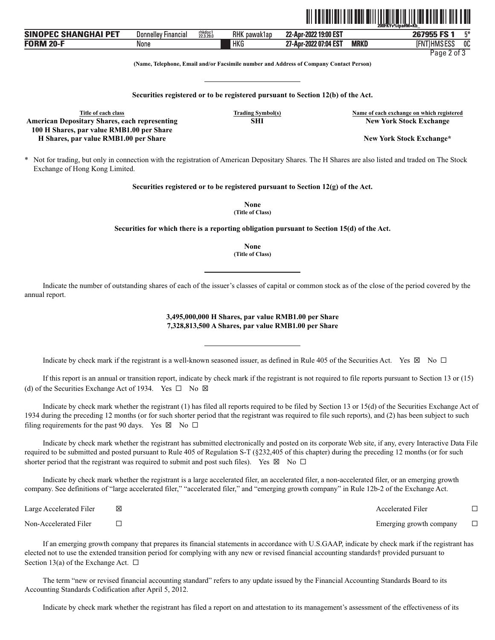

| <b>SINOPEC SHANGHAI PET</b> | '-ınancıa.<br>Donnelley | rhkdoc1<br>22.3.29.0 | RHK pawak1ap | 22-Apr-2022 19:00 EST |             | <b>Fe</b><br>267955<br>Ð | <b>FA</b> |
|-----------------------------|-------------------------|----------------------|--------------|-----------------------|-------------|--------------------------|-----------|
| <b>FORM 20-F</b>            | None                    |                      | <b>HKG</b>   | 27-Apr-2022 07:04 EST | <b>MRKD</b> | ri hms ess<br>[FNT       | 0C        |
|                             |                         |                      |              |                       |             | Page<br>'' of J          |           |

**(Name, Telephone, Email and/or Facsimile number and Address of Company Contact Person)**

**Securities registered or to be registered pursuant to Section 12(b) of the Act.**

**American Depositary Shares, each representing 100 H Shares, par value RMB1.00 per Share H Shares, par value RMB1.00 per Share New York Stock Exchange\***

**Title of each class Trading Symbol(s) Name of each exchange on which registered SHI New York Stock Exchange**

Not for trading, but only in connection with the registration of American Depositary Shares. The H Shares are also listed and traded on The Stock Exchange of Hong Kong Limited.

**Securities registered or to be registered pursuant to Section 12(g) of the Act.**

**None (Title of Class)**

**Securities for which there is a reporting obligation pursuant to Section 15(d) of the Act.**

**None (Title of Class)**

Indicate the number of outstanding shares of each of the issuer's classes of capital or common stock as of the close of the period covered by the annual report.

> **3,495,000,000 H Shares, par value RMB1.00 per Share 7,328,813,500 A Shares, par value RMB1.00 per Share**

Indicate by check mark if the registrant is a well-known seasoned issuer, as defined in Rule 405 of the Securities Act. Yes  $\boxtimes$  No  $\Box$ 

If this report is an annual or transition report, indicate by check mark if the registrant is not required to file reports pursuant to Section 13 or (15) (d) of the Securities Exchange Act of 1934. Yes  $\Box$  No  $\boxtimes$ 

Indicate by check mark whether the registrant (1) has filed all reports required to be filed by Section 13 or 15(d) of the Securities Exchange Act of 1934 during the preceding 12 months (or for such shorter period that the registrant was required to file such reports), and (2) has been subject to such filing requirements for the past 90 days. Yes  $\boxtimes$  No  $\Box$ 

Indicate by check mark whether the registrant has submitted electronically and posted on its corporate Web site, if any, every Interactive Data File required to be submitted and posted pursuant to Rule 405 of Regulation S-T (§232,405 of this chapter) during the preceding 12 months (or for such shorter period that the registrant was required to submit and post such files). Yes  $\boxtimes$  No  $\Box$ 

Indicate by check mark whether the registrant is a large accelerated filer, an accelerated filer, a non-accelerated filer, or an emerging growth company. See definitions of "large accelerated filer," "accelerated filer," and "emerging growth company" in Rule 12b-2 of the Exchange Act.

| Large Accelerated Filer | ⊠ | Accelerated Filer       |        |
|-------------------------|---|-------------------------|--------|
| Non-Accelerated Filer   |   | Emerging growth company | $\Box$ |

If an emerging growth company that prepares its financial statements in accordance with U.S.GAAP, indicate by check mark if the registrant has elected not to use the extended transition period for complying with any new or revised financial accounting standards† provided pursuant to Section 13(a) of the Exchange Act.  $\Box$ 

The term "new or revised financial accounting standard" refers to any update issued by the Financial Accounting Standards Board to its Accounting Standards Codification after April 5, 2012.

Indicate by check mark whether the registrant has filed a report on and attestation to its management's assessment of the effectiveness of its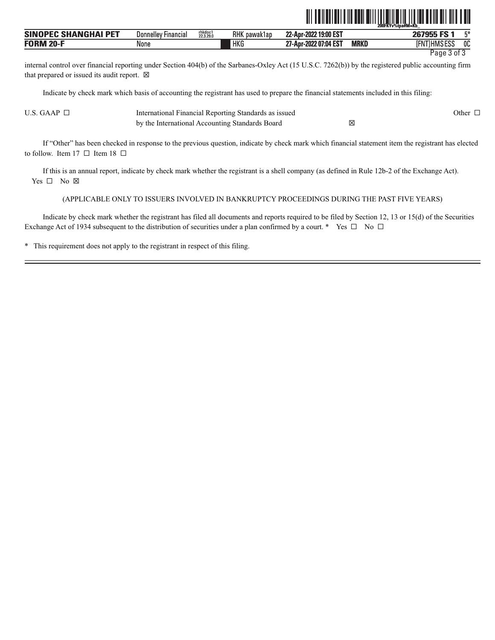|                                                       |                                                                                                                                                                                                                                                                                                |              |                       |             | <u> III I BILBIT III I III BBILBITI INTERESSA ASA KUBBER III BIL III I BIL</u> |              |
|-------------------------------------------------------|------------------------------------------------------------------------------------------------------------------------------------------------------------------------------------------------------------------------------------------------------------------------------------------------|--------------|-----------------------|-------------|--------------------------------------------------------------------------------|--------------|
| <b>SINOPEC SHANGHAI PET</b>                           | rhkdoc1<br>22.3.29.0<br><b>Donnelley Financial</b>                                                                                                                                                                                                                                             | RHK pawak1ap | 22-Apr-2022 19:00 EST |             | 267955 FS 1                                                                    | 5*           |
| <b>FORM 20-F</b>                                      | None                                                                                                                                                                                                                                                                                           | HKG          | 27-Apr-2022 07:04 EST | <b>MRKD</b> | [FNT] HMS ESS                                                                  | 0C           |
|                                                       |                                                                                                                                                                                                                                                                                                |              |                       |             | Page 3 of 3                                                                    |              |
| that prepared or issued its audit report. $\boxtimes$ | internal control over financial reporting under Section 404(b) of the Sarbanes-Oxley Act (15 U.S.C. 7262(b)) by the registered public accounting firm<br>Indicate by check mark which basis of accounting the registrant has used to prepare the financial statements included in this filing: |              |                       |             |                                                                                |              |
|                                                       |                                                                                                                                                                                                                                                                                                |              |                       |             |                                                                                |              |
| U.S. GAAP $\Box$                                      | International Financial Reporting Standards as issued                                                                                                                                                                                                                                          |              |                       |             |                                                                                | Other $\Box$ |
|                                                       | by the International Accounting Standards Board                                                                                                                                                                                                                                                |              |                       | ⊠           |                                                                                |              |

The continuous area was well as well well as the work will also a wit

If "Other" has been checked in response to the previous question, indicate by check mark which financial statement item the registrant has elected to follow. Item 17  $\Box$  Item 18  $\Box$ 

If this is an annual report, indicate by check mark whether the registrant is a shell company (as defined in Rule 12b-2 of the Exchange Act). Yes □ No ⊠

(APPLICABLE ONLY TO ISSUERS INVOLVED IN BANKRUPTCY PROCEEDINGS DURING THE PAST FIVE YEARS)

Indicate by check mark whether the registrant has filed all documents and reports required to be filed by Section 12, 13 or 15(d) of the Securities Exchange Act of 1934 subsequent to the distribution of securities under a plan confirmed by a court. \* Yes  $\Box$  No  $\Box$ 

\* This requirement does not apply to the registrant in respect of this filing.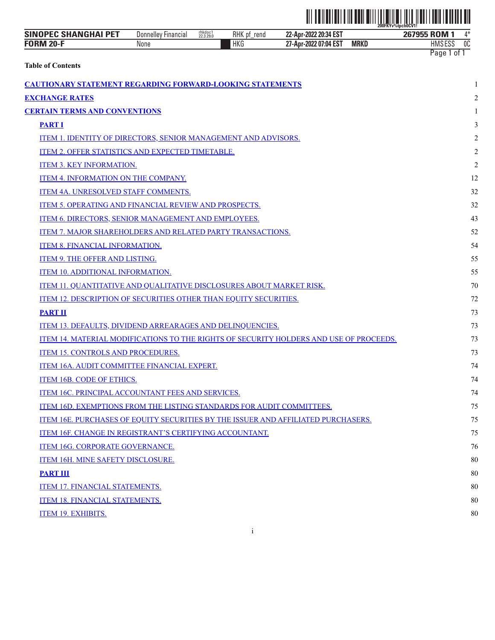| <b>SINOPEC SHANGHAI PET</b>                                                                   | <b>Donnelley Financial</b> | rhkdoc1<br>22.3.29.0 | RHK pf_rend | 22-Apr-2022 20:34 EST |             | 200FKYv%tpch0CV1!<br>267955 ROM 1 | $4*$           |
|-----------------------------------------------------------------------------------------------|----------------------------|----------------------|-------------|-----------------------|-------------|-----------------------------------|----------------|
| <b>FORM 20-F</b>                                                                              | None                       |                      | HKG         | 27-Apr-2022 07:04 EST | <b>MRKD</b> | <b>HMSESS</b>                     | 0C             |
|                                                                                               |                            |                      |             |                       |             | Page 1 of 1                       |                |
| <b>Table of Contents</b>                                                                      |                            |                      |             |                       |             |                                   |                |
| <b>CAUTIONARY STATEMENT REGARDING FORWARD-LOOKING STATEMENTS</b>                              |                            |                      |             |                       |             |                                   | 1              |
| <b>EXCHANGE RATES</b>                                                                         |                            |                      |             |                       |             |                                   | $\overline{2}$ |
| <b>CERTAIN TERMS AND CONVENTIONS</b>                                                          |                            |                      |             |                       |             |                                   | 1              |
| <b>PART I</b>                                                                                 |                            |                      |             |                       |             |                                   | 3              |
| <b>ITEM 1. IDENTITY OF DIRECTORS, SENIOR MANAGEMENT AND ADVISORS.</b>                         |                            |                      |             |                       |             |                                   | 2              |
| <b>ITEM 2. OFFER STATISTICS AND EXPECTED TIMETABLE.</b>                                       |                            |                      |             |                       |             |                                   | $\overline{c}$ |
| <b>ITEM 3. KEY INFORMATION.</b>                                                               |                            |                      |             |                       |             |                                   | $\overline{c}$ |
| <b>ITEM 4. INFORMATION ON THE COMPANY.</b>                                                    |                            |                      |             |                       |             |                                   | 12             |
| ITEM 4A. UNRESOLVED STAFF COMMENTS.                                                           |                            |                      |             |                       |             |                                   | 32             |
| <b>ITEM 5. OPERATING AND FINANCIAL REVIEW AND PROSPECTS.</b>                                  |                            |                      |             |                       |             |                                   | 32             |
| <b>ITEM 6. DIRECTORS, SENIOR MANAGEMENT AND EMPLOYEES.</b>                                    |                            |                      |             |                       |             |                                   | 43             |
| <b>ITEM 7. MAJOR SHAREHOLDERS AND RELATED PARTY TRANSACTIONS.</b>                             |                            |                      |             |                       |             |                                   | 52             |
| <b>ITEM 8. FINANCIAL INFORMATION.</b>                                                         |                            |                      |             |                       |             |                                   | 54             |
| <b>ITEM 9. THE OFFER AND LISTING.</b>                                                         |                            |                      |             |                       |             |                                   | 55             |
| <b>ITEM 10. ADDITIONAL INFORMATION.</b>                                                       |                            |                      |             |                       |             |                                   | 55             |
| <b>ITEM 11. QUANTITATIVE AND QUALITATIVE DISCLOSURES ABOUT MARKET RISK.</b>                   |                            |                      |             |                       |             |                                   | 70             |
| <b>ITEM 12. DESCRIPTION OF SECURITIES OTHER THAN EQUITY SECURITIES.</b>                       |                            |                      |             |                       |             |                                   | 72             |
| <b>PART II</b>                                                                                |                            |                      |             |                       |             |                                   | 73             |
| <u>ITEM 13. DEFAULTS, DIVIDEND ARREARAGES AND DELINQUENCIES.</u>                              |                            |                      |             |                       |             |                                   | 73             |
| <b>ITEM 14. MATERIAL MODIFICATIONS TO THE RIGHTS OF SECURITY HOLDERS AND USE OF PROCEEDS.</b> |                            |                      |             |                       |             |                                   | 73             |
| <b>ITEM 15. CONTROLS AND PROCEDURES.</b>                                                      |                            |                      |             |                       |             |                                   | 73             |
| <b>ITEM 16A. AUDIT COMMITTEE FINANCIAL EXPERT.</b>                                            |                            |                      |             |                       |             |                                   | 74             |
| <b>ITEM 16B. CODE OF ETHICS.</b>                                                              |                            |                      |             |                       |             |                                   | 74             |
| <b>ITEM 16C. PRINCIPAL ACCOUNTANT FEES AND SERVICES.</b>                                      |                            |                      |             |                       |             |                                   | 74             |
| ITEM 16D. EXEMPTIONS FROM THE LISTING STANDARDS FOR AUDIT COMMITTEES.                         |                            |                      |             |                       |             |                                   | 75             |
| <b>ITEM 16E. PURCHASES OF EQUITY SECURITIES BY THE ISSUER AND AFFILIATED PURCHASERS.</b>      |                            |                      |             |                       |             |                                   | 75             |
| ITEM 16F. CHANGE IN REGISTRANT'S CERTIFYING ACCOUNTANT.                                       |                            |                      |             |                       |             |                                   | 75             |
| <b>ITEM 16G. CORPORATE GOVERNANCE.</b>                                                        |                            |                      |             |                       |             |                                   | 76             |
| <b>ITEM 16H. MINE SAFETY DISCLOSURE.</b>                                                      |                            |                      |             |                       |             |                                   | 80             |
| <b>PART III</b>                                                                               |                            |                      |             |                       |             |                                   | 80             |
| <b>ITEM 17. FINANCIAL STATEMENTS.</b>                                                         |                            |                      |             |                       |             |                                   | 80             |
| <b>ITEM 18. FINANCIAL STATEMENTS.</b>                                                         |                            |                      |             |                       |             |                                   | 80             |
| <b>ITEM 19. EXHIBITS.</b>                                                                     |                            |                      |             |                       |             |                                   | 80             |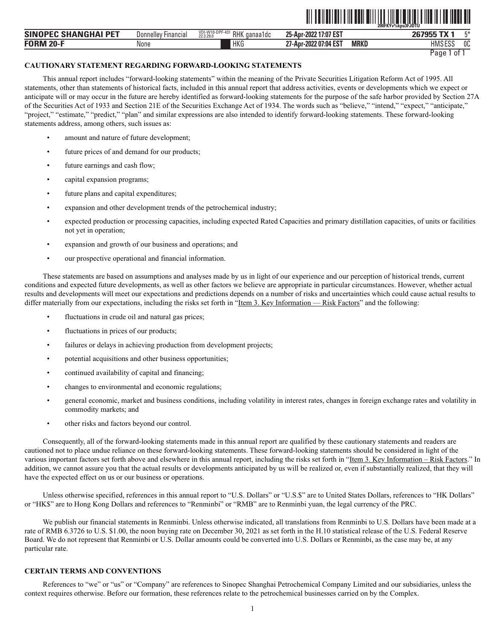| <b>SINOPEC SHANGHAI PET</b> | <sup>.</sup> Financial<br>Donnelley | VDI-W10-DP<br>RHK<br>qanaa1dc<br>000000<br>22.3.29.0 | 17:07 EST<br>nг<br>$-2022$<br>$25$ -Apr-1 |      |                           | г×. |
|-----------------------------|-------------------------------------|------------------------------------------------------|-------------------------------------------|------|---------------------------|-----|
| <b>FORM 20-F</b>            | None                                | <b>HKG</b>                                           | 07:04 EST<br>-2022<br>'7-Apr-             | MRKI | $\mathbf{R}$<br>TIVIƏ EƏS | 0C  |
|                             |                                     |                                                      |                                           |      |                           |     |

# **CAUTIONARY STATEMENT REGARDING FORWARD-LOOKING STATEMENTS**

This annual report includes "forward-looking statements" within the meaning of the Private Securities Litigation Reform Act of 1995. All statements, other than statements of historical facts, included in this annual report that address activities, events or developments which we expect or anticipate will or may occur in the future are hereby identified as forward-looking statements for the purpose of the safe harbor provided by Section 27A of the Securities Act of 1933 and Section 21E of the Securities Exchange Act of 1934. The words such as "believe," "intend," "expect," "anticipate," "project," "estimate," "predict," "plan" and similar expressions are also intended to identify forward-looking statements. These forward-looking statements address, among others, such issues as:

- amount and nature of future development;
- future prices of and demand for our products;
- future earnings and cash flow;
- capital expansion programs;
- future plans and capital expenditures;
- expansion and other development trends of the petrochemical industry;
- expected production or processing capacities, including expected Rated Capacities and primary distillation capacities, of units or facilities not yet in operation;
- expansion and growth of our business and operations; and
- our prospective operational and financial information.

These statements are based on assumptions and analyses made by us in light of our experience and our perception of historical trends, current conditions and expected future developments, as well as other factors we believe are appropriate in particular circumstances. However, whether actual results and developments will meet our expectations and predictions depends on a number of risks and uncertainties which could cause actual results to differ materially from our expectations, including the risks set forth in "Item 3. Key Information — Risk Factors" and the following:

- fluctuations in crude oil and natural gas prices;
- fluctuations in prices of our products;
- failures or delays in achieving production from development projects;
- potential acquisitions and other business opportunities;
- continued availability of capital and financing;
- changes to environmental and economic regulations;
- general economic, market and business conditions, including volatility in interest rates, changes in foreign exchange rates and volatility in commodity markets; and
- other risks and factors beyond our control.

Consequently, all of the forward-looking statements made in this annual report are qualified by these cautionary statements and readers are cautioned not to place undue reliance on these forward-looking statements. These forward-looking statements should be considered in light of the various important factors set forth above and elsewhere in this annual report, including the risks set forth in "Item 3. Key Information – Risk Factors." In addition, we cannot assure you that the actual results or developments anticipated by us will be realized or, even if substantially realized, that they will have the expected effect on us or our business or operations.

Unless otherwise specified, references in this annual report to "U.S. Dollars" or "U.S.\$" are to United States Dollars, references to "HK Dollars" or "HK\$" are to Hong Kong Dollars and references to "Renminbi" or "RMB" are to Renminbi yuan, the legal currency of the PRC.

We publish our financial statements in Renminbi. Unless otherwise indicated, all translations from Renminbi to U.S. Dollars have been made at a rate of RMB 6.3726 to U.S. \$1.00, the noon buying rate on December 30, 2021 as set forth in the H.10 statistical release of the U.S. Federal Reserve Board. We do not represent that Renminbi or U.S. Dollar amounts could be converted into U.S. Dollars or Renminbi, as the case may be, at any particular rate.

# **CERTAIN TERMS AND CONVENTIONS**

References to "we" or "us" or "Company" are references to Sinopec Shanghai Petrochemical Company Limited and our subsidiaries, unless the context requires otherwise. Before our formation, these references relate to the petrochemical businesses carried on by the Complex.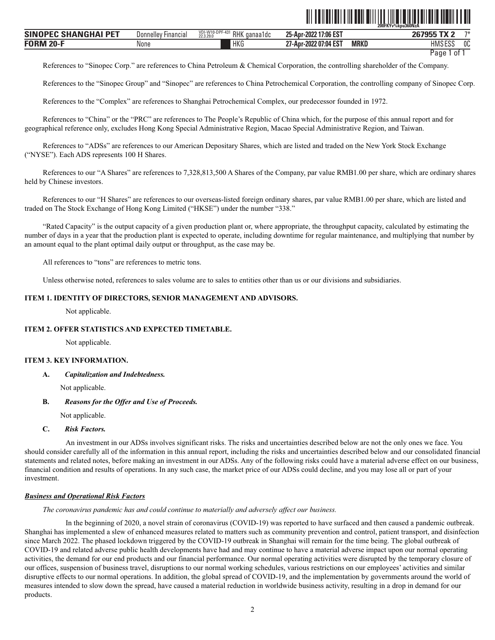|--|

| <b>SHANGHAI PFT</b>                    | <b>Hinancial</b><br>Donnelle | <sup>-</sup> ∿I-W10-יי<br><b>DIIV</b><br>qanaa1dc<br>חחח<br>22.3.29.0 | 17:06 EST<br>$\sim$<br>25-Apr-2022                       |             | <b>OCZOEE TV O</b> | $ -$ |
|----------------------------------------|------------------------------|-----------------------------------------------------------------------|----------------------------------------------------------|-------------|--------------------|------|
| <b>FORM</b><br><b>00 F</b><br>71 I – I | None                         | HKG                                                                   | -2022 07:04 EST<br>$\sim$<br>. 07:04<br>Anr-.<br>EJ.<br> | <b>MRKL</b> | <b>HMSESS</b>      | 0C   |
|                                        |                              |                                                                       |                                                          |             |                    |      |

References to "Sinopec Corp." are references to China Petroleum & Chemical Corporation, the controlling shareholder of the Company.

References to the "Sinopec Group" and "Sinopec" are references to China Petrochemical Corporation, the controlling company of Sinopec Corp.

References to the "Complex" are references to Shanghai Petrochemical Complex, our predecessor founded in 1972.

References to "China" or the "PRC" are references to The People's Republic of China which, for the purpose of this annual report and for geographical reference only, excludes Hong Kong Special Administrative Region, Macao Special Administrative Region, and Taiwan.

References to "ADSs" are references to our American Depositary Shares, which are listed and traded on the New York Stock Exchange ("NYSE"). Each ADS represents 100 H Shares.

References to our "A Shares" are references to 7,328,813,500 A Shares of the Company, par value RMB1.00 per share, which are ordinary shares held by Chinese investors.

References to our "H Shares" are references to our overseas-listed foreign ordinary shares, par value RMB1.00 per share, which are listed and traded on The Stock Exchange of Hong Kong Limited ("HKSE") under the number "338."

"Rated Capacity" is the output capacity of a given production plant or, where appropriate, the throughput capacity, calculated by estimating the number of days in a year that the production plant is expected to operate, including downtime for regular maintenance, and multiplying that number by an amount equal to the plant optimal daily output or throughput, as the case may be.

All references to "tons" are references to metric tons.

Unless otherwise noted, references to sales volume are to sales to entities other than us or our divisions and subsidiaries.

# **ITEM 1. IDENTITY OF DIRECTORS, SENIOR MANAGEMENT AND ADVISORS.**

Not applicable.

# **ITEM 2. OFFER STATISTICS AND EXPECTED TIMETABLE.**

Not applicable.

# **ITEM 3. KEY INFORMATION.**

**A.** *Capitalization and Indebtedness.*

Not applicable.

# **B.** *Reasons for the Offer and Use of Proceeds.*

Not applicable.

# **C.** *Risk Factors.*

An investment in our ADSs involves significant risks. The risks and uncertainties described below are not the only ones we face. You should consider carefully all of the information in this annual report, including the risks and uncertainties described below and our consolidated financial statements and related notes, before making an investment in our ADSs. Any of the following risks could have a material adverse effect on our business, financial condition and results of operations. In any such case, the market price of our ADSs could decline, and you may lose all or part of your investment.

# *Business and Operational Risk Factors*

#### *The coronavirus pandemic has and could continue to materially and adversely affect our business.*

In the beginning of 2020, a novel strain of coronavirus (COVID-19) was reported to have surfaced and then caused a pandemic outbreak. Shanghai has implemented a slew of enhanced measures related to matters such as community prevention and control, patient transport, and disinfection since March 2022. The phased lockdown triggered by the COVID-19 outbreak in Shanghai will remain for the time being. The global outbreak of COVID-19 and related adverse public health developments have had and may continue to have a material adverse impact upon our normal operating activities, the demand for our end products and our financial performance. Our normal operating activities were disrupted by the temporary closure of our offices, suspension of business travel, disruptions to our normal working schedules, various restrictions on our employees' activities and similar disruptive effects to our normal operations. In addition, the global spread of COVID-19, and the implementation by governments around the world of measures intended to slow down the spread, have caused a material reduction in worldwide business activity, resulting in a drop in demand for our products.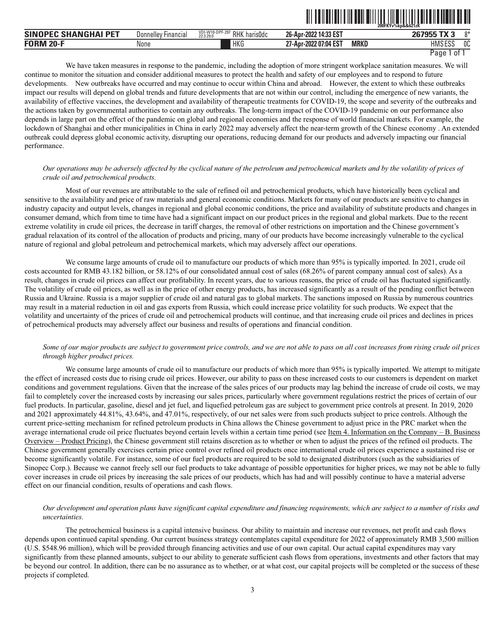|--|

| SINOPEC SHANGHAI PFT | Financial<br>Donnellev | 0.027<br>/DI-W10-DPF-297<br><b>DIIV</b><br>harisOdc<br>חחף<br>22.3.29.0 | 14:33 EST<br>$\sim$<br>2022<br>26-Apr-" |             | <b>DEZOEE TV 2</b> | $0*$<br>n |
|----------------------|------------------------|-------------------------------------------------------------------------|-----------------------------------------|-------------|--------------------|-----------|
| <b>FORM 20-F</b>     | None                   | <b>HKG</b>                                                              | -2022 07:04 EST<br>$\sim$<br>∠/-Apr-‴   | <b>MRKD</b> | <b>HMSESS</b>      | 0C        |
|                      |                        |                                                                         |                                         |             | -                  |           |

Page 1 of 1

We have taken measures in response to the pandemic, including the adoption of more stringent workplace sanitation measures. We will continue to monitor the situation and consider additional measures to protect the health and safety of our employees and to respond to future developments. New outbreaks have occurred and may continue to occur within China and abroad. However, the extent to which these outbreaks impact our results will depend on global trends and future developments that are not within our control, including the emergence of new variants, the availability of effective vaccines, the development and availability of therapeutic treatments for COVID-19, the scope and severity of the outbreaks and the actions taken by governmental authorities to contain any outbreaks. The long-term impact of the COVID-19 pandemic on our performance also depends in large part on the effect of the pandemic on global and regional economies and the response of world financial markets. For example, the lockdown of Shanghai and other municipalities in China in early 2022 may adversely affect the near-term growth of the Chinese economy . An extended outbreak could depress global economic activity, disrupting our operations, reducing demand for our products and adversely impacting our financial performance.

# *Our operations may be adversely affected by the cyclical nature of the petroleum and petrochemical markets and by the volatility of prices of crude oil and petrochemical products.*

Most of our revenues are attributable to the sale of refined oil and petrochemical products, which have historically been cyclical and sensitive to the availability and price of raw materials and general economic conditions. Markets for many of our products are sensitive to changes in industry capacity and output levels, changes in regional and global economic conditions, the price and availability of substitute products and changes in consumer demand, which from time to time have had a significant impact on our product prices in the regional and global markets. Due to the recent extreme volatility in crude oil prices, the decrease in tariff charges, the removal of other restrictions on importation and the Chinese government's gradual relaxation of its control of the allocation of products and pricing, many of our products have become increasingly vulnerable to the cyclical nature of regional and global petroleum and petrochemical markets, which may adversely affect our operations.

We consume large amounts of crude oil to manufacture our products of which more than 95% is typically imported. In 2021, crude oil costs accounted for RMB 43.182 billion, or 58.12% of our consolidated annual cost of sales (68.26% of parent company annual cost of sales). As a result, changes in crude oil prices can affect our profitability. In recent years, due to various reasons, the price of crude oil has fluctuated significantly. The volatility of crude oil prices, as well as in the price of other energy products, has increased significantly as a result of the pending conflict between Russia and Ukraine. Russia is a major supplier of crude oil and natural gas to global markets. The sanctions imposed on Russia by numerous countries may result in a material reduction in oil and gas exports from Russia, which could increase price volatility for such products. We expect that the volatility and uncertainty of the prices of crude oil and petrochemical products will continue, and that increasing crude oil prices and declines in prices of petrochemical products may adversely affect our business and results of operations and financial condition.

# *Some of our major products are subject to government price controls, and we are not able to pass on all cost increases from rising crude oil prices through higher product prices.*

We consume large amounts of crude oil to manufacture our products of which more than 95% is typically imported. We attempt to mitigate the effect of increased costs due to rising crude oil prices. However, our ability to pass on these increased costs to our customers is dependent on market conditions and government regulations. Given that the increase of the sales prices of our products may lag behind the increase of crude oil costs, we may fail to completely cover the increased costs by increasing our sales prices, particularly where government regulations restrict the prices of certain of our fuel products. In particular, gasoline, diesel and jet fuel, and liquefied petroleum gas are subject to government price controls at present. In 2019, 2020 and 2021 approximately 44.81%, 43.64%, and 47.01%, respectively, of our net sales were from such products subject to price controls. Although the current price-setting mechanism for refined petroleum products in China allows the Chinese government to adjust price in the PRC market when the average international crude oil price fluctuates beyond certain levels within a certain time period (see Item 4. Information on the Company – B. Business Overview – Product Pricing), the Chinese government still retains discretion as to whether or when to adjust the prices of the refined oil products. The Chinese government generally exercises certain price control over refined oil products once international crude oil prices experience a sustained rise or become significantly volatile. For instance, some of our fuel products are required to be sold to designated distributors (such as the subsidiaries of Sinopec Corp.). Because we cannot freely sell our fuel products to take advantage of possible opportunities for higher prices, we may not be able to fully cover increases in crude oil prices by increasing the sale prices of our products, which has had and will possibly continue to have a material adverse effect on our financial condition, results of operations and cash flows.

# *Our development and operation plans have significant capital expenditure and financing requirements, which are subject to a number of risks and uncertainties.*

The petrochemical business is a capital intensive business. Our ability to maintain and increase our revenues, net profit and cash flows depends upon continued capital spending. Our current business strategy contemplates capital expenditure for 2022 of approximately RMB 3,500 million (U.S. \$548.96 million), which will be provided through financing activities and use of our own capital. Our actual capital expenditures may vary significantly from these planned amounts, subject to our ability to generate sufficient cash flows from operations, investments and other factors that may be beyond our control. In addition, there can be no assurance as to whether, or at what cost, our capital projects will be completed or the success of these projects if completed.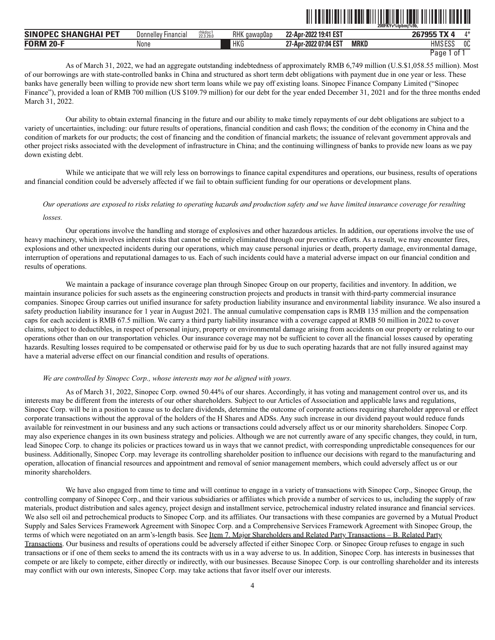|                             |                            |                      |                   |                                      | <u> All an Dallah ada a da shekara ta 1970 a ta 1970 a ta 1971 a ta 1971 a ta 1971 a ta 1971 a ta 1971 a ta 1971 </u><br>200FKYv%tobmi%9b. |
|-----------------------------|----------------------------|----------------------|-------------------|--------------------------------------|--------------------------------------------------------------------------------------------------------------------------------------------|
| <b>SINOPEC SHANGHAI PET</b> | <b>Donnelley Financial</b> | rhkdoc1<br>22.3.29.0 | RHK<br>√ aawap0ap | 22-Apr-2022 19:41 EST                | 1*<br>267955 TX 4                                                                                                                          |
| <b>FORM 20-F</b>            | None                       |                      | HKG               | 27-Apr-2022 07:04 EST<br><b>MRKD</b> | <b>HMSESS</b><br>0C                                                                                                                        |

As of March 31, 2022, we had an aggregate outstanding indebtedness of approximately RMB 6,749 million (U.S.\$1,058.55 million). Most of our borrowings are with state-controlled banks in China and structured as short term debt obligations with payment due in one year or less. These banks have generally been willing to provide new short term loans while we pay off existing loans. Sinopec Finance Company Limited ("Sinopec Finance"), provided a loan of RMB 700 million (US \$109.79 million) for our debt for the year ended December 31, 2021 and for the three months ended March 31, 2022.

Our ability to obtain external financing in the future and our ability to make timely repayments of our debt obligations are subject to a variety of uncertainties, including: our future results of operations, financial condition and cash flows; the condition of the economy in China and the condition of markets for our products; the cost of financing and the condition of financial markets; the issuance of relevant government approvals and other project risks associated with the development of infrastructure in China; and the continuing willingness of banks to provide new loans as we pay down existing debt.

While we anticipate that we will rely less on borrowings to finance capital expenditures and operations, our business, results of operations and financial condition could be adversely affected if we fail to obtain sufficient funding for our operations or development plans.

# *Our operations are exposed to risks relating to operating hazards and production safety and we have limited insurance coverage for resulting*

# *losses.*

Our operations involve the handling and storage of explosives and other hazardous articles. In addition, our operations involve the use of heavy machinery, which involves inherent risks that cannot be entirely eliminated through our preventive efforts. As a result, we may encounter fires, explosions and other unexpected incidents during our operations, which may cause personal injuries or death, property damage, environmental damage, interruption of operations and reputational damages to us. Each of such incidents could have a material adverse impact on our financial condition and results of operations.

We maintain a package of insurance coverage plan through Sinopec Group on our property, facilities and inventory. In addition, we maintain insurance policies for such assets as the engineering construction projects and products in transit with third-party commercial insurance companies. Sinopec Group carries out unified insurance for safety production liability insurance and environmental liability insurance. We also insured a safety production liability insurance for 1 year in August 2021. The annual cumulative compensation caps is RMB 135 million and the compensation caps for each accident is RMB 67.5 million. We carry a third party liability insurance with a coverage capped at RMB 50 million in 2022 to cover claims, subject to deductibles, in respect of personal injury, property or environmental damage arising from accidents on our property or relating to our operations other than on our transportation vehicles. Our insurance coverage may not be sufficient to cover all the financial losses caused by operating hazards. Resulting losses required to be compensated or otherwise paid for by us due to such operating hazards that are not fully insured against may have a material adverse effect on our financial condition and results of operations.

# *We are controlled by Sinopec Corp., whose interests may not be aligned with yours.*

As of March 31, 2022, Sinopec Corp. owned 50.44% of our shares. Accordingly, it has voting and management control over us, and its interests may be different from the interests of our other shareholders. Subject to our Articles of Association and applicable laws and regulations, Sinopec Corp. will be in a position to cause us to declare dividends, determine the outcome of corporate actions requiring shareholder approval or effect corporate transactions without the approval of the holders of the H Shares and ADSs. Any such increase in our dividend payout would reduce funds available for reinvestment in our business and any such actions or transactions could adversely affect us or our minority shareholders. Sinopec Corp. may also experience changes in its own business strategy and policies. Although we are not currently aware of any specific changes, they could, in turn, lead Sinopec Corp. to change its policies or practices toward us in ways that we cannot predict, with corresponding unpredictable consequences for our business. Additionally, Sinopec Corp. may leverage its controlling shareholder position to influence our decisions with regard to the manufacturing and operation, allocation of financial resources and appointment and removal of senior management members, which could adversely affect us or our minority shareholders.

We have also engaged from time to time and will continue to engage in a variety of transactions with Sinopec Corp., Sinopec Group, the controlling company of Sinopec Corp., and their various subsidiaries or affiliates which provide a number of services to us, including the supply of raw materials, product distribution and sales agency, project design and installment service, petrochemical industry related insurance and financial services. We also sell oil and petrochemical products to Sinopec Corp. and its affiliates. Our transactions with these companies are governed by a Mutual Product Supply and Sales Services Framework Agreement with Sinopec Corp. and a Comprehensive Services Framework Agreement with Sinopec Group, the terms of which were negotiated on an arm's-length basis. See Item 7. Major Shareholders and Related Party Transactions – B. Related Party Transactions. Our business and results of operations could be adversely affected if either Sinopec Corp. or Sinopec Group refuses to engage in such transactions or if one of them seeks to amend the its contracts with us in a way adverse to us. In addition, Sinopec Corp. has interests in businesses that compete or are likely to compete, either directly or indirectly, with our businesses. Because Sinopec Corp. is our controlling shareholder and its interests may conflict with our own interests, Sinopec Corp. may take actions that favor itself over our interests.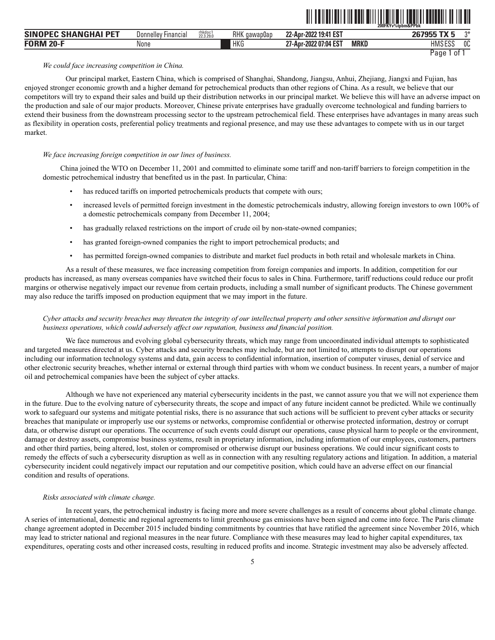|                             |                     |                      |                   | <u> III IIIIIIIIIIIIIIIIIII</u>      | UUU<br><u> II III III</u><br>200FKYv%tpbm&PPbk |
|-----------------------------|---------------------|----------------------|-------------------|--------------------------------------|------------------------------------------------|
| <b>SINOPEC SHANGHAI PET</b> | Donnelley Financial | rhkdoc1<br>22.3.29.0 | RHK<br>, gawap0ap | 22-Apr-2022 19:41 EST                | ገ*<br>267955 TX 5                              |
| <b>FORM 20-F</b>            | None                |                      | HKG               | <b>MRKD</b><br>27-Apr-2022 07:04 EST | HMS ESS<br>0C                                  |

#### *We could face increasing competition in China.*

Our principal market, Eastern China, which is comprised of Shanghai, Shandong, Jiangsu, Anhui, Zhejiang, Jiangxi and Fujian, has enjoyed stronger economic growth and a higher demand for petrochemical products than other regions of China. As a result, we believe that our competitors will try to expand their sales and build up their distribution networks in our principal market. We believe this will have an adverse impact on the production and sale of our major products. Moreover, Chinese private enterprises have gradually overcome technological and funding barriers to extend their business from the downstream processing sector to the upstream petrochemical field. These enterprises have advantages in many areas such as flexibility in operation costs, preferential policy treatments and regional presence, and may use these advantages to compete with us in our target market.

# *We face increasing foreign competition in our lines of business.*

China joined the WTO on December 11, 2001 and committed to eliminate some tariff and non-tariff barriers to foreign competition in the domestic petrochemical industry that benefited us in the past. In particular, China:

- has reduced tariffs on imported petrochemicals products that compete with ours;
- increased levels of permitted foreign investment in the domestic petrochemicals industry, allowing foreign investors to own 100% of a domestic petrochemicals company from December 11, 2004;
- has gradually relaxed restrictions on the import of crude oil by non-state-owned companies;
- has granted foreign-owned companies the right to import petrochemical products; and
- has permitted foreign-owned companies to distribute and market fuel products in both retail and wholesale markets in China.

As a result of these measures, we face increasing competition from foreign companies and imports. In addition, competition for our products has increased, as many overseas companies have switched their focus to sales in China. Furthermore, tariff reductions could reduce our profit margins or otherwise negatively impact our revenue from certain products, including a small number of significant products. The Chinese government may also reduce the tariffs imposed on production equipment that we may import in the future.

# *Cyber attacks and security breaches may threaten the integrity of our intellectual property and other sensitive information and disrupt our business operations, which could adversely affect our reputation, business and financial position.*

We face numerous and evolving global cybersecurity threats, which may range from uncoordinated individual attempts to sophisticated and targeted measures directed at us. Cyber attacks and security breaches may include, but are not limited to, attempts to disrupt our operations including our information technology systems and data, gain access to confidential information, insertion of computer viruses, denial of service and other electronic security breaches, whether internal or external through third parties with whom we conduct business. In recent years, a number of major oil and petrochemical companies have been the subject of cyber attacks.

Although we have not experienced any material cybersecurity incidents in the past, we cannot assure you that we will not experience them in the future. Due to the evolving nature of cybersecurity threats, the scope and impact of any future incident cannot be predicted. While we continually work to safeguard our systems and mitigate potential risks, there is no assurance that such actions will be sufficient to prevent cyber attacks or security breaches that manipulate or improperly use our systems or networks, compromise confidential or otherwise protected information, destroy or corrupt data, or otherwise disrupt our operations. The occurrence of such events could disrupt our operations, cause physical harm to people or the environment, damage or destroy assets, compromise business systems, result in proprietary information, including information of our employees, customers, partners and other third parties, being altered, lost, stolen or compromised or otherwise disrupt our business operations. We could incur significant costs to remedy the effects of such a cybersecurity disruption as well as in connection with any resulting regulatory actions and litigation. In addition, a material cybersecurity incident could negatively impact our reputation and our competitive position, which could have an adverse effect on our financial condition and results of operations.

# *Risks associated with climate change.*

In recent years, the petrochemical industry is facing more and more severe challenges as a result of concerns about global climate change. A series of international, domestic and regional agreements to limit greenhouse gas emissions have been signed and come into force. The Paris climate change agreement adopted in December 2015 included binding commitments by countries that have ratified the agreement since November 2016, which may lead to stricter national and regional measures in the near future. Compliance with these measures may lead to higher capital expenditures, tax expenditures, operating costs and other increased costs, resulting in reduced profits and income. Strategic investment may also be adversely affected.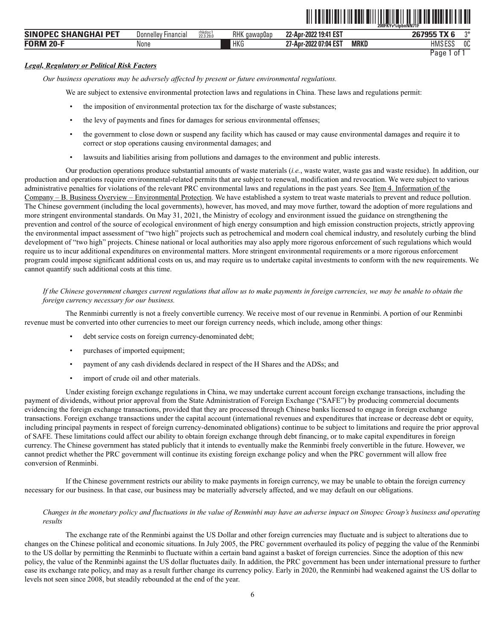|                                  |                     |                      |              | -------               |             | 200FKYv%tobnNN71F    |          |
|----------------------------------|---------------------|----------------------|--------------|-----------------------|-------------|----------------------|----------|
| : SHANGHAI PFT<br><b>SINOPEC</b> | Donnelley Financial | rhkdoc1<br>22.3.29.0 | RHK gawap0ap | 22-Apr-2022 19:41 EST |             | <b>TVC</b><br>267955 | ግ*       |
| <b>FORM 20-F</b>                 | None                |                      | <b>HKG</b>   | 27-Apr-2022 07:04 EST | <b>MRKD</b> | <b>HMSESS</b>        | nn<br>งบ |
|                                  |                     |                      |              |                       |             | Page<br>0t           |          |

ˆ200FKYv%tpbnNN71FŠ

# *Legal, Regulatory or Political Risk Factors*

*Our business operations may be adversely affected by present or future environmental regulations.*

- We are subject to extensive environmental protection laws and regulations in China. These laws and regulations permit:
- the imposition of environmental protection tax for the discharge of waste substances;
- the levy of payments and fines for damages for serious environmental offenses;
- the government to close down or suspend any facility which has caused or may cause environmental damages and require it to correct or stop operations causing environmental damages; and
- lawsuits and liabilities arising from pollutions and damages to the environment and public interests.

Our production operations produce substantial amounts of waste materials (*i.e.*, waste water, waste gas and waste residue). In addition, our production and operations require environmental-related permits that are subject to renewal, modification and revocation. We were subject to various administrative penalties for violations of the relevant PRC environmental laws and regulations in the past years. See Item 4. Information of the Company – B. Business Overview – Environmental Protection. We have established a system to treat waste materials to prevent and reduce pollution. The Chinese government (including the local governments), however, has moved, and may move further, toward the adoption of more regulations and more stringent environmental standards. On May 31, 2021, the Ministry of ecology and environment issued the guidance on strengthening the prevention and control of the source of ecological environment of high energy consumption and high emission construction projects, strictly approving the environmental impact assessment of "two high" projects such as petrochemical and modern coal chemical industry, and resolutely curbing the blind development of "two high" projects. Chinese national or local authorities may also apply more rigorous enforcement of such regulations which would require us to incur additional expenditures on environmental matters. More stringent environmental requirements or a more rigorous enforcement program could impose significant additional costs on us, and may require us to undertake capital investments to conform with the new requirements. We cannot quantify such additional costs at this time.

# *If the Chinese government changes current regulations that allow us to make payments in foreign currencies, we may be unable to obtain the foreign currency necessary for our business.*

The Renminbi currently is not a freely convertible currency. We receive most of our revenue in Renminbi. A portion of our Renminbi revenue must be converted into other currencies to meet our foreign currency needs, which include, among other things:

- debt service costs on foreign currency-denominated debt;
- purchases of imported equipment;
- payment of any cash dividends declared in respect of the H Shares and the ADSs; and
- import of crude oil and other materials.

Under existing foreign exchange regulations in China, we may undertake current account foreign exchange transactions, including the payment of dividends, without prior approval from the State Administration of Foreign Exchange ("SAFE") by producing commercial documents evidencing the foreign exchange transactions, provided that they are processed through Chinese banks licensed to engage in foreign exchange transactions. Foreign exchange transactions under the capital account (international revenues and expenditures that increase or decrease debt or equity, including principal payments in respect of foreign currency-denominated obligations) continue to be subject to limitations and require the prior approval of SAFE. These limitations could affect our ability to obtain foreign exchange through debt financing, or to make capital expenditures in foreign currency. The Chinese government has stated publicly that it intends to eventually make the Renminbi freely convertible in the future. However, we cannot predict whether the PRC government will continue its existing foreign exchange policy and when the PRC government will allow free conversion of Renminbi.

If the Chinese government restricts our ability to make payments in foreign currency, we may be unable to obtain the foreign currency necessary for our business. In that case, our business may be materially adversely affected, and we may default on our obligations.

# *Changes in the monetary policy and fluctuations in the value of Renminbi may have an adverse impact on Sinopec Group's business and operating results*

The exchange rate of the Renminbi against the US Dollar and other foreign currencies may fluctuate and is subject to alterations due to changes on the Chinese political and economic situations. In July 2005, the PRC government overhauled its policy of pegging the value of the Renminbi to the US dollar by permitting the Renminbi to fluctuate within a certain band against a basket of foreign currencies. Since the adoption of this new policy, the value of the Renminbi against the US dollar fluctuates daily. In addition, the PRC government has been under international pressure to further ease its exchange rate policy, and may as a result further change its currency policy. Early in 2020, the Renminbi had weakened against the US dollar to levels not seen since 2008, but steadily rebounded at the end of the year.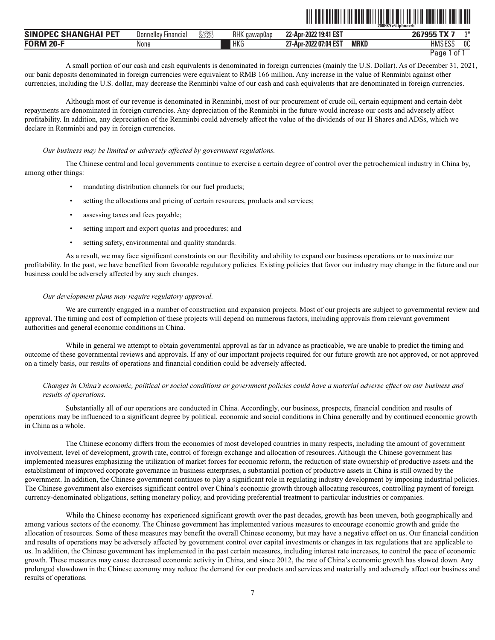| <b>HMSESS</b><br>HKG<br><b>MRKD</b><br>0C<br>A E C<br>.2022<br>' 07:04 L<br>$-$ /-Apr- $\degree$<br>None<br>/U-'<br>. LJ' | <b>SINOPEC SHANGHAI PET</b> | Donnelley<br>Financial | rhkdoc 1<br>22.3.29.0 | RHK<br>. aawap0ar | -2022 19:41 EST<br>nn.<br>∠∠-Apr- <sup>~</sup> | OCZOEE TV Z<br><u>/</u> b | ግ* |
|---------------------------------------------------------------------------------------------------------------------------|-----------------------------|------------------------|-----------------------|-------------------|------------------------------------------------|---------------------------|----|
|                                                                                                                           | <b>FORM</b>                 |                        |                       |                   |                                                |                           |    |

Page 1 of 1

A small portion of our cash and cash equivalents is denominated in foreign currencies (mainly the U.S. Dollar). As of December 31, 2021, our bank deposits denominated in foreign currencies were equivalent to RMB 166 million. Any increase in the value of Renminbi against other currencies, including the U.S. dollar, may decrease the Renminbi value of our cash and cash equivalents that are denominated in foreign currencies.

Although most of our revenue is denominated in Renminbi, most of our procurement of crude oil, certain equipment and certain debt repayments are denominated in foreign currencies. Any depreciation of the Renminbi in the future would increase our costs and adversely affect profitability. In addition, any depreciation of the Renminbi could adversely affect the value of the dividends of our H Shares and ADSs, which we declare in Renminbi and pay in foreign currencies.

# *Our business may be limited or adversely affected by government regulations.*

The Chinese central and local governments continue to exercise a certain degree of control over the petrochemical industry in China by, among other things:

- mandating distribution channels for our fuel products;
- setting the allocations and pricing of certain resources, products and services;
- assessing taxes and fees payable;
- setting import and export quotas and procedures; and
- setting safety, environmental and quality standards.

As a result, we may face significant constraints on our flexibility and ability to expand our business operations or to maximize our profitability. In the past, we have benefited from favorable regulatory policies. Existing policies that favor our industry may change in the future and our business could be adversely affected by any such changes.

# *Our development plans may require regulatory approval.*

We are currently engaged in a number of construction and expansion projects. Most of our projects are subject to governmental review and approval. The timing and cost of completion of these projects will depend on numerous factors, including approvals from relevant government authorities and general economic conditions in China.

While in general we attempt to obtain governmental approval as far in advance as practicable, we are unable to predict the timing and outcome of these governmental reviews and approvals. If any of our important projects required for our future growth are not approved, or not approved on a timely basis, our results of operations and financial condition could be adversely affected.

# *Changes in China's economic, political or social conditions or government policies could have a material adverse effect on our business and results of operations.*

Substantially all of our operations are conducted in China. Accordingly, our business, prospects, financial condition and results of operations may be influenced to a significant degree by political, economic and social conditions in China generally and by continued economic growth in China as a whole.

The Chinese economy differs from the economies of most developed countries in many respects, including the amount of government involvement, level of development, growth rate, control of foreign exchange and allocation of resources. Although the Chinese government has implemented measures emphasizing the utilization of market forces for economic reform, the reduction of state ownership of productive assets and the establishment of improved corporate governance in business enterprises, a substantial portion of productive assets in China is still owned by the government. In addition, the Chinese government continues to play a significant role in regulating industry development by imposing industrial policies. The Chinese government also exercises significant control over China's economic growth through allocating resources, controlling payment of foreign currency-denominated obligations, setting monetary policy, and providing preferential treatment to particular industries or companies.

While the Chinese economy has experienced significant growth over the past decades, growth has been uneven, both geographically and among various sectors of the economy. The Chinese government has implemented various measures to encourage economic growth and guide the allocation of resources. Some of these measures may benefit the overall Chinese economy, but may have a negative effect on us. Our financial condition and results of operations may be adversely affected by government control over capital investments or changes in tax regulations that are applicable to us. In addition, the Chinese government has implemented in the past certain measures, including interest rate increases, to control the pace of economic growth. These measures may cause decreased economic activity in China, and since 2012, the rate of China's economic growth has slowed down. Any prolonged slowdown in the Chinese economy may reduce the demand for our products and services and materially and adversely affect our business and results of operations.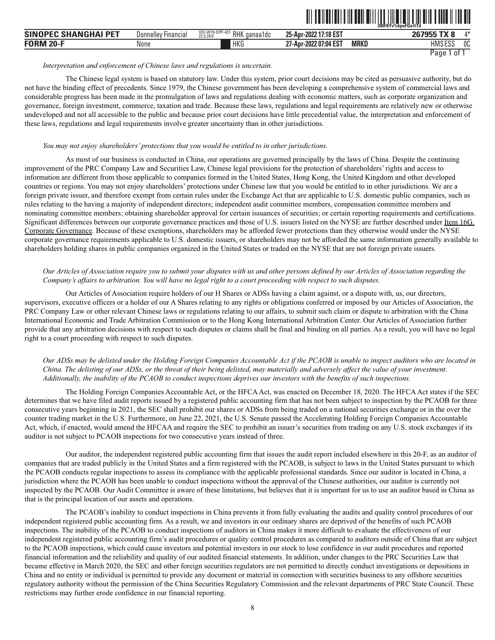|         |                        |                                                   |                             | <u> 11   11    11    11    11    11    11    11    11    11    11    11    11    11   </u><br>200Fkyssicaeth 11    11    11    11    11    11    11    11    11    11    11    11    11    11    11    11 |
|---------|------------------------|---------------------------------------------------|-----------------------------|-----------------------------------------------------------------------------------------------------------------------------------------------------------------------------------------------------------|
| HAI PET | Donnellev<br>Financial | VDI-W10-DPF-431<br>RHK<br>. danaa1dc<br>22,3,29.0 | r-2022 17:18 EST<br>25-Apr- | 267955                                                                                                                                                                                                    |

| HKG | 27-Apr-2022 07:04 EST | <b>MRKD</b> | HMS ESS     | 0C |
|-----|-----------------------|-------------|-------------|----|
|     |                       |             | Page 1 of 1 |    |

The annual and a compart of the annual and a compart of the act

# *Interpretation and enforcement of Chinese laws and regulations is uncertain.*

None

**SINOPEC SHANG FORM 20-F**

The Chinese legal system is based on statutory law. Under this system, prior court decisions may be cited as persuasive authority, but do not have the binding effect of precedents. Since 1979, the Chinese government has been developing a comprehensive system of commercial laws and considerable progress has been made in the promulgation of laws and regulations dealing with economic matters, such as corporate organization and governance, foreign investment, commerce, taxation and trade. Because these laws, regulations and legal requirements are relatively new or otherwise undeveloped and not all accessible to the public and because prior court decisions have little precedential value, the interpretation and enforcement of these laws, regulations and legal requirements involve greater uncertainty than in other jurisdictions.

# *You may not enjoy shareholders' protections that you would be entitled to in other jurisdictions.*

As most of our business is conducted in China, our operations are governed principally by the laws of China. Despite the continuing improvement of the PRC Company Law and Securities Law, Chinese legal provisions for the protection of shareholders' rights and access to information are different from those applicable to companies formed in the United States, Hong Kong, the United Kingdom and other developed countries or regions. You may not enjoy shareholders' protections under Chinese law that you would be entitled to in other jurisdictions. We are a foreign private issuer, and therefore exempt from certain rules under the Exchange Act that are applicable to U.S. domestic public companies, such as rules relating to the having a majority of independent directors; independent audit committee members, compensation committee members and nominating committee members; obtaining shareholder approval for certain issuances of securities; or certain reporting requirements and certifications. Significant differences between our corporate governance practices and those of U.S. issuers listed on the NYSE are further described under Item 16G. Corporate Governance. Because of these exemptions, shareholders may be afforded fewer protections than they otherwise would under the NYSE corporate governance requirements applicable to U.S. domestic issuers, or shareholders may not be afforded the same information generally available to shareholders holding shares in public companies organized in the United States or traded on the NYSE that are not foreign private issuers.

# *Our Articles of Association require you to submit your disputes with us and other persons defined by our Articles of Association regarding the Company's affairs to arbitration. You will have no legal right to a court proceeding with respect to such disputes.*

Our Articles of Association require holders of our H Shares or ADSs having a claim against, or a dispute with, us, our directors, supervisors, executive officers or a holder of our A Shares relating to any rights or obligations conferred or imposed by our Articles of Association, the PRC Company Law or other relevant Chinese laws or regulations relating to our affairs, to submit such claim or dispute to arbitration with the China International Economic and Trade Arbitration Commission or to the Hong Kong International Arbitration Center. Our Articles of Association further provide that any arbitration decisions with respect to such disputes or claims shall be final and binding on all parties. As a result, you will have no legal right to a court proceeding with respect to such disputes.

# *Our ADSs may be delisted under the Holding Foreign Companies Accountable Act if the PCAOB is unable to inspect auditors who are located in China. The delisting of our ADSs, or the threat of their being delisted, may materially and adversely affect the value of your investment. Additionally, the inability of the PCAOB to conduct inspections deprives our investors with the benefits of such inspections.*

The Holding Foreign Companies Accountable Act, or the HFCA Act, was enacted on December 18, 2020. The HFCA Act states if the SEC determines that we have filed audit reports issued by a registered public accounting firm that has not been subject to inspection by the PCAOB for three consecutive years beginning in 2021, the SEC shall prohibit our shares or ADSs from being traded on a national securities exchange or in the over the counter trading market in the U.S. Furthermore, on June 22, 2021, the U.S. Senate passed the Accelerating Holding Foreign Companies Accountable Act, which, if enacted, would amend the HFCAA and require the SEC to prohibit an issuer's securities from trading on any U.S. stock exchanges if its auditor is not subject to PCAOB inspections for two consecutive years instead of three.

Our auditor, the independent registered public accounting firm that issues the audit report included elsewhere in this 20-F, as an auditor of companies that are traded publicly in the United States and a firm registered with the PCAOB, is subject to laws in the United States pursuant to which the PCAOB conducts regular inspections to assess its compliance with the applicable professional standards. Since our auditor is located in China, a jurisdiction where the PCAOB has been unable to conduct inspections without the approval of the Chinese authorities, our auditor is currently not inspected by the PCAOB. Our Audit Committee is aware of these limitations, but believes that it is important for us to use an auditor based in China as that is the principal location of our assets and operations.

The PCAOB's inability to conduct inspections in China prevents it from fully evaluating the audits and quality control procedures of our independent registered public accounting firm. As a result, we and investors in our ordinary shares are deprived of the benefits of such PCAOB inspections. The inability of the PCAOB to conduct inspections of auditors in China makes it more difficult to evaluate the effectiveness of our independent registered public accounting firm's audit procedures or quality control procedures as compared to auditors outside of China that are subject to the PCAOB inspections, which could cause investors and potential investors in our stock to lose confidence in our audit procedures and reported financial information and the reliability and quality of our audited financial statements. In addition, under changes to the PRC Securities Law that became effective in March 2020, the SEC and other foreign securities regulators are not permitted to directly conduct investigations or depositions in China and no entity or individual is permitted to provide any document or material in connection with securities business to any offshore securities regulatory authority without the permission of the China Securities Regulatory Commission and the relevant departments of PRC State Council. These restrictions may further erode confidence in our financial reporting.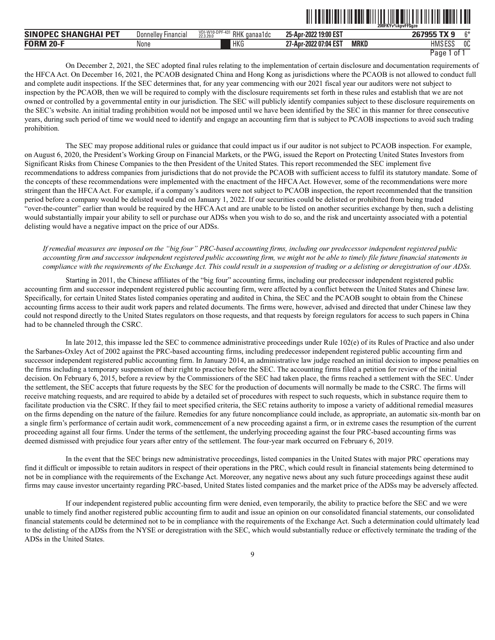| <b>SINOPEC SHANGHAI PET</b> | Donnellev<br>≻ınancıaı | VDI-W10-DPI<br><b>RHK</b><br>aanaa1dc<br>22,3,29.0 | 19:00 EST<br>25-Apr-<br>$-202$         |      | --<br>אמי     | $\sim$<br>ъ. |
|-----------------------------|------------------------|----------------------------------------------------|----------------------------------------|------|---------------|--------------|
| <b>FORM</b><br>$.20 - F$    | None                   | <b>HKG</b>                                         | $\sim$<br>? 07:04 EST<br>-202<br>7-Anr | MRKD | <b>HMSESS</b> | $\sim$<br>υu |
|                             |                        |                                                    |                                        |      |               |              |

On December 2, 2021, the SEC adopted final rules relating to the implementation of certain disclosure and documentation requirements of the HFCA Act. On December 16, 2021, the PCAOB designated China and Hong Kong as jurisdictions where the PCAOB is not allowed to conduct full and complete audit inspections. If the SEC determines that, for any year commencing with our 2021 fiscal year our auditors were not subject to inspection by the PCAOB, then we will be required to comply with the disclosure requirements set forth in these rules and establish that we are not owned or controlled by a governmental entity in our jurisdiction. The SEC will publicly identify companies subject to these disclosure requirements on the SEC's website. An initial trading prohibition would not be imposed until we have been identified by the SEC in this manner for three consecutive years, during such period of time we would need to identify and engage an accounting firm that is subject to PCAOB inspections to avoid such trading prohibition.

The SEC may propose additional rules or guidance that could impact us if our auditor is not subject to PCAOB inspection. For example, on August 6, 2020, the President's Working Group on Financial Markets, or the PWG, issued the Report on Protecting United States Investors from Significant Risks from Chinese Companies to the then President of the United States. This report recommended the SEC implement five recommendations to address companies from jurisdictions that do not provide the PCAOB with sufficient access to fulfil its statutory mandate. Some of the concepts of these recommendations were implemented with the enactment of the HFCA Act. However, some of the recommendations were more stringent than the HFCA Act. For example, if a company's auditors were not subject to PCAOB inspection, the report recommended that the transition period before a company would be delisted would end on January 1, 2022. If our securities could be delisted or prohibited from being traded "over-the-counter" earlier than would be required by the HFCA Act and are unable to be listed on another securities exchange by then, such a delisting would substantially impair your ability to sell or purchase our ADSs when you wish to do so, and the risk and uncertainty associated with a potential delisting would have a negative impact on the price of our ADSs.

# *If remedial measures are imposed on the "big four" PRC-based accounting firms, including our predecessor independent registered public accounting firm and successor independent registered public accounting firm, we might not be able to timely file future financial statements in compliance with the requirements of the Exchange Act. This could result in a suspension of trading or a delisting or deregistration of our ADSs.*

Starting in 2011, the Chinese affiliates of the "big four" accounting firms, including our predecessor independent registered public accounting firm and successor independent registered public accounting firm, were affected by a conflict between the United States and Chinese law. Specifically, for certain United States listed companies operating and audited in China, the SEC and the PCAOB sought to obtain from the Chinese accounting firms access to their audit work papers and related documents. The firms were, however, advised and directed that under Chinese law they could not respond directly to the United States regulators on those requests, and that requests by foreign regulators for access to such papers in China had to be channeled through the CSRC.

In late 2012, this impasse led the SEC to commence administrative proceedings under Rule 102(e) of its Rules of Practice and also under the Sarbanes-Oxley Act of 2002 against the PRC-based accounting firms, including predecessor independent registered public accounting firm and successor independent registered public accounting firm. In January 2014, an administrative law judge reached an initial decision to impose penalties on the firms including a temporary suspension of their right to practice before the SEC. The accounting firms filed a petition for review of the initial decision. On February 6, 2015, before a review by the Commissioners of the SEC had taken place, the firms reached a settlement with the SEC. Under the settlement, the SEC accepts that future requests by the SEC for the production of documents will normally be made to the CSRC. The firms will receive matching requests, and are required to abide by a detailed set of procedures with respect to such requests, which in substance require them to facilitate production via the CSRC. If they fail to meet specified criteria, the SEC retains authority to impose a variety of additional remedial measures on the firms depending on the nature of the failure. Remedies for any future noncompliance could include, as appropriate, an automatic six-month bar on a single firm's performance of certain audit work, commencement of a new proceeding against a firm, or in extreme cases the resumption of the current proceeding against all four firms. Under the terms of the settlement, the underlying proceeding against the four PRC-based accounting firms was deemed dismissed with prejudice four years after entry of the settlement. The four-year mark occurred on February 6, 2019.

In the event that the SEC brings new administrative proceedings, listed companies in the United States with major PRC operations may find it difficult or impossible to retain auditors in respect of their operations in the PRC, which could result in financial statements being determined to not be in compliance with the requirements of the Exchange Act. Moreover, any negative news about any such future proceedings against these audit firms may cause investor uncertainty regarding PRC-based, United States listed companies and the market price of the ADSs may be adversely affected.

If our independent registered public accounting firm were denied, even temporarily, the ability to practice before the SEC and we were unable to timely find another registered public accounting firm to audit and issue an opinion on our consolidated financial statements, our consolidated financial statements could be determined not to be in compliance with the requirements of the Exchange Act. Such a determination could ultimately lead to the delisting of the ADSs from the NYSE or deregistration with the SEC, which would substantially reduce or effectively terminate the trading of the ADSs in the United States.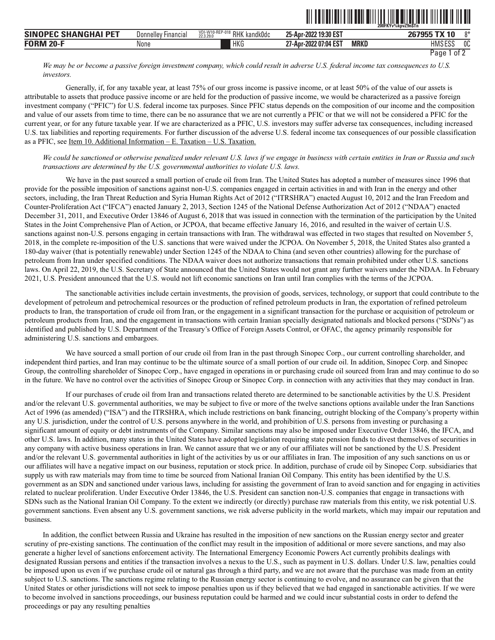|                                                                                                                                                                                                                                                                                                                                                                                                                                                            |                               |                                                            | - ------. - ---- ---                       | 200FKYv%kpvZ9nSTn            |              |
|------------------------------------------------------------------------------------------------------------------------------------------------------------------------------------------------------------------------------------------------------------------------------------------------------------------------------------------------------------------------------------------------------------------------------------------------------------|-------------------------------|------------------------------------------------------------|--------------------------------------------|------------------------------|--------------|
| $\begin{array}{c} \n \text{A} & \text{B} & \text{B} & \text{B} & \text{B} & \text{B} & \text{B} & \text{B} & \text{B} & \text{B} & \text{B} & \text{B} & \text{B} & \text{B} & \text{B} & \text{B} & \text{B} & \text{B} & \text{B} & \text{B} & \text{B} & \text{B} & \text{B} & \text{B} & \text{B} & \text{B} & \text{B} & \text{B} & \text{B} & \text{B} & \text{B} & \text{B} & \text{B} & \text{B} & \text{B} & \$<br>. PFT<br><b>SINOPEC</b><br>. . | Donnelley<br><b>Financial</b> | <b>VDI</b><br>-W10-REP-018<br>RHK<br>kandk0dc<br>22.3.29.0 | -2022 19:30 EST<br>nr.<br>$25$ -Apr-1      | <b>TV 10</b><br>007055<br>ΔU | n*           |
| <b>FORM 20-</b>                                                                                                                                                                                                                                                                                                                                                                                                                                            | None                          | IIVC<br>nnu                                                | <b>MRKD</b><br>-2022 07:04 EST<br>∠/-Apr-‴ | <b>HMSESS</b>                | $\sim$<br>υυ |

Page 1 of 2

ˆ200FKYv%kpvZ9n\$TnŠ **200FKYv%kpvZ9n\$Tn**

*We may be or become a passive foreign investment company, which could result in adverse U.S. federal income tax consequences to U.S. investors.*

Generally, if, for any taxable year, at least 75% of our gross income is passive income, or at least 50% of the value of our assets is attributable to assets that produce passive income or are held for the production of passive income, we would be characterized as a passive foreign investment company ("PFIC") for U.S. federal income tax purposes. Since PFIC status depends on the composition of our income and the composition and value of our assets from time to time, there can be no assurance that we are not currently a PFIC or that we will not be considered a PFIC for the current year, or for any future taxable year. If we are characterized as a PFIC, U.S. investors may suffer adverse tax consequences, including increased U.S. tax liabilities and reporting requirements. For further discussion of the adverse U.S. federal income tax consequences of our possible classification as a PFIC, see Item 10. Additional Information – E. Taxation – U.S. Taxation.

*We could be sanctioned or otherwise penalized under relevant U.S. laws if we engage in business with certain entities in Iran or Russia and such transactions are determined by the U.S. governmental authorities to violate U.S. laws.*

We have in the past sourced a small portion of crude oil from Iran. The United States has adopted a number of measures since 1996 that provide for the possible imposition of sanctions against non-U.S. companies engaged in certain activities in and with Iran in the energy and other sectors, including, the Iran Threat Reduction and Syria Human Rights Act of 2012 ("ITRSHRA") enacted August 10, 2012 and the Iran Freedom and Counter-Proliferation Act ("IFCA") enacted January 2, 2013, Section 1245 of the National Defense Authorization Act of 2012 ("NDAA") enacted December 31, 2011, and Executive Order 13846 of August 6, 2018 that was issued in connection with the termination of the participation by the United States in the Joint Comprehensive Plan of Action, or JCPOA, that became effective January 16, 2016, and resulted in the waiver of certain U.S. sanctions against non-U.S. persons engaging in certain transactions with Iran. The withdrawal was effected in two stages that resulted on November 5, 2018, in the complete re-imposition of the U.S. sanctions that were waived under the JCPOA. On November 5, 2018, the United States also granted a 180-day waiver (that is potentially renewable) under Section 1245 of the NDAA to China (and seven other countries) allowing for the purchase of petroleum from Iran under specified conditions. The NDAA waiver does not authorize transactions that remain prohibited under other U.S. sanctions laws. On April 22, 2019, the U.S. Secretary of State announced that the United States would not grant any further waivers under the NDAA. In February 2021, U.S. President announced that the U.S. would not lift economic sanctions on Iran until Iran complies with the terms of the JCPOA.

The sanctionable activities include certain investments, the provision of goods, services, technology, or support that could contribute to the development of petroleum and petrochemical resources or the production of refined petroleum products in Iran, the exportation of refined petroleum products to Iran, the transportation of crude oil from Iran, or the engagement in a significant transaction for the purchase or acquisition of petroleum or petroleum products from Iran, and the engagement in transactions with certain Iranian specially designated nationals and blocked persons ("SDNs") as identified and published by U.S. Department of the Treasury's Office of Foreign Assets Control, or OFAC, the agency primarily responsible for administering U.S. sanctions and embargoes.

We have sourced a small portion of our crude oil from Iran in the past through Sinopec Corp., our current controlling shareholder, and independent third parties, and Iran may continue to be the ultimate source of a small portion of our crude oil. In addition, Sinopec Corp. and Sinopec Group, the controlling shareholder of Sinopec Corp., have engaged in operations in or purchasing crude oil sourced from Iran and may continue to do so in the future. We have no control over the activities of Sinopec Group or Sinopec Corp. in connection with any activities that they may conduct in Iran.

If our purchases of crude oil from Iran and transactions related thereto are determined to be sanctionable activities by the U.S. President and/or the relevant U.S. governmental authorities, we may be subject to five or more of the twelve sanctions options available under the Iran Sanctions Act of 1996 (as amended) ("ISA") and the ITRSHRA, which include restrictions on bank financing, outright blocking of the Company's property within any U.S. jurisdiction, under the control of U.S. persons anywhere in the world, and prohibition of U.S. persons from investing or purchasing a significant amount of equity or debt instruments of the Company. Similar sanctions may also be imposed under Executive Order 13846, the IFCA, and other U.S. laws. In addition, many states in the United States have adopted legislation requiring state pension funds to divest themselves of securities in any company with active business operations in Iran. We cannot assure that we or any of our affiliates will not be sanctioned by the U.S. President and/or the relevant U.S. governmental authorities in light of the activities by us or our affiliates in Iran. The imposition of any such sanctions on us or our affiliates will have a negative impact on our business, reputation or stock price. In addition, purchase of crude oil by Sinopec Corp. subsidiaries that supply us with raw materials may from time to time be sourced from National Iranian Oil Company. This entity has been identified by the U.S. government as an SDN and sanctioned under various laws, including for assisting the government of Iran to avoid sanction and for engaging in activities related to nuclear proliferation. Under Executive Order 13846, the U.S. President can sanction non-U.S. companies that engage in transactions with SDNs such as the National Iranian Oil Company. To the extent we indirectly (or directly) purchase raw materials from this entity, we risk potential U.S. government sanctions. Even absent any U.S. government sanctions, we risk adverse publicity in the world markets, which may impair our reputation and business.

In addition, the conflict between Russia and Ukraine has resulted in the imposition of new sanctions on the Russian energy sector and greater scrutiny of pre-existing sanctions. The continuation of the conflict may result in the imposition of additional or more severe sanctions, and may also generate a higher level of sanctions enforcement activity. The International Emergency Economic Powers Act currently prohibits dealings with designated Russian persons and entities if the transaction involves a nexus to the U.S., such as payment in U.S. dollars. Under U.S. law, penalties could be imposed upon us even if we purchase crude oil or natural gas through a third party, and we are not aware that the purchase was made from an entity subject to U.S. sanctions. The sanctions regime relating to the Russian energy sector is continuing to evolve, and no assurance can be given that the United States or other jurisdictions will not seek to impose penalties upon us if they believed that we had engaged in sanctionable activities. If we were to become involved in sanctions proceedings, our business reputation could be harmed and we could incur substantial costs in order to defend the proceedings or pay any resulting penalties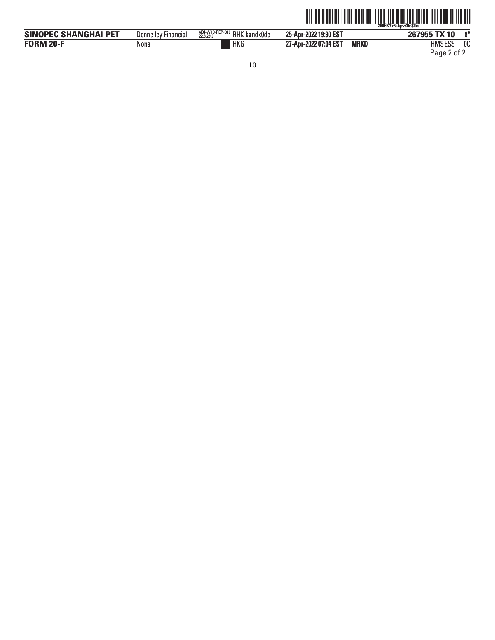|--|

| JADEA AHANAHAI DET<br>SIN | Financial<br>Donnel<br>elle | VDI-W10-REP-018<br>שווח ש<br>kandk0dc<br>חחח<br>22.3.29.0 | -2022 19:30 EST<br>nг.<br>-Apr-<br>ZJ-1    |             | TX 10         | 0*            |
|---------------------------|-----------------------------|-----------------------------------------------------------|--------------------------------------------|-------------|---------------|---------------|
| $-0.0$<br>FORM<br>/w-1    | None                        | <b>HKG</b>                                                | <b>-2022 07:04 EST</b><br>65<br>…Δn"<br>ли | <b>MRKL</b> | <b>HMSESS</b> | <sub>0C</sub> |
|                           |                             |                                                           |                                            |             |               | . .           |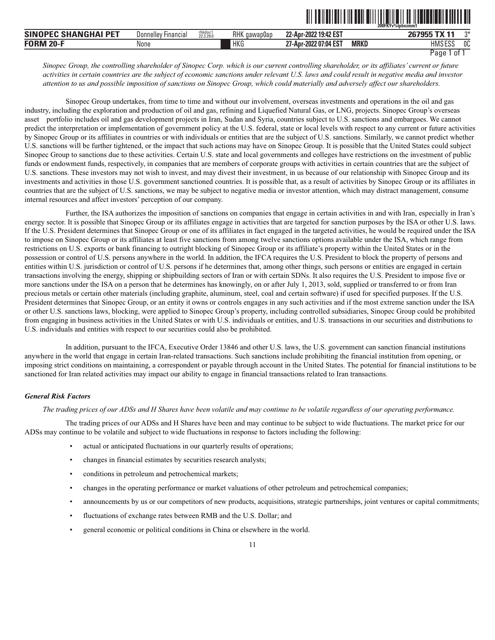| <b>SINOPEC SHANGHAI PET</b> | Donnellev<br>Financia | rhkdoc1<br>22.3.29.0 | <b>RHK</b><br>aawap0ap | 19:42 EST<br>nn<br>2022<br>22-Apr      |      | <b>OCJOFF</b> | ግ∗           |
|-----------------------------|-----------------------|----------------------|------------------------|----------------------------------------|------|---------------|--------------|
| FORM<br>$20-F$              | None                  |                      | <b>HKG</b>             | $\sim$<br>207:04 EST<br>-202<br>'/-Anr | mrkd | <b>HMSESS</b> | $\sim$<br>υu |
|                             |                       |                      |                        |                                        |      |               |              |

*Sinopec Group, the controlling shareholder of Sinopec Corp. which is our current controlling shareholder, or its affiliates' current or future activities in certain countries are the subject of economic sanctions under relevant U.S. laws and could result in negative media and investor attention to us and possible imposition of sanctions on Sinopec Group, which could materially and adversely affect our shareholders.*

Sinopec Group undertakes, from time to time and without our involvement, overseas investments and operations in the oil and gas industry, including the exploration and production of oil and gas, refining and Liquefied Natural Gas, or LNG, projects. Sinopec Group's overseas asset portfolio includes oil and gas development projects in Iran, Sudan and Syria, countries subject to U.S. sanctions and embargoes. We cannot predict the interpretation or implementation of government policy at the U.S. federal, state or local levels with respect to any current or future activities by Sinopec Group or its affiliates in countries or with individuals or entities that are the subject of U.S. sanctions. Similarly, we cannot predict whether U.S. sanctions will be further tightened, or the impact that such actions may have on Sinopec Group. It is possible that the United States could subject Sinopec Group to sanctions due to these activities. Certain U.S. state and local governments and colleges have restrictions on the investment of public funds or endowment funds, respectively, in companies that are members of corporate groups with activities in certain countries that are the subject of U.S. sanctions. These investors may not wish to invest, and may divest their investment, in us because of our relationship with Sinopec Group and its investments and activities in those U.S. government sanctioned countries. It is possible that, as a result of activities by Sinopec Group or its affiliates in countries that are the subject of U.S. sanctions, we may be subject to negative media or investor attention, which may distract management, consume internal resources and affect investors' perception of our company.

Further, the ISA authorizes the imposition of sanctions on companies that engage in certain activities in and with Iran, especially in Iran's energy sector. It is possible that Sinopec Group or its affiliates engage in activities that are targeted for sanction purposes by the ISA or other U.S. laws. If the U.S. President determines that Sinopec Group or one of its affiliates in fact engaged in the targeted activities, he would be required under the ISA to impose on Sinopec Group or its affiliates at least five sanctions from among twelve sanctions options available under the ISA, which range from restrictions on U.S. exports or bank financing to outright blocking of Sinopec Group or its affiliate's property within the United States or in the possession or control of U.S. persons anywhere in the world. In addition, the IFCA requires the U.S. President to block the property of persons and entities within U.S. jurisdiction or control of U.S. persons if he determines that, among other things, such persons or entities are engaged in certain transactions involving the energy, shipping or shipbuilding sectors of Iran or with certain SDNs. It also requires the U.S. President to impose five or more sanctions under the ISA on a person that he determines has knowingly, on or after July 1, 2013, sold, supplied or transferred to or from Iran precious metals or certain other materials (including graphite, aluminum, steel, coal and certain software) if used for specified purposes. If the U.S. President determines that Sinopec Group, or an entity it owns or controls engages in any such activities and if the most extreme sanction under the ISA or other U.S. sanctions laws, blocking, were applied to Sinopec Group's property, including controlled subsidiaries, Sinopec Group could be prohibited from engaging in business activities in the United States or with U.S. individuals or entities, and U.S. transactions in our securities and distributions to U.S. individuals and entities with respect to our securities could also be prohibited.

In addition, pursuant to the IFCA, Executive Order 13846 and other U.S. laws, the U.S. government can sanction financial institutions anywhere in the world that engage in certain Iran-related transactions. Such sanctions include prohibiting the financial institution from opening, or imposing strict conditions on maintaining, a correspondent or payable through account in the United States. The potential for financial institutions to be sanctioned for Iran related activities may impact our ability to engage in financial transactions related to Iran transactions.

#### *General Risk Factors*

# *The trading prices of our ADSs and H Shares have been volatile and may continue to be volatile regardless of our operating performance.*

The trading prices of our ADSs and H Shares have been and may continue to be subject to wide fluctuations. The market price for our ADSs may continue to be volatile and subject to wide fluctuations in response to factors including the following:

- actual or anticipated fluctuations in our quarterly results of operations;
- changes in financial estimates by securities research analysts;
- conditions in petroleum and petrochemical markets;
- changes in the operating performance or market valuations of other petroleum and petrochemical companies;
- announcements by us or our competitors of new products, acquisitions, strategic partnerships, joint ventures or capital commitments;
- fluctuations of exchange rates between RMB and the U.S. Dollar; and
- general economic or political conditions in China or elsewhere in the world.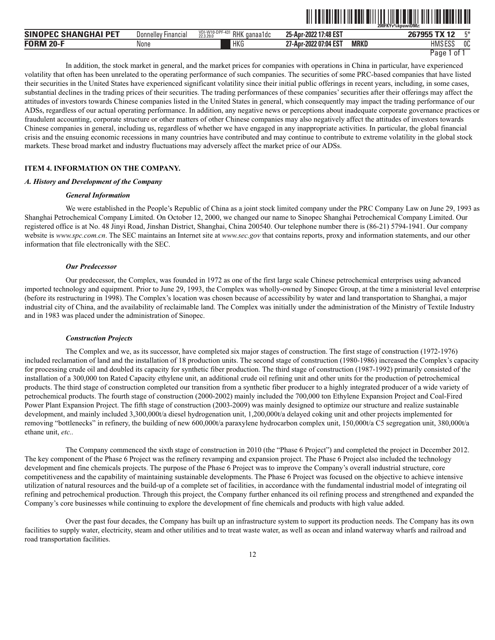| IIVC<br><b>HMSESS</b><br><b>MRKD</b><br>-Apr-2022 07:04 EST<br>$\sim$<br><b>FORM 20-F</b><br>None<br><b>HNU</b><br>. | <b>SINOPEC SHANGHAI PET</b> | Financial<br><b>Donnellev</b> | ۰W۱<br>RHV<br>---<br>qanaa1dc<br>22.3.29.0 | 17:48 EST<br>25-Apr-2022<br>LJ. | гм.<br><b>2670EI</b><br>$\overline{\phantom{a}}$<br>ъ.<br>$^{\prime}$ | $-x$ |
|----------------------------------------------------------------------------------------------------------------------|-----------------------------|-------------------------------|--------------------------------------------|---------------------------------|-----------------------------------------------------------------------|------|
|                                                                                                                      |                             |                               |                                            |                                 |                                                                       | 0C   |

In addition, the stock market in general, and the market prices for companies with operations in China in particular, have experienced volatility that often has been unrelated to the operating performance of such companies. The securities of some PRC-based companies that have listed their securities in the United States have experienced significant volatility since their initial public offerings in recent years, including, in some cases, substantial declines in the trading prices of their securities. The trading performances of these companies' securities after their offerings may affect the attitudes of investors towards Chinese companies listed in the United States in general, which consequently may impact the trading performance of our ADSs, regardless of our actual operating performance. In addition, any negative news or perceptions about inadequate corporate governance practices or fraudulent accounting, corporate structure or other matters of other Chinese companies may also negatively affect the attitudes of investors towards Chinese companies in general, including us, regardless of whether we have engaged in any inappropriate activities. In particular, the global financial crisis and the ensuing economic recessions in many countries have contributed and may continue to contribute to extreme volatility in the global stock markets. These broad market and industry fluctuations may adversely affect the market price of our ADSs.

# **ITEM 4. INFORMATION ON THE COMPANY.**

# *A. History and Development of the Company*

#### *General Information*

We were established in the People's Republic of China as a joint stock limited company under the PRC Company Law on June 29, 1993 as Shanghai Petrochemical Company Limited. On October 12, 2000, we changed our name to Sinopec Shanghai Petrochemical Company Limited. Our registered office is at No. 48 Jinyi Road, Jinshan District, Shanghai, China 200540. Our telephone number there is (86-21) 5794-1941. Our company website is *www.spc.com.cn*. The SEC maintains an Internet site at *www.sec.gov* that contains reports, proxy and information statements, and our other information that file electronically with the SEC.

#### *Our Predecessor*

Our predecessor, the Complex, was founded in 1972 as one of the first large scale Chinese petrochemical enterprises using advanced imported technology and equipment. Prior to June 29, 1993, the Complex was wholly-owned by Sinopec Group, at the time a ministerial level enterprise (before its restructuring in 1998). The Complex's location was chosen because of accessibility by water and land transportation to Shanghai, a major industrial city of China, and the availability of reclaimable land. The Complex was initially under the administration of the Ministry of Textile Industry and in 1983 was placed under the administration of Sinopec.

#### *Construction Projects*

The Complex and we, as its successor, have completed six major stages of construction. The first stage of construction (1972-1976) included reclamation of land and the installation of 18 production units. The second stage of construction (1980-1986) increased the Complex's capacity for processing crude oil and doubled its capacity for synthetic fiber production. The third stage of construction (1987-1992) primarily consisted of the installation of a 300,000 ton Rated Capacity ethylene unit, an additional crude oil refining unit and other units for the production of petrochemical products. The third stage of construction completed our transition from a synthetic fiber producer to a highly integrated producer of a wide variety of petrochemical products. The fourth stage of construction (2000-2002) mainly included the 700,000 ton Ethylene Expansion Project and Coal-Fired Power Plant Expansion Project. The fifth stage of construction (2003-2009) was mainly designed to optimize our structure and realize sustainable development, and mainly included 3,300,000t/a diesel hydrogenation unit, 1,200,000t/a delayed coking unit and other projects implemented for removing "bottlenecks" in refinery, the building of new 600,000t/a paraxylene hydrocarbon complex unit, 150,000t/a C5 segregation unit, 380,000t/a ethane unit, *etc..*

The Company commenced the sixth stage of construction in 2010 (the "Phase 6 Project") and completed the project in December 2012. The key component of the Phase 6 Project was the refinery revamping and expansion project. The Phase 6 Project also included the technology development and fine chemicals projects. The purpose of the Phase 6 Project was to improve the Company's overall industrial structure, core competitiveness and the capability of maintaining sustainable developments. The Phase 6 Project was focused on the objective to achieve intensive utilization of natural resources and the build-up of a complete set of facilities, in accordance with the fundamental industrial model of integrating oil refining and petrochemical production. Through this project, the Company further enhanced its oil refining process and strengthened and expanded the Company's core businesses while continuing to explore the development of fine chemicals and products with high value added.

Over the past four decades, the Company has built up an infrastructure system to support its production needs. The Company has its own facilities to supply water, electricity, steam and other utilities and to treat waste water, as well as ocean and inland waterway wharfs and railroad and road transportation facilities.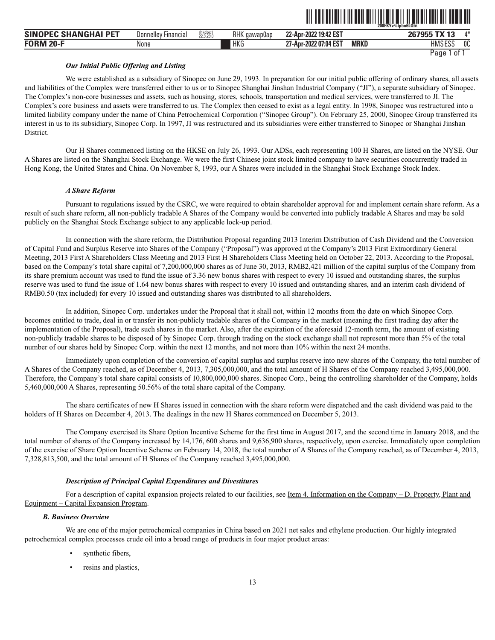|                                            |                               |                      |                   | 200FKYv%tpbo6LQb           | --------- |                       |            |
|--------------------------------------------|-------------------------------|----------------------|-------------------|----------------------------|-----------|-----------------------|------------|
| <b>PFT</b><br>. SHANGHALT<br><b>SINOP'</b> | <b>Financial</b><br>Donnelle' | rhkdoc'<br>22.3.29.0 | RHK<br>. aawap0ar | . 19:42 EST<br>22-Apr-2022 |           | TV 40<br>2C70E'<br>∠U | $A \Delta$ |
| <b>FORM</b><br>$\overline{a}$<br>40-l      | None                          |                      | IIVC<br>nnu       | 2 07:04 EST<br>27-Apr-2022 | MRKI      | <b>HMSESS</b>         | OC         |

ˆ200FKYv%tpbo6LQb\Š

Page 1 of 1

#### *Our Initial Public Offering and Listing*

We were established as a subsidiary of Sinopec on June 29, 1993. In preparation for our initial public offering of ordinary shares, all assets and liabilities of the Complex were transferred either to us or to Sinopec Shanghai Jinshan Industrial Company ("JI"), a separate subsidiary of Sinopec. The Complex's non-core businesses and assets, such as housing, stores, schools, transportation and medical services, were transferred to JI. The Complex's core business and assets were transferred to us. The Complex then ceased to exist as a legal entity. In 1998, Sinopec was restructured into a limited liability company under the name of China Petrochemical Corporation ("Sinopec Group"). On February 25, 2000, Sinopec Group transferred its interest in us to its subsidiary, Sinopec Corp. In 1997, JI was restructured and its subsidiaries were either transferred to Sinopec or Shanghai Jinshan District.

Our H Shares commenced listing on the HKSE on July 26, 1993. Our ADSs, each representing 100 H Shares, are listed on the NYSE. Our A Shares are listed on the Shanghai Stock Exchange. We were the first Chinese joint stock limited company to have securities concurrently traded in Hong Kong, the United States and China. On November 8, 1993, our A Shares were included in the Shanghai Stock Exchange Stock Index.

#### *A Share Reform*

Pursuant to regulations issued by the CSRC, we were required to obtain shareholder approval for and implement certain share reform. As a result of such share reform, all non-publicly tradable A Shares of the Company would be converted into publicly tradable A Shares and may be sold publicly on the Shanghai Stock Exchange subject to any applicable lock-up period.

In connection with the share reform, the Distribution Proposal regarding 2013 Interim Distribution of Cash Dividend and the Conversion of Capital Fund and Surplus Reserve into Shares of the Company ("Proposal") was approved at the Company's 2013 First Extraordinary General Meeting, 2013 First A Shareholders Class Meeting and 2013 First H Shareholders Class Meeting held on October 22, 2013. According to the Proposal, based on the Company's total share capital of 7,200,000,000 shares as of June 30, 2013, RMB2,421 million of the capital surplus of the Company from its share premium account was used to fund the issue of 3.36 new bonus shares with respect to every 10 issued and outstanding shares, the surplus reserve was used to fund the issue of 1.64 new bonus shares with respect to every 10 issued and outstanding shares, and an interim cash dividend of RMB0.50 (tax included) for every 10 issued and outstanding shares was distributed to all shareholders.

In addition, Sinopec Corp. undertakes under the Proposal that it shall not, within 12 months from the date on which Sinopec Corp. becomes entitled to trade, deal in or transfer its non-publicly tradable shares of the Company in the market (meaning the first trading day after the implementation of the Proposal), trade such shares in the market. Also, after the expiration of the aforesaid 12-month term, the amount of existing non-publicly tradable shares to be disposed of by Sinopec Corp. through trading on the stock exchange shall not represent more than 5% of the total number of our shares held by Sinopec Corp. within the next 12 months, and not more than 10% within the next 24 months.

Immediately upon completion of the conversion of capital surplus and surplus reserve into new shares of the Company, the total number of A Shares of the Company reached, as of December 4, 2013, 7,305,000,000, and the total amount of H Shares of the Company reached 3,495,000,000. Therefore, the Company's total share capital consists of 10,800,000,000 shares. Sinopec Corp., being the controlling shareholder of the Company, holds 5,460,000,000 A Shares, representing 50.56% of the total share capital of the Company.

The share certificates of new H Shares issued in connection with the share reform were dispatched and the cash dividend was paid to the holders of H Shares on December 4, 2013. The dealings in the new H Shares commenced on December 5, 2013.

The Company exercised its Share Option Incentive Scheme for the first time in August 2017, and the second time in January 2018, and the total number of shares of the Company increased by 14,176, 600 shares and 9,636,900 shares, respectively, upon exercise. Immediately upon completion of the exercise of Share Option Incentive Scheme on February 14, 2018, the total number of A Shares of the Company reached, as of December 4, 2013, 7,328,813,500, and the total amount of H Shares of the Company reached 3,495,000,000.

# *Description of Principal Capital Expenditures and Divestitures*

For a description of capital expansion projects related to our facilities, see Item 4. Information on the Company – D. Property, Plant and Equipment – Capital Expansion Program.

# *B. Business Overview*

We are one of the major petrochemical companies in China based on 2021 net sales and ethylene production. Our highly integrated petrochemical complex processes crude oil into a broad range of products in four major product areas:

- synthetic fibers.
- resins and plastics,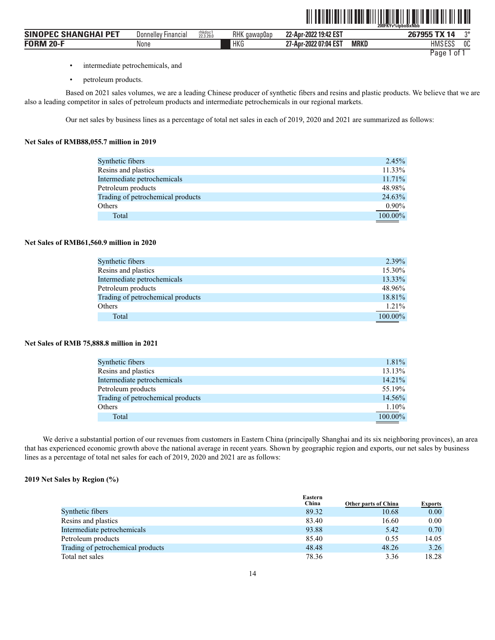|                                       |                          | rhkdoc <sub>1</sub> |                   |                                                      |             |              |         |
|---------------------------------------|--------------------------|---------------------|-------------------|------------------------------------------------------|-------------|--------------|---------|
| <b>SHANGHAI PET</b><br><b>SINOPEC</b> | ' Financial<br>Donnelley | 22.3.29.0           | RHK<br>. aawap0ap | 22-Apr-2022 19:42 EST                                |             | <b>TX 14</b> | ግ*      |
| <b>FORM 20-F</b>                      | None                     |                     | <b>HKG</b>        | :-2022 07:04 EST<br>רה<br>$\epsilon$ /-Apr- $\gamma$ | <b>MRKD</b> | HMS ESS      | 0C<br>. |

Page 1 of 1

TITE TE IT BET EN TE DE REGISTER OP DE REGISTER DE REGISTER DE REGISTER DE REGISTER DE REGISTER DE REGISTER DE

- intermediate petrochemicals, and
- petroleum products.

Based on 2021 sales volumes, we are a leading Chinese producer of synthetic fibers and resins and plastic products. We believe that we are also a leading competitor in sales of petroleum products and intermediate petrochemicals in our regional markets.

Our net sales by business lines as a percentage of total net sales in each of 2019, 2020 and 2021 are summarized as follows:

# **Net Sales of RMB88,055.7 million in 2019**

| Synthetic fibers                  | $2.45\%$  |
|-----------------------------------|-----------|
| Resins and plastics               | 11.33%    |
| Intermediate petrochemicals       | $11.71\%$ |
| Petroleum products                | 48.98%    |
| Trading of petrochemical products | 24.63%    |
| Others                            | $0.90\%$  |
| Total                             | 100.00%   |
|                                   |           |

#### **Net Sales of RMB61,560.9 million in 2020**

| 2.39%    |
|----------|
| 15.30%   |
| 13.33%   |
| 48.96%   |
| 18.81%   |
| $1.21\%$ |
| 100.00%  |
|          |

#### **Net Sales of RMB 75,888.8 million in 2021**

| Synthetic fibers                  | 1.81%     |
|-----------------------------------|-----------|
| Resins and plastics               | 13.13%    |
| Intermediate petrochemicals       | $14.21\%$ |
| Petroleum products                | 55.19%    |
| Trading of petrochemical products | 14.56%    |
| Others                            | $1.10\%$  |
| Total                             | 100.00%   |

We derive a substantial portion of our revenues from customers in Eastern China (principally Shanghai and its six neighboring provinces), an area that has experienced economic growth above the national average in recent years. Shown by geographic region and exports, our net sales by business lines as a percentage of total net sales for each of 2019, 2020 and 2021 are as follows:

# **2019 Net Sales by Region (%)**

|                                   | Eastern<br>China | Other parts of China | <b>Exports</b> |
|-----------------------------------|------------------|----------------------|----------------|
| Synthetic fibers                  | 89.32            | 10.68                | 0.00           |
| Resins and plastics               | 83.40            | 16.60                | 0.00           |
| Intermediate petrochemicals       | 93.88            | 5.42                 | 0.70           |
| Petroleum products                | 85.40            | 0.55                 | 14.05          |
| Trading of petrochemical products | 48.48            | 48.26                | 3.26           |
| Total net sales                   | 78.36            | 3.36                 | 18.28          |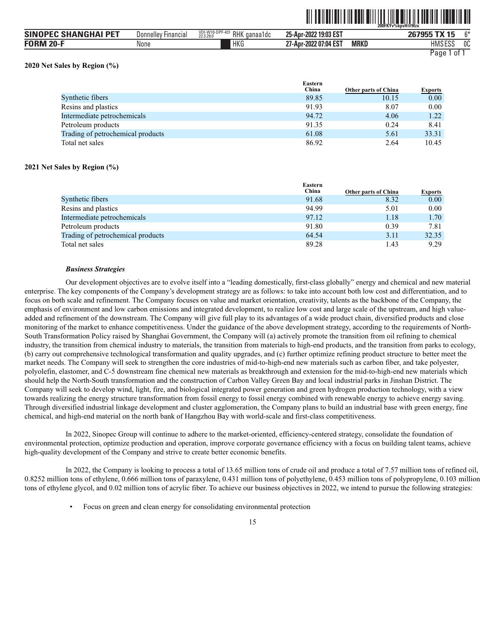| VDI-W10-DPF-431 DUK annon1do | 25 Apr 2022 10:02 ECT | $267055$ TV 15 |
|------------------------------|-----------------------|----------------|

**Eastern**

ˆ200FKYv%kpvH@9fzxŠ

| <b>SHANGHAL</b><br><b>SINOPEC</b><br><b>PFT</b> | Donnellev<br>Financial | 11112B<br>RHK<br>VUI-VVIU-UP<br>qanaa1dc<br>22.3.29.0 | 25-Apr-2022 19:03 EST                             |             |         | $\sim$ |
|-------------------------------------------------|------------------------|-------------------------------------------------------|---------------------------------------------------|-------------|---------|--------|
| <b>FORM</b><br>$20-$                            | None                   | IIVC<br><b>HNU</b>                                    | <b>207:04 EST</b><br>$\sim$<br>$-Aor-2022$<br>. . | <b>MRKD</b> | HMS ESS | $\sim$ |
|                                                 |                        |                                                       |                                                   |             |         |        |

# **2020 Net Sales by Region (%)**

Page 1 of 1

|                                   | вазил п<br>China | Other parts of China | <b>Exports</b> |
|-----------------------------------|------------------|----------------------|----------------|
| Synthetic fibers                  | 89.85            | 10.15                | 0.00           |
| Resins and plastics               | 91.93            | 8.07                 | 0.00           |
| Intermediate petrochemicals       | 94.72            | 4.06                 | 1.22           |
| Petroleum products                | 91.35            | 0.24                 | 8.41           |
| Trading of petrochemical products | 61.08            | 5.61                 | 33.31          |
| Total net sales                   | 86.92            | 2.64                 | 10.45          |

# **2021 Net Sales by Region (%)**

|                                   | Eastern |                      |                |
|-----------------------------------|---------|----------------------|----------------|
|                                   | China   | Other parts of China | <b>Exports</b> |
| Synthetic fibers                  | 91.68   | 8.32                 | 0.00           |
| Resins and plastics               | 94.99   | 5.01                 | 0.00           |
| Intermediate petrochemicals       | 97.12   | 1.18                 | 1.70           |
| Petroleum products                | 91.80   | 0.39                 | 7.81           |
| Trading of petrochemical products | 64.54   | 3.11                 | 32.35          |
| Total net sales                   | 89.28   | 1.43                 | 9.29           |

# *Business Strategies*

Our development objectives are to evolve itself into a "leading domestically, first-class globally" energy and chemical and new material enterprise. The key components of the Company's development strategy are as follows: to take into account both low cost and differentiation, and to focus on both scale and refinement. The Company focuses on value and market orientation, creativity, talents as the backbone of the Company, the emphasis of environment and low carbon emissions and integrated development, to realize low cost and large scale of the upstream, and high valueadded and refinement of the downstream. The Company will give full play to its advantages of a wide product chain, diversified products and close monitoring of the market to enhance competitiveness. Under the guidance of the above development strategy, according to the requirements of North-South Transformation Policy raised by Shanghai Government, the Company will (a) actively promote the transition from oil refining to chemical industry, the transition from chemical industry to materials, the transition from materials to high-end products, and the transition from parks to ecology, (b) carry out comprehensive technological transformation and quality upgrades, and (c) further optimize refining product structure to better meet the market needs. The Company will seek to strengthen the core industries of mid-to-high-end new materials such as carbon fiber, and take polyester, polyolefin, elastomer, and C-5 downstream fine chemical new materials as breakthrough and extension for the mid-to-high-end new materials which should help the North-South transformation and the construction of Carbon Valley Green Bay and local industrial parks in Jinshan District. The Company will seek to develop wind, light, fire, and biological integrated power generation and green hydrogen production technology, with a view towards realizing the energy structure transformation from fossil energy to fossil energy combined with renewable energy to achieve energy saving. Through diversified industrial linkage development and cluster agglomeration, the Company plans to build an industrial base with green energy, fine chemical, and high-end material on the north bank of Hangzhou Bay with world-scale and first-class competitiveness.

In 2022, Sinopec Group will continue to adhere to the market-oriented, efficiency-centered strategy, consolidate the foundation of environmental protection, optimize production and operation, improve corporate governance efficiency with a focus on building talent teams, achieve high-quality development of the Company and strive to create better economic benefits.

In 2022, the Company is looking to process a total of 13.65 million tons of crude oil and produce a total of 7.57 million tons of refined oil, 0.8252 million tons of ethylene, 0.666 million tons of paraxylene, 0.431 million tons of polyethylene, 0.453 million tons of polypropylene, 0.103 million tons of ethylene glycol, and 0.02 million tons of acrylic fiber. To achieve our business objectives in 2022, we intend to pursue the following strategies:

• Focus on green and clean energy for consolidating environmental protection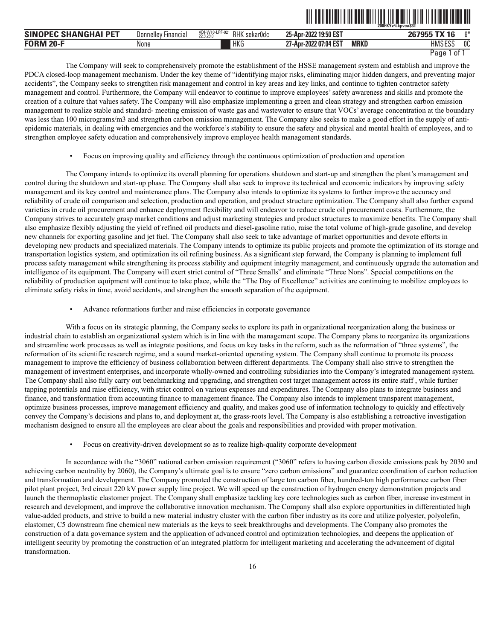| <b>SINOPEC SHANGHAI PET</b> | <b>Financial</b><br>Donnelley F | VDI-W10-LPF-02<br><b>RHK</b><br>sekarUdc<br>22.3.29.0 | 19:50 EST<br>25-Apr-<br>$-202^{\circ}$ |             | гv<br>$\overline{a}$<br>795.<br>. .<br>I A<br>. u | $\sim$         |
|-----------------------------|---------------------------------|-------------------------------------------------------|----------------------------------------|-------------|---------------------------------------------------|----------------|
| <b>FORM 20-F</b>            | None                            | <b>HKG</b>                                            | -2022 07:04 EST<br>n-<br>7-Apr-        | <b>MRKD</b> | <b>HMSESS</b>                                     | 0 <sup>C</sup> |
|                             |                                 |                                                       |                                        |             |                                                   | . .            |

The Company will seek to comprehensively promote the establishment of the HSSE management system and establish and improve the PDCA closed-loop management mechanism. Under the key theme of "identifying major risks, eliminating major hidden dangers, and preventing major accidents", the Company seeks to strengthen risk management and control in key areas and key links, and continue to tighten contractor safety management and control. Furthermore, the Company will endeavor to continue to improve employees' safety awareness and skills and promote the creation of a culture that values safety. The Company will also emphasize implementing a green and clean strategy and strengthen carbon emission management to realize stable and standard- meeting emission of waste gas and wastewater to ensure that VOCs' average concentration at the boundary was less than 100 micrograms/m3 and strengthen carbon emission management. The Company also seeks to make a good effort in the supply of antiepidemic materials, in dealing with emergencies and the workforce's stability to ensure the safety and physical and mental health of employees, and to strengthen employee safety education and comprehensively improve employee health management standards.

• Focus on improving quality and efficiency through the continuous optimization of production and operation

The Company intends to optimize its overall planning for operations shutdown and start-up and strengthen the plant's management and control during the shutdown and start-up phase. The Company shall also seek to improve its technical and economic indicators by improving safety management and its key control and maintenance plans. The Company also intends to optimize its systems to further improve the accuracy and reliability of crude oil comparison and selection, production and operation, and product structure optimization. The Company shall also further expand varieties in crude oil procurement and enhance deployment flexibility and will endeavor to reduce crude oil procurement costs. Furthermore, the Company strives to accurately grasp market conditions and adjust marketing strategies and product structures to maximize benefits. The Company shall also emphasize flexibly adjusting the yield of refined oil products and diesel-gasoline ratio, raise the total volume of high-grade gasoline, and develop new channels for exporting gasoline and jet fuel. The Company shall also seek to take advantage of market opportunities and devote efforts in developing new products and specialized materials. The Company intends to optimize its public projects and promote the optimization of its storage and transportation logistics system, and optimization its oil refining business. As a significant step forward, the Company is planning to implement full process safety management while strengthening its process stability and equipment integrity management, and continuously upgrade the automation and intelligence of its equipment. The Company will exert strict control of "Three Smalls" and eliminate "Three Nons". Special competitions on the reliability of production equipment will continue to take place, while the "The Day of Excellence" activities are continuing to mobilize employees to eliminate safety risks in time, avoid accidents, and strengthen the smooth separation of the equipment.

• Advance reformations further and raise efficiencies in corporate governance

With a focus on its strategic planning, the Company seeks to explore its path in organizational reorganization along the business or industrial chain to establish an organizational system which is in line with the management scope. The Company plans to reorganize its organizations and streamline work processes as well as integrate positions, and focus on key tasks in the reform, such as the reformation of "three systems", the reformation of its scientific research regime, and a sound market-oriented operating system. The Company shall continue to promote its process management to improve the efficiency of business collaboration between different departments. The Company shall also strive to strengthen the management of investment enterprises, and incorporate wholly-owned and controlling subsidiaries into the Company's integrated management system. The Company shall also fully carry out benchmarking and upgrading, and strengthen cost target management across its entire staff , while further tapping potentials and raise efficiency, with strict control on various expenses and expenditures. The Company also plans to integrate business and finance, and transformation from accounting finance to management finance. The Company also intends to implement transparent management, optimize business processes, improve management efficiency and quality, and makes good use of information technology to quickly and effectively convey the Company's decisions and plans to, and deployment at, the grass-roots level. The Company is also establishing a retroactive investigation mechanism designed to ensure all the employees are clear about the goals and responsibilities and provided with proper motivation.

• Focus on creativity-driven development so as to realize high-quality corporate development

In accordance with the "3060" national carbon emission requirement ("3060" refers to having carbon dioxide emissions peak by 2030 and achieving carbon neutrality by 2060), the Company's ultimate goal is to ensure "zero carbon emissions" and guarantee coordination of carbon reduction and transformation and development. The Company promoted the construction of large ton carbon fiber, hundred-ton high performance carbon fiber pilot plant project, 3rd circuit 220 kV power supply line project. We will speed up the construction of hydrogen energy demonstration projects and launch the thermoplastic elastomer project. The Company shall emphasize tackling key core technologies such as carbon fiber, increase investment in research and development, and improve the collaborative innovation mechanism. The Company shall also explore opportunities in differentiated high value-added products, and strive to build a new material industry cluster with the carbon fiber industry as its core and utilize polyester, polyolefin, elastomer, C5 downstream fine chemical new materials as the keys to seek breakthroughs and developments. The Company also promotes the construction of a data governance system and the application of advanced control and optimization technologies, and deepens the application of intelligent security by promoting the construction of an integrated platform for intelligent marketing and accelerating the advancement of digital transformation.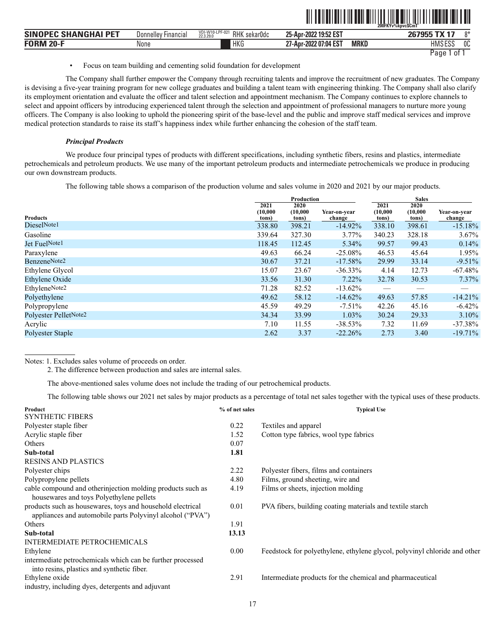|                             |                     |                                              |                                      | <b>THE INTERNATIONAL</b><br>$\parallel$ |
|-----------------------------|---------------------|----------------------------------------------|--------------------------------------|-----------------------------------------|
| <b>SINOPEC SHANGHAI PET</b> | Donnelley Financial | VDI-W10-LPF-021<br>RHK sekar0dc<br>22.3.29.0 | 25-Apr-2022 19:52 EST                | 267955 TX 17<br>0*                      |
| <b>FORM 20-F</b>            | None                | HKG                                          | <b>MRKD</b><br>27-Apr-2022 07:04 EST | <b>HMSESS</b><br>0C                     |

• Focus on team building and cementing solid foundation for development

The Company shall further empower the Company through recruiting talents and improve the recruitment of new graduates. The Company is devising a five-year training program for new college graduates and building a talent team with engineering thinking. The Company shall also clarify its employment orientation and evaluate the officer and talent selection and appointment mechanism. The Company continues to explore channels to select and appoint officers by introducing experienced talent through the selection and appointment of professional managers to nurture more young officers. The Company is also looking to uphold the pioneering spirit of the base-level and the public and improve staff medical services and improve medical protection standards to raise its staff's happiness index while further enhancing the cohesion of the staff team.

# *Principal Products*

We produce four principal types of products with different specifications, including synthetic fibers, resins and plastics, intermediate petrochemicals and petroleum products. We use many of the important petroleum products and intermediate petrochemicals we produce in producing our own downstream products.

The following table shows a comparison of the production volume and sales volume in 2020 and 2021 by our major products.

|                       | Production                |                           |                        | <b>Sales</b>              |                           |                        |
|-----------------------|---------------------------|---------------------------|------------------------|---------------------------|---------------------------|------------------------|
| <b>Products</b>       | 2021<br>(10,000)<br>tons) | 2020<br>(10,000)<br>tons) | Year-on-year<br>change | 2021<br>(10,000)<br>tons) | 2020<br>(10,000)<br>tons) | Year-on-vear<br>change |
| DieselNote1           | 338.80                    | 398.21                    | $-14.92\%$             | 338.10                    | 398.61                    | $-15.18%$              |
| Gasoline              | 339.64                    | 327.30                    | $3.77\%$               | 340.23                    | 328.18                    | $3.67\%$               |
| Jet FuelNote1         | 118.45                    | 112.45                    | $5.34\%$               | 99.57                     | 99.43                     | 0.14%                  |
| Paraxylene            | 49.63                     | 66.24                     | $-25.08\%$             | 46.53                     | 45.64                     | 1.95%                  |
| BenzeneNote2          | 30.67                     | 37.21                     | $-17.58\%$             | 29.99                     | 33.14                     | $-9.51\%$              |
| Ethylene Glycol       | 15.07                     | 23.67                     | $-36.33\%$             | 4.14                      | 12.73                     | $-67.48\%$             |
| Ethylene Oxide        | 33.56                     | 31.30                     | $7.22\%$               | 32.78                     | 30.53                     | $7.37\%$               |
| EthyleneNote2         | 71.28                     | 82.52                     | $-13.62\%$             |                           |                           |                        |
| Polyethylene          | 49.62                     | 58.12                     | $-14.62\%$             | 49.63                     | 57.85                     | $-14.21%$              |
| Polypropylene         | 45.59                     | 49.29                     | $-7.51\%$              | 42.26                     | 45.16                     | $-6.42\%$              |
| Polyester PelletNote2 | 34.34                     | 33.99                     | $1.03\%$               | 30.24                     | 29.33                     | $3.10\%$               |
| Acrylic               | 7.10                      | 11.55                     | $-38.53\%$             | 7.32                      | 11.69                     | $-37.38\%$             |
| Polyester Staple      | 2.62                      | 3.37                      | $-22.26%$              | 2.73                      | 3.40                      | $-19.71\%$             |

Notes: 1. Excludes sales volume of proceeds on order.

2. The difference between production and sales are internal sales.

The above-mentioned sales volume does not include the trading of our petrochemical products.

The following table shows our 2021 net sales by major products as a percentage of total net sales together with the typical uses of these products.

| Product                                                                                                                 | % of net sales | <b>Typical Use</b>                                                        |
|-------------------------------------------------------------------------------------------------------------------------|----------------|---------------------------------------------------------------------------|
| <b>SYNTHETIC FIBERS</b>                                                                                                 |                |                                                                           |
| Polyester staple fiber                                                                                                  | 0.22           | Textiles and apparel                                                      |
| Acrylic staple fiber                                                                                                    | 1.52           | Cotton type fabrics, wool type fabrics                                    |
| Others                                                                                                                  | 0.07           |                                                                           |
| Sub-total                                                                                                               | 1.81           |                                                                           |
| <b>RESINS AND PLASTICS</b>                                                                                              |                |                                                                           |
| Polyester chips                                                                                                         | 2.22           | Polyester fibers, films and containers                                    |
| Polypropylene pellets                                                                                                   | 4.80           | Films, ground sheeting, wire and                                          |
| cable compound and otherinjection molding products such as<br>housewares and toys Polyethylene pellets                  | 4.19           | Films or sheets, injection molding                                        |
| products such as housewares, toys and household electrical<br>appliances and automobile parts Polyvinyl alcohol ("PVA") | 0.01           | PVA fibers, building coating materials and textile starch                 |
| Others                                                                                                                  | 1.91           |                                                                           |
| Sub-total                                                                                                               | 13.13          |                                                                           |
| <b>INTERMEDIATE PETROCHEMICALS</b>                                                                                      |                |                                                                           |
| Ethylene                                                                                                                | 0.00           | Feedstock for polyethylene, ethylene glycol, polyvinyl chloride and other |
| intermediate petrochemicals which can be further processed<br>into resins, plastics and synthetic fiber.                |                |                                                                           |
| Ethylene oxide                                                                                                          | 2.91           | Intermediate products for the chemical and pharmaceutical                 |
| industry, including dyes, detergents and adjuvant                                                                       |                |                                                                           |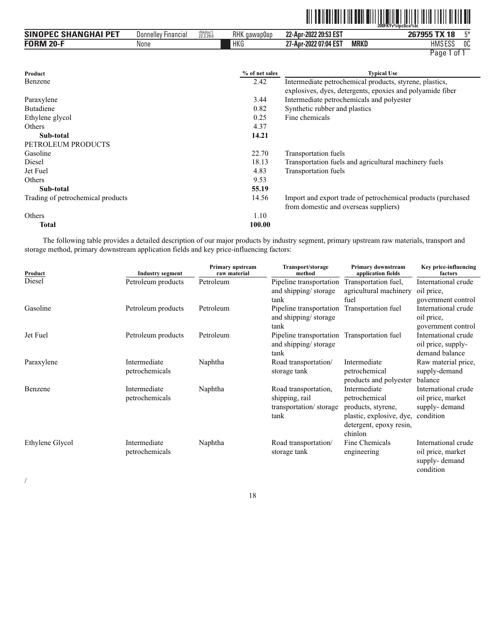| <b>SINOPEC SHANGHAI PET</b> | -ınancıal<br>Jon<br>inellev | rhkdoc1<br>22.3.29.0 | RH<br>. aawap0ap | -2022 20:53 EST<br>nn.<br>∠∠-Anr-‴       |             | $-1$<br>--<br>7 C N<br>IZ<br>по | <b>FM</b> |
|-----------------------------|-----------------------------|----------------------|------------------|------------------------------------------|-------------|---------------------------------|-----------|
| <b>FORM 20-F</b>            | None                        |                      | IUVC<br>nnu      | 22 07:04 EST<br>n-<br>$-202'$<br>'/-Apr- | <b>MRKD</b> | <b>HMSESS</b>                   | 0C        |
|                             |                             |                      |                  |                                          |             |                                 |           |

| Product                           | % of net sales | <b>Typical Use</b>                                                                                                   |
|-----------------------------------|----------------|----------------------------------------------------------------------------------------------------------------------|
| Benzene                           | 2.42           | Intermediate petrochemical products, styrene, plastics,<br>explosives, dyes, detergents, epoxies and polyamide fiber |
| Paraxylene                        | 3.44           | Intermediate petrochemicals and polyester                                                                            |
| <b>Butadiene</b>                  | 0.82           | Synthetic rubber and plastics                                                                                        |
| Ethylene glycol                   | 0.25           | Fine chemicals                                                                                                       |
| <b>Others</b>                     | 4.37           |                                                                                                                      |
| Sub-total                         | 14.21          |                                                                                                                      |
| PETROLEUM PRODUCTS                |                |                                                                                                                      |
| Gasoline                          | 22.70          | Transportation fuels                                                                                                 |
| Diesel                            | 18.13          | Transportation fuels and agricultural machinery fuels                                                                |
| Jet Fuel                          | 4.83           | Transportation fuels                                                                                                 |
| Others                            | 9.53           |                                                                                                                      |
| Sub-total                         | 55.19          |                                                                                                                      |
| Trading of petrochemical products | 14.56          | Import and export trade of petrochemical products (purchased<br>from domestic and overseas suppliers)                |
| Others                            | 1.10           |                                                                                                                      |
| Total                             | 100.00         |                                                                                                                      |

The following table provides a detailed description of our major products by industry segment, primary upstream raw materials, transport and storage method, primary downstream application fields and key price-influencing factors:

| Product         | <b>Industry segment</b> | <b>Primary upstream</b><br>raw material | Transport/storage<br>method                 |                          | Key price-influencing<br>factors |
|-----------------|-------------------------|-----------------------------------------|---------------------------------------------|--------------------------|----------------------------------|
| Diesel          | Petroleum products      | Petroleum                               | Pipeline transportation                     | Transportation fuel,     | International crude              |
|                 |                         |                                         | and shipping/storage                        | agricultural machinery   | oil price,                       |
|                 |                         |                                         | tank                                        | fuel                     | government control               |
| Gasoline        | Petroleum products      | Petroleum                               | Pipeline transportation                     | Transportation fuel      | International crude              |
|                 |                         |                                         | and shipping/storage                        |                          | oil price,                       |
|                 |                         |                                         | tank                                        |                          | government control               |
| Jet Fuel        | Petroleum products      | Petroleum                               | Pipeline transportation Transportation fuel |                          | International crude              |
|                 |                         |                                         | and shipping/storage                        |                          | oil price, supply-               |
|                 |                         |                                         | tank                                        |                          | demand balance                   |
| Paraxylene      | Intermediate            | Naphtha                                 | Road transportation/                        | Intermediate             | Raw material price,              |
|                 | petrochemicals          |                                         | storage tank                                | petrochemical            | supply-demand                    |
|                 |                         |                                         |                                             | products and polyester   | balance                          |
| Benzene         | Intermediate            | Naphtha                                 | Road transportation,                        | Intermediate             | International crude              |
|                 | petrochemicals          |                                         | shipping, rail                              | petrochemical            | oil price, market                |
|                 |                         |                                         | transportation/storage                      | products, styrene,       | supply-demand                    |
|                 |                         |                                         | tank                                        | plastic, explosive, dye, | condition                        |
|                 |                         |                                         |                                             | detergent, epoxy resin,  |                                  |
|                 |                         |                                         |                                             | chinlon                  |                                  |
| Ethylene Glycol | Intermediate            | Naphtha                                 | Road transportation/                        | Fine Chemicals           | International crude              |
|                 | petrochemicals          |                                         | storage tank                                | engineering              | oil price, market                |
|                 |                         |                                         |                                             |                          | supply-demand                    |
|                 |                         |                                         |                                             |                          | condition                        |

18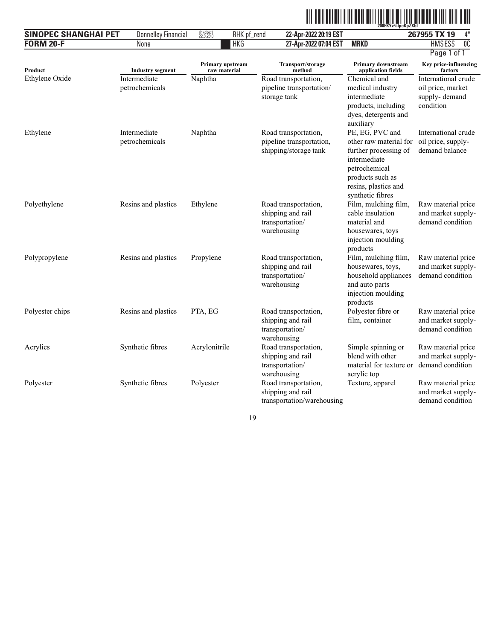

| <b>SINOPEC SHANGHAI PET</b> | <b>Donnelley Financial</b> | rhkdoc1<br>22.3.29.0 | RHK pf_rend                      | 22-Apr-2022 20:19 EST                                                       |                                                                                                                                                  | $4*$<br>267955 TX 19                                         |
|-----------------------------|----------------------------|----------------------|----------------------------------|-----------------------------------------------------------------------------|--------------------------------------------------------------------------------------------------------------------------------------------------|--------------------------------------------------------------|
| <b>FORM 20-F</b>            | None                       |                      | <b>HKG</b>                       | 27-Apr-2022 07:04 EST                                                       | <b>MRKD</b>                                                                                                                                      | HMSESS<br>0 <sup>C</sup>                                     |
|                             |                            |                      |                                  |                                                                             |                                                                                                                                                  | Page 1 of 1                                                  |
| Product                     | <b>Industry</b> segment    |                      | Primary upstream<br>raw material | Transport/storage<br>method                                                 | Primary downstream<br>application fields                                                                                                         | Key price-influencing<br>factors                             |
| Ethylene Oxide              | Intermediate               | Naphtha              |                                  | Road transportation,                                                        | Chemical and                                                                                                                                     | International crude                                          |
|                             | petrochemicals             |                      |                                  | pipeline transportation/<br>storage tank                                    | medical industry<br>intermediate<br>products, including<br>dyes, detergents and<br>auxiliary                                                     | oil price, market<br>supply-demand<br>condition              |
| Ethylene                    | Intermediate               | Naphtha              |                                  | Road transportation,                                                        | PE, EG, PVC and                                                                                                                                  | International crude                                          |
|                             | petrochemicals             |                      |                                  | pipeline transportation,<br>shipping/storage tank                           | other raw material for<br>further processing of<br>intermediate<br>petrochemical<br>products such as<br>resins, plastics and<br>synthetic fibres | oil price, supply-<br>demand balance                         |
| Polyethylene                | Resins and plastics        | Ethylene             |                                  | Road transportation,<br>shipping and rail<br>transportation/<br>warehousing | Film, mulching film,<br>cable insulation<br>material and<br>housewares, toys<br>injection moulding<br>products                                   | Raw material price<br>and market supply-<br>demand condition |
| Polypropylene               | Resins and plastics        | Propylene            |                                  | Road transportation,<br>shipping and rail<br>transportation/<br>warehousing | Film, mulching film,<br>housewares, toys,<br>household appliances<br>and auto parts<br>injection moulding<br>products                            | Raw material price<br>and market supply-<br>demand condition |
| Polyester chips             | Resins and plastics        | PTA, EG              |                                  | Road transportation,<br>shipping and rail<br>transportation/<br>warehousing | Polyester fibre or<br>film, container                                                                                                            | Raw material price<br>and market supply-<br>demand condition |
| Acrylics                    | Synthetic fibres           | Acrylonitrile        |                                  | Road transportation,<br>shipping and rail<br>transportation/<br>warehousing | Simple spinning or<br>blend with other<br>material for texture or<br>acrylic top                                                                 | Raw material price<br>and market supply-<br>demand condition |
| Polyester                   | Synthetic fibres           | Polyester            |                                  | Road transportation,<br>shipping and rail<br>transportation/warehousing     | Texture, apparel                                                                                                                                 | Raw material price<br>and market supply-<br>demand condition |

19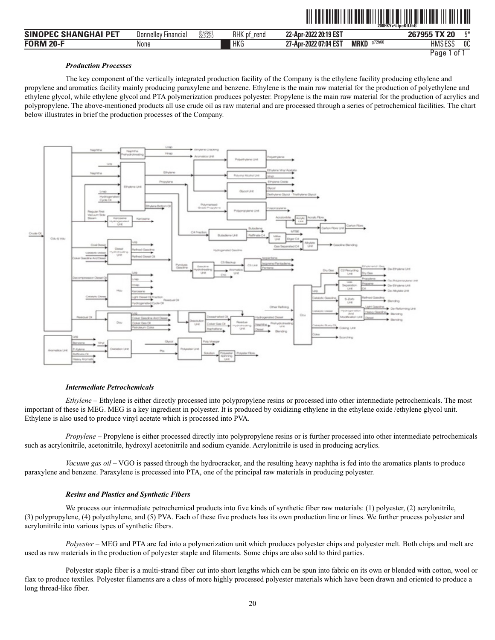|                             |                                      |                       |                | 200FKYv%tpcKtLfbG         |                |                 |    |
|-----------------------------|--------------------------------------|-----------------------|----------------|---------------------------|----------------|-----------------|----|
| <b>SINOPEC SHANGHAI PET</b> | <b>Financial</b><br><b>Donnelley</b> | rhkdoc'i<br>22.3.29.0 | RHK pf<br>rend | 22-Apr-2022 20:19 EST     |                | TV 20<br>267955 |    |
| <b>FORM 20-F</b>            | None                                 |                       | <b>HKG</b>     | -2022 07:04 EST<br>27-Apr | g72h60<br>MRKD | HMS ESS         | บบ |

ˆ200FKYv%tpcKtLfbGŠ

Page 1 of 1

#### *Production Processes*

The key component of the vertically integrated production facility of the Company is the ethylene facility producing ethylene and propylene and aromatics facility mainly producing paraxylene and benzene. Ethylene is the main raw material for the production of polyethylene and ethylene glycol, while ethylene glycol and PTA polymerization produces polyester. Propylene is the main raw material for the production of acrylics and polypropylene. The above-mentioned products all use crude oil as raw material and are processed through a series of petrochemical facilities. The chart below illustrates in brief the production processes of the Company.



# *Intermediate Petrochemicals*

*Ethylene* – Ethylene is either directly processed into polypropylene resins or processed into other intermediate petrochemicals. The most important of these is MEG. MEG is a key ingredient in polyester. It is produced by oxidizing ethylene in the ethylene oxide /ethylene glycol unit. Ethylene is also used to produce vinyl acetate which is processed into PVA.

*Propylene* – Propylene is either processed directly into polypropylene resins or is further processed into other intermediate petrochemicals such as acrylonitrile, acetonitrile, hydroxyl acetonitrile and sodium cyanide. Acrylonitrile is used in producing acrylics.

*Vacuum gas oil* – VGO is passed through the hydrocracker, and the resulting heavy naphtha is fed into the aromatics plants to produce paraxylene and benzene. Paraxylene is processed into PTA, one of the principal raw materials in producing polyester.

#### *Resins and Plastics and Synthetic Fibers*

We process our intermediate petrochemical products into five kinds of synthetic fiber raw materials: (1) polyester, (2) acrylonitrile, (3) polypropylene, (4) polyethylene, and (5) PVA. Each of these five products has its own production line or lines. We further process polyester and acrylonitrile into various types of synthetic fibers.

*Polyester* – MEG and PTA are fed into a polymerization unit which produces polyester chips and polyester melt. Both chips and melt are used as raw materials in the production of polyester staple and filaments. Some chips are also sold to third parties.

Polyester staple fiber is a multi-strand fiber cut into short lengths which can be spun into fabric on its own or blended with cotton, wool or flax to produce textiles. Polyester filaments are a class of more highly processed polyester materials which have been drawn and oriented to produce a long thread-like fiber.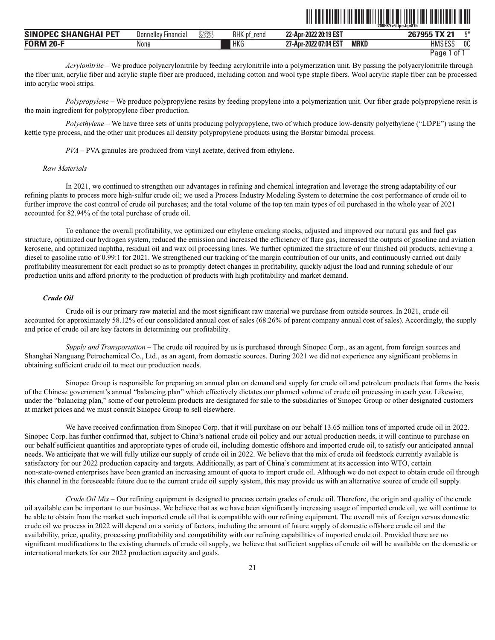# ˆ200FKYv%tpcJqc81hŠ **200FKYv%tpcJqc81h**

| <b><i>SHANGHAI PET</i></b><br><b>SINOPEC</b> | $\overline{\phantom{a}}$<br>Donnelley<br><sup>.</sup> Financial | rhkdoc i<br>22.3.29.0 | RHK<br>rena<br>. pt<br>$-$ | 22-Apr-2022 20:19 EST |             | $T_{\rm W}$ or<br>OCJOFF 3 | <b>FX</b> |
|----------------------------------------------|-----------------------------------------------------------------|-----------------------|----------------------------|-----------------------|-------------|----------------------------|-----------|
| <b>FORM 20-F</b>                             | None                                                            |                       | IIVC<br>. HNU              | 27-Apr-2022 07:04 EST | <b>MRKD</b> | <b>HMSESS</b>              | 0C        |
|                                              |                                                                 |                       |                            |                       |             | 0t<br>Page                 |           |

*Acrylonitrile* – We produce polyacrylonitrile by feeding acrylonitrile into a polymerization unit. By passing the polyacrylonitrile through the fiber unit, acrylic fiber and acrylic staple fiber are produced, including cotton and wool type staple fibers. Wool acrylic staple fiber can be processed into acrylic wool strips.

*Polypropylene* – We produce polypropylene resins by feeding propylene into a polymerization unit. Our fiber grade polypropylene resin is the main ingredient for polypropylene fiber production.

*Polyethylene* – We have three sets of units producing polypropylene, two of which produce low-density polyethylene ("LDPE") using the kettle type process, and the other unit produces all density polypropylene products using the Borstar bimodal process.

*PVA* – PVA granules are produced from vinyl acetate, derived from ethylene.

#### *Raw Materials*

In 2021, we continued to strengthen our advantages in refining and chemical integration and leverage the strong adaptability of our refining plants to process more high-sulfur crude oil; we used a Process Industry Modeling System to determine the cost performance of crude oil to further improve the cost control of crude oil purchases; and the total volume of the top ten main types of oil purchased in the whole year of 2021 accounted for 82.94% of the total purchase of crude oil.

To enhance the overall profitability, we optimized our ethylene cracking stocks, adjusted and improved our natural gas and fuel gas structure, optimized our hydrogen system, reduced the emission and increased the efficiency of flare gas, increased the outputs of gasoline and aviation kerosene, and optimized naphtha, residual oil and wax oil processing lines. We further optimized the structure of our finished oil products, achieving a diesel to gasoline ratio of 0.99:1 for 2021. We strengthened our tracking of the margin contribution of our units, and continuously carried out daily profitability measurement for each product so as to promptly detect changes in profitability, quickly adjust the load and running schedule of our production units and afford priority to the production of products with high profitability and market demand.

#### *Crude Oil*

Crude oil is our primary raw material and the most significant raw material we purchase from outside sources. In 2021, crude oil accounted for approximately 58.12% of our consolidated annual cost of sales (68.26% of parent company annual cost of sales). Accordingly, the supply and price of crude oil are key factors in determining our profitability.

*Supply and Transportation* – The crude oil required by us is purchased through Sinopec Corp., as an agent, from foreign sources and Shanghai Nanguang Petrochemical Co., Ltd., as an agent, from domestic sources. During 2021 we did not experience any significant problems in obtaining sufficient crude oil to meet our production needs.

Sinopec Group is responsible for preparing an annual plan on demand and supply for crude oil and petroleum products that forms the basis of the Chinese government's annual "balancing plan" which effectively dictates our planned volume of crude oil processing in each year. Likewise, under the "balancing plan," some of our petroleum products are designated for sale to the subsidiaries of Sinopec Group or other designated customers at market prices and we must consult Sinopec Group to sell elsewhere.

We have received confirmation from Sinopec Corp. that it will purchase on our behalf 13.65 million tons of imported crude oil in 2022. Sinopec Corp. has further confirmed that, subject to China's national crude oil policy and our actual production needs, it will continue to purchase on our behalf sufficient quantities and appropriate types of crude oil, including domestic offshore and imported crude oil, to satisfy our anticipated annual needs. We anticipate that we will fully utilize our supply of crude oil in 2022. We believe that the mix of crude oil feedstock currently available is satisfactory for our 2022 production capacity and targets. Additionally, as part of China's commitment at its accession into WTO, certain non-state-owned enterprises have been granted an increasing amount of quota to import crude oil. Although we do not expect to obtain crude oil through this channel in the foreseeable future due to the current crude oil supply system, this may provide us with an alternative source of crude oil supply.

*Crude Oil Mix* – Our refining equipment is designed to process certain grades of crude oil. Therefore, the origin and quality of the crude oil available can be important to our business. We believe that as we have been significantly increasing usage of imported crude oil, we will continue to be able to obtain from the market such imported crude oil that is compatible with our refining equipment. The overall mix of foreign versus domestic crude oil we process in 2022 will depend on a variety of factors, including the amount of future supply of domestic offshore crude oil and the availability, price, quality, processing profitability and compatibility with our refining capabilities of imported crude oil. Provided there are no significant modifications to the existing channels of crude oil supply, we believe that sufficient supplies of crude oil will be available on the domestic or international markets for our 2022 production capacity and goals.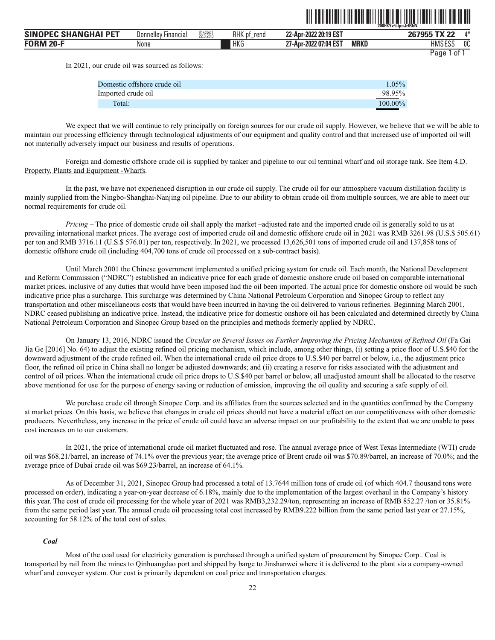|                      |                     |                      |                |                       |             | <u>TII TETI ETTEITTII KIELEN EITI TIITEITTEITTEITTEITTEITTII TIITEITTII TIITEITTII T</u><br>200FKYv%tocJrIRbN |    |  |
|----------------------|---------------------|----------------------|----------------|-----------------------|-------------|---------------------------------------------------------------------------------------------------------------|----|--|
| SINOPEC SHANGHAI PET | Donnelley Financial | rhkdoc1<br>22.3.29.0 | RHK pf<br>rend | 22-Apr-2022 20:19 EST |             | 267955 TX 22                                                                                                  |    |  |
| <b>FORM 20-F</b>     | None                |                      | HKG            | 27-Apr-2022 07:04 EST | <b>MRKD</b> | <b>HMSESS</b>                                                                                                 | 0C |  |

TIT A RITUALITATI ATIO MARI MITITI INTERIORI ILIAN ITALIA ILIAN DA MIT

In 2021, our crude oil was sourced as follows:

| Domestic offshore crude oil | $1.05\%$   |
|-----------------------------|------------|
| Imported crude oil          | 98.95%     |
| Total:                      | $100.00\%$ |

We expect that we will continue to rely principally on foreign sources for our crude oil supply. However, we believe that we will be able to maintain our processing efficiency through technological adjustments of our equipment and quality control and that increased use of imported oil will not materially adversely impact our business and results of operations.

Foreign and domestic offshore crude oil is supplied by tanker and pipeline to our oil terminal wharf and oil storage tank. See Item 4.D. Property, Plants and Equipment -Wharfs.

In the past, we have not experienced disruption in our crude oil supply. The crude oil for our atmosphere vacuum distillation facility is mainly supplied from the Ningbo-Shanghai-Nanjing oil pipeline. Due to our ability to obtain crude oil from multiple sources, we are able to meet our normal requirements for crude oil.

*Pricing* – The price of domestic crude oil shall apply the market –adjusted rate and the imported crude oil is generally sold to us at prevailing international market prices. The average cost of imported crude oil and domestic offshore crude oil in 2021 was RMB 3261.98 (U.S.\$ 505.61) per ton and RMB 3716.11 (U.S.\$ 576.01) per ton, respectively. In 2021, we processed 13,626,501 tons of imported crude oil and 137,858 tons of domestic offshore crude oil (including 404,700 tons of crude oil processed on a sub-contract basis).

Until March 2001 the Chinese government implemented a unified pricing system for crude oil. Each month, the National Development and Reform Commission ("NDRC") established an indicative price for each grade of domestic onshore crude oil based on comparable international market prices, inclusive of any duties that would have been imposed had the oil been imported. The actual price for domestic onshore oil would be such indicative price plus a surcharge. This surcharge was determined by China National Petroleum Corporation and Sinopec Group to reflect any transportation and other miscellaneous costs that would have been incurred in having the oil delivered to various refineries. Beginning March 2001, NDRC ceased publishing an indicative price. Instead, the indicative price for domestic onshore oil has been calculated and determined directly by China National Petroleum Corporation and Sinopec Group based on the principles and methods formerly applied by NDRC.

On January 13, 2016, NDRC issued the *Circular on Several Issues on Further Improving the Pricing Mechanism of Refined Oil* (Fa Gai Jia Ge [2016] No. 64) to adjust the existing refined oil pricing mechanism, which include, among other things, (i) setting a price floor of U.S.\$40 for the downward adjustment of the crude refined oil. When the international crude oil price drops to U.S.\$40 per barrel or below, i.e., the adjustment price floor, the refined oil price in China shall no longer be adjusted downwards; and (ii) creating a reserve for risks associated with the adjustment and control of oil prices. When the international crude oil price drops to U.S.\$40 per barrel or below, all unadjusted amount shall be allocated to the reserve above mentioned for use for the purpose of energy saving or reduction of emission, improving the oil quality and securing a safe supply of oil.

We purchase crude oil through Sinopec Corp. and its affiliates from the sources selected and in the quantities confirmed by the Company at market prices. On this basis, we believe that changes in crude oil prices should not have a material effect on our competitiveness with other domestic producers. Nevertheless, any increase in the price of crude oil could have an adverse impact on our profitability to the extent that we are unable to pass cost increases on to our customers.

In 2021, the price of international crude oil market fluctuated and rose. The annual average price of West Texas Intermediate (WTI) crude oil was \$68.21/barrel, an increase of 74.1% over the previous year; the average price of Brent crude oil was \$70.89/barrel, an increase of 70.0%; and the average price of Dubai crude oil was \$69.23/barrel, an increase of 64.1%.

As of December 31, 2021, Sinopec Group had processed a total of 13.7644 million tons of crude oil (of which 404.7 thousand tons were processed on order), indicating a year-on-year decrease of 6.18%, mainly due to the implementation of the largest overhaul in the Company's history this year. The cost of crude oil processing for the whole year of 2021 was RMB3,232.29/ton, representing an increase of RMB 852.27 /ton or 35.81% from the same period last year. The annual crude oil processing total cost increased by RMB9.222 billion from the same period last year or 27.15%, accounting for 58.12% of the total cost of sales.

# *Coal*

Most of the coal used for electricity generation is purchased through a unified system of procurement by Sinopec Corp.. Coal is transported by rail from the mines to Qinhuangdao port and shipped by barge to Jinshanwei where it is delivered to the plant via a company-owned wharf and conveyer system. Our cost is primarily dependent on coal price and transportation charges.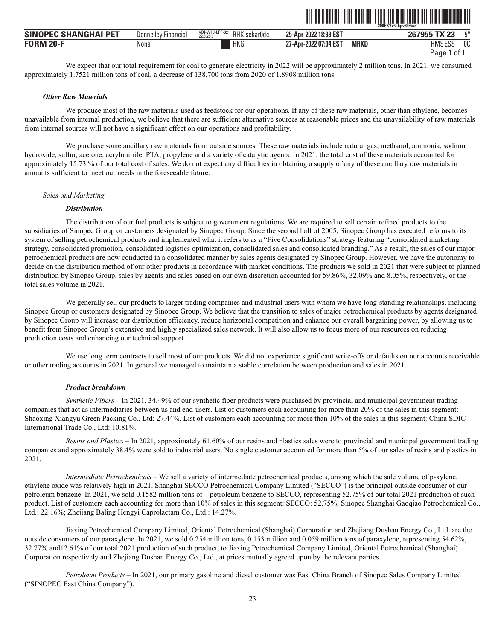| <b>SINOPEC SHANGHAI</b><br><b>PFT</b> | Donnelley<br>' Financial | VDI-W10-LPF-021<br><b>RHK</b><br>22.3.29.0 | 25-Apr-2022 18:38 EST<br>sekarUdc |             | 工米<br><b>TX 23</b><br>267955 |
|---------------------------------------|--------------------------|--------------------------------------------|-----------------------------------|-------------|------------------------------|
| <b>FORM 20-F</b>                      | None                     | <b>HKG</b>                                 | 27-Apr-2022 07:04 EST             | <b>MRKD</b> | <b>HMSESS</b><br>0C          |
|                                       |                          |                                            |                                   |             | Page<br>01                   |

We expect that our total requirement for coal to generate electricity in 2022 will be approximately 2 million tons. In 2021, we consumed approximately 1.7521 million tons of coal, a decrease of 138,700 tons from 2020 of 1.8908 million tons.

# *Other Raw Materials*

We produce most of the raw materials used as feedstock for our operations. If any of these raw materials, other than ethylene, becomes unavailable from internal production, we believe that there are sufficient alternative sources at reasonable prices and the unavailability of raw materials from internal sources will not have a significant effect on our operations and profitability.

We purchase some ancillary raw materials from outside sources. These raw materials include natural gas, methanol, ammonia, sodium hydroxide, sulfur, acetone, acrylonitrile, PTA, propylene and a variety of catalytic agents. In 2021, the total cost of these materials accounted for approximately 15.73 % of our total cost of sales. We do not expect any difficulties in obtaining a supply of any of these ancillary raw materials in amounts sufficient to meet our needs in the foreseeable future.

### *Sales and Marketing*

# *Distribution*

The distribution of our fuel products is subject to government regulations. We are required to sell certain refined products to the subsidiaries of Sinopec Group or customers designated by Sinopec Group. Since the second half of 2005, Sinopec Group has executed reforms to its system of selling petrochemical products and implemented what it refers to as a "Five Consolidations" strategy featuring "consolidated marketing strategy, consolidated promotion, consolidated logistics optimization, consolidated sales and consolidated branding." As a result, the sales of our major petrochemical products are now conducted in a consolidated manner by sales agents designated by Sinopec Group. However, we have the autonomy to decide on the distribution method of our other products in accordance with market conditions. The products we sold in 2021 that were subject to planned distribution by Sinopec Group, sales by agents and sales based on our own discretion accounted for 59.86%, 32.09% and 8.05%, respectively, of the total sales volume in 2021.

We generally sell our products to larger trading companies and industrial users with whom we have long-standing relationships, including Sinopec Group or customers designated by Sinopec Group. We believe that the transition to sales of major petrochemical products by agents designated by Sinopec Group will increase our distribution efficiency, reduce horizontal competition and enhance our overall bargaining power, by allowing us to benefit from Sinopec Group's extensive and highly specialized sales network. It will also allow us to focus more of our resources on reducing production costs and enhancing our technical support.

We use long term contracts to sell most of our products. We did not experience significant write-offs or defaults on our accounts receivable or other trading accounts in 2021. In general we managed to maintain a stable correlation between production and sales in 2021.

#### *Product breakdown*

*Synthetic Fibers* – In 2021, 34.49% of our synthetic fiber products were purchased by provincial and municipal government trading companies that act as intermediaries between us and end-users. List of customers each accounting for more than 20% of the sales in this segment: Shaoxing Xiangyu Green Packing Co., Ltd: 27.44%. List of customers each accounting for more than 10% of the sales in this segment: China SDIC International Trade Co., Ltd: 10.81%.

*Resins and Plastics* – In 2021, approximately 61.60% of our resins and plastics sales were to provincial and municipal government trading companies and approximately 38.4% were sold to industrial users. No single customer accounted for more than 5% of our sales of resins and plastics in 2021.

*Intermediate Petrochemicals* – We sell a variety of intermediate petrochemical products, among which the sale volume of p-xylene, ethylene oxide was relatively high in 2021. Shanghai SECCO Petrochemical Company Limited ("SECCO") is the principal outside consumer of our petroleum benzene. In 2021, we sold 0.1582 million tons of petroleum benzene to SECCO, representing 52.75% of our total 2021 production of such product. List of customers each accounting for more than 10% of sales in this segment: SECCO: 52.75%; Sinopec Shanghai Gaoqiao Petrochemical Co., Ltd.: 22.16%; Zhejiang Baling Hengyi Caprolactam Co., Ltd.: 14.27%.

Jiaxing Petrochemical Company Limited, Oriental Petrochemical (Shanghai) Corporation and Zhejiang Dushan Energy Co., Ltd. are the outside consumers of our paraxylene. In 2021, we sold 0.254 million tons, 0.153 million and 0.059 million tons of paraxylene, representing 54.62%, 32.77% and12.61% of our total 2021 production of such product, to Jiaxing Petrochemical Company Limited, Oriental Petrochemical (Shanghai) Corporation respectively and Zhejiang Dushan Energy Co., Ltd., at prices mutually agreed upon by the relevant parties.

*Petroleum Products* – In 2021, our primary gasoline and diesel customer was East China Branch of Sinopec Sales Company Limited ("SINOPEC East China Company").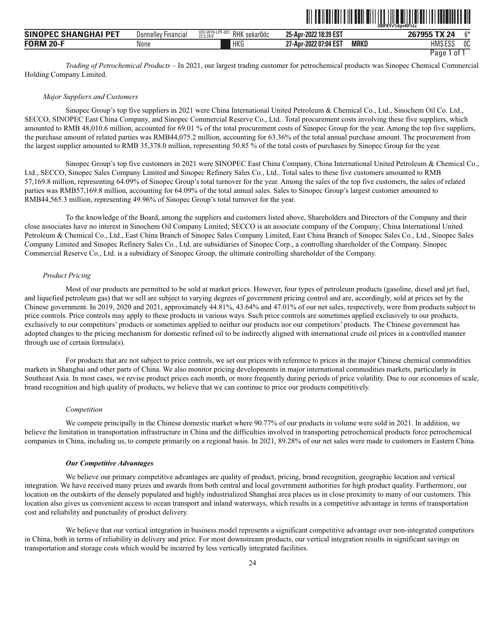|                                              |                        |                                                 |                                                  | 200FKYv%kpv40%Lz |
|----------------------------------------------|------------------------|-------------------------------------------------|--------------------------------------------------|------------------|
| <b>SHANGHAI</b><br>$I$ PFT<br><b>SINOPEC</b> | Financial<br>Donnellev | VDI-W10-LPF-021<br>RHK<br>sekarOdc<br>22.3.29.0 | 18:39 ES1<br>25-Apr-2022                         | $\sim$<br>TX 24  |
| <b>FORM 20-1</b>                             | None                   | <b>HKG</b>                                      | <b>MRKD</b><br>-2022 07:04 EST<br>רה<br>∠7-Apr-` | HMS ESS<br>0C    |

<u>oli toimuttuttiin oli olittiin liitoolittiin oli toimuttuttiin</u>

*Trading of Petrochemical Products* – In 2021, our largest trading customer for petrochemical products was Sinopec Chemical Commercial Holding Company Limited.

# *Major Suppliers and Customers*

Sinopec Group's top five suppliers in 2021 were China International United Petroleum & Chemical Co., Ltd., Sinochem Oil Co. Ltd., SECCO, SINOPEC East China Company, and Sinopec Commercial Reserve Co., Ltd.. Total procurement costs involving these five suppliers, which amounted to RMB 48,010.6 million, accounted for 69.01 % of the total procurement costs of Sinopec Group for the year. Among the top five suppliers, the purchase amount of related parties was RMB44,075.2 million, accounting for 63.36% of the total annual purchase amount. The procurement from the largest supplier amounted to RMB 35,378.0 million, representing 50.85 % of the total costs of purchases by Sinopec Group for the year.

Sinopec Group's top five customers in 2021 were SINOPEC East China Company, China International United Petroleum & Chemical Co., Ltd., SECCO, Sinopec Sales Company Limited and Sinopec Refinery Sales Co., Ltd.. Total sales to these five customers amounted to RMB 57,169.8 million, representing 64.09% of Sinopec Group's total turnover for the year. Among the sales of the top five customers, the sales of related parties was RMB57,169.8 million, accounting for 64.09% of the total annual sales. Sales to Sinopec Group's largest customer amounted to RMB44,565.3 million, representing 49.96% of Sinopec Group's total turnover for the year.

To the knowledge of the Board, among the suppliers and customers listed above, Shareholders and Directors of the Company and their close associates have no interest in Sinochem Oil Company Limited; SECCO is an associate company of the Company; China International United Petroleum & Chemical Co., Ltd., East China Branch of Sinopec Sales Company Limited, East China Branch of Sinopec Sales Co., Ltd., Sinopec Sales Company Limited and Sinopec Refinery Sales Co., Ltd. are subsidiaries of Sinopec Corp., a controlling shareholder of the Company. Sinopec Commercial Reserve Co., Ltd. is a subsidiary of Sinopec Group, the ultimate controlling shareholder of the Company.

## *Product Pricing*

Most of our products are permitted to be sold at market prices. However, four types of petroleum products (gasoline, diesel and jet fuel, and liquefied petroleum gas) that we sell are subject to varying degrees of government pricing control and are, accordingly, sold at prices set by the Chinese government. In 2019, 2020 and 2021, approximately 44.81%, 43.64% and 47.01% of our net sales, respectively, were from products subject to price controls. Price controls may apply to these products in various ways. Such price controls are sometimes applied exclusively to our products, exclusively to our competitors' products or sometimes applied to neither our products nor our competitors' products. The Chinese government has adopted changes to the pricing mechanism for domestic refined oil to be indirectly aligned with international crude oil prices in a controlled manner through use of certain formula(s).

For products that are not subject to price controls, we set our prices with reference to prices in the major Chinese chemical commodities markets in Shanghai and other parts of China. We also monitor pricing developments in major international commodities markets, particularly in Southeast Asia. In most cases, we revise product prices each month, or more frequently during periods of price volatility. Due to our economies of scale, brand recognition and high quality of products, we believe that we can continue to price our products competitively.

# *Competition*

We compete principally in the Chinese domestic market where 90.77% of our products in volume were sold in 2021. In addition, we believe the limitation in transportation infrastructure in China and the difficulties involved in transporting petrochemical products force petrochemical companies in China, including us, to compete primarily on a regional basis. In 2021, 89.28% of our net sales were made to customers in Eastern China.

#### *Our Competitive Advantages*

We believe our primary competitive advantages are quality of product, pricing, brand recognition, geographic location and vertical integration. We have received many prizes and awards from both central and local government authorities for high product quality. Furthermore, our location on the outskirts of the densely populated and highly industrialized Shanghai area places us in close proximity to many of our customers. This location also gives us convenient access to ocean transport and inland waterways, which results in a competitive advantage in terms of transportation cost and reliability and punctuality of product delivery.

We believe that our vertical integration in business model represents a significant competitive advantage over non-integrated competitors in China, both in terms of reliability in delivery and price. For most downstream products, our vertical integration results in significant savings on transportation and storage costs which would be incurred by less vertically integrated facilities.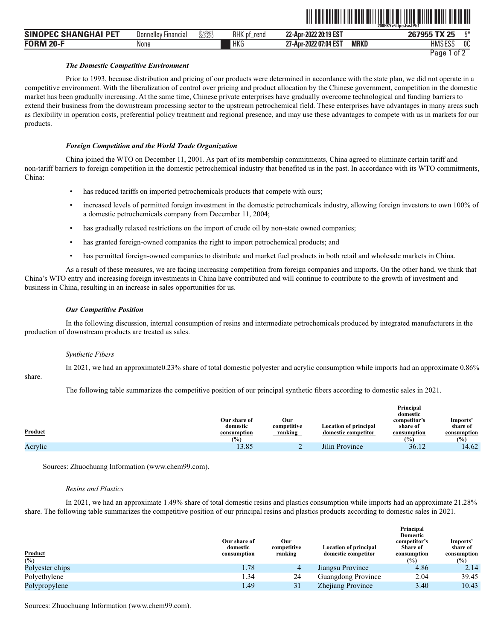|                                      |                               |                     |                                |                                  | 200FKYv%tpcJwJPb1                      | -------  |
|--------------------------------------|-------------------------------|---------------------|--------------------------------|----------------------------------|----------------------------------------|----------|
| , DET<br>ANGHAI<br><b>SIM</b>        | <b>Donnellev</b><br>Financial | rhkdoc<br>22.3.29.0 | <b>RHK</b><br>rend<br>.nt<br>_ | 22-Apr-2022 20:19 EST            | rv or<br><b>70E</b><br>ne.<br>∠u<br>-- | $- x$    |
| <b>FORM</b><br>--<br>20 <sub>1</sub> | None                          |                     | IUVC<br>nnu                    | 207:04 EST<br><b>27-Apr-2022</b> | HMS ESS<br>MRKI                        | nn<br>UU |

<u>oli organizacije u predsjednjeg vratice protestanti u predsta</u>

Page 1 of 2

#### *The Domestic Competitive Environment*

Prior to 1993, because distribution and pricing of our products were determined in accordance with the state plan, we did not operate in a competitive environment. With the liberalization of control over pricing and product allocation by the Chinese government, competition in the domestic market has been gradually increasing. At the same time, Chinese private enterprises have gradually overcome technological and funding barriers to extend their business from the downstream processing sector to the upstream petrochemical field. These enterprises have advantages in many areas such as flexibility in operation costs, preferential policy treatment and regional presence, and may use these advantages to compete with us in markets for our products.

# *Foreign Competition and the World Trade Organization*

China joined the WTO on December 11, 2001. As part of its membership commitments, China agreed to eliminate certain tariff and non-tariff barriers to foreign competition in the domestic petrochemical industry that benefited us in the past. In accordance with its WTO commitments, China:

- has reduced tariffs on imported petrochemicals products that compete with ours;
- increased levels of permitted foreign investment in the domestic petrochemicals industry, allowing foreign investors to own 100% of a domestic petrochemicals company from December 11, 2004;
- has gradually relaxed restrictions on the import of crude oil by non-state owned companies;
- has granted foreign-owned companies the right to import petrochemical products; and
- has permitted foreign-owned companies to distribute and market fuel products in both retail and wholesale markets in China.

As a result of these measures, we are facing increasing competition from foreign companies and imports. On the other hand, we think that China's WTO entry and increasing foreign investments in China have contributed and will continue to contribute to the growth of investment and business in China, resulting in an increase in sales opportunities for us.

#### *Our Competitive Position*

In the following discussion, internal consumption of resins and intermediate petrochemicals produced by integrated manufacturers in the production of downstream products are treated as sales.

#### *Synthetic Fibers*

In 2021, we had an approximate0.23% share of total domestic polyester and acrylic consumption while imports had an approximate 0.86%

share.

The following table summarizes the competitive position of our principal synthetic fibers according to domestic sales in 2021.

| <b>Product</b> | Our share of<br>domestic<br>consumption<br>(% ) | Our<br>competitive<br>ranking | <b>Location of principal</b><br>domestic competitor | Principal<br>domestic<br>competitor's<br>share of<br>consumption<br>$($ %) | <b>Imports</b><br>share of<br>consumption<br>$($ %) |
|----------------|-------------------------------------------------|-------------------------------|-----------------------------------------------------|----------------------------------------------------------------------------|-----------------------------------------------------|
| Acrylic        | 13.85                                           |                               | Jilin Province                                      | 36.12                                                                      | 14.62                                               |

Sources: Zhuochuang Information (www.chem99.com).

#### *Resins and Plastics*

In 2021, we had an approximate 1.49% share of total domestic resins and plastics consumption while imports had an approximate 21.28% share. The following table summarizes the competitive position of our principal resins and plastics products according to domestic sales in 2021.

| $\frac{Product}{(%)}$ | Our share of<br>domestic<br>consumption | Our<br>competitive<br>ranking | <b>Location of principal</b><br>domestic competitor | Principal<br>Domestic<br>competitor's<br>Share of<br>consumption<br>(%) | Imports'<br>share of<br>consumption<br>$(\%)$ |
|-----------------------|-----------------------------------------|-------------------------------|-----------------------------------------------------|-------------------------------------------------------------------------|-----------------------------------------------|
| Polyester chips       | 1.78                                    |                               | Jiangsu Province                                    | 4.86                                                                    | 2.14                                          |
| Polyethylene          | l.34                                    | 24                            | Guangdong Province                                  | 2.04                                                                    | 39.45                                         |
| Polypropylene         | .49                                     | 31                            | Zhejiang Province                                   | 3.40                                                                    | 10.43                                         |

Sources: Zhuochuang Information (www.chem99.com).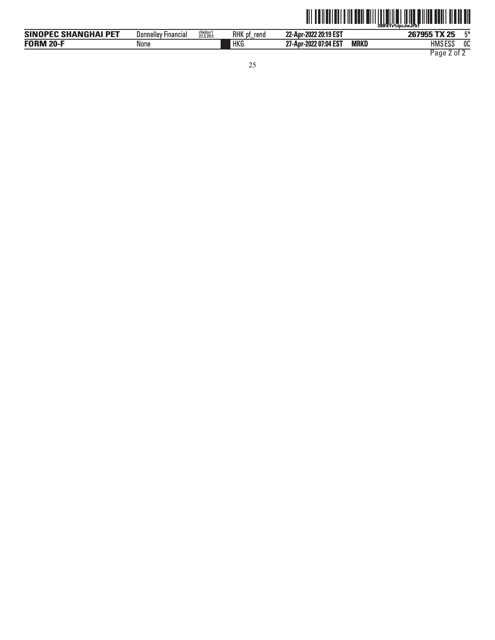

| <b>SINOPEC SHANGHAI PET</b> | ' Financia.<br>Donnellev | rhkdoc1<br>22.3.29.0 | rhk<br>rend<br>DÎ | 22-Apr-2022 20:19 EST |             | 267955 TX 25  | 長米             |
|-----------------------------|--------------------------|----------------------|-------------------|-----------------------|-------------|---------------|----------------|
| <b>FORM 20-F</b>            | None                     |                      | <b>HKG</b>        | 27-Apr-2022 07:04 EST | <b>MRKD</b> | <b>HMSESS</b> | <sub>0</sub> C |
|                             |                          |                      |                   |                       |             | Page 2 of z   |                |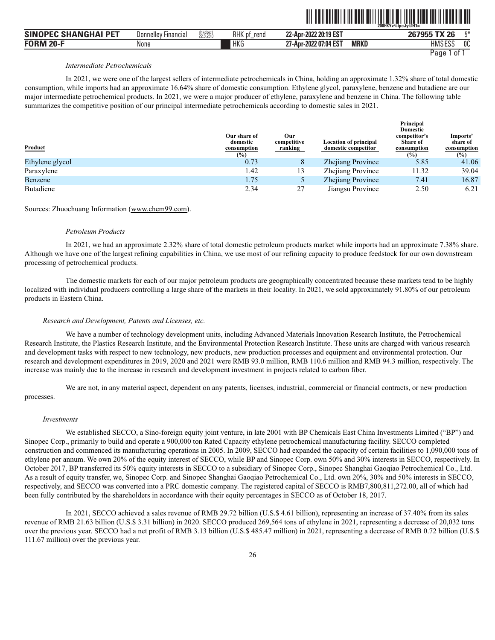|                             |                        |                     |                     |                       |             | --- ---------- --- ---- ---- ---- 200FRYv9stocJv@H1=--- --- -- --- --- --- --- |    |
|-----------------------------|------------------------|---------------------|---------------------|-----------------------|-------------|--------------------------------------------------------------------------------|----|
| <b>SINOPEC SHANGHAI PET</b> | Donnelley<br>Financial | rhkdoc<br>22.3.29.0 | RHK pf<br>rend<br>- | 22-Apr-2022 20:19 EST |             | TV 2C<br>267955                                                                |    |
| <b>FORM 20-F</b>            | None                   |                     | <b>HKG</b>          | 27-Apr-2022 07:04 EST | <b>MRKD</b> | <b>HMSESS</b>                                                                  | OC |
|                             |                        |                     |                     |                       |             | Page<br>0t                                                                     |    |

<u>oli orientati oli mail million oli oli illion oli oli illion ol</u>

**Principal**

# *Intermediate Petrochemicals*

In 2021, we were one of the largest sellers of intermediate petrochemicals in China, holding an approximate 1.32% share of total domestic consumption, while imports had an approximate 16.64% share of domestic consumption. Ethylene glycol, paraxylene, benzene and butadiene are our major intermediate petrochemical products. In 2021, we were a major producer of ethylene, paraxylene and benzene in China. The following table summarizes the competitive position of our principal intermediate petrochemicals according to domestic sales in 2021.

| <b>Product</b>   | Our share of<br>domestic<br>consumption<br>(%) | Our<br>competitive<br>ranking | <b>Location of principal</b><br>domestic competitor | т гипетрат<br>Domestic<br>competitor's<br>Share of<br>consumption<br>(%) | Imports'<br>share of<br>consumption<br>(%) |
|------------------|------------------------------------------------|-------------------------------|-----------------------------------------------------|--------------------------------------------------------------------------|--------------------------------------------|
| Ethylene glycol  | 0.73                                           | $\circ$                       | <b>Zhejiang Province</b>                            | 5.85                                                                     | 41.06                                      |
| Paraxylene       | 1.42                                           | 13                            | <b>Zhejiang Province</b>                            | 11.32                                                                    | 39.04                                      |
| Benzene          | 1.75                                           | ◡                             | <b>Zhejiang Province</b>                            | 7.41                                                                     | 16.87                                      |
| <b>Butadiene</b> | 2.34                                           |                               | Jiangsu Province                                    | 2.50                                                                     | 6.21                                       |

Sources: Zhuochuang Information (www.chem99.com).

#### *Petroleum Products*

In 2021, we had an approximate 2.32% share of total domestic petroleum products market while imports had an approximate 7.38% share. Although we have one of the largest refining capabilities in China, we use most of our refining capacity to produce feedstock for our own downstream processing of petrochemical products.

The domestic markets for each of our major petroleum products are geographically concentrated because these markets tend to be highly localized with individual producers controlling a large share of the markets in their locality. In 2021, we sold approximately 91.80% of our petroleum products in Eastern China.

#### *Research and Development, Patents and Licenses, etc.*

We have a number of technology development units, including Advanced Materials Innovation Research Institute, the Petrochemical Research Institute, the Plastics Research Institute, and the Environmental Protection Research Institute. These units are charged with various research and development tasks with respect to new technology, new products, new production processes and equipment and environmental protection. Our research and development expenditures in 2019, 2020 and 2021 were RMB 93.0 million, RMB 110.6 million and RMB 94.3 million, respectively. The increase was mainly due to the increase in research and development investment in projects related to carbon fiber.

We are not, in any material aspect, dependent on any patents, licenses, industrial, commercial or financial contracts, or new production processes.

#### *Investments*

We established SECCO, a Sino-foreign equity joint venture, in late 2001 with BP Chemicals East China Investments Limited ("BP") and Sinopec Corp., primarily to build and operate a 900,000 ton Rated Capacity ethylene petrochemical manufacturing facility. SECCO completed construction and commenced its manufacturing operations in 2005. In 2009, SECCO had expanded the capacity of certain facilities to 1,090,000 tons of ethylene per annum. We own 20% of the equity interest of SECCO, while BP and Sinopec Corp. own 50% and 30% interests in SECCO, respectively. In October 2017, BP transferred its 50% equity interests in SECCO to a subsidiary of Sinopec Corp., Sinopec Shanghai Gaoqiao Petrochemical Co., Ltd. As a result of equity transfer, we, Sinopec Corp. and Sinopec Shanghai Gaoqiao Petrochemical Co., Ltd. own 20%, 30% and 50% interests in SECCO, respectively, and SECCO was converted into a PRC domestic company. The registered capital of SECCO is RMB7,800,811,272.00, all of which had been fully contributed by the shareholders in accordance with their equity percentages in SECCO as of October 18, 2017.

In 2021, SECCO achieved a sales revenue of RMB 29.72 billion (U.S.\$ 4.61 billion), representing an increase of 37.40% from its sales revenue of RMB 21.63 billion (U.S.\$ 3.31 billion) in 2020. SECCO produced 269,564 tons of ethylene in 2021, representing a decrease of 20,032 tons over the previous year. SECCO had a net profit of RMB 3.13 billion (U.S.\$ 485.47 million) in 2021, representing a decrease of RMB 0.72 billion (U.S.\$ 111.67 million) over the previous year.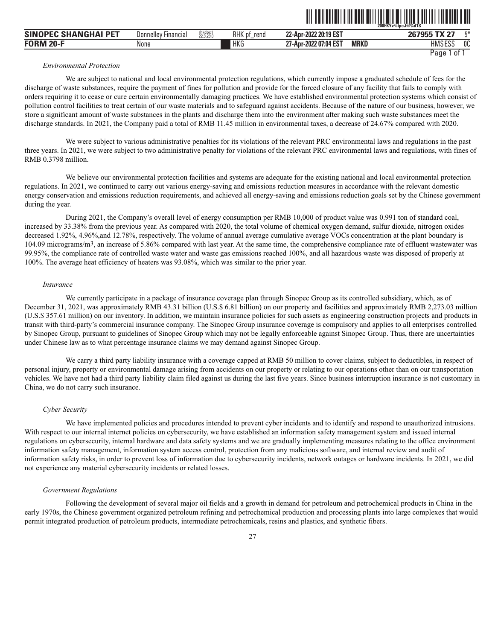|                           |                                     |                     |                            | ----                             | 200FKYv%tpcJ@%d1S<br>_____         |
|---------------------------|-------------------------------------|---------------------|----------------------------|----------------------------------|------------------------------------|
| , DET<br>SIN <sup>-</sup> | <b>Donnelle</b><br><b>Financial</b> | rhkdoc<br>22.3.29.0 | RHK<br>reno<br>. nt<br>$-$ | -2022 20:19 EST<br>nn<br>'2-Anr- | $-x$<br>$-11 - -$                  |
| M 20-<br><b>FORM</b>      | None                                |                     | IIVC<br>nnu                | ∠ 07:04 EST<br>27-Apr-2022       | <b>HMSESS</b><br><b>MRKD</b><br>0C |

<u>oli organizacije u predsjednjeg vrati u predsjednje u predsjednje u predsjednje u predsjednje u predsjednje u </u>

Page 1 of 1

#### *Environmental Protection*

We are subject to national and local environmental protection regulations, which currently impose a graduated schedule of fees for the discharge of waste substances, require the payment of fines for pollution and provide for the forced closure of any facility that fails to comply with orders requiring it to cease or cure certain environmentally damaging practices. We have established environmental protection systems which consist of pollution control facilities to treat certain of our waste materials and to safeguard against accidents. Because of the nature of our business, however, we store a significant amount of waste substances in the plants and discharge them into the environment after making such waste substances meet the discharge standards. In 2021, the Company paid a total of RMB 11.45 million in environmental taxes, a decrease of 24.67% compared with 2020.

We were subject to various administrative penalties for its violations of the relevant PRC environmental laws and regulations in the past three years. In 2021, we were subject to two administrative penalty for violations of the relevant PRC environmental laws and regulations, with fines of RMB 0.3798 million.

We believe our environmental protection facilities and systems are adequate for the existing national and local environmental protection regulations. In 2021, we continued to carry out various energy-saving and emissions reduction measures in accordance with the relevant domestic energy conservation and emissions reduction requirements, and achieved all energy-saving and emissions reduction goals set by the Chinese government during the year.

During 2021, the Company's overall level of energy consumption per RMB 10,000 of product value was 0.991 ton of standard coal, increased by 33.38% from the previous year. As compared with 2020, the total volume of chemical oxygen demand, sulfur dioxide, nitrogen oxides decreased 1.92%, 4.96%, and 12.78%, respectively. The volume of annual average cumulative average VOCs concentration at the plant boundary is 104.09 micrograms/m3, an increase of 5.86% compared with last year. At the same time, the comprehensive compliance rate of effluent wastewater was 99.95%, the compliance rate of controlled waste water and waste gas emissions reached 100%, and all hazardous waste was disposed of properly at 100%. The average heat efficiency of heaters was 93.08%, which was similar to the prior year.

### *Insurance*

We currently participate in a package of insurance coverage plan through Sinopec Group as its controlled subsidiary, which, as of December 31, 2021, was approximately RMB 43.31 billion (U.S.\$ 6.81 billion) on our property and facilities and approximately RMB 2,273.03 million (U.S.\$ 357.61 million) on our inventory. In addition, we maintain insurance policies for such assets as engineering construction projects and products in transit with third-party's commercial insurance company. The Sinopec Group insurance coverage is compulsory and applies to all enterprises controlled by Sinopec Group, pursuant to guidelines of Sinopec Group which may not be legally enforceable against Sinopec Group. Thus, there are uncertainties under Chinese law as to what percentage insurance claims we may demand against Sinopec Group.

We carry a third party liability insurance with a coverage capped at RMB 50 million to cover claims, subject to deductibles, in respect of personal injury, property or environmental damage arising from accidents on our property or relating to our operations other than on our transportation vehicles. We have not had a third party liability claim filed against us during the last five years. Since business interruption insurance is not customary in China, we do not carry such insurance.

# *Cyber Security*

We have implemented policies and procedures intended to prevent cyber incidents and to identify and respond to unauthorized intrusions. With respect to our internal internet policies on cybersecurity, we have established an information safety management system and issued internal regulations on cybersecurity, internal hardware and data safety systems and we are gradually implementing measures relating to the office environment information safety management, information system access control, protection from any malicious software, and internal review and audit of information safety risks, in order to prevent loss of information due to cybersecurity incidents, network outages or hardware incidents. In 2021, we did not experience any material cybersecurity incidents or related losses.

#### *Government Regulations*

Following the development of several major oil fields and a growth in demand for petroleum and petrochemical products in China in the early 1970s, the Chinese government organized petroleum refining and petrochemical production and processing plants into large complexes that would permit integrated production of petroleum products, intermediate petrochemicals, resins and plastics, and synthetic fibers.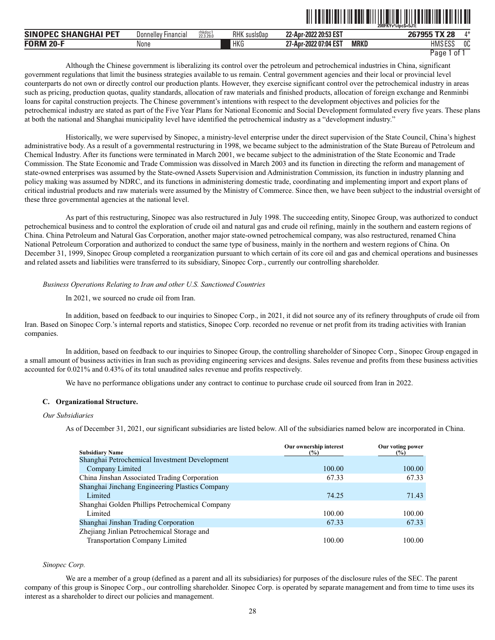|--|

| <b>SINOPEC SHANGHAI PET</b> | Financia.<br><b>Donnelley</b> | rhkdoc1<br>22.3.29.0 | <b>RHK</b><br>. susIs0an | -2022 20:53 EST<br>າາ<br>∠∠-Apr-‴                |             | FX 28         | $A \Delta L$   |
|-----------------------------|-------------------------------|----------------------|--------------------------|--------------------------------------------------|-------------|---------------|----------------|
| <b>FORM 20-F</b>            | None                          |                      | <b>HKG</b>               | 22 07:04 EST<br>$\sim$<br>$-202^\circ$<br>7-Apr- | <b>MRKD</b> | <b>HMSESS</b> | 0 <sup>C</sup> |
|                             |                               |                      |                          |                                                  |             |               | . .            |

Although the Chinese government is liberalizing its control over the petroleum and petrochemical industries in China, significant government regulations that limit the business strategies available to us remain. Central government agencies and their local or provincial level counterparts do not own or directly control our production plants. However, they exercise significant control over the petrochemical industry in areas such as pricing, production quotas, quality standards, allocation of raw materials and finished products, allocation of foreign exchange and Renminbi loans for capital construction projects. The Chinese government's intentions with respect to the development objectives and policies for the petrochemical industry are stated as part of the Five Year Plans for National Economic and Social Development formulated every five years. These plans at both the national and Shanghai municipality level have identified the petrochemical industry as a "development industry."

Historically, we were supervised by Sinopec, a ministry-level enterprise under the direct supervision of the State Council, China's highest administrative body. As a result of a governmental restructuring in 1998, we became subject to the administration of the State Bureau of Petroleum and Chemical Industry. After its functions were terminated in March 2001, we became subject to the administration of the State Economic and Trade Commission. The State Economic and Trade Commission was dissolved in March 2003 and its function in directing the reform and management of state-owned enterprises was assumed by the State-owned Assets Supervision and Administration Commission, its function in industry planning and policy making was assumed by NDRC, and its functions in administering domestic trade, coordinating and implementing import and export plans of critical industrial products and raw materials were assumed by the Ministry of Commerce. Since then, we have been subject to the industrial oversight of these three governmental agencies at the national level.

As part of this restructuring, Sinopec was also restructured in July 1998. The succeeding entity, Sinopec Group, was authorized to conduct petrochemical business and to control the exploration of crude oil and natural gas and crude oil refining, mainly in the southern and eastern regions of China. China Petroleum and Natural Gas Corporation, another major state-owned petrochemical company, was also restructured, renamed China National Petroleum Corporation and authorized to conduct the same type of business, mainly in the northern and western regions of China. On December 31, 1999, Sinopec Group completed a reorganization pursuant to which certain of its core oil and gas and chemical operations and businesses and related assets and liabilities were transferred to its subsidiary, Sinopec Corp., currently our controlling shareholder.

# *Business Operations Relating to Iran and other U.S. Sanctioned Countries*

# In 2021, we sourced no crude oil from Iran.

In addition, based on feedback to our inquiries to Sinopec Corp., in 2021, it did not source any of its refinery throughputs of crude oil from Iran. Based on Sinopec Corp.'s internal reports and statistics, Sinopec Corp. recorded no revenue or net profit from its trading activities with Iranian companies.

In addition, based on feedback to our inquiries to Sinopec Group, the controlling shareholder of Sinopec Corp., Sinopec Group engaged in a small amount of business activities in Iran such as providing engineering services and designs. Sales revenue and profits from these business activities accounted for 0.021% and 0.43% of its total unaudited sales revenue and profits respectively.

We have no performance obligations under any contract to continue to purchase crude oil sourced from Iran in 2022.

# **C. Organizational Structure.**

### *Our Subsidiaries*

As of December 31, 2021, our significant subsidiaries are listed below. All of the subsidiaries named below are incorporated in China.

| <b>Subsidiary Name</b>                         | Our ownership interest<br>$\frac{6}{2}$ | Our voting power<br>$(\%)$ |
|------------------------------------------------|-----------------------------------------|----------------------------|
| Shanghai Petrochemical Investment Development  |                                         |                            |
| Company Limited                                | 100.00                                  | 100.00                     |
| China Jinshan Associated Trading Corporation   | 67.33                                   | 67.33                      |
| Shanghai Jinchang Engineering Plastics Company |                                         |                            |
| Limited                                        | 74.25                                   | 71.43                      |
| Shanghai Golden Phillips Petrochemical Company |                                         |                            |
| Limited                                        | 100.00                                  | 100.00                     |
| Shanghai Jinshan Trading Corporation           | 67.33                                   | 67.33                      |
| Zhejiang Jinlian Petrochemical Storage and     |                                         |                            |
| <b>Transportation Company Limited</b>          | 100.00                                  | 100.00                     |

# *Sinopec Corp.*

We are a member of a group (defined as a parent and all its subsidiaries) for purposes of the disclosure rules of the SEC. The parent company of this group is Sinopec Corp., our controlling shareholder. Sinopec Corp. is operated by separate management and from time to time uses its interest as a shareholder to direct our policies and management.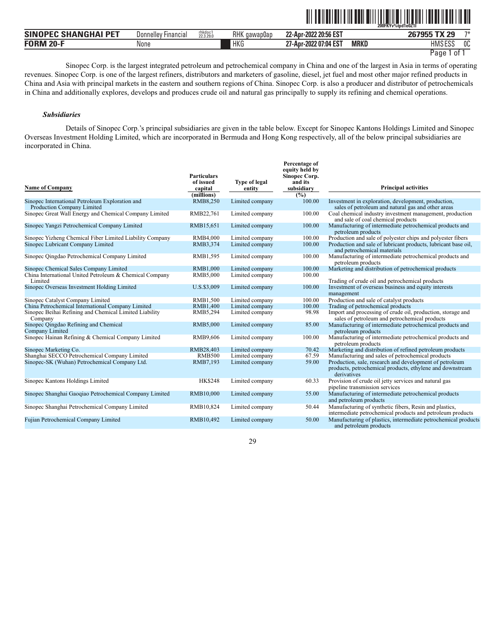| <b>SINOPEC SHANGHAI PET</b> | Financial<br>Donnelley | rhkdoc1<br>22.3.29.0 | RHK<br>aawap0ac | -2022 20:56 EST<br><b>nn</b><br>$2$ -Anr-    |             | TV 20<br>0070557<br>ΖU | $-1$ |
|-----------------------------|------------------------|----------------------|-----------------|----------------------------------------------|-------------|------------------------|------|
| $20-F$<br><b>EORM</b>       | None                   |                      | <b>HKG</b>      | nп<br>/ 07:04 FST<br>.202<br>7-Anr<br>:U4 ES | <b>MRKD</b> | <b>HMSESS</b>          | 0C   |
|                             |                        |                      |                 |                                              |             |                        |      |

Sinopec Corp. is the largest integrated petroleum and petrochemical company in China and one of the largest in Asia in terms of operating revenues. Sinopec Corp. is one of the largest refiners, distributors and marketers of gasoline, diesel, jet fuel and most other major refined products in China and Asia with principal markets in the eastern and southern regions of China. Sinopec Corp. is also a producer and distributor of petrochemicals in China and additionally explores, develops and produces crude oil and natural gas principally to supply its refining and chemical operations.

#### *Subsidiaries*

Details of Sinopec Corp.'s principal subsidiaries are given in the table below. Except for Sinopec Kantons Holdings Limited and Sinopec Overseas Investment Holding Limited, which are incorporated in Bermuda and Hong Kong respectively, all of the below principal subsidiaries are incorporated in China.

| <b>Name of Company</b>                                             | <b>Particulars</b><br>of issued<br>capital<br>(millions) | <b>Type of legal</b><br>entity | Percentage of<br>equity held by<br>Sinopec Corp.<br>and its<br>subsidiary<br>(%) | <b>Principal activities</b>                                                                                                         |
|--------------------------------------------------------------------|----------------------------------------------------------|--------------------------------|----------------------------------------------------------------------------------|-------------------------------------------------------------------------------------------------------------------------------------|
| Sinopec International Petroleum Exploration and                    | RMB8,250                                                 | Limited company                | 100.00                                                                           | Investment in exploration, development, production,                                                                                 |
| Production Company Limited                                         |                                                          |                                |                                                                                  | sales of petroleum and natural gas and other areas                                                                                  |
| Sinopec Great Wall Energy and Chemical Company Limited             | RMB22,761                                                | Limited company                | 100.00                                                                           | Coal chemical industry investment management, production<br>and sale of coal chemical products                                      |
| Sinopec Yangzi Petrochemical Company Limited                       | RMB15,651                                                | Limited company                | 100.00                                                                           | Manufacturing of intermediate petrochemical products and<br>petroleum products                                                      |
| Sinopec Yizheng Chemical Fiber Limited Liability Company           | RMB4,000                                                 | Limited company                | 100.00                                                                           | Production and sale of polyester chips and polyester fibers                                                                         |
| Sinopec Lubricant Company Limited                                  | RMB3,374                                                 | Limited company                | 100.00                                                                           | Production and sale of lubricant products, lubricant base oil,<br>and petrochemical materials                                       |
| Sinopec Oingdao Petrochemical Company Limited                      | RMB1,595                                                 | Limited company                | 100.00                                                                           | Manufacturing of intermediate petrochemical products and<br>petroleum products                                                      |
| Sinopec Chemical Sales Company Limited                             | RMB1,000                                                 | Limited company                | 100.00                                                                           | Marketing and distribution of petrochemical products                                                                                |
| China International United Petroleum & Chemical Company<br>Limited | RMB5,000                                                 | Limited company                | 100.00                                                                           | Trading of crude oil and petrochemical products                                                                                     |
| Sinopec Overseas Investment Holding Limited                        | U.S.\$3,009                                              | Limited company                | 100.00                                                                           | Investment of overseas business and equity interests<br>management                                                                  |
| Sinopec Catalyst Company Limited                                   | RMB1,500                                                 | Limited company                | 100.00                                                                           | Production and sale of catalyst products                                                                                            |
| China Petrochemical International Company Limited                  | RMB1,400                                                 | Limited company                | 100.00                                                                           | Trading of petrochemical products                                                                                                   |
| Sinopec Beihai Refining and Chemical Limited Liability<br>Company  | RMB5,294                                                 | Limited company                | 98.98                                                                            | Import and processing of crude oil, production, storage and<br>sales of petroleum and petrochemical products                        |
| Sinopec Qingdao Refining and Chemical<br>Company Limited           | <b>RMB5,000</b>                                          | Limited company                | 85.00                                                                            | Manufacturing of intermediate petrochemical products and<br>petroleum products                                                      |
| Sinopec Hainan Refining & Chemical Company Limited                 | RMB9,606                                                 | Limited company                | 100.00                                                                           | Manufacturing of intermediate petrochemical products and<br>petroleum products                                                      |
| Sinopec Marketing Co.                                              | RMB28,403                                                | Limited company                | 70.42                                                                            | Marketing and distribution of refined petroleum products                                                                            |
| Shanghai SECCO Petrochemical Company Limited                       | <b>RMB500</b>                                            | Limited company                | 67.59                                                                            | Manufacturing and sales of petrochemical products                                                                                   |
| Sinopec-SK (Wuhan) Petrochemical Company Ltd.                      | RMB7,193                                                 | Limited company                | 59.00                                                                            | Production, sale, research and development of petroleum<br>products, petrochemical products, ethylene and downstream<br>derivatives |
| Sinopec Kantons Holdings Limited                                   | <b>HK\$248</b>                                           | Limited company                | 60.33                                                                            | Provision of crude oil jetty services and natural gas<br>pipeline transmission services                                             |
| Sinopec Shanghai Gaogiao Petrochemical Company Limited             | RMB10,000                                                | Limited company                | 55.00                                                                            | Manufacturing of intermediate petrochemical products<br>and petroleum products                                                      |
| Sinopec Shanghai Petrochemical Company Limited                     | RMB10,824                                                | Limited company                | 50.44                                                                            | Manufacturing of synthetic fibers, Resin and plastics,<br>intermediate petrochemical products and petroleum products                |
| Fujian Petrochemical Company Limited                               | RMB10,492                                                | Limited company                | 50.00                                                                            | Manufacturing of plastics, intermediate petrochemical products<br>and petroleum products                                            |

29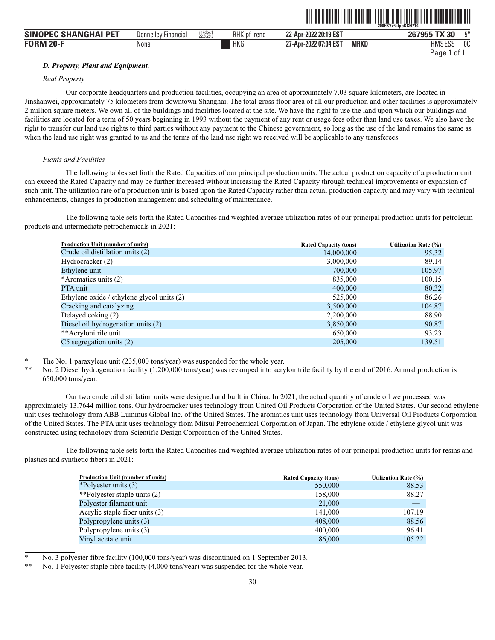|                                            |                            |                       |                         | ----------                                                                 | 200FKYv%tpcKCH714            | ____ |
|--------------------------------------------|----------------------------|-----------------------|-------------------------|----------------------------------------------------------------------------|------------------------------|------|
| PFC SHANGHAI<br><b>PFT</b><br><b>SINOI</b> | ' Financial<br>Donnelley F | rhkdoc 1<br>22.3.29.0 | RHk<br>rend<br>.nt<br>- | -2022 20:19 EST<br>nn<br><b>ZZ-ADI</b>                                     | <b>TX 30</b><br>007055<br>ΖU | $-x$ |
| FORM<br>$20-F$                             | None                       |                       | <b>HKG</b>              | <b>MRKD</b><br>207:04 EST<br>nп<br>$-2022$<br>$\epsilon$ /-Apr- $\epsilon$ | <b>HMSESS</b>                | 0C   |

<u>îlî de hemar di navçeya Koralî de hemar di navçeya Koralî de hemar di navçeya Koralî de hemar di navçeya Koral</u>

Page 1 of 1

# *D. Property, Plant and Equipment.*

# *Real Property*

Our corporate headquarters and production facilities, occupying an area of approximately 7.03 square kilometers, are located in Jinshanwei, approximately 75 kilometers from downtown Shanghai. The total gross floor area of all our production and other facilities is approximately 2 million square meters. We own all of the buildings and facilities located at the site. We have the right to use the land upon which our buildings and facilities are located for a term of 50 years beginning in 1993 without the payment of any rent or usage fees other than land use taxes. We also have the right to transfer our land use rights to third parties without any payment to the Chinese government, so long as the use of the land remains the same as when the land use right was granted to us and the terms of the land use right we received will be applicable to any transferees.

# *Plants and Facilities*

The following tables set forth the Rated Capacities of our principal production units. The actual production capacity of a production unit can exceed the Rated Capacity and may be further increased without increasing the Rated Capacity through technical improvements or expansion of such unit. The utilization rate of a production unit is based upon the Rated Capacity rather than actual production capacity and may vary with technical enhancements, changes in production management and scheduling of maintenance.

The following table sets forth the Rated Capacities and weighted average utilization rates of our principal production units for petroleum products and intermediate petrochemicals in 2021:

| <b>Production Unit (number of units)</b>     | <b>Rated Capacity (tons)</b> | Utilization Rate (%) |
|----------------------------------------------|------------------------------|----------------------|
| Crude oil distillation units (2)             | 14,000,000                   | 95.32                |
| Hydrocracker (2)                             | 3,000,000                    | 89.14                |
| Ethylene unit                                | 700,000                      | 105.97               |
| *Aromatics units (2)                         | 835,000                      | 100.15               |
| PTA unit                                     | 400,000                      | 80.32                |
| Ethylene oxide / ethylene glycol units $(2)$ | 525,000                      | 86.26                |
| Cracking and catalyzing                      | 3,500,000                    | 104.87               |
| Delayed coking (2)                           | 2,200,000                    | 88.90                |
| Diesel oil hydrogenation units (2)           | 3,850,000                    | 90.87                |
| **Acrylonitrile unit                         | 650,000                      | 93.23                |
| $C5$ segregation units $(2)$                 | 205,000                      | 139.51               |

The No. 1 paraxylene unit (235,000 tons/year) was suspended for the whole year.

Our two crude oil distillation units were designed and built in China. In 2021, the actual quantity of crude oil we processed was approximately 13.7644 million tons. Our hydrocracker uses technology from United Oil Products Corporation of the United States. Our second ethylene unit uses technology from ABB Lummus Global Inc. of the United States. The aromatics unit uses technology from Universal Oil Products Corporation of the United States. The PTA unit uses technology from Mitsui Petrochemical Corporation of Japan. The ethylene oxide / ethylene glycol unit was constructed using technology from Scientific Design Corporation of the United States.

The following table sets forth the Rated Capacities and weighted average utilization rates of our principal production units for resins and plastics and synthetic fibers in 2021:

| <b>Production Unit (number of units)</b> | <b>Rated Capacity (tons)</b> | Utilization Rate (%) |
|------------------------------------------|------------------------------|----------------------|
| *Polyester units (3)                     | 550,000                      | 88.53                |
| **Polyester staple units (2)             | 158,000                      | 88.27                |
| Polyester filament unit                  | 21,000                       |                      |
| Acrylic staple fiber units (3)           | 141,000                      | 107.19               |
| Polypropylene units (3)                  | 408,000                      | 88.56                |
| Polypropylene units (3)                  | 400,000                      | 96.41                |
| Vinyl acetate unit                       | 86,000                       | 105.22               |

No. 3 polyester fibre facility (100,000 tons/year) was discontinued on 1 September 2013.

No. 2 Diesel hydrogenation facility (1,200,000 tons/year) was revamped into acrylonitrile facility by the end of 2016. Annual production is 650,000 tons/year.

No. 1 Polyester staple fibre facility (4,000 tons/year) was suspended for the whole year.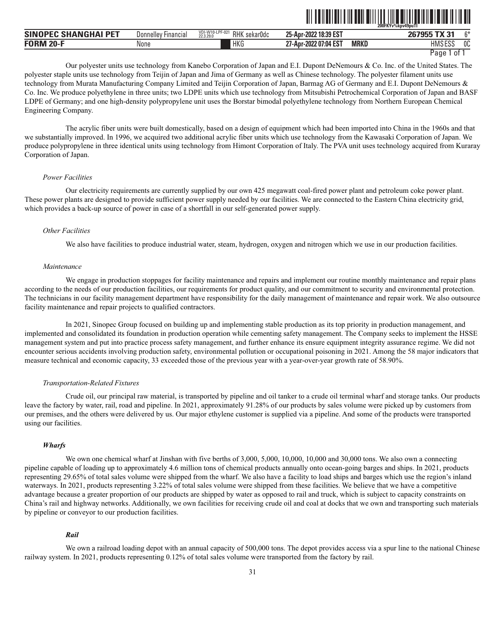|--|

| <b>SINOPEC SHANGHAI</b><br><b>PFT</b> | Donnelley<br>' Financia. | -LPF-021<br><b>VDI-W10-</b><br><b>RHK</b><br>sekarUdc<br>22,3,29.0 | -2022 18:39 EST<br>25-Apr-                 |             | OCJOFF TV O4<br>. | $\sim$       |
|---------------------------------------|--------------------------|--------------------------------------------------------------------|--------------------------------------------|-------------|-------------------|--------------|
| <b>FORM 20-</b>                       | None                     | <b>HKG</b>                                                         | 2 07:04 EST<br>$\angle$ <i>1</i> -Apr-202? | <b>MRKD</b> | <b>HMSESS</b>     | $\sim$<br>υu |
|                                       |                          |                                                                    |                                            |             |                   |              |

Page 1 of 1

Our polyester units use technology from Kanebo Corporation of Japan and E.I. Dupont DeNemours & Co. Inc. of the United States. The polyester staple units use technology from Teijin of Japan and Jima of Germany as well as Chinese technology. The polyester filament units use technology from Murata Manufacturing Company Limited and Teijin Corporation of Japan, Barmag AG of Germany and E.I. Dupont DeNemours & Co. Inc. We produce polyethylene in three units; two LDPE units which use technology from Mitsubishi Petrochemical Corporation of Japan and BASF LDPE of Germany; and one high-density polypropylene unit uses the Borstar bimodal polyethylene technology from Northern European Chemical Engineering Company.

The acrylic fiber units were built domestically, based on a design of equipment which had been imported into China in the 1960s and that we substantially improved. In 1996, we acquired two additional acrylic fiber units which use technology from the Kawasaki Corporation of Japan. We produce polypropylene in three identical units using technology from Himont Corporation of Italy. The PVA unit uses technology acquired from Kuraray Corporation of Japan.

# *Power Facilities*

Our electricity requirements are currently supplied by our own 425 megawatt coal-fired power plant and petroleum coke power plant. These power plants are designed to provide sufficient power supply needed by our facilities. We are connected to the Eastern China electricity grid, which provides a back-up source of power in case of a shortfall in our self-generated power supply.

## *Other Facilities*

We also have facilities to produce industrial water, steam, hydrogen, oxygen and nitrogen which we use in our production facilities.

#### *Maintenance*

We engage in production stoppages for facility maintenance and repairs and implement our routine monthly maintenance and repair plans according to the needs of our production facilities, our requirements for product quality, and our commitment to security and environmental protection. The technicians in our facility management department have responsibility for the daily management of maintenance and repair work. We also outsource facility maintenance and repair projects to qualified contractors.

In 2021, Sinopec Group focused on building up and implementing stable production as its top priority in production management, and implemented and consolidated its foundation in production operation while cementing safety management. The Company seeks to implement the HSSE management system and put into practice process safety management, and further enhance its ensure equipment integrity assurance regime. We did not encounter serious accidents involving production safety, environmental pollution or occupational poisoning in 2021. Among the 58 major indicators that measure technical and economic capacity, 33 exceeded those of the previous year with a year-over-year growth rate of 58.90%.

#### *Transportation-Related Fixtures*

Crude oil, our principal raw material, is transported by pipeline and oil tanker to a crude oil terminal wharf and storage tanks. Our products leave the factory by water, rail, road and pipeline. In 2021, approximately 91.28% of our products by sales volume were picked up by customers from our premises, and the others were delivered by us. Our major ethylene customer is supplied via a pipeline. And some of the products were transported using our facilities.

### *Wharfs*

We own one chemical wharf at Jinshan with five berths of 3,000, 5,000, 10,000, 10,000 and 30,000 tons. We also own a connecting pipeline capable of loading up to approximately 4.6 million tons of chemical products annually onto ocean-going barges and ships. In 2021, products representing 29.65% of total sales volume were shipped from the wharf. We also have a facility to load ships and barges which use the region's inland waterways. In 2021, products representing 3.22% of total sales volume were shipped from these facilities. We believe that we have a competitive advantage because a greater proportion of our products are shipped by water as opposed to rail and truck, which is subject to capacity constraints on China's rail and highway networks. Additionally, we own facilities for receiving crude oil and coal at docks that we own and transporting such materials by pipeline or conveyor to our production facilities.

# *Rail*

We own a railroad loading depot with an annual capacity of 500,000 tons. The depot provides access via a spur line to the national Chinese railway system. In 2021, products representing 0.12% of total sales volume were transported from the factory by rail.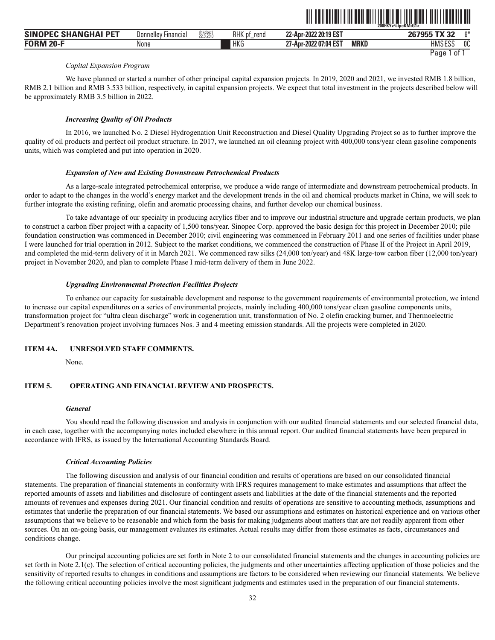|                                       |                               |                      |                    |                                    |             | 200FKYv%tocKMiG1< |        |
|---------------------------------------|-------------------------------|----------------------|--------------------|------------------------------------|-------------|-------------------|--------|
| <b>SHANGHAI PET</b><br><b>SINOPEC</b> | <b>Financial</b><br>Donnellev | rhkdoc.<br>22.3.29.0 | <b>RHK</b><br>rend | -2022 20:19 EST<br>הה<br>$22$ -Apr |             | OCJOFF TV OO      | $\sim$ |
| <b>FORM 20-</b>                       | None                          |                      | <b>HKG</b>         | -2022 07:04 EST<br>7-Apr           | <b>MRKD</b> | HMS ESS           | 0C     |

<u>TIL TU ILITILI I III UTIL ULITILI ULITILI ILITILI ILITILI ULITILI ULI</u>

Page 1 of 1

#### *Capital Expansion Program*

We have planned or started a number of other principal capital expansion projects. In 2019, 2020 and 2021, we invested RMB 1.8 billion, RMB 2.1 billion and RMB 3.533 billion, respectively, in capital expansion projects. We expect that total investment in the projects described below will be approximately RMB 3.5 billion in 2022.

## *Increasing Quality of Oil Products*

In 2016, we launched No. 2 Diesel Hydrogenation Unit Reconstruction and Diesel Quality Upgrading Project so as to further improve the quality of oil products and perfect oil product structure. In 2017, we launched an oil cleaning project with 400,000 tons/year clean gasoline components units, which was completed and put into operation in 2020.

#### *Expansion of New and Existing Downstream Petrochemical Products*

As a large-scale integrated petrochemical enterprise, we produce a wide range of intermediate and downstream petrochemical products. In order to adapt to the changes in the world's energy market and the development trends in the oil and chemical products market in China, we will seek to further integrate the existing refining, olefin and aromatic processing chains, and further develop our chemical business.

To take advantage of our specialty in producing acrylics fiber and to improve our industrial structure and upgrade certain products, we plan to construct a carbon fiber project with a capacity of 1,500 tons/year. Sinopec Corp. approved the basic design for this project in December 2010; pile foundation construction was commenced in December 2010; civil engineering was commenced in February 2011 and one series of facilities under phase I were launched for trial operation in 2012. Subject to the market conditions, we commenced the construction of Phase II of the Project in April 2019, and completed the mid-term delivery of it in March 2021. We commenced raw silks (24,000 ton/year) and 48K large-tow carbon fiber (12,000 ton/year) project in November 2020, and plan to complete Phase I mid-term delivery of them in June 2022.

## *Upgrading Environmental Protection Facilities Projects*

To enhance our capacity for sustainable development and response to the government requirements of environmental protection, we intend to increase our capital expenditures on a series of environmental projects, mainly including 400,000 tons/year clean gasoline components units, transformation project for "ultra clean discharge" work in cogeneration unit, transformation of No. 2 olefin cracking burner, and Thermoelectric Department's renovation project involving furnaces Nos. 3 and 4 meeting emission standards. All the projects were completed in 2020.

## **ITEM 4A. UNRESOLVED STAFF COMMENTS.**

None.

# **ITEM 5. OPERATING AND FINANCIAL REVIEW AND PROSPECTS.**

# *General*

You should read the following discussion and analysis in conjunction with our audited financial statements and our selected financial data, in each case, together with the accompanying notes included elsewhere in this annual report. Our audited financial statements have been prepared in accordance with IFRS, as issued by the International Accounting Standards Board.

# *Critical Accounting Policies*

The following discussion and analysis of our financial condition and results of operations are based on our consolidated financial statements. The preparation of financial statements in conformity with IFRS requires management to make estimates and assumptions that affect the reported amounts of assets and liabilities and disclosure of contingent assets and liabilities at the date of the financial statements and the reported amounts of revenues and expenses during 2021. Our financial condition and results of operations are sensitive to accounting methods, assumptions and estimates that underlie the preparation of our financial statements. We based our assumptions and estimates on historical experience and on various other assumptions that we believe to be reasonable and which form the basis for making judgments about matters that are not readily apparent from other sources. On an on-going basis, our management evaluates its estimates. Actual results may differ from those estimates as facts, circumstances and conditions change.

Our principal accounting policies are set forth in Note 2 to our consolidated financial statements and the changes in accounting policies are set forth in Note 2.1(c). The selection of critical accounting policies, the judgments and other uncertainties affecting application of those policies and the sensitivity of reported results to changes in conditions and assumptions are factors to be considered when reviewing our financial statements. We believe the following critical accounting policies involve the most significant judgments and estimates used in the preparation of our financial statements.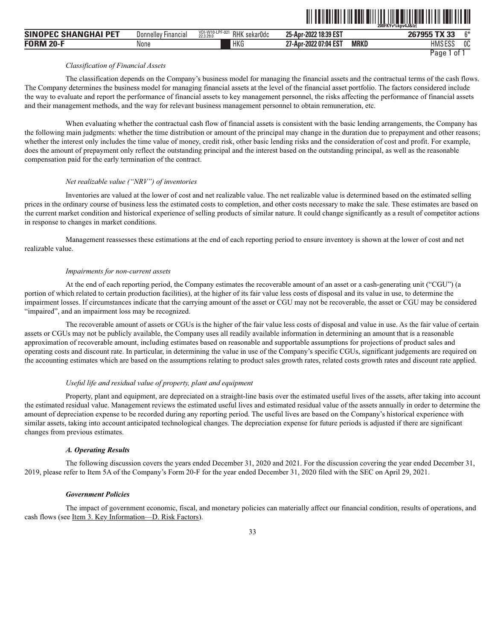|                                  |                     |                                                        |                       | ZUUFKYV%KDV4J&IZ( |               |    |
|----------------------------------|---------------------|--------------------------------------------------------|-----------------------|-------------------|---------------|----|
| : SHANGHAI PFT<br><b>SINOPEC</b> | Donnelley Financial | VDI-W10-LPF-021<br><b>RHK</b><br>sekarUdc<br>22.3.29.0 | 25-Apr-2022 18:39 EST |                   | 267955 TX 33  | ΩX |
| <b>FORM 20-F</b>                 | None                | <b>HKG</b>                                             | 27-Apr-2022 07:04 EST | MRKD              | <b>HMSESS</b> | OC |
|                                  |                     |                                                        |                       |                   | Paqe<br>-ot   |    |

ˆ200FKYv%kpv4J&lz(Š **200FKYv%kpv4J&lz(**

#### *Classification of Financial Assets*

The classification depends on the Company's business model for managing the financial assets and the contractual terms of the cash flows. The Company determines the business model for managing financial assets at the level of the financial asset portfolio. The factors considered include the way to evaluate and report the performance of financial assets to key management personnel, the risks affecting the performance of financial assets and their management methods, and the way for relevant business management personnel to obtain remuneration, etc.

When evaluating whether the contractual cash flow of financial assets is consistent with the basic lending arrangements, the Company has the following main judgments: whether the time distribution or amount of the principal may change in the duration due to prepayment and other reasons; whether the interest only includes the time value of money, credit risk, other basic lending risks and the consideration of cost and profit. For example, does the amount of prepayment only reflect the outstanding principal and the interest based on the outstanding principal, as well as the reasonable compensation paid for the early termination of the contract.

# *Net realizable value ("NRV") of inventories*

Inventories are valued at the lower of cost and net realizable value. The net realizable value is determined based on the estimated selling prices in the ordinary course of business less the estimated costs to completion, and other costs necessary to make the sale. These estimates are based on the current market condition and historical experience of selling products of similar nature. It could change significantly as a result of competitor actions in response to changes in market conditions.

Management reassesses these estimations at the end of each reporting period to ensure inventory is shown at the lower of cost and net realizable value.

#### *Impairments for non-current assets*

At the end of each reporting period, the Company estimates the recoverable amount of an asset or a cash-generating unit ("CGU") (a portion of which related to certain production facilities), at the higher of its fair value less costs of disposal and its value in use, to determine the impairment losses. If circumstances indicate that the carrying amount of the asset or CGU may not be recoverable, the asset or CGU may be considered "impaired", and an impairment loss may be recognized.

The recoverable amount of assets or CGUs is the higher of the fair value less costs of disposal and value in use. As the fair value of certain assets or CGUs may not be publicly available, the Company uses all readily available information in determining an amount that is a reasonable approximation of recoverable amount, including estimates based on reasonable and supportable assumptions for projections of product sales and operating costs and discount rate. In particular, in determining the value in use of the Company's specific CGUs, significant judgements are required on the accounting estimates which are based on the assumptions relating to product sales growth rates, related costs growth rates and discount rate applied.

#### *Useful life and residual value of property, plant and equipment*

Property, plant and equipment, are depreciated on a straight-line basis over the estimated useful lives of the assets, after taking into account the estimated residual value. Management reviews the estimated useful lives and estimated residual value of the assets annually in order to determine the amount of depreciation expense to be recorded during any reporting period. The useful lives are based on the Company's historical experience with similar assets, taking into account anticipated technological changes. The depreciation expense for future periods is adjusted if there are significant changes from previous estimates.

#### *A. Operating Results*

The following discussion covers the years ended December 31, 2020 and 2021. For the discussion covering the year ended December 31, 2019, please refer to Item 5A of the Company's Form 20-F for the year ended December 31, 2020 filed with the SEC on April 29, 2021.

#### *Government Policies*

The impact of government economic, fiscal, and monetary policies can materially affect our financial condition, results of operations, and cash flows (see Item 3. Key Information—D. Risk Factors).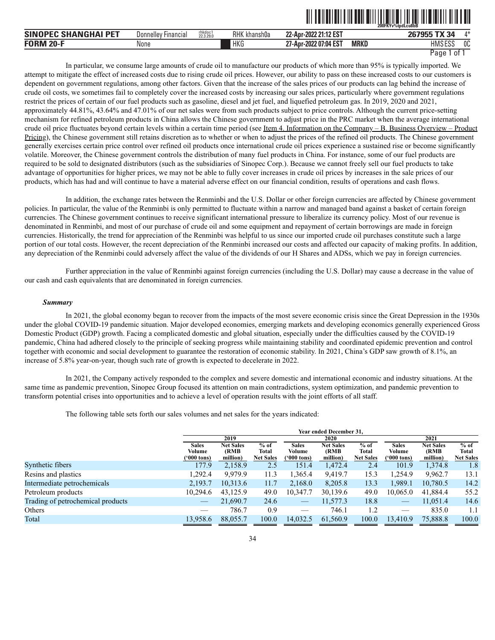|--|--|

| <b>SINOPEC SHANGHAI PET</b> | $\cdots$<br><b>Financial</b><br>Donnellev | rhkdoc1<br>22.3.29.0 | RHK '<br>khanshOa | 2022 21:12 FST<br><b>nn</b><br>∠∠-Apr-‴<br>ZI:IZ ES |             | $-1$          | $A - L$      |
|-----------------------------|-------------------------------------------|----------------------|-------------------|-----------------------------------------------------|-------------|---------------|--------------|
| <b>FORM 20-F</b>            | None                                      |                      | <b>HKG</b>        | 2022 07:04 EST<br>$\sim$<br>∠/-Apr-‴                | <b>MRKD</b> | <b>HMSESS</b> | $\sim$<br>υu |
|                             |                                           |                      |                   |                                                     |             |               |              |

In particular, we consume large amounts of crude oil to manufacture our products of which more than 95% is typically imported. We attempt to mitigate the effect of increased costs due to rising crude oil prices. However, our ability to pass on these increased costs to our customers is dependent on government regulations, among other factors. Given that the increase of the sales prices of our products can lag behind the increase of crude oil costs, we sometimes fail to completely cover the increased costs by increasing our sales prices, particularly where government regulations restrict the prices of certain of our fuel products such as gasoline, diesel and jet fuel, and liquefied petroleum gas. In 2019, 2020 and 2021, approximately 44.81%, 43.64% and 47.01% of our net sales were from such products subject to price controls. Although the current price-setting mechanism for refined petroleum products in China allows the Chinese government to adjust price in the PRC market when the average international crude oil price fluctuates beyond certain levels within a certain time period (see Item 4. Information on the Company – B. Business Overview – Product Pricing), the Chinese government still retains discretion as to whether or when to adjust the prices of the refined oil products. The Chinese government generally exercises certain price control over refined oil products once international crude oil prices experience a sustained rise or become significantly volatile. Moreover, the Chinese government controls the distribution of many fuel products in China. For instance, some of our fuel products are required to be sold to designated distributors (such as the subsidiaries of Sinopec Corp.). Because we cannot freely sell our fuel products to take advantage of opportunities for higher prices, we may not be able to fully cover increases in crude oil prices by increases in the sale prices of our products, which has had and will continue to have a material adverse effect on our financial condition, results of operations and cash flows.

In addition, the exchange rates between the Renminbi and the U.S. Dollar or other foreign currencies are affected by Chinese government policies. In particular, the value of the Renminbi is only permitted to fluctuate within a narrow and managed band against a basket of certain foreign currencies. The Chinese government continues to receive significant international pressure to liberalize its currency policy. Most of our revenue is denominated in Renminbi, and most of our purchase of crude oil and some equipment and repayment of certain borrowings are made in foreign currencies. Historically, the trend for appreciation of the Renminbi was helpful to us since our imported crude oil purchases constitute such a large portion of our total costs. However, the recent depreciation of the Renminbi increased our costs and affected our capacity of making profits. In addition, any depreciation of the Renminbi could adversely affect the value of the dividends of our H Shares and ADSs, which we pay in foreign currencies.

Further appreciation in the value of Renminbi against foreign currencies (including the U.S. Dollar) may cause a decrease in the value of our cash and cash equivalents that are denominated in foreign currencies.

#### *Summary*

In 2021, the global economy began to recover from the impacts of the most severe economic crisis since the Great Depression in the 1930s under the global COVID-19 pandemic situation. Major developed economies, emerging markets and developing economics generally experienced Gross Domestic Product (GDP) growth. Facing a complicated domestic and global situation, especially under the difficulties caused by the COVID-19 pandemic, China had adhered closely to the principle of seeking progress while maintaining stability and coordinated epidemic prevention and control together with economic and social development to guarantee the restoration of economic stability. In 2021, China's GDP saw growth of 8.1%, an increase of 5.8% year-on-year, though such rate of growth is expected to decelerate in 2022.

In 2021, the Company actively responded to the complex and severe domestic and international economic and industry situations. At the same time as pandemic prevention, Sinopec Group focused its attention on main contradictions, system optimization, and pandemic prevention to transform potential crises into opportunities and to achieve a level of operation results with the joint efforts of all staff.

The following table sets forth our sales volumes and net sales for the years indicated:

|                                   |                                                | Year ended December 31.               |                                     |                                                |                                       |                                     |                                                |                                       |                                     |
|-----------------------------------|------------------------------------------------|---------------------------------------|-------------------------------------|------------------------------------------------|---------------------------------------|-------------------------------------|------------------------------------------------|---------------------------------------|-------------------------------------|
|                                   |                                                | 2019                                  |                                     |                                                | 2020                                  |                                     | 2021                                           |                                       |                                     |
|                                   | <b>Sales</b><br>Volume<br>$(900 \text{ tons})$ | <b>Net Sales</b><br>(RMB)<br>million) | $%$ of<br>Total<br><b>Net Sales</b> | <b>Sales</b><br>Volume<br>$(900 \text{ tons})$ | <b>Net Sales</b><br>(RMB)<br>million) | $%$ of<br>Total<br><b>Net Sales</b> | <b>Sales</b><br>Volume<br>$(900 \text{ tons})$ | <b>Net Sales</b><br>(RMB)<br>million) | $%$ of<br>Total<br><b>Net Sales</b> |
| Synthetic fibers                  | 177.9                                          | 2,158.9                               | 2.5                                 | 151.4                                          | 1,472.4                               | 2.4                                 | 101.9                                          | 1,374.8                               | 1.8                                 |
| Resins and plastics               | 1,292.4                                        | 9.979.9                               | 11.3                                | .365.4                                         | 9,419.7                               | 15.3                                | 1.254.9                                        | 9,962.7                               | 13.1                                |
| Intermediate petrochemicals       | 2,193.7                                        | 10,313.6                              | 11.7                                | 2,168.0                                        | 8,205.8                               | 13.3                                | 1,989.1                                        | 10,780.5                              | 14.2                                |
| Petroleum products                | 10,294.6                                       | 43,125.9                              | 49.0                                | 10,347.7                                       | 30,139.6                              | 49.0                                | 10,065.0                                       | 41,884.4                              | 55.2                                |
| Trading of petrochemical products | __                                             | 21,690.7                              | 24.6                                | $-$                                            | 11,577.3                              | 18.8                                | $\hspace{0.1mm}-\hspace{0.1mm}$                | 11,051.4                              | 14.6                                |
| Others                            |                                                | 786.7                                 | 0.9                                 | __                                             | 746.1                                 | 1.2                                 |                                                | 835.0                                 | 1.1                                 |
| Total                             | 13,958.6                                       | 88,055.7                              | 100.0                               | 14,032.5                                       | 61,560.9                              | 100.0                               | 13.410.9                                       | 75,888.8                              | 100.0                               |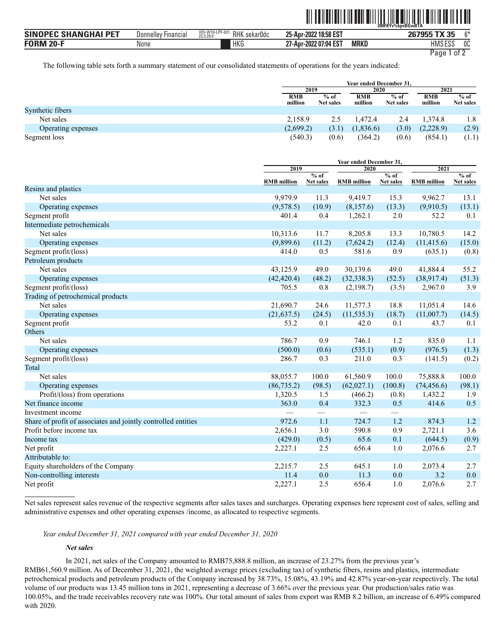

| <b>SINOPEC SHANGHAI</b><br><b>PFT</b> | Donnellev<br><b>Financial</b> | W10-L<br>$F \cap C$<br>VDI<br>RHK<br>sekarOdc<br>. <i>.</i><br>22.3.29.0 | 18:58 EST<br>2022<br>25-Apr-1                  | <b>TV OF</b><br>$\sim$<br>- 15 | $\sim$       |
|---------------------------------------|-------------------------------|--------------------------------------------------------------------------|------------------------------------------------|--------------------------------|--------------|
| <b>FORM 20-</b>                       | None                          | IIVC<br><b>HNU</b>                                                       | <b>MRKD</b><br>07:04 FS1<br>.2022<br>∕ I-Anr∙` | <b>HMSESS</b>                  | $\sim$<br>υu |
|                                       |                               |                                                                          |                                                |                                | - -          |

The following table sets forth a summary statement of our consolidated statements of operations for the years indicated:

|                    | Year ended December 31. |                     |                       |                     |                       |                     |
|--------------------|-------------------------|---------------------|-----------------------|---------------------|-----------------------|---------------------|
|                    | 2019                    |                     | 2020                  |                     | 2021                  |                     |
|                    | <b>RMB</b><br>million   | $%$ of<br>Net sales | <b>RMB</b><br>million | $%$ of<br>Net sales | <b>RMB</b><br>million | $%$ of<br>Net sales |
| Synthetic fibers   |                         |                     |                       |                     |                       |                     |
| Net sales          | 2,158.9                 | 2.5                 | .472.4                | 2.4                 | 1.374.8               | 1.8                 |
| Operating expenses | (2,699.2)               | (3.1)               | (1,836.6)             | (3.0)               | (2,228.9)             | (2.9)               |
| Segment loss       | (540.3)                 | (0.6)               | (364.2)               | (0.6)               | (854.1)               | (1.1)               |

|                                                               |                    |                   | Year ended December 31. |                   |                    |                     |
|---------------------------------------------------------------|--------------------|-------------------|-------------------------|-------------------|--------------------|---------------------|
|                                                               | 2019               |                   | 2020                    |                   | 2021               |                     |
|                                                               | <b>RMB</b> million | % of<br>Net sales | <b>RMB</b> million      | % of<br>Net sales | <b>RMB</b> million | $%$ of<br>Net sales |
| Resins and plastics                                           |                    |                   |                         |                   |                    |                     |
| Net sales                                                     | 9,979.9            | 11.3              | 9,419.7                 | 15.3              | 9,962.7            | 13.1                |
| Operating expenses                                            | (9,578.5)          | (10.9)            | (8,157.6)               | (13.3)            | (9,910.5)          | (13.1)              |
| Segment profit                                                | 401.4              | 0.4               | 1,262.1                 | 2.0               | 52.2               | 0.1                 |
| Intermediate petrochemicals                                   |                    |                   |                         |                   |                    |                     |
| Net sales                                                     | 10,313.6           | 11.7              | 8,205.8                 | 13.3              | 10,780.5           | 14.2                |
| Operating expenses                                            | (9,899.6)          | (11.2)            | (7,624.2)               | (12.4)            | (11, 415.6)        | (15.0)              |
| Segment profit/(loss)                                         | 414.0              | 0.5               | 581.6                   | 0.9               | (635.1)            | (0.8)               |
| Petroleum products                                            |                    |                   |                         |                   |                    |                     |
| Net sales                                                     | 43,125.9           | 49.0              | 30,139.6                | 49.0              | 41,884.4           | 55.2                |
| Operating expenses                                            | (42, 420.4)        | (48.2)            | (32, 338.3)             | (52.5)            | (38,917.4)         | (51.3)              |
| Segment profit/(loss)                                         | 705.5              | 0.8               | (2,198.7)               | (3.5)             | 2,967.0            | 3.9                 |
| Trading of petrochemical products                             |                    |                   |                         |                   |                    |                     |
| Net sales                                                     | 21,690.7           | 24.6              | 11,577.3                | 18.8              | 11,051.4           | 14.6                |
| Operating expenses                                            | (21, 637.5)        | (24.5)            | (11, 535.3)             | (18.7)            | (11,007.7)         | (14.5)              |
| Segment profit                                                | 53.2               | 0.1               | 42.0                    | 0.1               | 43.7               | 0.1                 |
| Others                                                        |                    |                   |                         |                   |                    |                     |
| Net sales                                                     | 786.7              | 0.9               | 746.1                   | 1.2               | 835.0              | 1.1                 |
| Operating expenses                                            | (500.0)            | (0.6)             | (535.1)                 | (0.9)             | (976.5)            | (1.3)               |
| Segment profit/(loss)                                         | 286.7              | 0.3               | 211.0                   | 0.3               | (141.5)            | (0.2)               |
| Total                                                         |                    |                   |                         |                   |                    |                     |
| Net sales                                                     | 88,055.7           | 100.0             | 61,560.9                | 100.0             | 75,888.8           | 100.0               |
| Operating expenses                                            | (86, 735.2)        | (98.5)            | (62,027.1)              | (100.8)           | (74, 456.6)        | (98.1)              |
| Profit/(loss) from operations                                 | 1,320.5            | 1.5               | (466.2)                 | (0.8)             | 1,432.2            | 1.9                 |
| Net finance income                                            | 363.0              | 0.4               | 332.3                   | 0.5               | 414.6              | 0.5                 |
| Investment income                                             |                    |                   |                         |                   |                    |                     |
| Share of profit of associates and jointly controlled entities | 972.6              | 1.1               | 724.7                   | 1.2               | 874.3              | 1.2                 |
| Profit before income tax                                      | 2,656.1            | 3.0               | 590.8                   | 0.9               | 2,721.1            | 3.6                 |
| Income tax                                                    | (429.0)            | (0.5)             | 65.6                    | 0.1               | (644.5)            | (0.9)               |
| Net profit                                                    | 2,227.1            | 2.5               | 656.4                   | 1.0               | 2,076.6            | 2.7                 |
| Attributable to:                                              |                    |                   |                         |                   |                    |                     |
| Equity shareholders of the Company                            | 2,215.7            | 2.5               | 645.1                   | 1.0               | 2,073.4            | 2.7                 |
| Non-controlling interests                                     | 11.4               | 0.0               | 11.3                    | 0.0               | 3.2                | 0.0                 |
| Net profit                                                    | 2,227.1            | 2.5               | 656.4                   | 1.0               | 2,076.6            | 2.7                 |

Net sales represent sales revenue of the respective segments after sales taxes and surcharges. Operating expenses here represent cost of sales, selling and administrative expenses and other operating expenses /income, as allocated to respective segments.

*Year ended December 31, 2021 compared with year ended December 31, 2020*

## *Net sales*

In 2021, net sales of the Company amounted to RMB75,888.8 million, an increase of 23.27% from the previous year's RMB61,560.9 million. As of December 31, 2021, the weighted average prices (excluding tax) of synthetic fibers, resins and plastics, intermediate petrochemical products and petroleum products of the Company increased by 38.73%, 15.08%, 43.19% and 42.87% year-on-year respectively. The total volume of our products was 13.45 million tons in 2021, representing a decrease of 3.66% over the previous year. Our production/sales ratio was 100.05%, and the trade receivables recovery rate was 100%. Our total amount of sales from export was RMB 8.2 billion, an increase of 6.49% compared with 2020.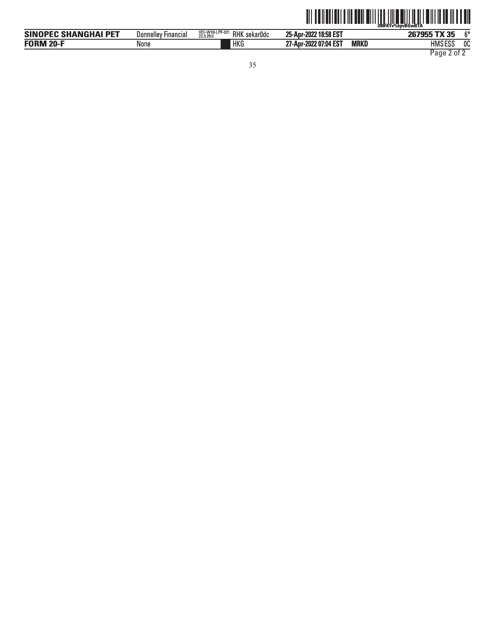

| <b>JEC SHANGHAI PET</b><br><b>SINOPF</b> | · Financia.<br>Jonnellev | VDI-W10-LPF-021<br><b>RHK</b><br>sekarOdc<br>22.3.29.0 | 2022 18:58 EST<br>or.<br>∠5-Apr-‴             |             | ----<br>.<br>--<br>$\overline{ }$ | Λ¥<br>'n,      |
|------------------------------------------|--------------------------|--------------------------------------------------------|-----------------------------------------------|-------------|-----------------------------------|----------------|
| <b>FORM 20-F</b><br>711- F               | None                     | <b>HKG</b>                                             | 2022 07:04 EST<br>65<br>-Anr-<br>-702.<br>. . | <b>MRKD</b> | <b>HMSESS</b>                     | <sub>0</sub> C |
|                                          |                          |                                                        |                                               |             |                                   | . .            |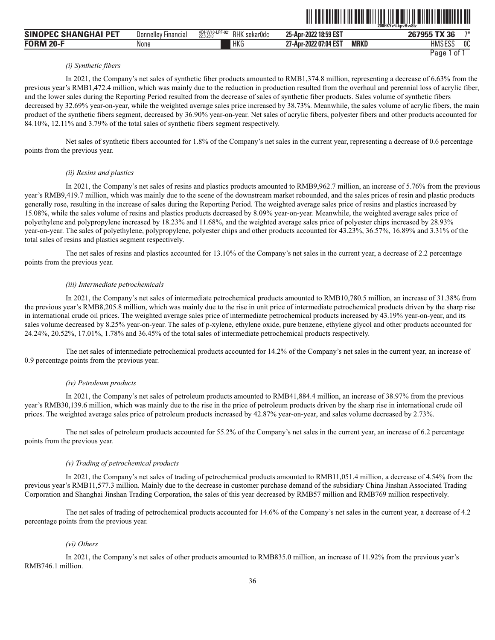|                                                          |                                      |                                                     |                                        | 200FKYv%kpvBw8tz | ____________          |           |
|----------------------------------------------------------|--------------------------------------|-----------------------------------------------------|----------------------------------------|------------------|-----------------------|-----------|
| IANGHAI<br>$\triangle$ DET<br>$\sim$<br>SIN <sup>'</sup> | <b>Financial</b><br><b>Donnellev</b> | VDI-W10-LP<br>RHK<br>'F-UZ<br>sekar0dc<br>22.3.29.0 | : 18:59 EST<br>חה<br>-2022<br>25-Apr   | `חר<br>ΖO        | T1<br>JU              | <b>TA</b> |
| <b>FORM</b><br>$20 -$                                    | None                                 | HKG                                                 | ∠2 07:04 EST<br>$-2022$<br>דה<br>/-Apr | <b>MRKD</b>      | <b>FOO</b><br>HMS ESS | 00<br>UU  |

<u>îlî de hemar di navçeya Kurdistanê ye. Di navçeya Kurdistanê ye. Di navçeya Kurdistanê ye. Di navçeya Kurdistan</u>

Page 1 of 1

## *(i) Synthetic fibers*

In 2021, the Company's net sales of synthetic fiber products amounted to RMB1,374.8 million, representing a decrease of 6.63% from the previous year's RMB1,472.4 million, which was mainly due to the reduction in production resulted from the overhaul and perennial loss of acrylic fiber, and the lower sales during the Reporting Period resulted from the decrease of sales of synthetic fiber products. Sales volume of synthetic fibers decreased by 32.69% year-on-year, while the weighted average sales price increased by 38.73%. Meanwhile, the sales volume of acrylic fibers, the main product of the synthetic fibers segment, decreased by 36.90% year-on-year. Net sales of acrylic fibers, polyester fibers and other products accounted for 84.10%, 12.11% and 3.79% of the total sales of synthetic fibers segment respectively.

Net sales of synthetic fibers accounted for 1.8% of the Company's net sales in the current year, representing a decrease of 0.6 percentage points from the previous year.

#### *(ii) Resins and plastics*

In 2021, the Company's net sales of resins and plastics products amounted to RMB9,962.7 million, an increase of 5.76% from the previous year's RMB9,419.7 million, which was mainly due to the scene of the downstream market rebounded, and the sales prices of resin and plastic products generally rose, resulting in the increase of sales during the Reporting Period. The weighted average sales price of resins and plastics increased by 15.08%, while the sales volume of resins and plastics products decreased by 8.09% year-on-year. Meanwhile, the weighted average sales price of polyethylene and polypropylene increased by 18.23% and 11.68%, and the weighted average sales price of polyester chips increased by 28.93% year-on-year. The sales of polyethylene, polypropylene, polyester chips and other products accounted for 43.23%, 36.57%, 16.89% and 3.31% of the total sales of resins and plastics segment respectively.

The net sales of resins and plastics accounted for 13.10% of the Company's net sales in the current year, a decrease of 2.2 percentage points from the previous year.

## *(iii) Intermediate petrochemicals*

In 2021, the Company's net sales of intermediate petrochemical products amounted to RMB10,780.5 million, an increase of 31.38% from the previous year's RMB8,205.8 million, which was mainly due to the rise in unit price of intermediate petrochemical products driven by the sharp rise in international crude oil prices. The weighted average sales price of intermediate petrochemical products increased by 43.19% year-on-year, and its sales volume decreased by 8.25% year-on-year. The sales of p-xylene, ethylene oxide, pure benzene, ethylene glycol and other products accounted for 24.24%, 20.52%, 17.01%, 1.78% and 36.45% of the total sales of intermediate petrochemical products respectively.

The net sales of intermediate petrochemical products accounted for 14.2% of the Company's net sales in the current year, an increase of 0.9 percentage points from the previous year.

#### *(iv) Petroleum products*

In 2021, the Company's net sales of petroleum products amounted to RMB41,884.4 million, an increase of 38.97% from the previous year's RMB30,139.6 million, which was mainly due to the rise in the price of petroleum products driven by the sharp rise in international crude oil prices. The weighted average sales price of petroleum products increased by 42.87% year-on-year, and sales volume decreased by 2.73%.

The net sales of petroleum products accounted for 55.2% of the Company's net sales in the current year, an increase of 6.2 percentage points from the previous year.

#### *(v) Trading of petrochemical products*

In 2021, the Company's net sales of trading of petrochemical products amounted to RMB11,051.4 million, a decrease of 4.54% from the previous year's RMB11,577.3 million. Mainly due to the decrease in customer purchase demand of the subsidiary China Jinshan Associated Trading Corporation and Shanghai Jinshan Trading Corporation, the sales of this year decreased by RMB57 million and RMB769 million respectively.

The net sales of trading of petrochemical products accounted for 14.6% of the Company's net sales in the current year, a decrease of 4.2 percentage points from the previous year.

#### *(vi) Others*

In 2021, the Company's net sales of other products amounted to RMB835.0 million, an increase of 11.92% from the previous year's RMB746.1 million.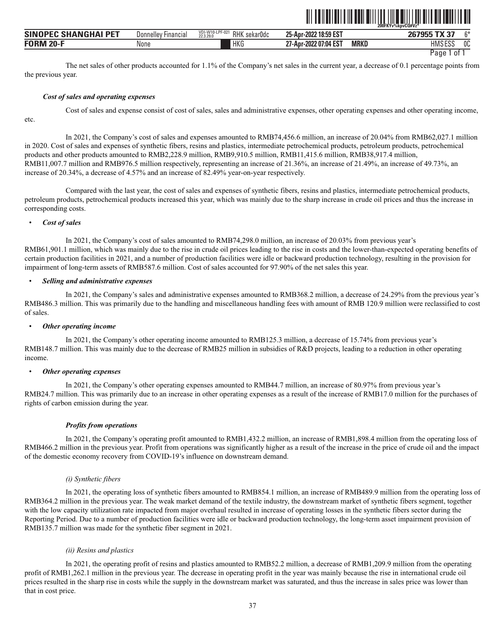| <b>SINOPEC SHANGHAI PET</b> | Donnelley Financial | VDI-W10-LPF-021<br><b>RHK</b><br>sekarOdc<br>22.3.29.0 | 25-Apr-2022 18:59 EST                | $\sim$<br>267955 TX 37 |
|-----------------------------|---------------------|--------------------------------------------------------|--------------------------------------|------------------------|
| <b>FORM 20-F</b>            | None                | HKG                                                    | <b>MRKD</b><br>27-Apr-2022 07:04 EST | <b>HMSESS</b><br>0C    |
|                             |                     |                                                        |                                      | Page<br>0t             |

The net sales of other products accounted for 1.1% of the Company's net sales in the current year, a decrease of 0.1 percentage points from the previous year.

#### *Cost of sales and operating expenses*

Cost of sales and expense consist of cost of sales, sales and administrative expenses, other operating expenses and other operating income,

ˆ200FKYv%kpvCQ#Vz\*Š

In 2021, the Company's cost of sales and expenses amounted to RMB74,456.6 million, an increase of 20.04% from RMB62,027.1 million in 2020. Cost of sales and expenses of synthetic fibers, resins and plastics, intermediate petrochemical products, petroleum products, petrochemical products and other products amounted to RMB2,228.9 million, RMB9,910.5 million, RMB11,415.6 million, RMB38,917.4 million, RMB11,007.7 million and RMB976.5 million respectively, representing an increase of 21.36%, an increase of 21.49%, an increase of 49.73%, an increase of 20.34%, a decrease of 4.57% and an increase of 82.49% year-on-year respectively.

Compared with the last year, the cost of sales and expenses of synthetic fibers, resins and plastics, intermediate petrochemical products, petroleum products, petrochemical products increased this year, which was mainly due to the sharp increase in crude oil prices and thus the increase in corresponding costs.

## • *Cost of sales*

etc.

In 2021, the Company's cost of sales amounted to RMB74,298.0 million, an increase of 20.03% from previous year's RMB61,901.1 million, which was mainly due to the rise in crude oil prices leading to the rise in costs and the lower-than-expected operating benefits of certain production facilities in 2021, and a number of production facilities were idle or backward production technology, resulting in the provision for impairment of long-term assets of RMB587.6 million. Cost of sales accounted for 97.90% of the net sales this year.

# • *Selling and administrative expenses*

In 2021, the Company's sales and administrative expenses amounted to RMB368.2 million, a decrease of 24.29% from the previous year's RMB486.3 million. This was primarily due to the handling and miscellaneous handling fees with amount of RMB 120.9 million were reclassified to cost of sales.

# • *Other operating income*

In 2021, the Company's other operating income amounted to RMB125.3 million, a decrease of 15.74% from previous year's RMB148.7 million. This was mainly due to the decrease of RMB25 million in subsidies of R&D projects, leading to a reduction in other operating income.

# • *Other operating expenses*

In 2021, the Company's other operating expenses amounted to RMB44.7 million, an increase of 80.97% from previous year's RMB24.7 million. This was primarily due to an increase in other operating expenses as a result of the increase of RMB17.0 million for the purchases of rights of carbon emission during the year.

# *Profits from operations*

In 2021, the Company's operating profit amounted to RMB1,432.2 million, an increase of RMB1,898.4 million from the operating loss of RMB466.2 million in the previous year. Profit from operations was significantly higher as a result of the increase in the price of crude oil and the impact of the domestic economy recovery from COVID-19's influence on downstream demand.

#### *(i) Synthetic fibers*

In 2021, the operating loss of synthetic fibers amounted to RMB854.1 million, an increase of RMB489.9 million from the operating loss of RMB364.2 million in the previous year. The weak market demand of the textile industry, the downstream market of synthetic fibers segment, together with the low capacity utilization rate impacted from major overhaul resulted in increase of operating losses in the synthetic fibers sector during the Reporting Period. Due to a number of production facilities were idle or backward production technology, the long-term asset impairment provision of RMB135.7 million was made for the synthetic fiber segment in 2021.

# *(ii) Resins and plastics*

In 2021, the operating profit of resins and plastics amounted to RMB52.2 million, a decrease of RMB1,209.9 million from the operating profit of RMB1,262.1 million in the previous year. The decrease in operating profit in the year was mainly because the rise in international crude oil prices resulted in the sharp rise in costs while the supply in the downstream market was saturated, and thus the increase in sales price was lower than that in cost price.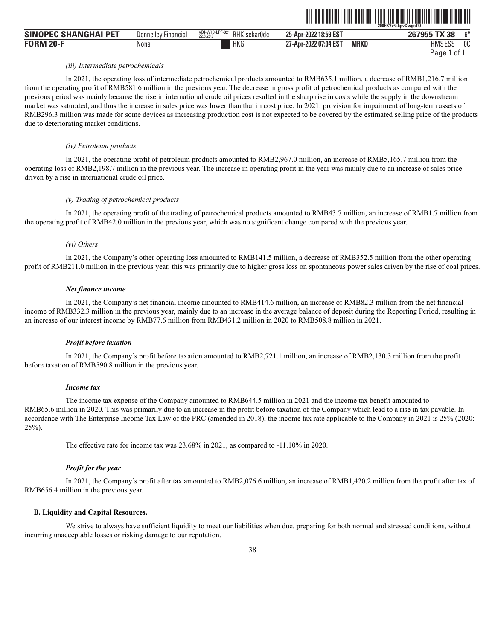|                                         |                     |                                                                            |                                                 | 200FKYv%kpvCwasT0                |              |
|-----------------------------------------|---------------------|----------------------------------------------------------------------------|-------------------------------------------------|----------------------------------|--------------|
| <b>PFT</b><br>IANGHAI<br><b>SINOPEC</b> | Donnelley Financial | LPF-021<br><b>VDI-W10-</b><br><b>RHK</b><br>10-L)<br>sekar0dc<br>22.3.29.0 | 18:59 EST<br>25-Apr-2022                        | <b>OCZOEE TV 20</b><br>∠U<br>JU. | $\sim$       |
| <b>FORM</b><br>on F<br>∠U-r             | None                | <b>HKG</b>                                                                 | <b>MRKD</b><br>2 07:04 EST<br>nч<br>27-Apr-2022 | <b>HMSESS</b>                    | $\sim$<br>υu |

<u>oli toiluttuittiin on mittityi liin mittituuttiin loituu kon</u>

Page 1 of 1

#### *(iii) Intermediate petrochemicals*

In 2021, the operating loss of intermediate petrochemical products amounted to RMB635.1 million, a decrease of RMB1,216.7 million from the operating profit of RMB581.6 million in the previous year. The decrease in gross profit of petrochemical products as compared with the previous period was mainly because the rise in international crude oil prices resulted in the sharp rise in costs while the supply in the downstream market was saturated, and thus the increase in sales price was lower than that in cost price. In 2021, provision for impairment of long-term assets of RMB296.3 million was made for some devices as increasing production cost is not expected to be covered by the estimated selling price of the products due to deteriorating market conditions.

## *(iv) Petroleum products*

In 2021, the operating profit of petroleum products amounted to RMB2,967.0 million, an increase of RMB5,165.7 million from the operating loss of RMB2,198.7 million in the previous year. The increase in operating profit in the year was mainly due to an increase of sales price driven by a rise in international crude oil price.

#### *(v) Trading of petrochemical products*

In 2021, the operating profit of the trading of petrochemical products amounted to RMB43.7 million, an increase of RMB1.7 million from the operating profit of RMB42.0 million in the previous year, which was no significant change compared with the previous year.

# *(vi) Others*

In 2021, the Company's other operating loss amounted to RMB141.5 million, a decrease of RMB352.5 million from the other operating profit of RMB211.0 million in the previous year, this was primarily due to higher gross loss on spontaneous power sales driven by the rise of coal prices.

#### *Net finance income*

In 2021, the Company's net financial income amounted to RMB414.6 million, an increase of RMB82.3 million from the net financial income of RMB332.3 million in the previous year, mainly due to an increase in the average balance of deposit during the Reporting Period, resulting in an increase of our interest income by RMB77.6 million from RMB431.2 million in 2020 to RMB508.8 million in 2021.

#### *Profit before taxation*

In 2021, the Company's profit before taxation amounted to RMB2,721.1 million, an increase of RMB2,130.3 million from the profit before taxation of RMB590.8 million in the previous year.

## *Income tax*

The income tax expense of the Company amounted to RMB644.5 million in 2021 and the income tax benefit amounted to RMB65.6 million in 2020. This was primarily due to an increase in the profit before taxation of the Company which lead to a rise in tax payable. In accordance with The Enterprise Income Tax Law of the PRC (amended in 2018), the income tax rate applicable to the Company in 2021 is 25% (2020:  $25\%$ ).

The effective rate for income tax was 23.68% in 2021, as compared to -11.10% in 2020.

# *Profit for the year*

In 2021, the Company's profit after tax amounted to RMB2,076.6 million, an increase of RMB1,420.2 million from the profit after tax of RMB656.4 million in the previous year.

#### **B. Liquidity and Capital Resources.**

We strive to always have sufficient liquidity to meet our liabilities when due, preparing for both normal and stressed conditions, without incurring unacceptable losses or risking damage to our reputation.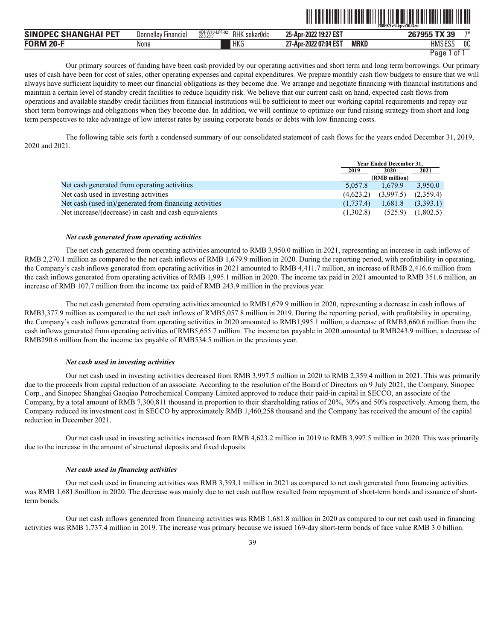| <b>SINOPEC SHANGHAI PET</b> | <b>Hinancial</b><br>Donnelley | VDI-W10-LPF-02*<br><b>RHK</b><br>sekarUdc<br>22.3.29.0 | 25-Apr-2022 19:27 EST |             | 267955 TX 39  | 一下半          |
|-----------------------------|-------------------------------|--------------------------------------------------------|-----------------------|-------------|---------------|--------------|
| <b>FORM 20-F</b>            | None                          | <b>HKG</b>                                             | 27-Apr-2022 07:04 EST | <b>MRKD</b> | <b>HMSESS</b> | $\sim$<br>υu |
|                             |                               |                                                        |                       |             | Page<br>0t    |              |

Our primary sources of funding have been cash provided by our operating activities and short term and long term borrowings. Our primary uses of cash have been for cost of sales, other operating expenses and capital expenditures. We prepare monthly cash flow budgets to ensure that we will always have sufficient liquidity to meet our financial obligations as they become due. We arrange and negotiate financing with financial institutions and maintain a certain level of standby credit facilities to reduce liquidity risk. We believe that our current cash on hand, expected cash flows from operations and available standby credit facilities from financial institutions will be sufficient to meet our working capital requirements and repay our short term borrowings and obligations when they become due. In addition, we will continue to optimize our fund raising strategy from short and long term perspectives to take advantage of low interest rates by issuing corporate bonds or debts with low financing costs.

The following table sets forth a condensed summary of our consolidated statement of cash flows for the years ended December 31, 2019, 2020 and 2021.

|                                                        |              | <b>Year Ended December 31.</b> |           |
|--------------------------------------------------------|--------------|--------------------------------|-----------|
|                                                        | 2019<br>2020 |                                | 2021      |
|                                                        |              | (RMB million)                  |           |
| Net cash generated from operating activities           | 5.057.8      | 1.679.9                        | 3.950.0   |
| Net cash used in investing activities                  | (4.623.2)    | (3,997.5)                      | (2,359.4) |
| Net cash (used in)/generated from financing activities | (1,737.4)    | 1.681.8                        | (3,393.1) |
| Net increase/(decrease) in cash and cash equivalents   | (1,302.8)    | (525.9)                        | (1,802.5) |

#### *Net cash generated from operating activities*

The net cash generated from operating activities amounted to RMB 3,950.0 million in 2021, representing an increase in cash inflows of RMB 2,270.1 million as compared to the net cash inflows of RMB 1,679.9 million in 2020. During the reporting period, with profitability in operating, the Company's cash inflows generated from operating activities in 2021 amounted to RMB 4,411.7 million, an increase of RMB 2,416.6 million from the cash inflows generated from operating activities of RMB 1,995.1 million in 2020. The income tax paid in 2021 amounted to RMB 351.6 million, an increase of RMB 107.7 million from the income tax paid of RMB 243.9 million in the previous year.

The net cash generated from operating activities amounted to RMB1,679.9 million in 2020, representing a decrease in cash inflows of RMB3,377.9 million as compared to the net cash inflows of RMB5,057.8 million in 2019. During the reporting period, with profitability in operating, the Company's cash inflows generated from operating activities in 2020 amounted to RMB1,995.1 million, a decrease of RMB3,660.6 million from the cash inflows generated from operating activities of RMB5,655.7 million. The income tax payable in 2020 amounted to RMB243.9 million, a decrease of RMB290.6 million from the income tax payable of RMB534.5 million in the previous year.

#### *Net cash used in investing activities*

Our net cash used in investing activities decreased from RMB 3,997.5 million in 2020 to RMB 2,359.4 million in 2021. This was primarily due to the proceeds from capital reduction of an associate. According to the resolution of the Board of Directors on 9 July 2021, the Company, Sinopec Corp., and Sinopec Shanghai Gaoqiao Petrochemical Company Limited approved to reduce their paid-in capital in SECCO, an associate of the Company, by a total amount of RMB 7,300,811 thousand in proportion to their shareholding ratios of 20%, 30% and 50% respectively. Among them, the Company reduced its investment cost in SECCO by approximately RMB 1,460,258 thousand and the Company has received the amount of the capital reduction in December 2021.

Our net cash used in investing activities increased from RMB 4,623.2 million in 2019 to RMB 3,997.5 million in 2020. This was primarily due to the increase in the amount of structured deposits and fixed deposits.

#### *Net cash used in financing activities*

Our net cash used in financing activities was RMB 3,393.1 million in 2021 as compared to net cash generated from financing activities was RMB 1,681.8million in 2020. The decrease was mainly due to net cash outflow resulted from repayment of short-term bonds and issuance of shortterm bonds.

Our net cash inflows generated from financing activities was RMB 1,681.8 million in 2020 as compared to our net cash used in financing activities was RMB 1,737.4 million in 2019. The increase was primary because we issued 169-day short-term bonds of face value RMB 3.0 billion.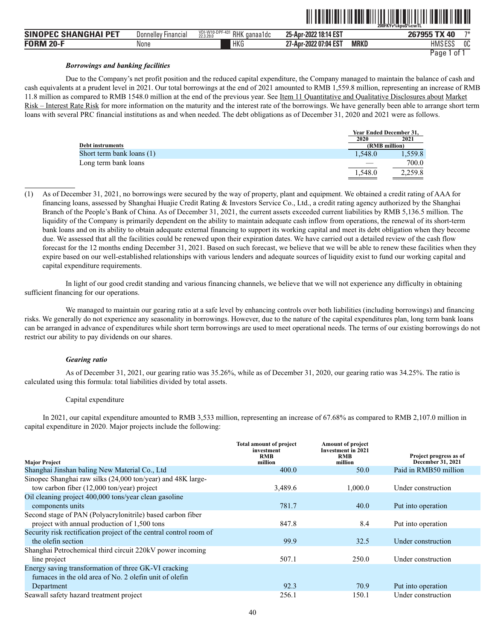|                                        |                     |                                                    |                                   | 200FKYv%kpu\$%cwTL                 |      |
|----------------------------------------|---------------------|----------------------------------------------------|-----------------------------------|------------------------------------|------|
| <b>SINOPEC SHANGHALL</b><br><b>DET</b> | Donnelley Financial | VDI-W10-DPF<br><b>RHK</b><br>qanaa1dc<br>22.3.29.0 | -2022 18:14 EST<br>nг<br>25-Apr-1 | TY 10<br>70EE <sup>.</sup><br>ne-  | $7*$ |
| <b>FORM 20-F</b>                       | None                | <b>HKG</b>                                         | MRKI<br>27-Apr-2022 07:04 EST     | <b>INACTOC</b><br><b>HIVID EDU</b> | 0C   |

**TIL ENDER FRY STIL BUD BILLET IN DIE IN DIE IN DIE INDER STIL BU** 

Page 1 of 1

#### *Borrowings and banking facilities*

Due to the Company's net profit position and the reduced capital expenditure, the Company managed to maintain the balance of cash and cash equivalents at a prudent level in 2021. Our total borrowings at the end of 2021 amounted to RMB 1,559.8 million, representing an increase of RMB 11.8 million as compared to RMB 1548.0 million at the end of the previous year. See Item 11 Quantitative and Qualitative Disclosures about Market Risk – Interest Rate Risk for more information on the maturity and the interest rate of the borrowings. We have generally been able to arrange short term loans with several PRC financial institutions as and when needed. The debt obligations as of December 31, 2020 and 2021 were as follows.

|                           |         | <b>Year Ended December 31,</b> |
|---------------------------|---------|--------------------------------|
|                           | 2020    | 2021                           |
| <b>Debt instruments</b>   |         | (RMB million)                  |
| Short term bank loans (1) | 1.548.0 | .559.8                         |
| Long term bank loans      |         | 700.0                          |
|                           | 1.548.0 | 2.259.8                        |

(1) As of December 31, 2021, no borrowings were secured by the way of property, plant and equipment. We obtained a credit rating of AAA for financing loans, assessed by Shanghai Huajie Credit Rating & Investors Service Co., Ltd., a credit rating agency authorized by the Shanghai Branch of the People's Bank of China. As of December 31, 2021, the current assets exceeded current liabilities by RMB 5,136.5 million. The liquidity of the Company is primarily dependent on the ability to maintain adequate cash inflow from operations, the renewal of its short-term bank loans and on its ability to obtain adequate external financing to support its working capital and meet its debt obligation when they become due. We assessed that all the facilities could be renewed upon their expiration dates. We have carried out a detailed review of the cash flow forecast for the 12 months ending December 31, 2021. Based on such forecast, we believe that we will be able to renew these facilities when they expire based on our well-established relationships with various lenders and adequate sources of liquidity exist to fund our working capital and capital expenditure requirements.

In light of our good credit standing and various financing channels, we believe that we will not experience any difficulty in obtaining sufficient financing for our operations.

We managed to maintain our gearing ratio at a safe level by enhancing controls over both liabilities (including borrowings) and financing risks. We generally do not experience any seasonality in borrowings. However, due to the nature of the capital expenditures plan, long term bank loans can be arranged in advance of expenditures while short term borrowings are used to meet operational needs. The terms of our existing borrowings do not restrict our ability to pay dividends on our shares.

# *Gearing ratio*

As of December 31, 2021, our gearing ratio was 35.26%, while as of December 31, 2020, our gearing ratio was 34.25%. The ratio is calculated using this formula: total liabilities divided by total assets.

# Capital expenditure

In 2021, our capital expenditure amounted to RMB 3,533 million, representing an increase of 67.68% as compared to RMB 2,107.0 million in capital expenditure in 2020. Major projects include the following:

|                                                                    | <b>Total amount of project</b><br>investment | <b>Amount of project</b><br><b>Investment in 2021</b> |                                             |
|--------------------------------------------------------------------|----------------------------------------------|-------------------------------------------------------|---------------------------------------------|
| <b>Major Project</b>                                               | <b>RMB</b><br>million                        | <b>RMB</b><br>million                                 | Project progress as of<br>December 31, 2021 |
| Shanghai Jinshan baling New Material Co., Ltd                      | 400.0                                        | 50.0                                                  | Paid in RMB50 million                       |
| Sinopec Shanghai raw silks (24,000 ton/year) and 48K large-        |                                              |                                                       |                                             |
| tow carbon fiber $(12,000 \text{ ton/year})$ project               | 3,489.6                                      | 1,000.0                                               | Under construction                          |
| Oil cleaning project 400,000 tons/year clean gasoline              |                                              |                                                       |                                             |
| components units                                                   | 781.7                                        | 40.0                                                  | Put into operation                          |
| Second stage of PAN (Polyacrylonitrile) based carbon fiber         |                                              |                                                       |                                             |
| project with annual production of 1,500 tons                       | 847.8                                        | 8.4                                                   | Put into operation                          |
| Security risk rectification project of the central control room of |                                              |                                                       |                                             |
| the olefin section                                                 | 99.9                                         | 32.5                                                  | Under construction                          |
| Shanghai Petrochemical third circuit 220kV power incoming          |                                              |                                                       |                                             |
| line project                                                       | 507.1                                        | 250.0                                                 | Under construction                          |
| Energy saving transformation of three GK-VI cracking               |                                              |                                                       |                                             |
| furnaces in the old area of No. 2 olefin unit of olefin            |                                              |                                                       |                                             |
| Department                                                         | 92.3                                         | 70.9                                                  | Put into operation                          |
| Seawall safety hazard treatment project                            | 256.1                                        | 150.1                                                 | Under construction                          |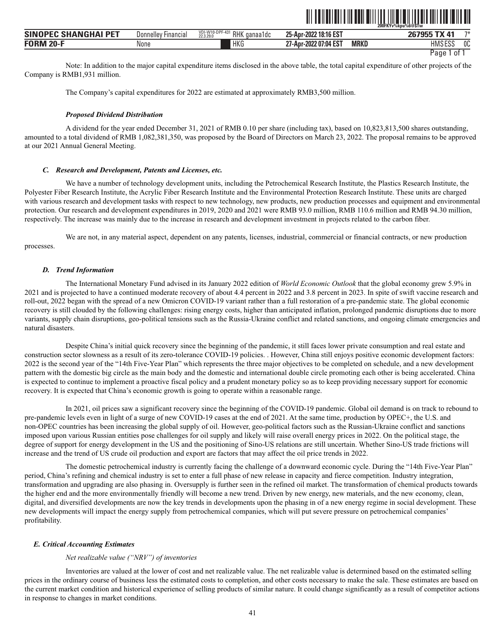|                             |                     |                                                 |                       | 200FKYv%kpu%6@\$Tw          |      |
|-----------------------------|---------------------|-------------------------------------------------|-----------------------|-----------------------------|------|
| <b>SINOPEC SHANGHAI PET</b> | Donnelley Financial | VDI-W10-DPF-431<br>RHK<br>aanaa1dc<br>22.3.29.0 | 25-Apr-2022 18:16 EST | 267955 TX<br>$\overline{A}$ | $7*$ |
| <b>FORM 20-F</b>            | None                | HKG                                             | 27-Apr-2022 07:04 EST | HMS ESS<br><b>MRKD</b>      | 0C   |

ˆ200FKYv%kpu%6@\$TwŠ **200FKYv%kpu%6@\$Tw**

Note: In addition to the major capital expenditure items disclosed in the above table, the total capital expenditure of other projects of the Company is RMB1,931 million.

The Company's capital expenditures for 2022 are estimated at approximately RMB3,500 million.

#### *Proposed Dividend Distribution*

A dividend for the year ended December 31, 2021 of RMB 0.10 per share (including tax), based on 10,823,813,500 shares outstanding, amounted to a total dividend of RMB 1,082,381,350, was proposed by the Board of Directors on March 23, 2022. The proposal remains to be approved at our 2021 Annual General Meeting.

## *C. Research and Development, Patents and Licenses, etc.*

We have a number of technology development units, including the Petrochemical Research Institute, the Plastics Research Institute, the Polyester Fiber Research Institute, the Acrylic Fiber Research Institute and the Environmental Protection Research Institute. These units are charged with various research and development tasks with respect to new technology, new products, new production processes and equipment and environmental protection. Our research and development expenditures in 2019, 2020 and 2021 were RMB 93.0 million, RMB 110.6 million and RMB 94.30 million, respectively. The increase was mainly due to the increase in research and development investment in projects related to the carbon fiber.

We are not, in any material aspect, dependent on any patents, licenses, industrial, commercial or financial contracts, or new production processes.

#### *D. Trend Information*

The International Monetary Fund advised in its January 2022 edition of *World Economic Outlook* that the global economy grew 5.9% in 2021 and is projected to have a continued moderate recovery of about 4.4 percent in 2022 and 3.8 percent in 2023. In spite of swift vaccine research and roll-out, 2022 began with the spread of a new Omicron COVID-19 variant rather than a full restoration of a pre-pandemic state. The global economic recovery is still clouded by the following challenges: rising energy costs, higher than anticipated inflation, prolonged pandemic disruptions due to more variants, supply chain disruptions, geo-political tensions such as the Russia-Ukraine conflict and related sanctions, and ongoing climate emergencies and natural disasters.

Despite China's initial quick recovery since the beginning of the pandemic, it still faces lower private consumption and real estate and construction sector slowness as a result of its zero-tolerance COVID-19 policies. . However, China still enjoys positive economic development factors: 2022 is the second year of the "14th Five-Year Plan" which represents the three major objectives to be completed on schedule, and a new development pattern with the domestic big circle as the main body and the domestic and international double circle promoting each other is being accelerated. China is expected to continue to implement a proactive fiscal policy and a prudent monetary policy so as to keep providing necessary support for economic recovery. It is expected that China's economic growth is going to operate within a reasonable range.

In 2021, oil prices saw a significant recovery since the beginning of the COVID-19 pandemic. Global oil demand is on track to rebound to pre-pandemic levels even in light of a surge of new COVID-19 cases at the end of 2021. At the same time, production by OPEC+, the U.S. and non-OPEC countries has been increasing the global supply of oil. However, geo-political factors such as the Russian-Ukraine conflict and sanctions imposed upon various Russian entities pose challenges for oil supply and likely will raise overall energy prices in 2022. On the political stage, the degree of support for energy development in the US and the positioning of Sino-US relations are still uncertain. Whether Sino-US trade frictions will increase and the trend of US crude oil production and export are factors that may affect the oil price trends in 2022.

The domestic petrochemical industry is currently facing the challenge of a downward economic cycle. During the "14th Five-Year Plan" period, China's refining and chemical industry is set to enter a full phase of new release in capacity and fierce competition. Industry integration, transformation and upgrading are also phasing in. Oversupply is further seen in the refined oil market. The transformation of chemical products towards the higher end and the more environmentally friendly will become a new trend. Driven by new energy, new materials, and the new economy, clean, digital, and diversified developments are now the key trends in developments upon the phasing in of a new energy regime in social development. These new developments will impact the energy supply from petrochemical companies, which will put severe pressure on petrochemical companies' profitability.

## *E. Critical Accounting Estimates*

## *Net realizable value ("NRV") of inventories*

Inventories are valued at the lower of cost and net realizable value. The net realizable value is determined based on the estimated selling prices in the ordinary course of business less the estimated costs to completion, and other costs necessary to make the sale. These estimates are based on the current market condition and historical experience of selling products of similar nature. It could change significantly as a result of competitor actions in response to changes in market conditions.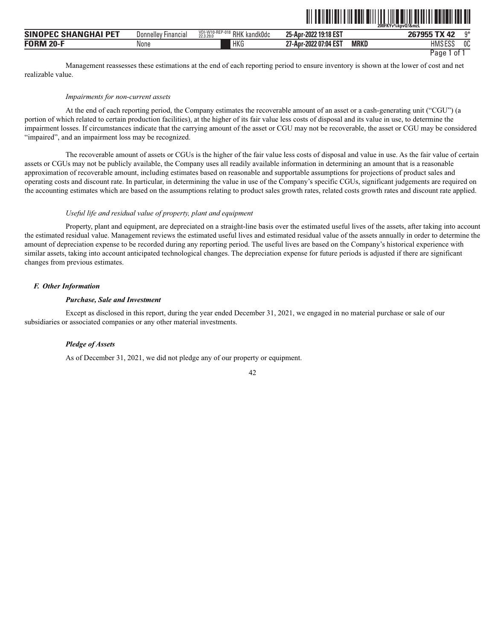|                                        |                         |                                                 |                             | 200FKYv%kpvQ!&mzL | .  = =. = = = =                                 |    |
|----------------------------------------|-------------------------|-------------------------------------------------|-----------------------------|-------------------|-------------------------------------------------|----|
| <b>SINOPEC SHANGHALL</b><br><b>PFT</b> | '-ınancıaı<br>Jonnellev | VDI-W10-REP-018<br>kandkOdo<br>RHK<br>22.3.29.0 | 25-Apr-2022 19:18 EST       |                   | TV.<br>$\mathbf{A}$<br>267955<br>$\cdot$ $\sim$ | n* |
| <b>FORM 20-F</b>                       | None                    | <b>LIVC</b><br>nno                              | 27-Apr-2022 07:04 EST<br>67 | <b>MRKL</b>       | <b>HMSESS</b>                                   | 0C |

Page 1 of 1

TIT TO IT OLD LITTLE THE ONLY THE TIME OF THE ORDER OF A SET OF A SET OF A SET OF A SET OF A SET OF A SET OF A

Management reassesses these estimations at the end of each reporting period to ensure inventory is shown at the lower of cost and net realizable value.

#### *Impairments for non-current assets*

At the end of each reporting period, the Company estimates the recoverable amount of an asset or a cash-generating unit ("CGU") (a portion of which related to certain production facilities), at the higher of its fair value less costs of disposal and its value in use, to determine the impairment losses. If circumstances indicate that the carrying amount of the asset or CGU may not be recoverable, the asset or CGU may be considered "impaired", and an impairment loss may be recognized.

The recoverable amount of assets or CGUs is the higher of the fair value less costs of disposal and value in use. As the fair value of certain assets or CGUs may not be publicly available, the Company uses all readily available information in determining an amount that is a reasonable approximation of recoverable amount, including estimates based on reasonable and supportable assumptions for projections of product sales and operating costs and discount rate. In particular, in determining the value in use of the Company's specific CGUs, significant judgements are required on the accounting estimates which are based on the assumptions relating to product sales growth rates, related costs growth rates and discount rate applied.

#### *Useful life and residual value of property, plant and equipment*

Property, plant and equipment, are depreciated on a straight-line basis over the estimated useful lives of the assets, after taking into account the estimated residual value. Management reviews the estimated useful lives and estimated residual value of the assets annually in order to determine the amount of depreciation expense to be recorded during any reporting period. The useful lives are based on the Company's historical experience with similar assets, taking into account anticipated technological changes. The depreciation expense for future periods is adjusted if there are significant changes from previous estimates.

#### *F. Other Information*

#### *Purchase, Sale and Investment*

Except as disclosed in this report, during the year ended December 31, 2021, we engaged in no material purchase or sale of our subsidiaries or associated companies or any other material investments.

# *Pledge of Assets*

As of December 31, 2021, we did not pledge any of our property or equipment.

42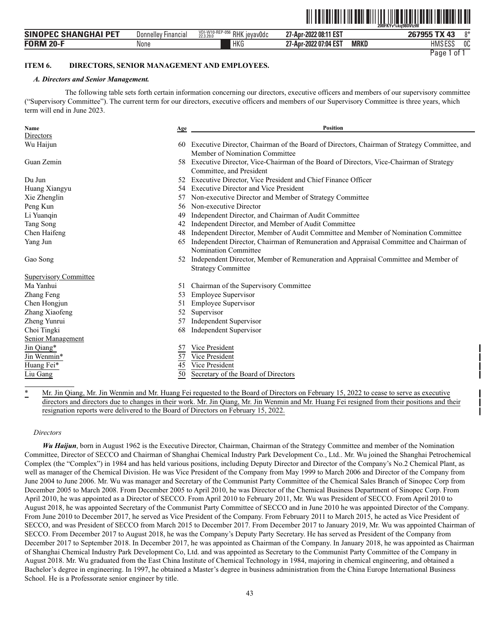|                                    |                                    |                                                                              | ____                                                       | 200FKYv%ka980VtzW<br>--------           |
|------------------------------------|------------------------------------|------------------------------------------------------------------------------|------------------------------------------------------------|-----------------------------------------|
| SHANG<br>DET<br>:НАГ<br><b>CIN</b> | <b>Financial</b><br>Uon<br>nnellev | VDI-W10-REF<br>$-056$<br>$\cdot$ RHK $\cdot$<br><b>revavUdc</b><br>22.3.29.0 | <b>FOT</b><br>n <sub>7</sub><br>-2022 08:11 ES1<br>'7-Apr- | $0*$<br>$-1$<br>43<br>70.<br>I A<br>- 1 |
| FORM<br>$20-F$                     | None                               | IUVC<br>nno                                                                  | <b>MRKD</b><br>22 07:04 EST<br>n-<br>2022<br>7-Apr-        | <b>HMSESS</b><br>0C                     |

 $\overline{\phantom{0}}$  $\overline{\phantom{0}}$ 

ˆ200FKYv%kq980VtzWŠ

# **ITEM 6. DIRECTORS, SENIOR MANAGEMENT AND EMPLOYEES.**

# *A. Directors and Senior Management.*

The following table sets forth certain information concerning our directors, executive officers and members of our supervisory committee ("Supervisory Committee"). The current term for our directors, executive officers and members of our Supervisory Committee is three years, which term will end in June 2023.

| Name                         | Age             | <b>Position</b>                                                                                |
|------------------------------|-----------------|------------------------------------------------------------------------------------------------|
| Directors                    |                 |                                                                                                |
| Wu Haijun                    |                 | 60 Executive Director, Chairman of the Board of Directors, Chairman of Strategy Committee, and |
|                              |                 | Member of Nomination Committee                                                                 |
| Guan Zemin                   |                 | 58 Executive Director, Vice-Chairman of the Board of Directors, Vice-Chairman of Strategy      |
|                              |                 | Committee, and President                                                                       |
| Du Jun                       | 52              | Executive Director, Vice President and Chief Finance Officer                                   |
| Huang Xiangyu                |                 | <b>Executive Director and Vice President</b>                                                   |
| Xie Zhenglin                 | 57              | Non-executive Director and Member of Strategy Committee                                        |
| Peng Kun                     | 56              | Non-executive Director                                                                         |
| Li Yuanqin                   | 49              | Independent Director, and Chairman of Audit Committee                                          |
| Tang Song                    | 42              | Independent Director, and Member of Audit Committee                                            |
| Chen Haifeng                 | 48              | Independent Director, Member of Audit Committee and Member of Nomination Committee             |
| Yang Jun                     | 65              | Independent Director, Chairman of Remuneration and Appraisal Committee and Chairman of         |
|                              |                 | Nomination Committee                                                                           |
| Gao Song                     | 52              | Independent Director, Member of Remuneration and Appraisal Committee and Member of             |
|                              |                 | <b>Strategy Committee</b>                                                                      |
| <b>Supervisory Committee</b> |                 |                                                                                                |
| Ma Yanhui                    | 51              | Chairman of the Supervisory Committee                                                          |
| Zhang Feng                   | 53              | <b>Employee Supervisor</b>                                                                     |
| Chen Hongjun                 | 51              | <b>Employee Supervisor</b>                                                                     |
| Zhang Xiaofeng               | 52              | Supervisor                                                                                     |
| Zheng Yunrui                 | 57              | <b>Independent Supervisor</b>                                                                  |
| Choi Tingki                  | 68              | <b>Independent Supervisor</b>                                                                  |
| Senior Management            |                 |                                                                                                |
| Jin Qiang*                   | 57              | Vice President                                                                                 |
| Jin Wenmin*                  | $\overline{57}$ | Vice President                                                                                 |
| Huang Fei*                   | 45              | Vice President                                                                                 |
| Liu Gang                     | 50              | Secretary of the Board of Directors                                                            |
|                              |                 |                                                                                                |

Mr. Jin Qiang, Mr. Jin Wenmin and Mr. Huang Fei requested to the Board of Directors on February 15, 2022 to cease to serve as executive directors and directors due to changes in their work. Mr. Jin Qiang, Mr. Jin Wenmin and Mr. Huang Fei resigned from their positions and their resignation reports were delivered to the Board of Directors on February 15, 2022.

#### *Directors*

*Wu Haijun*, born in August 1962 is the Executive Director, Chairman, Chairman of the Strategy Committee and member of the Nomination Committee, Director of SECCO and Chairman of Shanghai Chemical Industry Park Development Co., Ltd.. Mr. Wu joined the Shanghai Petrochemical Complex (the "Complex") in 1984 and has held various positions, including Deputy Director and Director of the Company's No.2 Chemical Plant, as well as manager of the Chemical Division. He was Vice President of the Company from May 1999 to March 2006 and Director of the Company from June 2004 to June 2006. Mr. Wu was manager and Secretary of the Communist Party Committee of the Chemical Sales Branch of Sinopec Corp from December 2005 to March 2008. From December 2005 to April 2010, he was Director of the Chemical Business Department of Sinopec Corp. From April 2010, he was appointed as a Director of SECCO. From April 2010 to February 2011, Mr. Wu was President of SECCO. From April 2010 to August 2018, he was appointed Secretary of the Communist Party Committee of SECCO and in June 2010 he was appointed Director of the Company. From June 2010 to December 2017, he served as Vice President of the Company. From February 2011 to March 2015, he acted as Vice President of SECCO, and was President of SECCO from March 2015 to December 2017. From December 2017 to January 2019, Mr. Wu was appointed Chairman of SECCO. From December 2017 to August 2018, he was the Company's Deputy Party Secretary. He has served as President of the Company from December 2017 to September 2018. In December 2017, he was appointed as Chairman of the Company. In January 2018, he was appointed as Chairman of Shanghai Chemical Industry Park Development Co, Ltd. and was appointed as Secretary to the Communist Party Committee of the Company in August 2018. Mr. Wu graduated from the East China Institute of Chemical Technology in 1984, majoring in chemical engineering, and obtained a Bachelor's degree in engineering. In 1997, he obtained a Master's degree in business administration from the China Europe International Business School. He is a Professorate senior engineer by title.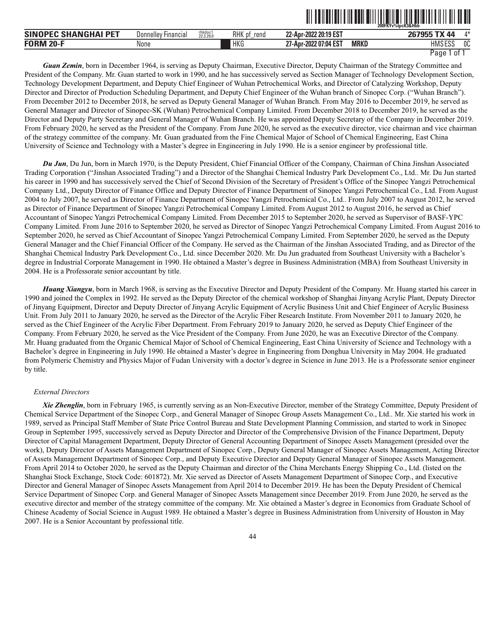| <b>SINOPEC SHANGHAI PET</b> | Donnellev<br>-ınancıal | hkdoc1<br>22.3.29.0 | RHK p<br>rend | -2022 20:19 EST<br>nn i<br>2-Anr            |             | <b>SERF</b><br>$\Lambda$ | $A \Delta$ |
|-----------------------------|------------------------|---------------------|---------------|---------------------------------------------|-------------|--------------------------|------------|
| <b>FORM</b><br><b>OO F</b>  | None                   |                     | <b>HKG</b>    | .2 07:04 EST<br>יי<br>ההחה<br>'/-Anr<br>707 | <b>MRKD</b> | <b>HMSESS</b>            | 0C         |
|                             |                        |                     |               |                                             |             |                          | - -        |

*Guan Zemin*, born in December 1964, is serving as Deputy Chairman, Executive Director, Deputy Chairman of the Strategy Committee and President of the Company. Mr. Guan started to work in 1990, and he has successively served as Section Manager of Technology Development Section, Technology Development Department, and Deputy Chief Engineer of Wuhan Petrochemical Works, and Director of Catalyzing Workshop, Deputy Director and Director of Production Scheduling Department, and Deputy Chief Engineer of the Wuhan branch of Sinopec Corp. ("Wuhan Branch"). From December 2012 to December 2018, he served as Deputy General Manager of Wuhan Branch. From May 2016 to December 2019, he served as General Manager and Director of Sinopec-SK (Wuhan) Petrochemical Company Limited. From December 2018 to December 2019, he served as the Director and Deputy Party Secretary and General Manager of Wuhan Branch. He was appointed Deputy Secretary of the Company in December 2019. From February 2020, he served as the President of the Company. From June 2020, he served as the executive director, vice chairman and vice chairman of the strategy committee of the company. Mr. Guan graduated from the Fine Chemical Major of School of Chemical Engineering, East China University of Science and Technology with a Master's degree in Engineering in July 1990. He is a senior engineer by professional title.

*Du Jun*, Du Jun, born in March 1970, is the Deputy President, Chief Financial Officer of the Company, Chairman of China Jinshan Associated Trading Corporation ("Jinshan Associated Trading") and a Director of the Shanghai Chemical Industry Park Development Co., Ltd.. Mr. Du Jun started his career in 1990 and has successively served the Chief of Second Division of the Secretary of President's Office of the Sinopec Yangzi Petrochemical Company Ltd., Deputy Director of Finance Office and Deputy Director of Finance Department of Sinopec Yangzi Petrochemical Co., Ltd. From August 2004 to July 2007, he served as Director of Finance Department of Sinopec Yangzi Petrochemical Co., Ltd.. From July 2007 to August 2012, he served as Director of Finance Department of Sinopec Yangzi Petrochemical Company Limited. From August 2012 to August 2016, he served as Chief Accountant of Sinopec Yangzi Petrochemical Company Limited. From December 2015 to September 2020, he served as Supervisor of BASF-YPC Company Limited. From June 2016 to September 2020, he served as Director of Sinopec Yangzi Petrochemical Company Limited. From August 2016 to September 2020, he served as Chief Accountant of Sinopec Yangzi Petrochemical Company Limited. From September 2020, he served as the Deputy General Manager and the Chief Financial Officer of the Company. He served as the Chairman of the Jinshan Associated Trading, and as Director of the Shanghai Chemical Industry Park Development Co., Ltd. since December 2020. Mr. Du Jun graduated from Southeast University with a Bachelor's degree in Industrial Corporate Management in 1990. He obtained a Master's degree in Business Administration (MBA) from Southeast University in 2004. He is a Professorate senior accountant by title.

*Huang Xiangyu*, born in March 1968, is serving as the Executive Director and Deputy President of the Company. Mr. Huang started his career in 1990 and joined the Complex in 1992. He served as the Deputy Director of the chemical workshop of Shanghai Jinyang Acrylic Plant, Deputy Director of Jinyang Equipment, Director and Deputy Director of Jinyang Acrylic Equipment of Acrylic Business Unit and Chief Engineer of Acrylic Business Unit. From July 2011 to January 2020, he served as the Director of the Acrylic Fiber Research Institute. From November 2011 to January 2020, he served as the Chief Engineer of the Acrylic Fiber Department. From February 2019 to January 2020, he served as Deputy Chief Engineer of the Company. From February 2020, he served as the Vice President of the Company. From June 2020, he was an Executive Director of the Company. Mr. Huang graduated from the Organic Chemical Major of School of Chemical Engineering, East China University of Science and Technology with a Bachelor's degree in Engineering in July 1990. He obtained a Master's degree in Engineering from Donghua University in May 2004. He graduated from Polymeric Chemistry and Physics Major of Fudan University with a doctor's degree in Science in June 2013. He is a Professorate senior engineer by title.

#### *External Directors*

*Xie Zhenglin*, born in February 1965, is currently serving as an Non-Executive Director, member of the Strategy Committee, Deputy President of Chemical Service Department of the Sinopec Corp., and General Manager of Sinopec Group Assets Management Co., Ltd.. Mr. Xie started his work in 1989, served as Principal Staff Member of State Price Control Bureau and State Development Planning Commission, and started to work in Sinopec Group in September 1995, successively served as Deputy Director and Director of the Comprehensive Division of the Finance Department, Deputy Director of Capital Management Department, Deputy Director of General Accounting Department of Sinopec Assets Management (presided over the work), Deputy Director of Assets Management Department of Sinopec Corp., Deputy General Manager of Sinopec Assets Management, Acting Director of Assets Management Department of Sinopec Corp., and Deputy Executive Director and Deputy General Manager of Sinopec Assets Management. From April 2014 to October 2020, he served as the Deputy Chairman and director of the China Merchants Energy Shipping Co., Ltd. (listed on the Shanghai Stock Exchange, Stock Code: 601872). Mr. Xie served as Director of Assets Management Department of Sinopec Corp., and Executive Director and General Manager of Sinopec Assets Management from April 2014 to December 2019. He has been the Deputy President of Chemical Service Department of Sinopec Corp. and General Manager of Sinopec Assets Management since December 2019. From June 2020, he served as the executive director and member of the strategy committee of the company. Mr. Xie obtained a Master's degree in Economics from Graduate School of Chinese Academy of Social Science in August 1989. He obtained a Master's degree in Business Administration from University of Houston in May 2007. He is a Senior Accountant by professional title.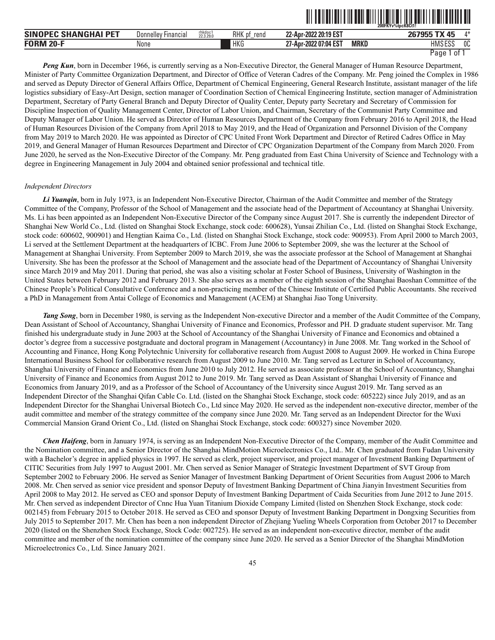| <b>SINOPEC SHANGHAI PET</b> | Donnellev<br>-ınancıal | rhkdoc1<br>22.3.29.0 | RHK p<br>rend | -2022 20:19 EST<br>nn <sub>i</sub><br>2-Anr           |             | rv.<br>267QF<br><b>AF</b><br>. . | $A +$ |
|-----------------------------|------------------------|----------------------|---------------|-------------------------------------------------------|-------------|----------------------------------|-------|
| <b>FORM</b><br>. 20-L       | None                   |                      | <b>HKG</b>    | -2022 07:04 EST<br>יי<br>$\epsilon$ /-Apr- $\epsilon$ | <b>MRKD</b> | <b>HMSESS</b>                    | 0C    |
|                             |                        |                      |               |                                                       |             |                                  |       |

Peng Kun, born in December 1966, is currently serving as a Non-Executive Director, the General Manager of Human Resource Department, Minister of Party Committee Organization Department, and Director of Office of Veteran Cadres of the Company. Mr. Peng joined the Complex in 1986 and served as Deputy Director of General Affairs Office, Department of Chemical Engineering, General Research Institute, assistant manager of the life logistics subsidiary of Easy-Art Design, section manager of Coordination Section of Chemical Engineering Institute, section manager of Administration Department, Secretary of Party General Branch and Deputy Director of Quality Center, Deputy party Secretary and Secretary of Commission for Discipline Inspection of Quality Management Center, Director of Labor Union, and Chairman, Secretary of the Communist Party Committee and Deputy Manager of Labor Union. He served as Director of Human Resources Department of the Company from February 2016 to April 2018, the Head of Human Resources Division of the Company from April 2018 to May 2019, and the Head of Organization and Personnel Division of the Company from May 2019 to March 2020. He was appointed as Director of CPC United Front Work Department and Director of Retired Cadres Office in May 2019, and General Manager of Human Resources Department and Director of CPC Organization Department of the Company from March 2020. From June 2020, he served as the Non-Executive Director of the Company. Mr. Peng graduated from East China University of Science and Technology with a degree in Engineering Management in July 2004 and obtained senior professional and technical title.

### *Independent Directors*

*Li Yuanqin*, born in July 1973, is an Independent Non-Executive Director, Chairman of the Audit Committee and member of the Strategy Committee of the Company, Professor of the School of Management and the associate head of the Department of Accountancy at Shanghai University. Ms. Li has been appointed as an Independent Non-Executive Director of the Company since August 2017. She is currently the independent Director of Shanghai New World Co., Ltd. (listed on Shanghai Stock Exchange, stock code: 600628), Yunsai Zhilian Co., Ltd. (listed on Shanghai Stock Exchange, stock code: 600602, 900901) and Hengtian Kaima Co., Ltd. (listed on Shanghai Stock Exchange, stock code: 900953). From April 2000 to March 2003, Li served at the Settlement Department at the headquarters of ICBC. From June 2006 to September 2009, she was the lecturer at the School of Management at Shanghai University. From September 2009 to March 2019, she was the associate professor at the School of Management at Shanghai University. She has been the professor at the School of Management and the associate head of the Department of Accountancy of Shanghai University since March 2019 and May 2011. During that period, she was also a visiting scholar at Foster School of Business, University of Washington in the United States between February 2012 and February 2013. She also serves as a member of the eighth session of the Shanghai Baoshan Committee of the Chinese People's Political Consultative Conference and a non-practicing member of the Chinese Institute of Certified Public Accountants. She received a PhD in Management from Antai College of Economics and Management (ACEM) at Shanghai Jiao Tong University.

*Tang Song*, born in December 1980, is serving as the Independent Non-executive Director and a member of the Audit Committee of the Company, Dean Assistant of School of Accountancy, Shanghai University of Finance and Economics, Professor and PH. D graduate student supervisor. Mr. Tang finished his undergraduate study in June 2003 at the School of Accountancy of the Shanghai University of Finance and Economics and obtained a doctor's degree from a successive postgraduate and doctoral program in Management (Accountancy) in June 2008. Mr. Tang worked in the School of Accounting and Finance, Hong Kong Polytechnic University for collaborative research from August 2008 to August 2009. He worked in China Europe International Business School for collaborative research from August 2009 to June 2010. Mr. Tang served as Lecturer in School of Accountancy, Shanghai University of Finance and Economics from June 2010 to July 2012. He served as associate professor at the School of Accountancy, Shanghai University of Finance and Economics from August 2012 to June 2019. Mr. Tang served as Dean Assistant of Shanghai University of Finance and Economics from January 2019, and as a Professor of the School of Accountancy of the University since August 2019. Mr. Tang served as an Independent Director of the Shanghai Qifan Cable Co. Ltd. (listed on the Shanghai Stock Exchange, stock code: 605222) since July 2019, and as an Independent Director for the Shanghai Universal Biotech Co., Ltd since May 2020. He served as the independent non-executive director, member of the audit committee and member of the strategy committee of the company since June 2020. Mr. Tang served as an Independent Director for the Wuxi Commercial Mansion Grand Orient Co., Ltd. (listed on Shanghai Stock Exchange, stock code: 600327) since November 2020.

*Chen Haifeng*, born in January 1974, is serving as an Independent Non-Executive Director of the Company, member of the Audit Committee and the Nomination committee, and a Senior Director of the Shanghai MindMotion Microelectronics Co., Ltd.. Mr. Chen graduated from Fudan University with a Bachelor's degree in applied physics in 1997. He served as clerk, project supervisor, and project manager of Investment Banking Department of CITIC Securities from July 1997 to August 2001. Mr. Chen served as Senior Manager of Strategic Investment Department of SVT Group from September 2002 to February 2006. He served as Senior Manager of Investment Banking Department of Orient Securities from August 2006 to March 2008. Mr. Chen served as senior vice president and sponsor Deputy of Investment Banking Department of China Jianyin Investment Securities from April 2008 to May 2012. He served as CEO and sponsor Deputy of Investment Banking Department of Caida Securities from June 2012 to June 2015. Mr. Chen served as independent Director of Cnnc Hua Yuan Titanium Dioxide Company Limited (listed on Shenzhen Stock Exchange, stock code: 002145) from February 2015 to October 2018. He served as CEO and sponsor Deputy of Investment Banking Department in Dongxing Securities from July 2015 to September 2017. Mr. Chen has been a non independent Director of Zhejiang Yueling Wheels Corporation from October 2017 to December 2020 (listed on the Shenzhen Stock Exchange, Stock Code: 002725). He served as an independent non-executive director, member of the audit committee and member of the nomination committee of the company since June 2020. He served as a Senior Director of the Shanghai MindMotion Microelectronics Co., Ltd. Since January 2021.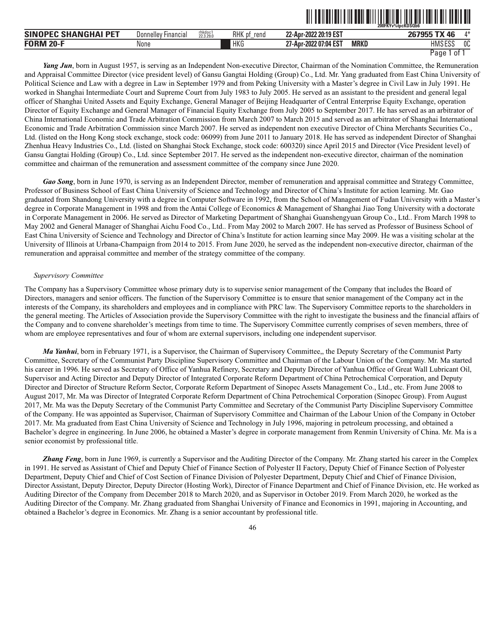| <b>SINOPEC SHANGHAI PET</b> | Donnel'<br>rınancıal | rhkdoc1<br>22.3.29.0 | <b>RHK</b><br>rend<br>n1 | -2022 20:19 EST<br>nn.<br>$\epsilon$ -Anr $\cdot$ |      | ---<br>ЛF<br>267955<br>тu | $A - L$      |
|-----------------------------|----------------------|----------------------|--------------------------|---------------------------------------------------|------|---------------------------|--------------|
| $20-F$<br><b>FORM</b>       | None                 |                      | <b>HKG</b>               | 207:04 EST<br>.2022<br>7-Anr<br>4 E.O. F          | MRKD | <b>HMSESS</b>             | $\sim$<br>υu |
|                             |                      |                      |                          |                                                   |      |                           |              |

*Yang Jun*, born in August 1957, is serving as an Independent Non-executive Director, Chairman of the Nomination Committee, the Remuneration and Appraisal Committee Director (vice president level) of Gansu Gangtai Holding (Group) Co., Ltd. Mr. Yang graduated from East China University of Political Science and Law with a degree in Law in September 1979 and from Peking University with a Master's degree in Civil Law in July 1991. He worked in Shanghai Intermediate Court and Supreme Court from July 1983 to July 2005. He served as an assistant to the president and general legal officer of Shanghai United Assets and Equity Exchange, General Manager of Beijing Headquarter of Central Enterprise Equity Exchange, operation Director of Equity Exchange and General Manager of Financial Equity Exchange from July 2005 to September 2017. He has served as an arbitrator of China International Economic and Trade Arbitration Commission from March 2007 to March 2015 and served as an arbitrator of Shanghai International Economic and Trade Arbitration Commission since March 2007. He served as independent non executive Director of China Merchants Securities Co., Ltd. (listed on the Hong Kong stock exchange, stock code: 06099) from June 2011 to January 2018. He has served as independent Director of Shanghai Zhenhua Heavy Industries Co., Ltd. (listed on Shanghai Stock Exchange, stock code: 600320) since April 2015 and Director (Vice President level) of Gansu Gangtai Holding (Group) Co., Ltd. since September 2017. He served as the independent non-executive director, chairman of the nomination committee and chairman of the remuneration and assessment committee of the company since June 2020.

*Gao Song*, born in June 1970, is serving as an Independent Director, member of remuneration and appraisal committee and Strategy Committee, Professor of Business School of East China University of Science and Technology and Director of China's Institute for action learning. Mr. Gao graduated from Shandong University with a degree in Computer Software in 1992, from the School of Management of Fudan University with a Master's degree in Corporate Management in 1998 and from the Antai College of Economics & Management of Shanghai Jiao Tong University with a doctorate in Corporate Management in 2006. He served as Director of Marketing Department of Shanghai Guanshengyuan Group Co., Ltd.. From March 1998 to May 2002 and General Manager of Shanghai Aichu Food Co., Ltd.. From May 2002 to March 2007. He has served as Professor of Business School of East China University of Science and Technology and Director of China's Institute for action learning since May 2009. He was a visiting scholar at the University of Illinois at Urbana-Champaign from 2014 to 2015. From June 2020, he served as the independent non-executive director, chairman of the remuneration and appraisal committee and member of the strategy committee of the company.

#### *Supervisory Committee*

The Company has a Supervisory Committee whose primary duty is to supervise senior management of the Company that includes the Board of Directors, managers and senior officers. The function of the Supervisory Committee is to ensure that senior management of the Company act in the interests of the Company, its shareholders and employees and in compliance with PRC law. The Supervisory Committee reports to the shareholders in the general meeting. The Articles of Association provide the Supervisory Committee with the right to investigate the business and the financial affairs of the Company and to convene shareholder's meetings from time to time. The Supervisory Committee currently comprises of seven members, three of whom are employee representatives and four of whom are external supervisors, including one independent supervisor.

*Ma Yanhui*, born in February 1971, is a Supervisor, the Chairman of Supervisory Committee,, the Deputy Secretary of the Communist Party Committee, Secretary of the Communist Party Discipline Supervisory Committee and Chairman of the Labour Union of the Company. Mr. Ma started his career in 1996. He served as Secretary of Office of Yanhua Refinery, Secretary and Deputy Director of Yanhua Office of Great Wall Lubricant Oil, Supervisor and Acting Director and Deputy Director of Integrated Corporate Reform Department of China Petrochemical Corporation, and Deputy Director and Director of Structure Reform Sector, Corporate Reform Department of Sinopec Assets Management Co., Ltd., etc. From June 2008 to August 2017, Mr. Ma was Director of Integrated Corporate Reform Department of China Petrochemical Corporation (Sinopec Group). From August 2017, Mr. Ma was the Deputy Secretary of the Communist Party Committee and Secretary of the Communist Party Discipline Supervisory Committee of the Company. He was appointed as Supervisor, Chairman of Supervisory Committee and Chairman of the Labour Union of the Company in October 2017. Mr. Ma graduated from East China University of Science and Technology in July 1996, majoring in petroleum processing, and obtained a Bachelor's degree in engineering. In June 2006, he obtained a Master's degree in corporate management from Renmin University of China. Mr. Ma is a senior economist by professional title.

*Zhang Feng*, born in June 1969, is currently a Supervisor and the Auditing Director of the Company. Mr. Zhang started his career in the Complex in 1991. He served as Assistant of Chief and Deputy Chief of Finance Section of Polyester II Factory, Deputy Chief of Finance Section of Polyester Department, Deputy Chief and Chief of Cost Section of Finance Division of Polyester Department, Deputy Chief and Chief of Finance Division, Director Assistant, Deputy Director, Deputy Director (Hosting Work), Director of Finance Department and Chief of Finance Division, etc. He worked as Auditing Director of the Company from December 2018 to March 2020, and as Supervisor in October 2019. From March 2020, he worked as the Auditing Director of the Company. Mr. Zhang graduated from Shanghai University of Finance and Economics in 1991, majoring in Accounting, and obtained a Bachelor's degree in Economics. Mr. Zhang is a senior accountant by professional title.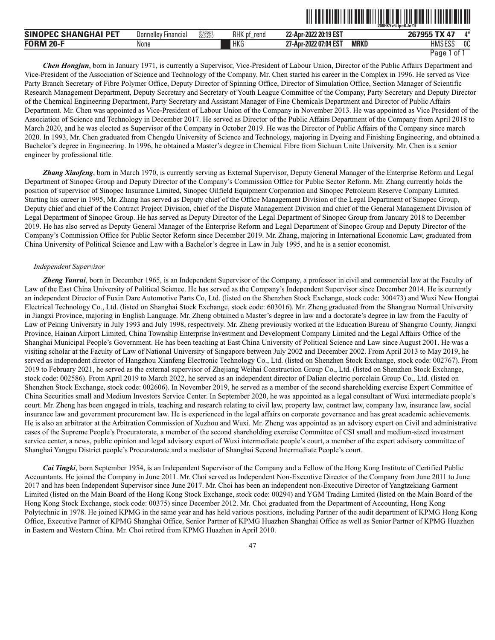| <b>SINOPEC SHANGHAI</b><br><b>PFT</b> | Donnellev<br>Financial | rhkdoc1<br>22.3.29.0 | <b>RHK</b><br>rena<br>nt | 2022 20:19 EST<br>nn.<br>∠z-Anr∴               |             | <b>TA</b><br>$-$ | $A \Delta L$ |
|---------------------------------------|------------------------|----------------------|--------------------------|------------------------------------------------|-------------|------------------|--------------|
| <b>FORM 20</b><br>7 I J-              | None                   |                      | <b>HKG</b>               | <b>207:04 EST</b><br>2022<br>Apr<br>. LJ '<br> | <b>MRKD</b> | <b>HMSESS</b>    | nr<br>υu     |
|                                       |                        |                      |                          |                                                |             |                  | - -          |

*Chen Hongjun*, born in January 1971, is currently a Supervisor, Vice-President of Labour Union, Director of the Public Affairs Department and Vice-President of the Association of Science and Technology of the Company. Mr. Chen started his career in the Complex in 1996. He served as Vice Party Branch Secretary of Fibre Polymer Office, Deputy Director of Spinning Office, Director of Simulation Office, Section Manager of Scientific Research Management Department, Deputy Secretary and Secretary of Youth League Committee of the Company, Party Secretary and Deputy Director of the Chemical Engineering Department, Party Secretary and Assistant Manager of Fine Chemicals Department and Director of Public Affairs Department. Mr. Chen was appointed as Vice-President of Labour Union of the Company in November 2013. He was appointed as Vice President of the Association of Science and Technology in December 2017. He served as Director of the Public Affairs Department of the Company from April 2018 to March 2020, and he was elected as Supervisor of the Company in October 2019. He was the Director of Public Affairs of the Company since march 2020. In 1993, Mr. Chen graduated from Chengdu University of Science and Technology, majoring in Dyeing and Finishing Engineering, and obtained a Bachelor's degree in Engineering. In 1996, he obtained a Master's degree in Chemical Fibre from Sichuan Unite University. Mr. Chen is a senior engineer by professional title.

*Zhang Xiaofeng*, born in March 1970, is currently serving as External Supervisor, Deputy General Manager of the Enterprise Reform and Legal Department of Sinopec Group and Deputy Director of the Company's Commission Office for Public Sector Reform. Mr. Zhang currently holds the position of supervisor of Sinopec Insurance Limited, Sinopec Oilfield Equipment Corporation and Sinopec Petroleum Reserve Company Limited. Starting his career in 1995, Mr. Zhang has served as Deputy chief of the Office Management Division of the Legal Department of Sinopec Group, Deputy chief and chief of the Contract Project Division, chief of the Dispute Management Division and chief of the General Management Division of Legal Department of Sinopec Group. He has served as Deputy Director of the Legal Department of Sinopec Group from January 2018 to December 2019. He has also served as Deputy General Manager of the Enterprise Reform and Legal Department of Sinopec Group and Deputy Director of the Company's Commission Office for Public Sector Reform since December 2019. Mr. Zhang, majoring in International Economic Law, graduated from China University of Political Science and Law with a Bachelor's degree in Law in July 1995, and he is a senior economist.

#### *Independent Supervisor*

*Zheng Yunrui*, born in December 1965, is an Independent Supervisor of the Company, a professor in civil and commercial law at the Faculty of Law of the East China University of Political Science. He has served as the Company's Independent Supervisor since December 2014. He is currently an independent Director of Fuxin Dare Automotive Parts Co, Ltd. (listed on the Shenzhen Stock Exchange, stock code: 300473) and Wuxi New Hongtai Electrical Technology Co., Ltd. (listed on Shanghai Stock Exchange, stock code: 603016). Mr. Zheng graduated from the Shangrao Normal University in Jiangxi Province, majoring in English Language. Mr. Zheng obtained a Master's degree in law and a doctorate's degree in law from the Faculty of Law of Peking University in July 1993 and July 1998, respectively. Mr. Zheng previously worked at the Education Bureau of Shangrao County, Jiangxi Province, Hainan Airport Limited, China Township Enterprise Investment and Development Company Limited and the Legal Affairs Office of the Shanghai Municipal People's Government. He has been teaching at East China University of Political Science and Law since August 2001. He was a visiting scholar at the Faculty of Law of National University of Singapore between July 2002 and December 2002. From April 2013 to May 2019, he served as independent director of Hangzhou Xianfeng Electronic Technology Co., Ltd. (listed on Shenzhen Stock Exchange, stock code: 002767). From 2019 to February 2021, he served as the external supervisor of Zhejiang Weihai Construction Group Co., Ltd. (listed on Shenzhen Stock Exchange, stock code: 002586). From April 2019 to March 2022, he served as an independent director of Dalian electric porcelain Group Co., Ltd. (listed on Shenzhen Stock Exchange, stock code: 002606). In November 2019, he served as a member of the second shareholding exercise Expert Committee of China Securities small and Medium Investors Service Center. In September 2020, he was appointed as a legal consultant of Wuxi intermediate people's court. Mr. Zheng has been engaged in trials, teaching and research relating to civil law, property law, contract law, company law, insurance law, social insurance law and government procurement law. He is experienced in the legal affairs on corporate governance and has great academic achievements. He is also an arbitrator at the Arbitration Commission of Xuzhou and Wuxi. Mr. Zheng was appointed as an advisory expert on Civil and administrative cases of the Supreme People's Procuratorate, a member of the second shareholding exercise Committee of CSI small and medium-sized investment service center, a news, public opinion and legal advisory expert of Wuxi intermediate people's court, a member of the expert advisory committee of Shanghai Yangpu District people's Procuratorate and a mediator of Shanghai Second Intermediate People's court.

*Cai Tingki*, born September 1954, is an Independent Supervisor of the Company and a Fellow of the Hong Kong Institute of Certified Public Accountants. He joined the Company in June 2011. Mr. Choi served as Independent Non-Executive Director of the Company from June 2011 to June 2017 and has been Independent Supervisor since June 2017. Mr. Choi has been an independent non-Executive Director of Yangtzekiang Garment Limited (listed on the Main Board of the Hong Kong Stock Exchange, stock code: 00294) and YGM Trading Limited (listed on the Main Board of the Hong Kong Stock Exchange, stock code: 00375) since December 2012. Mr. Choi graduated from the Department of Accounting, Hong Kong Polytechnic in 1978. He joined KPMG in the same year and has held various positions, including Partner of the audit department of KPMG Hong Kong Office, Executive Partner of KPMG Shanghai Office, Senior Partner of KPMG Huazhen Shanghai Office as well as Senior Partner of KPMG Huazhen in Eastern and Western China. Mr. Choi retired from KPMG Huazhen in April 2010.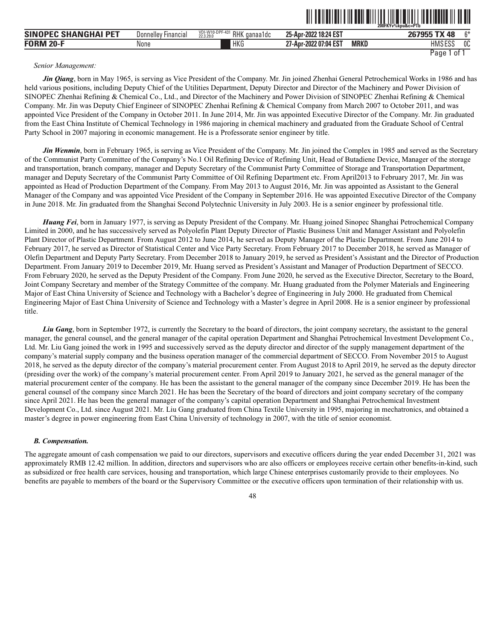|                                  |                                      |                                                | 200FKYv%kpu&c=PTb                              |                                          |  |  |
|----------------------------------|--------------------------------------|------------------------------------------------|------------------------------------------------|------------------------------------------|--|--|
| <b>SINOPEC SHANGHAL</b><br>, PFT | <b>Financial</b><br><b>Donnelley</b> | VDI-W10-DPH<br>RHK<br>. ganaa Idc<br>22.3.29.0 | 18:24 EST<br>25-Apr-<br>$-2022$                | $\sim$<br><b>TX 48</b><br><b>2679551</b> |  |  |
| <b>FORM 20-F</b>                 | None                                 | <b>HKG</b>                                     | <b>MRKD</b><br>2 07:04 EST<br>$-202z$<br>/-Apr | <b>HMSESS</b><br>0C                      |  |  |

```
Page 1 of 1
```
<u>oli toiluttuittiin on valtitti tiiloituitti luotiaan oli tuoll</u>

## *Senior Management:*

*Jin Qiang*, born in May 1965, is serving as Vice President of the Company. Mr. Jin joined Zhenhai General Petrochemical Works in 1986 and has held various positions, including Deputy Chief of the Utilities Department, Deputy Director and Director of the Machinery and Power Division of SINOPEC Zhenhai Refining & Chemical Co., Ltd., and Director of the Machinery and Power Division of SINOPEC Zhenhai Refining & Chemical Company. Mr. Jin was Deputy Chief Engineer of SINOPEC Zhenhai Refining & Chemical Company from March 2007 to October 2011, and was appointed Vice President of the Company in October 2011. In June 2014, Mr. Jin was appointed Executive Director of the Company. Mr. Jin graduated from the East China Institute of Chemical Technology in 1986 majoring in chemical machinery and graduated from the Graduate School of Central Party School in 2007 majoring in economic management. He is a Professorate senior engineer by title.

*Jin Wenmin*, born in February 1965, is serving as Vice President of the Company. Mr. Jin joined the Complex in 1985 and served as the Secretary of the Communist Party Committee of the Company's No.1 Oil Refining Device of Refining Unit, Head of Butadiene Device, Manager of the storage and transportation, branch company, manager and Deputy Secretary of the Communist Party Committee of Storage and Transportation Department, manager and Deputy Secretary of the Communist Party Committee of Oil Refining Department etc. From April2013 to February 2017, Mr. Jin was appointed as Head of Production Department of the Company. From May 2013 to August 2016, Mr. Jin was appointed as Assistant to the General Manager of the Company and was appointed Vice President of the Company in September 2016. He was appointed Executive Director of the Company in June 2018. Mr. Jin graduated from the Shanghai Second Polytechnic University in July 2003. He is a senior engineer by professional title.

*Huang Fei*, born in January 1977, is serving as Deputy President of the Company. Mr. Huang joined Sinopec Shanghai Petrochemical Company Limited in 2000, and he has successively served as Polyolefin Plant Deputy Director of Plastic Business Unit and Manager Assistant and Polyolefin Plant Director of Plastic Department. From August 2012 to June 2014, he served as Deputy Manager of the Plastic Department. From June 2014 to February 2017, he served as Director of Statistical Center and Vice Party Secretary. From February 2017 to December 2018, he served as Manager of Olefin Department and Deputy Party Secretary. From December 2018 to January 2019, he served as President's Assistant and the Director of Production Department. From January 2019 to December 2019, Mr. Huang served as President's Assistant and Manager of Production Department of SECCO. From February 2020, he served as the Deputy President of the Company. From June 2020, he served as the Executive Director, Secretary to the Board, Joint Company Secretary and member of the Strategy Committee of the company. Mr. Huang graduated from the Polymer Materials and Engineering Major of East China University of Science and Technology with a Bachelor's degree of Engineering in July 2000. He graduated from Chemical Engineering Major of East China University of Science and Technology with a Master's degree in April 2008. He is a senior engineer by professional title.

*Liu Gang*, born in September 1972, is currently the Secretary to the board of directors, the joint company secretary, the assistant to the general manager, the general counsel, and the general manager of the capital operation Department and Shanghai Petrochemical Investment Development Co., Ltd. Mr. Liu Gang joined the work in 1995 and successively served as the deputy director and director of the supply management department of the company's material supply company and the business operation manager of the commercial department of SECCO. From November 2015 to August 2018, he served as the deputy director of the company's material procurement center. From August 2018 to April 2019, he served as the deputy director (presiding over the work) of the company's material procurement center. From April 2019 to January 2021, he served as the general manager of the material procurement center of the company. He has been the assistant to the general manager of the company since December 2019. He has been the general counsel of the company since March 2021. He has been the Secretary of the board of directors and joint company secretary of the company since April 2021. He has been the general manager of the company's capital operation Department and Shanghai Petrochemical Investment Development Co., Ltd. since August 2021. Mr. Liu Gang graduated from China Textile University in 1995, majoring in mechatronics, and obtained a master's degree in power engineering from East China University of technology in 2007, with the title of senior economist.

# *B. Compensation.*

The aggregate amount of cash compensation we paid to our directors, supervisors and executive officers during the year ended December 31, 2021 was approximately RMB 12.42 million. In addition, directors and supervisors who are also officers or employees receive certain other benefits-in-kind, such as subsidized or free health care services, housing and transportation, which large Chinese enterprises customarily provide to their employees. No benefits are payable to members of the board or the Supervisory Committee or the executive officers upon termination of their relationship with us.

48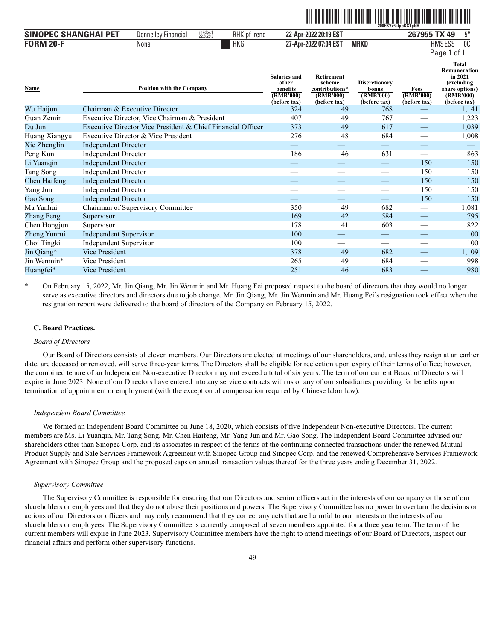# ˆ200FKYv%tpcKXTpbHŠ **200FKYv%tpcKXTpbH**

| <b>HMSESS</b><br><b>HKG</b><br><b>MRKD</b><br>1.52<br>nп<br><b>FORM</b><br>$20-F$<br>2 07:04 E<br>ייריטה<br>None<br>'7-Apr<br>7117<br>. . LJ '<br>۔ ت ت | <b>SINOPEC SHANGHAI PET</b> | · <b>Inancial</b><br>Jon<br>ınellev | rhkdoc <sup>1</sup><br>22.3.29.0 | RHK<br>rend | -2022 20:19 EST<br>nn <sub>i</sub><br>2-Apr | ДС<br><b>START</b> | <b>FM</b><br> |
|---------------------------------------------------------------------------------------------------------------------------------------------------------|-----------------------------|-------------------------------------|----------------------------------|-------------|---------------------------------------------|--------------------|---------------|
|                                                                                                                                                         |                             |                                     |                                  |             |                                             |                    | 0C            |

Page 1 of 1

**Total**

| Name              | <b>Position with the Company</b>                            | Salaries and<br>other<br>benefits<br>(RMB'000)<br>(before tax) | <b>Retirement</b><br>scheme<br>contributions*<br>(RMB'000)<br>(before tax) | <b>Discretionary</b><br>bonus<br>(RMB'000)<br>(before tax) | Fees<br>(RMB'000)<br>(before tax) | Total<br><b>Remuneration</b><br>in 2021<br><i>(excluding)</i><br>share options)<br>(RMB'000)<br>(before tax) |
|-------------------|-------------------------------------------------------------|----------------------------------------------------------------|----------------------------------------------------------------------------|------------------------------------------------------------|-----------------------------------|--------------------------------------------------------------------------------------------------------------|
| Wu Haijun         | Chairman & Executive Director                               | 324                                                            | 49                                                                         | 768                                                        |                                   | 1,141                                                                                                        |
| Guan Zemin        | Executive Director, Vice Chairman & President               | 407                                                            | 49                                                                         | 767                                                        |                                   | 1,223                                                                                                        |
| Du Jun            | Executive Director Vice President & Chief Financial Officer | 373                                                            | 49                                                                         | 617                                                        |                                   | 1,039                                                                                                        |
| Huang Xiangyu     | Executive Director & Vice President                         | 276                                                            | 48                                                                         | 684                                                        |                                   | 1,008                                                                                                        |
| Xie Zhenglin      | Independent Director                                        |                                                                |                                                                            |                                                            |                                   |                                                                                                              |
| Peng Kun          | <b>Independent Director</b>                                 | 186                                                            | 46                                                                         | 631                                                        |                                   | 863                                                                                                          |
| Li Yuanqin        | <b>Independent Director</b>                                 |                                                                |                                                                            |                                                            | 150                               | 150                                                                                                          |
| Tang Song         | <b>Independent Director</b>                                 |                                                                |                                                                            | __                                                         | 150                               | 150                                                                                                          |
| Chen Haifeng      | Independent Director                                        |                                                                |                                                                            |                                                            | 150                               | 150                                                                                                          |
| Yang Jun          | <b>Independent Director</b>                                 |                                                                |                                                                            |                                                            | 150                               | 150                                                                                                          |
| Gao Song          | Independent Director                                        |                                                                |                                                                            |                                                            | 150                               | 150                                                                                                          |
| Ma Yanhui         | Chairman of Supervisory Committee                           | 350                                                            | 49                                                                         | 682                                                        |                                   | 1,081                                                                                                        |
| <b>Zhang Feng</b> | Supervisor                                                  | 169                                                            | 42                                                                         | 584                                                        |                                   | 795                                                                                                          |
| Chen Hongjun      | Supervisor                                                  | 178                                                            | 41                                                                         | 603                                                        |                                   | 822                                                                                                          |
| Zheng Yunrui      | Independent Supervisor                                      | 100                                                            |                                                                            |                                                            |                                   | 100                                                                                                          |
| Choi Tingki       | Independent Supervisor                                      | 100                                                            |                                                                            |                                                            |                                   | 100                                                                                                          |
| Jin Qiang*        | Vice President                                              | 378                                                            | 49                                                                         | 682                                                        |                                   | 1,109                                                                                                        |
| Jin Wenmin*       | Vice President                                              | 265                                                            | 49                                                                         | 684                                                        |                                   | 998                                                                                                          |
| Huangfei*         | <b>Vice President</b>                                       | 251                                                            | 46                                                                         | 683                                                        |                                   | 980                                                                                                          |

On February 15, 2022, Mr. Jin Qiang, Mr. Jin Wenmin and Mr. Huang Fei proposed request to the board of directors that they would no longer serve as executive directors and directors due to job change. Mr. Jin Qiang, Mr. Jin Wenmin and Mr. Huang Fei's resignation took effect when the resignation report were delivered to the board of directors of the Company on February 15, 2022.

#### **C. Board Practices.**

#### *Board of Directors*

Our Board of Directors consists of eleven members. Our Directors are elected at meetings of our shareholders, and, unless they resign at an earlier date, are deceased or removed, will serve three-year terms. The Directors shall be eligible for reelection upon expiry of their terms of office; however, the combined tenure of an Independent Non-executive Director may not exceed a total of six years. The term of our current Board of Directors will expire in June 2023. None of our Directors have entered into any service contracts with us or any of our subsidiaries providing for benefits upon termination of appointment or employment (with the exception of compensation required by Chinese labor law).

#### *Independent Board Committee*

We formed an Independent Board Committee on June 18, 2020, which consists of five Independent Non-executive Directors. The current members are Ms. Li Yuanqin, Mr. Tang Song, Mr. Chen Haifeng, Mr. Yang Jun and Mr. Gao Song. The Independent Board Committee advised our shareholders other than Sinopec Corp. and its associates in respect of the terms of the continuing connected transactions under the renewed Mutual Product Supply and Sale Services Framework Agreement with Sinopec Group and Sinopec Corp. and the renewed Comprehensive Services Framework Agreement with Sinopec Group and the proposed caps on annual transaction values thereof for the three years ending December 31, 2022.

# *Supervisory Committee*

The Supervisory Committee is responsible for ensuring that our Directors and senior officers act in the interests of our company or those of our shareholders or employees and that they do not abuse their positions and powers. The Supervisory Committee has no power to overturn the decisions or actions of our Directors or officers and may only recommend that they correct any acts that are harmful to our interests or the interests of our shareholders or employees. The Supervisory Committee is currently composed of seven members appointed for a three year term. The term of the current members will expire in June 2023. Supervisory Committee members have the right to attend meetings of our Board of Directors, inspect our financial affairs and perform other supervisory functions.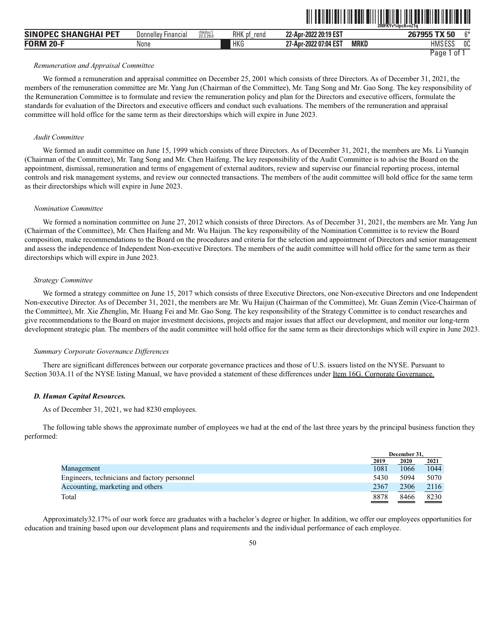|                           |                                     |                     |                            | ----                                      | 200FKYv%tpcK=vZ1q |        |
|---------------------------|-------------------------------------|---------------------|----------------------------|-------------------------------------------|-------------------|--------|
| , DFT<br>SIN <sup>-</sup> | <b>Donnelle</b><br><b>Financial</b> | rhkdoc<br>22.3.29.0 | RHK<br>reno<br>. nt<br>$-$ | -2022 20:19 EST<br>nn<br>'2-Anr-          | TX 50<br>הרחה     | $\sim$ |
| M 20-<br><b>FORM</b>      | None                                |                     | IIVC<br>nnu                | <b>MRKD</b><br>∠ 07:04 EST<br>27-Apr-2022 | <b>HMSESS</b>     | 0C     |

<u>oli toiluttuittiin oli olittiin ja liittomaalin linnattoit</u>

Page 1 of 1

#### *Remuneration and Appraisal Committee*

We formed a remuneration and appraisal committee on December 25, 2001 which consists of three Directors. As of December 31, 2021, the members of the remuneration committee are Mr. Yang Jun (Chairman of the Committee), Mr. Tang Song and Mr. Gao Song. The key responsibility of the Remuneration Committee is to formulate and review the remuneration policy and plan for the Directors and executive officers, formulate the standards for evaluation of the Directors and executive officers and conduct such evaluations. The members of the remuneration and appraisal committee will hold office for the same term as their directorships which will expire in June 2023.

#### *Audit Committee*

We formed an audit committee on June 15, 1999 which consists of three Directors. As of December 31, 2021, the members are Ms. Li Yuanqin (Chairman of the Committee), Mr. Tang Song and Mr. Chen Haifeng. The key responsibility of the Audit Committee is to advise the Board on the appointment, dismissal, remuneration and terms of engagement of external auditors, review and supervise our financial reporting process, internal controls and risk management systems, and review our connected transactions. The members of the audit committee will hold office for the same term as their directorships which will expire in June 2023.

#### *Nomination Committee*

We formed a nomination committee on June 27, 2012 which consists of three Directors. As of December 31, 2021, the members are Mr. Yang Jun (Chairman of the Committee), Mr. Chen Haifeng and Mr. Wu Haijun. The key responsibility of the Nomination Committee is to review the Board composition, make recommendations to the Board on the procedures and criteria for the selection and appointment of Directors and senior management and assess the independence of Independent Non-executive Directors. The members of the audit committee will hold office for the same term as their directorships which will expire in June 2023.

## *Strategy Committee*

We formed a strategy committee on June 15, 2017 which consists of three Executive Directors, one Non-executive Directors and one Independent Non-executive Director. As of December 31, 2021, the members are Mr. Wu Haijun (Chairman of the Committee), Mr. Guan Zemin (Vice-Chairman of the Committee), Mr. Xie Zhenglin, Mr. Huang Fei and Mr. Gao Song. The key responsibility of the Strategy Committee is to conduct researches and give recommendations to the Board on major investment decisions, projects and major issues that affect our development, and monitor our long-term development strategic plan. The members of the audit committee will hold office for the same term as their directorships which will expire in June 2023.

#### *Summary Corporate Governance Differences*

There are significant differences between our corporate governance practices and those of U.S. issuers listed on the NYSE. Pursuant to Section 303A.11 of the NYSE listing Manual, we have provided a statement of these differences under Item 16G. Corporate Governance.

#### *D. Human Capital Resources.*

As of December 31, 2021, we had 8230 employees.

The following table shows the approximate number of employees we had at the end of the last three years by the principal business function they performed:

|                                              |      | December 31. |      |
|----------------------------------------------|------|--------------|------|
|                                              | 2019 | 2020         | 2021 |
| Management                                   | 1081 | 1066         | 1044 |
| Engineers, technicians and factory personnel | 5430 | 5094         | 5070 |
| Accounting, marketing and others             | 2367 | 2306         | 2116 |
| Total                                        | 8878 | 8466         | 8230 |

Approximately32.17% of our work force are graduates with a bachelor's degree or higher. In addition, we offer our employees opportunities for education and training based upon our development plans and requirements and the individual performance of each employee.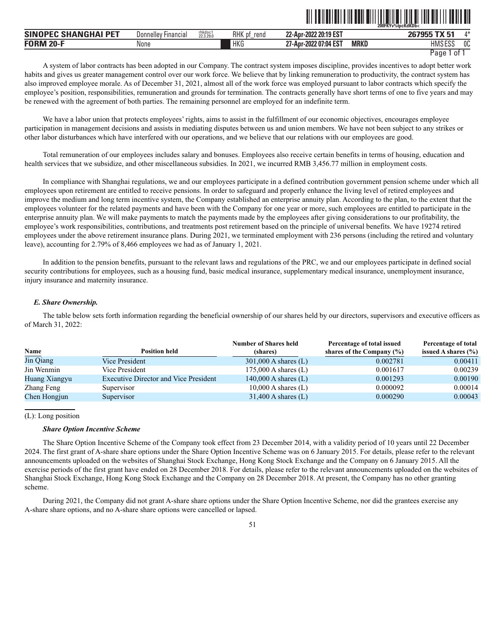| <b>SINOPEC SHANGHAI PET</b> | ·inancial<br>Donnellev | rhkdoc1<br>22.3.29.0 | RHK<br>rend<br>Dt | -2022 20:19 EST<br>nn.<br>∠∠-Apr-‴        |             | ------<br><b>003051</b><br>v | $A - L$      |
|-----------------------------|------------------------|----------------------|-------------------|-------------------------------------------|-------------|------------------------------|--------------|
| <b>FORM 20-F</b>            | None                   |                      | IUVC<br><b>NV</b> | -2022 07:04 EST<br>$\sim$<br>-Anr-<br>LI- | <b>MRKD</b> | <b>HMSESS</b>                | $\sim$<br>υu |
|                             |                        |                      |                   |                                           |             |                              |              |

A system of labor contracts has been adopted in our Company. The contract system imposes discipline, provides incentives to adopt better work habits and gives us greater management control over our work force. We believe that by linking remuneration to productivity, the contract system has also improved employee morale. As of December 31, 2021, almost all of the work force was employed pursuant to labor contracts which specify the employee's position, responsibilities, remuneration and grounds for termination. The contracts generally have short terms of one to five years and may be renewed with the agreement of both parties. The remaining personnel are employed for an indefinite term.

We have a labor union that protects employees' rights, aims to assist in the fulfillment of our economic objectives, encourages employee participation in management decisions and assists in mediating disputes between us and union members. We have not been subject to any strikes or other labor disturbances which have interfered with our operations, and we believe that our relations with our employees are good.

Total remuneration of our employees includes salary and bonuses. Employees also receive certain benefits in terms of housing, education and health services that we subsidize, and other miscellaneous subsidies. In 2021, we incurred RMB 3,456.77 million in employment costs.

In compliance with Shanghai regulations, we and our employees participate in a defined contribution government pension scheme under which all employees upon retirement are entitled to receive pensions. In order to safeguard and properly enhance the living level of retired employees and improve the medium and long term incentive system, the Company established an enterprise annuity plan. According to the plan, to the extent that the employees volunteer for the related payments and have been with the Company for one year or more, such employees are entitled to participate in the enterprise annuity plan. We will make payments to match the payments made by the employees after giving considerations to our profitability, the employee's work responsibilities, contributions, and treatments post retirement based on the principle of universal benefits. We have 19274 retired employees under the above retirement insurance plans. During 2021, we terminated employment with 236 persons (including the retired and voluntary leave), accounting for 2.79% of 8,466 employees we had as of January 1, 2021.

In addition to the pension benefits, pursuant to the relevant laws and regulations of the PRC, we and our employees participate in defined social security contributions for employees, such as a housing fund, basic medical insurance, supplementary medical insurance, unemployment insurance, injury insurance and maternity insurance.

## *E. Share Ownership.*

The table below sets forth information regarding the beneficial ownership of our shares held by our directors, supervisors and executive officers as of March 31, 2022:

|               |                                              | <b>Number of Shares held</b> | Percentage of total issued    | Percentage of total     |
|---------------|----------------------------------------------|------------------------------|-------------------------------|-------------------------|
| Name          | <b>Position held</b>                         | (shares)                     | shares of the Company $(\% )$ | issued A shares $(\% )$ |
| Jin Qiang     | Vice President                               | $301,000$ A shares (L)       | 0.002781                      | 0.00411                 |
| Jin Wenmin    | Vice President                               | 175,000 A shares (L)         | 0.001617                      | 0.00239                 |
| Huang Xiangyu | <b>Executive Director and Vice President</b> | $140,000$ A shares (L)       | 0.001293                      | 0.00190                 |
| Zhang Feng    | Supervisor                                   | $10,000$ A shares (L)        | 0.000092                      | 0.00014                 |
| Chen Hongjun  | Supervisor                                   | $31,400$ A shares (L)        | 0.000290                      | 0.00043                 |

#### (L): Long position

#### *Share Option Incentive Scheme*

The Share Option Incentive Scheme of the Company took effect from 23 December 2014, with a validity period of 10 years until 22 December 2024. The first grant of A-share share options under the Share Option Incentive Scheme was on 6 January 2015. For details, please refer to the relevant announcements uploaded on the websites of Shanghai Stock Exchange, Hong Kong Stock Exchange and the Company on 6 January 2015. All the exercise periods of the first grant have ended on 28 December 2018. For details, please refer to the relevant announcements uploaded on the websites of Shanghai Stock Exchange, Hong Kong Stock Exchange and the Company on 28 December 2018. At present, the Company has no other granting scheme.

During 2021, the Company did not grant A-share share options under the Share Option Incentive Scheme, nor did the grantees exercise any A-share share options, and no A-share share options were cancelled or lapsed.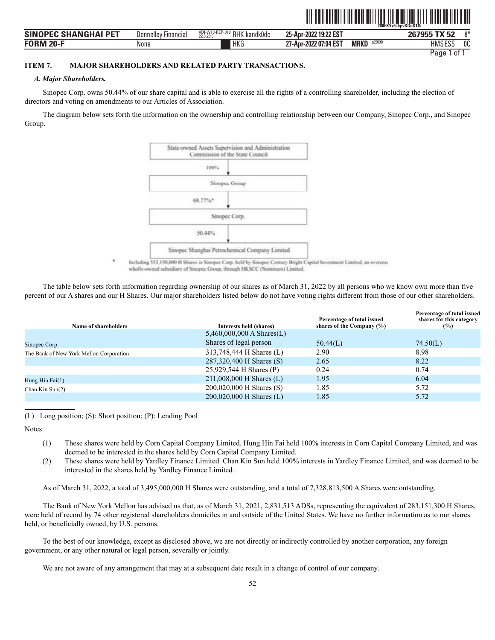|                             |                     |                                              |                       |                       | 200FKYv%knvSGcST& |    |
|-----------------------------|---------------------|----------------------------------------------|-----------------------|-----------------------|-------------------|----|
| <b>SINOPEC SHANGHAI PET</b> | Donnellev Financial | VDI-W10-REP-018 RHK<br>kandkOdc<br>22.3.29.0 | 25-Apr-2022 19:22 EST |                       | 267955 TX 52      | 0* |
| <b>FORM 20-F</b>            | None                | HKG                                          | 27-Apr-2022 07:04 EST | a29i90<br><b>MRKD</b> | <b>HMSESS</b>     | 0C |

<u>oli od Ilonijo i u ilo do ilo nili i u u ili dogi i u ili ilo ilo ilo ilo ilo dol</u>

# **ITEM 7. MAJOR SHAREHOLDERS AND RELATED PARTY TRANSACTIONS.**

## *A. Major Shareholders.*

Sinopec Corp. owns 50.44% of our share capital and is able to exercise all the rights of a controlling shareholder, including the election of directors and voting on amendments to our Articles of Association.

The diagram below sets forth the information on the ownership and controlling relationship between our Company, Sinopec Corp., and Sinopec Group.



Including 553,150,000 H Shares in Sinopec Corp. held by Sinopec Century Bright Capital Investment Limited, an overseas wholly-owned subsidiary of Sinopec Group, through HKSCC (Nominees) Limited.

The table below sets forth information regarding ownership of our shares as of March 31, 2022 by all persons who we know own more than five percent of our A shares and our H Shares. Our major shareholders listed below do not have voting rights different from those of our other shareholders.

| Name of shareholders                    | Interests held (shares)    | Percentage of total issued<br>shares of the Company $(\% )$ | Percentage of total issued<br>shares for this category<br>$(\%)$ |
|-----------------------------------------|----------------------------|-------------------------------------------------------------|------------------------------------------------------------------|
|                                         | 5,460,000,000 A Shares(L)  |                                                             |                                                                  |
| Sinopec Corp.                           | Shares of legal person     | 50.44(L)                                                    | 74.50(L)                                                         |
| The Bank of New York Mellon Corporation | 313,748,444 H Shares (L)   | 2.90                                                        | 8.98                                                             |
|                                         | 287,320,400 H Shares (S)   | 2.65                                                        | 8.22                                                             |
|                                         | 25,929,544 H Shares (P)    | 0.24                                                        | 0.74                                                             |
| Hung Hin $Fai(1)$                       | $211,008,000$ H Shares (L) | 1.95                                                        | 6.04                                                             |
| Chan Kin Sun $(2)$                      | 200,020,000 H Shares (S)   | 1.85                                                        | 5.72                                                             |
|                                         | $200,020,000$ H Shares (L) | 1.85                                                        | 5.72                                                             |

(L) : Long position; (S): Short position; (P): Lending Pool

Notes:

- (1) These shares were held by Corn Capital Company Limited. Hung Hin Fai held 100% interests in Corn Capital Company Limited, and was deemed to be interested in the shares held by Corn Capital Company Limited.
- (2) These shares were held by Yardley Finance Limited. Chan Kin Sun held 100% interests in Yardley Finance Limited, and was deemed to be interested in the shares held by Yardley Finance Limited.

As of March 31, 2022, a total of 3,495,000,000 H Shares were outstanding, and a total of 7,328,813,500 A Shares were outstanding.

The Bank of New York Mellon has advised us that, as of March 31, 2021, 2,831,513 ADSs, representing the equivalent of 283,151,300 H Shares, were held of record by 74 other registered shareholders domiciles in and outside of the United States. We have no further information as to our shares held, or beneficially owned, by U.S. persons.

To the best of our knowledge, except as disclosed above, we are not directly or indirectly controlled by another corporation, any foreign government, or any other natural or legal person, severally or jointly.

We are not aware of any arrangement that may at a subsequent date result in a change of control of our company.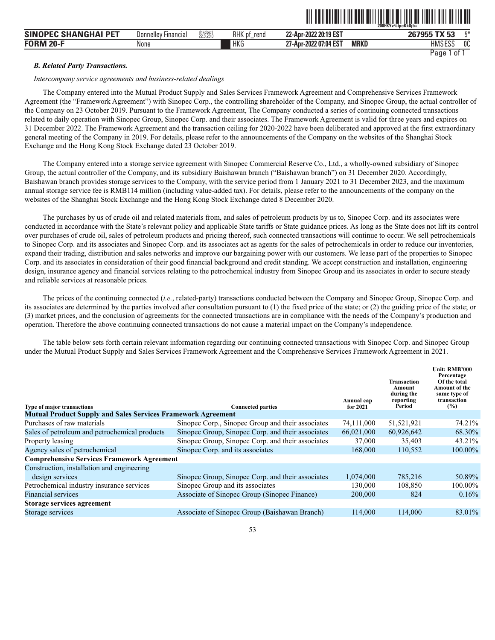|                                              |                        |                       |                         | --------                                       | 200FKYv%tpcKk8ib+<br>.           |              |
|----------------------------------------------|------------------------|-----------------------|-------------------------|------------------------------------------------|----------------------------------|--------------|
| <b>SHANGHAI</b><br><b>PFT</b><br><b>SINC</b> | Donnelley<br>Financial | rhkdoc î<br>22.3.29.0 | RHK<br>rend<br>.nt<br>- | 20:19 EST<br>nn<br>-2022<br>∠2-Apr             | T1<br><b>OCJOFF</b><br>ZU.<br>-- | <b>FM</b>    |
| <b>FORM</b><br>20 E                          | None                   |                       | <b>HKG</b>              | 2 07:04 EST<br>nп<br>202 <sub>4</sub><br>7-Anr | <b>HMSESS</b><br><b>MRKD</b>     | $\sim$<br>υu |

<u>oli toiluttuittiin on mitteluittoi liitoi tulisti tillisti tul</u>

## *B. Related Party Transactions.*

*Intercompany service agreements and business-related dealings*

The Company entered into the Mutual Product Supply and Sales Services Framework Agreement and Comprehensive Services Framework Agreement (the "Framework Agreement") with Sinopec Corp., the controlling shareholder of the Company, and Sinopec Group, the actual controller of the Company on 23 October 2019. Pursuant to the Framework Agreement, The Company conducted a series of continuing connected transactions related to daily operation with Sinopec Group, Sinopec Corp. and their associates. The Framework Agreement is valid for three years and expires on 31 December 2022. The Framework Agreement and the transaction ceiling for 2020-2022 have been deliberated and approved at the first extraordinary general meeting of the Company in 2019. For details, please refer to the announcements of the Company on the websites of the Shanghai Stock Exchange and the Hong Kong Stock Exchange dated 23 October 2019.

The Company entered into a storage service agreement with Sinopec Commercial Reserve Co., Ltd., a wholly-owned subsidiary of Sinopec Group, the actual controller of the Company, and its subsidiary Baishawan branch ("Baishawan branch") on 31 December 2020. Accordingly, Baishawan branch provides storage services to the Company, with the service period from 1 January 2021 to 31 December 2023, and the maximum annual storage service fee is RMB114 million (including value-added tax). For details, please refer to the announcements of the company on the websites of the Shanghai Stock Exchange and the Hong Kong Stock Exchange dated 8 December 2020.

The purchases by us of crude oil and related materials from, and sales of petroleum products by us to, Sinopec Corp. and its associates were conducted in accordance with the State's relevant policy and applicable State tariffs or State guidance prices. As long as the State does not lift its control over purchases of crude oil, sales of petroleum products and pricing thereof, such connected transactions will continue to occur. We sell petrochemicals to Sinopec Corp. and its associates and Sinopec Corp. and its associates act as agents for the sales of petrochemicals in order to reduce our inventories, expand their trading, distribution and sales networks and improve our bargaining power with our customers. We lease part of the properties to Sinopec Corp. and its associates in consideration of their good financial background and credit standing. We accept construction and installation, engineering design, insurance agency and financial services relating to the petrochemical industry from Sinopec Group and its associates in order to secure steady and reliable services at reasonable prices.

The prices of the continuing connected (*i.e.*, related-party) transactions conducted between the Company and Sinopec Group, Sinopec Corp. and its associates are determined by the parties involved after consultation pursuant to (1) the fixed price of the state; or (2) the guiding price of the state; or (3) market prices, and the conclusion of agreements for the connected transactions are in compliance with the needs of the Company's production and operation. Therefore the above continuing connected transactions do not cause a material impact on the Company's independence.

The table below sets forth certain relevant information regarding our continuing connected transactions with Sinopec Corp. and Sinopec Group under the Mutual Product Supply and Sales Services Framework Agreement and the Comprehensive Services Framework Agreement in 2021.

| Type of major transactions                                          | <b>Connected parties</b>                          | Annual cap<br>for $2021$ | Transaction<br>Amount<br>during the<br>reporting<br>Period | Unit: RMB'000<br>Percentage<br>Of the total<br>Amount of the<br>same type of<br>transaction<br>(%) |
|---------------------------------------------------------------------|---------------------------------------------------|--------------------------|------------------------------------------------------------|----------------------------------------------------------------------------------------------------|
| <b>Mutual Product Supply and Sales Services Framework Agreement</b> |                                                   |                          |                                                            |                                                                                                    |
| Purchases of raw materials                                          | Sinopec Corp., Sinopec Group and their associates | 74,111,000               | 51,521,921                                                 | 74.21%                                                                                             |
| Sales of petroleum and petrochemical products                       | Sinopec Group, Sinopec Corp. and their associates | 66,021,000               | 60,926,642                                                 | 68.30%                                                                                             |
| Property leasing                                                    | Sinopec Group, Sinopec Corp. and their associates | 37,000                   | 35,403                                                     | 43.21%                                                                                             |
| Agency sales of petrochemical                                       | Sinopec Corp. and its associates                  | 168,000                  | 110,552                                                    | $100.00\%$                                                                                         |
| <b>Comprehensive Services Framework Agreement</b>                   |                                                   |                          |                                                            |                                                                                                    |
| Construction, installation and engineering                          |                                                   |                          |                                                            |                                                                                                    |
| design services                                                     | Sinopec Group, Sinopec Corp. and their associates | 1,074,000                | 785,216                                                    | 50.89%                                                                                             |
| Petrochemical industry insurance services                           | Sinopec Group and its associates                  | 130,000                  | 108,850                                                    | $100.00\%$                                                                                         |
| <b>Financial services</b>                                           | Associate of Sinopec Group (Sinopec Finance)      | 200,000                  | 824                                                        | $0.16\%$                                                                                           |
| Storage services agreement                                          |                                                   |                          |                                                            |                                                                                                    |
| Storage services                                                    | Associate of Sinopec Group (Baishawan Branch)     | 114,000                  | 114,000                                                    | 83.01%                                                                                             |
|                                                                     |                                                   |                          |                                                            |                                                                                                    |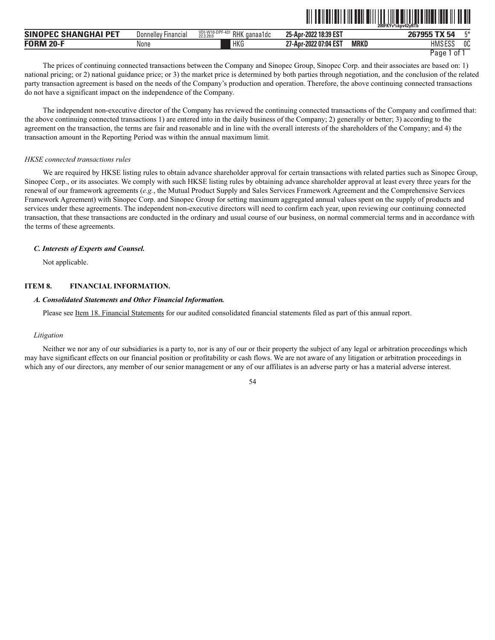| <b>SINOPEC SHANGHAI PET</b> | ≻ınancıal<br>Donnelley | $\sqrt{D}$<br>$0 - DPF -$<br>RHK<br>V DI-VV I<br>qanaaldo<br>22.3.29.0 | 18:39 ES1<br><b>OF</b><br>$-2022$<br>$v_{\text{b-ADI}}$ | ZU          | <b>OCTOER TV EA</b><br>ь/і<br>~ | $ -$<br>ъ.   |
|-----------------------------|------------------------|------------------------------------------------------------------------|---------------------------------------------------------|-------------|---------------------------------|--------------|
| <b>FORM 20-F</b>            | None                   | <b>HKG</b>                                                             | ∠07:04 EST<br>.202<br>/-Apr<br>. EJ 5                   | <b>MRKD</b> | <b>HMSESS</b>                   | $\sim$<br>υu |
|                             |                        |                                                                        |                                                         |             | _                               |              |

The prices of continuing connected transactions between the Company and Sinopec Group, Sinopec Corp. and their associates are based on: 1) national pricing; or 2) national guidance price; or 3) the market price is determined by both parties through negotiation, and the conclusion of the related party transaction agreement is based on the needs of the Company's production and operation. Therefore, the above continuing connected transactions do not have a significant impact on the independence of the Company.

The independent non-executive director of the Company has reviewed the continuing connected transactions of the Company and confirmed that: the above continuing connected transactions 1) are entered into in the daily business of the Company; 2) generally or better; 3) according to the agreement on the transaction, the terms are fair and reasonable and in line with the overall interests of the shareholders of the Company; and 4) the transaction amount in the Reporting Period was within the annual maximum limit.

## *HKSE connected transactions rules*

We are required by HKSE listing rules to obtain advance shareholder approval for certain transactions with related parties such as Sinopec Group, Sinopec Corp., or its associates. We comply with such HKSE listing rules by obtaining advance shareholder approval at least every three years for the renewal of our framework agreements (*e.g.*, the Mutual Product Supply and Sales Services Framework Agreement and the Comprehensive Services Framework Agreement) with Sinopec Corp. and Sinopec Group for setting maximum aggregated annual values spent on the supply of products and services under these agreements. The independent non-executive directors will need to confirm each year, upon reviewing our continuing connected transaction, that these transactions are conducted in the ordinary and usual course of our business, on normal commercial terms and in accordance with the terms of these agreements.

## *C. Interests of Experts and Counsel.*

Not applicable.

# **ITEM 8. FINANCIAL INFORMATION.**

# *A. Consolidated Statements and Other Financial Information.*

Please see Item 18. Financial Statements for our audited consolidated financial statements filed as part of this annual report.

#### *Litigation*

Neither we nor any of our subsidiaries is a party to, nor is any of our or their property the subject of any legal or arbitration proceedings which may have significant effects on our financial position or profitability or cash flows. We are not aware of any litigation or arbitration proceedings in which any of our directors, any member of our senior management or any of our affiliates is an adverse party or has a material adverse interest.

54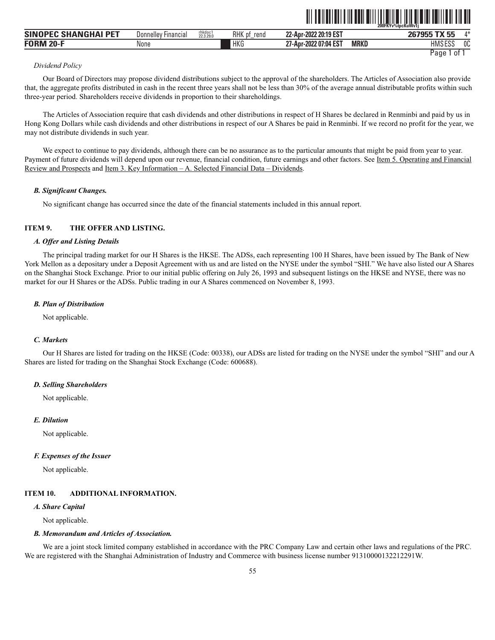|                                       |                          |                      |                    | ____                                 |             | 200FKYv%tpcKuWv1i                            | --------- |
|---------------------------------------|--------------------------|----------------------|--------------------|--------------------------------------|-------------|----------------------------------------------|-----------|
| <b>SINOPEC SHANGHAI</b><br><b>PFT</b> | ` Financial<br>Donnelley | rhkdoc1<br>22.3.29.0 | RHK p<br>rend<br>- | -2022 20:19 EST<br>הה<br>2-Apr<br>æ  |             | — V — —<br>267QRR <sup>-</sup><br>I A<br>ZU. | $A*$      |
| <b>FORM</b><br>$20-F$                 | None                     |                      | <b>HKG</b>         | -2022 07:04 EST<br>יי<br>./-Apr<br>" | <b>MRKD</b> | <b>HMSESS</b>                                | 0C        |

<u>îlî de hemar di navçeya Kuwava San Alban û navçeya Kuwava San Alban û navçeya Kuwava</u>

Page 1 of 1

#### *Dividend Policy*

Our Board of Directors may propose dividend distributions subject to the approval of the shareholders. The Articles of Association also provide that, the aggregate profits distributed in cash in the recent three years shall not be less than 30% of the average annual distributable profits within such three-year period. Shareholders receive dividends in proportion to their shareholdings.

The Articles of Association require that cash dividends and other distributions in respect of H Shares be declared in Renminbi and paid by us in Hong Kong Dollars while cash dividends and other distributions in respect of our A Shares be paid in Renminbi. If we record no profit for the year, we may not distribute dividends in such year.

We expect to continue to pay dividends, although there can be no assurance as to the particular amounts that might be paid from year to year. Payment of future dividends will depend upon our revenue, financial condition, future earnings and other factors. See Item 5. Operating and Financial Review and Prospects and Item 3. Key Information – A. Selected Financial Data – Dividends.

#### *B. Significant Changes.*

No significant change has occurred since the date of the financial statements included in this annual report.

# **ITEM 9. THE OFFER AND LISTING.**

#### *A. Offer and Listing Details*

The principal trading market for our H Shares is the HKSE. The ADSs, each representing 100 H Shares, have been issued by The Bank of New York Mellon as a depositary under a Deposit Agreement with us and are listed on the NYSE under the symbol "SHI." We have also listed our A Shares on the Shanghai Stock Exchange. Prior to our initial public offering on July 26, 1993 and subsequent listings on the HKSE and NYSE, there was no market for our H Shares or the ADSs. Public trading in our A Shares commenced on November 8, 1993.

## *B. Plan of Distribution*

Not applicable.

## *C. Markets*

Our H Shares are listed for trading on the HKSE (Code: 00338), our ADSs are listed for trading on the NYSE under the symbol "SHI" and our A Shares are listed for trading on the Shanghai Stock Exchange (Code: 600688).

#### *D. Selling Shareholders*

Not applicable.

#### *E. Dilution*

Not applicable.

#### *F. Expenses of the Issuer*

Not applicable.

## **ITEM 10. ADDITIONAL INFORMATION.**

## *A. Share Capital*

Not applicable.

## *B. Memorandum and Articles of Association.*

We are a joint stock limited company established in accordance with the PRC Company Law and certain other laws and regulations of the PRC. We are registered with the Shanghai Administration of Industry and Commerce with business license number 91310000132212291W.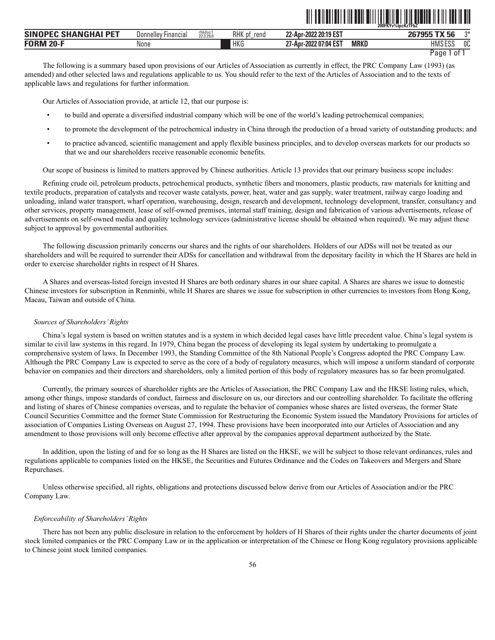|                                                 |                     |                      |             |                                            |             | 200FKYv%tpcKzTFbZ |               |
|-------------------------------------------------|---------------------|----------------------|-------------|--------------------------------------------|-------------|-------------------|---------------|
| <b>PFT</b><br><b>SHANGHAI</b><br><b>SINOPEC</b> | Donnelley Financial | rhkdoc1<br>22.3.29.0 | RHK<br>rend | 2022 20:19 EST<br>nn.<br>∠∠-Apr∹           |             | -0<br>---<br>.bb  | $^{\text{A}}$ |
| <b>FORM</b><br>$120-F$                          | None                |                      | HKG         | .2 07:04 EST<br>$\sim$<br>2022<br>∠/-Apr-‴ | <b>MRKD</b> | <b>HMSESS</b>     | 0C            |

Page 1 of 1

<u>oli od iloti di la liloti di la liloti di la liloti di la liloti di la liloti di la liloti di la liloti di la li</u>

The following is a summary based upon provisions of our Articles of Association as currently in effect, the PRC Company Law (1993) (as amended) and other selected laws and regulations applicable to us. You should refer to the text of the Articles of Association and to the texts of applicable laws and regulations for further information.

Our Articles of Association provide, at article 12, that our purpose is:

- to build and operate a diversified industrial company which will be one of the world's leading petrochemical companies;
- to promote the development of the petrochemical industry in China through the production of a broad variety of outstanding products; and
- to practice advanced, scientific management and apply flexible business principles, and to develop overseas markets for our products so that we and our shareholders receive reasonable economic benefits.

Our scope of business is limited to matters approved by Chinese authorities. Article 13 provides that our primary business scope includes:

Refining crude oil, petroleum products, petrochemical products, synthetic fibers and monomers, plastic products, raw materials for knitting and textile products, preparation of catalysts and recover waste catalysts, power, heat, water and gas supply, water treatment, railway cargo loading and unloading, inland water transport, wharf operation, warehousing, design, research and development, technology development, transfer, consultancy and other services, property management, lease of self-owned premises, internal staff training, design and fabrication of various advertisements, release of advertisements on self-owned media and quality technology services (administrative license should be obtained when required). We may adjust these subject to approval by governmental authorities.

The following discussion primarily concerns our shares and the rights of our shareholders. Holders of our ADSs will not be treated as our shareholders and will be required to surrender their ADSs for cancellation and withdrawal from the depositary facility in which the H Shares are held in order to exercise shareholder rights in respect of H Shares.

A Shares and overseas-listed foreign invested H Shares are both ordinary shares in our share capital. A Shares are shares we issue to domestic Chinese investors for subscription in Renminbi, while H Shares are shares we issue for subscription in other currencies to investors from Hong Kong, Macau, Taiwan and outside of China.

#### *Sources of Shareholders' Rights*

China's legal system is based on written statutes and is a system in which decided legal cases have little precedent value. China's legal system is similar to civil law systems in this regard. In 1979, China began the process of developing its legal system by undertaking to promulgate a comprehensive system of laws. In December 1993, the Standing Committee of the 8th National People's Congress adopted the PRC Company Law. Although the PRC Company Law is expected to serve as the core of a body of regulatory measures, which will impose a uniform standard of corporate behavior on companies and their directors and shareholders, only a limited portion of this body of regulatory measures has so far been promulgated.

Currently, the primary sources of shareholder rights are the Articles of Association, the PRC Company Law and the HKSE listing rules, which, among other things, impose standards of conduct, fairness and disclosure on us, our directors and our controlling shareholder. To facilitate the offering and listing of shares of Chinese companies overseas, and to regulate the behavior of companies whose shares are listed overseas, the former State Council Securities Committee and the former State Commission for Restructuring the Economic System issued the Mandatory Provisions for articles of association of Companies Listing Overseas on August 27, 1994. These provisions have been incorporated into our Articles of Association and any amendment to those provisions will only become effective after approval by the companies approval department authorized by the State.

In addition, upon the listing of and for so long as the H Shares are listed on the HKSE, we will be subject to those relevant ordinances, rules and regulations applicable to companies listed on the HKSE, the Securities and Futures Ordinance and the Codes on Takeovers and Mergers and Share Repurchases.

Unless otherwise specified, all rights, obligations and protections discussed below derive from our Articles of Association and/or the PRC Company Law.

## *Enforceability of Shareholders' Rights*

There has not been any public disclosure in relation to the enforcement by holders of H Shares of their rights under the charter documents of joint stock limited companies or the PRC Company Law or in the application or interpretation of the Chinese or Hong Kong regulatory provisions applicable to Chinese joint stock limited companies.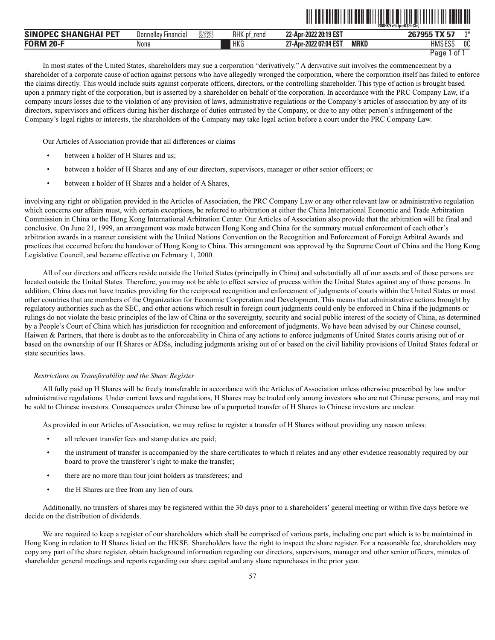| <b>HKG</b><br><b>HMSESS</b><br><b>MRKD</b><br>-2022 07:04 EST<br>יי<br><b>FORM 20-F</b><br>7-Apr-<br>None | <b>SINOPEC SHANGHAI PET</b> | <b>Financial</b><br>Donnellev | rhkdoc1<br>22.3.29.0 | RHK p<br>rend | -2022 20:19 EST<br>nn.<br>$2$ -Apr- $\degree$ | $-1$<br>267955 <sup>-</sup><br>IΛ<br>. | ግ* |
|-----------------------------------------------------------------------------------------------------------|-----------------------------|-------------------------------|----------------------|---------------|-----------------------------------------------|----------------------------------------|----|
|                                                                                                           |                             |                               |                      |               |                                               |                                        | 0C |

Page 1 of 1

In most states of the United States, shareholders may sue a corporation "derivatively." A derivative suit involves the commencement by a shareholder of a corporate cause of action against persons who have allegedly wronged the corporation, where the corporation itself has failed to enforce the claims directly. This would include suits against corporate officers, directors, or the controlling shareholder. This type of action is brought based upon a primary right of the corporation, but is asserted by a shareholder on behalf of the corporation. In accordance with the PRC Company Law, if a company incurs losses due to the violation of any provision of laws, administrative regulations or the Company's articles of association by any of its directors, supervisors and officers during his/her discharge of duties entrusted by the Company, or due to any other person's infringement of the Company's legal rights or interests, the shareholders of the Company may take legal action before a court under the PRC Company Law.

Our Articles of Association provide that all differences or claims

- between a holder of H Shares and us;
- between a holder of H Shares and any of our directors, supervisors, manager or other senior officers; or
- between a holder of H Shares and a holder of A Shares,

involving any right or obligation provided in the Articles of Association, the PRC Company Law or any other relevant law or administrative regulation which concerns our affairs must, with certain exceptions, be referred to arbitration at either the China International Economic and Trade Arbitration Commission in China or the Hong Kong International Arbitration Center. Our Articles of Association also provide that the arbitration will be final and conclusive. On June 21, 1999, an arrangement was made between Hong Kong and China for the summary mutual enforcement of each other's arbitration awards in a manner consistent with the United Nations Convention on the Recognition and Enforcement of Foreign Arbitral Awards and practices that occurred before the handover of Hong Kong to China. This arrangement was approved by the Supreme Court of China and the Hong Kong Legislative Council, and became effective on February 1, 2000.

All of our directors and officers reside outside the United States (principally in China) and substantially all of our assets and of those persons are located outside the United States. Therefore, you may not be able to effect service of process within the United States against any of those persons. In addition, China does not have treaties providing for the reciprocal recognition and enforcement of judgments of courts within the United States or most other countries that are members of the Organization for Economic Cooperation and Development. This means that administrative actions brought by regulatory authorities such as the SEC, and other actions which result in foreign court judgments could only be enforced in China if the judgments or rulings do not violate the basic principles of the law of China or the sovereignty, security and social public interest of the society of China, as determined by a People's Court of China which has jurisdiction for recognition and enforcement of judgments. We have been advised by our Chinese counsel, Haiwen & Partners, that there is doubt as to the enforceability in China of any actions to enforce judgments of United States courts arising out of or based on the ownership of our H Shares or ADSs, including judgments arising out of or based on the civil liability provisions of United States federal or state securities laws.

# *Restrictions on Transferability and the Share Register*

All fully paid up H Shares will be freely transferable in accordance with the Articles of Association unless otherwise prescribed by law and/or administrative regulations. Under current laws and regulations, H Shares may be traded only among investors who are not Chinese persons, and may not be sold to Chinese investors. Consequences under Chinese law of a purported transfer of H Shares to Chinese investors are unclear.

As provided in our Articles of Association, we may refuse to register a transfer of H Shares without providing any reason unless:

- all relevant transfer fees and stamp duties are paid;
- the instrument of transfer is accompanied by the share certificates to which it relates and any other evidence reasonably required by our board to prove the transferor's right to make the transfer;
- there are no more than four joint holders as transferees; and
- the H Shares are free from any lien of ours.

Additionally, no transfers of shares may be registered within the 30 days prior to a shareholders' general meeting or within five days before we decide on the distribution of dividends.

We are required to keep a register of our shareholders which shall be comprised of various parts, including one part which is to be maintained in Hong Kong in relation to H Shares listed on the HKSE. Shareholders have the right to inspect the share register. For a reasonable fee, shareholders may copy any part of the share register, obtain background information regarding our directors, supervisors, manager and other senior officers, minutes of shareholder general meetings and reports regarding our share capital and any share repurchases in the prior year.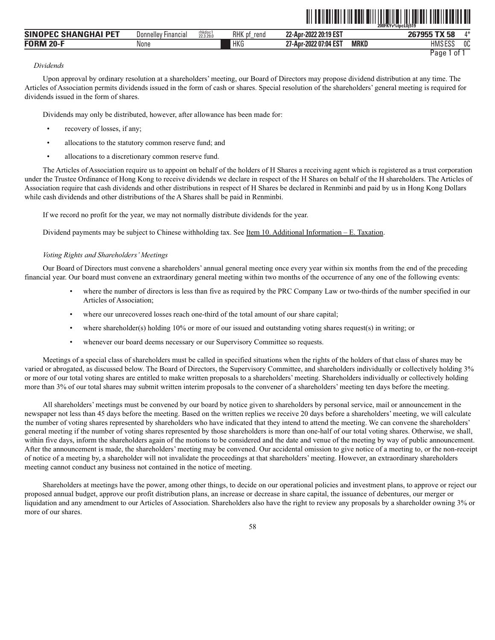|                                             |                                      |                       |                    | .                                               | 200FKYv%tpcL0j519                                            |                      |
|---------------------------------------------|--------------------------------------|-----------------------|--------------------|-------------------------------------------------|--------------------------------------------------------------|----------------------|
| <b>CHANCHAI</b><br><b>PFT</b><br><b>SIN</b> | <b>Financial</b><br><b>Donnelley</b> | rhkdoc'i<br>22.3.29.0 | RHK<br>rend        | -2022 20:19 EST<br>nn<br>'2-Anr-                | 58<br>$-11$<br><b>0070</b><br>ΖU<br>$\overline{\phantom{a}}$ | A.3L<br>$\mathbf{u}$ |
| <b>FORM</b><br>20 E                         | None                                 |                       | <b>LIVC</b><br>nnu | <b>MRKD</b><br>-2022 07:04 EST<br>nп<br>'7-Apr- | <b>HMSESS</b>                                                | 0C                   |

<u>oli toiluttuittiin on mittituuttoi liittuvat tiidittuvat oli</u>

Page 1 of 1

### *Dividends*

Upon approval by ordinary resolution at a shareholders' meeting, our Board of Directors may propose dividend distribution at any time. The Articles of Association permits dividends issued in the form of cash or shares. Special resolution of the shareholders' general meeting is required for dividends issued in the form of shares.

Dividends may only be distributed, however, after allowance has been made for:

- recovery of losses, if any;
- allocations to the statutory common reserve fund; and
- allocations to a discretionary common reserve fund.

The Articles of Association require us to appoint on behalf of the holders of H Shares a receiving agent which is registered as a trust corporation under the Trustee Ordinance of Hong Kong to receive dividends we declare in respect of the H Shares on behalf of the H shareholders. The Articles of Association require that cash dividends and other distributions in respect of H Shares be declared in Renminbi and paid by us in Hong Kong Dollars while cash dividends and other distributions of the A Shares shall be paid in Renminbi.

If we record no profit for the year, we may not normally distribute dividends for the year.

Dividend payments may be subject to Chinese withholding tax. See Item 10. Additional Information – E. Taxation.

#### *Voting Rights and Shareholders' Meetings*

Our Board of Directors must convene a shareholders' annual general meeting once every year within six months from the end of the preceding financial year. Our board must convene an extraordinary general meeting within two months of the occurrence of any one of the following events:

- where the number of directors is less than five as required by the PRC Company Law or two-thirds of the number specified in our Articles of Association;
- where our unrecovered losses reach one-third of the total amount of our share capital;
- where shareholder(s) holding 10% or more of our issued and outstanding voting shares request(s) in writing; or
- whenever our board deems necessary or our Supervisory Committee so requests.

Meetings of a special class of shareholders must be called in specified situations when the rights of the holders of that class of shares may be varied or abrogated, as discussed below. The Board of Directors, the Supervisory Committee, and shareholders individually or collectively holding 3% or more of our total voting shares are entitled to make written proposals to a shareholders' meeting. Shareholders individually or collectively holding more than 3% of our total shares may submit written interim proposals to the convener of a shareholders' meeting ten days before the meeting.

All shareholders' meetings must be convened by our board by notice given to shareholders by personal service, mail or announcement in the newspaper not less than 45 days before the meeting. Based on the written replies we receive 20 days before a shareholders' meeting, we will calculate the number of voting shares represented by shareholders who have indicated that they intend to attend the meeting. We can convene the shareholders' general meeting if the number of voting shares represented by those shareholders is more than one-half of our total voting shares. Otherwise, we shall, within five days, inform the shareholders again of the motions to be considered and the date and venue of the meeting by way of public announcement. After the announcement is made, the shareholders' meeting may be convened. Our accidental omission to give notice of a meeting to, or the non-receipt of notice of a meeting by, a shareholder will not invalidate the proceedings at that shareholders' meeting. However, an extraordinary shareholders meeting cannot conduct any business not contained in the notice of meeting.

Shareholders at meetings have the power, among other things, to decide on our operational policies and investment plans, to approve or reject our proposed annual budget, approve our profit distribution plans, an increase or decrease in share capital, the issuance of debentures, our merger or liquidation and any amendment to our Articles of Association. Shareholders also have the right to review any proposals by a shareholder owning 3% or more of our shares.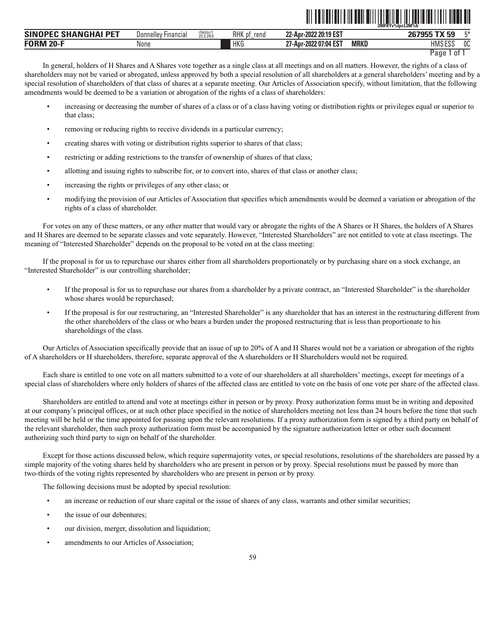|--|

| <b>SHANGHAI</b><br><b>PF1</b><br><b>SINOPEC</b> | Financial<br>Donnellev | rhkdoc1<br>22.3.29.0 | RHK<br>rend<br>рt | 2 20:19 EST<br>nn<br>$-202z$<br>$2$ -Apri |             | <b>267055 TV 50</b><br>--      | $ -$<br>. . |
|-------------------------------------------------|------------------------|----------------------|-------------------|-------------------------------------------|-------------|--------------------------------|-------------|
| <b>FORM 20-F</b><br>71 J -                      | None                   |                      | <b>HKG</b>        | nп<br>? 07:04 ES1<br>.202<br>7-Apr        | <b>MRKD</b> | <b>HMSESS</b><br><b>STATES</b> | 0C          |

Page 1 of 1

In general, holders of H Shares and A Shares vote together as a single class at all meetings and on all matters. However, the rights of a class of shareholders may not be varied or abrogated, unless approved by both a special resolution of all shareholders at a general shareholders' meeting and by a special resolution of shareholders of that class of shares at a separate meeting. Our Articles of Association specify, without limitation, that the following amendments would be deemed to be a variation or abrogation of the rights of a class of shareholders:

- increasing or decreasing the number of shares of a class or of a class having voting or distribution rights or privileges equal or superior to that class;
- removing or reducing rights to receive dividends in a particular currency;
- creating shares with voting or distribution rights superior to shares of that class;
- restricting or adding restrictions to the transfer of ownership of shares of that class;
- allotting and issuing rights to subscribe for, or to convert into, shares of that class or another class;
- increasing the rights or privileges of any other class; or
- modifying the provision of our Articles of Association that specifies which amendments would be deemed a variation or abrogation of the rights of a class of shareholder.

For votes on any of these matters, or any other matter that would vary or abrogate the rights of the A Shares or H Shares, the holders of A Shares and H Shares are deemed to be separate classes and vote separately. However, "Interested Shareholders" are not entitled to vote at class meetings. The meaning of "Interested Shareholder" depends on the proposal to be voted on at the class meeting:

If the proposal is for us to repurchase our shares either from all shareholders proportionately or by purchasing share on a stock exchange, an "Interested Shareholder" is our controlling shareholder;

- If the proposal is for us to repurchase our shares from a shareholder by a private contract, an "Interested Shareholder" is the shareholder whose shares would be repurchased;
- If the proposal is for our restructuring, an "Interested Shareholder" is any shareholder that has an interest in the restructuring different from the other shareholders of the class or who bears a burden under the proposed restructuring that is less than proportionate to his shareholdings of the class.

Our Articles of Association specifically provide that an issue of up to 20% of A and H Shares would not be a variation or abrogation of the rights of A shareholders or H shareholders, therefore, separate approval of the A shareholders or H Shareholders would not be required.

Each share is entitled to one vote on all matters submitted to a vote of our shareholders at all shareholders' meetings, except for meetings of a special class of shareholders where only holders of shares of the affected class are entitled to vote on the basis of one vote per share of the affected class.

Shareholders are entitled to attend and vote at meetings either in person or by proxy. Proxy authorization forms must be in writing and deposited at our company's principal offices, or at such other place specified in the notice of shareholders meeting not less than 24 hours before the time that such meeting will be held or the time appointed for passing upon the relevant resolutions. If a proxy authorization form is signed by a third party on behalf of the relevant shareholder, then such proxy authorization form must be accompanied by the signature authorization letter or other such document authorizing such third party to sign on behalf of the shareholder.

Except for those actions discussed below, which require supermajority votes, or special resolutions, resolutions of the shareholders are passed by a simple majority of the voting shares held by shareholders who are present in person or by proxy. Special resolutions must be passed by more than two-thirds of the voting rights represented by shareholders who are present in person or by proxy.

The following decisions must be adopted by special resolution:

- an increase or reduction of our share capital or the issue of shares of any class, warrants and other similar securities;
- the issue of our debentures:
- our division, merger, dissolution and liquidation;
- amendments to our Articles of Association: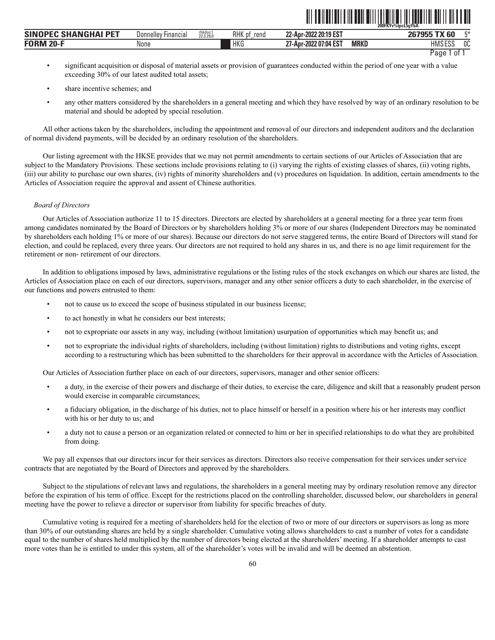|                                                                   |                               |                    |                         |                                                                |             | 200FKYv%tpcL5aYbA                                           | --------  |
|-------------------------------------------------------------------|-------------------------------|--------------------|-------------------------|----------------------------------------------------------------|-------------|-------------------------------------------------------------|-----------|
| <b>PFT</b><br><b>SHANGHAI</b><br>SINO.<br>$\mathbf{u}$ PFC<br>- - | <b>Financial</b><br>Donnelley | rhkdoc<br>22.3.29. | RHK<br>rend<br>.nt<br>_ | -2022 20:19 EST<br>nn<br>$2$ -Apr- $\degree$                   |             | 267955 TY 60<br>'ou<br>ΖO                                   | <b>FM</b> |
| <b>FORM</b><br>י הר<br>. ZU-                                      | None                          |                    | <b>HKG</b>              | -2022 07:04 EST<br>n <sub>7</sub><br>$\angle$ /-Apr- $\degree$ | <b>MRKD</b> | <b>HMSESS</b><br><b>Contract Contract Contract Contract</b> | 0C<br>___ |

Page 1 of 1

ˆ200FKYv%tpcL5gYbAŠ

- significant acquisition or disposal of material assets or provision of guarantees conducted within the period of one year with a value exceeding 30% of our latest audited total assets;
- share incentive schemes; and
- any other matters considered by the shareholders in a general meeting and which they have resolved by way of an ordinary resolution to be material and should be adopted by special resolution.

All other actions taken by the shareholders, including the appointment and removal of our directors and independent auditors and the declaration of normal dividend payments, will be decided by an ordinary resolution of the shareholders.

Our listing agreement with the HKSE provides that we may not permit amendments to certain sections of our Articles of Association that are subject to the Mandatory Provisions. These sections include provisions relating to (i) varying the rights of existing classes of shares, (ii) voting rights, (iii) our ability to purchase our own shares, (iv) rights of minority shareholders and (v) procedures on liquidation. In addition, certain amendments to the Articles of Association require the approval and assent of Chinese authorities.

# *Board of Directors*

Our Articles of Association authorize 11 to 15 directors. Directors are elected by shareholders at a general meeting for a three year term from among candidates nominated by the Board of Directors or by shareholders holding 3% or more of our shares (Independent Directors may be nominated by shareholders each holding 1% or more of our shares). Because our directors do not serve staggered terms, the entire Board of Directors will stand for election, and could be replaced, every three years. Our directors are not required to hold any shares in us, and there is no age limit requirement for the retirement or non- retirement of our directors.

In addition to obligations imposed by laws, administrative regulations or the listing rules of the stock exchanges on which our shares are listed, the Articles of Association place on each of our directors, supervisors, manager and any other senior officers a duty to each shareholder, in the exercise of our functions and powers entrusted to them:

- not to cause us to exceed the scope of business stipulated in our business license;
- to act honestly in what he considers our best interests;
- not to expropriate our assets in any way, including (without limitation) usurpation of opportunities which may benefit us; and
- not to expropriate the individual rights of shareholders, including (without limitation) rights to distributions and voting rights, except according to a restructuring which has been submitted to the shareholders for their approval in accordance with the Articles of Association.

Our Articles of Association further place on each of our directors, supervisors, manager and other senior officers:

- a duty, in the exercise of their powers and discharge of their duties, to exercise the care, diligence and skill that a reasonably prudent person would exercise in comparable circumstances;
- a fiduciary obligation, in the discharge of his duties, not to place himself or herself in a position where his or her interests may conflict with his or her duty to us; and
- a duty not to cause a person or an organization related or connected to him or her in specified relationships to do what they are prohibited from doing.

We pay all expenses that our directors incur for their services as directors. Directors also receive compensation for their services under service contracts that are negotiated by the Board of Directors and approved by the shareholders.

Subject to the stipulations of relevant laws and regulations, the shareholders in a general meeting may by ordinary resolution remove any director before the expiration of his term of office. Except for the restrictions placed on the controlling shareholder, discussed below, our shareholders in general meeting have the power to relieve a director or supervisor from liability for specific breaches of duty.

Cumulative voting is required for a meeting of shareholders held for the election of two or more of our directors or supervisors as long as more than 30% of our outstanding shares are held by a single shareholder. Cumulative voting allows shareholders to cast a number of votes for a candidate equal to the number of shares held multiplied by the number of directors being elected at the shareholders' meeting. If a shareholder attempts to cast more votes than he is entitled to under this system, all of the shareholder's votes will be invalid and will be deemed an abstention.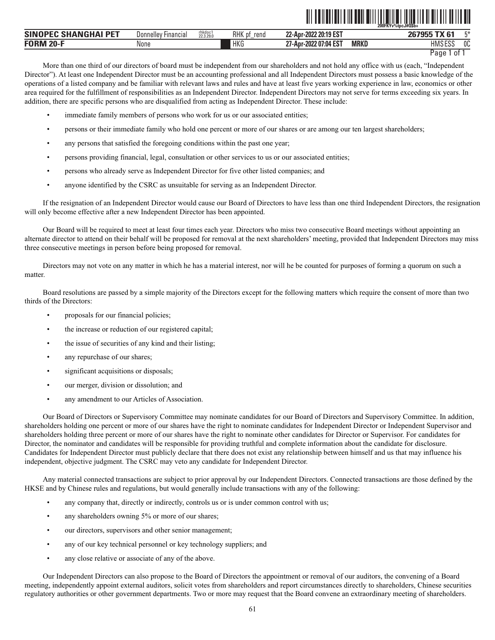| <b>SINOPEC SHANGHAI PET</b> | Donnellev<br><b>Financia</b> | rhkdoc i<br>22.3.29.0 | RHK<br>rend | 2 20:19 EST<br>nn.<br>-202<br>'-Ani                    |      | $-11.02$<br>. . | F.X. |
|-----------------------------|------------------------------|-----------------------|-------------|--------------------------------------------------------|------|-----------------|------|
| <b>FORM 20-</b>             | None                         |                       | <b>HKG</b>  | $\sim$<br>207:04 ES <sup>-</sup><br>.202<br>7-Anr<br>. | MRKD | <b>HMSESS</b>   | 0C   |
|                             |                              |                       |             |                                                        |      |                 | . .  |

Page 1 of 1

More than one third of our directors of board must be independent from our shareholders and not hold any office with us (each, "Independent Director"). At least one Independent Director must be an accounting professional and all Independent Directors must possess a basic knowledge of the operations of a listed company and be familiar with relevant laws and rules and have at least five years working experience in law, economics or other area required for the fulfillment of responsibilities as an Independent Director. Independent Directors may not serve for terms exceeding six years. In addition, there are specific persons who are disqualified from acting as Independent Director. These include:

- immediate family members of persons who work for us or our associated entities;
- persons or their immediate family who hold one percent or more of our shares or are among our ten largest shareholders;
- any persons that satisfied the foregoing conditions within the past one year;
- persons providing financial, legal, consultation or other services to us or our associated entities;
- persons who already serve as Independent Director for five other listed companies; and
- anyone identified by the CSRC as unsuitable for serving as an Independent Director.

If the resignation of an Independent Director would cause our Board of Directors to have less than one third Independent Directors, the resignation will only become effective after a new Independent Director has been appointed.

Our Board will be required to meet at least four times each year. Directors who miss two consecutive Board meetings without appointing an alternate director to attend on their behalf will be proposed for removal at the next shareholders' meeting, provided that Independent Directors may miss three consecutive meetings in person before being proposed for removal.

Directors may not vote on any matter in which he has a material interest, nor will he be counted for purposes of forming a quorum on such a matter.

Board resolutions are passed by a simple majority of the Directors except for the following matters which require the consent of more than two thirds of the Directors:

- proposals for our financial policies;
- the increase or reduction of our registered capital;
- the issue of securities of any kind and their listing;
- any repurchase of our shares;
- significant acquisitions or disposals;
- our merger, division or dissolution; and
- any amendment to our Articles of Association.

Our Board of Directors or Supervisory Committee may nominate candidates for our Board of Directors and Supervisory Committee. In addition, shareholders holding one percent or more of our shares have the right to nominate candidates for Independent Director or Independent Supervisor and shareholders holding three percent or more of our shares have the right to nominate other candidates for Director or Supervisor. For candidates for Director, the nominator and candidates will be responsible for providing truthful and complete information about the candidate for disclosure. Candidates for Independent Director must publicly declare that there does not exist any relationship between himself and us that may influence his independent, objective judgment. The CSRC may veto any candidate for Independent Director.

Any material connected transactions are subject to prior approval by our Independent Directors. Connected transactions are those defined by the HKSE and by Chinese rules and regulations, but would generally include transactions with any of the following:

- any company that, directly or indirectly, controls us or is under common control with us;
- any shareholders owning 5% or more of our shares;
- our directors, supervisors and other senior management;
- any of our key technical personnel or key technology suppliers; and
- any close relative or associate of any of the above.

Our Independent Directors can also propose to the Board of Directors the appointment or removal of our auditors, the convening of a Board meeting, independently appoint external auditors, solicit votes from shareholders and report circumstances directly to shareholders, Chinese securities regulatory authorities or other government departments. Two or more may request that the Board convene an extraordinary meeting of shareholders.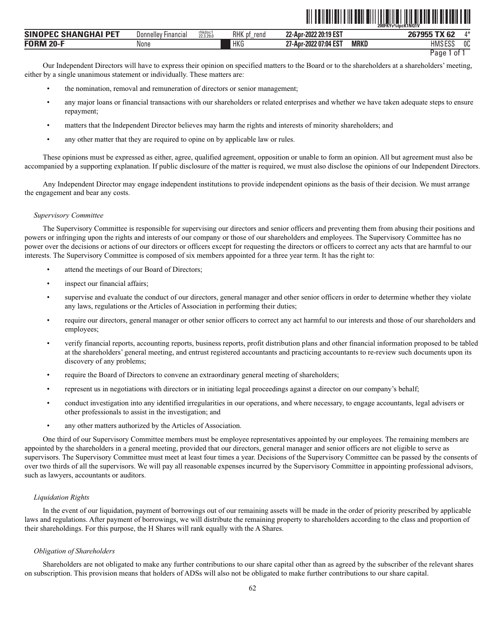# ˆ200FKYv%tpcK1NQ1VŠ **200FKYv%tpcK1NQ1V**

| <b>SINOR</b><br><b>SHANGHAI PFT</b> | <b>Donnelley</b><br><b>Hinancia</b> | rhkdoc 1<br>22.3.29.0 | RHK<br>rend<br>рt | 2 20:19 EST<br>nn<br>2022<br>∠∠-Anr-‴ |      | $T_{\rm M}$ or<br>b2<br>$\boldsymbol{\Lambda}$<br>w | л*  |
|-------------------------------------|-------------------------------------|-----------------------|-------------------|---------------------------------------|------|-----------------------------------------------------|-----|
| <b>FORM 20-1</b>                    | None                                |                       | HKG               | !07:04 EST<br>2022<br>'/-Apr          | MRKD | HMS ESS                                             | 0C  |
|                                     |                                     |                       |                   |                                       |      |                                                     | . . |

Page 1 of 1

Our Independent Directors will have to express their opinion on specified matters to the Board or to the shareholders at a shareholders' meeting, either by a single unanimous statement or individually. These matters are:

- the nomination, removal and remuneration of directors or senior management;
- any major loans or financial transactions with our shareholders or related enterprises and whether we have taken adequate steps to ensure repayment;
- matters that the Independent Director believes may harm the rights and interests of minority shareholders; and
- any other matter that they are required to opine on by applicable law or rules.

These opinions must be expressed as either, agree, qualified agreement, opposition or unable to form an opinion. All but agreement must also be accompanied by a supporting explanation. If public disclosure of the matter is required, we must also disclose the opinions of our Independent Directors.

Any Independent Director may engage independent institutions to provide independent opinions as the basis of their decision. We must arrange the engagement and bear any costs.

## *Supervisory Committee*

The Supervisory Committee is responsible for supervising our directors and senior officers and preventing them from abusing their positions and powers or infringing upon the rights and interests of our company or those of our shareholders and employees. The Supervisory Committee has no power over the decisions or actions of our directors or officers except for requesting the directors or officers to correct any acts that are harmful to our interests. The Supervisory Committee is composed of six members appointed for a three year term. It has the right to:

- attend the meetings of our Board of Directors;
- inspect our financial affairs;
- supervise and evaluate the conduct of our directors, general manager and other senior officers in order to determine whether they violate any laws, regulations or the Articles of Association in performing their duties;
- require our directors, general manager or other senior officers to correct any act harmful to our interests and those of our shareholders and employees;
- verify financial reports, accounting reports, business reports, profit distribution plans and other financial information proposed to be tabled at the shareholders' general meeting, and entrust registered accountants and practicing accountants to re-review such documents upon its discovery of any problems;
- require the Board of Directors to convene an extraordinary general meeting of shareholders;
- represent us in negotiations with directors or in initiating legal proceedings against a director on our company's behalf;
- conduct investigation into any identified irregularities in our operations, and where necessary, to engage accountants, legal advisers or other professionals to assist in the investigation; and
- any other matters authorized by the Articles of Association.

One third of our Supervisory Committee members must be employee representatives appointed by our employees. The remaining members are appointed by the shareholders in a general meeting, provided that our directors, general manager and senior officers are not eligible to serve as supervisors. The Supervisory Committee must meet at least four times a year. Decisions of the Supervisory Committee can be passed by the consents of over two thirds of all the supervisors. We will pay all reasonable expenses incurred by the Supervisory Committee in appointing professional advisors, such as lawyers, accountants or auditors.

# *Liquidation Rights*

In the event of our liquidation, payment of borrowings out of our remaining assets will be made in the order of priority prescribed by applicable laws and regulations. After payment of borrowings, we will distribute the remaining property to shareholders according to the class and proportion of their shareholdings. For this purpose, the H Shares will rank equally with the A Shares.

# *Obligation of Shareholders*

Shareholders are not obligated to make any further contributions to our share capital other than as agreed by the subscriber of the relevant shares on subscription. This provision means that holders of ADSs will also not be obligated to make further contributions to our share capital.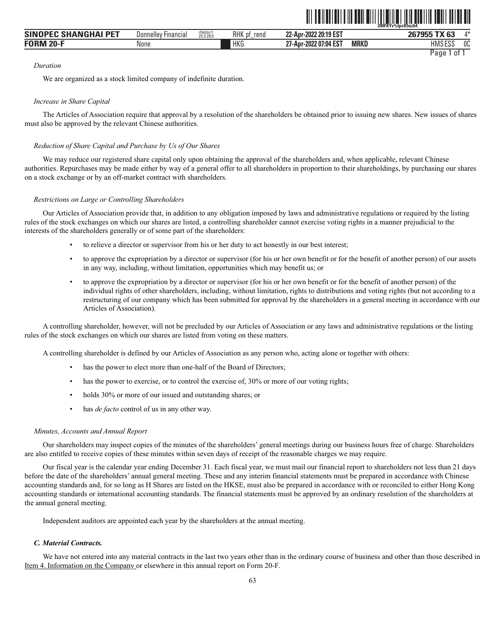|                             |                     |                      |             |                       |             | 200FKYv%tpcK5azb4           |         |
|-----------------------------|---------------------|----------------------|-------------|-----------------------|-------------|-----------------------------|---------|
| <b>SINOPEC SHANGHAI PET</b> | Donnelley Financial | rhkdoc1<br>22.3.29.0 | RHK<br>rend | 22-Apr-2022 20:19 EST |             | 267955 TX 63<br>Ζb<br>IA 03 | $A - X$ |
| <b>FORM 20-F</b>            | None                |                      | <b>HKG</b>  | 27-Apr-2022 07:04 EST | <b>MRKD</b> | <b>HMSESS</b>               | 0C      |
|                             |                     |                      |             |                       |             | 0t<br>Page                  |         |

<u>oli toiluttui kuoleittiin muotti valtaa sittävän k</u>

#### *Duration*

We are organized as a stock limited company of indefinite duration.

#### *Increase in Share Capital*

The Articles of Association require that approval by a resolution of the shareholders be obtained prior to issuing new shares. New issues of shares must also be approved by the relevant Chinese authorities.

#### *Reduction of Share Capital and Purchase by Us of Our Shares*

We may reduce our registered share capital only upon obtaining the approval of the shareholders and, when applicable, relevant Chinese authorities. Repurchases may be made either by way of a general offer to all shareholders in proportion to their shareholdings, by purchasing our shares on a stock exchange or by an off-market contract with shareholders.

#### *Restrictions on Large or Controlling Shareholders*

Our Articles of Association provide that, in addition to any obligation imposed by laws and administrative regulations or required by the listing rules of the stock exchanges on which our shares are listed, a controlling shareholder cannot exercise voting rights in a manner prejudicial to the interests of the shareholders generally or of some part of the shareholders:

- to relieve a director or supervisor from his or her duty to act honestly in our best interest;
- to approve the expropriation by a director or supervisor (for his or her own benefit or for the benefit of another person) of our assets in any way, including, without limitation, opportunities which may benefit us; or
- to approve the expropriation by a director or supervisor (for his or her own benefit or for the benefit of another person) of the individual rights of other shareholders, including, without limitation, rights to distributions and voting rights (but not according to a restructuring of our company which has been submitted for approval by the shareholders in a general meeting in accordance with our Articles of Association).

A controlling shareholder, however, will not be precluded by our Articles of Association or any laws and administrative regulations or the listing rules of the stock exchanges on which our shares are listed from voting on these matters.

A controlling shareholder is defined by our Articles of Association as any person who, acting alone or together with others:

- has the power to elect more than one-half of the Board of Directors;
- has the power to exercise, or to control the exercise of, 30% or more of our voting rights;
- holds 30% or more of our issued and outstanding shares; or
- has *de facto* control of us in any other way.

#### *Minutes, Accounts and Annual Report*

Our shareholders may inspect copies of the minutes of the shareholders' general meetings during our business hours free of charge. Shareholders are also entitled to receive copies of these minutes within seven days of receipt of the reasonable charges we may require.

Our fiscal year is the calendar year ending December 31. Each fiscal year, we must mail our financial report to shareholders not less than 21 days before the date of the shareholders' annual general meeting. These and any interim financial statements must be prepared in accordance with Chinese accounting standards and, for so long as H Shares are listed on the HKSE, must also be prepared in accordance with or reconciled to either Hong Kong accounting standards or international accounting standards. The financial statements must be approved by an ordinary resolution of the shareholders at the annual general meeting.

Independent auditors are appointed each year by the shareholders at the annual meeting.

#### *C. Material Contracts.*

We have not entered into any material contracts in the last two years other than in the ordinary course of business and other than those described in Item 4. Information on the Company or elsewhere in this annual report on Form 20-F.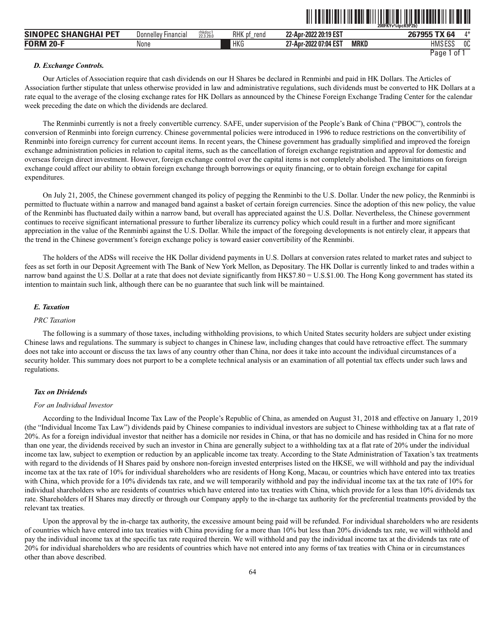|                                          |                            |                       |             |                                  | 200FKYv%tpcK9P2b}            |              |
|------------------------------------------|----------------------------|-----------------------|-------------|----------------------------------|------------------------------|--------------|
| <b>PFT</b><br>:HANGHAI<br><b>SINOPEC</b> | <b>Donnelley Financial</b> | rhkdoc'i<br>22.3.29.0 | RHK<br>rend | 22-Apr-2022 20:19 EST<br>nn.     | OCJOFF TV CA<br>64<br>ZU     | $A - A$      |
| <b>FORM</b><br>.00<br>∠v-r               | None                       |                       | <b>HKG</b>  | nп<br>2 07:04 ES1<br>27-Apr-2022 | <b>HMSESS</b><br><b>MRKD</b> | $\sim$<br>υu |

ˆ200FKYv%tpcK9P2b}Š **200FKYv%tpcK9P2b}**

Page 1 of 1

#### *D. Exchange Controls.*

Our Articles of Association require that cash dividends on our H Shares be declared in Renminbi and paid in HK Dollars. The Articles of Association further stipulate that unless otherwise provided in law and administrative regulations, such dividends must be converted to HK Dollars at a rate equal to the average of the closing exchange rates for HK Dollars as announced by the Chinese Foreign Exchange Trading Center for the calendar week preceding the date on which the dividends are declared.

The Renminbi currently is not a freely convertible currency. SAFE, under supervision of the People's Bank of China ("PBOC"), controls the conversion of Renminbi into foreign currency. Chinese governmental policies were introduced in 1996 to reduce restrictions on the convertibility of Renminbi into foreign currency for current account items. In recent years, the Chinese government has gradually simplified and improved the foreign exchange administration policies in relation to capital items, such as the cancellation of foreign exchange registration and approval for domestic and overseas foreign direct investment. However, foreign exchange control over the capital items is not completely abolished. The limitations on foreign exchange could affect our ability to obtain foreign exchange through borrowings or equity financing, or to obtain foreign exchange for capital expenditures.

On July 21, 2005, the Chinese government changed its policy of pegging the Renminbi to the U.S. Dollar. Under the new policy, the Renminbi is permitted to fluctuate within a narrow and managed band against a basket of certain foreign currencies. Since the adoption of this new policy, the value of the Renminbi has fluctuated daily within a narrow band, but overall has appreciated against the U.S. Dollar. Nevertheless, the Chinese government continues to receive significant international pressure to further liberalize its currency policy which could result in a further and more significant appreciation in the value of the Renminbi against the U.S. Dollar. While the impact of the foregoing developments is not entirely clear, it appears that the trend in the Chinese government's foreign exchange policy is toward easier convertibility of the Renminbi.

The holders of the ADSs will receive the HK Dollar dividend payments in U.S. Dollars at conversion rates related to market rates and subject to fees as set forth in our Deposit Agreement with The Bank of New York Mellon, as Depositary. The HK Dollar is currently linked to and trades within a narrow band against the U.S. Dollar at a rate that does not deviate significantly from HK\$7.80 = U.S.\$1.00. The Hong Kong government has stated its intention to maintain such link, although there can be no guarantee that such link will be maintained.

#### *E. Taxation*

## *PRC Taxation*

The following is a summary of those taxes, including withholding provisions, to which United States security holders are subject under existing Chinese laws and regulations. The summary is subject to changes in Chinese law, including changes that could have retroactive effect. The summary does not take into account or discuss the tax laws of any country other than China, nor does it take into account the individual circumstances of a security holder. This summary does not purport to be a complete technical analysis or an examination of all potential tax effects under such laws and regulations.

## *Tax on Dividends*

### *For an Individual Investor*

According to the Individual Income Tax Law of the People's Republic of China, as amended on August 31, 2018 and effective on January 1, 2019 (the "Individual Income Tax Law") dividends paid by Chinese companies to individual investors are subject to Chinese withholding tax at a flat rate of 20%. As for a foreign individual investor that neither has a domicile nor resides in China, or that has no domicile and has resided in China for no more than one year, the dividends received by such an investor in China are generally subject to a withholding tax at a flat rate of 20% under the individual income tax law, subject to exemption or reduction by an applicable income tax treaty. According to the State Administration of Taxation's tax treatments with regard to the dividends of H Shares paid by onshore non-foreign invested enterprises listed on the HKSE, we will withhold and pay the individual income tax at the tax rate of 10% for individual shareholders who are residents of Hong Kong, Macau, or countries which have entered into tax treaties with China, which provide for a 10% dividends tax rate, and we will temporarily withhold and pay the individual income tax at the tax rate of 10% for individual shareholders who are residents of countries which have entered into tax treaties with China, which provide for a less than 10% dividends tax rate. Shareholders of H Shares may directly or through our Company apply to the in-charge tax authority for the preferential treatments provided by the relevant tax treaties.

Upon the approval by the in-charge tax authority, the excessive amount being paid will be refunded. For individual shareholders who are residents of countries which have entered into tax treaties with China providing for a more than 10% but less than 20% dividends tax rate, we will withhold and pay the individual income tax at the specific tax rate required therein. We will withhold and pay the individual income tax at the dividends tax rate of 20% for individual shareholders who are residents of countries which have not entered into any forms of tax treaties with China or in circumstances other than above described.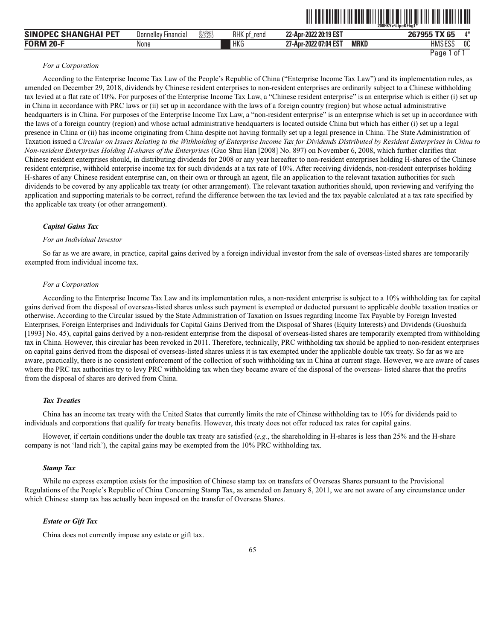|                                            |                     |                       |             | - - -  -- . -- . -  --- . --                    |                           |              |
|--------------------------------------------|---------------------|-----------------------|-------------|-------------------------------------------------|---------------------------|--------------|
| <b>PFT</b><br><b>ANGHALL</b><br><b>SIN</b> | Donnelley Financial | rhkdoc i<br>22.3.29.0 | RHK<br>rend | -2022 20:19 EST<br>nn<br>∠∠-Anr-‴               | OCJOEF TV CE<br>b.<br>ZU. | $A - X$      |
| <b>FORM</b><br>on F<br>2V-r                | None                |                       | <b>HKG</b>  | <b>MRKD</b><br>2 07:04 ES1<br>nп<br>27-Apr-2022 | <b>HMSESS</b>             | $\sim$<br>υu |

<u>oli toiluttui ja suunnittiin muutti ja kunnittiin mu</u>

Page 1 of 1

#### *For a Corporation*

According to the Enterprise Income Tax Law of the People's Republic of China ("Enterprise Income Tax Law") and its implementation rules, as amended on December 29, 2018, dividends by Chinese resident enterprises to non-resident enterprises are ordinarily subject to a Chinese withholding tax levied at a flat rate of 10%. For purposes of the Enterprise Income Tax Law, a "Chinese resident enterprise" is an enterprise which is either (i) set up in China in accordance with PRC laws or (ii) set up in accordance with the laws of a foreign country (region) but whose actual administrative headquarters is in China. For purposes of the Enterprise Income Tax Law, a "non-resident enterprise" is an enterprise which is set up in accordance with the laws of a foreign country (region) and whose actual administrative headquarters is located outside China but which has either (i) set up a legal presence in China or (ii) has income originating from China despite not having formally set up a legal presence in China. The State Administration of Taxation issued a *Circular on Issues Relating to the Withholding of Enterprise Income Tax for Dividends Distributed by Resident Enterprises in China to Non-resident Enterprises Holding H-shares of the Enterprises* (Guo Shui Han [2008] No. 897) on November 6, 2008, which further clarifies that Chinese resident enterprises should, in distributing dividends for 2008 or any year hereafter to non-resident enterprises holding H-shares of the Chinese resident enterprise, withhold enterprise income tax for such dividends at a tax rate of 10%. After receiving dividends, non-resident enterprises holding H-shares of any Chinese resident enterprise can, on their own or through an agent, file an application to the relevant taxation authorities for such dividends to be covered by any applicable tax treaty (or other arrangement). The relevant taxation authorities should, upon reviewing and verifying the application and supporting materials to be correct, refund the difference between the tax levied and the tax payable calculated at a tax rate specified by the applicable tax treaty (or other arrangement).

#### *Capital Gains Tax*

#### *For an Individual Investor*

So far as we are aware, in practice, capital gains derived by a foreign individual investor from the sale of overseas-listed shares are temporarily exempted from individual income tax.

#### *For a Corporation*

According to the Enterprise Income Tax Law and its implementation rules, a non-resident enterprise is subject to a 10% withholding tax for capital gains derived from the disposal of overseas-listed shares unless such payment is exempted or deducted pursuant to applicable double taxation treaties or otherwise. According to the Circular issued by the State Administration of Taxation on Issues regarding Income Tax Payable by Foreign Invested Enterprises, Foreign Enterprises and Individuals for Capital Gains Derived from the Disposal of Shares (Equity Interests) and Dividends (Guoshuifa [1993] No. 45), capital gains derived by a non-resident enterprise from the disposal of overseas-listed shares are temporarily exempted from withholding tax in China. However, this circular has been revoked in 2011. Therefore, technically, PRC withholding tax should be applied to non-resident enterprises on capital gains derived from the disposal of overseas-listed shares unless it is tax exempted under the applicable double tax treaty. So far as we are aware, practically, there is no consistent enforcement of the collection of such withholding tax in China at current stage. However, we are aware of cases where the PRC tax authorities try to levy PRC withholding tax when they became aware of the disposal of the overseas- listed shares that the profits from the disposal of shares are derived from China.

#### *Tax Treaties*

China has an income tax treaty with the United States that currently limits the rate of Chinese withholding tax to 10% for dividends paid to individuals and corporations that qualify for treaty benefits. However, this treaty does not offer reduced tax rates for capital gains.

However, if certain conditions under the double tax treaty are satisfied (*e.g.*, the shareholding in H-shares is less than 25% and the H-share company is not 'land rich'), the capital gains may be exempted from the 10% PRC withholding tax.

#### *Stamp Tax*

While no express exemption exists for the imposition of Chinese stamp tax on transfers of Overseas Shares pursuant to the Provisional Regulations of the People's Republic of China Concerning Stamp Tax, as amended on January 8, 2011, we are not aware of any circumstance under which Chinese stamp tax has actually been imposed on the transfer of Overseas Shares.

## *Estate or Gift Tax*

China does not currently impose any estate or gift tax.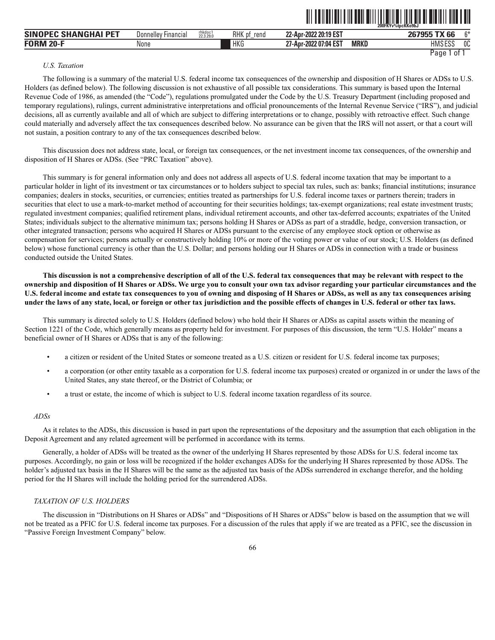|                                              |                                      |                       |                    | .                                               | 200FKYv%tpcKKo9bJ<br>__________                      | _____  |
|----------------------------------------------|--------------------------------------|-----------------------|--------------------|-------------------------------------------------|------------------------------------------------------|--------|
| <b>CHANCHAI</b><br><b>PFT</b><br><b>SINC</b> | <b>Financial</b><br><b>Donnelley</b> | rhkdoc'i<br>22.3.29.0 | RHK<br>rend        | -2022 20:19 EST<br>nn<br>'2-Anr-                | $\sim$<br>$-1$<br>OCJOFF<br>ЮO<br>ΖU<br>$\mathbf{r}$ | $\sim$ |
| <b>FORM</b><br><b>ON E</b>                   | None                                 |                       | <b>LIVC</b><br>nnu | <b>MRKD</b><br>-2022 07:04 EST<br>nп<br>'7-Apr- | <b>HMSESS</b>                                        | 0C     |

<u>oli toiloitta ja on oli tiittiva koko kautan oli t</u>

Page 1 of 1

#### *U.S. Taxation*

The following is a summary of the material U.S. federal income tax consequences of the ownership and disposition of H Shares or ADSs to U.S. Holders (as defined below). The following discussion is not exhaustive of all possible tax considerations. This summary is based upon the Internal Revenue Code of 1986, as amended (the "Code"), regulations promulgated under the Code by the U.S. Treasury Department (including proposed and temporary regulations), rulings, current administrative interpretations and official pronouncements of the Internal Revenue Service ("IRS"), and judicial decisions, all as currently available and all of which are subject to differing interpretations or to change, possibly with retroactive effect. Such change could materially and adversely affect the tax consequences described below. No assurance can be given that the IRS will not assert, or that a court will not sustain, a position contrary to any of the tax consequences described below.

This discussion does not address state, local, or foreign tax consequences, or the net investment income tax consequences, of the ownership and disposition of H Shares or ADSs. (See "PRC Taxation" above).

This summary is for general information only and does not address all aspects of U.S. federal income taxation that may be important to a particular holder in light of its investment or tax circumstances or to holders subject to special tax rules, such as: banks; financial institutions; insurance companies; dealers in stocks, securities, or currencies; entities treated as partnerships for U.S. federal income taxes or partners therein; traders in securities that elect to use a mark-to-market method of accounting for their securities holdings; tax-exempt organizations; real estate investment trusts; regulated investment companies; qualified retirement plans, individual retirement accounts, and other tax-deferred accounts; expatriates of the United States; individuals subject to the alternative minimum tax; persons holding H Shares or ADSs as part of a straddle, hedge, conversion transaction, or other integrated transaction; persons who acquired H Shares or ADSs pursuant to the exercise of any employee stock option or otherwise as compensation for services; persons actually or constructively holding 10% or more of the voting power or value of our stock; U.S. Holders (as defined below) whose functional currency is other than the U.S. Dollar; and persons holding our H Shares or ADSs in connection with a trade or business conducted outside the United States.

**This discussion is not a comprehensive description of all of the U.S. federal tax consequences that may be relevant with respect to the ownership and disposition of H Shares or ADSs. We urge you to consult your own tax advisor regarding your particular circumstances and the U.S. federal income and estate tax consequences to you of owning and disposing of H Shares or ADSs, as well as any tax consequences arising under the laws of any state, local, or foreign or other tax jurisdiction and the possible effects of changes in U.S. federal or other tax laws.**

This summary is directed solely to U.S. Holders (defined below) who hold their H Shares or ADSs as capital assets within the meaning of Section 1221 of the Code, which generally means as property held for investment. For purposes of this discussion, the term "U.S. Holder" means a beneficial owner of H Shares or ADSs that is any of the following:

- a citizen or resident of the United States or someone treated as a U.S. citizen or resident for U.S. federal income tax purposes;
- a corporation (or other entity taxable as a corporation for U.S. federal income tax purposes) created or organized in or under the laws of the United States, any state thereof, or the District of Columbia; or
- a trust or estate, the income of which is subject to U.S. federal income taxation regardless of its source.

#### *ADSs*

As it relates to the ADSs, this discussion is based in part upon the representations of the depositary and the assumption that each obligation in the Deposit Agreement and any related agreement will be performed in accordance with its terms.

Generally, a holder of ADSs will be treated as the owner of the underlying H Shares represented by those ADSs for U.S. federal income tax purposes. Accordingly, no gain or loss will be recognized if the holder exchanges ADSs for the underlying H Shares represented by those ADSs. The holder's adjusted tax basis in the H Shares will be the same as the adjusted tax basis of the ADSs surrendered in exchange therefor, and the holding period for the H Shares will include the holding period for the surrendered ADSs.

#### *TAXATION OF U.S. HOLDERS*

The discussion in "Distributions on H Shares or ADSs" and "Dispositions of H Shares or ADSs" below is based on the assumption that we will not be treated as a PFIC for U.S. federal income tax purposes. For a discussion of the rules that apply if we are treated as a PFIC, see the discussion in "Passive Foreign Investment Company" below.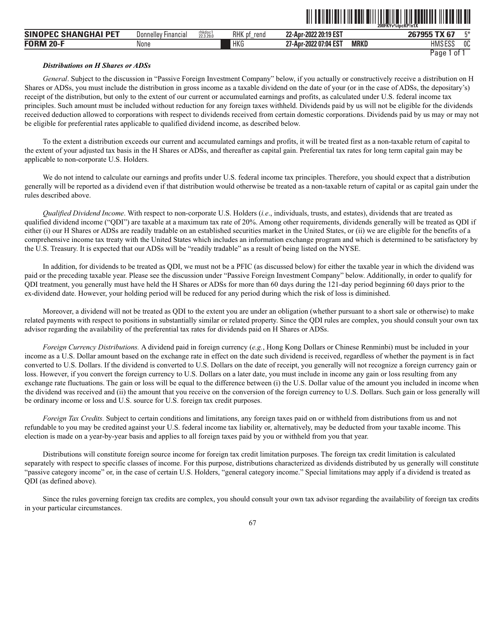|                             |                            |                      |                | <u> III IIII IIIII III III III</u>   | 200FKYv%tpcKP!n1X     |
|-----------------------------|----------------------------|----------------------|----------------|--------------------------------------|-----------------------|
| <b>SINOPEC SHANGHAI PET</b> | <b>Donnelley Financial</b> | rhkdoc1<br>22.3.29.0 | RHK pf<br>rend | 22-Apr-2022 20:19 EST                | 267955 TX 67<br>$F^*$ |
| <b>FORM 20-F</b>            | None                       |                      | HKG            | <b>MRKD</b><br>27-Apr-2022 07:04 EST | HMS ESS<br>0C         |

#### *Distributions on H Shares or ADSs*

*General*. Subject to the discussion in "Passive Foreign Investment Company" below, if you actually or constructively receive a distribution on H Shares or ADSs, you must include the distribution in gross income as a taxable dividend on the date of your (or in the case of ADSs, the depositary's) receipt of the distribution, but only to the extent of our current or accumulated earnings and profits, as calculated under U.S. federal income tax principles. Such amount must be included without reduction for any foreign taxes withheld. Dividends paid by us will not be eligible for the dividends received deduction allowed to corporations with respect to dividends received from certain domestic corporations. Dividends paid by us may or may not be eligible for preferential rates applicable to qualified dividend income, as described below.

To the extent a distribution exceeds our current and accumulated earnings and profits, it will be treated first as a non-taxable return of capital to the extent of your adjusted tax basis in the H Shares or ADSs, and thereafter as capital gain. Preferential tax rates for long term capital gain may be applicable to non-corporate U.S. Holders.

We do not intend to calculate our earnings and profits under U.S. federal income tax principles. Therefore, you should expect that a distribution generally will be reported as a dividend even if that distribution would otherwise be treated as a non-taxable return of capital or as capital gain under the rules described above.

*Qualified Dividend Income*. With respect to non-corporate U.S. Holders (*i.e*., individuals, trusts, and estates), dividends that are treated as qualified dividend income ("QDI") are taxable at a maximum tax rate of 20%. Among other requirements, dividends generally will be treated as QDI if either (i) our H Shares or ADSs are readily tradable on an established securities market in the United States, or (ii) we are eligible for the benefits of a comprehensive income tax treaty with the United States which includes an information exchange program and which is determined to be satisfactory by the U.S. Treasury. It is expected that our ADSs will be "readily tradable" as a result of being listed on the NYSE.

In addition, for dividends to be treated as QDI, we must not be a PFIC (as discussed below) for either the taxable year in which the dividend was paid or the preceding taxable year. Please see the discussion under "Passive Foreign Investment Company" below. Additionally, in order to qualify for QDI treatment, you generally must have held the H Shares or ADSs for more than 60 days during the 121-day period beginning 60 days prior to the ex-dividend date. However, your holding period will be reduced for any period during which the risk of loss is diminished.

Moreover, a dividend will not be treated as QDI to the extent you are under an obligation (whether pursuant to a short sale or otherwise) to make related payments with respect to positions in substantially similar or related property. Since the QDI rules are complex, you should consult your own tax advisor regarding the availability of the preferential tax rates for dividends paid on H Shares or ADSs.

*Foreign Currency Distributions.* A dividend paid in foreign currency (*e.g.*, Hong Kong Dollars or Chinese Renminbi) must be included in your income as a U.S. Dollar amount based on the exchange rate in effect on the date such dividend is received, regardless of whether the payment is in fact converted to U.S. Dollars. If the dividend is converted to U.S. Dollars on the date of receipt, you generally will not recognize a foreign currency gain or loss. However, if you convert the foreign currency to U.S. Dollars on a later date, you must include in income any gain or loss resulting from any exchange rate fluctuations. The gain or loss will be equal to the difference between (i) the U.S. Dollar value of the amount you included in income when the dividend was received and (ii) the amount that you receive on the conversion of the foreign currency to U.S. Dollars. Such gain or loss generally will be ordinary income or loss and U.S. source for U.S. foreign tax credit purposes.

*Foreign Tax Credits.* Subject to certain conditions and limitations, any foreign taxes paid on or withheld from distributions from us and not refundable to you may be credited against your U.S. federal income tax liability or, alternatively, may be deducted from your taxable income. This election is made on a year-by-year basis and applies to all foreign taxes paid by you or withheld from you that year.

Distributions will constitute foreign source income for foreign tax credit limitation purposes. The foreign tax credit limitation is calculated separately with respect to specific classes of income. For this purpose, distributions characterized as dividends distributed by us generally will constitute "passive category income" or, in the case of certain U.S. Holders, "general category income." Special limitations may apply if a dividend is treated as QDI (as defined above).

Since the rules governing foreign tax credits are complex, you should consult your own tax advisor regarding the availability of foreign tax credits in your particular circumstances.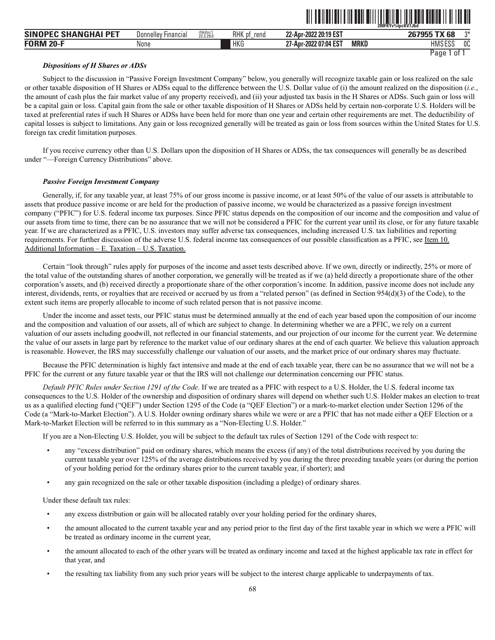|                                               |                        |                      |                |                                        | 200FKYv%tpcKV7Jbd            | .  |
|-----------------------------------------------|------------------------|----------------------|----------------|----------------------------------------|------------------------------|----|
| <b>PFT</b><br><b>ANGHAL</b><br><b>SINOPEC</b> | Donnelley<br>Financia, | rhkdoc1<br>22.3.29.0 | RHK p.<br>eno" | -2022 20:19 EST<br>nn<br>–∠-Apr-‴      | ---<br>c0<br>oo<br>∠υ        | ግ* |
| <b>FORM</b><br><b>OO F</b><br>∕U-I            | None                   |                      | <b>HKG</b>     | $-202207:04EST$<br>nч<br>'7-Anr-<br>-7 | <b>HMSESS</b><br><b>MRKD</b> | 0C |

<u>oli od indijeli ili boli mili ili mili od lili boli boli ili ili ili bil</u>

Page 1 of 1

#### *Dispositions of H Shares or ADSs*

Subject to the discussion in "Passive Foreign Investment Company" below, you generally will recognize taxable gain or loss realized on the sale or other taxable disposition of H Shares or ADSs equal to the difference between the U.S. Dollar value of (i) the amount realized on the disposition (*i.e.*, the amount of cash plus the fair market value of any property received), and (ii) your adjusted tax basis in the H Shares or ADSs. Such gain or loss will be a capital gain or loss. Capital gain from the sale or other taxable disposition of H Shares or ADSs held by certain non-corporate U.S. Holders will be taxed at preferential rates if such H Shares or ADSs have been held for more than one year and certain other requirements are met. The deductibility of capital losses is subject to limitations. Any gain or loss recognized generally will be treated as gain or loss from sources within the United States for U.S. foreign tax credit limitation purposes.

If you receive currency other than U.S. Dollars upon the disposition of H Shares or ADSs, the tax consequences will generally be as described under "—Foreign Currency Distributions" above.

#### *Passive Foreign Investment Company*

Generally, if, for any taxable year, at least 75% of our gross income is passive income, or at least 50% of the value of our assets is attributable to assets that produce passive income or are held for the production of passive income, we would be characterized as a passive foreign investment company ("PFIC") for U.S. federal income tax purposes. Since PFIC status depends on the composition of our income and the composition and value of our assets from time to time, there can be no assurance that we will not be considered a PFIC for the current year until its close, or for any future taxable year. If we are characterized as a PFIC, U.S. investors may suffer adverse tax consequences, including increased U.S. tax liabilities and reporting requirements. For further discussion of the adverse U.S. federal income tax consequences of our possible classification as a PFIC, see Item 10. Additional Information – E. Taxation – U.S. Taxation.

Certain "look through" rules apply for purposes of the income and asset tests described above. If we own, directly or indirectly, 25% or more of the total value of the outstanding shares of another corporation, we generally will be treated as if we (a) held directly a proportionate share of the other corporation's assets, and (b) received directly a proportionate share of the other corporation's income. In addition, passive income does not include any interest, dividends, rents, or royalties that are received or accrued by us from a "related person" (as defined in Section 954(d)(3) of the Code), to the extent such items are properly allocable to income of such related person that is not passive income.

Under the income and asset tests, our PFIC status must be determined annually at the end of each year based upon the composition of our income and the composition and valuation of our assets, all of which are subject to change. In determining whether we are a PFIC, we rely on a current valuation of our assets including goodwill, not reflected in our financial statements, and our projection of our income for the current year. We determine the value of our assets in large part by reference to the market value of our ordinary shares at the end of each quarter. We believe this valuation approach is reasonable. However, the IRS may successfully challenge our valuation of our assets, and the market price of our ordinary shares may fluctuate.

Because the PFIC determination is highly fact intensive and made at the end of each taxable year, there can be no assurance that we will not be a PFIC for the current or any future taxable year or that the IRS will not challenge our determination concerning our PFIC status.

*Default PFIC Rules under Section 1291 of the Code*. If we are treated as a PFIC with respect to a U.S. Holder, the U.S. federal income tax consequences to the U.S. Holder of the ownership and disposition of ordinary shares will depend on whether such U.S. Holder makes an election to treat us as a qualified electing fund ("QEF") under Section 1295 of the Code (a "QEF Election") or a mark-to-market election under Section 1296 of the Code (a "Mark-to-Market Election"). A U.S. Holder owning ordinary shares while we were or are a PFIC that has not made either a QEF Election or a Mark-to-Market Election will be referred to in this summary as a "Non-Electing U.S. Holder."

If you are a Non-Electing U.S. Holder, you will be subject to the default tax rules of Section 1291 of the Code with respect to:

- any "excess distribution" paid on ordinary shares, which means the excess (if any) of the total distributions received by you during the current taxable year over 125% of the average distributions received by you during the three preceding taxable years (or during the portion of your holding period for the ordinary shares prior to the current taxable year, if shorter); and
- any gain recognized on the sale or other taxable disposition (including a pledge) of ordinary shares.

Under these default tax rules:

- any excess distribution or gain will be allocated ratably over your holding period for the ordinary shares,
- the amount allocated to the current taxable year and any period prior to the first day of the first taxable year in which we were a PFIC will be treated as ordinary income in the current year,
- the amount allocated to each of the other years will be treated as ordinary income and taxed at the highest applicable tax rate in effect for that year, and
- the resulting tax liability from any such prior years will be subject to the interest charge applicable to underpayments of tax.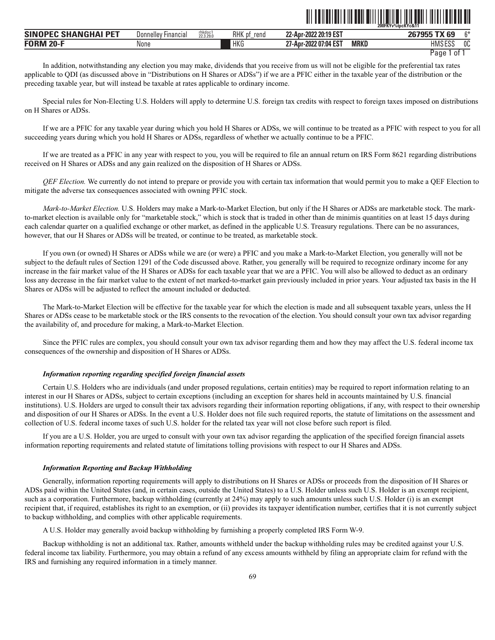| <b>SINOPEC SHANGHAI PET</b> | ≻ınancıal<br>Donnellev | rhkdoc1<br>22.3.29.0 | RHK p<br>rend | -2022 20:19 EST<br>nn.<br>2-Anr  |             | ГV.<br>C <sub>0</sub><br>vJ<br>. . | $\sim$ |
|-----------------------------|------------------------|----------------------|---------------|----------------------------------|-------------|------------------------------------|--------|
| <b>FORM</b><br><b>OO F</b>  | None                   |                      | <b>HKG</b>    | -2022 07:04 EST<br>nп<br>'/-Anr- | <b>MRKD</b> | <b>HMSESS</b>                      | 0C     |
|                             |                        |                      |               |                                  |             |                                    | - -    |

In addition, notwithstanding any election you may make, dividends that you receive from us will not be eligible for the preferential tax rates applicable to QDI (as discussed above in "Distributions on H Shares or ADSs") if we are a PFIC either in the taxable year of the distribution or the preceding taxable year, but will instead be taxable at rates applicable to ordinary income.

Special rules for Non-Electing U.S. Holders will apply to determine U.S. foreign tax credits with respect to foreign taxes imposed on distributions on H Shares or ADSs.

If we are a PFIC for any taxable year during which you hold H Shares or ADSs, we will continue to be treated as a PFIC with respect to you for all succeeding years during which you hold H Shares or ADSs, regardless of whether we actually continue to be a PFIC.

If we are treated as a PFIC in any year with respect to you, you will be required to file an annual return on IRS Form 8621 regarding distributions received on H Shares or ADSs and any gain realized on the disposition of H Shares or ADSs.

*QEF Election.* We currently do not intend to prepare or provide you with certain tax information that would permit you to make a QEF Election to mitigate the adverse tax consequences associated with owning PFIC stock.

*Mark-to-Market Election.* U.S. Holders may make a Mark-to-Market Election, but only if the H Shares or ADSs are marketable stock. The markto-market election is available only for "marketable stock," which is stock that is traded in other than de minimis quantities on at least 15 days during each calendar quarter on a qualified exchange or other market, as defined in the applicable U.S. Treasury regulations. There can be no assurances, however, that our H Shares or ADSs will be treated, or continue to be treated, as marketable stock.

If you own (or owned) H Shares or ADSs while we are (or were) a PFIC and you make a Mark-to-Market Election, you generally will not be subject to the default rules of Section 1291 of the Code discussed above. Rather, you generally will be required to recognize ordinary income for any increase in the fair market value of the H Shares or ADSs for each taxable year that we are a PFIC. You will also be allowed to deduct as an ordinary loss any decrease in the fair market value to the extent of net marked-to-market gain previously included in prior years. Your adjusted tax basis in the H Shares or ADSs will be adjusted to reflect the amount included or deducted.

The Mark-to-Market Election will be effective for the taxable year for which the election is made and all subsequent taxable years, unless the H Shares or ADSs cease to be marketable stock or the IRS consents to the revocation of the election. You should consult your own tax advisor regarding the availability of, and procedure for making, a Mark-to-Market Election.

Since the PFIC rules are complex, you should consult your own tax advisor regarding them and how they may affect the U.S. federal income tax consequences of the ownership and disposition of H Shares or ADSs.

#### *Information reporting regarding specified foreign financial assets*

Certain U.S. Holders who are individuals (and under proposed regulations, certain entities) may be required to report information relating to an interest in our H Shares or ADSs, subject to certain exceptions (including an exception for shares held in accounts maintained by U.S. financial institutions). U.S. Holders are urged to consult their tax advisors regarding their information reporting obligations, if any, with respect to their ownership and disposition of our H Shares or ADSs. In the event a U.S. Holder does not file such required reports, the statute of limitations on the assessment and collection of U.S. federal income taxes of such U.S. holder for the related tax year will not close before such report is filed.

If you are a U.S. Holder, you are urged to consult with your own tax advisor regarding the application of the specified foreign financial assets information reporting requirements and related statute of limitations tolling provisions with respect to our H Shares and ADSs.

#### *Information Reporting and Backup Withholding*

Generally, information reporting requirements will apply to distributions on H Shares or ADSs or proceeds from the disposition of H Shares or ADSs paid within the United States (and, in certain cases, outside the United States) to a U.S. Holder unless such U.S. Holder is an exempt recipient, such as a corporation. Furthermore, backup withholding (currently at 24%) may apply to such amounts unless such U.S. Holder (i) is an exempt recipient that, if required, establishes its right to an exemption, or (ii) provides its taxpayer identification number, certifies that it is not currently subject to backup withholding, and complies with other applicable requirements.

A U.S. Holder may generally avoid backup withholding by furnishing a properly completed IRS Form W-9.

Backup withholding is not an additional tax. Rather, amounts withheld under the backup withholding rules may be credited against your U.S. federal income tax liability. Furthermore, you may obtain a refund of any excess amounts withheld by filing an appropriate claim for refund with the IRS and furnishing any required information in a timely manner.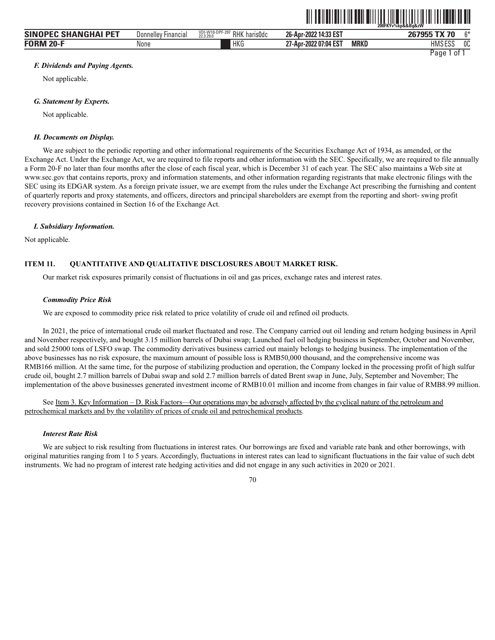|                                       |                     |                                                 | --------              |             | 200FKYv%kp&&Bg&zW |    |
|---------------------------------------|---------------------|-------------------------------------------------|-----------------------|-------------|-------------------|----|
| <b>SINOPEC SHANGHAI</b><br><b>PFT</b> | Donnelley Financial | VDI-W10-DPF-297<br>RHK<br>harisOdc<br>22.3.29.0 | 26-Apr-2022 14:33 EST |             | 267955 TX 70      | C* |
| <b>FORM 20-F</b>                      | None                | HKG                                             | 27-Apr-2022 07:04 EST | <b>MRKD</b> | <b>HMSESS</b>     | 0C |
|                                       |                     |                                                 |                       |             | Page<br>0t        |    |

<u>oli toiluttuittiin on valtitti liitoitti liitoitti liitoitti liitoit</u>

#### *F. Dividends and Paying Agents.*

Not applicable.

#### *G. Statement by Experts.*

Not applicable.

#### *H. Documents on Display.*

We are subject to the periodic reporting and other informational requirements of the Securities Exchange Act of 1934, as amended, or the Exchange Act. Under the Exchange Act, we are required to file reports and other information with the SEC. Specifically, we are required to file annually a Form 20-F no later than four months after the close of each fiscal year, which is December 31 of each year. The SEC also maintains a Web site at www.sec.gov that contains reports, proxy and information statements, and other information regarding registrants that make electronic filings with the SEC using its EDGAR system. As a foreign private issuer, we are exempt from the rules under the Exchange Act prescribing the furnishing and content of quarterly reports and proxy statements, and officers, directors and principal shareholders are exempt from the reporting and short- swing profit recovery provisions contained in Section 16 of the Exchange Act.

#### *I. Subsidiary Information.*

Not applicable.

#### **ITEM 11. QUANTITATIVE AND QUALITATIVE DISCLOSURES ABOUT MARKET RISK.**

Our market risk exposures primarily consist of fluctuations in oil and gas prices, exchange rates and interest rates.

#### *Commodity Price Risk*

We are exposed to commodity price risk related to price volatility of crude oil and refined oil products.

In 2021, the price of international crude oil market fluctuated and rose. The Company carried out oil lending and return hedging business in April and November respectively, and bought 3.15 million barrels of Dubai swap; Launched fuel oil hedging business in September, October and November, and sold 25000 tons of LSFO swap. The commodity derivatives business carried out mainly belongs to hedging business. The implementation of the above businesses has no risk exposure, the maximum amount of possible loss is RMB50,000 thousand, and the comprehensive income was RMB166 million. At the same time, for the purpose of stabilizing production and operation, the Company locked in the processing profit of high sulfur crude oil, bought 2.7 million barrels of Dubai swap and sold 2.7 million barrels of dated Brent swap in June, July, September and November; The implementation of the above businesses generated investment income of RMB10.01 million and income from changes in fair value of RMB8.99 million.

See <u>Item 3. Key Information – D. Risk Factors—Our operations may be adversely affected by the cyclical nature of the petroleum and</u> petrochemical markets and by the volatility of prices of crude oil and petrochemical products.

#### *Interest Rate Risk*

We are subject to risk resulting from fluctuations in interest rates. Our borrowings are fixed and variable rate bank and other borrowings, with original maturities ranging from 1 to 5 years. Accordingly, fluctuations in interest rates can lead to significant fluctuations in the fair value of such debt instruments. We had no program of interest rate hedging activities and did not engage in any such activities in 2020 or 2021.

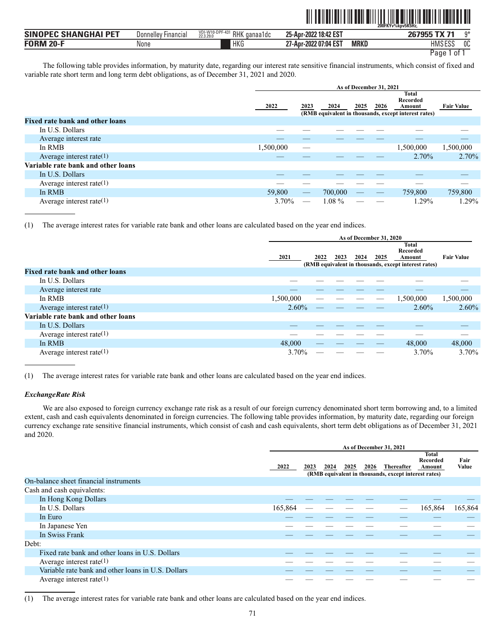|--|

| <b>SINOPEC SHANGHAI PET</b> | inancia.<br>Jor<br>nellev | $\overline{\phantom{a}}$<br>$111110$ DDC<br>DIII<br>VUI-VVIU-L<br>. danaa1dc<br>nnn<br>22.3.29.0 | 18:42 EST<br>25-Apr-<br>ההחה<br>2022                |             | TV 74<br>0000000 | ሰ* |
|-----------------------------|---------------------------|--------------------------------------------------------------------------------------------------|-----------------------------------------------------|-------------|------------------|----|
| <b>FORM 20-F</b>            | None                      | <b>HKG</b>                                                                                       | $1/2$ 07:04 $F^{c-}$<br>ົ<br>'/-Anr<br>70Z<br>. LJ' | <b>MRKD</b> | <b>HMSESS</b>    | 0C |
|                             |                           |                                                                                                  |                                                     |             |                  |    |

The following table provides information, by maturity date, regarding our interest rate sensitive financial instruments, which consist of fixed and variable rate short term and long term debt obligations, as of December 31, 2021 and 2020.

|                                        | As of December 31, 2021 |                                 |          |      |                          |                                                      |                   |  |  |  |
|----------------------------------------|-------------------------|---------------------------------|----------|------|--------------------------|------------------------------------------------------|-------------------|--|--|--|
|                                        |                         |                                 |          |      |                          | Total                                                |                   |  |  |  |
|                                        |                         |                                 |          |      |                          | Recorded                                             |                   |  |  |  |
|                                        | 2022                    | 2023                            | 2024     | 2025 | 2026                     | Amount                                               | <b>Fair Value</b> |  |  |  |
|                                        |                         |                                 |          |      |                          | (RMB equivalent in thousands, except interest rates) |                   |  |  |  |
| <b>Fixed rate bank and other loans</b> |                         |                                 |          |      |                          |                                                      |                   |  |  |  |
| In U.S. Dollars                        |                         |                                 |          |      |                          |                                                      |                   |  |  |  |
| Average interest rate                  |                         |                                 |          |      |                          |                                                      |                   |  |  |  |
| In RMB                                 | 1,500,000               |                                 |          |      |                          | 1,500,000                                            | 1,500,000         |  |  |  |
| Average interest rate $(1)$            |                         |                                 |          |      |                          | 2.70%                                                | 2.70%             |  |  |  |
| Variable rate bank and other loans     |                         |                                 |          |      |                          |                                                      |                   |  |  |  |
| In U.S. Dollars                        |                         |                                 |          |      |                          |                                                      |                   |  |  |  |
| Average interest rate $(1)$            |                         |                                 |          |      |                          |                                                      |                   |  |  |  |
| In RMB                                 | 59,800                  | $\hspace{0.1mm}-\hspace{0.1mm}$ | 700,000  |      | $\overline{\phantom{m}}$ | 759,800                                              | 759,800           |  |  |  |
| Average interest rate $(1)$            | $3.70\%$                |                                 | $1.08\%$ |      |                          | 1.29%                                                | 1.29%             |  |  |  |

(1) The average interest rates for variable rate bank and other loans are calculated based on the year end indices.

|                                        | As of December 31, 2020 |      |      |                             |                   |                                                      |           |  |  |
|----------------------------------------|-------------------------|------|------|-----------------------------|-------------------|------------------------------------------------------|-----------|--|--|
|                                        | 2021                    | 2022 | 2023 | Total<br>Recorded<br>Amount | <b>Fair Value</b> |                                                      |           |  |  |
| <b>Fixed rate bank and other loans</b> |                         |      |      |                             |                   | (RMB equivalent in thousands, except interest rates) |           |  |  |
| In U.S. Dollars                        |                         |      |      |                             |                   |                                                      |           |  |  |
| Average interest rate                  |                         |      |      |                             |                   |                                                      |           |  |  |
| In RMB                                 | 1,500,000               |      |      |                             |                   | 1,500,000                                            | 1,500,000 |  |  |
| Average interest rate $(1)$            | $2.60\%$                |      |      |                             |                   | $2.60\%$                                             | $2.60\%$  |  |  |
| Variable rate bank and other loans     |                         |      |      |                             |                   |                                                      |           |  |  |
| In U.S. Dollars                        |                         |      |      |                             |                   |                                                      |           |  |  |
| Average interest rate $(1)$            |                         |      |      |                             |                   |                                                      |           |  |  |
| In RMB                                 | 48,000                  |      |      |                             |                   | 48,000                                               | 48,000    |  |  |
| Average interest rate $(1)$            | 3.70%                   |      |      |                             |                   | $3.70\%$                                             | 3.70%     |  |  |

(1) The average interest rates for variable rate bank and other loans are calculated based on the year end indices.

#### *ExchangeRate Risk*

We are also exposed to foreign currency exchange rate risk as a result of our foreign currency denominated short term borrowing and, to a limited extent, cash and cash equivalents denominated in foreign currencies. The following table provides information, by maturity date, regarding our foreign currency exchange rate sensitive financial instruments, which consist of cash and cash equivalents, short term debt obligations as of December 31, 2021 and 2020.

|                                                    | As of December 31, 2021 |      |      |      |      |                                                                           |                                    |               |
|----------------------------------------------------|-------------------------|------|------|------|------|---------------------------------------------------------------------------|------------------------------------|---------------|
|                                                    | 2022                    | 2023 | 2024 | 2025 | 2026 | <b>Thereafter</b><br>(RMB equivalent in thousands, except interest rates) | <b>Total</b><br>Recorded<br>Amount | Fair<br>Value |
| On-balance sheet financial instruments             |                         |      |      |      |      |                                                                           |                                    |               |
| Cash and cash equivalents:                         |                         |      |      |      |      |                                                                           |                                    |               |
| In Hong Kong Dollars                               |                         |      |      |      |      |                                                                           |                                    |               |
| In U.S. Dollars                                    | 165,864                 |      |      |      |      |                                                                           | 165,864                            | 165,864       |
| In Euro                                            |                         |      |      |      |      |                                                                           |                                    |               |
| In Japanese Yen                                    |                         |      |      |      |      |                                                                           |                                    |               |
| In Swiss Frank                                     |                         |      |      |      |      |                                                                           |                                    |               |
| Debt:                                              |                         |      |      |      |      |                                                                           |                                    |               |
| Fixed rate bank and other loans in U.S. Dollars    |                         |      |      |      |      |                                                                           |                                    |               |
| Average interest rate $(1)$                        |                         |      |      |      |      |                                                                           |                                    |               |
| Variable rate bank and other loans in U.S. Dollars |                         |      |      |      |      |                                                                           |                                    |               |
| Average interest rate $(1)$                        |                         |      |      |      |      |                                                                           |                                    |               |

(1) The average interest rates for variable rate bank and other loans are calculated based on the year end indices.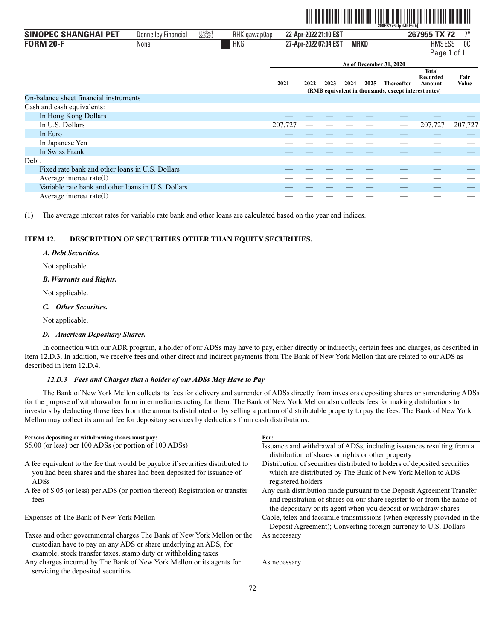### **THE FINITE OF THE BILL BILL <u>ALONE I, QUI</u>, I II III III II III III**

| <b>SINOPEC SHANGHAI PET</b> | Donnelley Financial | rhkdoc)<br>22.3.29.0 | RHK<br>. aawap0ap | 22-Apr-2022 21:10 EST           |             | <b>TAL</b><br>$\mathbf{z}$<br>$-1$<br><b>0070FI</b><br>∠b/ |
|-----------------------------|---------------------|----------------------|-------------------|---------------------------------|-------------|------------------------------------------------------------|
| <b>FORM 20-F</b>            | None                |                      | IUVC<br>nno       | 27-Apr-2022 07:04 EST<br>$\sim$ | <b>MRKD</b> | <b>HMSESS</b><br>$\sim$<br>็บเ                             |
|                             |                     |                      |                   |                                 |             | Ponn<br>ΩŤ                                                 |

Page 1 of 1

|       |                                                    |                         |      |      |      |      |                                                                    | .                                  |               |
|-------|----------------------------------------------------|-------------------------|------|------|------|------|--------------------------------------------------------------------|------------------------------------|---------------|
|       |                                                    | As of December 31, 2020 |      |      |      |      |                                                                    |                                    |               |
|       |                                                    | 2021                    | 2022 | 2023 | 2024 | 2025 | Thereafter<br>(RMB equivalent in thousands, except interest rates) | <b>Total</b><br>Recorded<br>Amount | Fair<br>Value |
|       | On-balance sheet financial instruments             |                         |      |      |      |      |                                                                    |                                    |               |
|       | Cash and cash equivalents:                         |                         |      |      |      |      |                                                                    |                                    |               |
|       | In Hong Kong Dollars                               |                         |      |      |      |      |                                                                    |                                    |               |
|       | In U.S. Dollars                                    | 207,727                 |      |      |      |      |                                                                    | 207,727                            | 207,727       |
|       | In Euro                                            |                         |      |      |      |      |                                                                    |                                    |               |
|       | In Japanese Yen                                    |                         |      |      |      |      |                                                                    |                                    |               |
|       | In Swiss Frank                                     |                         |      |      |      |      |                                                                    |                                    |               |
| Debt: |                                                    |                         |      |      |      |      |                                                                    |                                    |               |
|       | Fixed rate bank and other loans in U.S. Dollars    |                         |      |      |      |      |                                                                    |                                    |               |
|       | Average interest rate $(1)$                        |                         |      |      |      |      |                                                                    |                                    |               |
|       | Variable rate bank and other loans in U.S. Dollars |                         |      |      |      |      |                                                                    |                                    |               |
|       | Average interest rate $(1)$                        |                         |      |      |      |      |                                                                    |                                    |               |

(1) The average interest rates for variable rate bank and other loans are calculated based on the year end indices.

#### **ITEM 12. DESCRIPTION OF SECURITIES OTHER THAN EQUITY SECURITIES.**

#### *A. Debt Securities.*

Not applicable.

#### *B. Warrants and Rights.*

Not applicable.

#### *C. Other Securities.*

Not applicable.

#### *D. American Depositary Shares.*

In connection with our ADR program, a holder of our ADSs may have to pay, either directly or indirectly, certain fees and charges, as described in Item 12.D.3. In addition, we receive fees and other direct and indirect payments from The Bank of New York Mellon that are related to our ADS as described in Item 12.D.4.

#### *12.D.3 Fees and Charges that a holder of our ADSs May Have to Pay*

The Bank of New York Mellon collects its fees for delivery and surrender of ADSs directly from investors depositing shares or surrendering ADSs for the purpose of withdrawal or from intermediaries acting for them. The Bank of New York Mellon also collects fees for making distributions to investors by deducting those fees from the amounts distributed or by selling a portion of distributable property to pay the fees. The Bank of New York Mellon may collect its annual fee for depositary services by deductions from cash distributions.

#### **Persons depositing or withdrawing shares must pay: For:**

\$5.00 (or less) per 100 ADSs (or portion of 100 ADSs)

A fee equivalent to the fee that would be payable if securities distributed to you had been shares and the shares had been deposited for issuance of ADSs

A fee of \$.05 (or less) per ADS (or portion thereof) Registration or transfer fees

Expenses of The Bank of New York Mellon

Any charges incurred by The Bank of New York Mellon or its agents for servicing the deposited securities

| Issuance and withdrawal of ADSs, including issuances resulting from a     |
|---------------------------------------------------------------------------|
| distribution of shares or rights or other property                        |
| Distribution of securities distributed to holders of deposited securities |
| which are distributed by The Bank of New York Mellon to ADS               |
| registered holders                                                        |
| Any cash distribution made pursuant to the Deposit Agreement Transfer     |
| and registration of shares on our share register to or from the name of   |
| the depositary or its agent when you deposit or withdraw shares           |
| Cable, telex and facsimile transmissions (when expressly provided in the  |
| Deposit Agreement); Converting foreign currency to U.S. Dollars           |
| As necessary                                                              |

As necessary

Taxes and other governmental charges The Bank of New York Mellon or the custodian have to pay on any ADS or share underlying an ADS, for example, stock transfer taxes, stamp duty or withholding taxes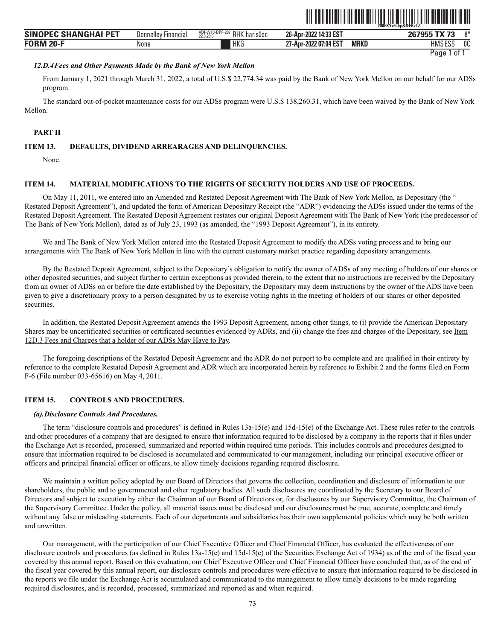| <b>Financial</b> | VDI-W10-DPF-297 RHK hariende | 26. Apr. 2022 14:22 FCT | $267955$ TY $73$ |
|------------------|------------------------------|-------------------------|------------------|

| <b>SINOPEC SHANGHAI PET</b> | $- \cdot$<br>Donnelley<br><b>Financial</b> | VDI-W10-DPF-297<br><b>RHK</b><br>haris0dc<br>22.3.29.0 | 26-Apr-2022 14:33 EST                |             | $0*$<br>TV 79<br>267955<br>ZU.<br>. |
|-----------------------------|--------------------------------------------|--------------------------------------------------------|--------------------------------------|-------------|-------------------------------------|
| <b>FORM 20-</b>             | None                                       | <b>HKG</b>                                             | 2 07:04 ES1<br>$\sim$<br>27-Apr-2022 | <b>MRKD</b> | <b>HMSESS</b><br>0C                 |
|                             |                                            |                                                        |                                      |             | Paqe<br>01                          |

#### *12.D.4Fees and Other Payments Made by the Bank of New York Mellon*

From January 1, 2021 through March 31, 2022, a total of U.S.\$ 22,774.34 was paid by the Bank of New York Mellon on our behalf for our ADSs program.

The standard out-of-pocket maintenance costs for our ADSs program were U.S.\$ 138,260.31, which have been waived by the Bank of New York Mellon.

#### **PART II**

#### **ITEM 13. DEFAULTS, DIVIDEND ARREARAGES AND DELINQUENCIES.**

None.

#### **ITEM 14. MATERIAL MODIFICATIONS TO THE RIGHTS OF SECURITY HOLDERS AND USE OF PROCEEDS.**

On May 11, 2011, we entered into an Amended and Restated Deposit Agreement with The Bank of New York Mellon, as Depositary (the " Restated Deposit Agreement"), and updated the form of American Depositary Receipt (the "ADR") evidencing the ADSs issued under the terms of the Restated Deposit Agreement. The Restated Deposit Agreement restates our original Deposit Agreement with The Bank of New York (the predecessor of The Bank of New York Mellon), dated as of July 23, 1993 (as amended, the "1993 Deposit Agreement"), in its entirety.

We and The Bank of New York Mellon entered into the Restated Deposit Agreement to modify the ADSs voting process and to bring our arrangements with The Bank of New York Mellon in line with the current customary market practice regarding depositary arrangements.

By the Restated Deposit Agreement, subject to the Depositary's obligation to notify the owner of ADSs of any meeting of holders of our shares or other deposited securities, and subject further to certain exceptions as provided therein, to the extent that no instructions are received by the Depositary from an owner of ADSs on or before the date established by the Depositary, the Depositary may deem instructions by the owner of the ADS have been given to give a discretionary proxy to a person designated by us to exercise voting rights in the meeting of holders of our shares or other deposited securities.

In addition, the Restated Deposit Agreement amends the 1993 Deposit Agreement, among other things, to (i) provide the American Depositary Shares may be uncertificated securities or certificated securities evidenced by ADRs, and (ii) change the fees and charges of the Depositary, see Item 12D.3 Fees and Charges that a holder of our ADSs May Have to Pay.

The foregoing descriptions of the Restated Deposit Agreement and the ADR do not purport to be complete and are qualified in their entirety by reference to the complete Restated Deposit Agreement and ADR which are incorporated herein by reference to Exhibit 2 and the forms filed on Form F-6 (File number 033-65616) on May 4, 2011.

#### **ITEM 15. CONTROLS AND PROCEDURES.**

#### *(a).Disclosure Controls And Procedures.*

The term "disclosure controls and procedures" is defined in Rules 13a-15(e) and 15d-15(e) of the Exchange Act. These rules refer to the controls and other procedures of a company that are designed to ensure that information required to be disclosed by a company in the reports that it files under the Exchange Act is recorded, processed, summarized and reported within required time periods. This includes controls and procedures designed to ensure that information required to be disclosed is accumulated and communicated to our management, including our principal executive officer or officers and principal financial officer or officers, to allow timely decisions regarding required disclosure.

We maintain a written policy adopted by our Board of Directors that governs the collection, coordination and disclosure of information to our shareholders, the public and to governmental and other regulatory bodies. All such disclosures are coordinated by the Secretary to our Board of Directors and subject to execution by either the Chairman of our Board of Directors or, for disclosures by our Supervisory Committee, the Chairman of the Supervisory Committee. Under the policy, all material issues must be disclosed and our disclosures must be true, accurate, complete and timely without any false or misleading statements. Each of our departments and subsidiaries has their own supplemental policies which may be both written and unwritten.

Our management, with the participation of our Chief Executive Officer and Chief Financial Officer, has evaluated the effectiveness of our disclosure controls and procedures (as defined in Rules 13a-15(e) and 15d-15(e) of the Securities Exchange Act of 1934) as of the end of the fiscal year covered by this annual report. Based on this evaluation, our Chief Executive Officer and Chief Financial Officer have concluded that, as of the end of the fiscal year covered by this annual report, our disclosure controls and procedures were effective to ensure that information required to be disclosed in the reports we file under the Exchange Act is accumulated and communicated to the management to allow timely decisions to be made regarding required disclosures, and is recorded, processed, summarized and reported as and when required.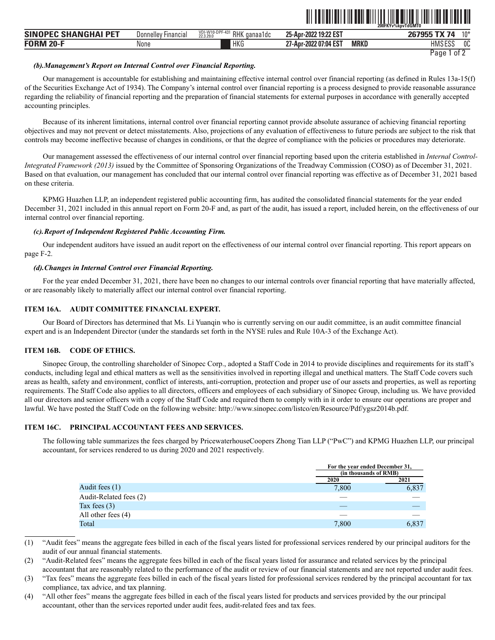|                              |                        |                                                |                                 | 200FKYv%kpvTdGMT0            |       |
|------------------------------|------------------------|------------------------------------------------|---------------------------------|------------------------------|-------|
| DET<br>. SHANGHAI<br>SINOPEC | Financial<br>Donnellev | VDI-W10-DPF-43<br>RHK<br>aanaa1dc<br>22.3.29.0 | 2 19:22 EST<br>25-Apr-<br>-2022 | $-1$<br>_U `                 | $10*$ |
| FORM<br>$20-I$               | None                   | <b>HKG</b>                                     | $21 -$ Apr-2022 07:04 Fc $-$    | <b>HMSESS</b><br><b>MRKL</b> | 0C    |

ˆ200FKYv%kpvTdGMT0Š

#### *(b).Management's Report on Internal Control over Financial Reporting.*

Our management is accountable for establishing and maintaining effective internal control over financial reporting (as defined in Rules 13a-15(f) of the Securities Exchange Act of 1934). The Company's internal control over financial reporting is a process designed to provide reasonable assurance regarding the reliability of financial reporting and the preparation of financial statements for external purposes in accordance with generally accepted accounting principles.

Because of its inherent limitations, internal control over financial reporting cannot provide absolute assurance of achieving financial reporting objectives and may not prevent or detect misstatements. Also, projections of any evaluation of effectiveness to future periods are subject to the risk that controls may become ineffective because of changes in conditions, or that the degree of compliance with the policies or procedures may deteriorate.

Our management assessed the effectiveness of our internal control over financial reporting based upon the criteria established in *Internal Control-Integrated Framework (2013)* issued by the Committee of Sponsoring Organizations of the Treadway Commission (COSO) as of December 31, 2021. Based on that evaluation, our management has concluded that our internal control over financial reporting was effective as of December 31, 2021 based on these criteria.

KPMG Huazhen LLP, an independent registered public accounting firm, has audited the consolidated financial statements for the year ended December 31, 2021 included in this annual report on Form 20-F and, as part of the audit, has issued a report, included herein, on the effectiveness of our internal control over financial reporting.

#### *(c).Report of Independent Registered Public Accounting Firm.*

Our independent auditors have issued an audit report on the effectiveness of our internal control over financial reporting. This report appears on page F-2.

#### *(d).Changes in Internal Control over Financial Reporting.*

For the year ended December 31, 2021, there have been no changes to our internal controls over financial reporting that have materially affected, or are reasonably likely to materially affect our internal control over financial reporting.

### **ITEM 16A. AUDIT COMMITTEE FINANCIAL EXPERT.**

Our Board of Directors has determined that Ms. Li Yuanqin who is currently serving on our audit committee, is an audit committee financial expert and is an Independent Director (under the standards set forth in the NYSE rules and Rule 10A-3 of the Exchange Act).

### **ITEM 16B. CODE OF ETHICS.**

Sinopec Group, the controlling shareholder of Sinopec Corp., adopted a Staff Code in 2014 to provide disciplines and requirements for its staff's conducts, including legal and ethical matters as well as the sensitivities involved in reporting illegal and unethical matters. The Staff Code covers such areas as health, safety and environment, conflict of interests, anti-corruption, protection and proper use of our assets and properties, as well as reporting requirements. The Staff Code also applies to all directors, officers and employees of each subsidiary of Sinopec Group, including us. We have provided all our directors and senior officers with a copy of the Staff Code and required them to comply with in it order to ensure our operations are proper and lawful. We have posted the Staff Code on the following website: http://www.sinopec.com/listco/en/Resource/Pdf/ygsz2014b.pdf.

### **ITEM 16C. PRINCIPAL ACCOUNTANT FEES AND SERVICES.**

The following table summarizes the fees charged by PricewaterhouseCoopers Zhong Tian LLP ("PwC") and KPMG Huazhen LLP, our principal accountant, for services rendered to us during 2020 and 2021 respectively.

|                        |                       | For the year ended December 31, |  |  |
|------------------------|-----------------------|---------------------------------|--|--|
|                        | (in thousands of RMB) |                                 |  |  |
|                        | 2020                  | 2021                            |  |  |
| Audit fees (1)         | 7,800                 | 6,837                           |  |  |
| Audit-Related fees (2) |                       |                                 |  |  |
| Tax fees $(3)$         |                       |                                 |  |  |
| All other fees $(4)$   |                       |                                 |  |  |
| Total                  | 7,800                 | 6,837                           |  |  |

(1) "Audit fees" means the aggregate fees billed in each of the fiscal years listed for professional services rendered by our principal auditors for the audit of our annual financial statements.

(2) "Audit-Related fees" means the aggregate fees billed in each of the fiscal years listed for assurance and related services by the principal accountant that are reasonably related to the performance of the audit or review of our financial statements and are not reported under audit fees.

(3) "Tax fees" means the aggregate fees billed in each of the fiscal years listed for professional services rendered by the principal accountant for tax compliance, tax advice, and tax planning.

(4) "All other fees" means the aggregate fees billed in each of the fiscal years listed for products and services provided by the our principal accountant, other than the services reported under audit fees, audit-related fees and tax fees.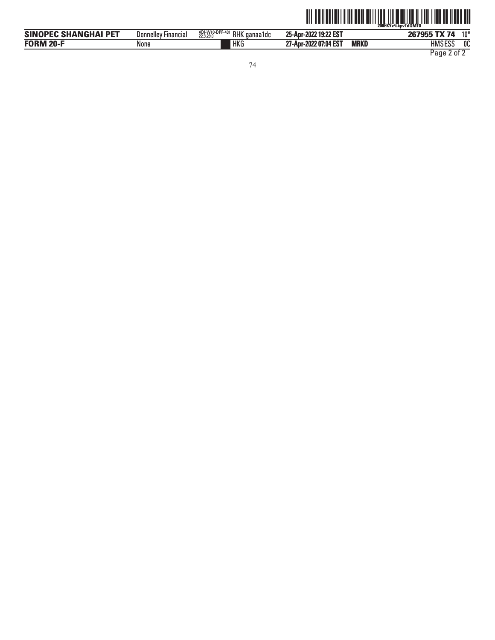

| <b>SINOPEC SHANGHAI</b><br>DET | Financial<br>Jonnellev | VDI-W10-DPF<br>$\overline{\phantom{a}}$<br><b>RHK</b><br>qanaa1dc<br>22.3.29.0 | 19:22 EST<br>25-Apr-<br>$-2022$     |             | ACJAPP TV 34<br>10 | $10*$         |
|--------------------------------|------------------------|--------------------------------------------------------------------------------|-------------------------------------|-------------|--------------------|---------------|
| <b>EORM</b><br>$120-F$<br>K IN | None                   | <b>HKG</b>                                                                     | ? 07:04 ES1<br>65.<br>-2027<br>-Ani | <b>MRKD</b> | <b>HMSESS</b>      | $\sim$<br>յու |
|                                |                        |                                                                                |                                     |             | -                  | $\sim$        |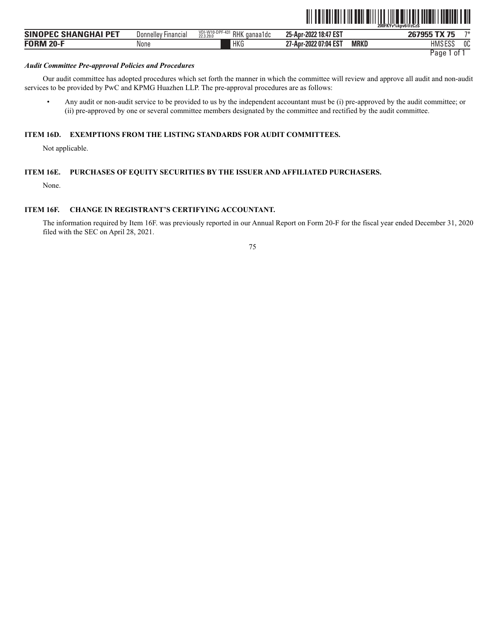|                                        |                                            |                                                                | - - -  -- . - - . -  - -- . - .                    | 200FKYv%kpv6@zCzS<br>. |          |
|----------------------------------------|--------------------------------------------|----------------------------------------------------------------|----------------------------------------------------|------------------------|----------|
| <b>SHANGHAI PFT</b><br>SINOPE<br>ו-יונ | <sup>7</sup> Financial<br><b>Donnellev</b> | VDI-W10-D<br>$-DPF-431$<br><b>RHK</b><br>qanaa1dc<br>22,3,29.0 | $-202218.47E5.$<br>25-Apr-                         | 70<br>IХ<br>∽∪∽        | 一半       |
| FORM<br>$20 -$                         | None                                       | <b>HKG</b>                                                     | MRKD<br>-2022 07:04 EST<br>$\angle$ <i>I</i> -Anr- | <b>HMSESS</b>          | nn<br>บบ |

<u>oli toimuttui ja oni olittu tiid olittui tuoni luonna toi</u>

Page 1 of 1

#### *Audit Committee Pre-approval Policies and Procedures*

Our audit committee has adopted procedures which set forth the manner in which the committee will review and approve all audit and non-audit services to be provided by PwC and KPMG Huazhen LLP. The pre-approval procedures are as follows:

• Any audit or non-audit service to be provided to us by the independent accountant must be (i) pre-approved by the audit committee; or (ii) pre-approved by one or several committee members designated by the committee and rectified by the audit committee.

#### **ITEM 16D. EXEMPTIONS FROM THE LISTING STANDARDS FOR AUDIT COMMITTEES.**

Not applicable.

#### **ITEM 16E. PURCHASES OF EQUITY SECURITIES BY THE ISSUER AND AFFILIATED PURCHASERS.**

None.

#### **ITEM 16F. CHANGE IN REGISTRANT'S CERTIFYING ACCOUNTANT.**

The information required by Item 16F. was previously reported in our Annual Report on Form 20-F for the fiscal year ended December 31, 2020 filed with the SEC on April 28, 2021.

75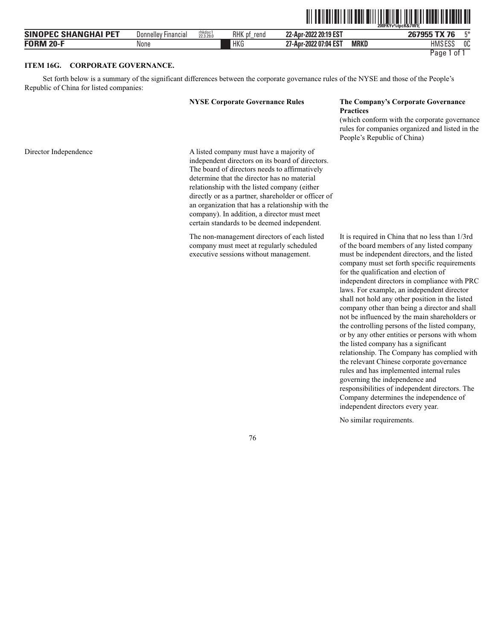|                             |                            |                      |                    |                       |             | 200FKYv%tpcK&7W1 |    |
|-----------------------------|----------------------------|----------------------|--------------------|-----------------------|-------------|------------------|----|
| <b>SINOPEC SHANGHAI PET</b> | <b>Donnelley Financial</b> | rhkdoc1<br>22.3.29.0 | <b>RHK</b><br>rend | 22-Apr-2022 20:19 EST |             | 267955 TX 76     | 長米 |
| <b>FORM 20-F</b>            | None                       |                      | <b>HKG</b>         | 27-Apr-2022 07:04 EST | <b>MRKD</b> | <b>HMSESS</b>    | 0C |
|                             |                            |                      |                    |                       |             | Page<br>0t       |    |

#### **ITEM 16G. CORPORATE GOVERNANCE.**

Set forth below is a summary of the significant differences between the corporate governance rules of the NYSE and those of the People's Republic of China for listed companies:

#### **NYSE Corporate Governance Rules**

#### **The Company's Corporate Governance Practices**

ˆ200FKYv%tpcK&7W1{Š **200FKYv%tpcK&7W1{**

(which conform with the corporate governance rules for companies organized and listed in the People's Republic of China)

Director Independence

A listed company must have a majority of independent directors on its board of directors. The board of directors needs to affirmatively determine that the director has no material relationship with the listed company (either directly or as a partner, shareholder or officer of an organization that has a relationship with the company). In addition, a director must meet certain standards to be deemed independent.

The non-management directors of each listed company must meet at regularly scheduled executive sessions without management.

It is required in China that no less than 1/3rd of the board members of any listed company must be independent directors, and the listed company must set forth specific requirements for the qualification and election of independent directors in compliance with PRC laws. For example, an independent director shall not hold any other position in the listed company other than being a director and shall not be influenced by the main shareholders or the controlling persons of the listed company, or by any other entities or persons with whom the listed company has a significant relationship. The Company has complied with the relevant Chinese corporate governance rules and has implemented internal rules governing the independence and responsibilities of independent directors. The Company determines the independence of independent directors every year.

No similar requirements.

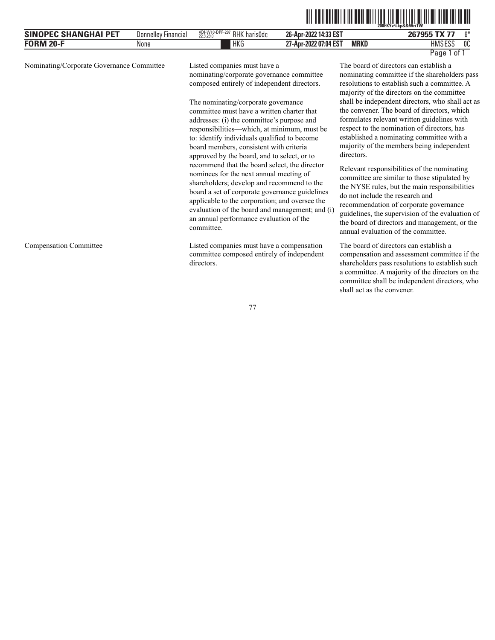| <b>SINOPEC SHANGHAI PET</b>               | <b>Donnelley Financial</b> | VDI-W10-DPF-297 RHK haris0dc                                                                                                                                                                                                                                                                                                                                                                                                                                                                          | 26-Apr-2022 14:33 EST | 267955 TX 77                                                                                                                                                                                                                                                                                                                                                                                                                                                                                                                                  |  |  |  |
|-------------------------------------------|----------------------------|-------------------------------------------------------------------------------------------------------------------------------------------------------------------------------------------------------------------------------------------------------------------------------------------------------------------------------------------------------------------------------------------------------------------------------------------------------------------------------------------------------|-----------------------|-----------------------------------------------------------------------------------------------------------------------------------------------------------------------------------------------------------------------------------------------------------------------------------------------------------------------------------------------------------------------------------------------------------------------------------------------------------------------------------------------------------------------------------------------|--|--|--|
| <b>FORM 20-F</b>                          | None                       | <b>HKG</b>                                                                                                                                                                                                                                                                                                                                                                                                                                                                                            | 27-Apr-2022 07:04 EST | 0 <sup>C</sup><br><b>MRKD</b><br>HMS ESS<br>Page 1 of 1                                                                                                                                                                                                                                                                                                                                                                                                                                                                                       |  |  |  |
| Nominating/Corporate Governance Committee |                            | Listed companies must have a<br>nominating/corporate governance committee<br>composed entirely of independent directors.<br>The nominating/corporate governance<br>committee must have a written charter that<br>addresses: (i) the committee's purpose and<br>responsibilities—which, at minimum, must be<br>to: identify individuals qualified to become<br>board members, consistent with criteria<br>approved by the board, and to select, or to<br>recommend that the board select, the director |                       | The board of directors can establish a<br>nominating committee if the shareholders pass<br>resolutions to establish such a committee. A<br>majority of the directors on the committee<br>shall be independent directors, who shall act as<br>the convener. The board of directors, which<br>formulates relevant written guidelines with<br>respect to the nomination of directors, has<br>established a nominating committee with a<br>majority of the members being independent<br>directors.<br>Relevant responsibilities of the nominating |  |  |  |
|                                           |                            | nominees for the next annual meeting of<br>shareholders; develop and recommend to the<br>board a set of corporate governance guidelines<br>applicable to the corporation; and oversee the<br>evaluation of the board and management; and (i)<br>an annual performance evaluation of the<br>committee.                                                                                                                                                                                                 |                       | committee are similar to those stipulated by<br>the NYSE rules, but the main responsibilities<br>do not include the research and<br>recommendation of corporate governance<br>guidelines, the supervision of the evaluation of<br>the board of directors and management, or the<br>annual evaluation of the committee.                                                                                                                                                                                                                        |  |  |  |
| <b>Compensation Committee</b>             |                            | Listed companies must have a compensation<br>committee composed entirely of independent<br>directors.                                                                                                                                                                                                                                                                                                                                                                                                 |                       | The board of directors can establish a<br>compensation and assessment committee if the<br>shareholders pass resolutions to establish such<br>a committee. A majority of the directors on the                                                                                                                                                                                                                                                                                                                                                  |  |  |  |

77

committee shall be independent directors, who

shall act as the convener.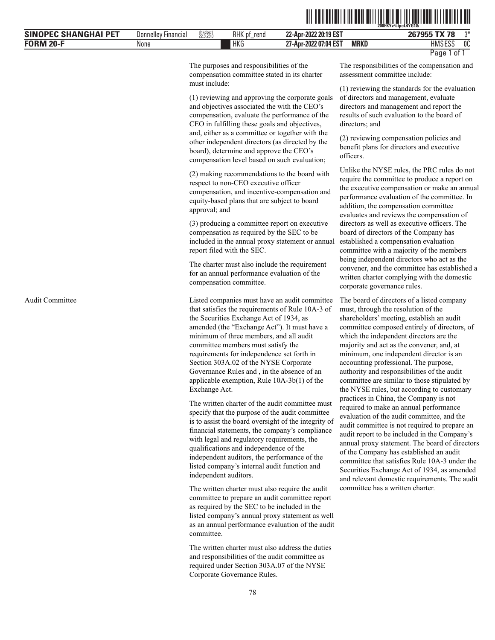| <b>SINOPEC SHANGHAI PET</b> | <b>Donnelley Financial</b> | rhkdoc1<br>22.3.29.0                                                                                                                                                                                                                                                                                                                                                                                                           | RHK pf_rend                                                                                                                                                                                                                                                                                                  | 22-Apr-2022 20:19 EST                                                                                                                                                                                                                                  |                                                                                                                                                                                                                                                                                                                                                                                                                                                                               | 267955 TX 78<br>$3*$                                                                                                                                                                                                                                                                                                                                                                                                                                             |  |  |
|-----------------------------|----------------------------|--------------------------------------------------------------------------------------------------------------------------------------------------------------------------------------------------------------------------------------------------------------------------------------------------------------------------------------------------------------------------------------------------------------------------------|--------------------------------------------------------------------------------------------------------------------------------------------------------------------------------------------------------------------------------------------------------------------------------------------------------------|--------------------------------------------------------------------------------------------------------------------------------------------------------------------------------------------------------------------------------------------------------|-------------------------------------------------------------------------------------------------------------------------------------------------------------------------------------------------------------------------------------------------------------------------------------------------------------------------------------------------------------------------------------------------------------------------------------------------------------------------------|------------------------------------------------------------------------------------------------------------------------------------------------------------------------------------------------------------------------------------------------------------------------------------------------------------------------------------------------------------------------------------------------------------------------------------------------------------------|--|--|
| <b>FORM 20-F</b>            | None                       |                                                                                                                                                                                                                                                                                                                                                                                                                                | <b>HKG</b>                                                                                                                                                                                                                                                                                                   | 27-Apr-2022 07:04 EST                                                                                                                                                                                                                                  | <b>MRKD</b>                                                                                                                                                                                                                                                                                                                                                                                                                                                                   | $\overline{00}$<br>HMS ESS                                                                                                                                                                                                                                                                                                                                                                                                                                       |  |  |
|                             |                            |                                                                                                                                                                                                                                                                                                                                                                                                                                | The purposes and responsibilities of the<br>compensation committee stated in its charter                                                                                                                                                                                                                     |                                                                                                                                                                                                                                                        | assessment committee include:                                                                                                                                                                                                                                                                                                                                                                                                                                                 | Page 1 of 1<br>The responsibilities of the compensation and                                                                                                                                                                                                                                                                                                                                                                                                      |  |  |
|                             |                            | must include:                                                                                                                                                                                                                                                                                                                                                                                                                  | and objectives associated the with the CEO's<br>CEO in fulfilling these goals and objectives,<br>board), determine and approve the CEO's                                                                                                                                                                     | (1) reviewing and approving the corporate goals<br>compensation, evaluate the performance of the<br>and, either as a committee or together with the<br>other independent directors (as directed by the<br>compensation level based on such evaluation; | directors; and<br>officers.                                                                                                                                                                                                                                                                                                                                                                                                                                                   | (1) reviewing the standards for the evaluation<br>of directors and management, evaluate<br>directors and management and report the<br>results of such evaluation to the board of<br>(2) reviewing compensation policies and<br>benefit plans for directors and executive                                                                                                                                                                                         |  |  |
|                             |                            | (2) making recommendations to the board with<br>respect to non-CEO executive officer<br>compensation, and incentive-compensation and<br>equity-based plans that are subject to board<br>approval; and                                                                                                                                                                                                                          |                                                                                                                                                                                                                                                                                                              |                                                                                                                                                                                                                                                        |                                                                                                                                                                                                                                                                                                                                                                                                                                                                               | Unlike the NYSE rules, the PRC rules do not<br>require the committee to produce a report on<br>the executive compensation or make an annual<br>performance evaluation of the committee. In<br>addition, the compensation committee<br>evaluates and reviews the compensation of                                                                                                                                                                                  |  |  |
|                             |                            |                                                                                                                                                                                                                                                                                                                                                                                                                                | compensation as required by the SEC to be<br>report filed with the SEC.                                                                                                                                                                                                                                      | (3) producing a committee report on executive<br>included in the annual proxy statement or annual<br>The charter must also include the requirement                                                                                                     |                                                                                                                                                                                                                                                                                                                                                                                                                                                                               | directors as well as executive officers. The<br>board of directors of the Company has<br>established a compensation evaluation<br>committee with a majority of the members<br>being independent directors who act as the                                                                                                                                                                                                                                         |  |  |
|                             |                            |                                                                                                                                                                                                                                                                                                                                                                                                                                | for an annual performance evaluation of the<br>compensation committee.                                                                                                                                                                                                                                       |                                                                                                                                                                                                                                                        | corporate governance rules.                                                                                                                                                                                                                                                                                                                                                                                                                                                   | convener, and the committee has established a<br>written charter complying with the domestic                                                                                                                                                                                                                                                                                                                                                                     |  |  |
| <b>Audit Committee</b>      |                            | Exchange Act.                                                                                                                                                                                                                                                                                                                                                                                                                  | the Securities Exchange Act of 1934, as<br>minimum of three members, and all audit<br>committee members must satisfy the<br>requirements for independence set forth in<br>Section 303A.02 of the NYSE Corporate<br>Governance Rules and, in the absence of an<br>applicable exemption, Rule 10A-3b(1) of the | Listed companies must have an audit committee<br>that satisfies the requirements of Rule 10A-3 of<br>amended (the "Exchange Act"). It must have a                                                                                                      | must, through the resolution of the                                                                                                                                                                                                                                                                                                                                                                                                                                           | The board of directors of a listed company<br>shareholders' meeting, establish an audit<br>committee composed entirely of directors, of<br>which the independent directors are the<br>majority and act as the convener, and, at<br>minimum, one independent director is an<br>accounting professional. The purpose,<br>authority and responsibilities of the audit<br>committee are similar to those stipulated by<br>the NYSE rules, but according to customary |  |  |
|                             |                            | The written charter of the audit committee must<br>specify that the purpose of the audit committee<br>is to assist the board oversight of the integrity of<br>financial statements, the company's compliance<br>with legal and regulatory requirements, the<br>qualifications and independence of the<br>independent auditors, the performance of the<br>listed company's internal audit function and<br>independent auditors. |                                                                                                                                                                                                                                                                                                              |                                                                                                                                                                                                                                                        | practices in China, the Company is not<br>required to make an annual performance<br>evaluation of the audit committee, and the<br>audit committee is not required to prepare an<br>audit report to be included in the Company's<br>annual proxy statement. The board of directors<br>of the Company has established an audit<br>committee that satisfies Rule 10A-3 under the<br>Securities Exchange Act of 1934, as amended<br>and relevant domestic requirements. The audit |                                                                                                                                                                                                                                                                                                                                                                                                                                                                  |  |  |
|                             | committee.                 |                                                                                                                                                                                                                                                                                                                                                                                                                                | as required by the SEC to be included in the                                                                                                                                                                                                                                                                 | The written charter must also require the audit<br>committee to prepare an audit committee report<br>listed company's annual proxy statement as well<br>as an annual performance evaluation of the audit                                               | committee has a written charter.                                                                                                                                                                                                                                                                                                                                                                                                                                              |                                                                                                                                                                                                                                                                                                                                                                                                                                                                  |  |  |
|                             |                            |                                                                                                                                                                                                                                                                                                                                                                                                                                | and responsibilities of the audit committee as<br>required under Section 303A.07 of the NYSE<br>Corporate Governance Rules.                                                                                                                                                                                  | The written charter must also address the duties                                                                                                                                                                                                       |                                                                                                                                                                                                                                                                                                                                                                                                                                                                               |                                                                                                                                                                                                                                                                                                                                                                                                                                                                  |  |  |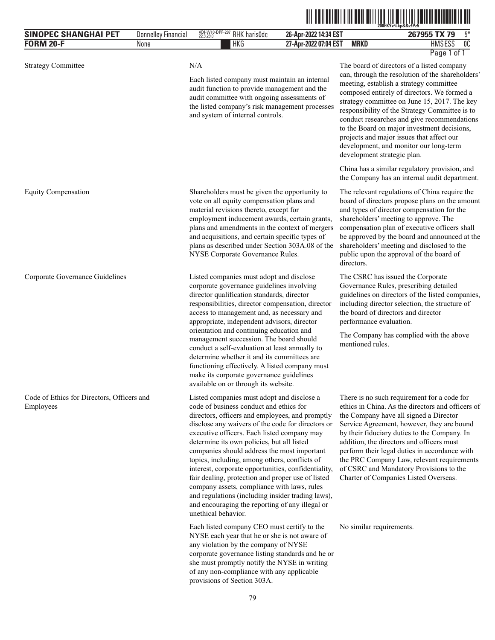| <b>SINOPEC SHANGHAI PET</b>                             | <b>Donnelley Financial</b> | VDI-W10-DPF-297<br>22.3.29.0<br>RHK haris0dc                                                                                                                                                                                                                                                                                                                                                                                                                                                                                                                                                                                                                                         | 26-Apr-2022 14:34 EST |                                                                                                                         | 267955 TX 79                                                                                                                                                                                                                                                                                                                                                                                                                                                                    | $5*$            |
|---------------------------------------------------------|----------------------------|--------------------------------------------------------------------------------------------------------------------------------------------------------------------------------------------------------------------------------------------------------------------------------------------------------------------------------------------------------------------------------------------------------------------------------------------------------------------------------------------------------------------------------------------------------------------------------------------------------------------------------------------------------------------------------------|-----------------------|-------------------------------------------------------------------------------------------------------------------------|---------------------------------------------------------------------------------------------------------------------------------------------------------------------------------------------------------------------------------------------------------------------------------------------------------------------------------------------------------------------------------------------------------------------------------------------------------------------------------|-----------------|
| <b>FORM 20-F</b>                                        | None                       | <b>HKG</b>                                                                                                                                                                                                                                                                                                                                                                                                                                                                                                                                                                                                                                                                           | 27-Apr-2022 07:04 EST | <b>MRKD</b>                                                                                                             | <b>HMSESS</b>                                                                                                                                                                                                                                                                                                                                                                                                                                                                   | $\overline{OC}$ |
|                                                         |                            |                                                                                                                                                                                                                                                                                                                                                                                                                                                                                                                                                                                                                                                                                      |                       |                                                                                                                         | Page 1 of 1                                                                                                                                                                                                                                                                                                                                                                                                                                                                     |                 |
| <b>Strategy Committee</b>                               |                            | N/A<br>Each listed company must maintain an internal<br>audit function to provide management and the<br>audit committee with ongoing assessments of<br>the listed company's risk management processes<br>and system of internal controls.                                                                                                                                                                                                                                                                                                                                                                                                                                            |                       | development strategic plan.                                                                                             | The board of directors of a listed company<br>can, through the resolution of the shareholders'<br>meeting, establish a strategy committee<br>composed entirely of directors. We formed a<br>strategy committee on June 15, 2017. The key<br>responsibility of the Strategy Committee is to<br>conduct researches and give recommendations<br>to the Board on major investment decisions,<br>projects and major issues that affect our<br>development, and monitor our long-term |                 |
|                                                         |                            |                                                                                                                                                                                                                                                                                                                                                                                                                                                                                                                                                                                                                                                                                      |                       |                                                                                                                         | China has a similar regulatory provision, and<br>the Company has an internal audit department.                                                                                                                                                                                                                                                                                                                                                                                  |                 |
| <b>Equity Compensation</b>                              |                            | Shareholders must be given the opportunity to<br>vote on all equity compensation plans and<br>material revisions thereto, except for<br>employment inducement awards, certain grants,<br>plans and amendments in the context of mergers<br>and acquisitions, and certain specific types of<br>plans as described under Section 303A.08 of the<br>NYSE Corporate Governance Rules.                                                                                                                                                                                                                                                                                                    |                       | directors.                                                                                                              | The relevant regulations of China require the<br>board of directors propose plans on the amount<br>and types of director compensation for the<br>shareholders' meeting to approve. The<br>compensation plan of executive officers shall<br>be approved by the board and announced at the<br>shareholders' meeting and disclosed to the<br>public upon the approval of the board of                                                                                              |                 |
| Corporate Governance Guidelines                         |                            | Listed companies must adopt and disclose<br>corporate governance guidelines involving<br>director qualification standards, director<br>responsibilities, director compensation, director<br>access to management and, as necessary and<br>appropriate, independent advisors, director<br>orientation and continuing education and<br>management succession. The board should<br>conduct a self-evaluation at least annually to<br>determine whether it and its committees are<br>functioning effectively. A listed company must<br>make its corporate governance guidelines<br>available on or through its website.                                                                  |                       | The CSRC has issued the Corporate<br>the board of directors and director<br>performance evaluation.<br>mentioned rules. | Governance Rules, prescribing detailed<br>guidelines on directors of the listed companies,<br>including director selection, the structure of<br>The Company has complied with the above                                                                                                                                                                                                                                                                                         |                 |
| Code of Ethics for Directors, Officers and<br>Employees |                            | Listed companies must adopt and disclose a<br>code of business conduct and ethics for<br>directors, officers and employees, and promptly<br>disclose any waivers of the code for directors or<br>executive officers. Each listed company may<br>determine its own policies, but all listed<br>companies should address the most important<br>topics, including, among others, conflicts of<br>interest, corporate opportunities, confidentiality,<br>fair dealing, protection and proper use of listed<br>company assets, compliance with laws, rules<br>and regulations (including insider trading laws),<br>and encouraging the reporting of any illegal or<br>unethical behavior. |                       |                                                                                                                         | There is no such requirement for a code for<br>ethics in China. As the directors and officers of<br>the Company have all signed a Director<br>Service Agreement, however, they are bound<br>by their fiduciary duties to the Company. In<br>addition, the directors and officers must<br>perform their legal duties in accordance with<br>the PRC Company Law, relevant requirements<br>of CSRC and Mandatory Provisions to the<br>Charter of Companies Listed Overseas.        |                 |
|                                                         |                            | Each listed company CEO must certify to the<br>NYSE each year that he or she is not aware of<br>any violation by the company of NYSE<br>corporate governance listing standards and he or<br>she must promptly notify the NYSE in writing<br>of any non-compliance with any applicable                                                                                                                                                                                                                                                                                                                                                                                                |                       | No similar requirements.                                                                                                |                                                                                                                                                                                                                                                                                                                                                                                                                                                                                 |                 |

provisions of Section 303A.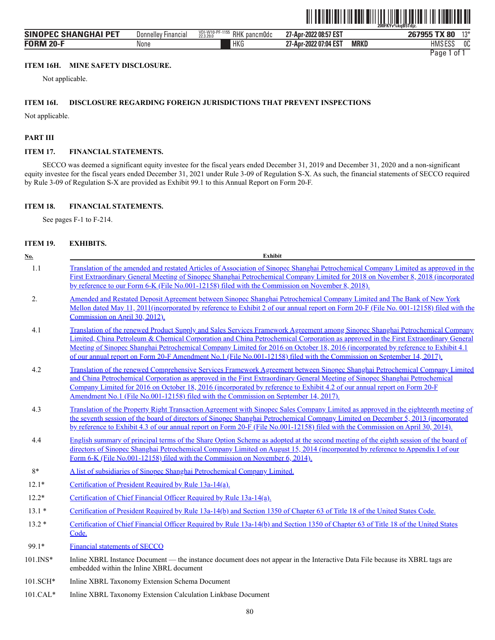| <b>SINOPEC SHANGHAI PET</b> | Donnelley Financial | VDI-W10-PF-1155<br><b>RHK</b><br>pancmOdc<br>22.3.29.0 | 27-Apr-2022 08:57 EST |             | $12*$<br><b>TX 80</b><br>267955<br>ΖO<br>ιυ |
|-----------------------------|---------------------|--------------------------------------------------------|-----------------------|-------------|---------------------------------------------|
| <b>FORM 20-F</b>            | None                | <b>HKG</b>                                             | 27-Apr-2022 07:04 EST | <b>MRKD</b> | <b>HMSESS</b><br>$\sim$<br>็บบ              |
|                             |                     |                                                        |                       |             | 0t<br>Page                                  |

#### **ITEM 16H. MINE SAFETY DISCLOSURE.**

Not applicable.

#### **ITEM 16I. DISCLOSURE REGARDING FOREIGN JURISDICTIONS THAT PREVENT INSPECTIONS**

Not applicable.

#### **PART III**

#### **ITEM 17. FINANCIAL STATEMENTS.**

SECCO was deemed a significant equity investee for the fiscal years ended December 31, 2019 and December 31, 2020 and a non-significant equity investee for the fiscal years ended December 31, 2021 under Rule 3-09 of Regulation S-X. As such, the financial statements of SECCO required by Rule 3-09 of Regulation S-X are provided as Exhibit 99.1 to this Annual Report on Form 20-F.

#### **ITEM 18. FINANCIAL STATEMENTS.**

See pages F-1 to F-214.

#### **ITEM 19. EXHIBITS.**

| <u>No.</u> | <b>Exhibit</b>                                                                                                                                                                                                                                                                                                                                                                                                                                                                                                                     |
|------------|------------------------------------------------------------------------------------------------------------------------------------------------------------------------------------------------------------------------------------------------------------------------------------------------------------------------------------------------------------------------------------------------------------------------------------------------------------------------------------------------------------------------------------|
| 1.1        | Translation of the amended and restated Articles of Association of Sinopec Shanghai Petrochemical Company Limited as approved in the<br>First Extraordinary General Meeting of Sinopec Shanghai Petrochemical Company Limited for 2018 on November 8, 2018 (incorporated<br>by reference to our Form 6-K (File No.001-12158) filed with the Commission on November 8, 2018).                                                                                                                                                       |
| 2.         | Amended and Restated Deposit Agreement between Sinopec Shanghai Petrochemical Company Limited and The Bank of New York<br>Mellon dated May 11, 2011 (incorporated by reference to Exhibit 2 of our annual report on Form 20-F (File No. 001-12158) filed with the<br>Commission on April 30, 2012).                                                                                                                                                                                                                                |
| 4.1        | Translation of the renewed Product Supply and Sales Services Framework Agreement among Sinopec Shanghai Petrochemical Company<br>Limited, China Petroleum & Chemical Corporation and China Petrochemical Corporation as approved in the First Extraordinary General<br>Meeting of Sinopec Shanghai Petrochemical Company Limited for 2016 on October 18, 2016 (incorporated by reference to Exhibit 4.1)<br>of our annual report on Form 20-F Amendment No.1 (File No.001-12158) filed with the Commission on September 14, 2017). |
| 4.2        | Translation of the renewed Comprehensive Services Framework Agreement between Sinopec Shanghai Petrochemical Company Limited<br>and China Petrochemical Corporation as approved in the First Extraordinary General Meeting of Sinopec Shanghai Petrochemical<br>Company Limited for 2016 on October 18, 2016 (incorporated by reference to Exhibit 4.2 of our annual report on Form 20-F<br>Amendment No.1 (File No.001-12158) filed with the Commission on September 14, 2017).                                                   |
| 4.3        | Translation of the Property Right Transaction Agreement with Sinopec Sales Company Limited as approved in the eighteenth meeting of<br>the seventh session of the board of directors of Sinopec Shanghai Petrochemical Company Limited on December 5, 2013 (incorporated<br>by reference to Exhibit 4.3 of our annual report on Form 20-F (File No.001-12158) filed with the Commission on April 30, 2014).                                                                                                                        |
| 4.4        | English summary of principal terms of the Share Option Scheme as adopted at the second meeting of the eighth session of the board of<br>directors of Sinopec Shanghai Petrochemical Company Limited on August 15, 2014 (incorporated by reference to Appendix I of our<br>Form 6-K (File No.001-12158) filed with the Commission on November 6, 2014).                                                                                                                                                                             |
| $8*$       | A list of subsidiaries of Sinopec Shanghai Petrochemical Company Limited.                                                                                                                                                                                                                                                                                                                                                                                                                                                          |
| $12.1*$    | Certification of President Required by Rule 13a-14(a).                                                                                                                                                                                                                                                                                                                                                                                                                                                                             |
| $12.2*$    | Certification of Chief Financial Officer Required by Rule 13a-14(a).                                                                                                                                                                                                                                                                                                                                                                                                                                                               |
| $13.1*$    | Certification of President Required by Rule 13a-14(b) and Section 1350 of Chapter 63 of Title 18 of the United States Code.                                                                                                                                                                                                                                                                                                                                                                                                        |
| $13.2*$    | Certification of Chief Financial Officer Required by Rule 13a-14(b) and Section 1350 of Chapter 63 of Title 18 of the United States<br>Code.                                                                                                                                                                                                                                                                                                                                                                                       |
| 99.1*      | Financial statements of SECCO                                                                                                                                                                                                                                                                                                                                                                                                                                                                                                      |
| 101.INS*   | Inline XBRL Instance Document — the instance document does not appear in the Interactive Data File because its XBRL tags are<br>embedded within the Inline XBRL document                                                                                                                                                                                                                                                                                                                                                           |
| 101.SCH*   | Inline XBRL Taxonomy Extension Schema Document                                                                                                                                                                                                                                                                                                                                                                                                                                                                                     |
|            |                                                                                                                                                                                                                                                                                                                                                                                                                                                                                                                                    |

101.CAL\* Inline XBRL Taxonomy Extension Calculation Linkbase Document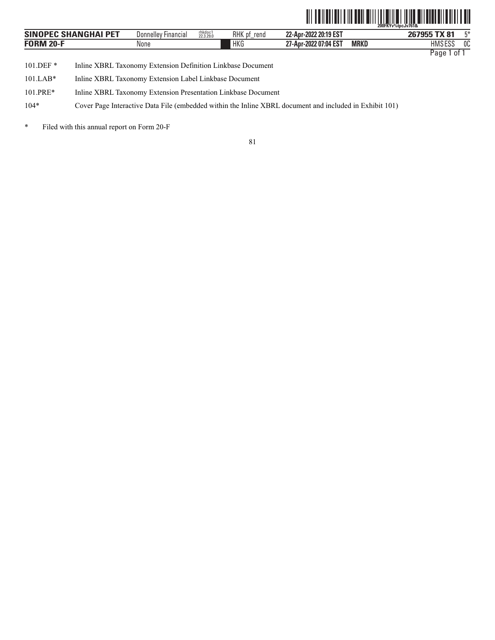

|                  | <b>SINOPEC SHANGHAI PET</b> | <b>Donnelley Financial</b>                                    | rhkdoc1<br>22.3.29.0 | RHK pf rend | 22-Apr-2022 20:19 EST                                                                                   |             | 267955 TX 81 | 5* |
|------------------|-----------------------------|---------------------------------------------------------------|----------------------|-------------|---------------------------------------------------------------------------------------------------------|-------------|--------------|----|
| <b>FORM 20-F</b> |                             | None                                                          |                      | HKG         | 27-Apr-2022 07:04 EST                                                                                   | <b>MRKD</b> | HMS ESS      | 0C |
|                  |                             |                                                               |                      |             |                                                                                                         |             | Page 1 of 1  |    |
| $101.$ DEF $*$   |                             | Inline XBRL Taxonomy Extension Definition Linkbase Document   |                      |             |                                                                                                         |             |              |    |
| $101.LAB*$       |                             | Inline XBRL Taxonomy Extension Label Linkbase Document        |                      |             |                                                                                                         |             |              |    |
| 101.PRE*         |                             | Inline XBRL Taxonomy Extension Presentation Linkbase Document |                      |             |                                                                                                         |             |              |    |
| $104*$           |                             |                                                               |                      |             | Cover Page Interactive Data File (embedded within the Inline XBRL document and included in Exhibit 101) |             |              |    |
|                  |                             |                                                               |                      |             |                                                                                                         |             |              |    |

\* Filed with this annual report on Form 20-F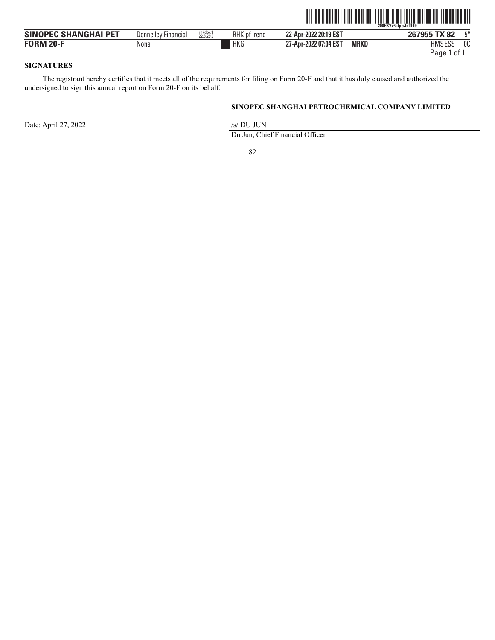|                             |                            |                      |                | $\dot{\phantom{a}}$ (Finitial) finitially $\ddot{\phantom{a}}$ |             | $  \,  \,  \,  \,  $<br>200FKYv%tpcJxTf19 |
|-----------------------------|----------------------------|----------------------|----------------|----------------------------------------------------------------|-------------|-------------------------------------------|
| <b>SINOPEC SHANGHAI PET</b> | <b>Donnelley Financial</b> | rhkdoc1<br>22.3.29.0 | RHK pf<br>rend | 22-Apr-2022 20:19 EST                                          |             | $F^*$<br>267955 TX 82                     |
| <b>FORM 20-F</b>            | None                       |                      | HKG            | 27-Apr-2022 07:04 EST                                          | <b>MRKD</b> | <b>HMSESS</b><br>0C                       |
|                             |                            |                      |                |                                                                |             | Page 1<br>0t                              |

#### **SIGNATURES**

The registrant hereby certifies that it meets all of the requirements for filing on Form 20-F and that it has duly caused and authorized the undersigned to sign this annual report on Form 20-F on its behalf.

### **SINOPEC SHANGHAI PETROCHEMICAL COMPANY LIMITED**

Date: April 27, 2022 /s/ DU JUN

Du Jun, Chief Financial Officer

82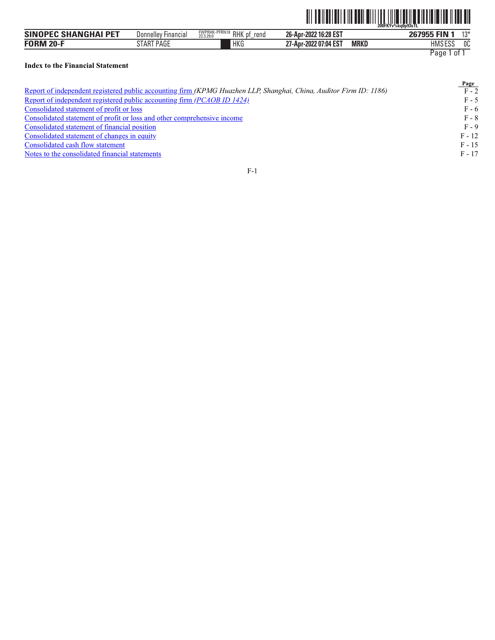|                                                                                                                    |                            |                            |             |                       |         | <u>UI TENETITI HITEN VII ENITENTI INTENETTII ENITENTII HITEN V</u> |
|--------------------------------------------------------------------------------------------------------------------|----------------------------|----------------------------|-------------|-----------------------|---------|--------------------------------------------------------------------|
| <b>SINOPEC SHANGHAI PET</b>                                                                                        | <b>Donnelley Financial</b> | FWPRHK-PFRN18<br>22.3.29.0 | RHK pf_rend | 26-Apr-2022 16:28 EST |         | 267955 FIN 1<br>$13*$                                              |
| <b>FORM 20-F</b>                                                                                                   | START PAGE                 |                            | HKG         | 27-Apr-2022 07:04 EST | MRKD    | HMS ESS<br>0C                                                      |
|                                                                                                                    |                            |                            |             |                       |         | Page 1 of 1                                                        |
| <b>Index to the Financial Statement</b>                                                                            |                            |                            |             |                       |         |                                                                    |
|                                                                                                                    |                            |                            |             |                       |         | Page                                                               |
| Report of independent registered public accounting firm (KPMG Huazhen LLP, Shanghai, China, Auditor Firm ID: 1186) |                            |                            |             |                       |         | $\overline{F-2}$                                                   |
| Report of independent registered public accounting firm (PCAOB ID 1424)                                            |                            |                            |             |                       |         | $F - 5$                                                            |
| Consolidated statement of profit or loss                                                                           |                            |                            |             |                       |         | $F - 6$                                                            |
| Consolidated statement of profit or loss and other comprehensive income                                            |                            |                            |             |                       |         | $F - 8$                                                            |
| Consolidated statement of financial position                                                                       |                            |                            |             |                       | $F - 9$ |                                                                    |
| Consolidated statement of changes in equity                                                                        |                            |                            |             |                       |         | $F - 12$                                                           |
| Consolidated cash flow statement                                                                                   |                            |                            |             |                       |         | $F - 15$                                                           |
| Notes to the consolidated financial statements                                                                     |                            |                            |             |                       |         | $F - 17$                                                           |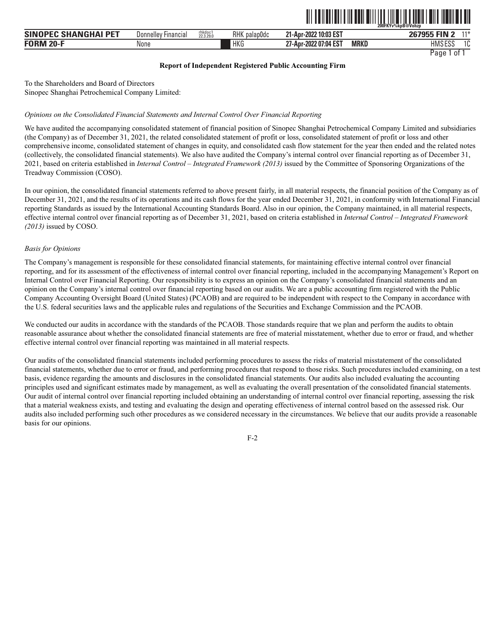

| <b>SHANGHAI PFT</b><br><b>SINOPEC</b> | Donnelle <sup>,</sup><br><b>Financial</b> | rhkdoc'<br>22.3.29.0 | RHK<br>.palap0dc   | 10:03 EST<br>21-Apr-2022           |      | $11*$<br>FIN<br>$\sqrt{2}$   |
|---------------------------------------|-------------------------------------------|----------------------|--------------------|------------------------------------|------|------------------------------|
| <b>FORM 2P</b>                        | None                                      |                      | IIVC<br><b>HNU</b> | 2 07:04 EST<br>$\angle$ 7-Anr-2022 | MRKI | <b>HMSESS</b><br>$\sim$<br>u |
|                                       |                                           |                      |                    |                                    |      | .<br>- -                     |

#### **Report of Independent Registered Public Accounting Firm**

To the Shareholders and Board of Directors

Sinopec Shanghai Petrochemical Company Limited:

#### *Opinions on the Consolidated Financial Statements and Internal Control Over Financial Reporting*

We have audited the accompanying consolidated statement of financial position of Sinopec Shanghai Petrochemical Company Limited and subsidiaries (the Company) as of December 31, 2021, the related consolidated statement of profit or loss, consolidated statement of profit or loss and other comprehensive income, consolidated statement of changes in equity, and consolidated cash flow statement for the year then ended and the related notes (collectively, the consolidated financial statements). We also have audited the Company's internal control over financial reporting as of December 31, 2021, based on criteria established in *Internal Control – Integrated Framework (2013)* issued by the Committee of Sponsoring Organizations of the Treadway Commission (COSO).

In our opinion, the consolidated financial statements referred to above present fairly, in all material respects, the financial position of the Company as of December 31, 2021, and the results of its operations and its cash flows for the year ended December 31, 2021, in conformity with International Financial reporting Standards as issued by the International Accounting Standards Board. Also in our opinion, the Company maintained, in all material respects, effective internal control over financial reporting as of December 31, 2021, based on criteria established in *Internal Control – Integrated Framework (2013)* issued by COSO.

#### *Basis for Opinions*

The Company's management is responsible for these consolidated financial statements, for maintaining effective internal control over financial reporting, and for its assessment of the effectiveness of internal control over financial reporting, included in the accompanying Management's Report on Internal Control over Financial Reporting. Our responsibility is to express an opinion on the Company's consolidated financial statements and an opinion on the Company's internal control over financial reporting based on our audits. We are a public accounting firm registered with the Public Company Accounting Oversight Board (United States) (PCAOB) and are required to be independent with respect to the Company in accordance with the U.S. federal securities laws and the applicable rules and regulations of the Securities and Exchange Commission and the PCAOB.

We conducted our audits in accordance with the standards of the PCAOB. Those standards require that we plan and perform the audits to obtain reasonable assurance about whether the consolidated financial statements are free of material misstatement, whether due to error or fraud, and whether effective internal control over financial reporting was maintained in all material respects.

Our audits of the consolidated financial statements included performing procedures to assess the risks of material misstatement of the consolidated financial statements, whether due to error or fraud, and performing procedures that respond to those risks. Such procedures included examining, on a test basis, evidence regarding the amounts and disclosures in the consolidated financial statements. Our audits also included evaluating the accounting principles used and significant estimates made by management, as well as evaluating the overall presentation of the consolidated financial statements. Our audit of internal control over financial reporting included obtaining an understanding of internal control over financial reporting, assessing the risk that a material weakness exists, and testing and evaluating the design and operating effectiveness of internal control based on the assessed risk. Our audits also included performing such other procedures as we considered necessary in the circumstances. We believe that our audits provide a reasonable basis for our opinions.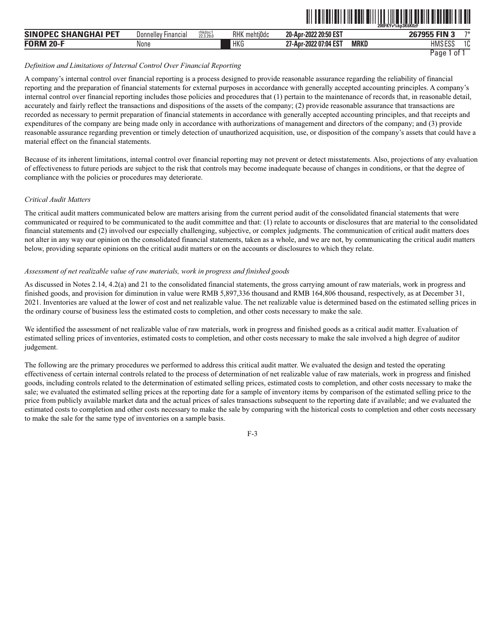|                      |                     |                      |              |                       | 200FKYv%kp3K6K0zF  |
|----------------------|---------------------|----------------------|--------------|-----------------------|--------------------|
| Sinopec Shanghai Pet | Donnelley Financial | rhkdoc1<br>22.3.29.0 | RHK mehti0dc | 20-Apr-2022 20:50 EST | 74<br>267955 FIN 3 |

**HKG 27-Apr-2022 07:04 EST MRKD** 

| <b>HMSESS</b> | 111 |  |  |
|---------------|-----|--|--|
| Page 1        |     |  |  |

TIT A BILI DE L'OLI DE DE REGIO DELL'ILLE TITOLOGICHE DE DI LE DI DELL'OLI DE RIS

#### *Definition and Limitations of Internal Control Over Financial Reporting*

None

A company's internal control over financial reporting is a process designed to provide reasonable assurance regarding the reliability of financial reporting and the preparation of financial statements for external purposes in accordance with generally accepted accounting principles. A company's internal control over financial reporting includes those policies and procedures that (1) pertain to the maintenance of records that, in reasonable detail, accurately and fairly reflect the transactions and dispositions of the assets of the company; (2) provide reasonable assurance that transactions are recorded as necessary to permit preparation of financial statements in accordance with generally accepted accounting principles, and that receipts and expenditures of the company are being made only in accordance with authorizations of management and directors of the company; and (3) provide reasonable assurance regarding prevention or timely detection of unauthorized acquisition, use, or disposition of the company's assets that could have a material effect on the financial statements.

Because of its inherent limitations, internal control over financial reporting may not prevent or detect misstatements. Also, projections of any evaluation of effectiveness to future periods are subject to the risk that controls may become inadequate because of changes in conditions, or that the degree of compliance with the policies or procedures may deteriorate.

### *Critical Audit Matters*

**FORM 20-F**

The critical audit matters communicated below are matters arising from the current period audit of the consolidated financial statements that were communicated or required to be communicated to the audit committee and that: (1) relate to accounts or disclosures that are material to the consolidated financial statements and (2) involved our especially challenging, subjective, or complex judgments. The communication of critical audit matters does not alter in any way our opinion on the consolidated financial statements, taken as a whole, and we are not, by communicating the critical audit matters below, providing separate opinions on the critical audit matters or on the accounts or disclosures to which they relate.

### *Assessment of net realizable value of raw materials, work in progress and finished goods*

As discussed in Notes 2.14, 4.2(a) and 21 to the consolidated financial statements, the gross carrying amount of raw materials, work in progress and finished goods, and provision for diminution in value were RMB 5,897,336 thousand and RMB 164,806 thousand, respectively, as at December 31, 2021. Inventories are valued at the lower of cost and net realizable value. The net realizable value is determined based on the estimated selling prices in the ordinary course of business less the estimated costs to completion, and other costs necessary to make the sale.

We identified the assessment of net realizable value of raw materials, work in progress and finished goods as a critical audit matter. Evaluation of estimated selling prices of inventories, estimated costs to completion, and other costs necessary to make the sale involved a high degree of auditor judgement.

The following are the primary procedures we performed to address this critical audit matter. We evaluated the design and tested the operating effectiveness of certain internal controls related to the process of determination of net realizable value of raw materials, work in progress and finished goods, including controls related to the determination of estimated selling prices, estimated costs to completion, and other costs necessary to make the sale; we evaluated the estimated selling prices at the reporting date for a sample of inventory items by comparison of the estimated selling price to the price from publicly available market data and the actual prices of sales transactions subsequent to the reporting date if available; and we evaluated the estimated costs to completion and other costs necessary to make the sale by comparing with the historical costs to completion and other costs necessary to make the sale for the same type of inventories on a sample basis.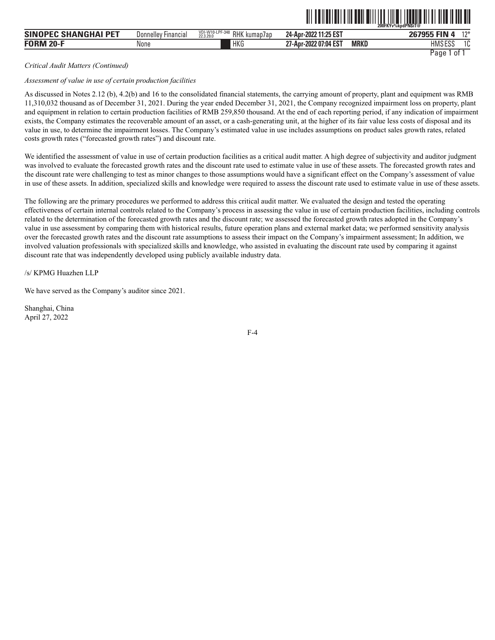| <b>SINOPEC SHANGHAI PET</b> | $- \cdot$<br>Donnelley<br>' Financial | VDI-W10-LPF-348<br><b>RHK</b><br>. kumap/ap<br>22.3.29.0 | 24-Apr-2022 11:25 EST         | 12<br>, FIN<br>267955  |
|-----------------------------|---------------------------------------|----------------------------------------------------------|-------------------------------|------------------------|
| <b>FORM 20-</b>             | None                                  | HKG                                                      | MRKL<br>27-Apr-2022 07:04 EST | HMS ESS<br>$\sim$<br>u |

ˆ200FKYv%kpdPN\$iT@Š **200FKYv%kpdPN\$iT@**

Page 1 of 1

*Critical Audit Matters (Continued)*

*Assessment of value in use of certain production facilities*

As discussed in Notes 2.12 (b), 4.2(b) and 16 to the consolidated financial statements, the carrying amount of property, plant and equipment was RMB 11,310,032 thousand as of December 31, 2021. During the year ended December 31, 2021, the Company recognized impairment loss on property, plant and equipment in relation to certain production facilities of RMB 259,850 thousand. At the end of each reporting period, if any indication of impairment exists, the Company estimates the recoverable amount of an asset, or a cash-generating unit, at the higher of its fair value less costs of disposal and its value in use, to determine the impairment losses. The Company's estimated value in use includes assumptions on product sales growth rates, related costs growth rates ("forecasted growth rates") and discount rate.

We identified the assessment of value in use of certain production facilities as a critical audit matter. A high degree of subjectivity and auditor judgment was involved to evaluate the forecasted growth rates and the discount rate used to estimate value in use of these assets. The forecasted growth rates and the discount rate were challenging to test as minor changes to those assumptions would have a significant effect on the Company's assessment of value in use of these assets. In addition, specialized skills and knowledge were required to assess the discount rate used to estimate value in use of these assets.

The following are the primary procedures we performed to address this critical audit matter. We evaluated the design and tested the operating effectiveness of certain internal controls related to the Company's process in assessing the value in use of certain production facilities, including controls related to the determination of the forecasted growth rates and the discount rate; we assessed the forecasted growth rates adopted in the Company's value in use assessment by comparing them with historical results, future operation plans and external market data; we performed sensitivity analysis over the forecasted growth rates and the discount rate assumptions to assess their impact on the Company's impairment assessment; In addition, we involved valuation professionals with specialized skills and knowledge, who assisted in evaluating the discount rate used by comparing it against discount rate that was independently developed using publicly available industry data.

/s/ KPMG Huazhen LLP

We have served as the Company's auditor since 2021.

Shanghai, China April 27, 2022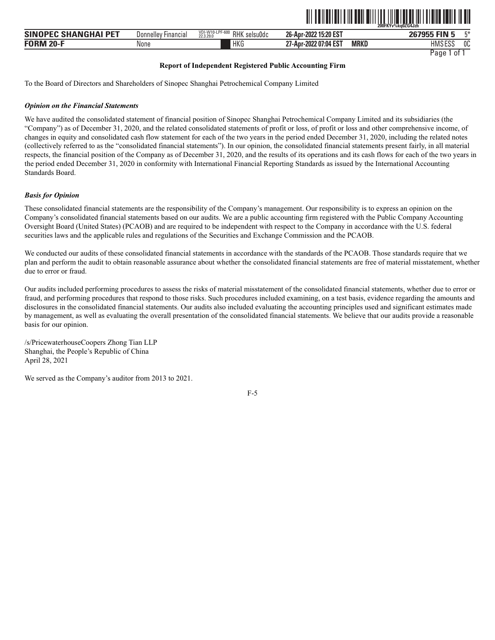

| <b>SINOPEC SHANGHAI PET</b> | ' Financial<br>Donn<br>mellev | VDI-W10-LPF-600<br><b>RHK</b><br>selsuUdc<br>22.3.29.0 | 26-Apr-2022 15:20 EST                 | <b>FIN</b><br>267955<br>- 11           | mas. |
|-----------------------------|-------------------------------|--------------------------------------------------------|---------------------------------------|----------------------------------------|------|
| <b>FORM 20-F</b>            | None                          | <b>HKG</b>                                             | -2022 07:04 EST<br>$\sim$<br>∠7-Apr-` | <b>IIMO FOO</b><br>MRKI<br>טוור<br>LJ. | OC   |
|                             |                               |                                                        |                                       |                                        |      |

#### **Report of Independent Registered Public Accounting Firm**

To the Board of Directors and Shareholders of Sinopec Shanghai Petrochemical Company Limited

#### *Opinion on the Financial Statements*

We have audited the consolidated statement of financial position of Sinopec Shanghai Petrochemical Company Limited and its subsidiaries (the "Company") as of December 31, 2020, and the related consolidated statements of profit or loss, of profit or loss and other comprehensive income, of changes in equity and consolidated cash flow statement for each of the two years in the period ended December 31, 2020, including the related notes (collectively referred to as the "consolidated financial statements"). In our opinion, the consolidated financial statements present fairly, in all material respects, the financial position of the Company as of December 31, 2020, and the results of its operations and its cash flows for each of the two years in the period ended December 31, 2020 in conformity with International Financial Reporting Standards as issued by the International Accounting Standards Board.

#### *Basis for Opinion*

These consolidated financial statements are the responsibility of the Company's management. Our responsibility is to express an opinion on the Company's consolidated financial statements based on our audits. We are a public accounting firm registered with the Public Company Accounting Oversight Board (United States) (PCAOB) and are required to be independent with respect to the Company in accordance with the U.S. federal securities laws and the applicable rules and regulations of the Securities and Exchange Commission and the PCAOB.

We conducted our audits of these consolidated financial statements in accordance with the standards of the PCAOB. Those standards require that we plan and perform the audit to obtain reasonable assurance about whether the consolidated financial statements are free of material misstatement, whether due to error or fraud.

Our audits included performing procedures to assess the risks of material misstatement of the consolidated financial statements, whether due to error or fraud, and performing procedures that respond to those risks. Such procedures included examining, on a test basis, evidence regarding the amounts and disclosures in the consolidated financial statements. Our audits also included evaluating the accounting principles used and significant estimates made by management, as well as evaluating the overall presentation of the consolidated financial statements. We believe that our audits provide a reasonable basis for our opinion.

/s/PricewaterhouseCoopers Zhong Tian LLP Shanghai, the People's Republic of China April 28, 2021

We served as the Company's auditor from 2013 to 2021.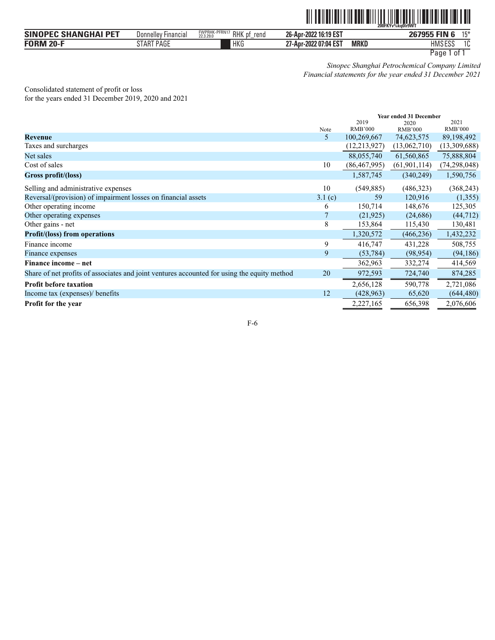## **▌▏▏▌▊▐▏▊▌▎▋▌▎▌▕▎▏▊▊▌▏█▎▏▏▏▁▁**▒▛▞▞<sub>Ÿ</sub><sub>▓</sub>▙<sub>▆</sub>▒▛▅</sub>▓▞▎▏▏▏▊▊▐▎▊▌▎▌▊▌▌▐▌▌▎▊▌▌

| $\overline{ }$ DET<br><b>SINOPEC</b><br><b>NGHAL</b> | Financial<br><b>Donnelle</b>               | <b>FWPRHK-PFRN17</b><br>RHŀ<br>rend<br>рt<br>22.3.29.0 | ' 16:19 FST<br>ne.<br>-2022<br>Zb-Apr<br>ט⊾ טו |             | ----                 | $4 - x$  |
|------------------------------------------------------|--------------------------------------------|--------------------------------------------------------|------------------------------------------------|-------------|----------------------|----------|
| <b>FORM</b>                                          | $\sim$ $\sim$ $\sim$<br>Δ٢<br>∾∆l∍r<br>AUL | IIVC<br>nnu                                            | 207:04 EST<br>nnnn<br>/-Apr<br>70<br>1 EJ 1    | <b>MRKD</b> | <b>HMSESS</b><br>ט∟י | ຳ<br>ט ו |
|                                                      |                                            |                                                        |                                                |             |                      |          |

Page 1 of 1

*Sinopec Shanghai Petrochemical Company Limited Financial statements for the year ended 31 December 2021*

Consolidated statement of profit or loss for the years ended 31 December 2019, 2020 and 2021

|                                                                                             |        | Year ended 31 December |                |                |  |
|---------------------------------------------------------------------------------------------|--------|------------------------|----------------|----------------|--|
|                                                                                             |        | 2019                   | 2020           | 2021           |  |
|                                                                                             | Note   | <b>RMB'000</b>         | <b>RMB'000</b> | <b>RMB'000</b> |  |
| Revenue                                                                                     | 5      | 100,269,667            | 74,623,575     | 89,198,492     |  |
| Taxes and surcharges                                                                        |        | (12,213,927)           | (13,062,710)   | (13,309,688)   |  |
| Net sales                                                                                   |        | 88,055,740             | 61,560,865     | 75,888,804     |  |
| Cost of sales                                                                               | 10     | (86, 467, 995)         | (61, 901, 114) | (74, 298, 048) |  |
| Gross profit/(loss)                                                                         |        | 1,587,745              | (340,249)      | 1,590,756      |  |
| Selling and administrative expenses                                                         | 10     | (549, 885)             | (486,323)      | (368, 243)     |  |
| Reversal/(provision) of impairment losses on financial assets                               | 3.1(c) | 59                     | 120,916        | (1,355)        |  |
| Other operating income                                                                      | 6      | 150,714                | 148,676        | 125,305        |  |
| Other operating expenses                                                                    |        | (21, 925)              | (24, 686)      | (44, 712)      |  |
| Other gains - net                                                                           | 8      | 153,864                | 115,430        | 130,481        |  |
| <b>Profit/(loss)</b> from operations                                                        |        | 1,320,572              | (466, 236)     | 1,432,232      |  |
| Finance income                                                                              | 9      | 416,747                | 431,228        | 508,755        |  |
| Finance expenses                                                                            | 9      | (53, 784)              | (98, 954)      | (94, 186)      |  |
| Finance income – net                                                                        |        | 362,963                | 332,274        | 414,569        |  |
| Share of net profits of associates and joint ventures accounted for using the equity method | 20     | 972,593                | 724,740        | 874,285        |  |
| <b>Profit before taxation</b>                                                               |        | 2,656,128              | 590,778        | 2,721,086      |  |
| Income tax (expenses)/ benefits                                                             | 12     | (428, 963)             | 65,620         | (644, 480)     |  |
| <b>Profit for the year</b>                                                                  |        | 2,227,165              | 656,398        | 2,076,606      |  |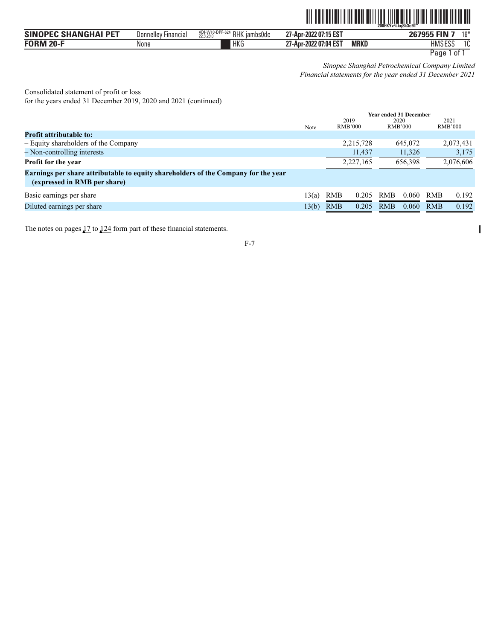## ˆ200FKYv%kq8k3c9T"Š **200FKYv%kq8k3c9T"**

| <b>SINOPEC SHANGHAI PET</b> | financial<br>Donnelley | VDI-W10-DPI<br>$\sim$ $\sim$ $\sim$ $\sim$<br>RHK<br>iambs0dc<br>22.3.29.0 | $12207:15 F$ °<br>$\sim$<br><b>27-Apr-2027</b><br>'15 ES I          | <b>CIRE</b>   | $16*$        |
|-----------------------------|------------------------|----------------------------------------------------------------------------|---------------------------------------------------------------------|---------------|--------------|
| FORM<br>$20-F$              | None                   | <b>HKG</b>                                                                 | <b>MRKD</b><br>$-$<br>70000<br><sup>22</sup> 07:04 ES<br>→ J-Anr- ‴ | <b>HMSESS</b> | $\sim$<br>שו |
|                             |                        |                                                                            |                                                                     |               |              |

Page 1 of 1

*Sinopec Shanghai Petrochemical Company Limited Financial statements for the year ended 31 December 2021*

Consolidated statement of profit or loss

for the years ended 31 December 2019, 2020 and 2021 (continued)

|                                                                                                                    |       | <b>Year ended 31 December</b> |           |            |                        |            |                        |
|--------------------------------------------------------------------------------------------------------------------|-------|-------------------------------|-----------|------------|------------------------|------------|------------------------|
|                                                                                                                    | Note  | RMB'000                       | 2019      |            | 2020<br><b>RMB'000</b> |            | 2021<br><b>RMB'000</b> |
| <b>Profit attributable to:</b>                                                                                     |       |                               |           |            |                        |            |                        |
| - Equity shareholders of the Company                                                                               |       |                               | 2,215,728 |            | 645,072                |            | 2,073,431              |
| - Non-controlling interests                                                                                        |       |                               | 11,437    |            | 11,326                 |            | 3,175                  |
| Profit for the year                                                                                                |       |                               | 2,227,165 |            | 656,398                |            | 2,076,606              |
| Earnings per share attributable to equity shareholders of the Company for the year<br>(expressed in RMB per share) |       |                               |           |            |                        |            |                        |
| Basic earnings per share                                                                                           | 13(a) | RMB                           | 0.205     | <b>RMB</b> | 0.060                  | <b>RMB</b> | 0.192                  |
| Diluted earnings per share                                                                                         | 13(b) | <b>RMB</b>                    | 0.205     | <b>RMB</b> | 0.060                  | <b>RMB</b> | 0.192                  |

The notes on pages  $\frac{17}{2}$  to  $\frac{124}{2}$  form part of these financial statements.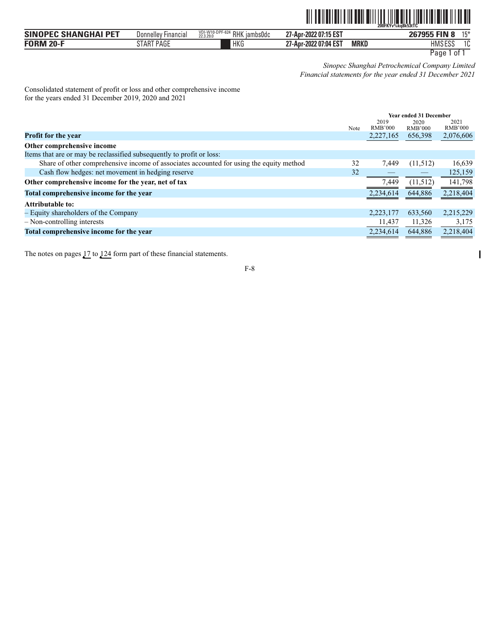## ˆ200FKYv%kq8k53tTCŠ **200FKYv%kq8k53tTC**

| IANGHAI PFT<br><b>SINOPEC</b><br>wc | <b>Donnellev</b><br>Financia. | <b>VDI-W10-D</b><br>DDE 00<br><b>RHK</b><br>nbsUdc<br>10m<br>22.3.29.0<br>ldl | <b>OOOO OF AF FOT</b><br>715 ES.<br>$2$ -Apr-1<br>- 20. | ----          | $1E*$<br>1 J |
|-------------------------------------|-------------------------------|-------------------------------------------------------------------------------|---------------------------------------------------------|---------------|--------------|
| <b>FORM 20-F</b>                    | RT PAGE<br>ΔК                 | HKG                                                                           | <b>MRKD</b><br>07:04 EST<br>-2022<br>∕ 1-Anr-`          | <b>HMSESS</b> | $\sim$<br>שו |
|                                     |                               |                                                                               |                                                         |               |              |

Page 1 of 1

7

*Sinopec Shanghai Petrochemical Company Limited Financial statements for the year ended 31 December 2021*

Consolidated statement of profit or loss and other comprehensive income for the years ended 31 December 2019, 2020 and 2021

|                                                                                         |      | <b>Year ended 31 December</b> |                 |                        |
|-----------------------------------------------------------------------------------------|------|-------------------------------|-----------------|------------------------|
|                                                                                         | Note | 2019<br>RMB'000               | 2020<br>RMB'000 | 2021<br><b>RMB'000</b> |
| <b>Profit for the year</b>                                                              |      | 2,227,165                     | 656,398         | 2,076,606              |
| Other comprehensive income                                                              |      |                               |                 |                        |
| Items that are or may be reclassified subsequently to profit or loss:                   |      |                               |                 |                        |
| Share of other comprehensive income of associates accounted for using the equity method | 32   | 7,449                         | (11,512)        | 16,639                 |
| Cash flow hedges: net movement in hedging reserve                                       | 32   |                               |                 | 125,159                |
| Other comprehensive income for the year, net of tax                                     |      | 7,449                         | (11,512)        | 141,798                |
| Total comprehensive income for the year                                                 |      | 2,234,614                     | 644.886         | 2,218,404              |
| Attributable to:                                                                        |      |                               |                 |                        |
| - Equity shareholders of the Company                                                    |      | 2,223,177                     | 633.560         | 2,215,229              |
| $-$ Non-controlling interests                                                           |      | 11,437                        | 11,326          | 3,175                  |
| Total comprehensive income for the year                                                 |      | 2,234,614                     | 644,886         | 2,218,404              |

The notes on pages  $\frac{17}{2}$  to  $\frac{124}{2}$  form part of these financial statements.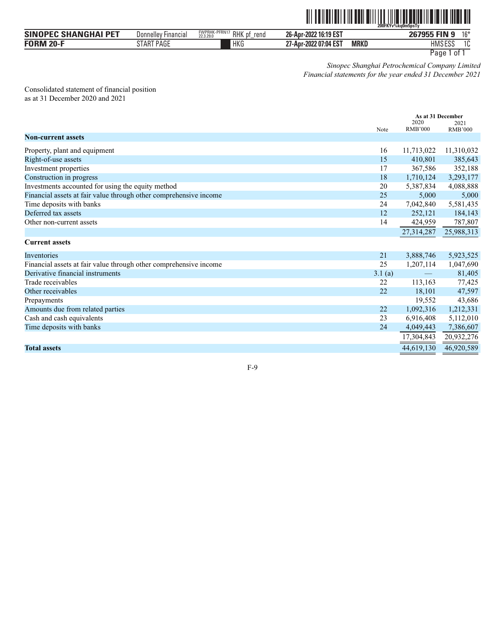## ▌▏▏▌▊▌▏▊▌▏▌▌▎▎▌▕▏▏▌▊▋▎▐▌▏▏▏▏▏▁▁<sub>Ϩ</sub>ѹ╒ĸ<del>vv%kq</del>0m5psTy

| NGHAI<br>$\overline{ }$ DET<br><b>SINOPEC</b> | <b>Donnelle</b><br>Financial     | <b>FWPRHK-PFRN17</b><br>RHŀ<br>rend<br>рt<br>22.3.29.0 | ' 16:19 FST<br>ne.<br>-2022<br>Zb-Apr<br>ט⊾ טו |             | ----                 | $16*$    |
|-----------------------------------------------|----------------------------------|--------------------------------------------------------|------------------------------------------------|-------------|----------------------|----------|
| <b>FORM</b><br>$20 -$                         | . <b>.</b><br>Δ٢<br>∾∆l∍⊩<br>AUL | IIVC<br>nnu                                            | 207:04 EST<br>nnnn<br>/-Apr<br>70<br>1 EJ 1    | <b>MRKD</b> | <b>HMSESS</b><br>ט∟י | ຳ<br>ט ו |
|                                               |                                  |                                                        |                                                |             |                      |          |

Page 1 of 1

*Sinopec Shanghai Petrochemical Company Limited Financial statements for the year ended 31 December 2021*

Consolidated statement of financial position as at 31 December 2020 and 2021

|                                                                   | As at 31 December |                        |                        |
|-------------------------------------------------------------------|-------------------|------------------------|------------------------|
|                                                                   | Note              | 2020<br><b>RMB'000</b> | 2021<br><b>RMB'000</b> |
| <b>Non-current assets</b>                                         |                   |                        |                        |
| Property, plant and equipment                                     | 16                | 11,713,022             | 11,310,032             |
| Right-of-use assets                                               | 15                | 410,801                | 385,643                |
| Investment properties                                             | 17                | 367,586                | 352,188                |
| Construction in progress                                          | 18                | 1,710,124              | 3,293,177              |
| Investments accounted for using the equity method                 | 20                | 5,387,834              | 4,088,888              |
| Financial assets at fair value through other comprehensive income | 25                | 5,000                  | 5,000                  |
| Time deposits with banks                                          | 24                | 7,042,840              | 5,581,435              |
| Deferred tax assets                                               | 12                | 252,121                | 184,143                |
| Other non-current assets                                          | 14                | 424,959                | 787,807                |
|                                                                   |                   | 27,314,287             | 25,988,313             |
| <b>Current assets</b>                                             |                   |                        |                        |
| Inventories                                                       | 21                | 3,888,746              | 5,923,525              |
| Financial assets at fair value through other comprehensive income | 25                | 1,207,114              | 1,047,690              |
| Derivative financial instruments                                  | 3.1(a)            |                        | 81,405                 |
| Trade receivables                                                 | 22                | 113,163                | 77,425                 |
| Other receivables                                                 | 22                | 18,101                 | 47,597                 |
| Prepayments                                                       |                   | 19,552                 | 43,686                 |
| Amounts due from related parties                                  | 22                | 1,092,316              | 1,212,331              |
| Cash and cash equivalents                                         | 23                | 6,916,408              | 5,112,010              |
| Time deposits with banks                                          | 24                | 4,049,443              | 7,386,607              |
|                                                                   |                   | 17,304,843             | 20,932,276             |
| <b>Total assets</b>                                               |                   | 44,619,130             | 46,920,589             |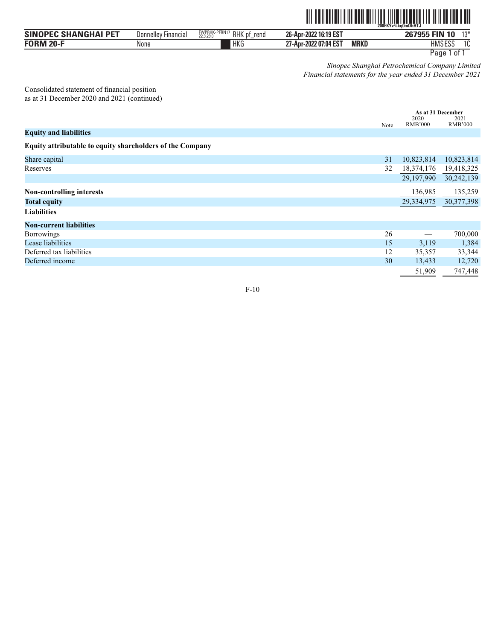## ˆ200FKYv%kq0mDhHTJŠ **200FKYv%kq0mDhHTJ**

| : SHANGHAI PFT<br><b>SINOPEC</b> | Financial<br>Donnellev | <b>DEDALA</b><br><b>FWPRHK-P</b><br><b>RHK</b><br>™KNı.<br>rend<br>.nt<br>22.3.29.0 | .16:19 EST<br>26-Apr<br>$-2027$ |      | $-$<br><b>267055</b><br>'n<br>. . | 12 |
|----------------------------------|------------------------|-------------------------------------------------------------------------------------|---------------------------------|------|-----------------------------------|----|
| $FORM 20-F$<br>$\sim$ 11- $\sim$ | None                   | IUVC<br>nnu                                                                         | ∠07:04 EST<br>202<br>!/-Abr     | mrkd | $\cdots$ $\cdots$<br>HIVIƏ EƏS    |    |
|                                  |                        |                                                                                     |                                 |      |                                   |    |

Page 1 of 1

*Sinopec Shanghai Petrochemical Company Limited Financial statements for the year ended 31 December 2021*

Consolidated statement of financial position as at 31 December 2020 and 2021 (continued)

|                                                           |      | As at 31 December      |                        |
|-----------------------------------------------------------|------|------------------------|------------------------|
|                                                           | Note | 2020<br><b>RMB'000</b> | 2021<br><b>RMB'000</b> |
| <b>Equity and liabilities</b>                             |      |                        |                        |
| Equity attributable to equity shareholders of the Company |      |                        |                        |
| Share capital                                             | 31   | 10,823,814             | 10,823,814             |
| Reserves                                                  | 32   | 18,374,176             | 19,418,325             |
|                                                           |      | 29,197,990             | 30,242,139             |
| Non-controlling interests                                 |      | 136,985                | 135,259                |
| <b>Total equity</b>                                       |      | 29,334,975             | 30, 377, 398           |
| <b>Liabilities</b>                                        |      |                        |                        |
| <b>Non-current liabilities</b>                            |      |                        |                        |
| <b>Borrowings</b>                                         | 26   |                        | 700,000                |
| Lease liabilities                                         | 15   | 3,119                  | 1,384                  |
| Deferred tax liabilities                                  | 12   | 35,357                 | 33,344                 |
| Deferred income                                           | 30   | 13,433                 | 12,720                 |
|                                                           |      | 51,909                 | 747,448                |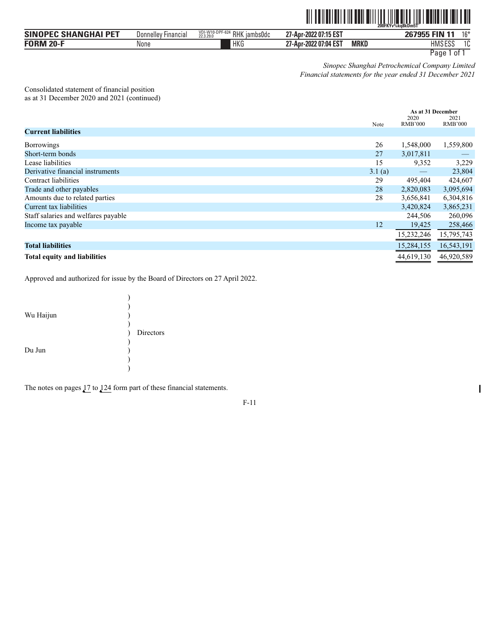| <b>SINOPEC SHANGHAI PFT</b> | -ınancıal<br>Jor<br>inellev | nn.<br>$-11117$<br><b>DIII</b><br>jambs0do<br>VUI-VVIU-UP<br>וחח<br>22.3.29.0 | -2022 07:15 EST<br>$\sim$<br>'/-Apr-<br>ו בא פו |             | <b>FIN 11</b><br><b>7055</b><br>267. | $16*$                          |
|-----------------------------|-----------------------------|-------------------------------------------------------------------------------|-------------------------------------------------|-------------|--------------------------------------|--------------------------------|
| <b>FORM 20-F</b>            | None                        | IUV<br>11NU                                                                   | 207:04 EST<br>$\sim$<br>.-2021<br>'/-Anr        | <b>MRKD</b> | HMS ESS                              | $\overline{\phantom{0}}$<br>л. |
|                             |                             |                                                                               |                                                 |             |                                      |                                |

 $\overline{\phantom{a}}$ 

*Sinopec Shanghai Petrochemical Company Limited Financial statements for the year ended 31 December 2021*

Consolidated statement of financial position as at 31 December 2020 and 2021 (continued)

|                                     |        | As at 31 December |                        |
|-------------------------------------|--------|-------------------|------------------------|
|                                     | Note   | 2020<br>RMB'000   | 2021<br><b>RMB'000</b> |
| <b>Current liabilities</b>          |        |                   |                        |
| <b>Borrowings</b>                   | 26     | 1,548,000         | 1,559,800              |
| Short-term bonds                    | 27     | 3,017,811         |                        |
| Lease liabilities                   | 15     | 9,352             | 3,229                  |
| Derivative financial instruments    | 3.1(a) |                   | 23,804                 |
| Contract liabilities                | 29     | 495,404           | 424,607                |
| Trade and other payables            | 28     | 2,820,083         | 3,095,694              |
| Amounts due to related parties      | 28     | 3,656,841         | 6,304,816              |
| Current tax liabilities             |        | 3,420,824         | 3,865,231              |
| Staff salaries and welfares payable |        | 244,506           | 260,096                |
| Income tax payable                  | 12     | 19,425            | 258,466                |
|                                     |        | 15,232,246        | 15,795,743             |
| <b>Total liabilities</b>            |        | 15,284,155        | 16,543,191             |
| <b>Total equity and liabilities</b> |        | 44,619,130        | 46,920,589             |

Approved and authorized for issue by the Board of Directors on 27 April 2022.

| Wu Haijun |           |
|-----------|-----------|
|           |           |
|           | Directors |
|           |           |
| Du Jun    |           |
|           |           |
|           |           |

The notes on pages  $\frac{17}{2}$  to  $\frac{124}{2}$  form part of these financial statements.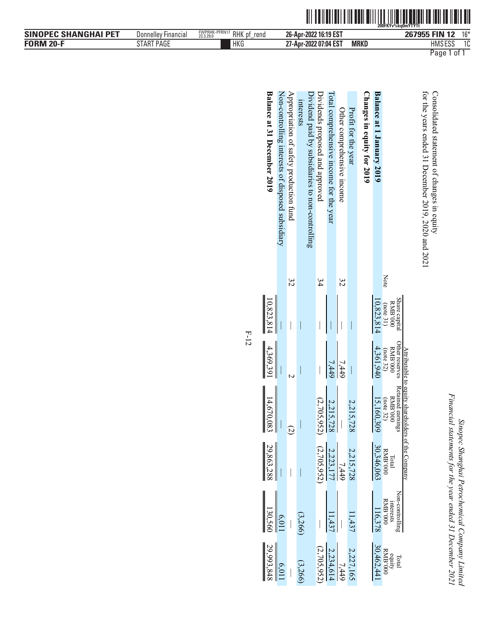| Financial statements for the year ended 31 December 2021 | Sinopec Shanghai Petrochemical Company Limited |
|----------------------------------------------------------|------------------------------------------------|
|                                                          |                                                |
|                                                          |                                                |
|                                                          |                                                |
|                                                          |                                                |
|                                                          |                                                |
|                                                          |                                                |
|                                                          |                                                |
|                                                          |                                                |

Consolidated statement of changes in equity<br>for the years ended 31 December 2019, 2020 and 2021 for the years ended 31 December 2019, 2020 and 2021 Consolidated statement of changes in equity

|                                                  |      |                |                          | Attributable to equity shareholders of the Company                                                                                               |                            |                                                                |                                                                                                          |
|--------------------------------------------------|------|----------------|--------------------------|--------------------------------------------------------------------------------------------------------------------------------------------------|----------------------------|----------------------------------------------------------------|----------------------------------------------------------------------------------------------------------|
|                                                  |      | Share capital  |                          | Other reserves Retained earnings                                                                                                                 |                            |                                                                |                                                                                                          |
|                                                  |      | <b>RMB'000</b> | $000, \text{B/N}$        | $000, \text{BMB}$                                                                                                                                |                            |                                                                |                                                                                                          |
|                                                  | Note | (note 31)      | (mote 32)                | (mote 32)                                                                                                                                        |                            |                                                                |                                                                                                          |
| Balance at 1 January 2019                        |      | 10,823,814     | 4,361,940                | 15,160,309                                                                                                                                       | $\frac{Total}{80,346,063}$ | Non-controlling<br>interests<br>RNB <sup>1000</sup><br>116,378 | $\begin{array}{c}\n\text{Total} \\ \text{RMP} & 00 \\ \text{RMP} & 000 \\ \text{30,462,44}\n\end{array}$ |
| Changes in equity for 2019                       |      |                |                          |                                                                                                                                                  |                            |                                                                |                                                                                                          |
| Profit for the year                              |      |                |                          |                                                                                                                                                  |                            | 11,437                                                         |                                                                                                          |
| Other comprehensive income                       | 32   |                | 7,449                    |                                                                                                                                                  |                            |                                                                |                                                                                                          |
| Total comprehensive income for the year          |      |                | 7,449                    | $\begin{array}{c cc}\n2.215,728 & 2.215,728 \\ & & 7,449 \\ \hline\n& 2,215,728 & 2,223,177 \\ \hline\n& (2,705,952) & (2,705,952)\n\end{array}$ |                            | 11,437                                                         |                                                                                                          |
| Dividends proposed and approved                  | 34   |                |                          |                                                                                                                                                  |                            |                                                                | $\begin{array}{r}\n 2,227,165 \\  \hline\n 2,234,614 \\  \hline\n 2,234,614\n \end{array}$               |
| Dividend paid by subsidiaries to non-controlling |      |                |                          |                                                                                                                                                  |                            |                                                                |                                                                                                          |
| interests                                        |      |                |                          |                                                                                                                                                  |                            | (3,266)                                                        | (3,266)                                                                                                  |
| Appropriation of safety production fund          | 32   |                |                          | ้เว                                                                                                                                              |                            |                                                                |                                                                                                          |
| Non-controlling interests of disposed subsidiary |      |                |                          |                                                                                                                                                  |                            |                                                                |                                                                                                          |
| Balance at 31 December 2019                      |      |                | $10,823,814$ $4,369,391$ | 14,670,083                                                                                                                                       | 29,863,288<br>$\mathsf I$  | $\frac{6,011}{130,560}$ 29,93,848                              |                                                                                                          |

F-12

Page 1 of 1

16\*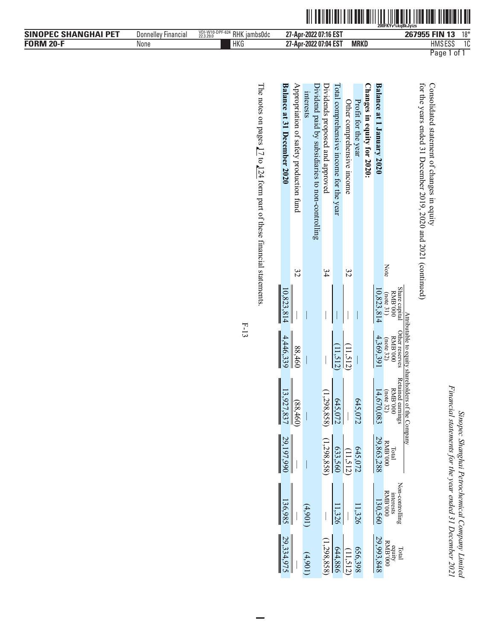# Consolidated statement of changes in equity<br>for the years ended 31 December 2019, 2020 and 2021 (continued) for the years ended 31 December 2019, 2020 and 2021 (continued) Consolidated statement of changes in equity

| 29,334,97                                                                   | 136,98                                  | 29,197,990                     | 13,927,837                                         | 4,446,339                               | 10,823,814                            |      | Balance at 31 December 2020                      |
|-----------------------------------------------------------------------------|-----------------------------------------|--------------------------------|----------------------------------------------------|-----------------------------------------|---------------------------------------|------|--------------------------------------------------|
|                                                                             |                                         |                                | (88,460)                                           | 88,460                                  |                                       | 32   | Appropriation of safety production fund          |
| (4,90)                                                                      | (4.901                                  |                                |                                                    |                                         |                                       |      | interests                                        |
|                                                                             |                                         |                                |                                                    |                                         |                                       |      | Dividend paid by subsidiaries to non-controlling |
| $\frac{644,886}{(1,298,858)}$                                               |                                         | (1,298,858                     | (1,298,858)                                        |                                         |                                       | 34   | Dividends proposed and approved                  |
|                                                                             |                                         | 633,560                        | 645,077                                            | (11, 512)                               |                                       |      | Total comprehensive income for the year          |
| (11, 512)                                                                   |                                         | 645,072                        |                                                    | (11, 512)                               |                                       | 32   | Other comprehensive income                       |
| 656,398                                                                     | 11,326                                  |                                | 645,072                                            |                                         |                                       |      | Profit for the year                              |
|                                                                             |                                         |                                |                                                    |                                         |                                       |      | Changes in equity for 2020.                      |
| 29,993,84                                                                   | 130,560                                 |                                | 14,670,083                                         | 4,369,391                               | 10,823,814                            |      | Balance at 1 January 2020                        |
| $\begin{array}{c} \text{Total} \\ \text{Requity} \\ \text{RMB} \end{array}$ | Non-controllin<br>interests<br>RMB '000 | Total<br>RMB 000<br>29,863,288 | Retained earnings<br>000.BVB<br>(note 32)          | Other reserves<br>000, BNR<br>(mote 32) | Share capital<br>000.BVB<br>(note 31) | Note |                                                  |
|                                                                             |                                         |                                | Attributable to equity shareholders of the Company |                                         |                                       |      |                                                  |

The notes on pages  $\frac{17}{10}$  to  $\frac{124}{124}$  form part of these financial statements. The notes on pages  $17$  to  $124$  form part of these financial statements.

F-13

Page 1 of 1

18\*

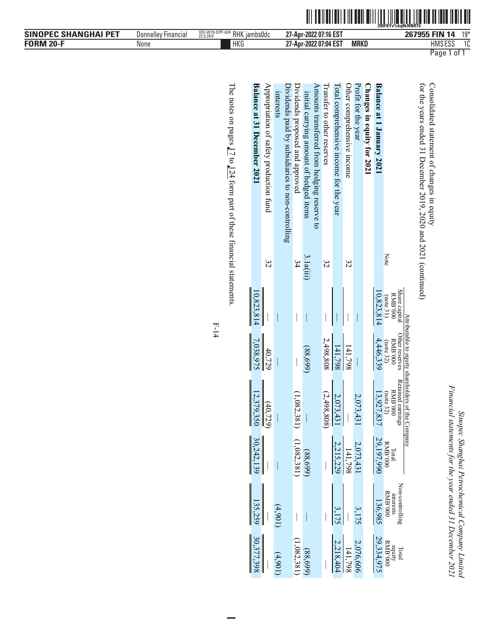| Financial statements for the year ended 31 December 2021 | Sinopec Shanghai Petrochemical Company Limited |
|----------------------------------------------------------|------------------------------------------------|
|                                                          |                                                |

# Consolidated statement of changes in equity<br>for the years ended 31 December 2019, 2020 and 2021 (continued) for the years ended 31 December 2019, 2020 and 2021 (continued) Consolidated statement of changes in equity

| Balance at 31 December 2021 | Appropriation of safety production fund | interests |                                                   | Dividends proposed and approved | initial carrying amount of hedged items | Amounts transferred from hedging reserve to | Transfer to other reserves | Total comprehensive income for the year | Other comprehensive income | Profit for the year      | Changes in equity for 2021 | Balance at 1 January 2021 |                                               |                                                    |
|-----------------------------|-----------------------------------------|-----------|---------------------------------------------------|---------------------------------|-----------------------------------------|---------------------------------------------|----------------------------|-----------------------------------------|----------------------------|--------------------------|----------------------------|---------------------------|-----------------------------------------------|----------------------------------------------------|
|                             |                                         |           | Dividends paid by subsidiaries to non-controlling |                                 |                                         |                                             |                            |                                         |                            |                          |                            |                           |                                               |                                                    |
|                             | 32                                      |           |                                                   | $\frac{34}{3}$                  | 3.1a(iii)                               |                                             | 32                         |                                         | 32                         |                          |                            |                           | Note                                          |                                                    |
| 10,823,81                   |                                         |           |                                                   |                                 |                                         |                                             |                            |                                         |                            | $\overline{\phantom{a}}$ |                            | 10,823,814                | Share capital<br>000.BVB<br>(mctes 31)        |                                                    |
| 7,038,975                   | 40,729                                  |           |                                                   |                                 | (88,699)                                |                                             | 2,498,808                  | 141,798                                 | 141,798                    |                          |                            | 4,446,339                 | <b>Other reserves</b><br>000.8VB<br>(note 32) |                                                    |
| 12,379,350                  | (40,729)                                |           |                                                   | (1,082,381)                     |                                         |                                             | (2,498,808)                | 2,073,431                               |                            | 2,073,431                |                            | 13,927,837                | Retained earnings<br>000.BVB<br>(note 32)     | Attributable to equity shareholders of the Company |
| 30,242,139                  |                                         |           |                                                   | (1,082,381)                     | (88,699)                                |                                             |                            | 2,215,229                               | 141,798                    | 2,073,431                |                            |                           | $\frac{Total}{29,197,990}$                    |                                                    |
| 135,259                     |                                         | (4,901)   |                                                   |                                 |                                         |                                             |                            | 3,17                                    |                            | 3,175                    |                            | 136,985                   | Non-controlling<br>interests<br>RMB'000       |                                                    |
| 30,377,39                   |                                         | (4,90)    |                                                   | (1,082,381)                     | (88,699)                                |                                             |                            | 2,218,40                                | 141,79                     | 2,076,60                 |                            | 29,334,97                 | $000.$ HWB<br>Ainba<br>Total                  |                                                    |

The notes on pages  $\frac{17}{10}$  to  $\frac{124}{124}$  form part of these financial statements. The notes on pages  $17$  to  $124$  form part of these financial statements.

F-14

Page 1 of 1

19\*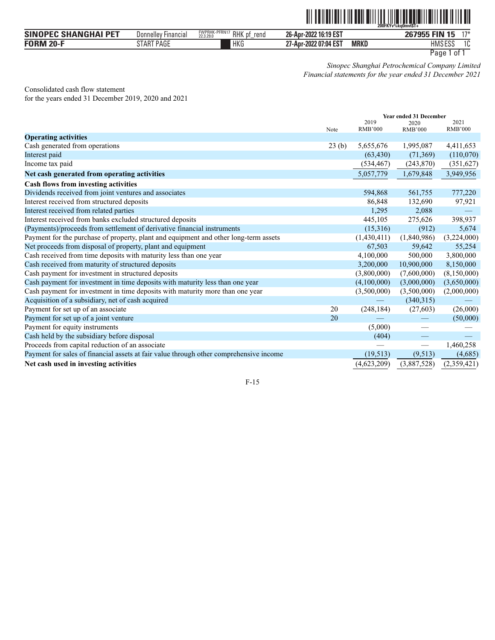## ˆ200FKYv%kq0mvt\$T+Š **200FKYv%kq0mvt\$T+**

| <b>SINOPFC SHANGHAI</b><br><b>DET</b> | ' Financial<br>Donnelley        | <b>FWPRHK-PFRN17</b><br><b>RHK</b><br>rena<br>000000<br>22.3.29.0 | -2022 16:19 EST<br>nr<br>Zh-Anr-<br>13 E.D               | .<br>$17*$<br>007055                                  |
|---------------------------------------|---------------------------------|-------------------------------------------------------------------|----------------------------------------------------------|-------------------------------------------------------|
| <b>FORM 20-F</b>                      | ------<br>PAUL<br>11H<br>$\sim$ | <b>HKG</b>                                                        | $\sim$<br>$-207:04E$<br>-2022<br>$\angle$ <i>I</i> -Apr- | $\mathbf{11.10}$ $\mathbf{0.00}$<br>MRKI<br>HIVIƏ EƏƏ |
|                                       |                                 |                                                                   |                                                          | .                                                     |

Page 1 of 1

*Sinopec Shanghai Petrochemical Company Limited Financial statements for the year ended 31 December 2021*

Consolidated cash flow statement

for the years ended 31 December 2019, 2020 and 2021

|                                                                                        |       |                | <b>Year ended 31 December</b>   |                |
|----------------------------------------------------------------------------------------|-------|----------------|---------------------------------|----------------|
|                                                                                        |       | 2019           | 2020                            | 2021           |
| <b>Operating activities</b>                                                            | Note  | <b>RMB'000</b> | <b>RMB'000</b>                  | <b>RMB'000</b> |
| Cash generated from operations                                                         | 23(b) | 5,655,676      | 1,995,087                       | 4,411,653      |
| Interest paid                                                                          |       | (63, 430)      | (71,369)                        | (110,070)      |
| Income tax paid                                                                        |       | (534, 467)     | (243, 870)                      | (351, 627)     |
| Net cash generated from operating activities                                           |       | 5,057,779      | 1,679,848                       | 3,949,956      |
| Cash flows from investing activities                                                   |       |                |                                 |                |
| Dividends received from joint ventures and associates                                  |       | 594,868        | 561,755                         | 777,220        |
| Interest received from structured deposits                                             |       | 86,848         | 132,690                         | 97,921         |
| Interest received from related parties                                                 |       | 1,295          | 2,088                           |                |
| Interest received from banks excluded structured deposits                              |       | 445,105        | 275,626                         | 398,937        |
| (Payments)/proceeds from settlement of derivative financial instruments                |       | (15,316)       | (912)                           | 5,674          |
| Payment for the purchase of property, plant and equipment and other long-term assets   |       | (1,430,411)    | (1,840,986)                     | (3,224,000)    |
| Net proceeds from disposal of property, plant and equipment                            |       | 67,503         | 59,642                          | 55,254         |
| Cash received from time deposits with maturity less than one year                      |       | 4,100,000      | 500,000                         | 3,800,000      |
| Cash received from maturity of structured deposits                                     |       | 3,200,000      | 10,900,000                      | 8,150,000      |
| Cash payment for investment in structured deposits                                     |       | (3,800,000)    | (7,600,000)                     | (8,150,000)    |
| Cash payment for investment in time deposits with maturity less than one year          |       | (4,100,000)    | (3,000,000)                     | (3,650,000)    |
| Cash payment for investment in time deposits with maturity more than one year          |       | (3,500,000)    | (3,500,000)                     | (2,000,000)    |
| Acquisition of a subsidiary, net of cash acquired                                      |       |                | (340,315)                       |                |
| Payment for set up of an associate                                                     | 20    | (248, 184)     | (27,603)                        | (26,000)       |
| Payment for set up of a joint venture                                                  | 20    |                |                                 | (50,000)       |
| Payment for equity instruments                                                         |       | (5,000)        |                                 |                |
| Cash held by the subsidiary before disposal                                            |       | (404)          |                                 |                |
| Proceeds from capital reduction of an associate                                        |       |                | $\hspace{0.1mm}-\hspace{0.1mm}$ | 1,460,258      |
| Payment for sales of financial assets at fair value through other comprehensive income |       | (19, 513)      | (9,513)                         | (4,685)        |
| Net cash used in investing activities                                                  |       | (4,623,209)    | (3,887,528)                     | (2,359,421)    |

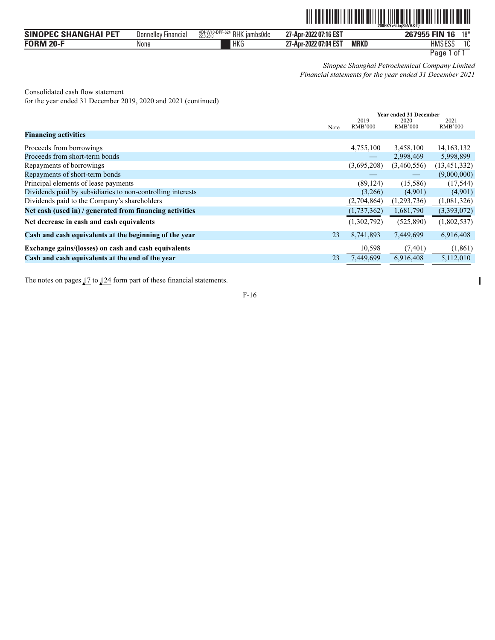## ˆ200FKYv%kq8kVV&T}Š **200FKYv%kq8kVV&T}**

| <b>SINOPEC SHANGHAI PET</b> | ⊦ınancıal<br>Donnellev | $\overline{\mathsf{m}}$<br>$110 - DPF-624$ b.<br>VDI-W1<br>RHK<br>iambsOdc<br>22.3.29.0 | J22 07:16 F <sup>c-1</sup><br>-202<br>$\sim$ /-Apr- $\sim$<br>:10 ES I |             | ----<br>--<br><u>ACJAFF</u><br>1 t<br>1 I V | 10 <sup>4</sup><br>10 |
|-----------------------------|------------------------|-----------------------------------------------------------------------------------------|------------------------------------------------------------------------|-------------|---------------------------------------------|-----------------------|
| FORM                        | None                   | <b>HKG</b>                                                                              | 700F<br>.202<br>? 07:04 E<br>'/-Abr<br>1 LJ '                          | <b>MRKD</b> | <b>HMSESS</b>                               | $\sim$<br>ιu          |
|                             |                        |                                                                                         |                                                                        |             |                                             |                       |

Page 1 of 1

*Sinopec Shanghai Petrochemical Company Limited Financial statements for the year ended 31 December 2021*

Consolidated cash flow statement

for the year ended 31 December 2019, 2020 and 2021 (continued)

|                                                             |      |                        | Year ended 31 December |                        |  |
|-------------------------------------------------------------|------|------------------------|------------------------|------------------------|--|
|                                                             | Note | 2019<br><b>RMB'000</b> | 2020<br><b>RMB'000</b> | 2021<br><b>RMB'000</b> |  |
| <b>Financing activities</b>                                 |      |                        |                        |                        |  |
| Proceeds from borrowings                                    |      | 4,755,100              | 3,458,100              | 14, 163, 132           |  |
| Proceeds from short-term bonds                              |      |                        | 2,998,469              | 5,998,899              |  |
| Repayments of borrowings                                    |      | (3,695,208)            | (3,460,556)            | (13, 451, 332)         |  |
| Repayments of short-term bonds                              |      |                        |                        | (9,000,000)            |  |
| Principal elements of lease payments                        |      | (89, 124)              | (15,586)               | (17, 544)              |  |
| Dividends paid by subsidiaries to non-controlling interests |      | (3,266)                | (4,901)                | (4,901)                |  |
| Dividends paid to the Company's shareholders                |      | (2,704,864)            | (1,293,736)            | (1,081,326)            |  |
| Net cash (used in) / generated from financing activities    |      | (1,737,362)            | 1,681,790              | (3,393,072)            |  |
| Net decrease in cash and cash equivalents                   |      | (1,302,792)            | (525, 890)             | (1,802,537)            |  |
| Cash and cash equivalents at the beginning of the year      | 23   | 8,741,893              | 7,449,699              | 6,916,408              |  |
| Exchange gains/(losses) on cash and cash equivalents        |      | 10,598                 | (7,401)                | (1,861)                |  |
| Cash and cash equivalents at the end of the year            | 23   | 7,449,699              | 6,916,408              | 5,112,010              |  |

The notes on pages  $\frac{17}{2}$  to  $\frac{124}{2}$  form part of these financial statements.

F-16

 $\overline{1}$ ri i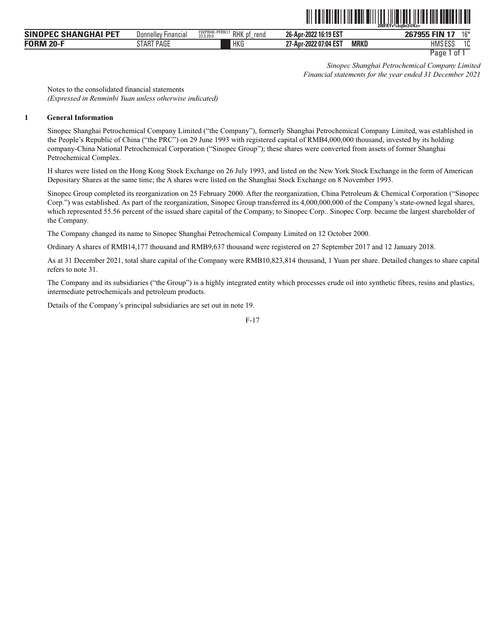

| <b>SINOPEC SHANGHAI PET</b> | Financia,<br>Donnelley | -PFRN1<br><b>FWPRHK-</b><br><b>RHK</b><br>rena<br>22.3.29.0<br>- | 26-Apr-2022 16:19 EST             |             | CONCERTIBUT   | $16*$        |
|-----------------------------|------------------------|------------------------------------------------------------------|-----------------------------------|-------------|---------------|--------------|
| <b>FORM 20-7</b>            | <b>RT PAGE</b><br>ΔК   | <b>HKG</b>                                                       | 07:04 EST<br>-2022 07<br>∠/-Anr-` | <b>MRKD</b> | <b>HMSESS</b> | $\sim$<br>ιu |
|                             |                        |                                                                  |                                   |             |               |              |

Page 1 of 1

*Sinopec Shanghai Petrochemical Company Limited Financial statements for the year ended 31 December 2021*

Notes to the consolidated financial statements *(Expressed in Renminbi Yuan unless otherwise indicated)*

#### **1 General Information**

Sinopec Shanghai Petrochemical Company Limited ("the Company"), formerly Shanghai Petrochemical Company Limited, was established in the People's Republic of China ("the PRC") on 29 June 1993 with registered capital of RMB4,000,000 thousand, invested by its holding company-China National Petrochemical Corporation ("Sinopec Group"); these shares were converted from assets of former Shanghai Petrochemical Complex.

H shares were listed on the Hong Kong Stock Exchange on 26 July 1993, and listed on the New York Stock Exchange in the form of American Depositary Shares at the same time; the A shares were listed on the Shanghai Stock Exchange on 8 November 1993.

Sinopec Group completed its reorganization on 25 February 2000. After the reorganization, China Petroleum & Chemical Corporation ("Sinopec Corp.") was established. As part of the reorganization, Sinopec Group transferred its 4,000,000,000 of the Company's state-owned legal shares, which represented 55.56 percent of the issued share capital of the Company, to Sinopec Corp. Sinopec Corp. became the largest shareholder of the Company.

The Company changed its name to Sinopec Shanghai Petrochemical Company Limited on 12 October 2000.

Ordinary A shares of RMB14,177 thousand and RMB9,637 thousand were registered on 27 September 2017 and 12 January 2018.

As at 31 December 2021, total share capital of the Company were RMB10,823,814 thousand, 1 Yuan per share. Detailed changes to share capital refers to note 31.

The Company and its subsidiaries ("the Group") is a highly integrated entity which processes crude oil into synthetic fibres, resins and plastics, intermediate petrochemicals and petroleum products.

Details of the Company's principal subsidiaries are set out in note 19.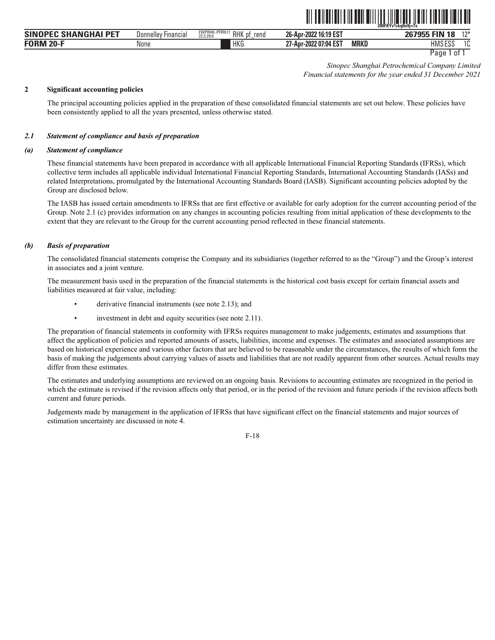| <b>SINOPEC SHANGHAI</b><br><b>DET</b> | Financial<br>Donne | -PFRN17<br><b>FWPRHK</b><br><b>RHK</b><br>rend<br>n*<br>22.3.29.0 | <b>16:19 EST</b><br>26-Apr-2022              | <b>FIBLAC</b><br><b>OCJOEE</b><br>18<br>-IN | 10 <sup>4</sup> |
|---------------------------------------|--------------------|-------------------------------------------------------------------|----------------------------------------------|---------------------------------------------|-----------------|
| <b>FORM 20-F</b>                      | None               | HKG                                                               | <b>MRKD</b><br>107:04 F<br>$-2027$<br>7-Anr- | <b>HMSESS</b>                               | $\sim$<br>טו    |
|                                       |                    |                                                                   |                                              |                                             |                 |

Page 1 of 1

*Sinopec Shanghai Petrochemical Company Limited Financial statements for the year ended 31 December 2021*

#### **2 Significant accounting policies**

The principal accounting policies applied in the preparation of these consolidated financial statements are set out below. These policies have been consistently applied to all the years presented, unless otherwise stated.

#### *2.1 Statement of compliance and basis of preparation*

#### *(a) Statement of compliance*

These financial statements have been prepared in accordance with all applicable International Financial Reporting Standards (IFRSs), which collective term includes all applicable individual International Financial Reporting Standards, International Accounting Standards (IASs) and related Interpretations, promulgated by the International Accounting Standards Board (IASB). Significant accounting policies adopted by the Group are disclosed below.

The IASB has issued certain amendments to IFRSs that are first effective or available for early adoption for the current accounting period of the Group. Note 2.1 (c) provides information on any changes in accounting policies resulting from initial application of these developments to the extent that they are relevant to the Group for the current accounting period reflected in these financial statements.

#### *(b) Basis of preparation*

The consolidated financial statements comprise the Company and its subsidiaries (together referred to as the "Group") and the Group's interest in associates and a joint venture.

The measurement basis used in the preparation of the financial statements is the historical cost basis except for certain financial assets and liabilities measured at fair value, including:

- derivative financial instruments (see note 2.13); and
- investment in debt and equity securities (see note 2.11).

The preparation of financial statements in conformity with IFRSs requires management to make judgements, estimates and assumptions that affect the application of policies and reported amounts of assets, liabilities, income and expenses. The estimates and associated assumptions are based on historical experience and various other factors that are believed to be reasonable under the circumstances, the results of which form the basis of making the judgements about carrying values of assets and liabilities that are not readily apparent from other sources. Actual results may differ from these estimates.

The estimates and underlying assumptions are reviewed on an ongoing basis. Revisions to accounting estimates are recognized in the period in which the estimate is revised if the revision affects only that period, or in the period of the revision and future periods if the revision affects both current and future periods.

Judgements made by management in the application of IFRSs that have significant effect on the financial statements and major sources of estimation uncertainty are discussed in note 4.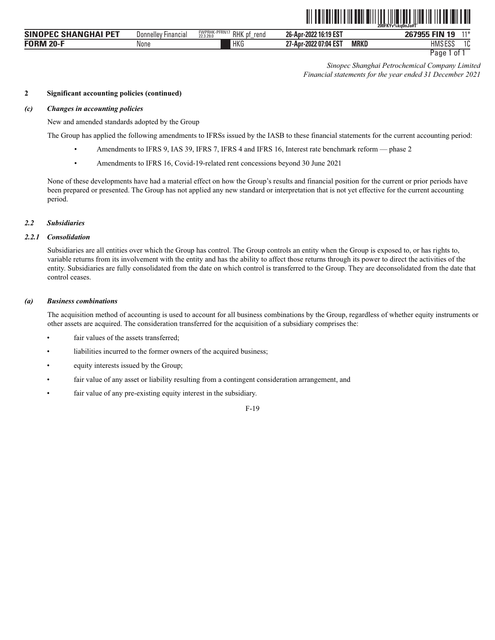|                             |                     |                                                     |                       |             | 'Yv%ka0nJa#i     |                 |
|-----------------------------|---------------------|-----------------------------------------------------|-----------------------|-------------|------------------|-----------------|
| <b>SINOPEC SHANGHAI PET</b> | Donnelley Financial | <b>FWPRHK-PFRN17</b><br>RHK pf<br>rend<br>22.3.29.0 | 26-Apr-2022 16:19 EST |             | 267955 FIN<br>19 | 11 <sup>3</sup> |
| <b>FORM 20-F</b>            | None                | <b>HKG</b>                                          | 27-Apr-2022 07:04 EST | <b>MRKD</b> | <b>HMSESS</b>    |                 |

*Sinopec Shanghai Petrochemical Company Limited Financial statements for the year ended 31 December 2021*

<u>ott en inden att ett man mitt er till er att till til til ta mitt en </u>

## **2 Significant accounting policies (continued)**

## *(c) Changes in accounting policies*

New and amended standards adopted by the Group

The Group has applied the following amendments to IFRSs issued by the IASB to these financial statements for the current accounting period:

- Amendments to IFRS 9, IAS 39, IFRS 7, IFRS 4 and IFRS 16, Interest rate benchmark reform phase 2
- Amendments to IFRS 16, Covid-19-related rent concessions beyond 30 June 2021

None of these developments have had a material effect on how the Group's results and financial position for the current or prior periods have been prepared or presented. The Group has not applied any new standard or interpretation that is not yet effective for the current accounting period.

#### *2.2 Subsidiaries*

#### *2.2.1 Consolidation*

Subsidiaries are all entities over which the Group has control. The Group controls an entity when the Group is exposed to, or has rights to, variable returns from its involvement with the entity and has the ability to affect those returns through its power to direct the activities of the entity. Subsidiaries are fully consolidated from the date on which control is transferred to the Group. They are deconsolidated from the date that control ceases.

#### *(a) Business combinations*

The acquisition method of accounting is used to account for all business combinations by the Group, regardless of whether equity instruments or other assets are acquired. The consideration transferred for the acquisition of a subsidiary comprises the:

- fair values of the assets transferred:
- liabilities incurred to the former owners of the acquired business;
- equity interests issued by the Group;
- fair value of any asset or liability resulting from a contingent consideration arrangement, and
- fair value of any pre-existing equity interest in the subsidiary.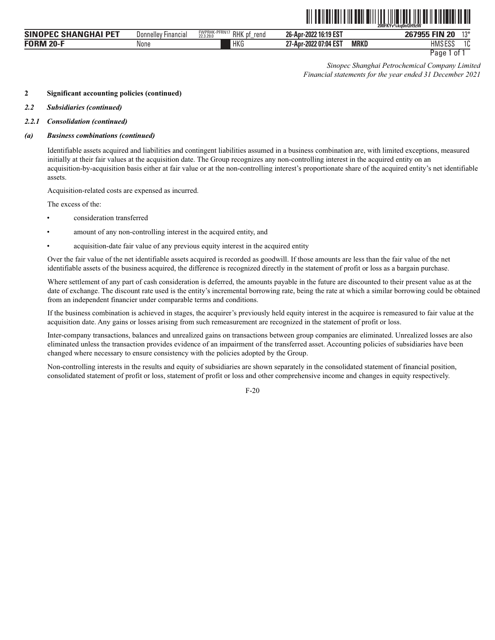|                      |                     |                                              |                       |             | 200FKYv%ka0nQH9zW |                 |
|----------------------|---------------------|----------------------------------------------|-----------------------|-------------|-------------------|-----------------|
| Sinopec Shanghai Pet | Donnelley Financial | FWPRHK-PFRN17<br>RHK p.<br>rend<br>22.3.29.0 | 26-Apr-2022 16:19 EST |             | 267955 FIN 20     | 10 <sup>3</sup> |
| <b>FORM 20-F</b>     | None                | HKG                                          | 27-Apr-2022 07:04 EST | <b>MRKD</b> | HMS ESS           |                 |

Page 1 of 1

<u>ot to the top the self street throughout the self stressed to sel</u>

- **2 Significant accounting policies (continued)**
- *2.2 Subsidiaries (continued)*
- *2.2.1 Consolidation (continued)*

## *(a) Business combinations (continued)*

Identifiable assets acquired and liabilities and contingent liabilities assumed in a business combination are, with limited exceptions, measured initially at their fair values at the acquisition date. The Group recognizes any non-controlling interest in the acquired entity on an acquisition-by-acquisition basis either at fair value or at the non-controlling interest's proportionate share of the acquired entity's net identifiable assets.

Acquisition-related costs are expensed as incurred.

The excess of the:

- consideration transferred
- amount of any non-controlling interest in the acquired entity, and
- acquisition-date fair value of any previous equity interest in the acquired entity

Over the fair value of the net identifiable assets acquired is recorded as goodwill. If those amounts are less than the fair value of the net identifiable assets of the business acquired, the difference is recognized directly in the statement of profit or loss as a bargain purchase.

Where settlement of any part of cash consideration is deferred, the amounts payable in the future are discounted to their present value as at the date of exchange. The discount rate used is the entity's incremental borrowing rate, being the rate at which a similar borrowing could be obtained from an independent financier under comparable terms and conditions.

If the business combination is achieved in stages, the acquirer's previously held equity interest in the acquiree is remeasured to fair value at the acquisition date. Any gains or losses arising from such remeasurement are recognized in the statement of profit or loss.

Inter-company transactions, balances and unrealized gains on transactions between group companies are eliminated. Unrealized losses are also eliminated unless the transaction provides evidence of an impairment of the transferred asset. Accounting policies of subsidiaries have been changed where necessary to ensure consistency with the policies adopted by the Group.

Non-controlling interests in the results and equity of subsidiaries are shown separately in the consolidated statement of financial position, consolidated statement of profit or loss, statement of profit or loss and other comprehensive income and changes in equity respectively.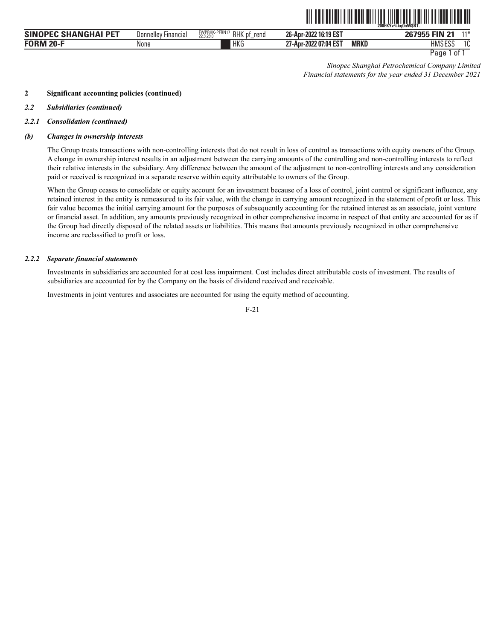|                             |                                      |                                                          |                       | 200FKYv%ka0nWSRT.      |
|-----------------------------|--------------------------------------|----------------------------------------------------------|-----------------------|------------------------|
| <b>SINOPEC SHANGHAI PET</b> | <b>Donnelley</b><br><b>Financial</b> | <b>FWPRHK-PFRN17</b><br>RHK pf<br>rend<br>22,3,29.0<br>_ | 26-Apr-2022 16:19 EST | $11*$<br>267955 FIN 21 |

**HKG 27-Apr-2022 07:04 EST MRKD** 

*Sinopec Shanghai Petrochemical Company Limited Financial statements for the year ended 31 December 2021*

ˆ200FKYv%kq0nW\$RT.Š **200FKYv%kq0nW\$RT.**

## **2 Significant accounting policies (continued)**

None

*2.2 Subsidiaries (continued)*

**FORM 20-F**

## *2.2.1 Consolidation (continued)*

## *(b) Changes in ownership interests*

The Group treats transactions with non-controlling interests that do not result in loss of control as transactions with equity owners of the Group. A change in ownership interest results in an adjustment between the carrying amounts of the controlling and non-controlling interests to reflect their relative interests in the subsidiary. Any difference between the amount of the adjustment to non-controlling interests and any consideration paid or received is recognized in a separate reserve within equity attributable to owners of the Group.

When the Group ceases to consolidate or equity account for an investment because of a loss of control, joint control or significant influence, any retained interest in the entity is remeasured to its fair value, with the change in carrying amount recognized in the statement of profit or loss. This fair value becomes the initial carrying amount for the purposes of subsequently accounting for the retained interest as an associate, joint venture or financial asset. In addition, any amounts previously recognized in other comprehensive income in respect of that entity are accounted for as if the Group had directly disposed of the related assets or liabilities. This means that amounts previously recognized in other comprehensive income are reclassified to profit or loss.

# *2.2.2 Separate financial statements*

Investments in subsidiaries are accounted for at cost less impairment. Cost includes direct attributable costs of investment. The results of subsidiaries are accounted for by the Company on the basis of dividend received and receivable.

Investments in joint ventures and associates are accounted for using the equity method of accounting.

HMSESS 1C

Page 1 of 1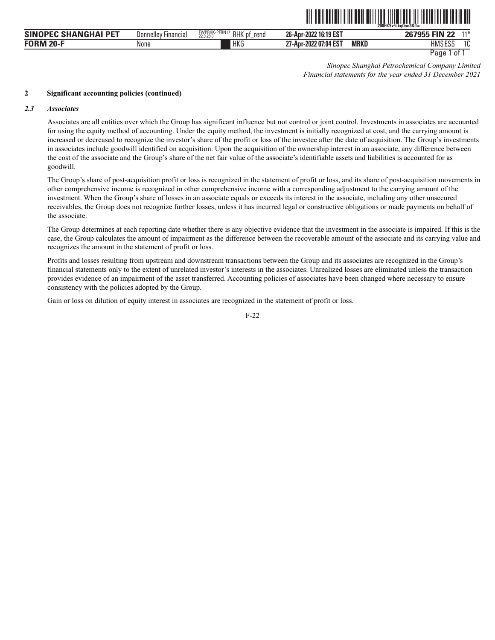| <b>DE1</b><br>SINOI<br>w | Donnellev<br>≻ınancıal | <b>FWPRHK-</b><br>-PFRN17<br>RHŀ<br>rend<br>.nt<br>000000<br>22.3.29. | <b>16.10 FST</b><br>ne.<br>-2021<br>Zb-ADI<br>10. 19 E.S. | <b>FIBLOS</b>                   | 44% |
|--------------------------|------------------------|-----------------------------------------------------------------------|-----------------------------------------------------------|---------------------------------|-----|
| <b>FORM</b><br>$\sim$    | None                   | IUVC<br>nnu                                                           | <b>MRKD</b><br>1.01 E27<br>-Apr<br>. 114<br>w<br>- 400 -  | <b>INACTOC</b><br>1IVI D<br>LUC | ט ו |
|                          |                        |                                                                       |                                                           |                                 |     |

*Sinopec Shanghai Petrochemical Company Limited Financial statements for the year ended 31 December 2021*

## **2 Significant accounting policies (continued)**

#### *2.3 Associates*

Associates are all entities over which the Group has significant influence but not control or joint control. Investments in associates are accounted for using the equity method of accounting. Under the equity method, the investment is initially recognized at cost, and the carrying amount is increased or decreased to recognize the investor's share of the profit or loss of the investee after the date of acquisition. The Group's investments in associates include goodwill identified on acquisition. Upon the acquisition of the ownership interest in an associate, any difference between the cost of the associate and the Group's share of the net fair value of the associate's identifiable assets and liabilities is accounted for as goodwill.

The Group's share of post-acquisition profit or loss is recognized in the statement of profit or loss, and its share of post-acquisition movements in other comprehensive income is recognized in other comprehensive income with a corresponding adjustment to the carrying amount of the investment. When the Group's share of losses in an associate equals or exceeds its interest in the associate, including any other unsecured receivables, the Group does not recognize further losses, unless it has incurred legal or constructive obligations or made payments on behalf of the associate.

The Group determines at each reporting date whether there is any objective evidence that the investment in the associate is impaired. If this is the case, the Group calculates the amount of impairment as the difference between the recoverable amount of the associate and its carrying value and recognizes the amount in the statement of profit or loss.

Profits and losses resulting from upstream and downstream transactions between the Group and its associates are recognized in the Group's financial statements only to the extent of unrelated investor's interests in the associates. Unrealized losses are eliminated unless the transaction provides evidence of an impairment of the asset transferred. Accounting policies of associates have been changed where necessary to ensure consistency with the policies adopted by the Group.

Gain or loss on dilution of equity interest in associates are recognized in the statement of profit or loss.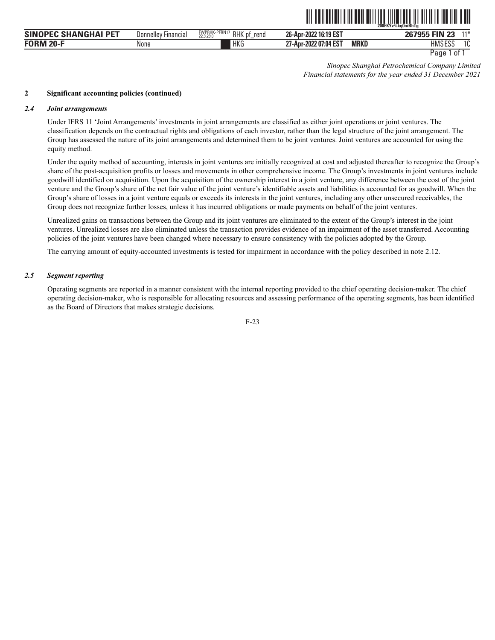| PEC CHANGHAI<br><b>DET</b><br><b>SINO</b> | <b>Donnelle</b><br>Financia. | <b>FWPRHK-</b><br><b>DEDALA</b><br><b>DUV</b><br>PFKN <sub>L</sub><br>rena<br>.nt<br>חחח<br>22.3.29.0<br>$\sim$ | .16:19 EST<br>26-Apr-2027                          | e Fibi oc<br>4.4.2<br>້        |
|-------------------------------------------|------------------------------|-----------------------------------------------------------------------------------------------------------------|----------------------------------------------------|--------------------------------|
| <b>FORM</b><br>$\sim$                     | None                         | IIVC<br><b>HNU</b>                                                                                              | MRKI<br>$.70704 F$ <sup>c-1</sup><br>-202<br>. Lor | $\cdots$ $\cdots$<br>TIVIƏ EƏS |
|                                           |                              |                                                                                                                 |                                                    |                                |

*Sinopec Shanghai Petrochemical Company Limited Financial statements for the year ended 31 December 2021*

## **2 Significant accounting policies (continued)**

#### *2.4 Joint arrangements*

Under IFRS 11 'Joint Arrangements' investments in joint arrangements are classified as either joint operations or joint ventures. The classification depends on the contractual rights and obligations of each investor, rather than the legal structure of the joint arrangement. The Group has assessed the nature of its joint arrangements and determined them to be joint ventures. Joint ventures are accounted for using the equity method.

Under the equity method of accounting, interests in joint ventures are initially recognized at cost and adjusted thereafter to recognize the Group's share of the post-acquisition profits or losses and movements in other comprehensive income. The Group's investments in joint ventures include goodwill identified on acquisition. Upon the acquisition of the ownership interest in a joint venture, any difference between the cost of the joint venture and the Group's share of the net fair value of the joint venture's identifiable assets and liabilities is accounted for as goodwill. When the Group's share of losses in a joint venture equals or exceeds its interests in the joint ventures, including any other unsecured receivables, the Group does not recognize further losses, unless it has incurred obligations or made payments on behalf of the joint ventures.

Unrealized gains on transactions between the Group and its joint ventures are eliminated to the extent of the Group's interest in the joint ventures. Unrealized losses are also eliminated unless the transaction provides evidence of an impairment of the asset transferred. Accounting policies of the joint ventures have been changed where necessary to ensure consistency with the policies adopted by the Group.

The carrying amount of equity-accounted investments is tested for impairment in accordance with the policy described in note 2.12.

### *2.5 Segment reporting*

Operating segments are reported in a manner consistent with the internal reporting provided to the chief operating decision-maker. The chief operating decision-maker, who is responsible for allocating resources and assessing performance of the operating segments, has been identified as the Board of Directors that makes strategic decisions.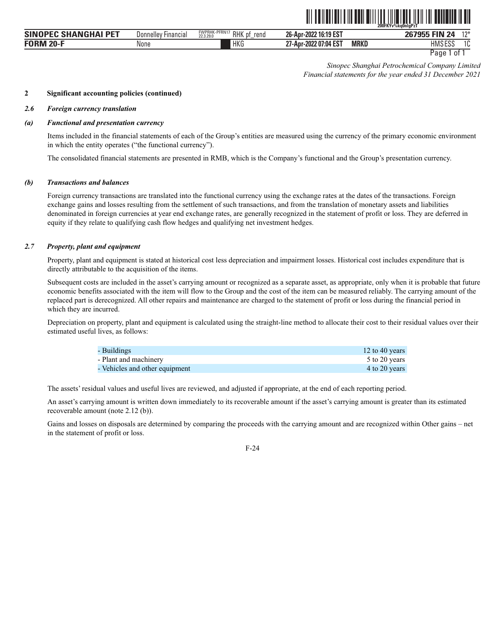|          |                     |                                                               |                                      | <u>. 111   1211   1311   1311   1311   1311   1312   1313   1314   1315   1316   1321   1331   1331   1331   133</u><br>200FKYv%ka0nlaPzT |       |
|----------|---------------------|---------------------------------------------------------------|--------------------------------------|-------------------------------------------------------------------------------------------------------------------------------------------|-------|
| GHAI PET | Donnelley Financial | <b>FWPRHK-PFRN17</b><br><b>RHK</b><br>D.<br>rend<br>22.3.29.0 | 26-Apr-2022 16:19 EST                | 267955 FIN 24                                                                                                                             | $12*$ |
|          | None                | HKG                                                           | <b>MRKD</b><br>27-Apr-2022 07:04 EST | HMS ESS                                                                                                                                   |       |

HMSESS 1C

TIT TERMETERIT IN EEN EN IT IT IN HULLETEN HET IN DE EEN DE HET

## **2 Significant accounting policies (continued)**

## *2.6 Foreign currency translation*

**SINOPEC SHAN FORM 20-F**

# *(a) Functional and presentation currency*

Items included in the financial statements of each of the Group's entities are measured using the currency of the primary economic environment in which the entity operates ("the functional currency").

The consolidated financial statements are presented in RMB, which is the Company's functional and the Group's presentation currency.

## *(b) Transactions and balances*

Foreign currency transactions are translated into the functional currency using the exchange rates at the dates of the transactions. Foreign exchange gains and losses resulting from the settlement of such transactions, and from the translation of monetary assets and liabilities denominated in foreign currencies at year end exchange rates, are generally recognized in the statement of profit or loss. They are deferred in equity if they relate to qualifying cash flow hedges and qualifying net investment hedges.

# *2.7 Property, plant and equipment*

Property, plant and equipment is stated at historical cost less depreciation and impairment losses. Historical cost includes expenditure that is directly attributable to the acquisition of the items.

Subsequent costs are included in the asset's carrying amount or recognized as a separate asset, as appropriate, only when it is probable that future economic benefits associated with the item will flow to the Group and the cost of the item can be measured reliably. The carrying amount of the replaced part is derecognized. All other repairs and maintenance are charged to the statement of profit or loss during the financial period in which they are incurred.

Depreciation on property, plant and equipment is calculated using the straight-line method to allocate their cost to their residual values over their estimated useful lives, as follows:

| - Buildings                    | 12 to 40 years |
|--------------------------------|----------------|
| - Plant and machinery          | 5 to 20 years  |
| - Vehicles and other equipment | 4 to 20 years  |

The assets' residual values and useful lives are reviewed, and adjusted if appropriate, at the end of each reporting period.

An asset's carrying amount is written down immediately to its recoverable amount if the asset's carrying amount is greater than its estimated recoverable amount (note 2.12 (b)).

Gains and losses on disposals are determined by comparing the proceeds with the carrying amount and are recognized within Other gains – net in the statement of profit or loss.



Page 1 of 1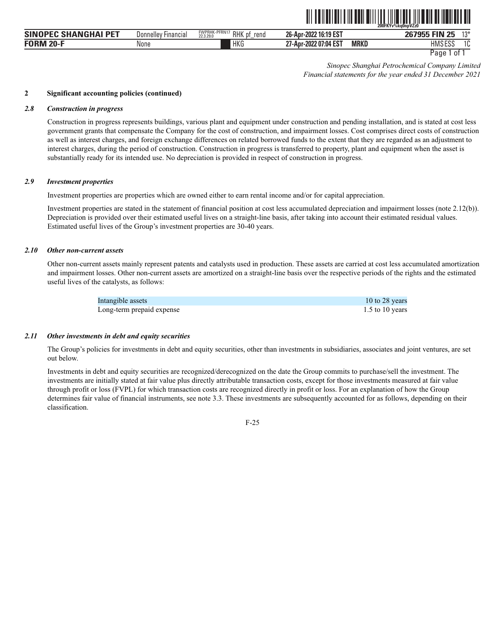|--|--|

| <b>SINOPEC SHANGHAI PET</b> | Donnelley<br>Financial | -PFRN17<br><b>EMIDDLE</b><br>RHK<br><b>FVVPRHK</b><br>rend<br>рt<br>22.3.29.0 | <b>16.10 ECT</b><br>26-Apr-<br>$-2022$<br>'16.<br>. I J LO                   | <b>CIBLOF</b><br>·I IV<br>. | $12*$<br>u   |
|-----------------------------|------------------------|-------------------------------------------------------------------------------|------------------------------------------------------------------------------|-----------------------------|--------------|
| <b>FORM 20-F</b>            | None                   | <b>HKG</b>                                                                    | <b>MRKD</b><br>$\sim$<br><b>104 FOT</b><br>.202<br>'' 07:04 ES .<br>∕ I-Anr∙ | <b>HMSESS</b>               | $\sim$<br>שו |
|                             |                        |                                                                               |                                                                              |                             |              |

*Sinopec Shanghai Petrochemical Company Limited Financial statements for the year ended 31 December 2021*

## **2 Significant accounting policies (continued)**

#### *2.8 Construction in progress*

Construction in progress represents buildings, various plant and equipment under construction and pending installation, and is stated at cost less government grants that compensate the Company for the cost of construction, and impairment losses. Cost comprises direct costs of construction as well as interest charges, and foreign exchange differences on related borrowed funds to the extent that they are regarded as an adjustment to interest charges, during the period of construction. Construction in progress is transferred to property, plant and equipment when the asset is substantially ready for its intended use. No depreciation is provided in respect of construction in progress.

#### *2.9 Investment properties*

Investment properties are properties which are owned either to earn rental income and/or for capital appreciation.

Investment properties are stated in the statement of financial position at cost less accumulated depreciation and impairment losses (note 2.12(b)). Depreciation is provided over their estimated useful lives on a straight-line basis, after taking into account their estimated residual values. Estimated useful lives of the Group's investment properties are 30-40 years.

#### *2.10 Other non-current assets*

Other non-current assets mainly represent patents and catalysts used in production. These assets are carried at cost less accumulated amortization and impairment losses. Other non-current assets are amortized on a straight-line basis over the respective periods of the rights and the estimated useful lives of the catalysts, as follows:

| Intangible assets         | 10 to 28 years  |
|---------------------------|-----------------|
| Long-term prepaid expense | 1.5 to 10 years |

#### *2.11 Other investments in debt and equity securities*

The Group's policies for investments in debt and equity securities, other than investments in subsidiaries, associates and joint ventures, are set out below.

Investments in debt and equity securities are recognized/derecognized on the date the Group commits to purchase/sell the investment. The investments are initially stated at fair value plus directly attributable transaction costs, except for those investments measured at fair value through profit or loss (FVPL) for which transaction costs are recognized directly in profit or loss. For an explanation of how the Group determines fair value of financial instruments, see note 3.3. These investments are subsequently accounted for as follows, depending on their classification.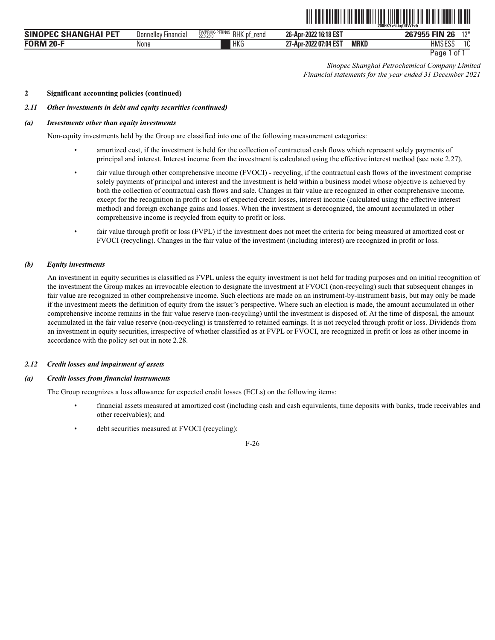| <b>SINOPEC SHANGHAI PET</b> | -inancial<br><b>Jonnellev</b> | -PFRN0!<br>RHK<br><b>CVVPRHK-</b><br>rend<br>22,3,29.0 | -2022 16:18 EST<br>nr<br>Zb-Apr-ZUZ                     | $12*$<br><b>FIBLOC</b><br>-IN |
|-----------------------------|-------------------------------|--------------------------------------------------------|---------------------------------------------------------|-------------------------------|
| FORM<br>∠U-′                | None                          | <b>HKG</b>                                             | <b>MRKD</b><br>-2022 07:04 EST<br>$\sim$<br>77-Anr-2022 | <b>HMSESS</b><br>$\sim$<br>ιu |
|                             |                               |                                                        |                                                         |                               |

Page 1 of 1

## **2 Significant accounting policies (continued)**

#### *2.11 Other investments in debt and equity securities (continued)*

#### *(a) Investments other than equity investments*

Non-equity investments held by the Group are classified into one of the following measurement categories:

- amortized cost, if the investment is held for the collection of contractual cash flows which represent solely payments of principal and interest. Interest income from the investment is calculated using the effective interest method (see note 2.27).
- fair value through other comprehensive income (FVOCI) recycling, if the contractual cash flows of the investment comprise solely payments of principal and interest and the investment is held within a business model whose objective is achieved by both the collection of contractual cash flows and sale. Changes in fair value are recognized in other comprehensive income, except for the recognition in profit or loss of expected credit losses, interest income (calculated using the effective interest method) and foreign exchange gains and losses. When the investment is derecognized, the amount accumulated in other comprehensive income is recycled from equity to profit or loss.
- fair value through profit or loss (FVPL) if the investment does not meet the criteria for being measured at amortized cost or FVOCI (recycling). Changes in the fair value of the investment (including interest) are recognized in profit or loss.

## *(b) Equity investments*

An investment in equity securities is classified as FVPL unless the equity investment is not held for trading purposes and on initial recognition of the investment the Group makes an irrevocable election to designate the investment at FVOCI (non-recycling) such that subsequent changes in fair value are recognized in other comprehensive income. Such elections are made on an instrument-by-instrument basis, but may only be made if the investment meets the definition of equity from the issuer's perspective. Where such an election is made, the amount accumulated in other comprehensive income remains in the fair value reserve (non-recycling) until the investment is disposed of. At the time of disposal, the amount accumulated in the fair value reserve (non-recycling) is transferred to retained earnings. It is not recycled through profit or loss. Dividends from an investment in equity securities, irrespective of whether classified as at FVPL or FVOCI, are recognized in profit or loss as other income in accordance with the policy set out in note 2.28.

#### *2.12 Credit losses and impairment of assets*

#### *(a) Credit losses from financial instruments*

The Group recognizes a loss allowance for expected credit losses (ECLs) on the following items:

- financial assets measured at amortized cost (including cash and cash equivalents, time deposits with banks, trade receivables and other receivables); and
- debt securities measured at FVOCI (recycling);

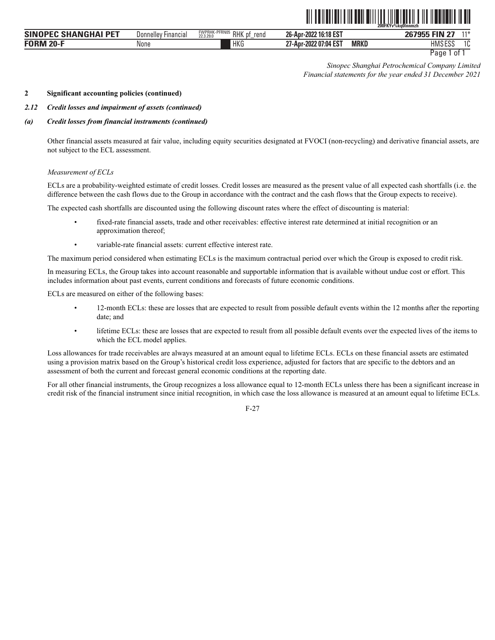|--|--|

| <b>PFC SHANGHAI PFT</b><br><b>SIN</b> | -ınancıaı<br>Donnellev | <b>PERNOL</b><br><b>FWPRHK-</b><br><b>RHK</b><br>end'<br>.<br>22.3.29. | 16:18 EST<br>26-Apr-2022                           | $  -$<br><b>0070FI</b>     | $11*$ |
|---------------------------------------|------------------------|------------------------------------------------------------------------|----------------------------------------------------|----------------------------|-------|
| FORM<br>$20-F$                        | None                   | HKG                                                                    | MRKI<br>2 07:04 EST<br>$\angle$ <i>l</i> -Anr-2022 | $\mathbf{R}$<br>.1IVIƏ EƏƏ |       |
|                                       |                        |                                                                        |                                                    |                            |       |

Page 1 of 1

### **2 Significant accounting policies (continued)**

*2.12 Credit losses and impairment of assets (continued)*

### *(a) Credit losses from financial instruments (continued)*

Other financial assets measured at fair value, including equity securities designated at FVOCI (non-recycling) and derivative financial assets, are not subject to the ECL assessment.

#### *Measurement of ECLs*

ECLs are a probability-weighted estimate of credit losses. Credit losses are measured as the present value of all expected cash shortfalls (i.e. the difference between the cash flows due to the Group in accordance with the contract and the cash flows that the Group expects to receive).

The expected cash shortfalls are discounted using the following discount rates where the effect of discounting is material:

- fixed-rate financial assets, trade and other receivables: effective interest rate determined at initial recognition or an approximation thereof;
- variable-rate financial assets: current effective interest rate.

The maximum period considered when estimating ECLs is the maximum contractual period over which the Group is exposed to credit risk.

In measuring ECLs, the Group takes into account reasonable and supportable information that is available without undue cost or effort. This includes information about past events, current conditions and forecasts of future economic conditions.

ECLs are measured on either of the following bases:

- 12-month ECLs: these are losses that are expected to result from possible default events within the 12 months after the reporting date; and
- lifetime ECLs: these are losses that are expected to result from all possible default events over the expected lives of the items to which the ECL model applies.

Loss allowances for trade receivables are always measured at an amount equal to lifetime ECLs. ECLs on these financial assets are estimated using a provision matrix based on the Group's historical credit loss experience, adjusted for factors that are specific to the debtors and an assessment of both the current and forecast general economic conditions at the reporting date.

For all other financial instruments, the Group recognizes a loss allowance equal to 12-month ECLs unless there has been a significant increase in credit risk of the financial instrument since initial recognition, in which case the loss allowance is measured at an amount equal to lifetime ECLs.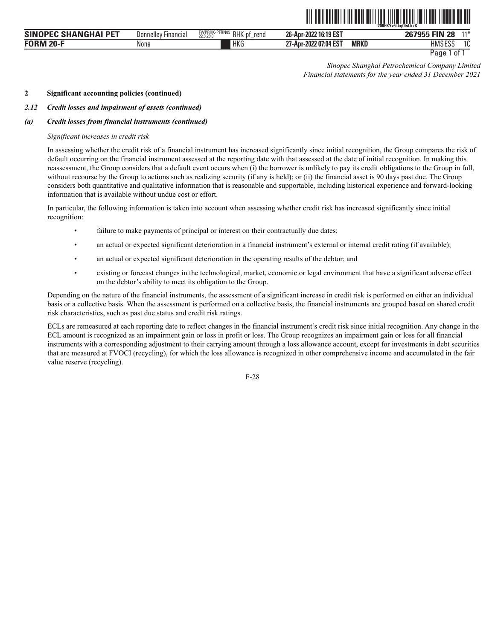|--|--|

| <b>SINOPEC SHANGHAI PET</b> | Jonnel'<br>Financial | -PFRN05<br><b>FWPRHK</b><br><b>DIIV</b><br>rend<br>n1<br><b>KHN</b><br>22.3.29.0 | 26-Apr-2022 16:19 EST                            |             | <b>FIN 28</b><br>$A$ $A$ $N$<br><b>OCJOEE</b><br>ΊN<br>-41 |
|-----------------------------|----------------------|----------------------------------------------------------------------------------|--------------------------------------------------|-------------|------------------------------------------------------------|
| <b>FORM 20-F</b>            | None                 | <b>HKG</b>                                                                       | $\sim$ 07:04 F <sup>or</sup><br>$-2027$<br>/-Apr | <b>MRKD</b> | <b>HMSESS</b><br>$\sim$<br>ט ו                             |
|                             |                      |                                                                                  |                                                  |             |                                                            |

Page 1 of 1

## **2 Significant accounting policies (continued)**

*2.12 Credit losses and impairment of assets (continued)*

#### *(a) Credit losses from financial instruments (continued)*

#### *Significant increases in credit risk*

In assessing whether the credit risk of a financial instrument has increased significantly since initial recognition, the Group compares the risk of default occurring on the financial instrument assessed at the reporting date with that assessed at the date of initial recognition. In making this reassessment, the Group considers that a default event occurs when (i) the borrower is unlikely to pay its credit obligations to the Group in full, without recourse by the Group to actions such as realizing security (if any is held); or (ii) the financial asset is 90 days past due. The Group considers both quantitative and qualitative information that is reasonable and supportable, including historical experience and forward-looking information that is available without undue cost or effort.

In particular, the following information is taken into account when assessing whether credit risk has increased significantly since initial recognition:

- failure to make payments of principal or interest on their contractually due dates;
- an actual or expected significant deterioration in a financial instrument's external or internal credit rating (if available);
- an actual or expected significant deterioration in the operating results of the debtor; and
- existing or forecast changes in the technological, market, economic or legal environment that have a significant adverse effect on the debtor's ability to meet its obligation to the Group.

Depending on the nature of the financial instruments, the assessment of a significant increase in credit risk is performed on either an individual basis or a collective basis. When the assessment is performed on a collective basis, the financial instruments are grouped based on shared credit risk characteristics, such as past due status and credit risk ratings.

ECLs are remeasured at each reporting date to reflect changes in the financial instrument's credit risk since initial recognition. Any change in the ECL amount is recognized as an impairment gain or loss in profit or loss. The Group recognizes an impairment gain or loss for all financial instruments with a corresponding adjustment to their carrying amount through a loss allowance account, except for investments in debt securities that are measured at FVOCI (recycling), for which the loss allowance is recognized in other comprehensive income and accumulated in the fair value reserve (recycling).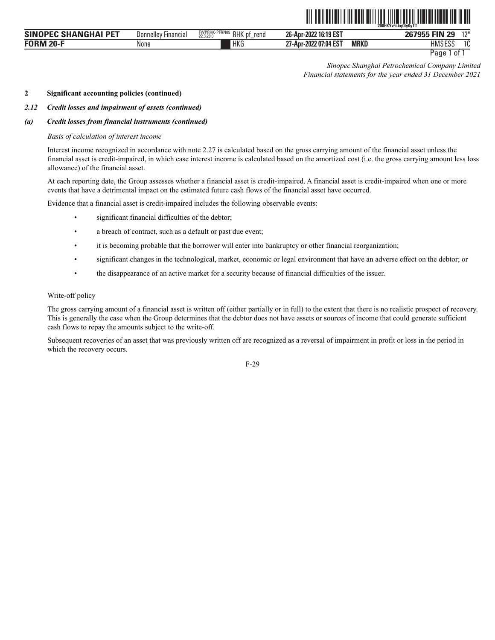|                      |                          |                                              | ,,,,,,,,,,,,,,,,,,,,,,,,,,           | 200FKYv%ka0Iv0vTT      |
|----------------------|--------------------------|----------------------------------------------|--------------------------------------|------------------------|
| Sinopec Shanghai Pet | Donnelley<br>: Financial | FWPRHK-PFRN05<br>22.3.29.0<br>RHK pf<br>rend | 26-Apr-2022 16:19 EST                | $12*$<br>267955 FIN 29 |
| <b>FORM 20-F</b>     | None                     | <b>HKG</b>                                   | <b>MRKD</b><br>27-Apr-2022 07:04 EST | <b>HMSESS</b><br>10    |

HMSESS 1C Page 1 of 1

TIT TE ITELEVITTI III EEN EILI JITTI TITULTEEN TUESTE III OO ITELEVITTI III

## **2 Significant accounting policies (continued)**

*2.12 Credit losses and impairment of assets (continued)*

# *(a) Credit losses from financial instruments (continued)*

## *Basis of calculation of interest income*

Interest income recognized in accordance with note 2.27 is calculated based on the gross carrying amount of the financial asset unless the financial asset is credit-impaired, in which case interest income is calculated based on the amortized cost (i.e. the gross carrying amount less loss allowance) of the financial asset.

At each reporting date, the Group assesses whether a financial asset is credit-impaired. A financial asset is credit-impaired when one or more events that have a detrimental impact on the estimated future cash flows of the financial asset have occurred.

Evidence that a financial asset is credit-impaired includes the following observable events:

- significant financial difficulties of the debtor;
- a breach of contract, such as a default or past due event;
- it is becoming probable that the borrower will enter into bankruptcy or other financial reorganization;
- significant changes in the technological, market, economic or legal environment that have an adverse effect on the debtor; or
- the disappearance of an active market for a security because of financial difficulties of the issuer.

## Write-off policy

The gross carrying amount of a financial asset is written off (either partially or in full) to the extent that there is no realistic prospect of recovery. This is generally the case when the Group determines that the debtor does not have assets or sources of income that could generate sufficient cash flows to repay the amounts subject to the write-off.

Subsequent recoveries of an asset that was previously written off are recognized as a reversal of impairment in profit or loss in the period in which the recovery occurs.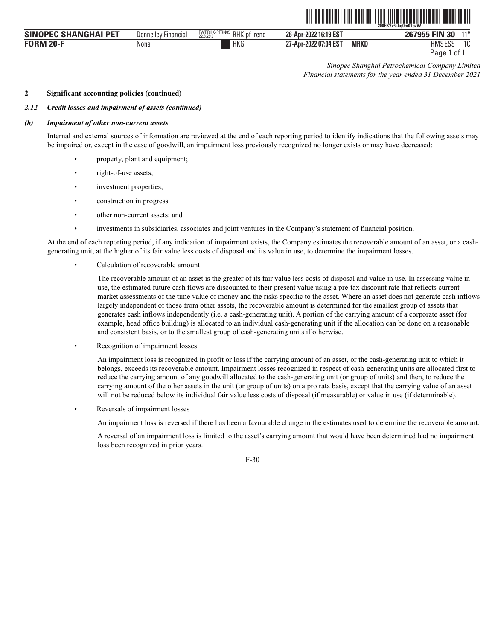|                             |                                |                            |             | ,,,,,,,,,,,,,,,,,,,,,,,,,,,,, |             | 200FKYv%ka0m01ezW |  |
|-----------------------------|--------------------------------|----------------------------|-------------|-------------------------------|-------------|-------------------|--|
| <b>SINOPEC SHANGHAI PET</b> | Donnelley'<br><b>Financial</b> | FWPRHK-PFRN05<br>22.3.29.0 | RHK<br>rend | 26-Apr-2022 16:19 EST         |             | 267955 FIN 30     |  |
| <b>FORM 20-F</b>            | None                           |                            | HKG         | 27-Apr-2022 07:04 EST         | <b>MRKD</b> | HMS ESS           |  |

Page 1 of 1

<u>oli od iloti oli oli oddi oli i iloti ili od oddi oli oli i idoli il oli</u>

## **2 Significant accounting policies (continued)**

#### *2.12 Credit losses and impairment of assets (continued)*

### *(b) Impairment of other non-current assets*

Internal and external sources of information are reviewed at the end of each reporting period to identify indications that the following assets may be impaired or, except in the case of goodwill, an impairment loss previously recognized no longer exists or may have decreased:

- property, plant and equipment;
- right-of-use assets;
- investment properties;
- construction in progress
- other non-current assets; and
- investments in subsidiaries, associates and joint ventures in the Company's statement of financial position.

At the end of each reporting period, if any indication of impairment exists, the Company estimates the recoverable amount of an asset, or a cashgenerating unit, at the higher of its fair value less costs of disposal and its value in use, to determine the impairment losses.

Calculation of recoverable amount

The recoverable amount of an asset is the greater of its fair value less costs of disposal and value in use. In assessing value in use, the estimated future cash flows are discounted to their present value using a pre-tax discount rate that reflects current market assessments of the time value of money and the risks specific to the asset. Where an asset does not generate cash inflows largely independent of those from other assets, the recoverable amount is determined for the smallest group of assets that generates cash inflows independently (i.e. a cash-generating unit). A portion of the carrying amount of a corporate asset (for example, head office building) is allocated to an individual cash-generating unit if the allocation can be done on a reasonable and consistent basis, or to the smallest group of cash-generating units if otherwise.

• Recognition of impairment losses

An impairment loss is recognized in profit or loss if the carrying amount of an asset, or the cash-generating unit to which it belongs, exceeds its recoverable amount. Impairment losses recognized in respect of cash-generating units are allocated first to reduce the carrying amount of any goodwill allocated to the cash-generating unit (or group of units) and then, to reduce the carrying amount of the other assets in the unit (or group of units) on a pro rata basis, except that the carrying value of an asset will not be reduced below its individual fair value less costs of disposal (if measurable) or value in use (if determinable).

• Reversals of impairment losses

An impairment loss is reversed if there has been a favourable change in the estimates used to determine the recoverable amount.

A reversal of an impairment loss is limited to the asset's carrying amount that would have been determined had no impairment loss been recognized in prior years.

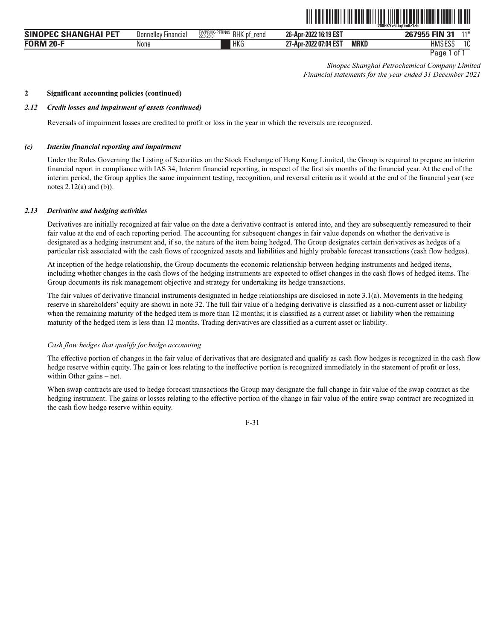| : SHANGHAI PFT<br><b>SINOPEC</b> | Donnellev<br>Financia | <b>J-PFRN0</b><br><b>FWPRHK-</b><br><b>RHK</b><br>rena<br>22.3.29.0<br>$-$ | 26-Apr-2022 16:19 EST                    |             | <b>FIBLOS</b><br>FIN | $11*$         |
|----------------------------------|-----------------------|----------------------------------------------------------------------------|------------------------------------------|-------------|----------------------|---------------|
| <b>FORM 20-</b>                  | None                  | <b>HKG</b>                                                                 | -2022 07:04 EST<br>$2$ -Apr- $\tilde{ }$ | <b>MRKD</b> | <b>HMSESS</b>        | $\sim$<br>ט ו |
|                                  |                       |                                                                            |                                          |             | 112221<br>-          |               |

Page 1 of 1

ˆ200FKYv%kq0m6z1zbŠ

## **2 Significant accounting policies (continued)**

## *2.12 Credit losses and impairment of assets (continued)*

Reversals of impairment losses are credited to profit or loss in the year in which the reversals are recognized.

## *(c) Interim financial reporting and impairment*

Under the Rules Governing the Listing of Securities on the Stock Exchange of Hong Kong Limited, the Group is required to prepare an interim financial report in compliance with IAS 34, Interim financial reporting, in respect of the first six months of the financial year. At the end of the interim period, the Group applies the same impairment testing, recognition, and reversal criteria as it would at the end of the financial year (see notes 2.12(a) and (b)).

# *2.13 Derivative and hedging activities*

Derivatives are initially recognized at fair value on the date a derivative contract is entered into, and they are subsequently remeasured to their fair value at the end of each reporting period. The accounting for subsequent changes in fair value depends on whether the derivative is designated as a hedging instrument and, if so, the nature of the item being hedged. The Group designates certain derivatives as hedges of a particular risk associated with the cash flows of recognized assets and liabilities and highly probable forecast transactions (cash flow hedges).

At inception of the hedge relationship, the Group documents the economic relationship between hedging instruments and hedged items, including whether changes in the cash flows of the hedging instruments are expected to offset changes in the cash flows of hedged items. The Group documents its risk management objective and strategy for undertaking its hedge transactions.

The fair values of derivative financial instruments designated in hedge relationships are disclosed in note 3.1(a). Movements in the hedging reserve in shareholders' equity are shown in note 32. The full fair value of a hedging derivative is classified as a non-current asset or liability when the remaining maturity of the hedged item is more than 12 months; it is classified as a current asset or liability when the remaining maturity of the hedged item is less than 12 months. Trading derivatives are classified as a current asset or liability.

# *Cash flow hedges that qualify for hedge accounting*

The effective portion of changes in the fair value of derivatives that are designated and qualify as cash flow hedges is recognized in the cash flow hedge reserve within equity. The gain or loss relating to the ineffective portion is recognized immediately in the statement of profit or loss, within Other gains – net.

When swap contracts are used to hedge forecast transactions the Group may designate the full change in fair value of the swap contract as the hedging instrument. The gains or losses relating to the effective portion of the change in fair value of the entire swap contract are recognized in the cash flow hedge reserve within equity.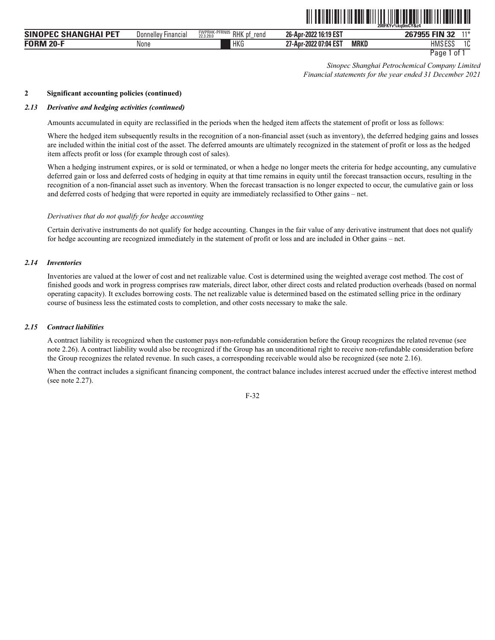|                      |                         |                                                          | <u>TEN HITLEH IN HITLEH </u> | 200FKYv%ka0mCY&z4            |             |
|----------------------|-------------------------|----------------------------------------------------------|------------------------------|------------------------------|-------------|
| Sinopec Shanghai Pet | '-ınancıaı<br>Donnelley | FWPRHK-PFRN05<br><b>RHK</b><br>rena<br>. pt<br>22.3.29.0 | 26-Apr-2022 16:19 EST        | 267955 FIN 32                | $11*$       |
| <b>FORM 20-F</b>     | None                    | HKG                                                      | 27-Apr-2022 07:04 EST        | <b>HMSESS</b><br><b>MRKD</b> | $\sim$<br>u |

HMSESS 1C Page 1 of 1

*Sinopec Shanghai Petrochemical Company Limited Financial statements for the year ended 31 December 2021*

<u>ot to hall and a the sand shifted the two sand than the twenty of an</u>

## **2 Significant accounting policies (continued)**

#### *2.13 Derivative and hedging activities (continued)*

Amounts accumulated in equity are reclassified in the periods when the hedged item affects the statement of profit or loss as follows:

Where the hedged item subsequently results in the recognition of a non-financial asset (such as inventory), the deferred hedging gains and losses are included within the initial cost of the asset. The deferred amounts are ultimately recognized in the statement of profit or loss as the hedged item affects profit or loss (for example through cost of sales).

When a hedging instrument expires, or is sold or terminated, or when a hedge no longer meets the criteria for hedge accounting, any cumulative deferred gain or loss and deferred costs of hedging in equity at that time remains in equity until the forecast transaction occurs, resulting in the recognition of a non-financial asset such as inventory. When the forecast transaction is no longer expected to occur, the cumulative gain or loss and deferred costs of hedging that were reported in equity are immediately reclassified to Other gains – net.

#### *Derivatives that do not qualify for hedge accounting*

Certain derivative instruments do not qualify for hedge accounting. Changes in the fair value of any derivative instrument that does not qualify for hedge accounting are recognized immediately in the statement of profit or loss and are included in Other gains – net.

#### *2.14 Inventories*

Inventories are valued at the lower of cost and net realizable value. Cost is determined using the weighted average cost method. The cost of finished goods and work in progress comprises raw materials, direct labor, other direct costs and related production overheads (based on normal operating capacity). It excludes borrowing costs. The net realizable value is determined based on the estimated selling price in the ordinary course of business less the estimated costs to completion, and other costs necessary to make the sale.

#### *2.15 Contract liabilities*

A contract liability is recognized when the customer pays non-refundable consideration before the Group recognizes the related revenue (see note 2.26). A contract liability would also be recognized if the Group has an unconditional right to receive non-refundable consideration before the Group recognizes the related revenue. In such cases, a corresponding receivable would also be recognized (see note 2.16).

When the contract includes a significant financing component, the contract balance includes interest accrued under the effective interest method (see note 2.27).

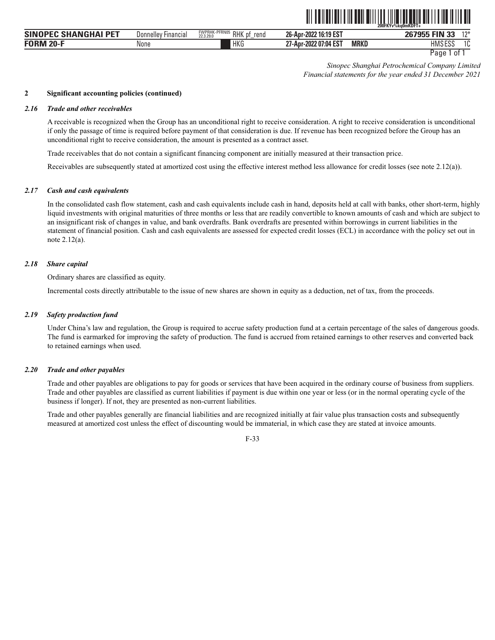|--|--|

| <b>SINOPEC SHANGHAI PET</b> | Donnellev<br>Financial | -PFRN05<br><b>RHK</b><br><b>WPRHK</b><br>rend<br>nt<br>22.3.29.0 | -2022 16:19 EST<br>26-Apr-                                 | $12*$<br><b>FIBLOS</b><br>FIN<br>/uh<br>سعد |    |
|-----------------------------|------------------------|------------------------------------------------------------------|------------------------------------------------------------|---------------------------------------------|----|
| <b>FORM 20-F</b>            | None                   | <b>HKG</b>                                                       | , 04 FOJ<br>$\sim$<br>/7-Anr-2021<br><sup>5</sup> 07:04 ES | <b>HMSESS</b><br><b>MRKD</b><br>$\sim$      | ιu |
|                             |                        |                                                                  |                                                            |                                             |    |

Page 1 of 1

## **2 Significant accounting policies (continued)**

#### *2.16 Trade and other receivables*

A receivable is recognized when the Group has an unconditional right to receive consideration. A right to receive consideration is unconditional if only the passage of time is required before payment of that consideration is due. If revenue has been recognized before the Group has an unconditional right to receive consideration, the amount is presented as a contract asset.

Trade receivables that do not contain a significant financing component are initially measured at their transaction price.

Receivables are subsequently stated at amortized cost using the effective interest method less allowance for credit losses (see note 2.12(a)).

## *2.17 Cash and cash equivalents*

In the consolidated cash flow statement, cash and cash equivalents include cash in hand, deposits held at call with banks, other short-term, highly liquid investments with original maturities of three months or less that are readily convertible to known amounts of cash and which are subject to an insignificant risk of changes in value, and bank overdrafts. Bank overdrafts are presented within borrowings in current liabilities in the statement of financial position. Cash and cash equivalents are assessed for expected credit losses (ECL) in accordance with the policy set out in note 2.12(a).

#### *2.18 Share capital*

Ordinary shares are classified as equity.

Incremental costs directly attributable to the issue of new shares are shown in equity as a deduction, net of tax, from the proceeds.

#### *2.19 Safety production fund*

Under China's law and regulation, the Group is required to accrue safety production fund at a certain percentage of the sales of dangerous goods. The fund is earmarked for improving the safety of production. The fund is accrued from retained earnings to other reserves and converted back to retained earnings when used.

#### *2.20 Trade and other payables*

Trade and other payables are obligations to pay for goods or services that have been acquired in the ordinary course of business from suppliers. Trade and other payables are classified as current liabilities if payment is due within one year or less (or in the normal operating cycle of the business if longer). If not, they are presented as non-current liabilities.

Trade and other payables generally are financial liabilities and are recognized initially at fair value plus transaction costs and subsequently measured at amortized cost unless the effect of discounting would be immaterial, in which case they are stated at invoice amounts.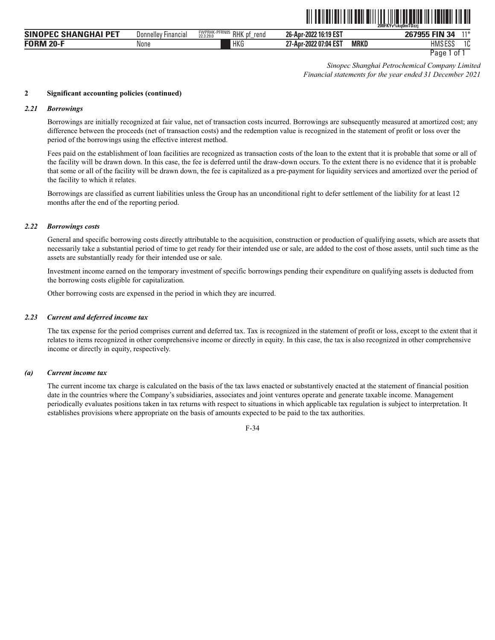| <b>DET</b><br><b>SINOPEC SHANGHAI</b> | <b>Donnellev</b><br>Financia. | <b>FWPRHK-</b><br><b>DEDAIOS</b><br>RHK<br>าการเข<br>rena<br>nt.<br>22.3.29.0<br>$-$ | 16:19 EST<br>26-Apr-2027<br>. I J L J   | $\sim$ FIBI 0.5 $\,$<br>$11*$<br>-30 |
|---------------------------------------|-------------------------------|--------------------------------------------------------------------------------------|-----------------------------------------|--------------------------------------|
| <b>FORM</b><br>--                     | None                          | IUVC<br><b>HNU</b>                                                                   | MRKI<br>$.70704 F^{-1}$<br>202<br>y E⊎* | $\mathbf{R}$<br>TIVIƏ EƏS            |
|                                       |                               |                                                                                      |                                         |                                      |

*Sinopec Shanghai Petrochemical Company Limited Financial statements for the year ended 31 December 2021*

### **2 Significant accounting policies (continued)**

#### *2.21 Borrowings*

Borrowings are initially recognized at fair value, net of transaction costs incurred. Borrowings are subsequently measured at amortized cost; any difference between the proceeds (net of transaction costs) and the redemption value is recognized in the statement of profit or loss over the period of the borrowings using the effective interest method.

Fees paid on the establishment of loan facilities are recognized as transaction costs of the loan to the extent that it is probable that some or all of the facility will be drawn down. In this case, the fee is deferred until the draw-down occurs. To the extent there is no evidence that it is probable that some or all of the facility will be drawn down, the fee is capitalized as a pre-payment for liquidity services and amortized over the period of the facility to which it relates.

Borrowings are classified as current liabilities unless the Group has an unconditional right to defer settlement of the liability for at least 12 months after the end of the reporting period.

#### *2.22 Borrowings costs*

General and specific borrowing costs directly attributable to the acquisition, construction or production of qualifying assets, which are assets that necessarily take a substantial period of time to get ready for their intended use or sale, are added to the cost of those assets, until such time as the assets are substantially ready for their intended use or sale.

Investment income earned on the temporary investment of specific borrowings pending their expenditure on qualifying assets is deducted from the borrowing costs eligible for capitalization.

Other borrowing costs are expensed in the period in which they are incurred.

### *2.23 Current and deferred income tax*

The tax expense for the period comprises current and deferred tax. Tax is recognized in the statement of profit or loss, except to the extent that it relates to items recognized in other comprehensive income or directly in equity. In this case, the tax is also recognized in other comprehensive income or directly in equity, respectively.

#### *(a) Current income tax*

The current income tax charge is calculated on the basis of the tax laws enacted or substantively enacted at the statement of financial position date in the countries where the Company's subsidiaries, associates and joint ventures operate and generate taxable income. Management periodically evaluates positions taken in tax returns with respect to situations in which applicable tax regulation is subject to interpretation. It establishes provisions where appropriate on the basis of amounts expected to be paid to the tax authorities.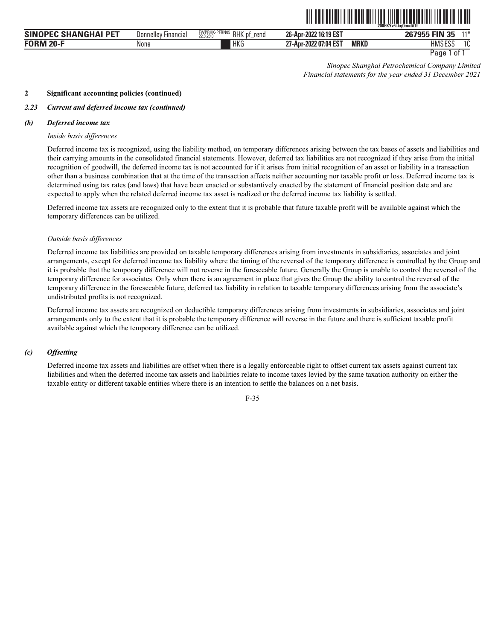|       |                           |                       | <u> 111   111   111   111   111   111   111   111   111   111   111   111   111   111   111   11</u><br>200FKYv%ka0m=I#Ti |
|-------|---------------------------|-----------------------|---------------------------------------------------------------------------------------------------------------------------|
| امنمد | FWPRHK-PFRN05 DUK nf rond | 26 Apr 2022 16:10 ECT | <b>267055 EIN 25</b>                                                                                                      |

| <b>SINOPEC SHANGHAI PET</b> | Financial<br>Donnellev | FWPRHK-PFRN05<br><b>DIIV</b><br>rend<br>n1<br>nnn<br>22.3.29.0 | 26-Apr-2022 16:19 EST                     |             | 4.4.2<br><b>FIN 35</b><br>267955     |
|-----------------------------|------------------------|----------------------------------------------------------------|-------------------------------------------|-------------|--------------------------------------|
| <b>FORM</b><br>$20-F$       | None                   | <b>HKG</b>                                                     | ur-2022 07:04 EST<br>$-1$ -Apr- $\degree$ | <b>MRKD</b> | <b>HMSESS</b><br>$\sim$<br>u         |
|                             |                        |                                                                |                                           |             | $\mathbf{11} \cdot \mathbf{12}$<br>- |

Page 1 of 1

ˆ200FKYv%kq0m=l#TfŠ

## **2 Significant accounting policies (continued)**

#### *2.23 Current and deferred income tax (continued)*

#### *(b) Deferred income tax*

#### *Inside basis differences*

Deferred income tax is recognized, using the liability method, on temporary differences arising between the tax bases of assets and liabilities and their carrying amounts in the consolidated financial statements. However, deferred tax liabilities are not recognized if they arise from the initial recognition of goodwill, the deferred income tax is not accounted for if it arises from initial recognition of an asset or liability in a transaction other than a business combination that at the time of the transaction affects neither accounting nor taxable profit or loss. Deferred income tax is determined using tax rates (and laws) that have been enacted or substantively enacted by the statement of financial position date and are expected to apply when the related deferred income tax asset is realized or the deferred income tax liability is settled.

Deferred income tax assets are recognized only to the extent that it is probable that future taxable profit will be available against which the temporary differences can be utilized.

#### *Outside basis differences*

Deferred income tax liabilities are provided on taxable temporary differences arising from investments in subsidiaries, associates and joint arrangements, except for deferred income tax liability where the timing of the reversal of the temporary difference is controlled by the Group and it is probable that the temporary difference will not reverse in the foreseeable future. Generally the Group is unable to control the reversal of the temporary difference for associates. Only when there is an agreement in place that gives the Group the ability to control the reversal of the temporary difference in the foreseeable future, deferred tax liability in relation to taxable temporary differences arising from the associate's undistributed profits is not recognized.

Deferred income tax assets are recognized on deductible temporary differences arising from investments in subsidiaries, associates and joint arrangements only to the extent that it is probable the temporary difference will reverse in the future and there is sufficient taxable profit available against which the temporary difference can be utilized*.*

## *(c) Offsetting*

Deferred income tax assets and liabilities are offset when there is a legally enforceable right to offset current tax assets against current tax liabilities and when the deferred income tax assets and liabilities relate to income taxes levied by the same taxation authority on either the taxable entity or different taxable entities where there is an intention to settle the balances on a net basis.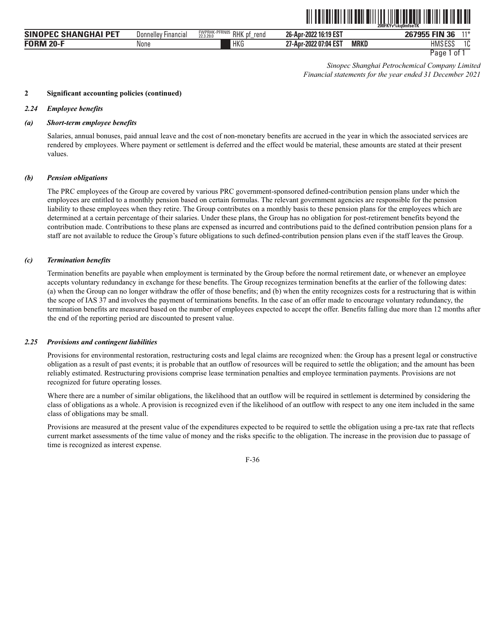|                      |                     |                                              |                       | 200FKYv%ka0mfseTK      |
|----------------------|---------------------|----------------------------------------------|-----------------------|------------------------|
| Sinopec Shanghai Pet | Donnelley Financial | FWPRHK-PFRN05<br>RHK p.<br>rend<br>22.3.29.0 | 26-Apr-2022 16:19 EST | 267955 FIN 36<br>$11*$ |

| <b>SINUPEL</b><br>, SHANGHAI PET | vonne<br>/ Financial<br>. . | KHK D.<br>$\sim$<br>rena<br>22.3.29.0 | ZG-ADI-ZUZZ<br>, 10.17 E.P.    |             | 70 KIH GCCA |  |
|----------------------------------|-----------------------------|---------------------------------------|--------------------------------|-------------|-------------|--|
| <b>FORM 20-F</b>                 | None                        | <b>HKG</b>                            | -2022 07:04 EST<br>דה<br>7-Apr | <b>MRKD</b> | HMS ESS     |  |
|                                  |                             |                                       |                                |             | $P_{000}$   |  |

*Sinopec Shanghai Petrochemical Company Limited Financial statements for the year ended 31 December 2021*

THE STATE OF THE CHARGE WITH THE THIRD WAS WITH THE THE THE UPPER WIT

## **2 Significant accounting policies (continued)**

#### *2.24 Employee benefits*

## *(a) Short-term employee benefits*

Salaries, annual bonuses, paid annual leave and the cost of non-monetary benefits are accrued in the year in which the associated services are rendered by employees. Where payment or settlement is deferred and the effect would be material, these amounts are stated at their present values.

## *(b) Pension obligations*

The PRC employees of the Group are covered by various PRC government-sponsored defined-contribution pension plans under which the employees are entitled to a monthly pension based on certain formulas. The relevant government agencies are responsible for the pension liability to these employees when they retire. The Group contributes on a monthly basis to these pension plans for the employees which are determined at a certain percentage of their salaries. Under these plans, the Group has no obligation for post-retirement benefits beyond the contribution made. Contributions to these plans are expensed as incurred and contributions paid to the defined contribution pension plans for a staff are not available to reduce the Group's future obligations to such defined-contribution pension plans even if the staff leaves the Group.

#### *(c) Termination benefits*

Termination benefits are payable when employment is terminated by the Group before the normal retirement date, or whenever an employee accepts voluntary redundancy in exchange for these benefits. The Group recognizes termination benefits at the earlier of the following dates: (a) when the Group can no longer withdraw the offer of those benefits; and (b) when the entity recognizes costs for a restructuring that is within the scope of IAS 37 and involves the payment of terminations benefits. In the case of an offer made to encourage voluntary redundancy, the termination benefits are measured based on the number of employees expected to accept the offer. Benefits falling due more than 12 months after the end of the reporting period are discounted to present value.

## *2.25 Provisions and contingent liabilities*

Provisions for environmental restoration, restructuring costs and legal claims are recognized when: the Group has a present legal or constructive obligation as a result of past events; it is probable that an outflow of resources will be required to settle the obligation; and the amount has been reliably estimated. Restructuring provisions comprise lease termination penalties and employee termination payments. Provisions are not recognized for future operating losses.

Where there are a number of similar obligations, the likelihood that an outflow will be required in settlement is determined by considering the class of obligations as a whole. A provision is recognized even if the likelihood of an outflow with respect to any one item included in the same class of obligations may be small.

Provisions are measured at the present value of the expenditures expected to be required to settle the obligation using a pre-tax rate that reflects current market assessments of the time value of money and the risks specific to the obligation. The increase in the provision due to passage of time is recognized as interest expense.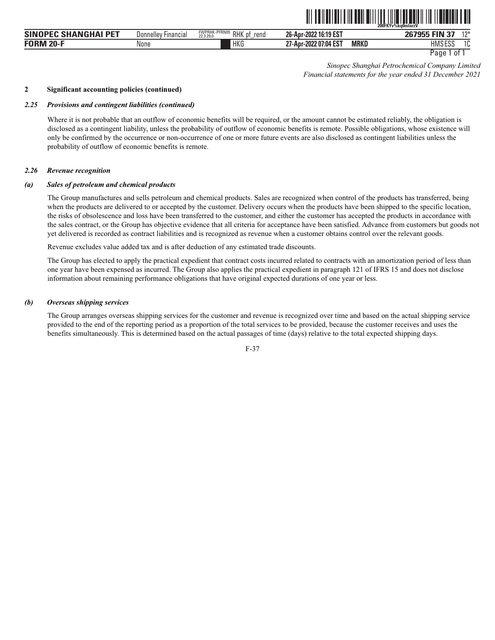

| <b>SINOPEC SHANGHAI PET</b> | financial<br>Donnelley | -PFRN05<br>RHK<br><b>FVVPRHK</b><br>rend<br>рt<br>22.3.29.0 | <b>116.10 FCT</b><br>26-Apr-2<br>$-2022$<br>16:19 ES I                     | $\sim$ means only.<br>FIN | $12*$        |
|-----------------------------|------------------------|-------------------------------------------------------------|----------------------------------------------------------------------------|---------------------------|--------------|
| FORM<br>. 20-L              | None                   | <b>HKG</b>                                                  | <b>MRKD</b><br>$-$<br>70000<br><sup>32</sup> 07:04 ES<br>. <i>. .</i> Anr. | <b>HMSESS</b>             | $\sim$<br>שו |
|                             |                        |                                                             |                                                                            |                           |              |

*Sinopec Shanghai Petrochemical Company Limited Financial statements for the year ended 31 December 2021*

### **2 Significant accounting policies (continued)**

#### *2.25 Provisions and contingent liabilities (continued)*

Where it is not probable that an outflow of economic benefits will be required, or the amount cannot be estimated reliably, the obligation is disclosed as a contingent liability, unless the probability of outflow of economic benefits is remote. Possible obligations, whose existence will only be confirmed by the occurrence or non-occurrence of one or more future events are also disclosed as contingent liabilities unless the probability of outflow of economic benefits is remote.

#### *2.26 Revenue recognition*

#### *(a) Sales of petroleum and chemical products*

The Group manufactures and sells petroleum and chemical products. Sales are recognized when control of the products has transferred, being when the products are delivered to or accepted by the customer. Delivery occurs when the products have been shipped to the specific location, the risks of obsolescence and loss have been transferred to the customer, and either the customer has accepted the products in accordance with the sales contract, or the Group has objective evidence that all criteria for acceptance have been satisfied. Advance from customers but goods not yet delivered is recorded as contract liabilities and is recognized as revenue when a customer obtains control over the relevant goods.

Revenue excludes value added tax and is after deduction of any estimated trade discounts.

The Group has elected to apply the practical expedient that contract costs incurred related to contracts with an amortization period of less than one year have been expensed as incurred. The Group also applies the practical expedient in paragraph 121 of IFRS 15 and does not disclose information about remaining performance obligations that have original expected durations of one year or less.

#### *(b) Overseas shipping services*

The Group arranges overseas shipping services for the customer and revenue is recognized over time and based on the actual shipping service provided to the end of the reporting period as a proportion of the total services to be provided, because the customer receives and uses the benefits simultaneously. This is determined based on the actual passages of time (days) relative to the total expected shipping days.

F-37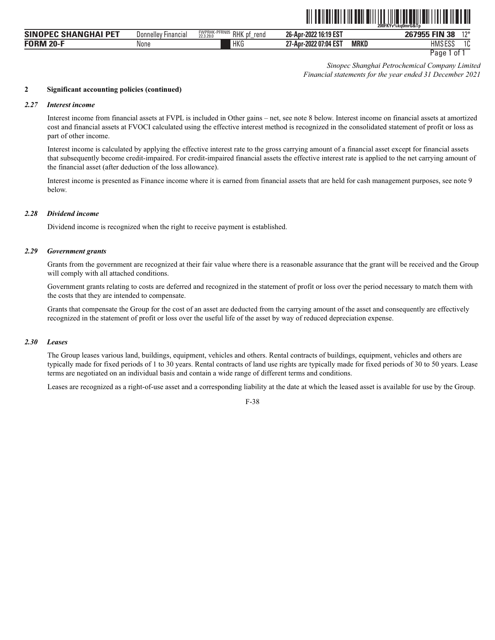| <b>SINOPEC SHANGHAI</b><br>DET | '-ınancıal<br>Donnelley | -PFRN0<br><b>FWPRHK-</b><br><b>RHK</b><br>rend<br>DŤ<br>22.3.29.0 | 16:19 EST<br>26-Apr-<br>-202                                               | EIN 20<br>-1 IN<br>-58 | $12*$        |
|--------------------------------|-------------------------|-------------------------------------------------------------------|----------------------------------------------------------------------------|------------------------|--------------|
| $20-F$<br><b>EORM</b>          | None                    | HKG                                                               | <b>MRKD</b><br>nп<br><b>104 FO'</b><br>.202<br>/ 07:07<br>7-Anr<br>:U4 E.S | <b>HMSESS</b>          | $\sim$<br>שו |
|                                |                         |                                                                   |                                                                            |                        |              |

*Sinopec Shanghai Petrochemical Company Limited Financial statements for the year ended 31 December 2021*

#### **2 Significant accounting policies (continued)**

#### *2.27 Interest income*

Interest income from financial assets at FVPL is included in Other gains – net, see note 8 below. Interest income on financial assets at amortized cost and financial assets at FVOCI calculated using the effective interest method is recognized in the consolidated statement of profit or loss as part of other income.

Interest income is calculated by applying the effective interest rate to the gross carrying amount of a financial asset except for financial assets that subsequently become credit-impaired. For credit-impaired financial assets the effective interest rate is applied to the net carrying amount of the financial asset (after deduction of the loss allowance).

Interest income is presented as Finance income where it is earned from financial assets that are held for cash management purposes, see note 9 below.

#### *2.28 Dividend income*

Dividend income is recognized when the right to receive payment is established.

#### *2.29 Government grants*

Grants from the government are recognized at their fair value where there is a reasonable assurance that the grant will be received and the Group will comply with all attached conditions.

Government grants relating to costs are deferred and recognized in the statement of profit or loss over the period necessary to match them with the costs that they are intended to compensate.

Grants that compensate the Group for the cost of an asset are deducted from the carrying amount of the asset and consequently are effectively recognized in the statement of profit or loss over the useful life of the asset by way of reduced depreciation expense.

#### *2.30 Leases*

The Group leases various land, buildings, equipment, vehicles and others. Rental contracts of buildings, equipment, vehicles and others are typically made for fixed periods of 1 to 30 years. Rental contracts of land use rights are typically made for fixed periods of 30 to 50 years. Lease terms are negotiated on an individual basis and contain a wide range of different terms and conditions.

Leases are recognized as a right-of-use asset and a corresponding liability at the date at which the leased asset is available for use by the Group.

F-38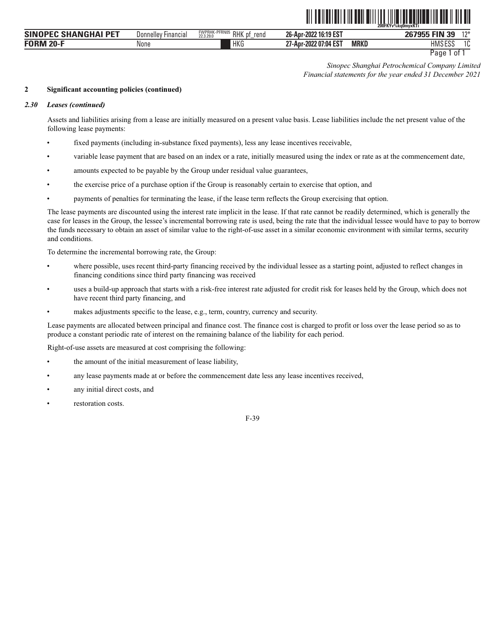| <b>SINOPEC SHANGHAI PET</b> | Donnelley F<br><sup>.</sup> Financial | -PFRN05<br><b>CAIDDILL</b><br>RHK<br>FVVPRMN<br>rend<br>рt<br>22.3.29.0 | <b>16.10 ECT</b><br>26-Apr-<br>.-2022<br>16.19 ES .    | EINI 20<br>FIN<br>/uh<br>--<br>w | $12*$        |
|-----------------------------|---------------------------------------|-------------------------------------------------------------------------|--------------------------------------------------------|----------------------------------|--------------|
| <b>FORM 20-F</b>            | None                                  | <b>HKG</b>                                                              | <b>MRKD</b><br>$-$<br>070100<br>2 07:04 EST<br>'/-Anr- | <b>HMSESS</b>                    | $\sim$<br>שו |
|                             |                                       |                                                                         |                                                        |                                  |              |

Page 1 of 1

### **2 Significant accounting policies (continued)**

#### *2.30 Leases (continued)*

Assets and liabilities arising from a lease are initially measured on a present value basis. Lease liabilities include the net present value of the following lease payments:

- fixed payments (including in-substance fixed payments), less any lease incentives receivable,
- variable lease payment that are based on an index or a rate, initially measured using the index or rate as at the commencement date,
- amounts expected to be payable by the Group under residual value guarantees,
- the exercise price of a purchase option if the Group is reasonably certain to exercise that option, and
- payments of penalties for terminating the lease, if the lease term reflects the Group exercising that option.

The lease payments are discounted using the interest rate implicit in the lease. If that rate cannot be readily determined, which is generally the case for leases in the Group, the lessee's incremental borrowing rate is used, being the rate that the individual lessee would have to pay to borrow the funds necessary to obtain an asset of similar value to the right-of-use asset in a similar economic environment with similar terms, security and conditions.

To determine the incremental borrowing rate, the Group:

- where possible, uses recent third-party financing received by the individual lessee as a starting point, adjusted to reflect changes in financing conditions since third party financing was received
- uses a build-up approach that starts with a risk-free interest rate adjusted for credit risk for leases held by the Group, which does not have recent third party financing, and
- makes adjustments specific to the lease, e.g., term, country, currency and security.

Lease payments are allocated between principal and finance cost. The finance cost is charged to profit or loss over the lease period so as to produce a constant periodic rate of interest on the remaining balance of the liability for each period.

Right-of-use assets are measured at cost comprising the following:

- the amount of the initial measurement of lease liability,
- any lease payments made at or before the commencement date less any lease incentives received,
- any initial direct costs, and
- restoration costs.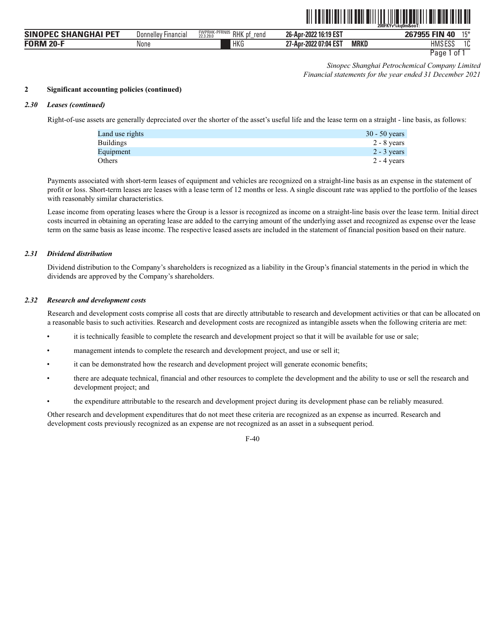| SINOPEC SHANGHAL<br>DET | `Financial<br>Donnel' | -PFRN0<br><b>FWPRHK-F</b><br><b>RHK</b><br>rend<br>.nt<br>22.3.29.0 | <b>2022 16:19 EST</b><br>nr<br>Z6-Apr-202                | <b>EIN 40</b><br>$1E*$<br>267QEE |
|-------------------------|-----------------------|---------------------------------------------------------------------|----------------------------------------------------------|----------------------------------|
| $.20-F$<br>FORM         | None                  | <b>HKG</b>                                                          | <b>MRKD</b><br>nп<br>2022 07:04 EST<br>'/-Apr-<br>" /ll. | <b>IIMO FOO</b><br><br>HIVIƏ EƏƏ |
|                         |                       |                                                                     |                                                          | . 1<br>--                        |

*Sinopec Shanghai Petrochemical Company Limited Financial statements for the year ended 31 December 2021*

## **2 Significant accounting policies (continued)**

## *2.30 Leases (continued)*

Right-of-use assets are generally depreciated over the shorter of the asset's useful life and the lease term on a straight - line basis, as follows:

| Land use rights  | $30 - 50$ years |
|------------------|-----------------|
| <b>Buildings</b> | $2 - 8$ years   |
| Equipment        | $2 - 3$ years   |
| Others           | $2 - 4$ years   |

Payments associated with short-term leases of equipment and vehicles are recognized on a straight-line basis as an expense in the statement of profit or loss. Short-term leases are leases with a lease term of 12 months or less. A single discount rate was applied to the portfolio of the leases with reasonably similar characteristics.

Lease income from operating leases where the Group is a lessor is recognized as income on a straight-line basis over the lease term. Initial direct costs incurred in obtaining an operating lease are added to the carrying amount of the underlying asset and recognized as expense over the lease term on the same basis as lease income. The respective leased assets are included in the statement of financial position based on their nature.

## *2.31 Dividend distribution*

Dividend distribution to the Company's shareholders is recognized as a liability in the Group's financial statements in the period in which the dividends are approved by the Company's shareholders.

## *2.32 Research and development costs*

Research and development costs comprise all costs that are directly attributable to research and development activities or that can be allocated on a reasonable basis to such activities. Research and development costs are recognized as intangible assets when the following criteria are met:

- it is technically feasible to complete the research and development project so that it will be available for use or sale;
- management intends to complete the research and development project, and use or sell it;
- it can be demonstrated how the research and development project will generate economic benefits;
- there are adequate technical, financial and other resources to complete the development and the ability to use or sell the research and development project; and
- the expenditure attributable to the research and development project during its development phase can be reliably measured.

Other research and development expenditures that do not meet these criteria are recognized as an expense as incurred. Research and development costs previously recognized as an expense are not recognized as an asset in a subsequent period.

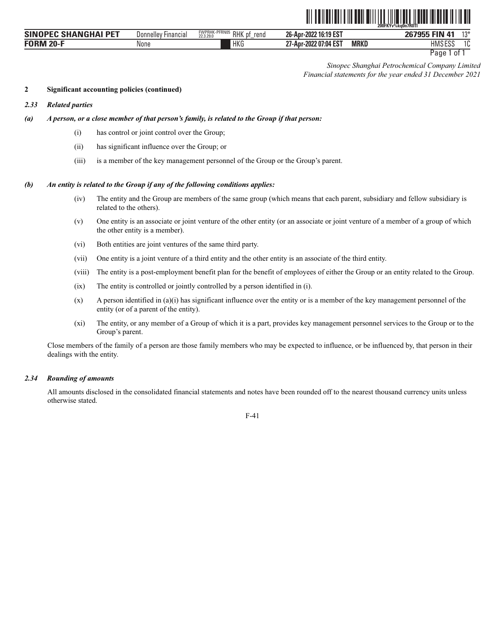|--|--|

| : SHANGHAI PFT               | ·inancia<br>Jor<br>inellev | FWPRHK-PFRN0<br><b>DIIV</b><br>rend<br>KHN L<br>22.3.29.0 | 16:19 EST<br>26-Apr-2022                             | $\Gamma$ iri a $\epsilon$<br>ACJAFF<br>7 U.I<br>FIN<br>ZU. | $12*$<br>ט ו |
|------------------------------|----------------------------|-----------------------------------------------------------|------------------------------------------------------|------------------------------------------------------------|--------------|
| FORM<br><b>00 F</b><br>/II-I | None                       | <b>HKG</b>                                                | MRKD<br>$\sim$ 07:04 Fc $^{-1}$<br>$-2022$<br>7-Anr- | <b>HMSESS</b>                                              | $\sim$<br>שו |
|                              |                            |                                                           |                                                      |                                                            |              |

*Sinopec Shanghai Petrochemical Company Limited Financial statements for the year ended 31 December 2021*

## **2 Significant accounting policies (continued)**

# *2.33 Related parties*

*(a) A person, or a close member of that person's family, is related to the Group if that person:*

- (i) has control or joint control over the Group;
- (ii) has significant influence over the Group; or
- (iii) is a member of the key management personnel of the Group or the Group's parent.

## *(b) An entity is related to the Group if any of the following conditions applies:*

- (iv) The entity and the Group are members of the same group (which means that each parent, subsidiary and fellow subsidiary is related to the others).
- (v) One entity is an associate or joint venture of the other entity (or an associate or joint venture of a member of a group of which the other entity is a member).
- (vi) Both entities are joint ventures of the same third party.
- (vii) One entity is a joint venture of a third entity and the other entity is an associate of the third entity.
- (viii) The entity is a post-employment benefit plan for the benefit of employees of either the Group or an entity related to the Group.
- (ix) The entity is controlled or jointly controlled by a person identified in (i).
- $(x)$  A person identified in  $(a)(i)$  has significant influence over the entity or is a member of the key management personnel of the entity (or of a parent of the entity).
- (xi) The entity, or any member of a Group of which it is a part, provides key management personnel services to the Group or to the Group's parent.

Close members of the family of a person are those family members who may be expected to influence, or be influenced by, that person in their dealings with the entity.

# *2.34 Rounding of amounts*

All amounts disclosed in the consolidated financial statements and notes have been rounded off to the nearest thousand currency units unless otherwise stated.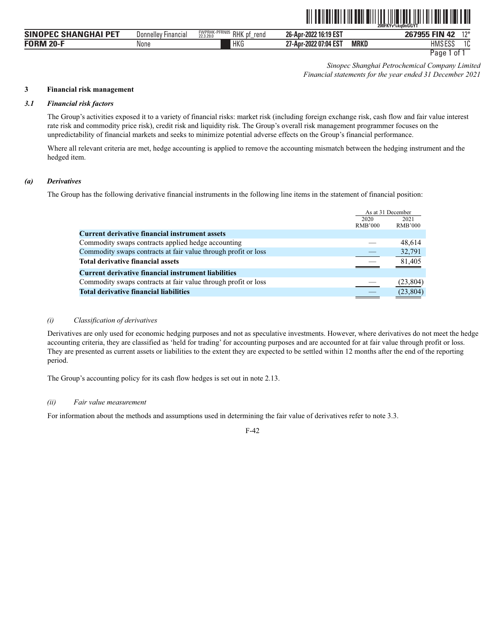

| <b>SINOPE</b><br>IANGHAI PFT<br>IANI. | <b>Financial</b><br><b>Donnelle</b> | <b>FWPRHK-F</b><br><b>BERLINE</b><br>RHK<br>rfkinu<br>rend<br>.nt<br>22.3.29.0 | 16:19 EST<br>26-Apr-2027                                        | FIBI 40<br>п. | 10 <sup>4</sup> |
|---------------------------------------|-------------------------------------|--------------------------------------------------------------------------------|-----------------------------------------------------------------|---------------|-----------------|
| $FORM 20-F$<br>7 I J -                | None                                | IIVC<br><b>HNU</b>                                                             | <b>MRKD</b><br>2.07.01 E07<br>/7-Anr-2027<br>. 07:04 E'<br>. EJ | <b>HMSESS</b> | $\sim$<br>u     |
|                                       |                                     |                                                                                |                                                                 |               |                 |

*Sinopec Shanghai Petrochemical Company Limited Financial statements for the year ended 31 December 2021*

## **3 Financial risk management**

#### *3.1 Financial risk factors*

The Group's activities exposed it to a variety of financial risks: market risk (including foreign exchange risk, cash flow and fair value interest rate risk and commodity price risk), credit risk and liquidity risk. The Group's overall risk management programmer focuses on the unpredictability of financial markets and seeks to minimize potential adverse effects on the Group's financial performance.

Where all relevant criteria are met, hedge accounting is applied to remove the accounting mismatch between the hedging instrument and the hedged item.

#### *(a) Derivatives*

The Group has the following derivative financial instruments in the following line items in the statement of financial position:

|                                                                | As at 31 December |                |
|----------------------------------------------------------------|-------------------|----------------|
|                                                                | 2020              | 2021           |
|                                                                | <b>RMB'000</b>    | <b>RMB'000</b> |
| <b>Current derivative financial instrument assets</b>          |                   |                |
| Commodity swaps contracts applied hedge accounting             |                   | 48,614         |
| Commodity swaps contracts at fair value through profit or loss |                   | 32,791         |
| <b>Total derivative financial assets</b>                       |                   | 81,405         |
| Current derivative financial instrument liabilities            |                   |                |
| Commodity swaps contracts at fair value through profit or loss |                   | (23, 804)      |
| <b>Total derivative financial liabilities</b>                  |                   | (23, 804)      |

## *(i) Classification of derivatives*

Derivatives are only used for economic hedging purposes and not as speculative investments. However, where derivatives do not meet the hedge accounting criteria, they are classified as 'held for trading' for accounting purposes and are accounted for at fair value through profit or loss. They are presented as current assets or liabilities to the extent they are expected to be settled within 12 months after the end of the reporting period.

The Group's accounting policy for its cash flow hedges is set out in note 2.13.

#### *(ii) Fair value measurement*

For information about the methods and assumptions used in determining the fair value of derivatives refer to note 3.3.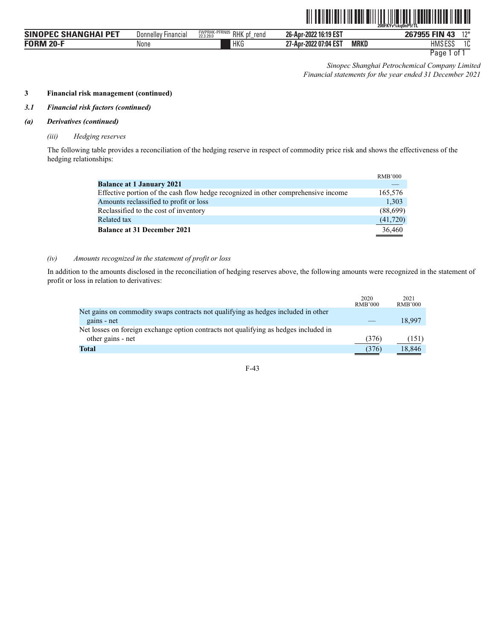| DET<br>нд             | '-ınancıal<br>Donnelley | -PFRN0<br><b>FWPRHK-</b><br><b>RHK</b><br>rend<br>DŤ<br>22.3.29.0 | 16:19 EST<br>26-Apr-<br>-202                                               | ----<br>ึกจ<br>7 U.I<br>FIN<br>т. | $12*$        |
|-----------------------|-------------------------|-------------------------------------------------------------------|----------------------------------------------------------------------------|-----------------------------------|--------------|
| $20-F$<br><b>EORM</b> | None                    | HKG                                                               | <b>MRKD</b><br>nп<br><b>104 FO'</b><br>.202<br>/ 07:07<br>7-Anr<br>:U4 E.S | <b>HMSESS</b>                     | $\sim$<br>שו |
|                       |                         |                                                                   |                                                                            |                                   |              |

Page 1 of 1

## **3 Financial risk management (continued)**

*3.1 Financial risk factors (continued)*

### *(a) Derivatives (continued)*

#### *(iii) Hedging reserves*

The following table provides a reconciliation of the hedging reserve in respect of commodity price risk and shows the effectiveness of the hedging relationships:

|                                                                                   | <b>RMB'000</b> |
|-----------------------------------------------------------------------------------|----------------|
| <b>Balance at 1 January 2021</b>                                                  |                |
| Effective portion of the cash flow hedge recognized in other comprehensive income | 165,576        |
| Amounts reclassified to profit or loss                                            | 1,303          |
| Reclassified to the cost of inventory                                             | (88,699)       |
| Related tax                                                                       | (41,720)       |
| <b>Balance at 31 December 2021</b>                                                | 36,460         |

## *(iv) Amounts recognized in the statement of profit or loss*

In addition to the amounts disclosed in the reconciliation of hedging reserves above, the following amounts were recognized in the statement of profit or loss in relation to derivatives:

|                                                                                      | 2020<br>RMB'000 | 2021<br>RMB'000 |
|--------------------------------------------------------------------------------------|-----------------|-----------------|
| Net gains on commodity swaps contracts not qualifying as hedges included in other    |                 |                 |
| gains - net                                                                          |                 | 18,997          |
| Net losses on foreign exchange option contracts not qualifying as hedges included in |                 |                 |
| other gains - net                                                                    | (376)           | (151)           |
| Total                                                                                | (376)           | 18,846          |
|                                                                                      |                 |                 |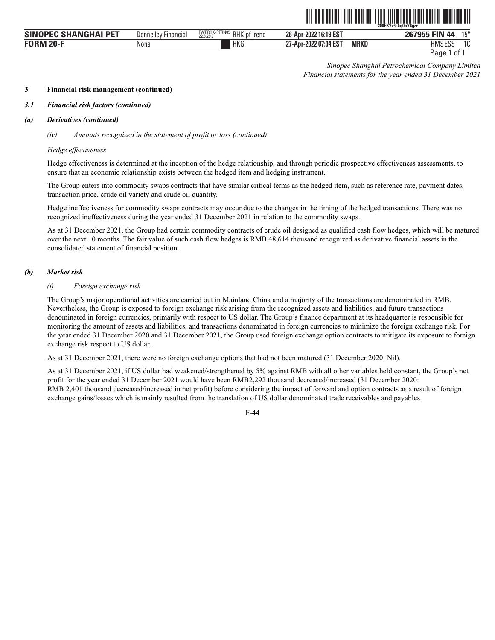| <b>SINOPEC SHANGHAI PET</b> | Donnelley<br>financial | -PFRN05<br>RHK<br><b>FVVPRHK</b><br>rend<br>рt<br>22.3.29.0 | <b>116.10 FCT</b><br>26-Apr-<br>$-2022$<br>16:19 ES I                         | ----<br>$\Lambda$<br>FIN<br>wa | $15*$<br>. J |
|-----------------------------|------------------------|-------------------------------------------------------------|-------------------------------------------------------------------------------|--------------------------------|--------------|
| FORM<br>$20-F$              | None                   | <b>HKG</b>                                                  | <b>MRKD</b><br>$-$<br>7 04 FO7<br><sup>32</sup> 07:04 ES<br>. <i>. .</i> Anr. | <b>HMSESS</b>                  | $\sim$<br>שו |
|                             |                        |                                                             |                                                                               |                                |              |

Page 1 of 1

## **3 Financial risk management (continued)**

*3.1 Financial risk factors (continued)*

### *(a) Derivatives (continued)*

*(iv) Amounts recognized in the statement of profit or loss (continued)*

#### *Hedge effectiveness*

Hedge effectiveness is determined at the inception of the hedge relationship, and through periodic prospective effectiveness assessments, to ensure that an economic relationship exists between the hedged item and hedging instrument.

The Group enters into commodity swaps contracts that have similar critical terms as the hedged item, such as reference rate, payment dates, transaction price, crude oil variety and crude oil quantity.

Hedge ineffectiveness for commodity swaps contracts may occur due to the changes in the timing of the hedged transactions. There was no recognized ineffectiveness during the year ended 31 December 2021 in relation to the commodity swaps.

As at 31 December 2021, the Group had certain commodity contracts of crude oil designed as qualified cash flow hedges, which will be matured over the next 10 months. The fair value of such cash flow hedges is RMB 48,614 thousand recognized as derivative financial assets in the consolidated statement of financial position.

## *(b) Market risk*

## *(i) Foreign exchange risk*

The Group's major operational activities are carried out in Mainland China and a majority of the transactions are denominated in RMB. Nevertheless, the Group is exposed to foreign exchange risk arising from the recognized assets and liabilities, and future transactions denominated in foreign currencies, primarily with respect to US dollar. The Group's finance department at its headquarter is responsible for monitoring the amount of assets and liabilities, and transactions denominated in foreign currencies to minimize the foreign exchange risk. For the year ended 31 December 2020 and 31 December 2021, the Group used foreign exchange option contracts to mitigate its exposure to foreign exchange risk respect to US dollar.

As at 31 December 2021, there were no foreign exchange options that had not been matured (31 December 2020: Nil).

As at 31 December 2021, if US dollar had weakened/strengthened by 5% against RMB with all other variables held constant, the Group's net profit for the year ended 31 December 2021 would have been RMB2,292 thousand decreased/increased (31 December 2020: RMB 2,401 thousand decreased/increased in net profit) before considering the impact of forward and option contracts as a result of foreign exchange gains/losses which is mainly resulted from the translation of US dollar denominated trade receivables and payables.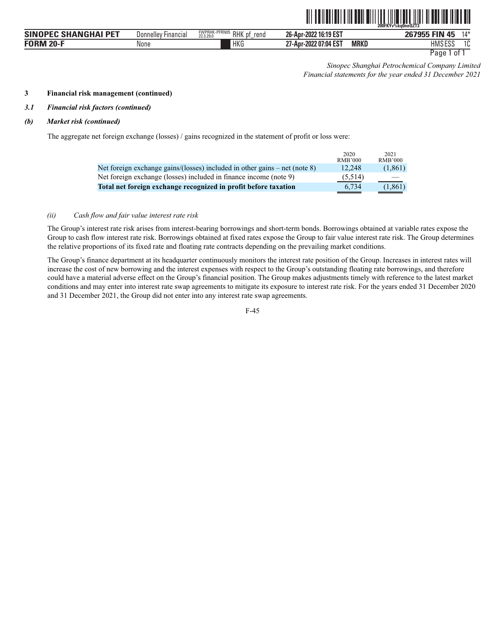

| <b>PEC CHANCHAL</b><br><b>PFT</b> | Financia.<br><b>Donnelley</b> | <b>BAIDE</b><br><b>DEDAIOS</b><br>RHK<br>кнк-Р<br><b>COVPP</b><br><b>FRINUS</b><br>rend<br>рt<br>22.3.29.0 | .16:19 EST<br>ne.<br>-2021<br>Zb-Apr | <b>CIAL AC</b><br>71<br>רו−<br>'n | $11*$   |
|-----------------------------------|-------------------------------|------------------------------------------------------------------------------------------------------------|--------------------------------------|-----------------------------------|---------|
| <b>FORM 20-F</b>                  | None                          | IIVC<br><b>NNU</b>                                                                                         | MRKD<br>$J:04 Fo-$<br>/-Abr<br>. u.  | <b>HMSESS</b>                     | ຳ<br>טו |
|                                   |                               |                                                                                                            |                                      |                                   |         |

Page 1 of 1

### **3 Financial risk management (continued)**

### *3.1 Financial risk factors (continued)*

#### *(b) Market risk (continued)*

The aggregate net foreign exchange (losses) / gains recognized in the statement of profit or loss were:

|                                                                            | 2020           | 2021    |
|----------------------------------------------------------------------------|----------------|---------|
|                                                                            | <b>RMB'000</b> | RMB'000 |
| Net foreign exchange gains/(losses) included in other gains – net (note 8) | 12.248         | (1,861) |
| Net foreign exchange (losses) included in finance income (note 9)          | (5,514)        |         |
| Total net foreign exchange recognized in profit before taxation            | 6.734          | (1,861) |

#### *(ii) Cash flow and fair value interest rate risk*

The Group's interest rate risk arises from interest-bearing borrowings and short-term bonds. Borrowings obtained at variable rates expose the Group to cash flow interest rate risk. Borrowings obtained at fixed rates expose the Group to fair value interest rate risk. The Group determines the relative proportions of its fixed rate and floating rate contracts depending on the prevailing market conditions.

The Group's finance department at its headquarter continuously monitors the interest rate position of the Group. Increases in interest rates will increase the cost of new borrowing and the interest expenses with respect to the Group's outstanding floating rate borrowings, and therefore could have a material adverse effect on the Group's financial position. The Group makes adjustments timely with reference to the latest market conditions and may enter into interest rate swap agreements to mitigate its exposure to interest rate risk. For the years ended 31 December 2020 and 31 December 2021, the Group did not enter into any interest rate swap agreements.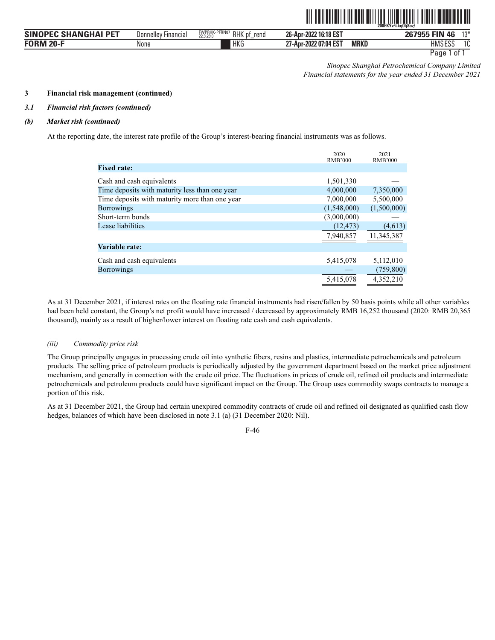| <b>SINOPEC SHANGHAI PET</b> | Donnellev<br>-ınancıal | <b>PERNIO</b><br><b>FWPRHK-</b><br><b>RHK</b><br>rena<br>.<br>22.3.29.0<br>- | 216:18 EST<br>26-Apr-2022          |      | <b>FIN 46</b><br><u> ACJAFI</u> | 12 |
|-----------------------------|------------------------|------------------------------------------------------------------------------|------------------------------------|------|---------------------------------|----|
| FORM<br>$20-I$              | None                   | <b>HKG</b>                                                                   | $-207:04Eo$<br>$\angle$ 1-Anr-2022 | MRKI | $\cdots$<br>HIVIƏ EƏƏ           |    |
|                             |                        |                                                                              |                                    |      |                                 |    |

Page 1 of 1

## **3 Financial risk management (continued)**

*3.1 Financial risk factors (continued)*

# *(b) Market risk (continued)*

At the reporting date, the interest rate profile of the Group's interest-bearing financial instruments was as follows.

|                                                | 2020<br>RMB'000 | 2021<br><b>RMB'000</b> |
|------------------------------------------------|-----------------|------------------------|
| <b>Fixed rate:</b>                             |                 |                        |
| Cash and cash equivalents                      | 1,501,330       |                        |
| Time deposits with maturity less than one year | 4,000,000       | 7,350,000              |
| Time deposits with maturity more than one year | 7,000,000       | 5,500,000              |
| <b>Borrowings</b>                              | (1,548,000)     | (1,500,000)            |
| Short-term bonds                               | (3,000,000)     |                        |
| Lease liabilities                              | (12, 473)       | (4,613)                |
|                                                | 7,940,857       | 11,345,387             |
| Variable rate:                                 |                 |                        |
| Cash and cash equivalents                      | 5,415,078       | 5,112,010              |
| <b>Borrowings</b>                              |                 | (759,800)              |
|                                                | 5,415,078       | 4.352.210              |

As at 31 December 2021, if interest rates on the floating rate financial instruments had risen/fallen by 50 basis points while all other variables had been held constant, the Group's net profit would have increased / decreased by approximately RMB 16,252 thousand (2020: RMB 20,365 thousand), mainly as a result of higher/lower interest on floating rate cash and cash equivalents.

# *(iii) Commodity price risk*

The Group principally engages in processing crude oil into synthetic fibers, resins and plastics, intermediate petrochemicals and petroleum products. The selling price of petroleum products is periodically adjusted by the government department based on the market price adjustment mechanism, and generally in connection with the crude oil price. The fluctuations in prices of crude oil, refined oil products and intermediate petrochemicals and petroleum products could have significant impact on the Group. The Group uses commodity swaps contracts to manage a portion of this risk.

As at 31 December 2021, the Group had certain unexpired commodity contracts of crude oil and refined oil designated as qualified cash flow hedges, balances of which have been disclosed in note 3.1 (a) (31 December 2020: Nil).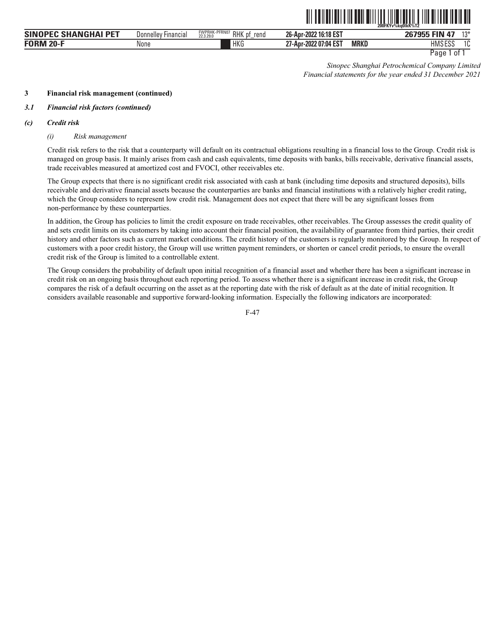|                     |                              | W<br>Ш                | <u> IIII TIII TIIIII III III TIII T</u><br>200FKYv%ka0IkK%T2 |
|---------------------|------------------------------|-----------------------|--------------------------------------------------------------|
| Ionnelley Financial | FWPRHK-PFRN07 RHK nf<br>rend | 26-Anr-2022 16:18 FST | 267955 FIN 47<br>$12*$                                       |

| <b>SINOPEC SHANGHAI PET</b> | ' Financial<br>Donnelley | -PFRN0<br><b>FWPRHK</b><br>RHK<br>rend<br>22.3.29.0 | -2022 16:18 EST<br>26-Apr-2    |             | 40x<br><b>FIN</b><br>$\mathbf{A}$<br><b>JOFF</b><br>4<br><u>Zb</u> |
|-----------------------------|--------------------------|-----------------------------------------------------|--------------------------------|-------------|--------------------------------------------------------------------|
| <b>FORM</b><br><b>ON E</b>  | None                     | <b>HKG</b>                                          | -2022 07:04 EST<br>יי<br>7-Apr | <b>MRKD</b> | <b>HMSESS</b><br>۰ ^<br>u                                          |
|                             |                          |                                                     |                                |             | $\sim$<br>$\mathbf{12}\cdot\mathbf{2}$                             |

Page 1 of 1

### **3 Financial risk management (continued)**

*3.1 Financial risk factors (continued)*

### *(c) Credit risk*

### *(i) Risk management*

Credit risk refers to the risk that a counterparty will default on its contractual obligations resulting in a financial loss to the Group. Credit risk is managed on group basis. It mainly arises from cash and cash equivalents, time deposits with banks, bills receivable, derivative financial assets, trade receivables measured at amortized cost and FVOCI, other receivables etc.

The Group expects that there is no significant credit risk associated with cash at bank (including time deposits and structured deposits), bills receivable and derivative financial assets because the counterparties are banks and financial institutions with a relatively higher credit rating, which the Group considers to represent low credit risk. Management does not expect that there will be any significant losses from non-performance by these counterparties.

In addition, the Group has policies to limit the credit exposure on trade receivables, other receivables. The Group assesses the credit quality of and sets credit limits on its customers by taking into account their financial position, the availability of guarantee from third parties, their credit history and other factors such as current market conditions. The credit history of the customers is regularly monitored by the Group. In respect of customers with a poor credit history, the Group will use written payment reminders, or shorten or cancel credit periods, to ensure the overall credit risk of the Group is limited to a controllable extent.

The Group considers the probability of default upon initial recognition of a financial asset and whether there has been a significant increase in credit risk on an ongoing basis throughout each reporting period. To assess whether there is a significant increase in credit risk, the Group compares the risk of a default occurring on the asset as at the reporting date with the risk of default as at the date of initial recognition. It considers available reasonable and supportive forward-looking information. Especially the following indicators are incorporated: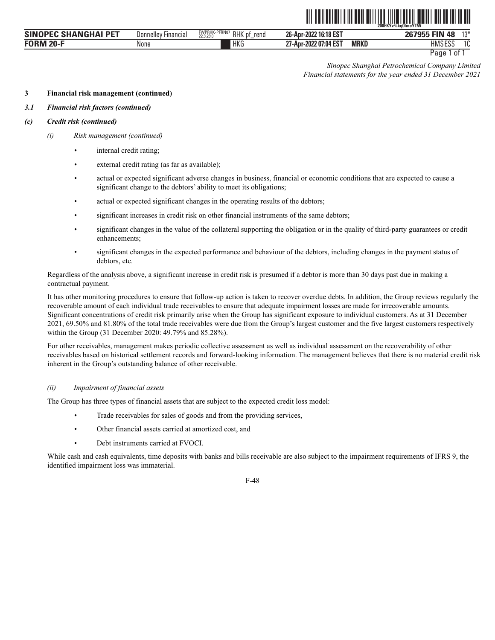| : SHANGHAI PFT<br><b>SINOPEC</b> | <b>Donnelle</b><br>Financia. | <b>PERNO</b><br><b>FWPRHK-</b><br>RHK<br>гтатуи<br>rend<br>22.3.29.0 | 16:18 EST<br>26-Apr-<br>$-2022$                    |             | $12*$<br><b>FIN 48</b><br>267955<br>ט ו |
|----------------------------------|------------------------------|----------------------------------------------------------------------|----------------------------------------------------|-------------|-----------------------------------------|
| <b>FORM 20-F</b>                 | None                         | <b>HKG</b>                                                           | <b>1.04 FM</b><br>רה<br>202<br>207:04 ES<br>'/-Anr | <b>MRKD</b> | <b>HMSESS</b><br>$\sim$<br>ιu           |
|                                  |                              |                                                                      |                                                    |             |                                         |

*Sinopec Shanghai Petrochemical Company Limited Financial statements for the year ended 31 December 2021*

# **3 Financial risk management (continued)**

*3.1 Financial risk factors (continued)*

# *(c) Credit risk (continued)*

- *(i) Risk management (continued)*
	- internal credit rating;
	- external credit rating (as far as available);
	- actual or expected significant adverse changes in business, financial or economic conditions that are expected to cause a significant change to the debtors' ability to meet its obligations;
	- actual or expected significant changes in the operating results of the debtors;
	- significant increases in credit risk on other financial instruments of the same debtors;
	- significant changes in the value of the collateral supporting the obligation or in the quality of third-party guarantees or credit enhancements;
	- significant changes in the expected performance and behaviour of the debtors, including changes in the payment status of debtors, etc.

Regardless of the analysis above, a significant increase in credit risk is presumed if a debtor is more than 30 days past due in making a contractual payment.

It has other monitoring procedures to ensure that follow-up action is taken to recover overdue debts. In addition, the Group reviews regularly the recoverable amount of each individual trade receivables to ensure that adequate impairment losses are made for irrecoverable amounts. Significant concentrations of credit risk primarily arise when the Group has significant exposure to individual customers. As at 31 December 2021, 69.50% and 81.80% of the total trade receivables were due from the Group's largest customer and the five largest customers respectively within the Group (31 December 2020: 49.79% and 85.28%).

For other receivables, management makes periodic collective assessment as well as individual assessment on the recoverability of other receivables based on historical settlement records and forward-looking information. The management believes that there is no material credit risk inherent in the Group's outstanding balance of other receivable.

# *(ii) Impairment of financial assets*

The Group has three types of financial assets that are subject to the expected credit loss model:

- Trade receivables for sales of goods and from the providing services,
- Other financial assets carried at amortized cost, and
- Debt instruments carried at FVOCI.

While cash and cash equivalents, time deposits with banks and bills receivable are also subject to the impairment requirements of IFRS 9, the identified impairment loss was immaterial.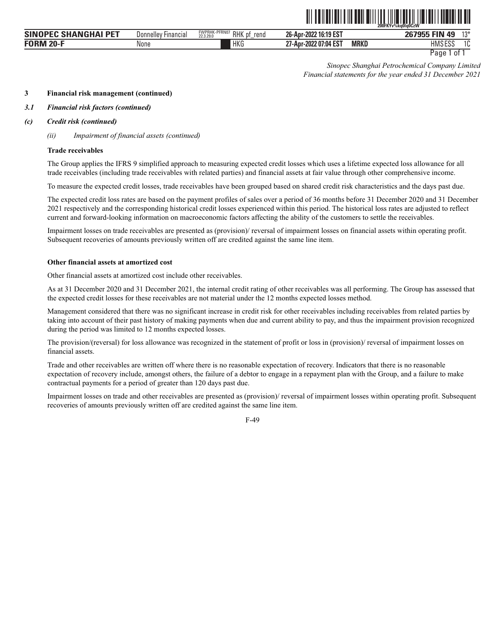|--|

| <b>SINOPEC SHANGHAI PET</b> | Donnelley<br>Financial | -PFRN07<br>RHK<br><b>CVVPRHK-</b><br>rend<br>рt<br>22.3.29.0 | <b>16.10 ECT</b><br>26-Apr-<br>$-2022$<br>'16.<br>. I J LO                             | ----<br>$\mathbf{a}$<br>1 I N<br>тJ | $12*$<br>1 U |
|-----------------------------|------------------------|--------------------------------------------------------------|----------------------------------------------------------------------------------------|-------------------------------------|--------------|
| <b>FORM 20-F</b>            | None                   | <b>HKG</b>                                                   | <b>MRKD</b><br>$\sim$<br><b>TOA FOL</b><br>.202<br><sup>5</sup> 07:04 ES .<br>∕ I-Anr∙ | <b>HMSESS</b>                       | $\sim$<br>שו |
|                             |                        |                                                              |                                                                                        |                                     |              |

Page 1 of 1

## **3 Financial risk management (continued)**

*3.1 Financial risk factors (continued)*

### *(c) Credit risk (continued)*

### *(ii) Impairment of financial assets (continued)*

### **Trade receivables**

The Group applies the IFRS 9 simplified approach to measuring expected credit losses which uses a lifetime expected loss allowance for all trade receivables (including trade receivables with related parties) and financial assets at fair value through other comprehensive income.

To measure the expected credit losses, trade receivables have been grouped based on shared credit risk characteristics and the days past due.

The expected credit loss rates are based on the payment profiles of sales over a period of 36 months before 31 December 2020 and 31 December 2021 respectively and the corresponding historical credit losses experienced within this period. The historical loss rates are adjusted to reflect current and forward-looking information on macroeconomic factors affecting the ability of the customers to settle the receivables.

Impairment losses on trade receivables are presented as (provision)/ reversal of impairment losses on financial assets within operating profit. Subsequent recoveries of amounts previously written off are credited against the same line item.

## **Other financial assets at amortized cost**

Other financial assets at amortized cost include other receivables.

As at 31 December 2020 and 31 December 2021, the internal credit rating of other receivables was all performing. The Group has assessed that the expected credit losses for these receivables are not material under the 12 months expected losses method.

Management considered that there was no significant increase in credit risk for other receivables including receivables from related parties by taking into account of their past history of making payments when due and current ability to pay, and thus the impairment provision recognized during the period was limited to 12 months expected losses.

The provision/(reversal) for loss allowance was recognized in the statement of profit or loss in (provision)/ reversal of impairment losses on financial assets.

Trade and other receivables are written off where there is no reasonable expectation of recovery. Indicators that there is no reasonable expectation of recovery include, amongst others, the failure of a debtor to engage in a repayment plan with the Group, and a failure to make contractual payments for a period of greater than 120 days past due.

Impairment losses on trade and other receivables are presented as (provision)/ reversal of impairment losses within operating profit. Subsequent recoveries of amounts previously written off are credited against the same line item.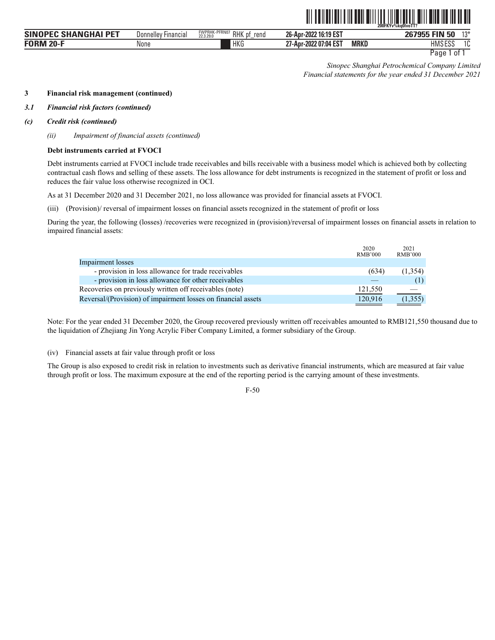|                             |                     |                                                        | ,,,,,,,,,,,,,,,,,,,,,,,,,,,<br><u>THULIDIN SHIFTIN SHIFTIN SHIFTI</u><br>200FKYv%ka0IvoTT? |             |               |       |  |
|-----------------------------|---------------------|--------------------------------------------------------|--------------------------------------------------------------------------------------------|-------------|---------------|-------|--|
| <b>SINOPEC SHANGHAI PET</b> | Donnelley Financial | FWPRHK-PFRN07<br>RHK <sub>L</sub><br>rend<br>22.3.29.0 | 26-Apr-2022 16:19 EST                                                                      |             | 267955 FIN 50 | $12*$ |  |
| <b>FORM 20-F</b>            | None                | HKG                                                    | 27-Apr-2022 07:04 EST                                                                      | <b>MRKD</b> | <b>HMSESS</b> |       |  |

Page 1 of 1

<u>ot to the the the self street throughout will stead the the sel</u>

## **3 Financial risk management (continued)**

- *3.1 Financial risk factors (continued)*
- *(c) Credit risk (continued)*
	- *(ii) Impairment of financial assets (continued)*

# **Debt instruments carried at FVOCI**

Debt instruments carried at FVOCI include trade receivables and bills receivable with a business model which is achieved both by collecting contractual cash flows and selling of these assets. The loss allowance for debt instruments is recognized in the statement of profit or loss and reduces the fair value loss otherwise recognized in OCI.

As at 31 December 2020 and 31 December 2021, no loss allowance was provided for financial assets at FVOCI.

(iii) (Provision)/ reversal of impairment losses on financial assets recognized in the statement of profit or loss

During the year, the following (losses) /recoveries were recognized in (provision)/reversal of impairment losses on financial assets in relation to impaired financial assets:

| 2020<br>RMB'000                                                          | 2021<br><b>RMB'000</b> |
|--------------------------------------------------------------------------|------------------------|
| Impairment losses                                                        |                        |
| - provision in loss allowance for trade receivables<br>(634)             | (1.354)                |
| - provision in loss allowance for other receivables                      |                        |
| Recoveries on previously written off receivables (note)<br>121,550       |                        |
| Reversal/(Provision) of impairment losses on financial assets<br>120,916 | (1,355)                |

Note: For the year ended 31 December 2020, the Group recovered previously written off receivables amounted to RMB121,550 thousand due to the liquidation of Zhejiang Jin Yong Acrylic Fiber Company Limited, a former subsidiary of the Group.

# (iv) Financial assets at fair value through profit or loss

The Group is also exposed to credit risk in relation to investments such as derivative financial instruments, which are measured at fair value through profit or loss. The maximum exposure at the end of the reporting period is the carrying amount of these investments.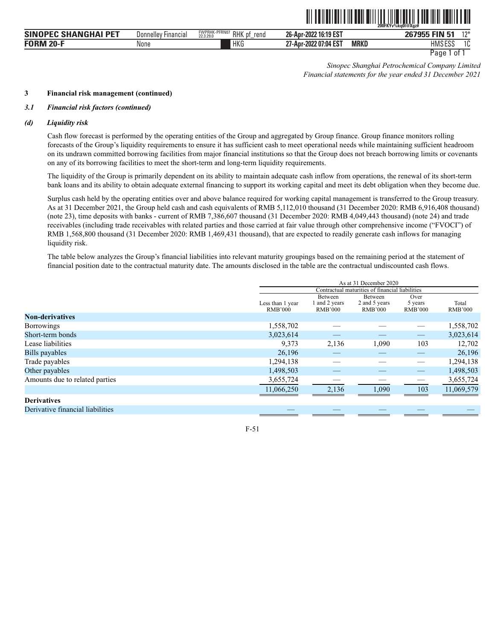|                     |                                                |                       | 200FKYv%ka0I@Xaz#                |
|---------------------|------------------------------------------------|-----------------------|----------------------------------|
| Donnelley Financial | $F^{WPRHK-PFRN07}$ RHK pf<br>rend<br>22.3.29.0 | 26-Apr-2022 16:19 EST | 12 <sup>3</sup><br>267955 FIN 51 |

| <b>SINOPEC SHANGHAI</b><br><b>PFT</b> | <b>Financial</b><br>Donnelley | FWPRHK-PFRN07<br>RHK p<br>rend<br>22.3.29.0 | 26-Apr-2022 16:19 EST |             | <b>FIN 51</b><br>267955 | 12          |
|---------------------------------------|-------------------------------|---------------------------------------------|-----------------------|-------------|-------------------------|-------------|
| <b>FORM</b><br>$20-F$                 | None                          | HKG                                         | 27-Apr-2022 07:04 EST | <b>MRKD</b> | <b>HMSESS</b>           | $\sim$<br>u |
|                                       |                               |                                             |                       |             | 10000<br>$\sim$         |             |

*Sinopec Shanghai Petrochemical Company Limited Financial statements for the year ended 31 December 2021*

The amplitude and more measured and the same to a semi-conditional more

## **3 Financial risk management (continued)**

#### *3.1 Financial risk factors (continued)*

#### *(d) Liquidity risk*

Cash flow forecast is performed by the operating entities of the Group and aggregated by Group finance. Group finance monitors rolling forecasts of the Group's liquidity requirements to ensure it has sufficient cash to meet operational needs while maintaining sufficient headroom on its undrawn committed borrowing facilities from major financial institutions so that the Group does not breach borrowing limits or covenants on any of its borrowing facilities to meet the short-term and long-term liquidity requirements.

The liquidity of the Group is primarily dependent on its ability to maintain adequate cash inflow from operations, the renewal of its short-term bank loans and its ability to obtain adequate external financing to support its working capital and meet its debt obligation when they become due.

Surplus cash held by the operating entities over and above balance required for working capital management is transferred to the Group treasury. As at 31 December 2021, the Group held cash and cash equivalents of RMB 5,112,010 thousand (31 December 2020: RMB 6,916,408 thousand) (note 23), time deposits with banks - current of RMB 7,386,607 thousand (31 December 2020: RMB 4,049,443 thousand) (note 24) and trade receivables (including trade receivables with related parties and those carried at fair value through other comprehensive income ("FVOCI") of RMB 1,568,800 thousand (31 December 2020: RMB 1,469,431 thousand), that are expected to readily generate cash inflows for managing liquidity risk.

The table below analyzes the Group's financial liabilities into relevant maturity groupings based on the remaining period at the statement of financial position date to the contractual maturity date. The amounts disclosed in the table are the contractual undiscounted cash flows.

|                                  | As at 31 December 2020                          |                                     |                                            |                                   |                         |  |  |
|----------------------------------|-------------------------------------------------|-------------------------------------|--------------------------------------------|-----------------------------------|-------------------------|--|--|
|                                  | Contractual maturities of financial liabilities |                                     |                                            |                                   |                         |  |  |
|                                  | Less than 1 year<br><b>RMB'000</b>              | Between<br>l and 2 years<br>RMB'000 | Between<br>2 and 5 years<br><b>RMB'000</b> | Over<br>5 years<br><b>RMB'000</b> | Total<br><b>RMB'000</b> |  |  |
| <b>Non-derivatives</b>           |                                                 |                                     |                                            |                                   |                         |  |  |
| <b>Borrowings</b>                | 1,558,702                                       |                                     |                                            |                                   | 1,558,702               |  |  |
| Short-term bonds                 | 3,023,614                                       |                                     |                                            |                                   | 3,023,614               |  |  |
| Lease liabilities                | 9,373                                           | 2,136                               | 1,090                                      | 103                               | 12,702                  |  |  |
| <b>Bills</b> payables            | 26,196                                          |                                     |                                            |                                   | 26,196                  |  |  |
| Trade payables                   | 1,294,138                                       |                                     |                                            |                                   | 1,294,138               |  |  |
| Other payables                   | 1,498,503                                       |                                     |                                            |                                   | 1,498,503               |  |  |
| Amounts due to related parties   | 3,655,724                                       |                                     |                                            |                                   | 3,655,724               |  |  |
|                                  | 11,066,250                                      | 2,136                               | 1,090                                      | 103                               | 11,069,579              |  |  |
| <b>Derivatives</b>               |                                                 |                                     |                                            |                                   |                         |  |  |
| Derivative financial liabilities |                                                 |                                     |                                            |                                   |                         |  |  |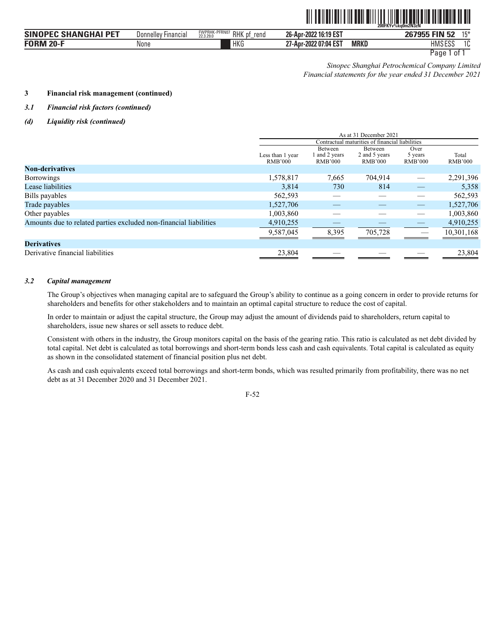| : SHANGHAI PFT | Financial<br>Donn<br>nellev | -PFRN07<br><b>FWPRHK-</b><br><b>RHK</b><br>rend<br>n1<br>22.3.29.0 | 16:19 ES1<br>$-2022$<br>Zb-Apr-              | -----<br>$1E*$<br>-0<br><b>OCTOFF</b><br>FIN<br>/u<br>ZU.<br>JZ<br>. . |              |
|----------------|-----------------------------|--------------------------------------------------------------------|----------------------------------------------|------------------------------------------------------------------------|--------------|
| $20-F$<br>FUBM | None                        | HKG                                                                | <b>MRKD</b><br>? 07:04 ES1<br>-202<br>'/-Apr | <b>HMSESS</b>                                                          | $\sim$<br>שו |
|                |                             |                                                                    |                                              |                                                                        |              |

*Sinopec Shanghai Petrochemical Company Limited Financial statements for the year ended 31 December 2021*

## **3 Financial risk management (continued)**

- *3.1 Financial risk factors (continued)*
- *(d) Liquidity risk (continued)*

|                                                                   | As at 31 December 2021 |                |                                                 |                |            |  |  |
|-------------------------------------------------------------------|------------------------|----------------|-------------------------------------------------|----------------|------------|--|--|
|                                                                   |                        |                | Contractual maturities of financial liabilities |                |            |  |  |
|                                                                   |                        | Between        | Between                                         | Over           |            |  |  |
|                                                                   | Less than 1 year       | 1 and 2 years  | 2 and 5 years                                   | 5 years        | Total      |  |  |
|                                                                   | <b>RMB'000</b>         | <b>RMB'000</b> | <b>RMB'000</b>                                  | <b>RMB'000</b> | RMB'000    |  |  |
| <b>Non-derivatives</b>                                            |                        |                |                                                 |                |            |  |  |
| <b>Borrowings</b>                                                 | 1,578,817              | 7,665          | 704,914                                         |                | 2,291,396  |  |  |
| Lease liabilities                                                 | 3,814                  | 730            | 814                                             |                | 5,358      |  |  |
| Bills payables                                                    | 562,593                |                |                                                 |                | 562,593    |  |  |
| Trade payables                                                    | 1,527,706              |                |                                                 |                | 1,527,706  |  |  |
| Other payables                                                    | 1,003,860              |                |                                                 |                | 1,003,860  |  |  |
| Amounts due to related parties excluded non-financial liabilities | 4,910,255              | __             |                                                 |                | 4,910,255  |  |  |
|                                                                   | 9,587,045              | 8,395          | 705,728                                         |                | 10,301,168 |  |  |
| <b>Derivatives</b>                                                |                        |                |                                                 |                |            |  |  |
| Derivative financial liabilities                                  | 23,804                 |                |                                                 |                | 23,804     |  |  |

### *3.2 Capital management*

The Group's objectives when managing capital are to safeguard the Group's ability to continue as a going concern in order to provide returns for shareholders and benefits for other stakeholders and to maintain an optimal capital structure to reduce the cost of capital.

In order to maintain or adjust the capital structure, the Group may adjust the amount of dividends paid to shareholders, return capital to shareholders, issue new shares or sell assets to reduce debt.

Consistent with others in the industry, the Group monitors capital on the basis of the gearing ratio. This ratio is calculated as net debt divided by total capital. Net debt is calculated as total borrowings and short-term bonds less cash and cash equivalents. Total capital is calculated as equity as shown in the consolidated statement of financial position plus net debt.

As cash and cash equivalents exceed total borrowings and short-term bonds, which was resulted primarily from profitability, there was no net debt as at 31 December 2020 and 31 December 2021.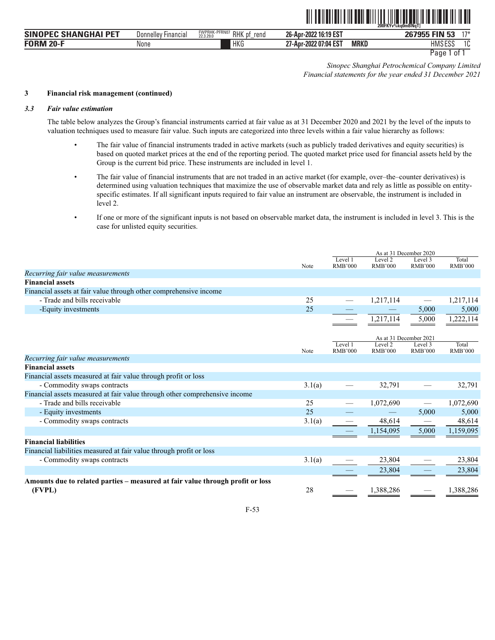|--|

| <b>SINOPEC SHANGHAI PET</b> | <b>Financial</b><br>Donnelley | -PFRN0<br><b>FWPRHK-</b><br>RHK<br>рt<br>22.3.29.0 | 146.10 ECT<br>26-Apr-2<br>$-2022$<br>rend<br>16:19 ES I                      | FIBLE?<br>FIN<br>JJ. | 174          |
|-----------------------------|-------------------------------|----------------------------------------------------|------------------------------------------------------------------------------|----------------------|--------------|
| FORM<br>. 20-L              | None                          | <b>HKG</b>                                         | <b>MRKD</b><br>$-$<br>7 04 FO7<br><sup>32</sup> 07:04 ES<br>$7 - \text{Anr}$ | <b>HMSESS</b>        | $\sim$<br>שו |
|                             |                               |                                                    |                                                                              |                      |              |

*Sinopec Shanghai Petrochemical Company Limited Financial statements for the year ended 31 December 2021*

## **3 Financial risk management (continued)**

#### *3.3 Fair value estimation*

The table below analyzes the Group's financial instruments carried at fair value as at 31 December 2020 and 2021 by the level of the inputs to valuation techniques used to measure fair value. Such inputs are categorized into three levels within a fair value hierarchy as follows:

- The fair value of financial instruments traded in active markets (such as publicly traded derivatives and equity securities) is based on quoted market prices at the end of the reporting period. The quoted market price used for financial assets held by the Group is the current bid price. These instruments are included in level 1.
- The fair value of financial instruments that are not traded in an active market (for example, over–the–counter derivatives) is determined using valuation techniques that maximize the use of observable market data and rely as little as possible on entityspecific estimates. If all significant inputs required to fair value an instrument are observable, the instrument is included in level 2.
- If one or more of the significant inputs is not based on observable market data, the instrument is included in level 3. This is the case for unlisted equity securities.

|                                                                                |        |                           | As at 31 December 2020               |                           |                         |
|--------------------------------------------------------------------------------|--------|---------------------------|--------------------------------------|---------------------------|-------------------------|
|                                                                                | Note   | Level 1<br><b>RMB'000</b> | Level 2<br><b>RMB'000</b>            | Level 3<br><b>RMB'000</b> | Total<br><b>RMB'000</b> |
| Recurring fair value measurements                                              |        |                           |                                      |                           |                         |
| <b>Financial assets</b>                                                        |        |                           |                                      |                           |                         |
| Financial assets at fair value through other comprehensive income              |        |                           |                                      |                           |                         |
| - Trade and bills receivable                                                   | 25     |                           | 1,217,114                            |                           | 1,217,114               |
| -Equity investments                                                            | 25     |                           |                                      | 5,000                     | 5,000                   |
|                                                                                |        |                           | 1,217,114                            | 5,000                     | 1,222,114               |
|                                                                                |        |                           | As at 31 December 2021               |                           |                         |
|                                                                                | Note   | Level 1<br><b>RMB'000</b> | Level <sub>2</sub><br><b>RMB'000</b> | Level 3<br><b>RMB'000</b> | Total<br><b>RMB'000</b> |
| Recurring fair value measurements                                              |        |                           |                                      |                           |                         |
| <b>Financial assets</b>                                                        |        |                           |                                      |                           |                         |
| Financial assets measured at fair value through profit or loss                 |        |                           |                                      |                           |                         |
| - Commodity swaps contracts                                                    | 3.1(a) |                           | 32,791                               |                           | 32,791                  |
| Financial assets measured at fair value through other comprehensive income     |        |                           |                                      |                           |                         |
| - Trade and bills receivable                                                   | 25     |                           | 1,072,690                            |                           | 1,072,690               |
| - Equity investments                                                           | 25     |                           |                                      | 5,000                     | 5,000                   |
| - Commodity swaps contracts                                                    | 3.1(a) |                           | 48,614                               |                           | 48,614                  |
|                                                                                |        |                           | 1,154,095                            | 5,000                     | 1,159,095               |
| <b>Financial liabilities</b>                                                   |        |                           |                                      |                           |                         |
| Financial liabilities measured at fair value through profit or loss            |        |                           |                                      |                           |                         |
| - Commodity swaps contracts                                                    | 3.1(a) |                           | 23,804                               |                           | 23,804                  |
|                                                                                |        |                           | 23,804                               |                           | 23,804                  |
| Amounts due to related parties - measured at fair value through profit or loss |        |                           |                                      |                           |                         |
| (FVPL)                                                                         | 28     |                           | 1,388,286                            |                           | 1,388,286               |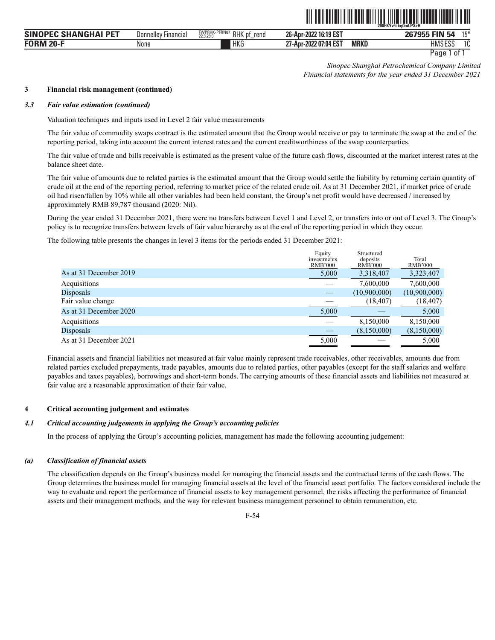|                      |                     |                                              |                       | 200FKYv%ka0mLPXzH      |  |
|----------------------|---------------------|----------------------------------------------|-----------------------|------------------------|--|
| Sinopec Shanghai Pet | Donnelley Financial | FWPRHK-PFRN07<br>RHK pf<br>rend<br>22,3,29.0 | 26-Apr-2022 16:19 EST | 267955 FIN 54          |  |
| <b>FORM 20-F</b>     | None                | <b>HKG</b>                                   | 27-Apr-2022 07:04 EST | HMS ESS<br><b>MRKD</b> |  |

Page 1 of 1

TIT TE ITELEFIZIT TITE EEN EITT TE IT IT IT DE EEN TEERE IT EEN IL EEN

## **3 Financial risk management (continued)**

## *3.3 Fair value estimation (continued)*

Valuation techniques and inputs used in Level 2 fair value measurements

The fair value of commodity swaps contract is the estimated amount that the Group would receive or pay to terminate the swap at the end of the reporting period, taking into account the current interest rates and the current creditworthiness of the swap counterparties.

The fair value of trade and bills receivable is estimated as the present value of the future cash flows, discounted at the market interest rates at the balance sheet date.

The fair value of amounts due to related parties is the estimated amount that the Group would settle the liability by returning certain quantity of crude oil at the end of the reporting period, referring to market price of the related crude oil. As at 31 December 2021, if market price of crude oil had risen/fallen by 10% while all other variables had been held constant, the Group's net profit would have decreased / increased by approximately RMB 89,787 thousand (2020: Nil).

During the year ended 31 December 2021, there were no transfers between Level 1 and Level 2, or transfers into or out of Level 3. The Group's policy is to recognize transfers between levels of fair value hierarchy as at the end of the reporting period in which they occur.

The following table presents the changes in level 3 items for the periods ended 31 December 2021:

|                        | Equity<br>investments<br>RMB'000 | Structured<br>deposits<br><b>RMB'000</b> | Total<br><b>RMB'000</b> |
|------------------------|----------------------------------|------------------------------------------|-------------------------|
| As at 31 December 2019 | 5,000                            | 3,318,407                                | 3,323,407               |
| Acquisitions           |                                  | 7,600,000                                | 7,600,000               |
| Disposals              |                                  | (10,900,000)                             | (10,900,000)            |
| Fair value change      |                                  | (18, 407)                                | (18, 407)               |
| As at 31 December 2020 | 5,000                            |                                          | 5,000                   |
| Acquisitions           |                                  | 8,150,000                                | 8.150.000               |
| Disposals              |                                  | (8,150,000)                              | (8,150,000)             |
| As at 31 December 2021 | 5,000                            |                                          | 5,000                   |

Financial assets and financial liabilities not measured at fair value mainly represent trade receivables, other receivables, amounts due from related parties excluded prepayments, trade payables, amounts due to related parties, other payables (except for the staff salaries and welfare payables and taxes payables), borrowings and short-term bonds. The carrying amounts of these financial assets and liabilities not measured at fair value are a reasonable approximation of their fair value.

# **4 Critical accounting judgement and estimates**

# *4.1 Critical accounting judgements in applying the Group's accounting policies*

In the process of applying the Group's accounting policies, management has made the following accounting judgement:

# *(a) Classification of financial assets*

The classification depends on the Group's business model for managing the financial assets and the contractual terms of the cash flows. The Group determines the business model for managing financial assets at the level of the financial asset portfolio. The factors considered include the way to evaluate and report the performance of financial assets to key management personnel, the risks affecting the performance of financial assets and their management methods, and the way for relevant business management personnel to obtain remuneration, etc.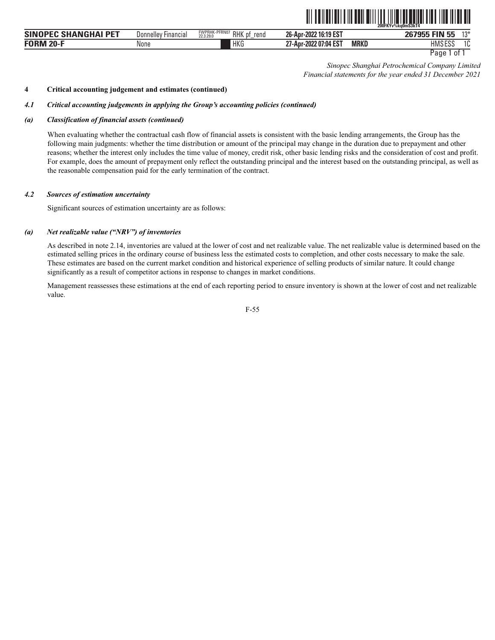| CINODEC CHANCHAI DET<br>ΉΔ | Financial<br>Donnel | -PFRN0<br><b>FWPRHK-</b><br>RHK<br>rend<br>рt<br>22.3.29.0 | 2022 16:19 EST<br>nr<br>26-Apr-<br>-202                        | - - - - - - -<br>ACJAFF      | $12*$<br>ט ו |
|----------------------------|---------------------|------------------------------------------------------------|----------------------------------------------------------------|------------------------------|--------------|
| $20-F$<br>FUBM             | None                | <b>HKG</b>                                                 | <b>MRKD</b><br>07:04 EST<br>$\sim$<br>הההר<br>!/-Anr-<br>"-70. | <b>IIMO FOO</b><br>HIVIƏ EƏƏ |              |
|                            |                     |                                                            |                                                                |                              |              |

*Sinopec Shanghai Petrochemical Company Limited Financial statements for the year ended 31 December 2021*

### **4 Critical accounting judgement and estimates (continued)**

### *4.1 Critical accounting judgements in applying the Group's accounting policies (continued)*

### *(a) Classification of financial assets (continued)*

When evaluating whether the contractual cash flow of financial assets is consistent with the basic lending arrangements, the Group has the following main judgments: whether the time distribution or amount of the principal may change in the duration due to prepayment and other reasons; whether the interest only includes the time value of money, credit risk, other basic lending risks and the consideration of cost and profit. For example, does the amount of prepayment only reflect the outstanding principal and the interest based on the outstanding principal, as well as the reasonable compensation paid for the early termination of the contract.

### *4.2 Sources of estimation uncertainty*

Significant sources of estimation uncertainty are as follows:

### *(a) Net realizable value ("NRV") of inventories*

As described in note 2.14, inventories are valued at the lower of cost and net realizable value. The net realizable value is determined based on the estimated selling prices in the ordinary course of business less the estimated costs to completion, and other costs necessary to make the sale. These estimates are based on the current market condition and historical experience of selling products of similar nature. It could change significantly as a result of competitor actions in response to changes in market conditions.

Management reassesses these estimations at the end of each reporting period to ensure inventory is shown at the lower of cost and net realizable value.

$$
F-55
$$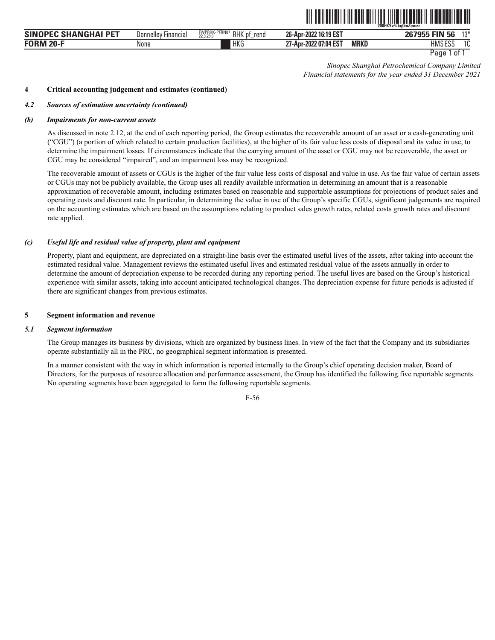|--|

| DEC CUANCUAI DET | Donnellev<br>·ınancıa | -PFRN07<br>RHK<br><b>FVVPRHK</b><br>rend<br>000000<br>22.3.29.0 | 16:19 EST<br>nr<br>nnnn<br>Zb-Apr-ZUZ                               | <b>FIBLES</b><br>ПV<br>- 1<br>JU | $12*$<br>   |
|------------------|-----------------------|-----------------------------------------------------------------|---------------------------------------------------------------------|----------------------------------|-------------|
| <b>FORM 20-F</b> | None                  | IUVC<br>nnu                                                     | <b>MRKD</b><br>$\sim$<br>7.04 FST<br>nnnn.<br>77-Anr-<br>- 20.<br>. | <b>HMSESS</b>                    | $\sim$<br>u |
|                  |                       |                                                                 |                                                                     |                                  |             |

*Sinopec Shanghai Petrochemical Company Limited Financial statements for the year ended 31 December 2021*

### **4 Critical accounting judgement and estimates (continued)**

### *4.2 Sources of estimation uncertainty (continued)*

### *(b) Impairments for non-current assets*

As discussed in note 2.12, at the end of each reporting period, the Group estimates the recoverable amount of an asset or a cash-generating unit ("CGU") (a portion of which related to certain production facilities), at the higher of its fair value less costs of disposal and its value in use, to determine the impairment losses. If circumstances indicate that the carrying amount of the asset or CGU may not be recoverable, the asset or CGU may be considered "impaired", and an impairment loss may be recognized.

The recoverable amount of assets or CGUs is the higher of the fair value less costs of disposal and value in use. As the fair value of certain assets or CGUs may not be publicly available, the Group uses all readily available information in determining an amount that is a reasonable approximation of recoverable amount, including estimates based on reasonable and supportable assumptions for projections of product sales and operating costs and discount rate. In particular, in determining the value in use of the Group's specific CGUs, significant judgements are required on the accounting estimates which are based on the assumptions relating to product sales growth rates, related costs growth rates and discount rate applied.

### *(c) Useful life and residual value of property, plant and equipment*

Property, plant and equipment, are depreciated on a straight-line basis over the estimated useful lives of the assets, after taking into account the estimated residual value. Management reviews the estimated useful lives and estimated residual value of the assets annually in order to determine the amount of depreciation expense to be recorded during any reporting period. The useful lives are based on the Group's historical experience with similar assets, taking into account anticipated technological changes. The depreciation expense for future periods is adjusted if there are significant changes from previous estimates.

### **5 Segment information and revenue**

### *5.1 Segment information*

The Group manages its business by divisions, which are organized by business lines. In view of the fact that the Company and its subsidiaries operate substantially all in the PRC, no geographical segment information is presented.

In a manner consistent with the way in which information is reported internally to the Group's chief operating decision maker, Board of Directors, for the purposes of resource allocation and performance assessment, the Group has identified the following five reportable segments. No operating segments have been aggregated to form the following reportable segments.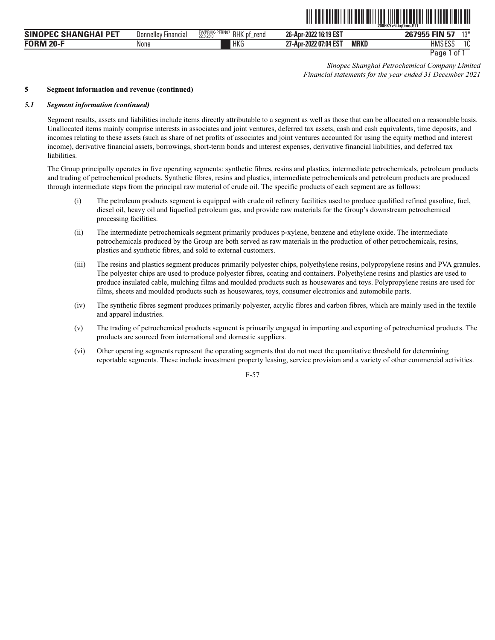| DEC CUANCUAL<br><b>DET</b> | -ınancıal<br>Donnellev | <b>DEDAIO</b><br><b>FWPRHK-</b><br><b>RHK</b><br>eno'<br><b>1111</b><br>22.3.29.0<br>- | 16:19 EST<br>26-Apr-2022<br>13 L J            | _______<br>---            | $12*$<br>ט ו |
|----------------------------|------------------------|----------------------------------------------------------------------------------------|-----------------------------------------------|---------------------------|--------------|
| FORM<br><b>20 L</b>        | None                   | HKG                                                                                    | MRKI<br><b>07:04 EST</b><br>2022<br>∕ I-Anr-∵ | $\mathbf{R}$<br>TIVIƏ EƏS |              |
|                            |                        |                                                                                        |                                               |                           |              |

*Sinopec Shanghai Petrochemical Company Limited Financial statements for the year ended 31 December 2021*

### **5 Segment information and revenue (continued)**

### *5.1 Segment information (continued)*

Segment results, assets and liabilities include items directly attributable to a segment as well as those that can be allocated on a reasonable basis. Unallocated items mainly comprise interests in associates and joint ventures, deferred tax assets, cash and cash equivalents, time deposits, and incomes relating to these assets (such as share of net profits of associates and joint ventures accounted for using the equity method and interest income), derivative financial assets, borrowings, short-term bonds and interest expenses, derivative financial liabilities, and deferred tax liabilities.

The Group principally operates in five operating segments: synthetic fibres, resins and plastics, intermediate petrochemicals, petroleum products and trading of petrochemical products. Synthetic fibres, resins and plastics, intermediate petrochemicals and petroleum products are produced through intermediate steps from the principal raw material of crude oil. The specific products of each segment are as follows:

- (i) The petroleum products segment is equipped with crude oil refinery facilities used to produce qualified refined gasoline, fuel, diesel oil, heavy oil and liquefied petroleum gas, and provide raw materials for the Group's downstream petrochemical processing facilities.
- (ii) The intermediate petrochemicals segment primarily produces p-xylene, benzene and ethylene oxide. The intermediate petrochemicals produced by the Group are both served as raw materials in the production of other petrochemicals, resins, plastics and synthetic fibres, and sold to external customers.
- (iii) The resins and plastics segment produces primarily polyester chips, polyethylene resins, polypropylene resins and PVA granules. The polyester chips are used to produce polyester fibres, coating and containers. Polyethylene resins and plastics are used to produce insulated cable, mulching films and moulded products such as housewares and toys. Polypropylene resins are used for films, sheets and moulded products such as housewares, toys, consumer electronics and automobile parts.
- (iv) The synthetic fibres segment produces primarily polyester, acrylic fibres and carbon fibres, which are mainly used in the textile and apparel industries.
- (v) The trading of petrochemical products segment is primarily engaged in importing and exporting of petrochemical products. The products are sourced from international and domestic suppliers.
- (vi) Other operating segments represent the operating segments that do not meet the quantitative threshold for determining reportable segments. These include investment property leasing, service provision and a variety of other commercial activities.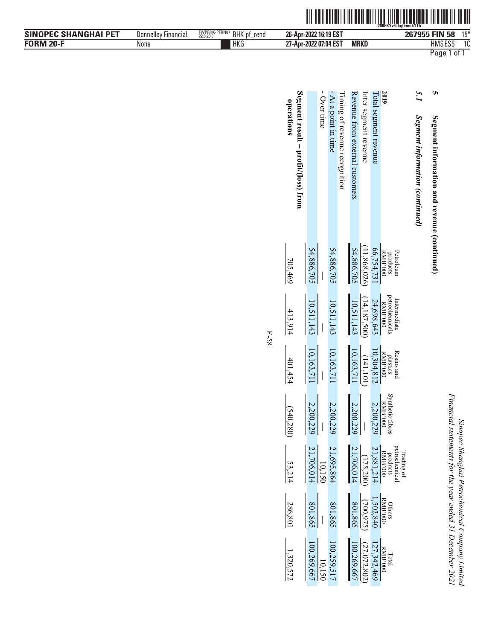| Financial statements for the year ended 31 December 2021 | Sinopec Shanghai Petrochemical Company Limited |
|----------------------------------------------------------|------------------------------------------------|
|                                                          |                                                |

### *5.1*Segment information (continued)  *Segment information (continued)*

| Segment result – profit/(loss) from<br>operations |                                                            | - Over time | - At a point in time | I iming of revenue recognition | Revenue from external customers   | Inter segment revenue | ctal segment revenue | 2019                                                                                          |
|---------------------------------------------------|------------------------------------------------------------|-------------|----------------------|--------------------------------|-----------------------------------|-----------------------|----------------------|-----------------------------------------------------------------------------------------------|
| $\frac{705,469}{2}$                               | 54,886,70.                                                 |             | 54,886,705           |                                | $\frac{(11,868,026)}{54,886,705}$ |                       | 66,754,731           | products<br>RMB'000<br>Petroleum                                                              |
| $\frac{413,914}{11}$                              | 10,511,143                                                 |             | 10,511,143           |                                | $\frac{(14,187,500)}{10,511,143}$ |                       |                      | petrochemicals<br>$\frac{\text{RMB}1000}{24,698,643}$<br>Intermediate                         |
| 401,454                                           | 10,163,71                                                  |             | 10,163,711           |                                | 10,163,711                        | $\frac{1}{(141,101)}$ |                      | plastics<br>RMB <sup>1000</sup><br>10,304,812<br>Resins and                                   |
| (540, 280)                                        | 2,200,229                                                  |             | 2,200,229            |                                | 2,200,229                         |                       | 2,200,229            | Synthetic fibres<br>RMB'000                                                                   |
| 53,214                                            | $\frac{21,695,864}{10,150}$<br>$\frac{10,150}{21,706,014}$ |             |                      |                                |                                   |                       |                      | Trading of<br>pretochemical<br>products<br>RNB1000<br>21,881,2100<br>21,706,014<br>21,706,014 |
| 286,80                                            | $\frac{801,865}{801,865}$                                  |             |                      |                                |                                   |                       |                      | No. 81<br>RVB 1902, 840<br>1, 502, 840<br>801, 865<br>801, 865                                |
| 1,320,57                                          | $\frac{100,259,517}{\frac{10,150}{100,269,667}}$           |             |                      |                                |                                   |                       |                      | Tetal<br>RMB <sup>1000</sup><br>127,342,466<br>100,269,667<br>100,269,667                     |

F-58

**SINOPEC SHANGHAI PET** Donnelley Financial **ENPRHK-PFRNO7** RHK pf\_rend 26-Apr-2022 16:19 EST 267955 FIN 58 **26-Apr-2022 16:19 EST** Donnelley Financial 22.3.29.0 RHK pf\_rend None 15\*

**FORM 20-F**

HKG **27-Apr-2022 07:04 EST MRKD** HMS ESS 1C Page 1 of 1

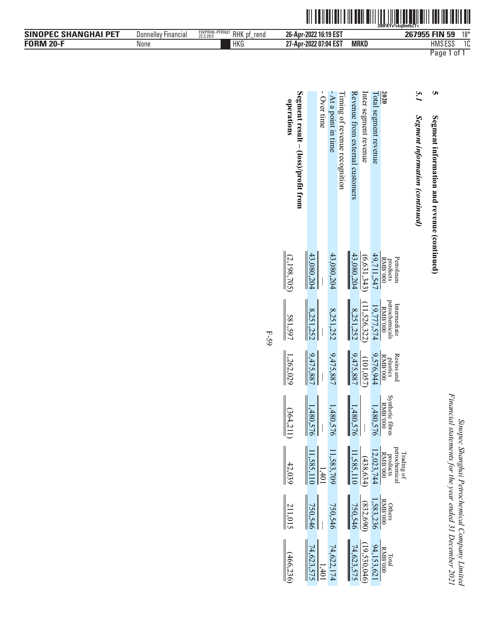| Financial statements for the year ended 31 December 2021 | Sinopec Shanghai Petrochemical Company Limited |
|----------------------------------------------------------|------------------------------------------------|
|                                                          |                                                |

### *5.1*Segment information (continued)  *Segment information (continued)*

| Segment result – (loss)/profit fron<br>operations |                                                         | - Over time | - At a point in time | Timing of revenue recognition | Revenue trom external customer.  | Inter segment revenue | Fotal segment revenue | 2020                                                                                            |
|---------------------------------------------------|---------------------------------------------------------|-------------|----------------------|-------------------------------|----------------------------------|-----------------------|-----------------------|-------------------------------------------------------------------------------------------------|
| (2.198, 705)                                      | 43,080,20                                               |             | 43,080,204           |                               | $\frac{(6,631,343)}{43,080,204}$ |                       |                       | products<br>$\frac{RMB'000}{49,711,547}$<br>Petroleum                                           |
| 581,597                                           | 8,251,252                                               |             | 8,251,252            |                               |                                  |                       |                       | percohemicals<br>$\frac{RNB00}{19,777,574}$<br>$\frac{(11,526,322)}{8,251,252}$<br>Intermediate |
| 1,262,029                                         | 9,475,887                                               |             | 9,475,887            |                               | $\frac{(101,057)}{9,475,887}$    |                       |                       | plastics<br>RMB <sup>1000</sup><br>9,576,944<br>Resins and                                      |
| (364,211)                                         | 1,480,57                                                |             | 1,480,57             |                               | 1,480,57                         |                       | 1,480,57              | Synthetic fibre<br>RMB'000                                                                      |
| 42,035                                            | 11,583,709<br>1,401<br>11,585,110                       |             |                      |                               |                                  |                       |                       | Trading of<br>percolemical<br>percolemics<br>RMB 1000<br>(438,634<br>11,585,110<br>11,585,110   |
| 211,01:                                           | $750,546$<br>750,546                                    |             |                      |                               |                                  |                       |                       | RMB <sup>1000</sup><br>1,583,236<br>1,583,236<br><u>750,546</u><br><u>750,546</u>               |
| (466,23)                                          | $\frac{74,622,174}{1,401}$<br>$\frac{1,401}{14,623,57}$ |             |                      |                               |                                  |                       |                       | $\frac{\text{Total}}{94,153,621}$<br>04,153,621<br>(19,530,046<br>74,623,575                    |

F-59

ˆ200FKYv%kq0mtbZT<Š **200FKYv%kq0mtbZT<**

| <b>SINOPEC SHANGHAI PET</b> | <b>Financial</b><br>Donnellev | FWPRHK-PFRN07<br>RHK<br>rend<br>DT<br>22.3.29.0 | 16:19 EST<br>26-Apr-2022        | $-$<br>-IN<br>ъч<br>JJ. | $10*$<br>10 |
|-----------------------------|-------------------------------|-------------------------------------------------|---------------------------------|-------------------------|-------------|
| <b>FORM 20-</b>             | None                          | <b>HKG</b>                                      | 27-Apr-2022 07:04 EST<br>$\sim$ | HMS ESS<br>MRKD         | . .         |
|                             |                               |                                                 |                                 |                         |             |

Page 1 of 1

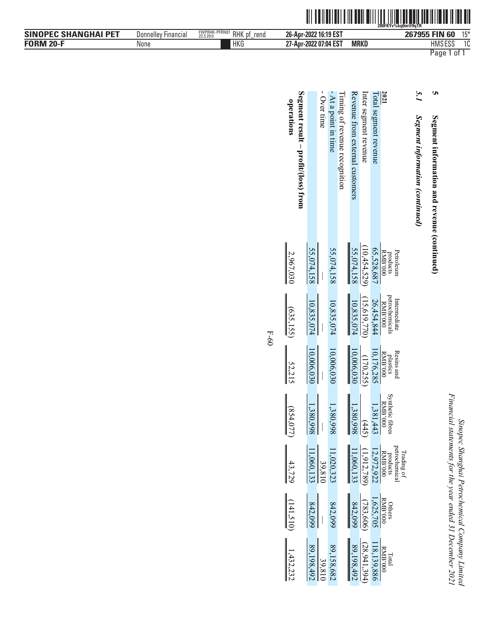| Financial statements for the year ended 31 December 2021 | Sinopec Shanghai Petrochemical Company Limited |
|----------------------------------------------------------|------------------------------------------------|
|                                                          |                                                |

### *5.1*Segment information (continued)  *Segment information (continued)*

| Segment result – profit/(loss) from<br>operations |                                    | Over time | - At a point in time | Timing of revenue recognition | Revenue from external customers   | Inter segment revenue             | <b>Cotal segment revenue</b> | 2021                                                                                       |
|---------------------------------------------------|------------------------------------|-----------|----------------------|-------------------------------|-----------------------------------|-----------------------------------|------------------------------|--------------------------------------------------------------------------------------------|
| $\frac{2,967,030}{2}$                             | 55,074,158                         |           | 55,074,158           |                               | 55,074,158                        | $\frac{10,454,529}{(10,454,529)}$ | 65,528,687                   | products<br>RMB'000<br>Petroleum                                                           |
| (635,155)                                         | 10,835,074                         |           | 10,835,074           |                               | $\frac{(15,619,770)}{10,835,074}$ |                                   |                              | petrochemicals<br>$\frac{\text{RMB}^2 000}{26,454,844}$<br>Intermediate                    |
| 52,21                                             | 10,006,030                         |           | 10,006,030           |                               | 10,006,030                        | (170,255)                         |                              | plastics<br>EMB'000<br>10,176,285<br>Resins and                                            |
| (854, 077)                                        | 1,380,998                          |           | 1,380,998            |                               | 1,380,998                         | (445)                             | 1,381,443                    | Synthetic fibres<br>RMB'000                                                                |
| 43,729                                            | 11,020,32:<br>39,810<br>11,060,133 |           |                      |                               |                                   |                                   |                              | Trading of<br>protoemical<br>products<br>RMB1000<br>11,060,133<br>11,060,133<br>11,060,133 |
| $\frac{(141,510)}{2}$                             | $\frac{842,099}{842,099}$          |           |                      |                               |                                   |                                   |                              | Noters<br>1,625,705<br>1,625,705<br>842,099<br>842,099                                     |
| $\frac{1,432,23}{1}$                              | $\frac{89,158,682}{39,819}$        |           |                      |                               |                                   |                                   |                              | Total<br>RMB <sup>1000</sup><br>118,139,886<br>28,198,492<br>89,198,492                    |

F-60

**▌▏▏▌▊▐▏▊▌▏▌▌▎▎▌▕▎▌▊▊▌▏█▎▏▏▏▏▌▌▌▕▕▏▏▒▌▌▊▌▌▌▌▌▌▌▌▌▌▌▌▌▌▌▌▌▌▌▌** 

**SINOPEC SHANGHAI PET** Donnelley Financial **ENPRHK-PFRNO7** RHK pf\_rend 26-Apr-2022 16:19 EST 267955 FIN 60 **FORM 20-F 26-Apr-2022 16:19 EST** HKG **27-Apr-2022 07:04 EST MRKD** HMS Donnelley Financial 22.3.29.0 RHK pf\_rend None 15\* ESS 1C

Page 1 of 1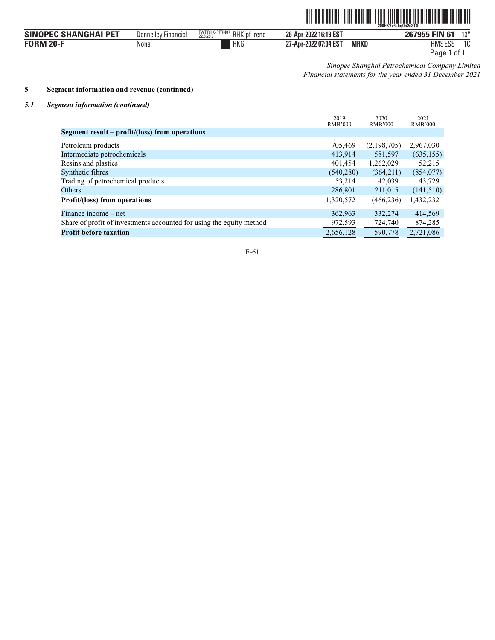| <b>PFT</b><br>SINOPFC SHANGHAL | Financia.<br>Donnelley | -PFRN07<br><b>FWPRHK</b><br>RHK<br>rend<br>n1<br>22.3.29.0<br>u | 16:19 EST<br>26-Apr-2022                | $12*$<br><b>FIBI 04</b><br>ACJAFF<br><i>i</i> uh.<br>. FIN.<br>∠u '<br>ט ו |
|--------------------------------|------------------------|-----------------------------------------------------------------|-----------------------------------------|----------------------------------------------------------------------------|
| <b>FORM</b><br>$120-F$         | None                   | HKG                                                             | mrkd<br>2 07:04 ES1<br>$-2022$<br>/-Apr | <b>HMSESS</b><br>$\sim$<br>שו                                              |
|                                |                        |                                                                 |                                         | . 1<br>- -                                                                 |

*Sinopec Shanghai Petrochemical Company Limited Financial statements for the year ended 31 December 2021*

### **5 Segment information and revenue (continued)**

### *5.1 Segment information (continued)*

|                                                                      | 2019           | 2020           | 2021           |
|----------------------------------------------------------------------|----------------|----------------|----------------|
|                                                                      | <b>RMB'000</b> | <b>RMB'000</b> | <b>RMB'000</b> |
| Segment result – profit/(loss) from operations                       |                |                |                |
| Petroleum products                                                   | 705,469        | (2,198,705)    | 2,967,030      |
| Intermediate petrochemicals                                          | 413,914        | 581,597        | (635, 155)     |
| Resins and plastics                                                  | 401,454        | 1,262,029      | 52,215         |
| Synthetic fibres                                                     | (540, 280)     | (364,211)      | (854,077)      |
| Trading of petrochemical products                                    | 53,214         | 42,039         | 43,729         |
| Others                                                               | 286,801        | 211,015        | (141, 510)     |
| <b>Profit/(loss)</b> from operations                                 | 1,320,572      | (466, 236)     | 1,432,232      |
| Finance income – net                                                 | 362,963        | 332,274        | 414,569        |
| Share of profit of investments accounted for using the equity method | 972,593        | 724,740        | 874,285        |
| <b>Profit before taxation</b>                                        | 2,656,128      | 590,778        | 2,721,086      |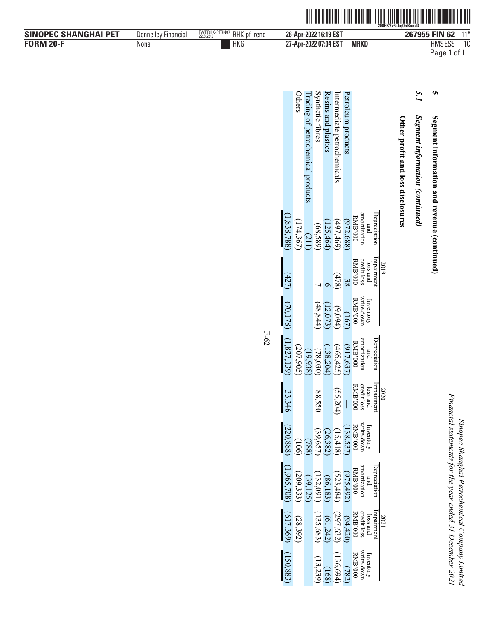| Financial statements for the year ended 31 December 2021 | Sinopec Shanghai Petrochemical Company Limited |
|----------------------------------------------------------|------------------------------------------------|
|                                                          |                                                |

### *5.1*Segment information (continued)  *Segment information (continued)*

## Other profit and loss disclosures **Other profit and loss disclosures**

|                                 | Others | Trading of petrochemical products | Resins and plastics<br>Synthetic fibres | Intermediate petrochemical.             | Petroleum products |                                                                                                                                                                            |
|---------------------------------|--------|-----------------------------------|-----------------------------------------|-----------------------------------------|--------------------|----------------------------------------------------------------------------------------------------------------------------------------------------------------------------|
| $\frac{(174,367)}{(1,838,788)}$ |        | (211)                             |                                         |                                         |                    | Depreciation<br>amortization<br>RNB1000<br>(972,688)<br>(497,469)<br>(48,589)<br>(68,589)<br>(68,589)                                                                      |
| $\frac{(427)}{2}$               |        |                                   |                                         |                                         |                    | Impairment<br>Ioss and<br>Ioss and<br>RMB'000<br>RMB'000<br>(478)<br>(478)<br>2019                                                                                         |
| $\frac{(70,178)}{2}$            |        |                                   |                                         |                                         |                    | Inventory<br>write-down<br>RMB <sup>1000</sup><br>(1671)<br>(1673)<br>(1673)<br>(18,844)<br>(48,844)                                                                       |
|                                 |        |                                   |                                         |                                         |                    | Depreciation<br>americation<br>RMB100<br>RMB100<br>(917,637<br>(19,938)<br>(19,827,139)<br>(1,827,139)<br>(1,827,139)<br>(1,827,139)                                       |
| $\frac{33,346}{23,346}$         |        |                                   |                                         | $\frac{(55,204)}{88,550}$               |                    | Impairment<br>loss and<br>credit loss<br>RMB'000<br>2020                                                                                                                   |
| (220, 888)                      | (106)  | (788)                             | (39,657                                 | $(138,537)$<br>$(15,418)$<br>$(26,382)$ |                    | Inventory<br>write-down<br>RMB 000                                                                                                                                         |
|                                 |        |                                   |                                         |                                         |                    | Depreciation<br>RMB <sup>1000</sup><br>RMB <sup>1000</sup><br>RMB1000<br>RMB1000<br>(1,965,708)<br>(1,965,708)<br><u>(1,965,708)</u><br><u>(1,965,708)</u>                 |
|                                 |        |                                   |                                         |                                         |                    | Implime<br>ISS 803<br>ISS 803<br>ISS 803<br>RIS 803<br>(197,632)<br>(197,369)<br>(17,369)<br>(17,369)<br>(17,369)<br>(17,369)<br>(17,3583)<br>(17,832)<br>(17,832)<br>2021 |
| (150, 883)                      |        |                                   |                                         |                                         |                    | Inventory<br>RMB <sup>1000</sup><br>(136,694)<br>(168)<br>(13,239)<br>(13,239)<br>(13,239)                                                                                 |

F-62

**FORM 20-F**

|                      |                            |                                           | <b>IIIIIII</b><br>III TIITIIT        | $\mathbb{E}[\ f\ ]$<br>IIIIII<br>$\mathbb{H}$<br>200FKYv%ka0nBsozD |
|----------------------|----------------------------|-------------------------------------------|--------------------------------------|--------------------------------------------------------------------|
| Sinopec Shanghai Pet | <b>Donnelley Financial</b> | FWPRHK-PFRN07<br>RHK pf rend<br>22.3.29.0 | 26-Apr-2022 16:19 EST                | 267955 FIN 62<br>$11*$                                             |
| <b>FORM 20-F</b>     | None                       | HKG                                       | <b>MRKD</b><br>27-Apr-2022 07:04 EST | <b>HMSESS</b><br>ΙU                                                |

HKG **27-Apr-2022 07:04 EST MRKD** HMS ESS 1C Page 1 of 1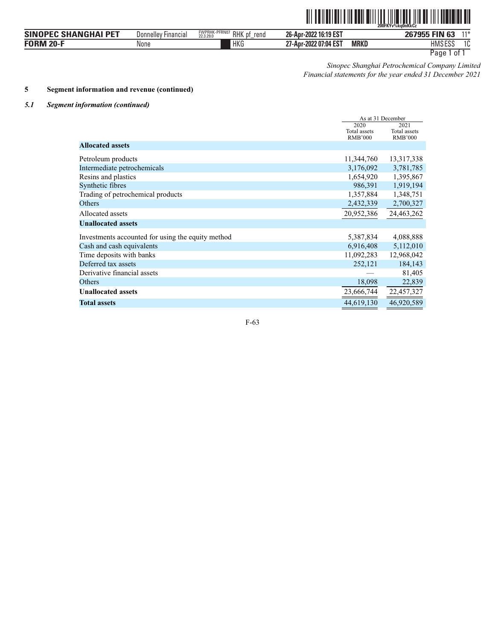

| <b>SINOPEC SHANGHAI PET</b> | Financial<br>Donnel' | -PFRN0<br><b>FWPRHK-</b><br><b>RHK</b><br>rend<br>рt<br>22.3.29.0 | -2022 16:19 EST<br>nr<br>26-Apr-<br>-7117     | $\sim$ FIBI 00 $\sim$<br>4.4.2<br><b>OCTOEE</b> |
|-----------------------------|----------------------|-------------------------------------------------------------------|-----------------------------------------------|-------------------------------------------------|
| $20-F$<br>FORM              | None                 | <b>HKG</b>                                                        | J7:04 EST<br>$\sim$<br>onno os<br>27-Apr-2022 | <b>IIMO FOO</b><br><b>MRKD</b><br><br>MMY F99   |
|                             |                      |                                                                   |                                               |                                                 |

*Sinopec Shanghai Petrochemical Company Limited Financial statements for the year ended 31 December 2021*

### **5 Segment information and revenue (continued)**

### *5.1 Segment information (continued)*

|                                                   | As at 31 December              |                                |
|---------------------------------------------------|--------------------------------|--------------------------------|
|                                                   | 2020                           | 2021                           |
|                                                   | Total assets<br><b>RMB'000</b> | Total assets<br><b>RMB'000</b> |
|                                                   |                                |                                |
| <b>Allocated assets</b>                           |                                |                                |
| Petroleum products                                | 11,344,760                     | 13, 317, 338                   |
| Intermediate petrochemicals                       | 3,176,092                      | 3,781,785                      |
| Resins and plastics                               | 1,654,920                      | 1,395,867                      |
| Synthetic fibres                                  | 986,391                        | 1,919,194                      |
| Trading of petrochemical products                 | 1,357,884                      | 1,348,751                      |
| Others                                            | 2,432,339                      | 2,700,327                      |
| Allocated assets                                  | 20,952,386                     | 24,463,262                     |
| <b>Unallocated assets</b>                         |                                |                                |
| Investments accounted for using the equity method | 5,387,834                      | 4,088,888                      |
| Cash and cash equivalents                         | 6,916,408                      | 5,112,010                      |
| Time deposits with banks                          | 11,092,283                     | 12,968,042                     |
| Deferred tax assets                               | 252,121                        | 184,143                        |
| Derivative financial assets                       |                                | 81,405                         |
| Others                                            | 18,098                         | 22,839                         |
| <b>Unallocated assets</b>                         | 23,666,744                     | 22,457,327                     |
| <b>Total assets</b>                               | 44,619,130                     | 46,920,589                     |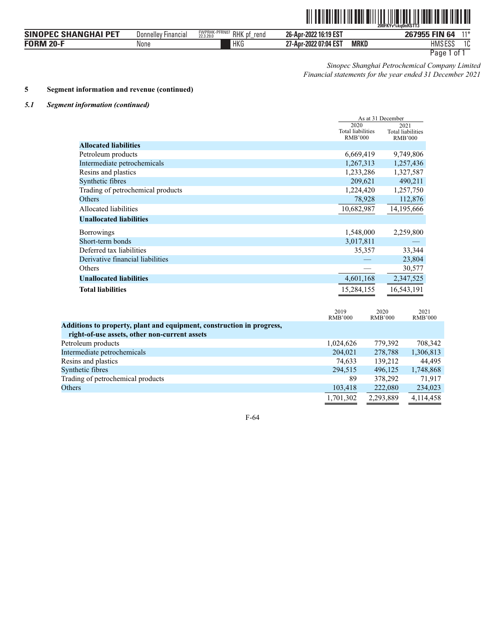| : SHANGHAI PFT    | <b>Financial</b><br>nellev<br>Jonr | -PFRN07<br><b>FWPRHK</b><br><b>RHK</b><br>rend<br>n1<br>22.3.29.0<br>u | 16:19 EST<br>$-2027$<br>Zb-Apr | .<br>$\sim$ $\sim$ $\sim$<br>$A$ $A$ $N$<br>64<br>FIN<br>7u<br>-0 |
|-------------------|------------------------------------|------------------------------------------------------------------------|--------------------------------|-------------------------------------------------------------------|
| $120 - F$<br>FUBM | None                               | HKG                                                                    | ? 07:04 ES1<br>-2027<br>/-Apr  | <b>HMSESS</b><br>mrkd<br>$\sim$<br>ιu                             |
|                   |                                    |                                                                        |                                |                                                                   |

*Sinopec Shanghai Petrochemical Company Limited Financial statements for the year ended 31 December 2021*

### **5 Segment information and revenue (continued)**

### *5.1 Segment information (continued)*

|                                   |                                     | As at 31 December        |
|-----------------------------------|-------------------------------------|--------------------------|
|                                   | 2020                                | 2021                     |
|                                   | Total liabilities<br><b>RMB'000</b> | <b>Total liabilities</b> |
|                                   |                                     | <b>RMB'000</b>           |
| <b>Allocated liabilities</b>      |                                     |                          |
| Petroleum products                | 6,669,419                           | 9,749,806                |
| Intermediate petrochemicals       | 1,267,313                           | 1,257,436                |
| Resins and plastics               | 1,233,286                           | 1,327,587                |
| Synthetic fibres                  | 209,621                             | 490,211                  |
| Trading of petrochemical products | 1,224,420                           | 1,257,750                |
| Others                            | 78,928                              | 112,876                  |
| Allocated liabilities             | 10,682,987                          | 14,195,666               |
| <b>Unallocated liabilities</b>    |                                     |                          |
| <b>Borrowings</b>                 | 1,548,000                           | 2,259,800                |
| Short-term bonds                  | 3,017,811                           |                          |
| Deferred tax liabilities          | 35,357                              | 33,344                   |
| Derivative financial liabilities  |                                     | 23,804                   |
| Others                            |                                     | 30,577                   |
| <b>Unallocated liabilities</b>    | 4,601,168                           | 2,347,525                |
| <b>Total liabilities</b>          | 15,284,155                          | 16,543,191               |

|                                                                                                                        | 2019<br><b>RMB'000</b> | 2020<br><b>RMB'000</b> | 2021<br><b>RMB'000</b> |
|------------------------------------------------------------------------------------------------------------------------|------------------------|------------------------|------------------------|
| Additions to property, plant and equipment, construction in progress,<br>right-of-use assets, other non-current assets |                        |                        |                        |
| Petroleum products                                                                                                     | 1,024,626              | 779,392                | 708,342                |
| Intermediate petrochemicals                                                                                            | 204,021                | 278,788                | 1,306,813              |
| Resins and plastics                                                                                                    | 74.633                 | 139,212                | 44.495                 |
| Synthetic fibres                                                                                                       | 294,515                | 496,125                | 1,748,868              |
| Trading of petrochemical products                                                                                      | 89                     | 378,292                | 71.917                 |
| Others                                                                                                                 | 103,418                | 222,080                | 234,023                |
|                                                                                                                        | 1,701,302              | 2,293,889              | 4.114.458              |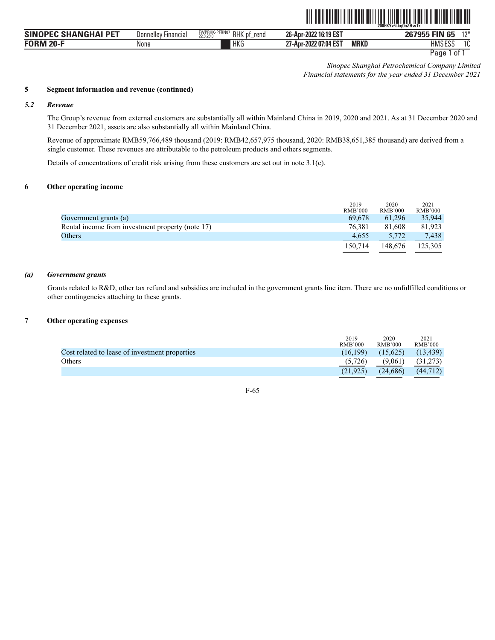

| <b>PFT</b><br>HAI<br>''ANI-<br>эн. | Financia.<br>Donnelley | FWPRHK-PFRN07<br><b>RHK</b><br>22.3.29.0 | 16:19 EST<br>26-Apr-2022<br>rend<br>n1 |             | $-$ FIRE OF<br>267955<br>FIN<br><br>ZO '<br>uj | $12*$        |
|------------------------------------|------------------------|------------------------------------------|----------------------------------------|-------------|------------------------------------------------|--------------|
| $20-F$<br><b>FORM</b>              | None                   | <b>HKG</b>                               | 207:04 EST<br>202z<br>'/-Apr           | <b>MRKD</b> | <b>HMSESS</b>                                  | $\sim$<br>טו |
|                                    |                        |                                          |                                        |             |                                                |              |

*Sinopec Shanghai Petrochemical Company Limited Financial statements for the year ended 31 December 2021*

### **5 Segment information and revenue (continued)**

### *5.2 Revenue*

The Group's revenue from external customers are substantially all within Mainland China in 2019, 2020 and 2021. As at 31 December 2020 and 31 December 2021, assets are also substantially all within Mainland China.

Revenue of approximate RMB59,766,489 thousand (2019: RMB42,657,975 thousand, 2020: RMB38,651,385 thousand) are derived from a single customer. These revenues are attributable to the petroleum products and others segments.

Details of concentrations of credit risk arising from these customers are set out in note 3.1(c).

### **6 Other operating income**

|                                                  | 2019<br><b>RMB'000</b> | 2020<br><b>RMB'000</b> | 2021<br><b>RMB'000</b> |
|--------------------------------------------------|------------------------|------------------------|------------------------|
| Government grants (a)                            | 69.678                 | 61.296                 | 35,944                 |
| Rental income from investment property (note 17) | 76.381                 | 81,608                 | 81.923                 |
| Others                                           | 4,655                  | 5.772                  | 7,438                  |
|                                                  | 150.714                | 148.676                | 125,305                |

### *(a) Government grants*

Grants related to R&D, other tax refund and subsidies are included in the government grants line item. There are no unfulfilled conditions or other contingencies attaching to these grants.

### **7 Other operating expenses**

|                                                | 2019<br>RMB'000 | 2020<br>RMB'000 | 2021<br>RMB'000 |
|------------------------------------------------|-----------------|-----------------|-----------------|
| Cost related to lease of investment properties | (16.199)        | (15.625)        | (13, 439)       |
| Others                                         | (5, 726)        | (9.061)         | (31,273)        |
|                                                | (21.925)        | (24.686)        | (44.712)        |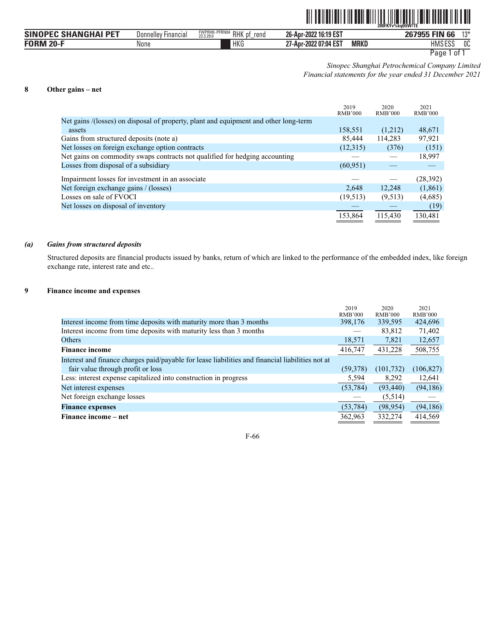

| <b>SINOPEC SHANGHAI</b><br><b>DET</b> | `Financial<br>Donnelley | -PFRN0<br><b>FWPRHK-F</b><br><b>RHK</b><br>rend<br>DŤ<br>22.3.29.0 | 16:19 EST<br>26-Apr-<br>-2021               | FIBI CO.<br>$12*$<br>/uh!<br>FIN<br>bb<br>-u<br>u |
|---------------------------------------|-------------------------|--------------------------------------------------------------------|---------------------------------------------|---------------------------------------------------|
| <b>FORM 20-F</b>                      | None                    | HKG                                                                | <b>MRKD</b><br>2 07:04 EST<br>.202<br>7-Anr | HMS ESS<br>0C                                     |
|                                       |                         |                                                                    |                                             | . 1<br>- -                                        |

*Sinopec Shanghai Petrochemical Company Limited Financial statements for the year ended 31 December 2021*

### **8 Other gains – net**

|                                                                                      | 2019<br>RMB'000 | 2020<br><b>RMB'000</b> | 2021<br><b>RMB'000</b> |
|--------------------------------------------------------------------------------------|-----------------|------------------------|------------------------|
| Net gains /(losses) on disposal of property, plant and equipment and other long-term |                 |                        |                        |
| assets                                                                               | 158,551         | (1,212)                | 48,671                 |
| Gains from structured deposits (note a)                                              | 85,444          | 114,283                | 97,921                 |
| Net losses on foreign exchange option contracts                                      | (12,315)        | (376)                  | (151)                  |
| Net gains on commodity swaps contracts not qualified for hedging accounting          |                 |                        | 18,997                 |
| Losses from disposal of a subsidiary                                                 | (60, 951)       |                        |                        |
| Impairment losses for investment in an associate                                     |                 |                        | (28, 392)              |
| Net foreign exchange gains / (losses)                                                | 2,648           | 12,248                 | (1,861)                |
| Losses on sale of FVOCI                                                              | (19,513)        | (9,513)                | (4,685)                |
| Net losses on disposal of inventory                                                  |                 |                        | (19)                   |
|                                                                                      | 153,864         | 115,430                | 130,481                |

### *(a) Gains from structured deposits*

Structured deposits are financial products issued by banks, return of which are linked to the performance of the embedded index, like foreign exchange rate, interest rate and etc..

### **9 Finance income and expenses**

|                                                                                                  | 2019<br><b>RMB'000</b> | 2020<br><b>RMB'000</b> | 2021<br><b>RMB'000</b> |
|--------------------------------------------------------------------------------------------------|------------------------|------------------------|------------------------|
| Interest income from time deposits with maturity more than 3 months                              | 398,176                | 339,595                | 424,696                |
| Interest income from time deposits with maturity less than 3 months                              |                        | 83,812                 | 71,402                 |
| Others                                                                                           | 18,571                 | 7,821                  | 12,657                 |
| <b>Finance income</b>                                                                            | 416,747                | 431,228                | 508,755                |
| Interest and finance charges paid/payable for lease liabilities and financial liabilities not at |                        |                        |                        |
| fair value through profit or loss                                                                | (59,378)               | (101, 732)             | (106, 827)             |
| Less: interest expense capitalized into construction in progress                                 | 5,594                  | 8,292                  | 12,641                 |
| Net interest expenses                                                                            | (53, 784)              | (93, 440)              | (94, 186)              |
| Net foreign exchange losses                                                                      |                        | (5,514)                |                        |
| <b>Finance expenses</b>                                                                          | (53, 784)              | (98, 954)              | (94, 186)              |
| Finance income – net                                                                             | 362,963                | 332,274                | 414,569                |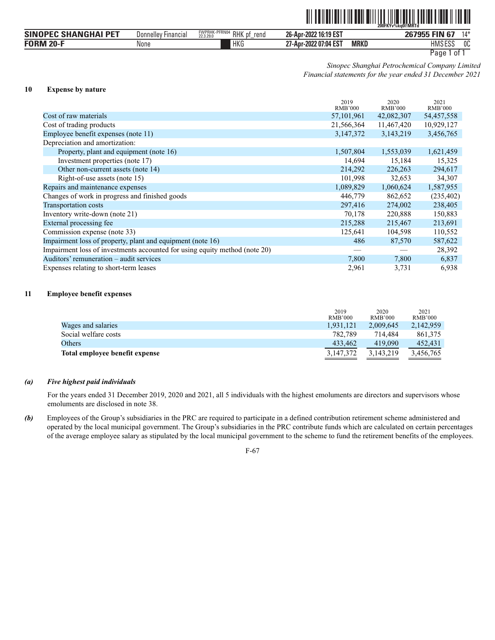| <b>SINOPEC SHANGHAI PET</b> | Financial<br>mellev<br>Donn | -PFRN0<br><b>FWPRHK</b><br><b>RHK</b><br>rend<br>n+<br>22.3.29.0 | 26-Apr-2022 16:19 EST          |             | ---- --<br>$11*$<br>267955<br>FIN<br>ZU. |
|-----------------------------|-----------------------------|------------------------------------------------------------------|--------------------------------|-------------|------------------------------------------|
| <b>FORM 20-F</b>            | None                        | HKG                                                              | ? 07:04 ES1<br>$-202$<br>/-Apr | <b>MRKD</b> | <b>HMSESS</b><br>0C                      |
|                             |                             |                                                                  |                                |             | - -                                      |

Page 1 of 1

### **10 Expense by nature**

|                                                                            | 2019<br>RMB'000 | 2020<br><b>RMB'000</b> | 2021<br><b>RMB'000</b> |
|----------------------------------------------------------------------------|-----------------|------------------------|------------------------|
| Cost of raw materials                                                      | 57, 101, 961    | 42,082,307             | 54,457,558             |
| Cost of trading products                                                   | 21,566,364      | 11,467,420             | 10,929,127             |
| Employee benefit expenses (note 11)                                        | 3,147,372       | 3,143,219              | 3,456,765              |
| Depreciation and amortization:                                             |                 |                        |                        |
| Property, plant and equipment (note 16)                                    | 1,507,804       | 1,553,039              | 1,621,459              |
| Investment properties (note 17)                                            | 14,694          | 15,184                 | 15,325                 |
| Other non-current assets (note 14)                                         | 214,292         | 226,263                | 294,617                |
| Right-of-use assets (note 15)                                              | 101,998         | 32,653                 | 34,307                 |
| Repairs and maintenance expenses                                           | 1,089,829       | 1,060,624              | 1,587,955              |
| Changes of work in progress and finished goods                             | 446,779         | 862,652                | (235, 402)             |
| Transportation costs                                                       | 297,416         | 274,002                | 238,405                |
| Inventory write-down (note 21)                                             | 70,178          | 220,888                | 150,883                |
| External processing fee                                                    | 215,288         | 215,467                | 213,691                |
| Commission expense (note 33)                                               | 125,641         | 104,598                | 110,552                |
| Impairment loss of property, plant and equipment (note 16)                 | 486             | 87,570                 | 587,622                |
| Impairment loss of investments accounted for using equity method (note 20) |                 |                        | 28,392                 |
| Auditors' remuneration – audit services                                    | 7,800           | 7,800                  | 6,837                  |
| Expenses relating to short-term leases                                     | 2,961           | 3,731                  | 6,938                  |

### **11 Employee benefit expenses**

|                                | 2019           | 2020      | 2021      |
|--------------------------------|----------------|-----------|-----------|
|                                | <b>RMB'000</b> | RMB'000   | RMB'000   |
| Wages and salaries             | 1.931.121      | 2.009.645 | 2.142.959 |
| Social welfare costs           | 782.789        | 714.484   | 861,375   |
| Others                         | 433.462        | 419.090   | 452.431   |
| Total employee benefit expense | 3.147.372      | 3.143.219 | 3.456.765 |

### *(a) Five highest paid individuals*

For the years ended 31 December 2019, 2020 and 2021, all 5 individuals with the highest emoluments are directors and supervisors whose emoluments are disclosed in note 38.

*(b)* Employees of the Group's subsidiaries in the PRC are required to participate in a defined contribution retirement scheme administered and operated by the local municipal government. The Group's subsidiaries in the PRC contribute funds which are calculated on certain percentages of the average employee salary as stipulated by the local municipal government to the scheme to fund the retirement benefits of the employees.

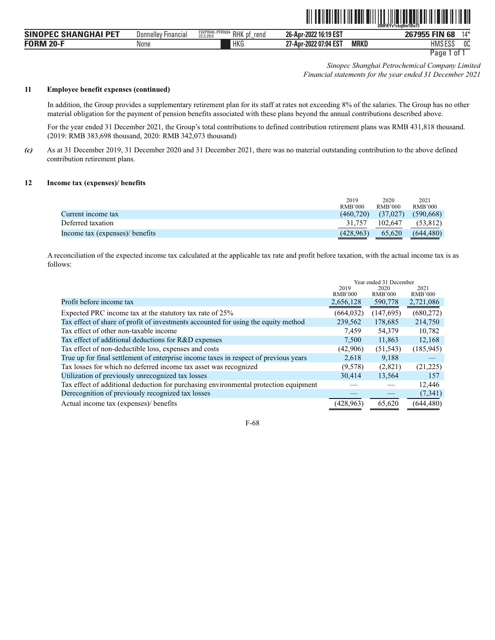| <b>SINOPEC SHANGHAI</b><br><b>DET</b> | Financial<br>Donne | -PFRN0<br><b>FWPRHK</b><br><b>RHK</b><br>rena<br>n1<br>22.3.29.0 | <b>16:19 EST</b><br>26-Apr-2022                | ----<br><b>CO</b><br>$14*$<br>ACJAFF<br>.ba<br>'IN |
|---------------------------------------|--------------------|------------------------------------------------------------------|------------------------------------------------|----------------------------------------------------|
| <b>FORM 20-F</b>                      | None               | <b>HKG</b>                                                       | <b>MRKD</b><br>207:04 ES1<br>$-2022$<br>:/-Apr | <b>HMSESS</b><br>$\sim$<br>υu                      |
|                                       |                    |                                                                  |                                                |                                                    |

Page 1 of 1

### **11 Employee benefit expenses (continued)**

In addition, the Group provides a supplementary retirement plan for its staff at rates not exceeding 8% of the salaries. The Group has no other material obligation for the payment of pension benefits associated with these plans beyond the annual contributions described above.

For the year ended 31 December 2021, the Group's total contributions to defined contribution retirement plans was RMB 431,818 thousand. (2019: RMB 383,698 thousand, 2020: RMB 342,073 thousand)

*(c)* As at 31 December 2019, 31 December 2020 and 31 December 2021, there was no material outstanding contribution to the above defined contribution retirement plans.

### **12 Income tax (expenses)/ benefits**

|                                 | 2019<br>RMB'000 | 2020<br>RMB'000 | 2021<br>RMB'000 |
|---------------------------------|-----------------|-----------------|-----------------|
| Current income tax              | (460, 720)      | (37.027)        | (590.668)       |
| Deferred taxation               | 31.757          | 102.647         | (53.812)        |
| Income tax (expenses)/ benefits | (428.963)       | 65.620          | (644.480)       |

A reconciliation of the expected income tax calculated at the applicable tax rate and profit before taxation, with the actual income tax is as follows:

|                                                                                      |            | Year ended 31 December |                |
|--------------------------------------------------------------------------------------|------------|------------------------|----------------|
|                                                                                      | 2019       | 2020                   | 2021           |
|                                                                                      | RMB'000    | <b>RMB'000</b>         | <b>RMB'000</b> |
| Profit before income tax                                                             | 2,656,128  | 590,778                | 2,721,086      |
| Expected PRC income tax at the statutory tax rate of 25%                             | (664, 032) | (147,695)              | (680, 272)     |
| Tax effect of share of profit of investments accounted for using the equity method   | 239,562    | 178,685                | 214,750        |
| Tax effect of other non-taxable income                                               | 7,459      | 54,379                 | 10,782         |
| Tax effect of additional deductions for R&D expenses                                 | 7,500      | 11,863                 | 12,168         |
| Tax effect of non-deductible loss, expenses and costs                                | (42,906)   | (51, 543)              | (185, 945)     |
| True up for final settlement of enterprise income taxes in respect of previous years | 2,618      | 9,188                  |                |
| Tax losses for which no deferred income tax asset was recognized                     | (9,578)    | (2,821)                | (21, 225)      |
| Utilization of previously unrecognized tax losses                                    | 30,414     | 13,564                 | 157            |
| Tax effect of additional deduction for purchasing environmental protection equipment |            |                        | 12,446         |
| Derecognition of previously recognized tax losses                                    |            |                        | (7, 341)       |
| Actual income tax (expenses)/ benefits                                               | (428, 963) | 65,620                 | (644, 480)     |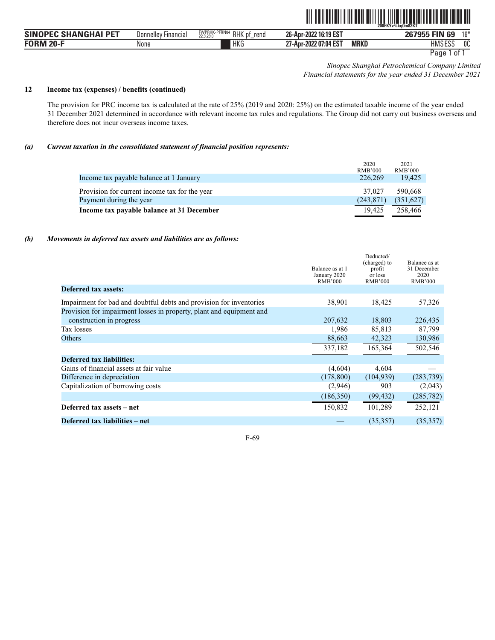

| C SHANGHA'<br><b>PFT</b> | -ınancıal<br>J0r<br>inellev | FWPRHK-PFRN04<br><b>DIII</b><br>rend<br>рt<br>nni<br>22.3.29.0<br>- | 16:19 EST<br>26-Apr-2<br>2022                               | $16*$<br><b>FIN 69</b><br>.70 <sub>EF</sub><br>267 |
|--------------------------|-----------------------------|---------------------------------------------------------------------|-------------------------------------------------------------|----------------------------------------------------|
| <b>FORM 20-F</b>         | None                        | IUV<br>nnu                                                          | <b>MRKD</b><br>$2207.04 F$ °<br>$\sim$<br>$-202$<br>'/-Apr- | <b>HMSESS</b><br>0C                                |
|                          |                             |                                                                     |                                                             |                                                    |

Page 1 of 1

### **12 Income tax (expenses) / benefits (continued)**

The provision for PRC income tax is calculated at the rate of 25% (2019 and 2020: 25%) on the estimated taxable income of the year ended 31 December 2021 determined in accordance with relevant income tax rules and regulations. The Group did not carry out business overseas and therefore does not incur overseas income taxes.

### *(a) Current taxation in the consolidated statement of financial position represents:*

|                                               | 2020<br><b>RMB'000</b> | 2021<br><b>RMB'000</b> |
|-----------------------------------------------|------------------------|------------------------|
| Income tax payable balance at 1 January       | 226,269                | 19.425                 |
| Provision for current income tax for the year | 37.027                 | 590.668                |
| Payment during the year                       | (243, 871)             | (351,627)              |
| Income tax payable balance at 31 December     | 19.425                 | 258,466                |

### *(b) Movements in deferred tax assets and liabilities are as follows:*

|                                                                      | Balance as at 1<br>January 2020<br><b>RMB'000</b> | Deducted/<br>(charged) to<br>profit<br>or loss<br><b>RMB'000</b> | Balance as at<br>31 December<br>2020<br><b>RMB'000</b> |
|----------------------------------------------------------------------|---------------------------------------------------|------------------------------------------------------------------|--------------------------------------------------------|
| <b>Deferred tax assets:</b>                                          |                                                   |                                                                  |                                                        |
| Impairment for bad and doubtful debts and provision for inventories  | 38,901                                            | 18,425                                                           | 57,326                                                 |
| Provision for impairment losses in property, plant and equipment and |                                                   |                                                                  |                                                        |
| construction in progress                                             | 207,632                                           | 18,803                                                           | 226,435                                                |
| Tax losses                                                           | 1,986                                             | 85,813                                                           | 87,799                                                 |
| Others                                                               | 88,663                                            | 42,323                                                           | 130,986                                                |
|                                                                      | 337,182                                           | 165,364                                                          | 502,546                                                |
| <b>Deferred tax liabilities:</b>                                     |                                                   |                                                                  |                                                        |
| Gains of financial assets at fair value                              | (4,604)                                           | 4,604                                                            |                                                        |
| Difference in depreciation                                           | (178,800)                                         | (104, 939)                                                       | (283, 739)                                             |
| Capitalization of borrowing costs                                    | (2,946)                                           | 903                                                              | (2,043)                                                |
|                                                                      | (186, 350)                                        | (99, 432)                                                        | (285, 782)                                             |
| Deferred tax assets – net                                            | 150,832                                           | 101,289                                                          | 252,121                                                |
| Deferred tax liabilities – net                                       |                                                   | (35,357)                                                         | (35,357)                                               |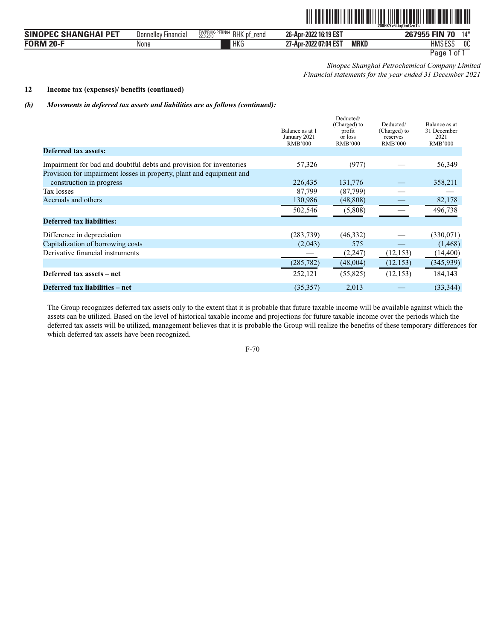

| <b>SINOPEC SHANGHAI PET</b> | Donnellev<br>-ınancıa. | <b>FWPRHK-</b><br>RHK<br>rena<br>nt<br>22,3,29.0 | 16:19 EST<br>nr<br>$-2027$<br>26-Apr                               | FIBL 30<br>-11<br>10         | $11*$        |
|-----------------------------|------------------------|--------------------------------------------------|--------------------------------------------------------------------|------------------------------|--------------|
| <b>FORM 20-F</b>            | None                   | <b>LIVC</b><br><b>HNU</b>                        | .1.01 F0T<br>-2021<br>'/-Apr<br>. <del>. .</del> .<br>۰u.<br>a Ear | <b>HMSESS</b><br><b>MRKD</b> | $\sim$<br>υu |
|                             |                        |                                                  |                                                                    |                              |              |

*Sinopec Shanghai Petrochemical Company Limited Financial statements for the year ended 31 December 2021*

### **12 Income tax (expenses)/ benefits (continued)**

*(b) Movements in deferred tax assets and liabilities are as follows (continued):*

|                                                                      | Balance as at 1<br>January 2021<br><b>RMB'000</b> | Deducted/<br>(Charged) to<br>profit<br>or loss<br><b>RMB'000</b> | Deducted/<br>(Charged) to<br>reserves<br><b>RMB'000</b> | Balance as at<br>31 December<br>2021<br><b>RMB'000</b> |
|----------------------------------------------------------------------|---------------------------------------------------|------------------------------------------------------------------|---------------------------------------------------------|--------------------------------------------------------|
| <b>Deferred tax assets:</b>                                          |                                                   |                                                                  |                                                         |                                                        |
| Impairment for bad and doubtful debts and provision for inventories  | 57,326                                            | (977)                                                            |                                                         | 56,349                                                 |
| Provision for impairment losses in property, plant and equipment and |                                                   |                                                                  |                                                         |                                                        |
| construction in progress                                             | 226,435                                           | 131,776                                                          |                                                         | 358,211                                                |
| Tax losses                                                           | 87,799                                            | (87,799)                                                         |                                                         |                                                        |
| Accruals and others                                                  | 130,986                                           | (48, 808)                                                        |                                                         | 82,178                                                 |
|                                                                      | 502,546                                           | (5,808)                                                          |                                                         | 496,738                                                |
| <b>Deferred tax liabilities:</b>                                     |                                                   |                                                                  |                                                         |                                                        |
| Difference in depreciation                                           | (283, 739)                                        | (46, 332)                                                        |                                                         | (330,071)                                              |
| Capitalization of borrowing costs                                    | (2,043)                                           | 575                                                              |                                                         | (1, 468)                                               |
| Derivative financial instruments                                     |                                                   | (2,247)                                                          | (12, 153)                                               | (14, 400)                                              |
|                                                                      | (285, 782)                                        | (48,004)                                                         | (12, 153)                                               | (345, 939)                                             |
| Deferred tax assets – net                                            | 252,121                                           | (55, 825)                                                        | (12, 153)                                               | 184,143                                                |
| Deferred tax liabilities – net                                       | (35,357)                                          | 2,013                                                            |                                                         | (33, 344)                                              |

The Group recognizes deferred tax assets only to the extent that it is probable that future taxable income will be available against which the assets can be utilized. Based on the level of historical taxable income and projections for future taxable income over the periods which the deferred tax assets will be utilized, management believes that it is probable the Group will realize the benefits of these temporary differences for which deferred tax assets have been recognized.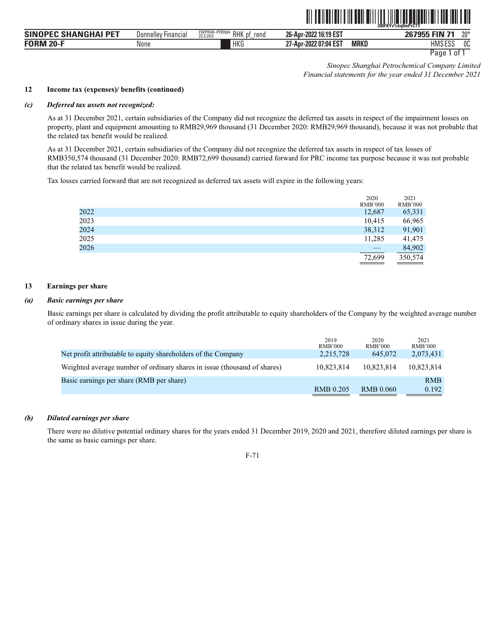| <b>SINOPEC SHANGHAI</b><br><b>DET</b> | ' Financial<br>Donnellev | -PFRN0<br><b>FWPRHK-F</b><br><b>RHK</b><br>rend<br>nt<br>22.3.29.0 | 16:19 EST<br>26-Apr-<br>$-202$                      | -----<br>/uhi<br>· I I\<br>-u | $20*$ |
|---------------------------------------|--------------------------|--------------------------------------------------------------------|-----------------------------------------------------|-------------------------------|-------|
| <b>FORM 20-F</b>                      | None                     | <b>HKG</b>                                                         | <b>MRKD</b><br>? 07:04 ES1<br>nп<br>$-202$<br>/-Apr | <b>HMSESS</b>                 | 0C    |
|                                       |                          |                                                                    |                                                     |                               |       |

*Sinopec Shanghai Petrochemical Company Limited Financial statements for the year ended 31 December 2021*

### **12 Income tax (expenses)/ benefits (continued)**

### *(c) Deferred tax assets not recognized:*

As at 31 December 2021, certain subsidiaries of the Company did not recognize the deferred tax assets in respect of the impairment losses on property, plant and equipment amounting to RMB29,969 thousand (31 December 2020: RMB29,969 thousand), because it was not probable that the related tax benefit would be realized.

As at 31 December 2021, certain subsidiaries of the Company did not recognize the deferred tax assets in respect of tax losses of RMB350,574 thousand (31 December 2020: RMB72,699 thousand) carried forward for PRC income tax purpose because it was not probable that the related tax benefit would be realized.

Tax losses carried forward that are not recognized as deferred tax assets will expire in the following years:

|      | 2020                                          | 2021           |
|------|-----------------------------------------------|----------------|
|      | <b>RMB'000</b>                                | <b>RMB'000</b> |
| 2022 | 12,687                                        | 65,331         |
| 2023 | 10,415                                        | 66,965         |
| 2024 | 38,312                                        | 91,901         |
| 2025 | 11,285                                        | 41,475         |
| 2026 | $\qquad \qquad \overbrace{\qquad \qquad }^{}$ | 84,902         |
|      | 72,699                                        | 350,574        |

### **13 Earnings per share**

### *(a) Basic earnings per share*

Basic earnings per share is calculated by dividing the profit attributable to equity shareholders of the Company by the weighted average number of ordinary shares in issue during the year.

|                                                                          | 2019<br><b>RMB'000</b> | 2020<br><b>RMB'000</b> | 2021<br><b>RMB'000</b> |
|--------------------------------------------------------------------------|------------------------|------------------------|------------------------|
| Net profit attributable to equity shareholders of the Company            | 2,215,728              | 645,072                | 2,073,431              |
| Weighted average number of ordinary shares in issue (thousand of shares) | 10.823.814             | 10.823.814             | 10,823,814             |
| Basic earnings per share (RMB per share)                                 |                        |                        | <b>RMB</b>             |
|                                                                          | <b>RMB 0.205</b>       | <b>RMB 0.060</b>       | 0.192                  |

### *(b) Diluted earnings per share*

There were no dilutive potential ordinary shares for the years ended 31 December 2019, 2020 and 2021, therefore diluted earnings per share is the same as basic earnings per share.

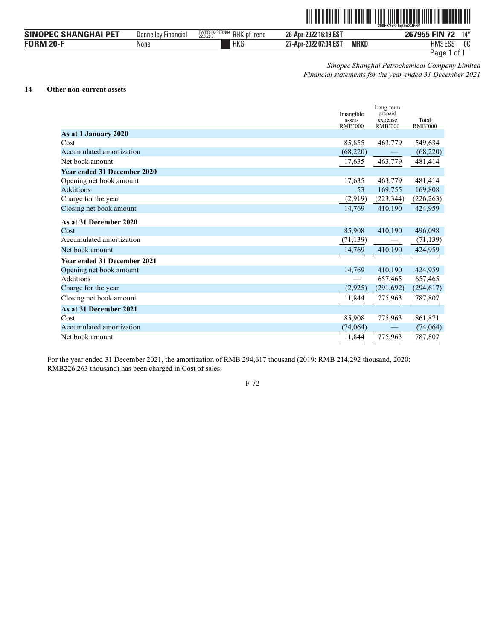

| <b>SINOPEC SHANGHAI PET</b> | Financia.<br>Donnelley | HK-PFRN0<br><b>FWPRHK-</b><br><b>DIIV</b><br>rend<br>nnr<br>22.3.29.0 | 2 16:19 EST<br>26-Apr-2<br>-2022                         |             | <b>FIN 72</b><br>$1.1*$<br>.70 <sub>EF</sub><br>267 |
|-----------------------------|------------------------|-----------------------------------------------------------------------|----------------------------------------------------------|-------------|-----------------------------------------------------|
| <b>FORM 20-F</b>            | None                   | <b>HKG</b>                                                            | .2 07:04 EST<br>ົ<br>70Z<br>$\epsilon$ - Apr- $\epsilon$ | <b>MRKD</b> | <b>HMSESS</b><br>0C                                 |
|                             |                        |                                                                       |                                                          |             | . 1<br>--                                           |

*Sinopec Shanghai Petrochemical Company Limited Financial statements for the year ended 31 December 2021*

### **14 Other non-current assets**

|                                    | Intangible<br>assets<br><b>RMB'000</b> | Long-term<br>prepaid<br>expense<br><b>RMB'000</b> | Total<br><b>RMB'000</b> |
|------------------------------------|----------------------------------------|---------------------------------------------------|-------------------------|
| As at 1 January 2020               |                                        |                                                   |                         |
| Cost                               | 85,855                                 | 463,779                                           | 549,634                 |
| Accumulated amortization           | (68,220)                               |                                                   | (68,220)                |
| Net book amount                    | 17,635                                 | 463,779                                           | 481,414                 |
| <b>Year ended 31 December 2020</b> |                                        |                                                   |                         |
| Opening net book amount            | 17,635                                 | 463,779                                           | 481,414                 |
| <b>Additions</b>                   | 53                                     | 169,755                                           | 169,808                 |
| Charge for the year                | (2,919)                                | (223, 344)                                        | (226, 263)              |
| Closing net book amount            | 14,769                                 | 410,190                                           | 424,959                 |
| As at 31 December 2020             |                                        |                                                   |                         |
| Cost                               | 85,908                                 | 410,190                                           | 496,098                 |
| Accumulated amortization           | (71, 139)                              |                                                   | (71, 139)               |
| Net book amount                    | 14,769                                 | 410,190                                           | 424,959                 |
| Year ended 31 December 2021        |                                        |                                                   |                         |
| Opening net book amount            | 14,769                                 | 410,190                                           | 424,959                 |
| Additions                          |                                        | 657,465                                           | 657,465                 |
| Charge for the year                | (2,925)                                | (291,692)                                         | (294, 617)              |
| Closing net book amount            | 11,844                                 | 775,963                                           | 787,807                 |
| As at 31 December 2021             |                                        |                                                   |                         |
| Cost                               | 85,908                                 | 775,963                                           | 861,871                 |
| Accumulated amortization           | (74, 064)                              |                                                   | (74, 064)               |
| Net book amount                    | 11,844                                 | 775,963                                           | 787,807                 |

For the year ended 31 December 2021, the amortization of RMB 294,617 thousand (2019: RMB 214,292 thousand, 2020: RMB226,263 thousand) has been charged in Cost of sales.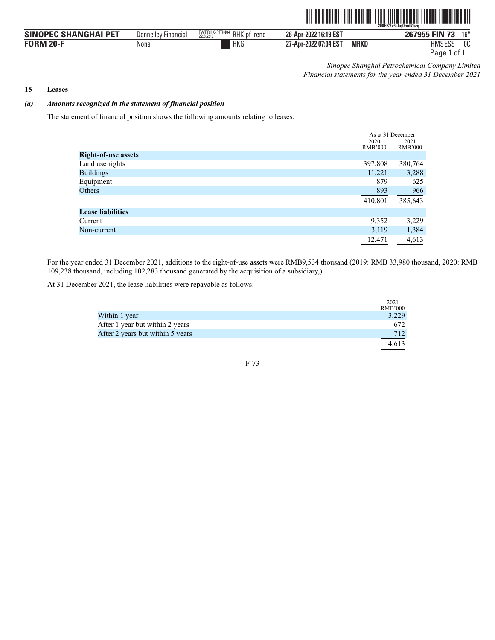

| <b>SINOPEC SHANGHAI</b><br>DET | Donnellev<br><b>⊦</b> ınancıa. | <b>PERNOA</b><br><b>FWPRHK-</b><br><b>RHK</b><br>rena<br>. nt<br>22,3,29.0<br>_ | 16:19 EST<br>26-Apr<br>$-2027$                                       | ------<br>-11<br>ш | $16*$        |
|--------------------------------|--------------------------------|---------------------------------------------------------------------------------|----------------------------------------------------------------------|--------------------|--------------|
| <b>FORM 20-F</b>               | None                           | <b>LIVC</b><br><b>HNU</b>                                                       | <b>MRKD</b><br>1.01 ECT<br>$-2022$<br>' 07:04 E<br>'/-Abr<br>1 E J 1 | <b>HMSESS</b>      | $\sim$<br>υu |
|                                |                                |                                                                                 |                                                                      | $\cdots$           |              |

*Sinopec Shanghai Petrochemical Company Limited Financial statements for the year ended 31 December 2021*

### **15 Leases**

### *(a) Amounts recognized in the statement of financial position*

The statement of financial position shows the following amounts relating to leases:

|                            |                | As at 31 December |
|----------------------------|----------------|-------------------|
|                            | 2020           | 2021              |
|                            | <b>RMB'000</b> | RMB'000           |
| <b>Right-of-use assets</b> |                |                   |
| Land use rights            | 397,808        | 380,764           |
| <b>Buildings</b>           | 11,221         | 3,288             |
| Equipment                  | 879            | 625               |
| Others                     | 893            | 966               |
|                            | 410,801        | 385,643           |
| <b>Lease liabilities</b>   |                |                   |
| Current                    | 9,352          | 3,229             |
| Non-current                | 3,119          | 1,384             |
|                            | 12,471         | 4,613             |
|                            |                |                   |

For the year ended 31 December 2021, additions to the right-of-use assets were RMB9,534 thousand (2019: RMB 33,980 thousand, 2020: RMB 109,238 thousand, including 102,283 thousand generated by the acquisition of a subsidiary,).

At 31 December 2021, the lease liabilities were repayable as follows:

|                                  | 2021    |
|----------------------------------|---------|
|                                  | RMB'000 |
| Within 1 year                    | 3,229   |
| After 1 year but within 2 years  | 672.    |
| After 2 years but within 5 years | 712     |
|                                  | 4.613   |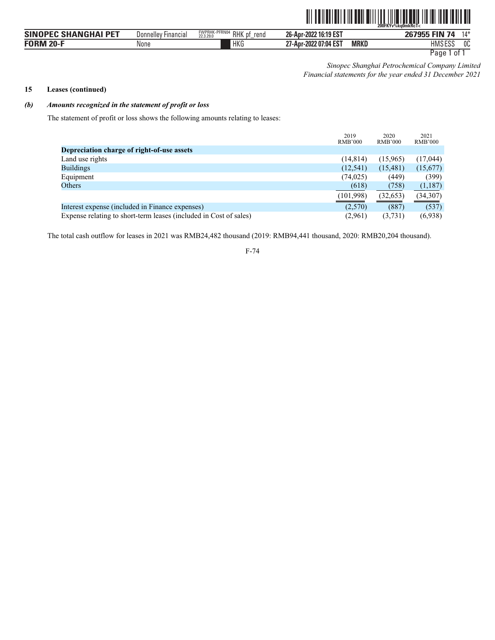

| CINODEC CUANCL<br><b>DET</b><br>НАІ<br>`` | Financial<br>Donnell<br> | -PFRN0<br><b>FWPRHK-</b><br><b>RHK</b><br>rend<br>nt<br>22.3.29.0 | 16:19 EST<br>26-Apr-<br>$-2022$                          | ------<br>FIN<br>70 | $11*$ |
|-------------------------------------------|--------------------------|-------------------------------------------------------------------|----------------------------------------------------------|---------------------|-------|
| <b>FORM 20-F</b>                          | None                     | <b>HKG</b>                                                        | <b>MRKD</b><br>207:04 EST<br>$\sim$<br>$-202$<br>'/-Anr- | <b>HMSESS</b>       | OC    |
|                                           |                          |                                                                   |                                                          |                     |       |

*Sinopec Shanghai Petrochemical Company Limited Financial statements for the year ended 31 December 2021*

### **15 Leases (continued)**

### *(b) Amounts recognized in the statement of profit or loss*

The statement of profit or loss shows the following amounts relating to leases:

|                                                                   | 2019<br><b>RMB'000</b> | 2020<br><b>RMB'000</b> | 2021<br><b>RMB'000</b> |
|-------------------------------------------------------------------|------------------------|------------------------|------------------------|
| Depreciation charge of right-of-use assets                        |                        |                        |                        |
| Land use rights                                                   | (14, 814)              | (15,965)               | (17, 044)              |
| <b>Buildings</b>                                                  | (12, 541)              | (15, 481)              | (15,677)               |
| Equipment                                                         | (74, 025)              | (449)                  | (399)                  |
| Others                                                            | (618)                  | (758)                  | (1,187)                |
|                                                                   | (101,998)              | (32,653)               | (34, 307)              |
| Interest expense (included in Finance expenses)                   | (2,570)                | (887)                  | (537)                  |
| Expense relating to short-term leases (included in Cost of sales) | (2,961)                | (3,731)                | (6,938)                |

The total cash outflow for leases in 2021 was RMB24,482 thousand (2019: RMB94,441 thousand, 2020: RMB20,204 thousand).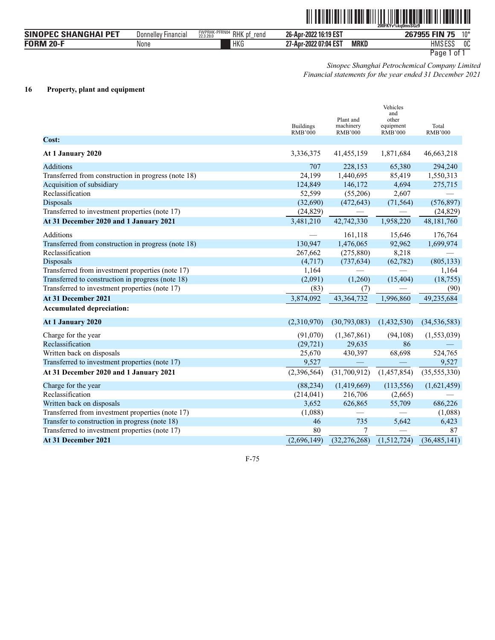

| <b>SINOPEC SHANGHAI PET</b> | Financial<br>Donnelley' | -PFRN0<br><b>FWPRHK-F</b><br><b>RHK</b><br>rend<br>nt<br>22.3.29.0 | 16:19 EST<br>ባር<br>$-2022$<br>Zb-Anr- |             | <b>CIAL ZE</b><br>$10*$<br><b>OCJOFF</b><br>ΊN<br>الله ا |
|-----------------------------|-------------------------|--------------------------------------------------------------------|---------------------------------------|-------------|----------------------------------------------------------|
| <b>FORM 20-F</b>            | None                    | <b>HKG</b>                                                         | ? 07:04 ES1<br>$-202$<br>/-Apr        | <b>MRKD</b> | <b>HMSESS</b><br>$\sim$<br>υu                            |
|                             |                         |                                                                    |                                       |             | D 1<br>--                                                |

*Sinopec Shanghai Petrochemical Company Limited Financial statements for the year ended 31 December 2021*

### **16 Property, plant and equipment**

|                                                     |                             | Plant and                   | Vehicles<br>and<br>other    |                         |
|-----------------------------------------------------|-----------------------------|-----------------------------|-----------------------------|-------------------------|
|                                                     | <b>Buildings</b><br>RMB'000 | machinery<br><b>RMB'000</b> | equipment<br><b>RMB'000</b> | Total<br><b>RMB'000</b> |
| Cost:                                               |                             |                             |                             |                         |
| At 1 January 2020                                   | 3,336,375                   | 41,455,159                  | 1,871,684                   | 46,663,218              |
| <b>Additions</b>                                    | 707                         | 228,153                     | 65,380                      | 294,240                 |
| Transferred from construction in progress (note 18) | 24,199                      | 1,440,695                   | 85,419                      | 1,550,313               |
| Acquisition of subsidiary                           | 124,849                     | 146,172                     | 4,694                       | 275,715                 |
| Reclassification                                    | 52,599                      | (55,206)                    | 2,607                       |                         |
| Disposals                                           | (32,690)                    | (472, 643)                  | (71, 564)                   | (576, 897)              |
| Transferred to investment properties (note 17)      | (24, 829)                   |                             |                             | (24, 829)               |
| At 31 December 2020 and 1 January 2021              | 3,481,210                   | 42,742,330                  | 1,958,220                   | 48, 181, 760            |
| <b>Additions</b>                                    |                             | 161,118                     | 15,646                      | 176,764                 |
| Transferred from construction in progress (note 18) | 130,947                     | 1,476,065                   | 92,962                      | 1,699,974               |
| Reclassification                                    | 267,662                     | (275, 880)                  | 8,218                       |                         |
| Disposals                                           | (4,717)                     | (737, 634)                  | (62, 782)                   | (805, 133)              |
| Transferred from investment properties (note 17)    | 1,164                       |                             |                             | 1,164                   |
| Transferred to construction in progress (note 18)   | (2,091)                     | (1,260)                     | (15, 404)                   | (18, 755)               |
| Transferred to investment properties (note 17)      | (83)                        | (7)                         |                             | (90)                    |
| At 31 December 2021                                 | 3,874,092                   | 43,364,732                  | 1,996,860                   | 49,235,684              |
| <b>Accumulated depreciation:</b>                    |                             |                             |                             |                         |
| At 1 January 2020                                   | (2,310,970)                 | (30,793,083)                | (1,432,530)                 | (34, 536, 583)          |
| Charge for the year                                 | (91,070)                    | (1,367,861)                 | (94, 108)                   | (1,553,039)             |
| Reclassification                                    | (29, 721)                   | 29,635                      | 86                          |                         |
| Written back on disposals                           | 25,670                      | 430,397                     | 68,698                      | 524,765                 |
| Transferred to investment properties (note 17)      | 9,527                       |                             |                             | 9,527                   |
| At 31 December 2020 and 1 January 2021              | (2,396,564)                 | (31,700,912)                | (1,457,854)                 | (35,555,330)            |
| Charge for the year                                 | (88, 234)                   | (1,419,669)                 | (113, 556)                  | (1,621,459)             |
| Reclassification                                    | (214, 041)                  | 216,706                     | (2,665)                     |                         |
| Written back on disposals                           | 3,652                       | 626,865                     | 55,709                      | 686,226                 |
| Transferred from investment properties (note 17)    | (1,088)                     |                             |                             | (1,088)                 |
| Transfer to construction in progress (note 18)      | 46                          | 735                         | 5,642                       | 6,423                   |
| Transferred to investment properties (note 17)      | 80                          | 7                           |                             | 87                      |
| At 31 December 2021                                 | (2,696,149)                 | (32, 276, 268)              | (1,512,724)                 | (36, 485, 141)          |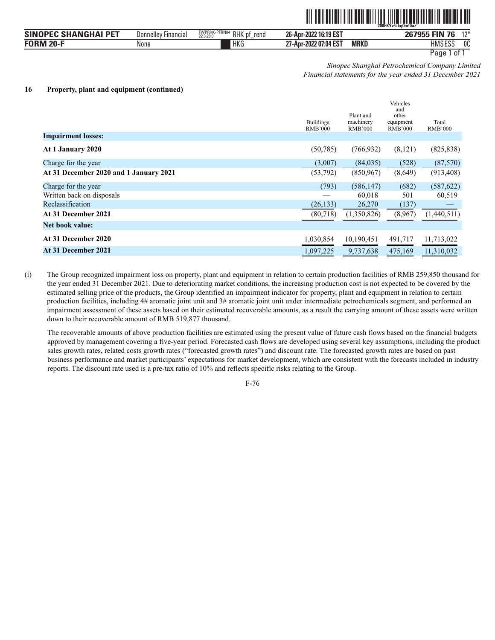| <b>PFT</b><br><b>SINOPEC SHANGHAI</b> | Financia.<br>Donnelley | -PFRN0<br><b>FWPRHK</b><br>RHK<br>rend<br>n1<br>22.3.29.0<br>u | 16:19 EST<br>26-Apr-2022                | FIBL 30<br>$12*$<br>ACJAFF<br>FIN<br>ruh.<br>/b<br>∠u ' |
|---------------------------------------|------------------------|----------------------------------------------------------------|-----------------------------------------|---------------------------------------------------------|
| <b>FORM</b><br>$120-F$                | None                   | HKG                                                            | mrkd<br>2 07:04 ES1<br>$-2022$<br>/-Apr | <b>HMSESS</b><br>0C                                     |
|                                       |                        |                                                                |                                         | . 1<br>- -                                              |

*Sinopec Shanghai Petrochemical Company Limited Financial statements for the year ended 31 December 2021*

### **16 Property, plant and equipment (continued)**

|                                        | <b>Buildings</b><br><b>RMB'000</b> | Plant and<br>machinery<br><b>RMB'000</b> | Vehicles<br>and<br>other<br>equipment<br><b>RMB'000</b> | Total<br><b>RMB'000</b> |
|----------------------------------------|------------------------------------|------------------------------------------|---------------------------------------------------------|-------------------------|
| <b>Impairment losses:</b>              |                                    |                                          |                                                         |                         |
| At 1 January 2020                      | (50, 785)                          | (766, 932)                               | (8,121)                                                 | (825, 838)              |
| Charge for the year                    | (3,007)                            | (84,035)                                 | (528)                                                   | (87,570)                |
| At 31 December 2020 and 1 January 2021 | (53, 792)                          | (850, 967)                               | (8,649)                                                 | (913, 408)              |
| Charge for the year                    | (793)                              | (586, 147)                               | (682)                                                   | (587, 622)              |
| Written back on disposals              |                                    | 60,018                                   | 501                                                     | 60,519                  |
| Reclassification                       | (26, 133)                          | 26,270                                   | (137)                                                   |                         |
| At 31 December 2021                    | (80,718)                           | (1,350,826)                              | (8,967)                                                 | (1,440,511)             |
| Net book value:                        |                                    |                                          |                                                         |                         |
| At 31 December 2020                    | 1,030,854                          | 10,190,451                               | 491,717                                                 | 11,713,022              |
| At 31 December 2021                    | 1,097,225                          | 9,737,638                                | 475,169                                                 | 11,310,032              |

(i) The Group recognized impairment loss on property, plant and equipment in relation to certain production facilities of RMB 259,850 thousand for the year ended 31 December 2021. Due to deteriorating market conditions, the increasing production cost is not expected to be covered by the estimated selling price of the products, the Group identified an impairment indicator for property, plant and equipment in relation to certain production facilities, including 4# aromatic joint unit and 3# aromatic joint unit under intermediate petrochemicals segment, and performed an impairment assessment of these assets based on their estimated recoverable amounts, as a result the carrying amount of these assets were written down to their recoverable amount of RMB 519,877 thousand.

The recoverable amounts of above production facilities are estimated using the present value of future cash flows based on the financial budgets approved by management covering a five-year period. Forecasted cash flows are developed using several key assumptions, including the product sales growth rates, related costs growth rates ("forecasted growth rates") and discount rate. The forecasted growth rates are based on past business performance and market participants' expectations for market development, which are consistent with the forecasts included in industry reports. The discount rate used is a pre-tax ratio of 10% and reflects specific risks relating to the Group.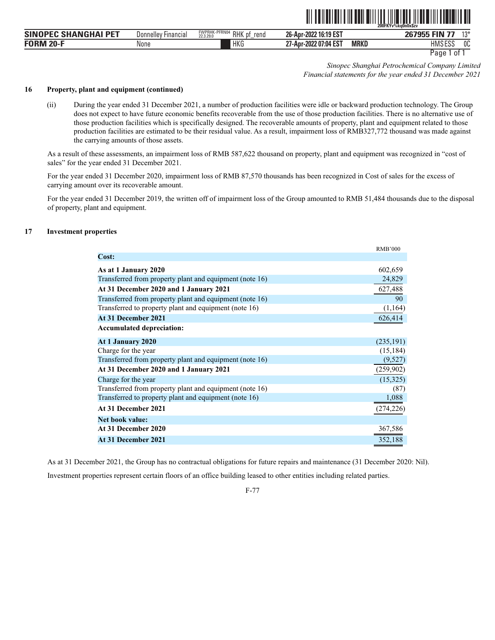| <b>SINOPEC SHANGHAI PET</b> | ⊦ınancıal<br><b>Donnelley</b> | -PFRN0<br><b>FWPRHK-</b><br><b>RHK</b><br>rend<br>DŤ<br>22.3.29.0 | 16:19 EST<br>ne.<br>$-2027$<br>Zb-Apr-        | ------<br><u>ACJAFF</u><br>ΊN | $12*$<br>ں ו |
|-----------------------------|-------------------------------|-------------------------------------------------------------------|-----------------------------------------------|-------------------------------|--------------|
| FORM<br>$20-F$              | None                          | <b>HKG</b>                                                        | MRKD<br>207:04 EST<br>.202<br>/-Abr<br>1 LO 1 | <b>HMSESS</b>                 | $\sim$<br>υu |
|                             |                               |                                                                   |                                               |                               |              |

*Sinopec Shanghai Petrochemical Company Limited Financial statements for the year ended 31 December 2021*

### **16 Property, plant and equipment (continued)**

(ii) During the year ended 31 December 2021, a number of production facilities were idle or backward production technology. The Group does not expect to have future economic benefits recoverable from the use of those production facilities. There is no alternative use of those production facilities which is specifically designed. The recoverable amounts of property, plant and equipment related to those production facilities are estimated to be their residual value. As a result, impairment loss of RMB327,772 thousand was made against the carrying amounts of those assets.

As a result of these assessments, an impairment loss of RMB 587,622 thousand on property, plant and equipment was recognized in "cost of sales" for the year ended 31 December 2021.

For the year ended 31 December 2020, impairment loss of RMB 87,570 thousands has been recognized in Cost of sales for the excess of carrying amount over its recoverable amount.

For the year ended 31 December 2019, the written off of impairment loss of the Group amounted to RMB 51,484 thousands due to the disposal of property, plant and equipment.

### **17 Investment properties**

|                                                         | <b>RMB'000</b> |
|---------------------------------------------------------|----------------|
| Cost:                                                   |                |
| As at 1 January 2020                                    | 602,659        |
| Transferred from property plant and equipment (note 16) | 24,829         |
| At 31 December 2020 and 1 January 2021                  | 627,488        |
| Transferred from property plant and equipment (note 16) | 90             |
| Transferred to property plant and equipment (note 16)   | (1,164)        |
| At 31 December 2021                                     | 626,414        |
| <b>Accumulated depreciation:</b>                        |                |
| At 1 January 2020                                       | (235, 191)     |
| Charge for the year                                     | (15, 184)      |
| Transferred from property plant and equipment (note 16) | (9,527)        |
| At 31 December 2020 and 1 January 2021                  | (259, 902)     |
| Charge for the year                                     | (15,325)       |
| Transferred from property plant and equipment (note 16) | (87)           |
| Transferred to property plant and equipment (note 16)   | 1,088          |
| At 31 December 2021                                     | (274, 226)     |
| <b>Net book value:</b>                                  |                |
| At 31 December 2020                                     | 367,586        |
| At 31 December 2021                                     | 352,188        |

As at 31 December 2021, the Group has no contractual obligations for future repairs and maintenance (31 December 2020: Nil). Investment properties represent certain floors of an office building leased to other entities including related parties.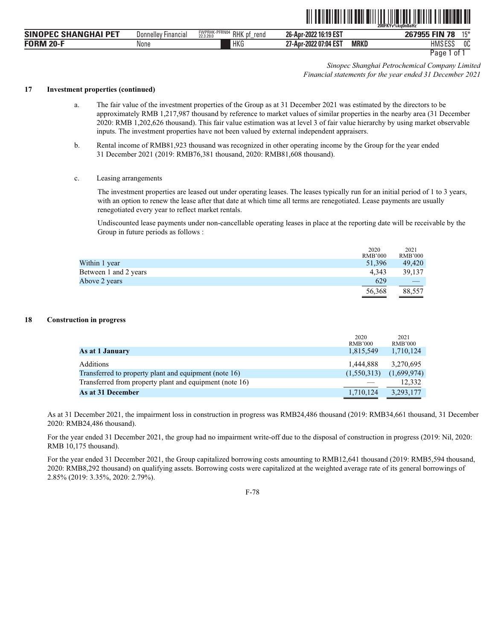| : SHANGHAI PFT<br><b>CINIODEC</b> | <b>Financial</b><br>nellev<br>Jonr | -PFRN0<br><b>FWPRHK</b><br>RHK<br>rend<br>n1<br>22.3.29.0<br>u | 16:19 EST<br>$-2022$<br>Zb-Apr |      | <b>CLAIM</b><br>78<br><b>003055-</b><br>FIN<br>7u<br>∠u. | $1E*$<br>. J |
|-----------------------------------|------------------------------------|----------------------------------------------------------------|--------------------------------|------|----------------------------------------------------------|--------------|
| FUBM<br>$20-F$                    | None                               | HKG                                                            | ? 07:04 ES1<br>-2027<br>/-Apr  | mrkd | <b>HMSESS</b>                                            | 0C           |
|                                   |                                    |                                                                |                                |      |                                                          |              |

*Sinopec Shanghai Petrochemical Company Limited Financial statements for the year ended 31 December 2021*

### **17 Investment properties (continued)**

- a. The fair value of the investment properties of the Group as at 31 December 2021 was estimated by the directors to be approximately RMB 1,217,987 thousand by reference to market values of similar properties in the nearby area (31 December 2020: RMB 1,202,626 thousand). This fair value estimation was at level 3 of fair value hierarchy by using market observable inputs. The investment properties have not been valued by external independent appraisers.
- b. Rental income of RMB81,923 thousand was recognized in other operating income by the Group for the year ended 31 December 2021 (2019: RMB76,381 thousand, 2020: RMB81,608 thousand).
- c. Leasing arrangements

The investment properties are leased out under operating leases. The leases typically run for an initial period of 1 to 3 years, with an option to renew the lease after that date at which time all terms are renegotiated. Lease payments are usually renegotiated every year to reflect market rentals.

Undiscounted lease payments under non-cancellable operating leases in place at the reporting date will be receivable by the Group in future periods as follows :

|                       | 2020           | 2021    |
|-----------------------|----------------|---------|
|                       | <b>RMB'000</b> | RMB'000 |
| Within 1 year         | 51.396         | 49.420  |
| Between 1 and 2 years | 4.343          | 39.137  |
| Above 2 years         | 629            | $-\,$   |
|                       | 56.368         | 88.557  |

### **18 Construction in progress**

|                                                         | 2020<br><b>RMB'000</b> | 2021<br>RMB'000 |
|---------------------------------------------------------|------------------------|-----------------|
| As at 1 January                                         | 1,815,549              | 1,710,124       |
| <b>Additions</b>                                        | 1.444.888              | 3.270.695       |
| Transferred to property plant and equipment (note 16)   | (1,550,313)            | (1,699,974)     |
| Transferred from property plant and equipment (note 16) |                        | 12.332          |
| As at 31 December                                       | 1,710,124              | 3,293,177       |

As at 31 December 2021, the impairment loss in construction in progress was RMB24,486 thousand (2019: RMB34,661 thousand, 31 December 2020: RMB24,486 thousand).

For the year ended 31 December 2021, the group had no impairment write-off due to the disposal of construction in progress (2019: Nil, 2020: RMB 10,175 thousand).

For the year ended 31 December 2021, the Group capitalized borrowing costs amounting to RMB12,641 thousand (2019: RMB5,594 thousand, 2020: RMB8,292 thousand) on qualifying assets. Borrowing costs were capitalized at the weighted average rate of its general borrowings of 2.85% (2019: 3.35%, 2020: 2.79%).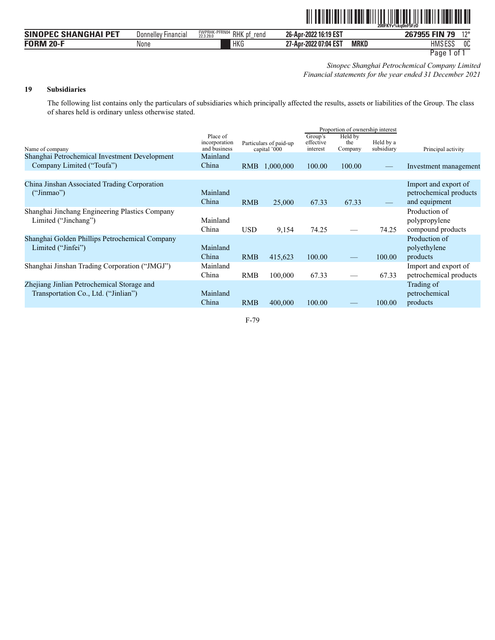

| <b>SINOPEC SHANGHAI</b><br>DET | ' Financial<br>Donnelley ! | FWPRHK-PFRN04<br><b>RHK</b><br>rena<br>000000<br>22.3.29.0 | -2022 16:19 EST<br>ባቦ<br>Zh-Anr-                | <b>FINL 70</b><br>00705 | 12 |
|--------------------------------|----------------------------|------------------------------------------------------------|-------------------------------------------------|-------------------------|----|
| <b>FORM 20-F</b>               | None                       | IUVC<br><b>HNU</b>                                         | MRKI<br>$\sim$<br>1207:04 F<br>-2022<br>'7-Anr- | $\cdots$<br>TIVIƏ EƏS   | 0C |
|                                |                            |                                                            |                                                 |                         |    |

Page 1 of 1

### **19 Subsidiaries**

The following list contains only the particulars of subsidiaries which principally affected the results, assets or liabilities of the Group. The class of shares held is ordinary unless otherwise stated.

|                                                |                                           |            |                                        |                                  | Proportion of ownership interest |                         |                        |
|------------------------------------------------|-------------------------------------------|------------|----------------------------------------|----------------------------------|----------------------------------|-------------------------|------------------------|
| Name of company                                | Place of<br>incorporation<br>and business |            | Particulars of paid-up<br>capital '000 | Group's<br>effective<br>interest | Held by<br>the<br>Company        | Held by a<br>subsidiary | Principal activity     |
| Shanghai Petrochemical Investment Development  | Mainland                                  |            |                                        |                                  |                                  |                         |                        |
| Company Limited ("Toufa")                      | China                                     | <b>RMB</b> | 1,000,000                              | 100.00                           | 100.00                           |                         | Investment management  |
|                                                |                                           |            |                                        |                                  |                                  |                         |                        |
| China Jinshan Associated Trading Corporation   |                                           |            |                                        |                                  |                                  |                         | Import and export of   |
| ("Jimmao")                                     | Mainland                                  |            |                                        |                                  |                                  |                         | petrochemical products |
|                                                | China                                     | <b>RMB</b> | 25,000                                 | 67.33                            | 67.33                            |                         | and equipment          |
| Shanghai Jinchang Engineering Plastics Company |                                           |            |                                        |                                  |                                  |                         | Production of          |
| Limited ("Jinchang")                           | Mainland                                  |            |                                        |                                  |                                  |                         | polypropylene          |
|                                                | China                                     | <b>USD</b> | 9,154                                  | 74.25                            |                                  | 74.25                   | compound products      |
| Shanghai Golden Phillips Petrochemical Company |                                           |            |                                        |                                  |                                  |                         | Production of          |
| Limited ("Jinfei")                             | Mainland                                  |            |                                        |                                  |                                  |                         | polyethylene           |
|                                                | China                                     | <b>RMB</b> | 415,623                                | 100.00                           |                                  | 100.00                  | products               |
| Shanghai Jinshan Trading Corporation ("JMGJ")  | Mainland                                  |            |                                        |                                  |                                  |                         | Import and export of   |
|                                                | China                                     | RMB        | 100,000                                | 67.33                            |                                  | 67.33                   | petrochemical products |
| Zhejiang Jinlian Petrochemical Storage and     |                                           |            |                                        |                                  |                                  |                         | Trading of             |
| Transportation Co., Ltd. ("Jinlian")           | Mainland                                  |            |                                        |                                  |                                  |                         | petrochemical          |
|                                                | China                                     | <b>RMB</b> | 400,000                                | 100.00                           |                                  | 100.00                  | products               |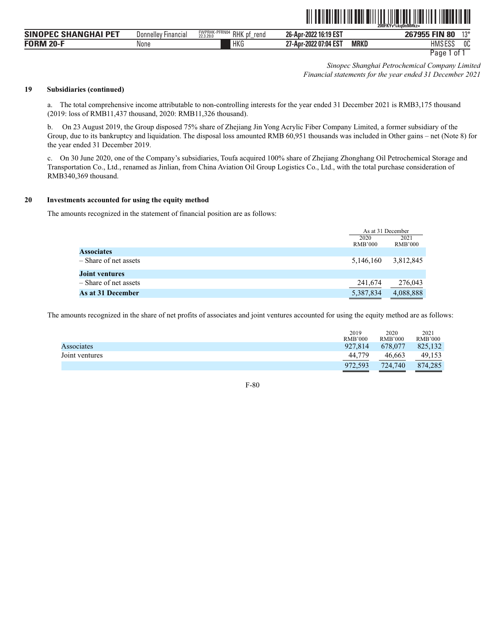| <b>PFT</b><br>HAI<br>'ANI.<br>৲ | Financia.<br>nellev<br>Donn | -PFRN0<br><b>FWPRHK</b><br>RHK<br>rend<br>nt.<br>22.3.29.0<br> | 16:19 EST<br>nn.<br>$-2022$<br>Zb-Apr- | <b>FIN 80</b><br><u>аслагг</u><br><i><b><i>r</i></b></i><br>ZU. | $12*$<br>u |
|---------------------------------|-----------------------------|----------------------------------------------------------------|----------------------------------------|-----------------------------------------------------------------|------------|
| <b>FORM 20-F</b>                | None                        | <b>HKG</b>                                                     | mrkd<br>? 07:04 ES1<br>-2027<br>/-Apr  | <b>HMSESS</b>                                                   | 0C         |
|                                 |                             |                                                                |                                        |                                                                 |            |

*Sinopec Shanghai Petrochemical Company Limited Financial statements for the year ended 31 December 2021*

### **19 Subsidiaries (continued)**

a. The total comprehensive income attributable to non-controlling interests for the year ended 31 December 2021 is RMB3,175 thousand (2019: loss of RMB11,437 thousand, 2020: RMB11,326 thousand).

b. On 23 August 2019, the Group disposed 75% share of Zhejiang Jin Yong Acrylic Fiber Company Limited, a former subsidiary of the Group, due to its bankruptcy and liquidation. The disposal loss amounted RMB 60,951 thousands was included in Other gains – net (Note 8) for the year ended 31 December 2019.

c. On 30 June 2020, one of the Company's subsidiaries, Toufa acquired 100% share of Zhejiang Zhonghang Oil Petrochemical Storage and Transportation Co., Ltd., renamed as Jinlian, from China Aviation Oil Group Logistics Co., Ltd., with the total purchase consideration of RMB340,369 thousand.

### **20 Investments accounted for using the equity method**

The amounts recognized in the statement of financial position are as follows:

|                       | As at 31 December |                        |
|-----------------------|-------------------|------------------------|
|                       | 2020<br>RMB'000   | 2021<br><b>RMB'000</b> |
| <b>Associates</b>     |                   |                        |
| - Share of net assets | 5,146,160         | 3,812,845              |
| <b>Joint ventures</b> |                   |                        |
| - Share of net assets | 241,674           | 276,043                |
| As at 31 December     | 5,387,834         | 4,088,888              |

The amounts recognized in the share of net profits of associates and joint ventures accounted for using the equity method are as follows:

|                | 2019<br><b>RMB'000</b> | 2020<br><b>RMB'000</b> | 2021<br><b>RMB'000</b>                                                                                                                                                                                                               |
|----------------|------------------------|------------------------|--------------------------------------------------------------------------------------------------------------------------------------------------------------------------------------------------------------------------------------|
| Associates     | 927,814                | 678,077                | 825,132                                                                                                                                                                                                                              |
| Joint ventures | 44.779                 | 46.663                 | 49,153                                                                                                                                                                                                                               |
|                | 972,593                | 724,740                | 874,285                                                                                                                                                                                                                              |
|                | ______                 | _______                | <u> The Common School Common School Common School Common School Common School Common School Common School Common School Common School Common School Common School Common School Common School Common School Common School Common</u> |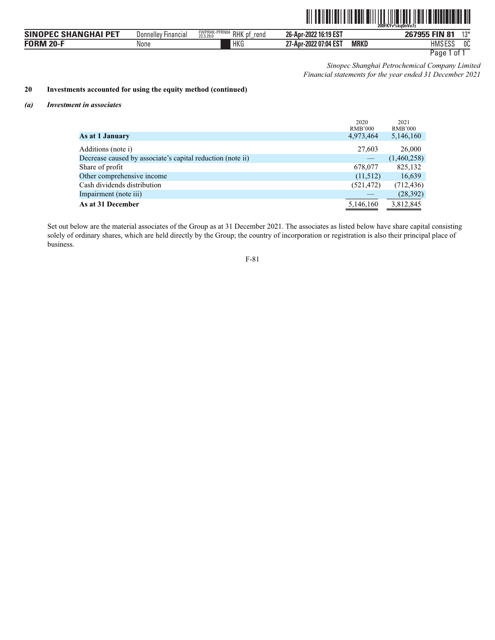

| .<br>CINIODEC<br>DET<br><b>CHAL</b> | ' Financial<br>Donnel' | -PFRN0<br><b>FWPRHK-</b><br><b>RHK</b><br>rend<br>рt<br>22.3.29.0 | <b>-2022 16:19 EST</b><br>ባቦ<br>26-Apr-               |             | <b>FIBLOS</b><br><b>OCTOF</b>              | $12*$<br>ט ו |
|-------------------------------------|------------------------|-------------------------------------------------------------------|-------------------------------------------------------|-------------|--------------------------------------------|--------------|
| FUBM<br>$20-F$                      | None                   | HKG                                                               | 67<br>1207.04 F<br>nnnn n<br>'/-Apr-<br>$\frac{1}{2}$ | <b>MRKD</b> | <b>IIMO FOO</b><br>ו כועוד<br>$\mathbf{L}$ | 0C           |
|                                     |                        |                                                                   |                                                       |             | --                                         |              |

*Sinopec Shanghai Petrochemical Company Limited Financial statements for the year ended 31 December 2021*

### **20 Investments accounted for using the equity method (continued)**

### *(a) Investment in associates*

|                                                            | 2020<br><b>RMB'000</b> | 2021<br>RMB'000 |
|------------------------------------------------------------|------------------------|-----------------|
| As at 1 January                                            | 4,973,464              | 5,146,160       |
| Additions (note i)                                         | 27,603                 | 26,000          |
| Decrease caused by associate's capital reduction (note ii) |                        | (1,460,258)     |
| Share of profit                                            | 678,077                | 825,132         |
| Other comprehensive income                                 | (11,512)               | 16,639          |
| Cash dividends distribution                                | (521, 472)             | (712, 436)      |
| Impairment (note iii)                                      |                        | (28, 392)       |
| As at 31 December                                          | 5,146,160              | 3,812,845       |

Set out below are the material associates of the Group as at 31 December 2021. The associates as listed below have share capital consisting solely of ordinary shares, which are held directly by the Group; the country of incorporation or registration is also their principal place of business.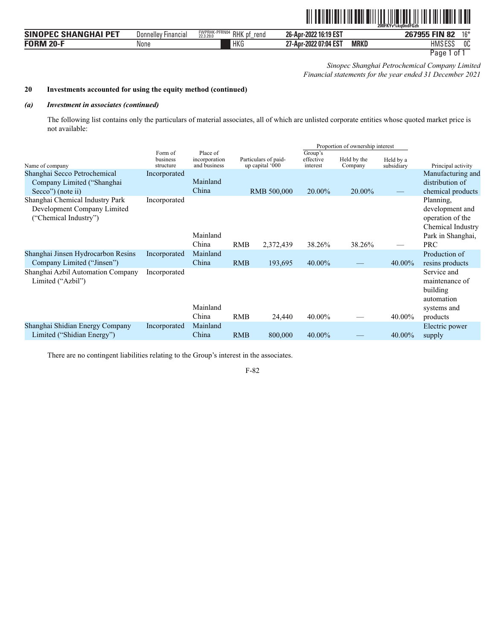

| <b>SINOPEC SHANGHAI PET</b> | Donnelley Financial | -PFRN0<br><b>FWPRHK</b><br>RHK<br>rend<br>рt<br>22.3.29.0 | 216:19 EST<br>26-Apr-2022                                                    | <b>FIBLOS</b><br>$16*$<br>FIN<br>/uhl<br>Ω, |
|-----------------------------|---------------------|-----------------------------------------------------------|------------------------------------------------------------------------------|---------------------------------------------|
| FORM<br>$20-F$              | None                | <b>HKG</b>                                                | <b>MRKD</b><br>$\sim$<br>2 07:04 EST<br>-202<br>$\epsilon$ - Apr- $\epsilon$ | <b>HMSESS</b><br>0C                         |
|                             |                     |                                                           |                                                                              | . 1<br>- -                                  |

Page 1 of 1

### **20 Investments accounted for using the equity method (continued)**

### *(a) Investment in associates (continued)*

The following list contains only the particulars of material associates, all of which are unlisted corporate entities whose quoted market price is not available:

|                                                                                         |                                  |                                           |            |                                         |                                  | Proportion of ownership interest |                         |                                                                                                          |
|-----------------------------------------------------------------------------------------|----------------------------------|-------------------------------------------|------------|-----------------------------------------|----------------------------------|----------------------------------|-------------------------|----------------------------------------------------------------------------------------------------------|
| Name of company                                                                         | Form of<br>business<br>structure | Place of<br>incorporation<br>and business |            | Particulars of paid-<br>up capital '000 | Group's<br>effective<br>interest | Held by the<br>Company           | Held by a<br>subsidiary | Principal activity                                                                                       |
| Shanghai Secco Petrochemical<br>Company Limited ("Shanghai<br>Secco") (note ii)         | Incorporated                     | Mainland<br>China                         |            | <b>RMB 500,000</b>                      | 20.00%                           | 20.00%                           |                         | Manufacturing and<br>distribution of<br>chemical products                                                |
| Shanghai Chemical Industry Park<br>Development Company Limited<br>("Chemical Industry") | Incorporated                     | Mainland<br>China                         | <b>RMB</b> | 2,372,439                               | 38.26%                           | 38.26%                           |                         | Planning,<br>development and<br>operation of the<br>Chemical Industry<br>Park in Shanghai,<br><b>PRC</b> |
| Shanghai Jinsen Hydrocarbon Resins<br>Company Limited ("Jinsen")                        | Incorporated                     | Mainland<br>China                         | <b>RMB</b> | 193,695                                 | 40.00%                           |                                  | 40.00%                  | Production of<br>resins products                                                                         |
| Shanghai Azbil Automation Company<br>Limited ("Azbil")                                  | Incorporated                     | Mainland<br>China                         | <b>RMB</b> | 24,440                                  | 40.00%                           |                                  | $40.00\%$               | Service and<br>maintenance of<br>building<br>automation<br>systems and<br>products                       |
| Shanghai Shidian Energy Company<br>Limited ("Shidian Energy")                           | Incorporated                     | Mainland<br>China                         | <b>RMB</b> | 800,000                                 | $40.00\%$                        |                                  | 40.00%                  | Electric power<br>supply                                                                                 |
|                                                                                         |                                  |                                           |            |                                         |                                  |                                  |                         |                                                                                                          |

There are no contingent liabilities relating to the Group's interest in the associates.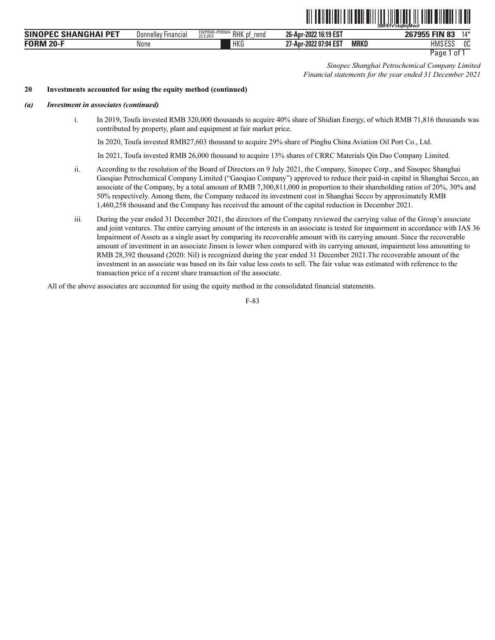

| <b>SINOPEC SHANGHAI</b><br><b>DET</b> | -ınancıal<br>Donnellev | <b>PERNO</b><br><b>FWPRHK-</b><br><b>RHK</b><br><b>TIMBU</b><br>eno.<br>22.3.29.0<br>- | 16:19 EST<br>26-Apr-2022<br>13 L J                    | $\sim$ FIRE OF            | $11*$ |
|---------------------------------------|------------------------|----------------------------------------------------------------------------------------|-------------------------------------------------------|---------------------------|-------|
| י הר<br>FORM                          | None                   | HKG                                                                                    | MRKI<br><b>07:04 EST</b><br>-2022<br>∕ I-Anr-∵<br>LJ. | $\mathbf{R}$<br>טסם טועוד | 0C    |
|                                       |                        |                                                                                        |                                                       |                           |       |

*Sinopec Shanghai Petrochemical Company Limited Financial statements for the year ended 31 December 2021*

### **20 Investments accounted for using the equity method (continued)**

### *(a) Investment in associates (continued)*

i. In 2019, Toufa invested RMB 320,000 thousands to acquire 40% share of Shidian Energy, of which RMB 71,816 thousands was contributed by property, plant and equipment at fair market price.

In 2020, Toufa invested RMB27,603 thousand to acquire 29% share of Pinghu China Aviation Oil Port Co., Ltd.

In 2021, Toufa invested RMB 26,000 thousand to acquire 13% shares of CRRC Materials Qin Dao Company Limited.

- ii. According to the resolution of the Board of Directors on 9 July 2021, the Company, Sinopec Corp., and Sinopec Shanghai Gaoqiao Petrochemical Company Limited ("Gaoqiao Company") approved to reduce their paid-in capital in Shanghai Secco, an associate of the Company, by a total amount of RMB 7,300,811,000 in proportion to their shareholding ratios of 20%, 30% and 50% respectively. Among them, the Company reduced its investment cost in Shanghai Secco by approximately RMB 1,460,258 thousand and the Company has received the amount of the capital reduction in December 2021.
- iii. During the year ended 31 December 2021, the directors of the Company reviewed the carrying value of the Group's associate and joint ventures. The entire carrying amount of the interests in an associate is tested for impairment in accordance with IAS 36 Impairment of Assets as a single asset by comparing its recoverable amount with its carrying amount. Since the recoverable amount of investment in an associate Jinsen is lower when compared with its carrying amount, impairment loss amounting to RMB 28,392 thousand (2020: Nil) is recognized during the year ended 31 December 2021.The recoverable amount of the investment in an associate was based on its fair value less costs to sell. The fair value was estimated with reference to the transaction price of a recent share transaction of the associate.

All of the above associates are accounted for using the equity method in the consolidated financial statements.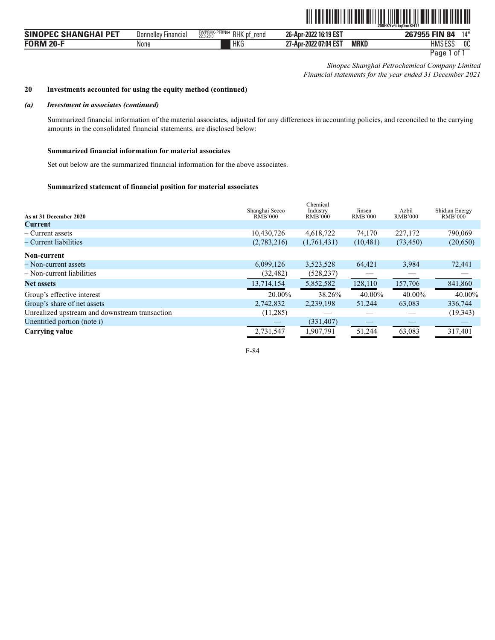

| <b>SINOPFC SHANGHAI</b><br>DET | Financial<br>Donne | -PFRN0<br><b>FWPRHK</b><br><b>RHK</b><br>rend<br>n1<br>22,3,29.0 | 16:19 ES1<br>$-2027$<br>Zb-Apr-1                                   | ----<br>84<br>'IN | $14*$        |
|--------------------------------|--------------------|------------------------------------------------------------------|--------------------------------------------------------------------|-------------------|--------------|
| <b>FORM 20-F</b>               | None               | HKG                                                              | <b>MRKD</b><br>$\sim$ 07:04 F <sup>or</sup><br>$-2022$<br>$7$ /-An | <b>HMSESS</b>     | $\sim$<br>υu |
|                                |                    |                                                                  |                                                                    |                   |              |

*Sinopec Shanghai Petrochemical Company Limited Financial statements for the year ended 31 December 2021*

### **20 Investments accounted for using the equity method (continued)**

### *(a) Investment in associates (continued)*

Summarized financial information of the material associates, adjusted for any differences in accounting policies, and reconciled to the carrying amounts in the consolidated financial statements, are disclosed below:

### **Summarized financial information for material associates**

Set out below are the summarized financial information for the above associates.

### **Summarized statement of financial position for material associates**

| Current<br>10,430,726<br>4,618,722<br>227,172<br>790,069<br>74,170<br>$-$ Current assets<br>- Current liabilities<br>(2,783,216)<br>(1,761,431)<br>(73, 450)<br>(20, 650)<br>(10, 481)<br>Non-current<br>3,523,528<br>6,099,126<br>3,984<br>64,421<br>72,441<br>- Non-current assets<br>$-$ Non-current liabilities<br>(32, 482)<br>(528, 237)<br>128,110<br>157,706<br>13,714,154<br>5,852,582<br>841,860<br><b>Net assets</b><br>20.00%<br>40.00%<br>38.26%<br>$40.00\%$<br>40.00%<br>Group's effective interest<br>Group's share of net assets<br>2,742,832<br>2,239,198<br>336,744<br>51,244<br>63,083 |
|------------------------------------------------------------------------------------------------------------------------------------------------------------------------------------------------------------------------------------------------------------------------------------------------------------------------------------------------------------------------------------------------------------------------------------------------------------------------------------------------------------------------------------------------------------------------------------------------------------|
|                                                                                                                                                                                                                                                                                                                                                                                                                                                                                                                                                                                                            |
|                                                                                                                                                                                                                                                                                                                                                                                                                                                                                                                                                                                                            |
|                                                                                                                                                                                                                                                                                                                                                                                                                                                                                                                                                                                                            |
|                                                                                                                                                                                                                                                                                                                                                                                                                                                                                                                                                                                                            |
|                                                                                                                                                                                                                                                                                                                                                                                                                                                                                                                                                                                                            |
|                                                                                                                                                                                                                                                                                                                                                                                                                                                                                                                                                                                                            |
|                                                                                                                                                                                                                                                                                                                                                                                                                                                                                                                                                                                                            |
|                                                                                                                                                                                                                                                                                                                                                                                                                                                                                                                                                                                                            |
|                                                                                                                                                                                                                                                                                                                                                                                                                                                                                                                                                                                                            |
| Unrealized upstream and downstream transaction<br>(11,285)<br>(19, 343)                                                                                                                                                                                                                                                                                                                                                                                                                                                                                                                                    |
| Unentitled portion (note i)<br>(331, 407)                                                                                                                                                                                                                                                                                                                                                                                                                                                                                                                                                                  |
| 51,244<br>2,731,547<br>1,907,791<br>63,083<br>317,401<br>Carrying value                                                                                                                                                                                                                                                                                                                                                                                                                                                                                                                                    |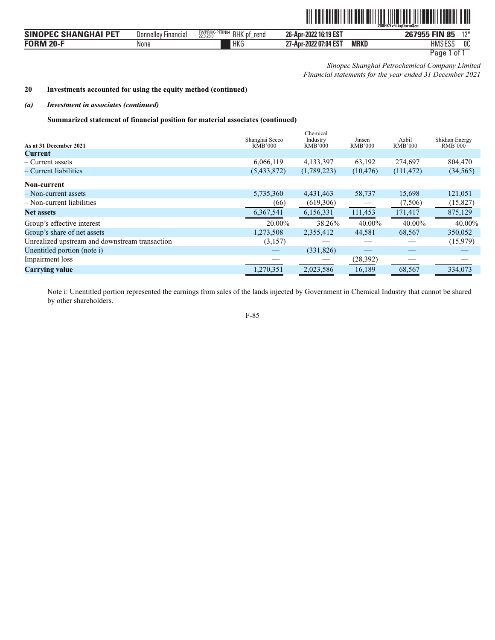| <b>SINOPEC SHANGHAI PET</b> | inancial<br>Jor<br>inellev | <b>FWPRHK-PFRN0</b><br>RHK<br>rend<br>n1<br>22,3,29.0 | -2022 16:19 EST<br>26-Apr                                               | <b>FIBLOF</b><br>SCJOEE      | 12 |
|-----------------------------|----------------------------|-------------------------------------------------------|-------------------------------------------------------------------------|------------------------------|----|
| FORM<br>$20-F$              | None                       | <b>HKG</b>                                            | MRKD<br><b>CLOSE CO</b><br>nп<br>-202<br>$^{\circ}$ 07:04 ES .<br>7-Anr | <b>IIMO FOO</b><br>MINIO EOS | 0C |
|                             |                            |                                                       |                                                                         |                              |    |

*Sinopec Shanghai Petrochemical Company Limited Financial statements for the year ended 31 December 2021*

### **20 Investments accounted for using the equity method (continued)**

### *(a) Investment in associates (continued)*

**Summarized statement of financial position for material associates (continued)**

| As at 31 December 2021                         | Shanghai Secco<br><b>RMB'000</b> | Chemical<br>Industry<br><b>RMB'000</b> | Jinsen<br><b>RMB'000</b> | Azbil<br><b>RMB'000</b> | Shidian Energy<br><b>RMB'000</b> |
|------------------------------------------------|----------------------------------|----------------------------------------|--------------------------|-------------------------|----------------------------------|
| Current                                        |                                  |                                        |                          |                         |                                  |
| – Current assets                               | 6,066,119                        | 4,133,397                              | 63,192                   | 274,697                 | 804,470                          |
| $-$ Current liabilities                        | (5,433,872)                      | (1,789,223)                            | (10, 476)                | (111, 472)              | (34, 565)                        |
| Non-current                                    |                                  |                                        |                          |                         |                                  |
| - Non-current assets                           | 5,735,360                        | 4,431,463                              | 58,737                   | 15,698                  | 121,051                          |
| - Non-current liabilities                      | (66)                             | (619,306)                              |                          | (7,506)                 | (15,827)                         |
| <b>Net assets</b>                              | 6,367,541                        | 6,156,331                              | 111,453                  | 171,417                 | 875,129                          |
| Group's effective interest                     | 20.00%                           | 38.26%                                 | 40.00%                   | 40.00%                  | 40.00%                           |
| Group's share of net assets                    | 1,273,508                        | 2,355,412                              | 44,581                   | 68,567                  | 350,052                          |
| Unrealized upstream and downstream transaction | (3,157)                          |                                        |                          |                         | (15,979)                         |
| Unentitled portion (note i)                    |                                  | (331, 826)                             |                          |                         |                                  |
| Impairment loss                                |                                  |                                        | (28, 392)                |                         |                                  |
| <b>Carrying value</b>                          | 1,270,351                        | 2,023,586                              | 16,189                   | 68,567                  | 334,073                          |

Note i: Unentitled portion represented the earnings from sales of the lands injected by Government in Chemical Industry that cannot be shared by other shareholders.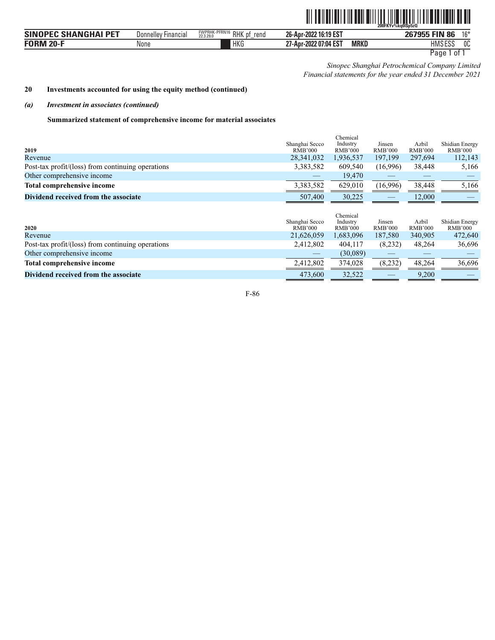| <b>DET</b><br><b>G SHANGHA'</b><br><b>OILIODEO</b> | Financial<br>Donn<br>۱۱۵۷ | $-$ PFRN16<br><b>FWPRHK-F</b><br>RHK<br>rend<br>рt<br>22.3.29.0 | -2022 16:19 EST<br>nr<br>26-Apr-             | EIN OC<br>267951<br>'n<br>oo      | $16*$ |
|----------------------------------------------------|---------------------------|-----------------------------------------------------------------|----------------------------------------------|-----------------------------------|-------|
| FUBM<br>$20-F$                                     | None                      | <b>HKG</b>                                                      | MRKI<br>$\sim$<br>-2022 07:04 EST<br>'/-Apr- | $\cdots$ $\cdots$<br>סועור<br>டபட | 0C    |
|                                                    |                           |                                                                 |                                              |                                   |       |

*Sinopec Shanghai Petrochemical Company Limited Financial statements for the year ended 31 December 2021*

### **20 Investments accounted for using the equity method (continued)**

### *(a) Investment in associates (continued)*

**Summarized statement of comprehensive income for material associates**

|                                                   |                                | Chemical  |          |                |                |
|---------------------------------------------------|--------------------------------|-----------|----------|----------------|----------------|
|                                                   | Shanghai Secco                 | Industry  | Jinsen   | Azbil          | Shidian Energy |
| 2019                                              | RMB'000                        | RMB'000   | RMB'000  | <b>RMB'000</b> | RMB'000        |
| Revenue                                           | 28, 341, 032                   | 1,936,537 | 197.199  | 297.694        | 112,143        |
| Post-tax profit/(loss) from continuing operations | 3,383,582                      | 609.540   | (16.996) | 38,448         | 5,166          |
| Other comprehensive income                        | $\overbrace{\hspace{25mm}}^{}$ | 19.470    |          |                |                |
| <b>Total comprehensive income</b>                 | 3,383,582                      | 629,010   | (16.996) | 38,448         | 5,166          |
| Dividend received from the associate              | 507,400                        | 30,225    |          | 12.000         |                |

| 2020                                              | Shanghai Secco<br><b>RMB'000</b> | Chemical<br>Industry<br><b>RMB'000</b> | Jinsen<br>RMB'000 | Azbil<br><b>RMB'000</b> | Shidian Energy<br>RMB'000 |
|---------------------------------------------------|----------------------------------|----------------------------------------|-------------------|-------------------------|---------------------------|
| Revenue                                           | 21,626,059                       | 1,683,096                              | 187,580           | 340,905                 | 472,640                   |
| Post-tax profit/(loss) from continuing operations | 2,412,802                        | 404,117                                | (8,232)           | 48,264                  | 36,696                    |
| Other comprehensive income                        |                                  | (30,089)                               |                   |                         |                           |
| Total comprehensive income                        | 2,412,802                        | 374.028                                | (8,232)           | 48.264                  | 36,696                    |
| Dividend received from the associate              | 473,600                          | 32.522                                 |                   | 9.200                   |                           |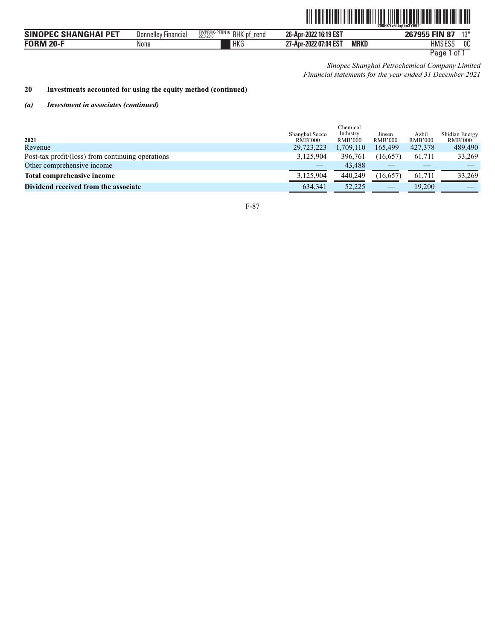### ▌▎▏▌▊▌▏▊▌▎▌▌▎▌▏▏▏▌▊▋▎▐▌▎▏▏▏▏<sub>200FK</sub>y<sub>v%kq0m3</sub>y<sub>MT</sub>.

| <b>SINOPEC SHANGHAI PET</b> | Donnellev<br>-ınancıal | -PFRN1<br><b>FWPRHK-</b><br>RHK<br>rena<br>nt<br>22,3,29.0 | .16:19 EST<br>nr<br>$-202o$<br>26-Apr       |             | $-$ FIRE $-$<br>רו∽<br>-0<br>n | 10 <sup>3</sup> |
|-----------------------------|------------------------|------------------------------------------------------------|---------------------------------------------|-------------|--------------------------------|-----------------|
| <b>FORM 20-F</b>            | None                   | <b>HKG</b>                                                 | 1.01 E27<br>-2021<br>!/-Abr<br>' U/.U4 E3 I | <b>MRKD</b> | <b>HMSESS</b>                  | $\sim$<br>υu    |
|                             |                        |                                                            |                                             |             |                                |                 |

Page 1 of 1

*Sinopec Shanghai Petrochemical Company Limited Financial statements for the year ended 31 December 2021*

### **20 Investments accounted for using the equity method (continued)**

### *(a) Investment in associates (continued)*

|                                                   |                | Chemical  |          |                |                |
|---------------------------------------------------|----------------|-----------|----------|----------------|----------------|
|                                                   | Shanghai Secco | Industry  | Jinsen   | Azbil          | Shidian Energy |
| 2021                                              | <b>RMB'000</b> | RMB'000   | RMB'000  | <b>RMB'000</b> | RMB'000        |
| Revenue                                           | 29,723,223     | 1,709,110 | 165,499  | 427,378        | 489,490        |
| Post-tax profit/(loss) from continuing operations | 3.125.904      | 396.761   | (16.657) | 61.711         | 33,269         |
| Other comprehensive income                        |                | 43.488    |          |                |                |
| Total comprehensive income                        | 3.125.904      | 440.249   | (16.657) | 61.711         | 33.269         |
| Dividend received from the associate              | 634.341        | 52,225    |          | 19.200         |                |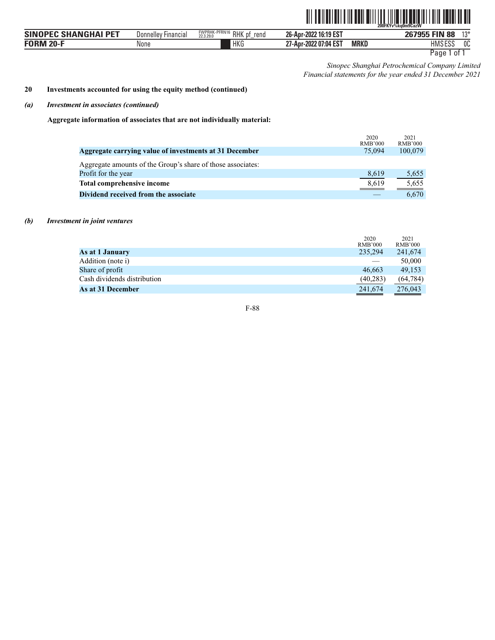

| <b>SINOPFC SHANGHAI PFT</b> | -ınancıal<br>Donnellev | -PFRN16<br><b>FWPRHK-F</b><br><b>RHK</b><br>rend<br>DŤ<br>22.3.29.0 | <b>16.10 ECT</b><br>26-Apr-<br>$-2022$<br>' 16.<br>. I J L J       | EIN 00<br>IN<br>n<br>00  | $12*$<br>ט ו |
|-----------------------------|------------------------|---------------------------------------------------------------------|--------------------------------------------------------------------|--------------------------|--------------|
| FUBM<br>$20-F$              | None                   | HKG                                                                 | <b>MRKD</b><br>$\sim$<br><b>7.04 FOT</b><br>2 07:04 ES .<br>'/-Anr | <b>HMSESS</b><br>. د ∪ ب | 0C           |
|                             |                        |                                                                     |                                                                    |                          |              |

*Sinopec Shanghai Petrochemical Company Limited Financial statements for the year ended 31 December 2021*

**20 Investments accounted for using the equity method (continued)**

### *(a) Investment in associates (continued)*

**Aggregate information of associates that are not individually material:**

|                                                             | 2020    | 2021    |
|-------------------------------------------------------------|---------|---------|
|                                                             | RMB'000 | RMB'000 |
| Aggregate carrying value of investments at 31 December      | 75,094  | 100,079 |
| Aggregate amounts of the Group's share of those associates: |         |         |
| Profit for the year                                         | 8,619   | 5,655   |
| Total comprehensive income                                  | 8,619   | 5.655   |
| Dividend received from the associate                        |         | 6,670   |

### *(b) Investment in joint ventures*

|                             | 2020                          | 2021           |
|-----------------------------|-------------------------------|----------------|
|                             | RMB'000                       | <b>RMB'000</b> |
| As at 1 January             | 235.294                       | 241,674        |
| Addition (note i)           | $\overbrace{\phantom{12332}}$ | 50,000         |
| Share of profit             | 46.663                        | 49.153         |
| Cash dividends distribution | (40, 283)                     | (64, 784)      |
| As at 31 December           | 241,674                       | 276,043        |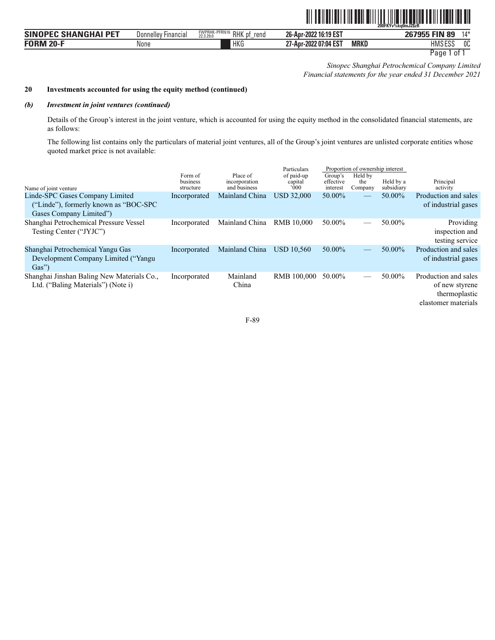

| <b>SINOPEC SHANGHAI PET</b> | <b>Financial</b><br>Donnelley | -PFRN16<br>RHK<br><b>FVVPRHK</b><br>rend<br>рt<br>22.3.29.0 | 16:19 EST<br>26-Apr-2<br>-2022                        | <b>FIN 89</b><br>/uh | 11 <sup>4</sup> |
|-----------------------------|-------------------------------|-------------------------------------------------------------|-------------------------------------------------------|----------------------|-----------------|
| FORM<br>$20-F$              | None                          | <b>HKG</b>                                                  | <b>MRKD</b><br>$-$<br>2 07:04 EST<br>$7 - \text{Anr}$ | <b>HMSESS</b>        | 0C              |
|                             |                               |                                                             |                                                       |                      |                 |

Page 1 of 1

### **20 Investments accounted for using the equity method (continued)**

### *(b) Investment in joint ventures (continued)*

Details of the Group's interest in the joint venture, which is accounted for using the equity method in the consolidated financial statements, are as follows:

The following list contains only the particulars of material joint ventures, all of the Group's joint ventures are unlisted corporate entities whose quoted market price is not available:

|                                                                                                     | Form of<br>business | Place of<br>incorporation | Particulars<br>of paid-up<br>capital | Group's<br>effective | Proportion of ownership interest<br>Held by<br>the | Held by a  | Principal                                                                      |
|-----------------------------------------------------------------------------------------------------|---------------------|---------------------------|--------------------------------------|----------------------|----------------------------------------------------|------------|--------------------------------------------------------------------------------|
| Name of joint venture                                                                               | structure           | and business              | $000^{\circ}$                        | interest             | Company                                            | subsidiary | activity                                                                       |
| Linde-SPC Gases Company Limited<br>("Linde"), formerly known as "BOC-SPC<br>Gases Company Limited") | Incorporated        | Mainland China            | <b>USD 32,000</b>                    | 50.00%               | $\overline{\phantom{m}}$                           | 50.00%     | Production and sales<br>of industrial gases                                    |
| Shanghai Petrochemical Pressure Vessel<br>Testing Center ("JYJC")                                   | Incorporated        | Mainland China            | <b>RMB</b> 10.000                    | 50.00%               |                                                    | 50.00%     | Providing<br>inspection and<br>testing service                                 |
| Shanghai Petrochemical Yangu Gas<br>Development Company Limited ("Yangu<br>Gas")                    | Incorporated        | Mainland China            | <b>USD 10.560</b>                    | 50.00%               |                                                    | 50.00%     | Production and sales<br>of industrial gases                                    |
| Shanghai Jinshan Baling New Materials Co.,<br>Ltd. ("Baling Materials") (Note i)                    | Incorporated        | Mainland<br>China         | RMB 100,000                          | 50.00%               |                                                    | 50.00%     | Production and sales<br>of new styrene<br>thermoplastic<br>elastomer materials |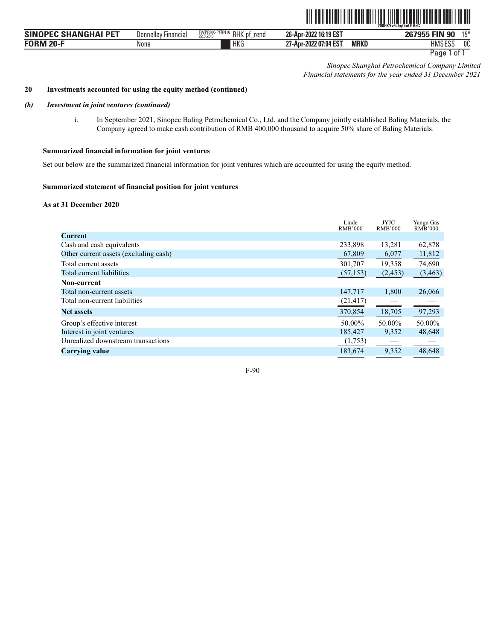

| <b>SINOPEC SHANGHAI</b><br><b>DET</b> | Financial<br>Donnel | $-$ PFRN1<br><b>FWPRHK-</b><br><b>DIIV</b><br>rend<br>KHN L<br>22.3.29.0 | 2 16:19 EST<br>ባሮ<br>$-2027$<br>26-Apr-                                            | <b>FIN 90</b><br>.70 <sub>E</sub><br>- הה<br>.w | $1E*$<br>$\cdot$ |
|---------------------------------------|---------------------|--------------------------------------------------------------------------|------------------------------------------------------------------------------------|-------------------------------------------------|------------------|
| FORM                                  | None                | HKG                                                                      | <b>MRKD</b><br>$1207.04 \, \text{F}^{\text{c}}$<br>$-$<br>Apr.<br>70Z<br><br>. LJ' | <b>UNACTOR</b><br>HIVID EDL                     | 0C               |
|                                       |                     |                                                                          |                                                                                    |                                                 |                  |

*Sinopec Shanghai Petrochemical Company Limited Financial statements for the year ended 31 December 2021*

### **20 Investments accounted for using the equity method (continued)**

### *(b) Investment in joint ventures (continued)*

i. In September 2021, Sinopec Baling Petrochemical Co., Ltd. and the Company jointly established Baling Materials, the Company agreed to make cash contribution of RMB 400,000 thousand to acquire 50% share of Baling Materials.

### **Summarized financial information for joint ventures**

Set out below are the summarized financial information for joint ventures which are accounted for using the equity method.

### **Summarized statement of financial position for joint ventures**

### **As at 31 December 2020**

|                                       | Linde<br><b>RMB'000</b> | JYJC<br><b>RMB'000</b> | Yangu Gas<br><b>RMB'000</b> |
|---------------------------------------|-------------------------|------------------------|-----------------------------|
| Current                               |                         |                        |                             |
| Cash and cash equivalents             | 233,898                 | 13,281                 | 62,878                      |
| Other current assets (excluding cash) | 67,809                  | 6,077                  | 11,812                      |
| Total current assets                  | 301.707                 | 19,358                 | 74,690                      |
| Total current liabilities             | (57, 153)               | (2, 453)               | (3, 463)                    |
| Non-current                           |                         |                        |                             |
| Total non-current assets              | 147,717                 | 1,800                  | 26,066                      |
| Total non-current liabilities         | (21, 417)               |                        |                             |
| <b>Net assets</b>                     | 370,854                 | 18,705                 | 97,293                      |
| Group's effective interest            | 50.00%                  | 50.00%                 | 50.00%                      |
| Interest in joint ventures            | 185,427                 | 9,352                  | 48,648                      |
| Unrealized downstream transactions    | (1,753)                 |                        |                             |
| Carrying value                        | 183,674                 | 9,352                  | 48,648                      |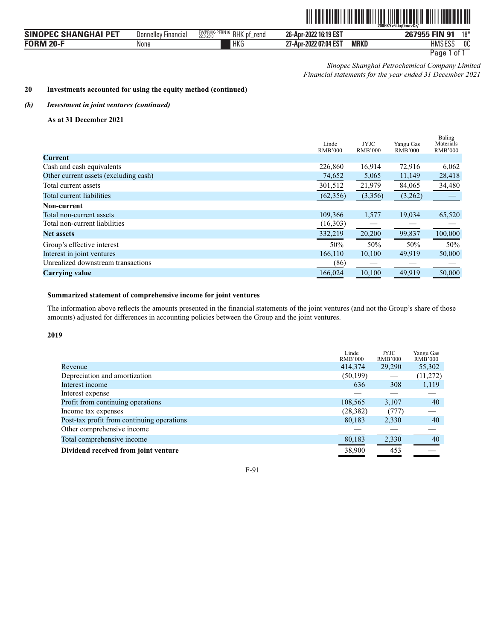| <b>SINOPEC SHANGHAI</b><br>DET | Financial<br>Donnel' | -PFRN16<br><b>FWPRHK</b><br>RHK<br>rend<br>n1<br>22.3.29.0 | <b>16:19 EST</b><br>26-Apr-2022              | ----<br>$\sim$<br>'IN | 10 <sup>4</sup><br>10 |
|--------------------------------|----------------------|------------------------------------------------------------|----------------------------------------------|-----------------------|-----------------------|
| <b>FORM 20-F</b>               | None                 | HKG                                                        | <b>MRKD</b><br>207:04 EST<br>-2027<br>:/-Apr | <b>HMSESS</b>         | $\sim$<br>υu          |
|                                |                      |                                                            |                                              |                       |                       |

*Sinopec Shanghai Petrochemical Company Limited Financial statements for the year ended 31 December 2021*

#### **20 Investments accounted for using the equity method (continued)**

#### *(b) Investment in joint ventures (continued)*

#### **As at 31 December 2021**

|                                       |                         |                               |                             | Baling                      |
|---------------------------------------|-------------------------|-------------------------------|-----------------------------|-----------------------------|
|                                       | Linde<br><b>RMB'000</b> | <b>JYJC</b><br><b>RMB'000</b> | Yangu Gas<br><b>RMB'000</b> | Materials<br><b>RMB'000</b> |
| Current                               |                         |                               |                             |                             |
| Cash and cash equivalents             | 226,860                 | 16,914                        | 72,916                      | 6,062                       |
| Other current assets (excluding cash) | 74,652                  | 5,065                         | 11,149                      | 28,418                      |
| Total current assets                  | 301,512                 | 21,979                        | 84,065                      | 34,480                      |
| Total current liabilities             | (62, 356)               | (3,356)                       | (3,262)                     |                             |
| Non-current                           |                         |                               |                             |                             |
| Total non-current assets              | 109,366                 | 1,577                         | 19.034                      | 65,520                      |
| Total non-current liabilities         | (16,303)                |                               |                             |                             |
| <b>Net assets</b>                     | 332,219                 | 20,200                        | 99,837                      | 100,000                     |
| Group's effective interest            | 50%                     | 50%                           | 50%                         | 50%                         |
| Interest in joint ventures            | 166,110                 | 10,100                        | 49,919                      | 50,000                      |
| Unrealized downstream transactions    | (86)                    |                               |                             |                             |
| <b>Carrying value</b>                 | 166,024                 | 10,100                        | 49,919                      | 50,000                      |

#### **Summarized statement of comprehensive income for joint ventures**

The information above reflects the amounts presented in the financial statements of the joint ventures (and not the Group's share of those amounts) adjusted for differences in accounting policies between the Group and the joint ventures.

#### **2019**

|                                            | Linde<br><b>RMB'000</b> | <b>JYJC</b><br><b>RMB'000</b> | Yangu Gas<br><b>RMB'000</b> |
|--------------------------------------------|-------------------------|-------------------------------|-----------------------------|
| Revenue                                    | 414,374                 | 29,290                        | 55,302                      |
| Depreciation and amortization              | (50, 199)               |                               | (11, 272)                   |
| Interest income                            | 636                     | 308                           | 1,119                       |
| Interest expense                           |                         |                               |                             |
| Profit from continuing operations          | 108,565                 | 3,107                         | 40                          |
| Income tax expenses                        | (28, 382)               | (777)                         |                             |
| Post-tax profit from continuing operations | 80,183                  | 2,330                         | 40                          |
| Other comprehensive income                 |                         |                               |                             |
| Total comprehensive income                 | 80,183                  | 2,330                         | 40                          |
| Dividend received from joint venture       | 38,900                  | 453                           |                             |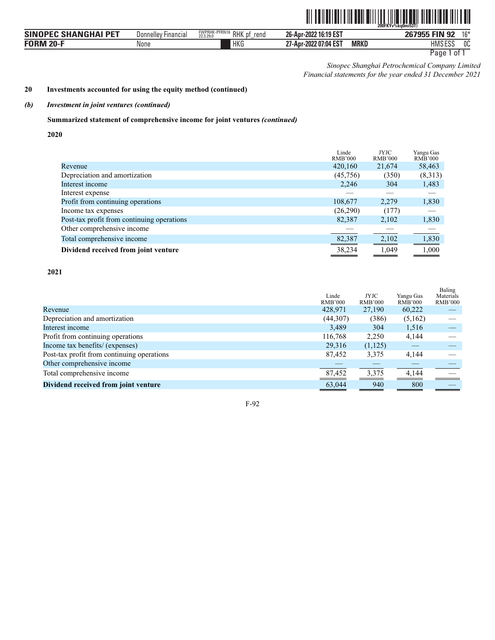| <b>SHANGHAI PFT</b>                     | <b>Inancial</b><br>Jor<br>ınellev | IK-PFRN1<br><b>EVA/DDL</b><br>RHK,<br>-vvrkHK-<br>rend<br>22.3.29.0 | 16:19 EST<br>--<br>26-Apr-2022                | <b>FIBLOS</b><br><b>DOJAFF</b><br>ΊN<br>ZU.<br>JZ | $16*$ |
|-----------------------------------------|-----------------------------------|---------------------------------------------------------------------|-----------------------------------------------|---------------------------------------------------|-------|
| <b>00 F</b><br><b>ENRM</b><br>/ I I – I | None                              | HKG                                                                 | MRKD<br>207:04 EST<br>-1-Apr-202°<br>7 E.S. 7 | <b>HMSESS</b>                                     | 0C    |
|                                         |                                   |                                                                     |                                               |                                                   |       |

*Sinopec Shanghai Petrochemical Company Limited Financial statements for the year ended 31 December 2021*

**20 Investments accounted for using the equity method (continued)**

#### *(b) Investment in joint ventures (continued)*

**Summarized statement of comprehensive income for joint ventures** *(continued)*

#### **2020**

|                                            | Linde<br><b>RMB'000</b> | JYJC<br>RMB'000 | Yangu Gas<br><b>RMB'000</b> |
|--------------------------------------------|-------------------------|-----------------|-----------------------------|
| Revenue                                    | 420,160                 | 21,674          | 58,463                      |
| Depreciation and amortization              | (45, 756)               | (350)           | (8,313)                     |
| Interest income                            | 2,246                   | 304             | 1,483                       |
| Interest expense                           |                         |                 |                             |
| Profit from continuing operations          | 108,677                 | 2,279           | 1,830                       |
| Income tax expenses                        | (26,290)                | (177)           |                             |
| Post-tax profit from continuing operations | 82,387                  | 2,102           | 1,830                       |
| Other comprehensive income                 |                         |                 |                             |
| Total comprehensive income                 | 82,387                  | 2,102           | 1,830                       |
| Dividend received from joint venture       | 38,234                  | 1,049           | 1,000                       |

#### **2021**

|                                            | Linde<br><b>RMB'000</b> | JYJC<br><b>RMB'000</b> | Yangu Gas<br><b>RMB'000</b> | Baling<br>Materials<br><b>RMB'000</b> |
|--------------------------------------------|-------------------------|------------------------|-----------------------------|---------------------------------------|
| Revenue                                    | 428,971                 | 27,190                 | 60,222                      |                                       |
| Depreciation and amortization              | (44,307)                | (386)                  | (5,162)                     |                                       |
| Interest income                            | 3.489                   | 304                    | 1,516                       |                                       |
| Profit from continuing operations          | 116,768                 | 2,250                  | 4,144                       |                                       |
| Income tax benefits/ (expenses)            | 29,316                  | (1,125)                |                             |                                       |
| Post-tax profit from continuing operations | 87,452                  | 3,375                  | 4,144                       |                                       |
| Other comprehensive income                 |                         |                        |                             |                                       |
| Total comprehensive income                 | 87,452                  | 3,375                  | 4,144                       |                                       |
| Dividend received from joint venture       | 63,044                  | 940                    | 800                         |                                       |
|                                            |                         |                        |                             |                                       |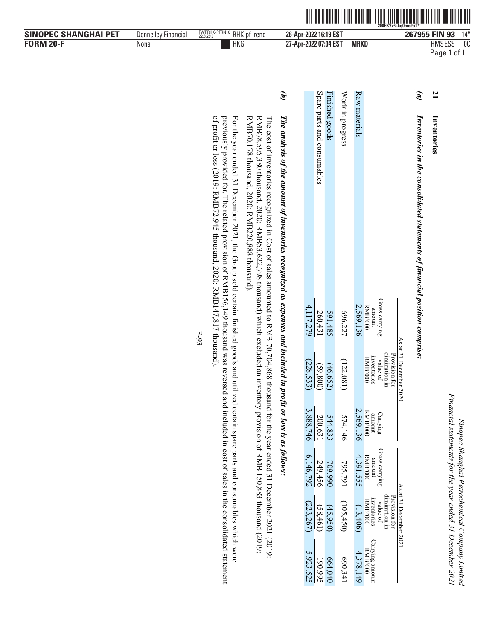| Financial statements for the year ended 31 December 2021 | Sinopec Shanghai Petrochemical Company Limited |
|----------------------------------------------------------|------------------------------------------------|
|                                                          |                                                |

# **21**Inventories  **Inventories**

# *(a)*Inventories in the consolidated statements of financial position comprise:  *Inventories in the consolidated statements of financial position comprise:*

|                             |                                      | As at 31 December 2020                                                          |                                                            |                                                          | As at 31 December 2021                                                            |                                            |
|-----------------------------|--------------------------------------|---------------------------------------------------------------------------------|------------------------------------------------------------|----------------------------------------------------------|-----------------------------------------------------------------------------------|--------------------------------------------|
|                             |                                      |                                                                                 |                                                            |                                                          |                                                                                   |                                            |
|                             |                                      | Provision for<br>diminution in<br>value of<br>inventories<br>RMB 000<br>RMB 000 | <b>Carryin</b><br>œ                                        |                                                          | Provision for<br>diminution in<br>walue of<br>inventories<br>RMB '000<br>(13,406) |                                            |
|                             | Gross carrying<br>amount<br>RMB '000 |                                                                                 | $000. \pm 0.00$<br>$\pm 0.00$                              | Gross carrying<br>amount<br>RMB'000<br>4,391,555         |                                                                                   | Carrying amount<br>RMB '000<br>A, 378, 149 |
| Raw materials               | 2,569,136                            |                                                                                 | 2,569,1                                                    |                                                          |                                                                                   |                                            |
| Work in progress            | 696,227                              | (122,081)                                                                       | 574,1<br>$\vec{4}$                                         | 795,791                                                  | (105,450)                                                                         | 690,34                                     |
| Finished goods              |                                      | (46,652)                                                                        |                                                            |                                                          |                                                                                   |                                            |
| Spare parts and consumables |                                      |                                                                                 |                                                            |                                                          |                                                                                   | $\frac{664,040}{190,99}$                   |
|                             | $\frac{591,485}{260,431}$            | $\frac{(59,800)}{(228,533)}$                                                    | $\frac{544,833}{2,888,746}$<br>$\frac{200,631}{3,888,746}$ | $\frac{709,990}{249,456}$<br>$\frac{249,456}{6,146,792}$ | (45,950)<br>(58,461)<br>(223,267)                                                 | 5,923,52                                   |

# *(b)*The analysis of the amount of inventories recognized as expenses and included in profit or loss is as follows: *The analysis of the amount of inventories recognized as expenses and included in profit or loss is as follows:*

RMB70,178 thousand, 2020: RMB220,888 thousand). RMB78,595,380 thousand, 2020: RMB53,622,798 thousand) which excluded an inventory provision of RMB 150,883 thousand (2019: The cost of inventories recognized in Cost of sales amounted to RMB 70,704,868 thousand for the year ended 31 December 2021 (2019) 100 RMB70,178 thousand, 2020: RMB220,888 thousand). RMB78,595,380 thousand, 2020: RMB53,622,798 thousand) which excluded an inventory provision of RMB 150,883 thousand (2019: The cost of inventories recognized in Cost of sales amounted to RMB 70,704,868 thousand for the year ended 31 December 2021 (2019:

of profit or loss (2019: RMB72,945 thousand, 2020: RMB147,817 thousand). previously provided for. The related provision of RMB156,149 thousand was reversed and included in cost of sales in the consolidated statement For the year ended 31 December 2021, the Group sold certain finished goods and utilized certain spare parts and consumables which were of profit or loss (2019: RMB72,945 thousand, 2020: RMB147,817 thousand). previously provided for. The related provision of RMB156,149 thousand was reversed and included in cost of sales in the consolidated statement For the year ended 31 December 2021, the Group sold certain finished goods and utilized certain spare parts and consumables whi

F-93

**SINOPEC SHANGHAI PET** Donnelley Financial **EXPRHK-PFRN16** RHK pf\_rend 26-Apr-2022 16:19 EST **267955 FIN 93**<br> **FORM 20-F** None None HMSESS **FORM 20-F 26-Apr-2022 16:19 EST** 27-Apr-2022 07:04 EST Donnelley Financial 22.3.29.0 RHK pf\_rend **None** 

ESS 0C Page 1 of 1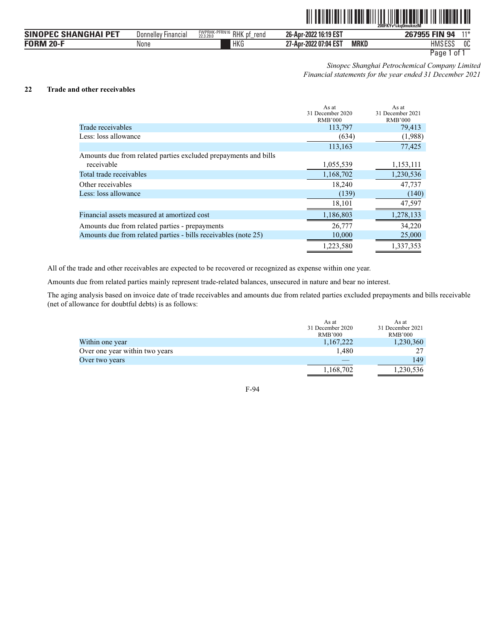

| <b>SINOPEC SHANGHAI PET</b> | : Financia,<br><b>Donnelley</b> | <b>FWPRHK-</b><br>-PFRN1<br><b>RHK</b><br>rena<br>.nt<br>22.3.29.0<br>$\overline{\phantom{a}}$ | .16:19 EST<br>nr<br>26-Apr-2022 |      | <b>FIN 94</b>                       | $11*$ |
|-----------------------------|---------------------------------|------------------------------------------------------------------------------------------------|---------------------------------|------|-------------------------------------|-------|
| FORM<br>$20-F$              | None                            | <b>HKG</b>                                                                                     | 207:04 EST<br>$-2022$<br>?7-Apr | MRKD | <b>IIMO FOO</b><br>1IVI D<br>ا∿ت∟ ہ | OC    |
|                             |                                 |                                                                                                |                                 |      | $\mathbf{12}\cdot\mathbf{2}$<br>--  |       |

*Sinopec Shanghai Petrochemical Company Limited Financial statements for the year ended 31 December 2021*

#### **22 Trade and other receivables**

|                                                                 | As at<br>31 December 2020<br><b>RMB'000</b> | As at<br>31 December 2021<br><b>RMB'000</b> |
|-----------------------------------------------------------------|---------------------------------------------|---------------------------------------------|
| Trade receivables                                               | 113,797                                     | 79,413                                      |
| Less: loss allowance                                            | (634)                                       | (1,988)                                     |
|                                                                 | 113,163                                     | 77,425                                      |
| Amounts due from related parties excluded prepayments and bills |                                             |                                             |
| receivable                                                      | 1,055,539                                   | 1,153,111                                   |
| Total trade receivables                                         | 1,168,702                                   | 1,230,536                                   |
| Other receivables                                               | 18,240                                      | 47,737                                      |
| Less: loss allowance                                            | (139)                                       | (140)                                       |
|                                                                 | 18,101                                      | 47,597                                      |
| Financial assets measured at amortized cost                     | 1,186,803                                   | 1,278,133                                   |
| Amounts due from related parties - prepayments                  | 26,777                                      | 34,220                                      |
| Amounts due from related parties - bills receivables (note 25)  | 10,000                                      | 25,000                                      |
|                                                                 | 1,223,580                                   | 1,337,353                                   |

All of the trade and other receivables are expected to be recovered or recognized as expense within one year.

Amounts due from related parties mainly represent trade-related balances, unsecured in nature and bear no interest.

The aging analysis based on invoice date of trade receivables and amounts due from related parties excluded prepayments and bills receivable (net of allowance for doubtful debts) is as follows:

|                                | As at<br>31 December 2020<br>RMB'000 | As at<br>31 December 2021<br>RMB'000 |
|--------------------------------|--------------------------------------|--------------------------------------|
| Within one year                | 1,167,222                            | 1,230,360                            |
| Over one year within two years | 1.480                                | 27                                   |
| Over two years                 |                                      | 149                                  |
|                                | 1,168,702                            | 1,230,536                            |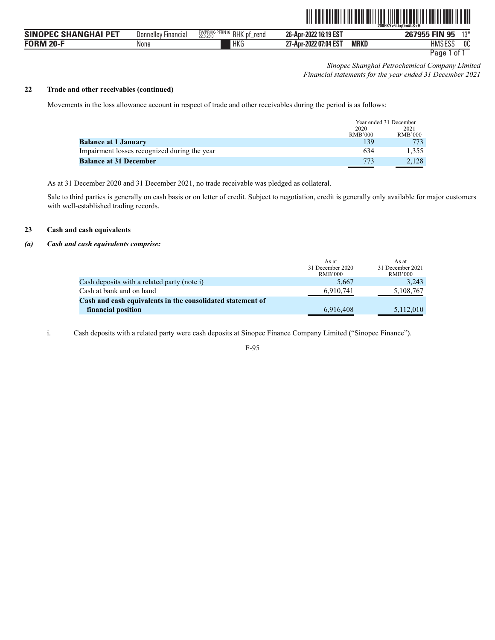

| <b>DET</b><br>ומוּ | Financial<br>Donnel' | -PFRN16<br><b>FWPRHK-</b><br>RHK<br>rend<br>nt<br>22.3.29.0<br>- | -2022 16:19 EST<br>ne.<br>26-Apr-<br>-202               | $\sim$ FIBI OF $\sim$<br>ACJAFF | $12*$<br>ט ו |
|--------------------|----------------------|------------------------------------------------------------------|---------------------------------------------------------|---------------------------------|--------------|
| $20-F$<br>FUBM     | None                 | <b>HKG</b>                                                       | <b>MRKL</b><br>nп<br>-2022 07:04 EST<br>'/-Apr-<br>- 개. | <b>IIMO FOO</b><br>MINI DI EDJ  | 0C           |
|                    |                      |                                                                  |                                                         |                                 |              |

*Sinopec Shanghai Petrochemical Company Limited Financial statements for the year ended 31 December 2021*

#### **22 Trade and other receivables (continued)**

Movements in the loss allowance account in respect of trade and other receivables during the period is as follows:

|                                              |         | Year ended 31 December |
|----------------------------------------------|---------|------------------------|
|                                              | 2020    | 2021                   |
|                                              | RMB'000 | <b>RMB'000</b>         |
| <b>Balance at 1 January</b>                  | 139     | 773                    |
| Impairment losses recognized during the year | 634     | 1.355                  |
| <b>Balance at 31 December</b>                | 773     | 2,128                  |
|                                              |         |                        |

As at 31 December 2020 and 31 December 2021, no trade receivable was pledged as collateral.

Sale to third parties is generally on cash basis or on letter of credit. Subject to negotiation, credit is generally only available for major customers with well-established trading records.

#### **23 Cash and cash equivalents**

#### *(a) Cash and cash equivalents comprise:*

|                                                            | As at<br>31 December 2020<br>RMB'000 | As at<br>31 December 2021<br>RMB'000 |
|------------------------------------------------------------|--------------------------------------|--------------------------------------|
| Cash deposits with a related party (note i)                | 5.667                                | 3.243                                |
| Cash at bank and on hand                                   | 6,910,741                            | 5,108,767                            |
| Cash and cash equivalents in the consolidated statement of |                                      |                                      |
| financial position                                         | 6,916,408                            | 5,112,010                            |

i. Cash deposits with a related party were cash deposits at Sinopec Finance Company Limited ("Sinopec Finance").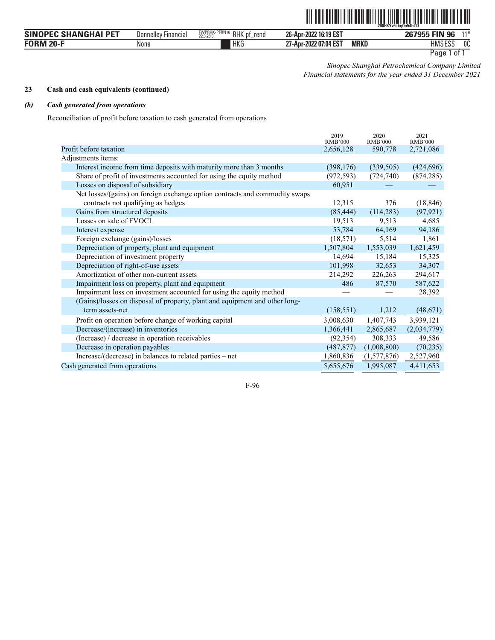| <b>SINOPFC SHANGHAI PFT</b> | -ınancıal<br>Donnellev | -PFRN16<br><b>FWPRHK-F</b><br><b>RHK</b><br>rend<br>DŤ<br>22.3.29.0 | <b>16.10 ECT</b><br>26-Apr-<br>$-2022$<br>'16.<br>. I J L J        | <b>FIN 96</b><br>n<br>JU | 11 <sup>2</sup> |
|-----------------------------|------------------------|---------------------------------------------------------------------|--------------------------------------------------------------------|--------------------------|-----------------|
| $20-F$<br>з п.              | None                   | HKG                                                                 | <b>MRKD</b><br>$\sim$<br><b>7.04 FOT</b><br>2 07:04 ES .<br>'/-Anr | <b>HMSESS</b><br>. د ∪ ب | 0C              |
|                             |                        |                                                                     |                                                                    |                          |                 |

*Sinopec Shanghai Petrochemical Company Limited Financial statements for the year ended 31 December 2021*

#### **23 Cash and cash equivalents (continued)**

#### *(b) Cash generated from operations*

Reconciliation of profit before taxation to cash generated from operations

|                                                                             | 2019<br><b>RMB'000</b> | 2020<br><b>RMB'000</b> | 2021<br><b>RMB'000</b> |
|-----------------------------------------------------------------------------|------------------------|------------------------|------------------------|
| Profit before taxation                                                      | 2,656,128              | 590,778                | 2,721,086              |
| Adjustments items:                                                          |                        |                        |                        |
| Interest income from time deposits with maturity more than 3 months         | (398, 176)             | (339,505)              | (424, 696)             |
| Share of profit of investments accounted for using the equity method        | (972, 593)             | (724, 740)             | (874, 285)             |
| Losses on disposal of subsidiary                                            | 60,951                 |                        |                        |
| Net losses/(gains) on foreign exchange option contracts and commodity swaps |                        |                        |                        |
| contracts not qualifying as hedges                                          | 12,315                 | 376                    | (18, 846)              |
| Gains from structured deposits                                              | (85, 444)              | (114, 283)             | (97, 921)              |
| Losses on sale of FVOCI                                                     | 19,513                 | 9,513                  | 4,685                  |
| Interest expense                                                            | 53,784                 | 64,169                 | 94,186                 |
| Foreign exchange (gains)/losses                                             | (18, 571)              | 5,514                  | 1,861                  |
| Depreciation of property, plant and equipment                               | 1,507,804              | 1,553,039              | 1,621,459              |
| Depreciation of investment property                                         | 14,694                 | 15,184                 | 15,325                 |
| Depreciation of right-of-use assets                                         | 101,998                | 32,653                 | 34,307                 |
| Amortization of other non-current assets                                    | 214,292                | 226,263                | 294,617                |
| Impairment loss on property, plant and equipment                            | 486                    | 87,570                 | 587,622                |
| Impairment loss on investment accounted for using the equity method         |                        |                        | 28,392                 |
| (Gains)/losses on disposal of property, plant and equipment and other long- |                        |                        |                        |
| term assets-net                                                             | (158, 551)             | 1,212                  | (48,671)               |
| Profit on operation before change of working capital                        | 3,008,630              | 1,407,743              | 3,939,121              |
| Decrease/(increase) in inventories                                          | 1,366,441              | 2,865,687              | (2,034,779)            |
| (Increase) / decrease in operation receivables                              | (92, 354)              | 308,333                | 49,586                 |
| Decrease in operation payables                                              | (487, 877)             | (1,008,800)            | (70, 235)              |
| Increase/(decrease) in balances to related parties - net                    | 1,860,836              | (1,577,876)            | 2,527,960              |
| Cash generated from operations                                              | 5,655,676              | 1,995,087              | 4,411,653              |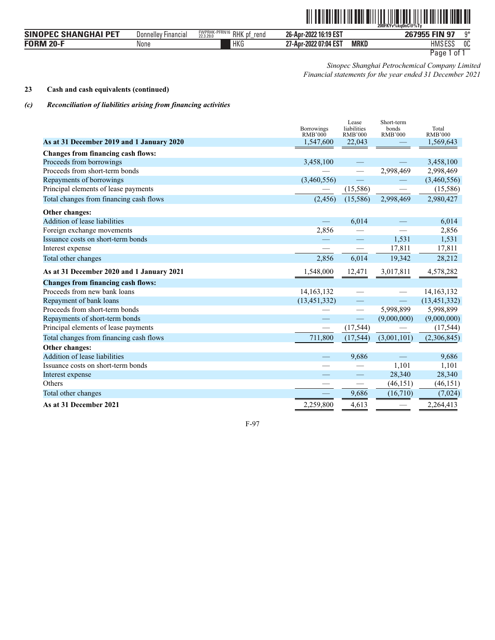# **▌▏▎▌▊▌▏▊▌▏▌▌▏▎▏▌▏▊▋▌▏█▎▏▏▏▁▒▒▛▙▚**▚<sub>▓</sub>▙▆▆</sub>▁▒▒▚▜<sub>▞</sub>

| <b>SINOPEC SHANGHAI PET</b> | <b>Linancial</b><br>Donnellev | -PFRN1<br><b>FWPRHK-</b><br><b>RHK</b><br>eno'<br>22.3.29.0 | ∠6-Apr-2022 16:19 F°™                         |      | $\sim$ FIRE $\sim$ $\sim$<br>יהמרמם | n* |
|-----------------------------|-------------------------------|-------------------------------------------------------------|-----------------------------------------------|------|-------------------------------------|----|
| FORM<br>, 20-L              | None                          | HKG                                                         | ∠07:04 ES <sup>-</sup><br>$\angle$ 1-Anr-2022 | MRKI | $\cdots$ $\cdots$<br>TIVIƏ EƏS      | 0C |
|                             |                               |                                                             |                                               |      |                                     |    |

Page 1 of 1

*Sinopec Shanghai Petrochemical Company Limited Financial statements for the year ended 31 December 2021*

#### **23 Cash and cash equivalents (continued)**

*(c) Reconciliation of liabilities arising from financing activities*

|                                           | <b>Borrowings</b><br>RMB'000 | Lease<br>liabilities<br><b>RMB'000</b> | Short-term<br>bonds<br><b>RMB'000</b> | Total<br><b>RMB'000</b> |
|-------------------------------------------|------------------------------|----------------------------------------|---------------------------------------|-------------------------|
| As at 31 December 2019 and 1 January 2020 | 1,547,600                    | 22,043                                 |                                       | 1,569,643               |
| <b>Changes from financing cash flows:</b> |                              |                                        |                                       |                         |
| Proceeds from borrowings                  | 3,458,100                    |                                        |                                       | 3,458,100               |
| Proceeds from short-term bonds            |                              |                                        | 2,998,469                             | 2,998,469               |
| Repayments of borrowings                  | (3,460,556)                  |                                        |                                       | (3,460,556)             |
| Principal elements of lease payments      |                              | (15,586)                               |                                       | (15,586)                |
| Total changes from financing cash flows   | (2, 456)                     | (15,586)                               | 2,998,469                             | 2,980,427               |
| Other changes:                            |                              |                                        |                                       |                         |
| Addition of lease liabilities             |                              | 6,014                                  |                                       | 6,014                   |
| Foreign exchange movements                | 2,856                        |                                        |                                       | 2,856                   |
| Issuance costs on short-term bonds        |                              |                                        | 1,531                                 | 1,531                   |
| Interest expense                          |                              |                                        | 17,811                                | 17,811                  |
| Total other changes                       | 2,856                        | 6,014                                  | 19,342                                | 28,212                  |
| As at 31 December 2020 and 1 January 2021 | 1,548,000                    | 12,471                                 | 3,017,811                             | 4,578,282               |
| <b>Changes from financing cash flows:</b> |                              |                                        |                                       |                         |
| Proceeds from new bank loans              | 14, 163, 132                 |                                        | $\qquad \qquad$                       | 14, 163, 132            |
| Repayment of bank loans                   | (13, 451, 332)               |                                        |                                       | (13, 451, 332)          |
| Proceeds from short-term bonds            |                              |                                        | 5,998,899                             | 5,998,899               |
| Repayments of short-term bonds            |                              | $\qquad \qquad$                        | (9,000,000)                           | (9,000,000)             |
| Principal elements of lease payments      |                              | (17, 544)                              |                                       | (17, 544)               |
| Total changes from financing cash flows   | 711,800                      | (17, 544)                              | (3,001,101)                           | (2,306,845)             |
| Other changes:                            |                              |                                        |                                       |                         |
| Addition of lease liabilities             |                              | 9,686                                  |                                       | 9,686                   |
| Issuance costs on short-term bonds        |                              |                                        | 1,101                                 | 1,101                   |
| Interest expense                          |                              |                                        | 28,340                                | 28,340                  |
| Others                                    |                              |                                        | (46, 151)                             | (46, 151)               |
| Total other changes                       |                              | 9,686                                  | (16,710)                              | (7,024)                 |
| As at 31 December 2021                    | 2,259,800                    | 4,613                                  |                                       | 2,264,413               |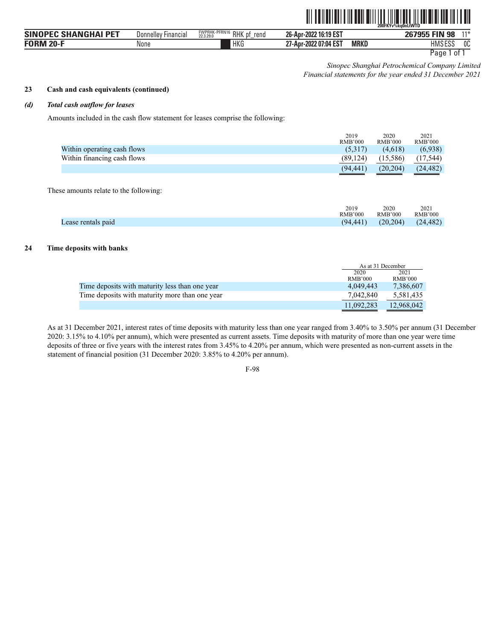# **▌▎▏▌▊▌▏▊▌▏▋▌▎▌▕▎▏▊▊▌▏█▎▏▏▏▁▒**▒╒ĸ╲<sub>Ÿ</sub><sub>╳</sub>ϗ<sub>ϥ</sub>ϭ<sub>Ϻ</sub>ͺϲϣϯϧ

| <b>SINOPEC SHANGHAI PET</b> | : Financia.<br><b>Donnelley</b> | <b>DEDAIA</b><br><b>FWPRHK-</b><br><b>RHK</b><br>PFRN <sub>D</sub><br>reno<br>nt<br>22.3.29.0 | 16:19 EST<br>26-Apr-2027       | <b>FIN 98</b><br>$11*$                          |
|-----------------------------|---------------------------------|-----------------------------------------------------------------------------------------------|--------------------------------|-------------------------------------------------|
| . 20-L<br>FORM              | None                            | IIVC<br><b>HNU</b>                                                                            | ∠07:04 EST<br>$-202$<br>!7-Apr | <b>IIMO FOO</b><br>MRKD<br>0C<br>טוור<br>. د ∪۰ |
|                             |                                 |                                                                                               |                                |                                                 |

Page 1 of 1

*Sinopec Shanghai Petrochemical Company Limited Financial statements for the year ended 31 December 2021*

#### **23 Cash and cash equivalents (continued)**

#### *(d) Total cash outflow for leases*

Amounts included in the cash flow statement for leases comprise the following:

|                             | 2019<br><b>RMB'000</b> | 2020<br>RMB'000 | 2021<br><b>RMB'000</b> |
|-----------------------------|------------------------|-----------------|------------------------|
| Within operating cash flows | (5,317)                | (4.618)         | (6,938)                |
| Within financing cash flows | (89, 124)              | (15,586)        | (17, 544)              |
|                             | (94, 441)              | (20, 204)       | (24, 482)              |

These amounts relate to the following:

|                    | 2019           | 2020     | 2021           |
|--------------------|----------------|----------|----------------|
|                    | <b>RMB'000</b> | RMB'000  | <b>RMB'000</b> |
| Lease rentals paid | (94.441)       | (20,204) | (24, 482)      |

#### **24 Time deposits with banks**

|                                                | As at 31 December |                 |
|------------------------------------------------|-------------------|-----------------|
|                                                | 2020<br>RMB'000   | 2021<br>RMB'000 |
| Time deposits with maturity less than one year | 4.049.443         | 7.386.607       |
| Time deposits with maturity more than one year | 7,042,840         | 5,581,435       |
|                                                | 11.092.283        | 12.968.042      |

As at 31 December 2021, interest rates of time deposits with maturity less than one year ranged from 3.40% to 3.50% per annum (31 December 2020: 3.15% to 4.10% per annum), which were presented as current assets. Time deposits with maturity of more than one year were time deposits of three or five years with the interest rates from 3.45% to 4.20% per annum, which were presented as non-current assets in the statement of financial position (31 December 2020: 3.85% to 4.20% per annum).

F-98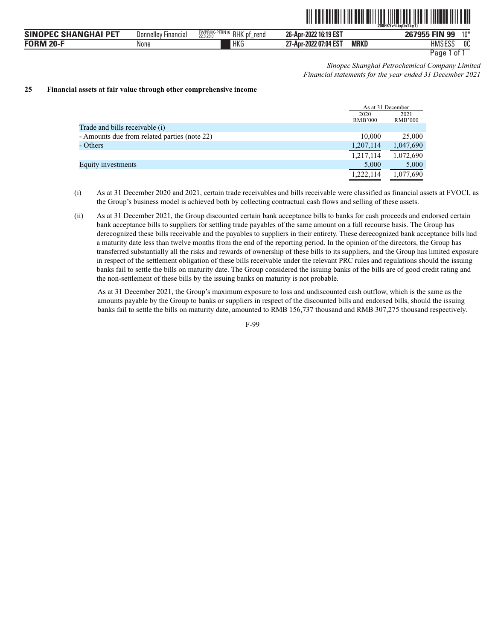

| <b>DET</b><br>74 A | <b>Financial</b><br>Donnellev | -PFRN16<br><b>FWPRHK</b><br><b>RHK</b><br>rena<br>22.3.29.0 | ∠6-Apr-2022 16:19 F° <sup>−</sup>                    | <b>FIN QQ</b><br>267955<br>'n<br>-- | $10*$ |
|--------------------|-------------------------------|-------------------------------------------------------------|------------------------------------------------------|-------------------------------------|-------|
| $20-F$<br>FUBM     | None                          | <b>HKG</b>                                                  | MRKD<br>-2022 07:04 EST<br>$\angle$ /-Anr- $\degree$ | <b>IIMO FOO</b><br>טור<br>'∗∪۔      | 0C    |
|                    |                               |                                                             |                                                      |                                     |       |

*Sinopec Shanghai Petrochemical Company Limited Financial statements for the year ended 31 December 2021*

#### **25 Financial assets at fair value through other comprehensive income**

| As at 31 December      |                        |
|------------------------|------------------------|
| 2020<br><b>RMB'000</b> | 2021<br><b>RMB'000</b> |
|                        |                        |
| 10,000                 | 25,000                 |
| 1,207,114              | 1,047,690              |
| 1,217,114              | 1,072,690              |
| 5,000                  | 5,000                  |
| 1,222,114              | 1,077,690              |
|                        |                        |

- (i) As at 31 December 2020 and 2021, certain trade receivables and bills receivable were classified as financial assets at FVOCI, as the Group's business model is achieved both by collecting contractual cash flows and selling of these assets.
- (ii) As at 31 December 2021, the Group discounted certain bank acceptance bills to banks for cash proceeds and endorsed certain bank acceptance bills to suppliers for settling trade payables of the same amount on a full recourse basis. The Group has derecognized these bills receivable and the payables to suppliers in their entirety. These derecognized bank acceptance bills had a maturity date less than twelve months from the end of the reporting period. In the opinion of the directors, the Group has transferred substantially all the risks and rewards of ownership of these bills to its suppliers, and the Group has limited exposure in respect of the settlement obligation of these bills receivable under the relevant PRC rules and regulations should the issuing banks fail to settle the bills on maturity date. The Group considered the issuing banks of the bills are of good credit rating and the non-settlement of these bills by the issuing banks on maturity is not probable.

As at 31 December 2021, the Group's maximum exposure to loss and undiscounted cash outflow, which is the same as the amounts payable by the Group to banks or suppliers in respect of the discounted bills and endorsed bills, should the issuing banks fail to settle the bills on maturity date, amounted to RMB 156,737 thousand and RMB 307,275 thousand respectively.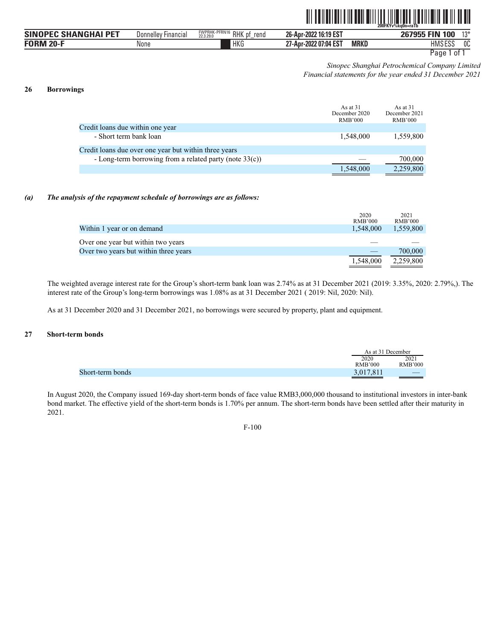

| <b>SINOPEC SHANGHAI</b><br><b>DET</b> | ' Financial<br>Donnelley <b>P</b> | -PFRN16<br><b>EWPRHK</b><br><b>RHK</b><br>rend<br>22.3.29.0 | -2022 16:19 EST<br>nr<br>Zh-Anr-  |      | <b>FIN</b><br>100<br>אמי<br>--- | $12*$<br>ט ו |
|---------------------------------------|-----------------------------------|-------------------------------------------------------------|-----------------------------------|------|---------------------------------|--------------|
| <b>FORM 20-F</b>                      | None                              | <b>HKG</b>                                                  | $1207:04 F$ °<br>-2022<br>'7-Anr- | MRKI | $\cdots$<br>ו כועוד<br>LDL      | 0C           |
|                                       |                                   |                                                             |                                   |      | --                              |              |

*Sinopec Shanghai Petrochemical Company Limited Financial statements for the year ended 31 December 2021*

#### **26 Borrowings**

|                                                            | As at 31<br>December 2020<br>RMB'000 | As at $31$<br>December 2021<br>RMB'000 |
|------------------------------------------------------------|--------------------------------------|----------------------------------------|
| Credit loans due within one year                           |                                      |                                        |
| - Short term bank loan                                     | 1.548.000                            | 1,559,800                              |
| Credit loans due over one year but within three years      |                                      |                                        |
| - Long-term borrowing from a related party (note $33(c)$ ) |                                      | 700,000                                |
|                                                            | 1.548.000                            | 2,259,800                              |

#### *(a) The analysis of the repayment schedule of borrowings are as follows:*

|                                       | 2020<br><b>RMB'000</b> | 2021<br><b>RMB'000</b> |
|---------------------------------------|------------------------|------------------------|
| Within 1 year or on demand            | 1,548,000              | 1,559,800              |
| Over one year but within two years    |                        |                        |
| Over two years but within three years |                        | 700,000                |
|                                       | 1,548,000              | 2,259,800              |

The weighted average interest rate for the Group's short-term bank loan was 2.74% as at 31 December 2021 (2019: 3.35%, 2020: 2.79%,). The interest rate of the Group's long-term borrowings was 1.08% as at 31 December 2021 ( 2019: Nil, 2020: Nil).

As at 31 December 2020 and 31 December 2021, no borrowings were secured by property, plant and equipment.

#### **27 Short-term bonds**

| 2020           | 2021              |
|----------------|-------------------|
| <b>RMB'000</b> | RMB'000           |
| 3,017,811      |                   |
|                | As at 31 December |

In August 2020, the Company issued 169-day short-term bonds of face value RMB3,000,000 thousand to institutional investors in inter-bank bond market. The effective yield of the short-term bonds is 1.70% per annum. The short-term bonds have been settled after their maturity in 2021.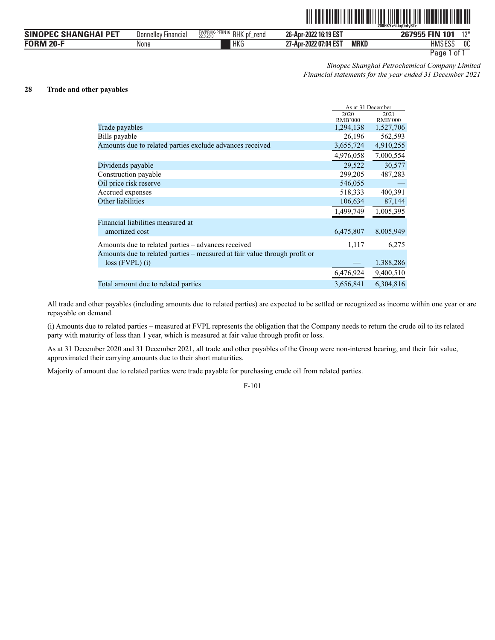

| <b>SINOPEC SHANGHAI PET</b> | <b>Financial</b><br>Donnellev | -PFRN1<br><b>FWPRHK-</b><br><b>RHK</b><br>eno.<br>22.3.29.0<br>– | $2216:19 Fo-$<br>ne<br>26-Apr-2022<br>. I J L J |      | <b>FIN</b><br>101<br>-^^<br>אמ | $12*$ |
|-----------------------------|-------------------------------|------------------------------------------------------------------|-------------------------------------------------|------|--------------------------------|-------|
| <b>FORM 20-F</b>            | None                          | <b>HKG</b>                                                       | 207:04 EST<br>$\angle$ 1-Anr-2022<br>EJ.        | MRKI | $\cdots$ $\cdots$<br>TIVIJ EJJ | 0C    |
|                             |                               |                                                                  |                                                 |      | $11 - 12$<br>-                 |       |

*Sinopec Shanghai Petrochemical Company Limited Financial statements for the year ended 31 December 2021*

#### **28 Trade and other payables**

|                                                                           | As at 31 December |                        |
|---------------------------------------------------------------------------|-------------------|------------------------|
|                                                                           | 2020<br>RMB'000   | 2021<br><b>RMB'000</b> |
| Trade payables                                                            | 1,294,138         | 1,527,706              |
| Bills payable                                                             | 26,196            | 562,593                |
| Amounts due to related parties exclude advances received                  | 3,655,724         | 4,910,255              |
|                                                                           | 4,976,058         | 7,000,554              |
| Dividends payable                                                         | 29,522            | 30,577                 |
| Construction payable                                                      | 299,205           | 487,283                |
| Oil price risk reserve                                                    | 546,055           |                        |
| Accrued expenses                                                          | 518,333           | 400,391                |
| Other liabilities                                                         | 106,634           | 87,144                 |
|                                                                           | 1,499,749         | 1,005,395              |
| Financial liabilities measured at                                         |                   |                        |
| amortized cost                                                            | 6,475,807         | 8,005,949              |
| Amounts due to related parties – advances received                        | 1,117             | 6,275                  |
| Amounts due to related parties – measured at fair value through profit or |                   |                        |
| $loss (FVPL)$ $(i)$                                                       |                   | 1,388,286              |
|                                                                           | 6,476,924         | 9,400,510              |
| Total amount due to related parties                                       | 3,656,841         | 6,304,816              |

All trade and other payables (including amounts due to related parties) are expected to be settled or recognized as income within one year or are repayable on demand.

(i) Amounts due to related parties – measured at FVPL represents the obligation that the Company needs to return the crude oil to its related party with maturity of less than 1 year, which is measured at fair value through profit or loss.

As at 31 December 2020 and 31 December 2021, all trade and other payables of the Group were non-interest bearing, and their fair value, approximated their carrying amounts due to their short maturities.

Majority of amount due to related parties were trade payable for purchasing crude oil from related parties.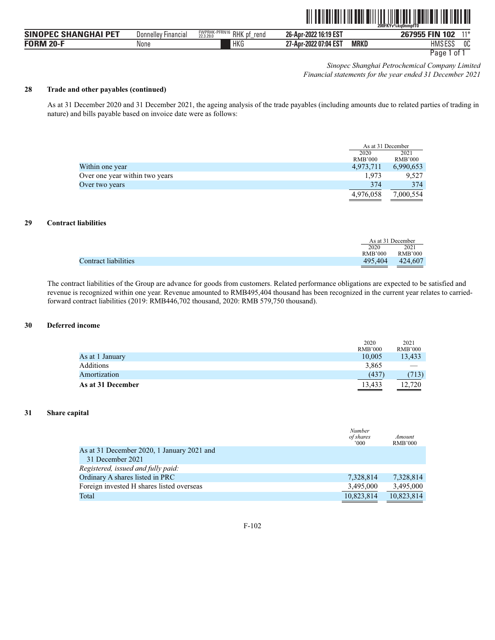

| <b>DET</b><br><b>CIRL</b><br>. . | Financia.<br>Donnelley | -PFRN16<br><b>FWPRHK</b><br>RHK<br>rend<br>n1<br>22.3.29.0<br>- 11 | 16:19 EST<br>-2022<br>Z6-Apr-                | $\sqrt{2}$<br><b>COLORIZE</b><br><b>267055</b><br>π<br>40<br>Шě | 4.4.2 |
|----------------------------------|------------------------|--------------------------------------------------------------------|----------------------------------------------|-----------------------------------------------------------------|-------|
| <b>FORM 20-F</b>                 | None                   | <b>HKG</b>                                                         | <b>MRKD</b><br>2 07:04 ES1<br>-2022<br>/-Apr | <b>HMSESS</b>                                                   | 0C    |
|                                  |                        |                                                                    |                                              | $-1$                                                            |       |

Page 1 of 1

#### **28 Trade and other payables (continued)**

As at 31 December 2020 and 31 December 2021, the ageing analysis of the trade payables (including amounts due to related parties of trading in nature) and bills payable based on invoice date were as follows:

|                                |                 | As at 31 December      |
|--------------------------------|-----------------|------------------------|
|                                | 2020<br>RMB'000 | 2021<br><b>RMB'000</b> |
| Within one year                | 4,973,711       | 6,990,653              |
| Over one year within two years | 1.973           | 9,527                  |
| Over two years                 | 374             | 374                    |
|                                | 4,976,058       | 7,000,554              |

#### **29 Contract liabilities**

|                      |         | As at 31 December |  |
|----------------------|---------|-------------------|--|
|                      | 2020    | 2021              |  |
|                      | RMB'000 | RMB'000           |  |
| Contract liabilities | 495,404 | 424,607           |  |
|                      |         |                   |  |

The contract liabilities of the Group are advance for goods from customers. Related performance obligations are expected to be satisfied and revenue is recognized within one year. Revenue amounted to RMB495,404 thousand has been recognized in the current year relates to carriedforward contract liabilities (2019: RMB446,702 thousand, 2020: RMB 579,750 thousand).

#### **30 Deferred income**

|                   | 2020    | 2021    |
|-------------------|---------|---------|
|                   | RMB'000 | RMB'000 |
| As at 1 January   | 10.005  | 13,433  |
| Additions         | 3,865   |         |
| Amortization      | (437)   | (713)   |
| As at 31 December | 13,433  | 12.720  |

#### **31 Share capital**

| of shares<br>$000^{\circ}$ | Amount<br>RMB'000 |
|----------------------------|-------------------|
|                            |                   |
|                            |                   |
|                            |                   |
| 7,328,814                  | 7,328,814         |
| 3,495,000                  | 3,495,000         |
| 10,823,814                 | 10,823,814        |
|                            | Number            |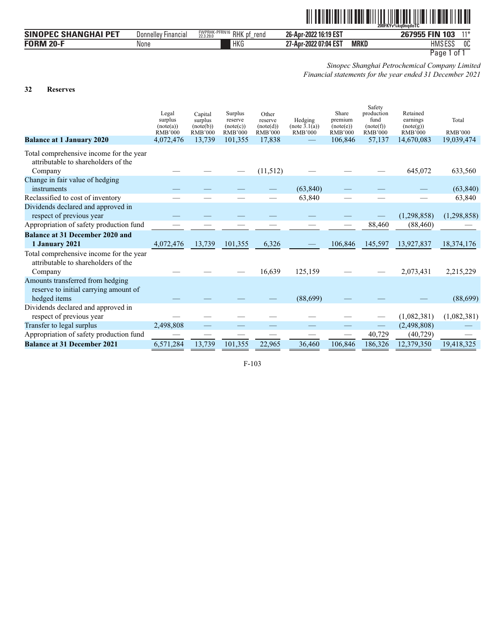

| <b>SINOPFC SHANGHAI PFT</b> | Financial<br>Donne | -PFRN16<br><b>FWPRHK-F</b><br><b>RHK</b><br>rend<br>DŤ<br>22.3.29.0 | <b>16.10 ECT</b><br>26-Apr-<br>$-2022$<br>1b.<br>. I J L J              | <b>CIAL</b><br>$\overline{a}$<br><b></b><br>-IN<br>IU. | $11*$ |
|-----------------------------|--------------------|---------------------------------------------------------------------|-------------------------------------------------------------------------|--------------------------------------------------------|-------|
| <b>FORM 20-F</b>            | None               | <b>HKG</b>                                                          | <b>MRKD</b><br>$\sim$<br>1 0 4 F 0 7<br>.202<br>$707.04$ est.<br>'/-Anr | <b>HMSESS</b><br>. പാറ                                 | 0C    |
|                             |                    |                                                                     |                                                                         |                                                        |       |

*Sinopec Shanghai Petrochemical Company Limited Financial statements for the year ended 31 December 2021*

#### **32 Reserves**

|                                                                                           | Legal<br>surplus<br>(note(a))<br><b>RMB'000</b> | Capital<br>surplus<br>(note(b))<br><b>RMB'000</b> | Surplus<br>reserve<br>(note(c))<br><b>RMB'000</b> | Other<br>reserve<br>(note(d))<br><b>RMB'000</b> | Hedging<br>(note 3.1(a))<br><b>RMB'000</b> | Share<br>premium<br>(note(e))<br><b>RMB'000</b> | Safety<br>production<br>fund<br>(note(f))<br><b>RMB'000</b> | Retained<br>earnings<br>(note(g))<br><b>RMB'000</b> | Total<br><b>RMB'000</b> |
|-------------------------------------------------------------------------------------------|-------------------------------------------------|---------------------------------------------------|---------------------------------------------------|-------------------------------------------------|--------------------------------------------|-------------------------------------------------|-------------------------------------------------------------|-----------------------------------------------------|-------------------------|
| <b>Balance at 1 January 2020</b>                                                          | 4,072,476                                       | 13,739                                            | 101,355                                           | 17,838                                          |                                            | 106,846                                         | 57,137                                                      | 14,670,083                                          | 19,039,474              |
| Total comprehensive income for the year<br>attributable to shareholders of the<br>Company |                                                 |                                                   |                                                   | (11,512)                                        |                                            |                                                 |                                                             | 645,072                                             | 633,560                 |
| Change in fair value of hedging<br>instruments                                            |                                                 |                                                   |                                                   |                                                 | (63, 840)                                  |                                                 |                                                             |                                                     | (63, 840)               |
| Reclassified to cost of inventory                                                         |                                                 |                                                   |                                                   |                                                 | 63,840                                     |                                                 |                                                             |                                                     | 63,840                  |
| Dividends declared and approved in<br>respect of previous year                            |                                                 |                                                   |                                                   |                                                 |                                            |                                                 |                                                             | (1,298,858)                                         | (1,298,858)             |
| Appropriation of safety production fund                                                   |                                                 |                                                   |                                                   |                                                 |                                            |                                                 | 88,460                                                      | (88, 460)                                           |                         |
| <b>Balance at 31 December 2020 and</b><br>1 January 2021                                  | 4,072,476                                       | 13,739                                            | 101,355                                           | 6,326                                           |                                            | 106,846                                         | 145,597                                                     | 13,927,837                                          | 18,374,176              |
| Total comprehensive income for the year<br>attributable to shareholders of the<br>Company |                                                 |                                                   |                                                   | 16,639                                          | 125,159                                    |                                                 |                                                             | 2,073,431                                           | 2,215,229               |
| Amounts transferred from hedging<br>reserve to initial carrying amount of<br>hedged items |                                                 |                                                   |                                                   |                                                 | (88, 699)                                  |                                                 |                                                             |                                                     | (88, 699)               |
| Dividends declared and approved in<br>respect of previous year                            |                                                 |                                                   |                                                   |                                                 |                                            |                                                 |                                                             | (1,082,381)                                         | (1,082,381)             |
| Transfer to legal surplus                                                                 | 2,498,808                                       |                                                   |                                                   |                                                 |                                            |                                                 |                                                             | (2,498,808)                                         |                         |
| Appropriation of safety production fund                                                   |                                                 |                                                   |                                                   |                                                 |                                            |                                                 | 40,729                                                      | (40, 729)                                           |                         |
| <b>Balance at 31 December 2021</b>                                                        | 6,571,284                                       | 13,739                                            | 101,355                                           | 22,965                                          | 36,460                                     | 106,846                                         | 186,326                                                     | 12,379,350                                          | 19,418,325              |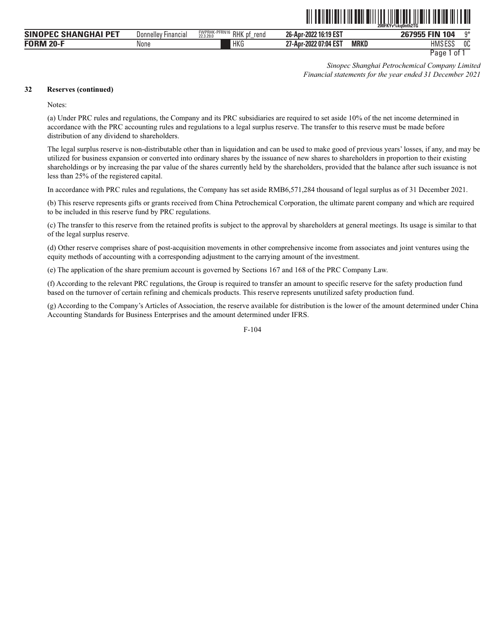

| <b>SINOPEC</b><br>IANGHAI<br><b>PFT</b> | <b>Financial</b><br>Donnelley | DEDN11<br><b>FWPRHK-</b><br><b>RHK</b><br>ווח<br>rend<br>22.3.29.0 | : 16:19 EST<br>26-Apr-2022                               | FIN 104<br>ne:               | ሰ*           |
|-----------------------------------------|-------------------------------|--------------------------------------------------------------------|----------------------------------------------------------|------------------------------|--------------|
| <b>FORM</b><br>. 22<br>∠u-              | None                          | HKG                                                                | , 04 FO'<br>$\angle$ 1-Anr-202 $^{\circ}$<br>$207.04$ ES | <b>HMSESS</b><br><b>MRKD</b> | $\sim$<br>υu |
|                                         |                               |                                                                    |                                                          | . 1<br>--                    |              |

Page 1 of 1

#### **32 Reserves (continued)**

Notes:

(a) Under PRC rules and regulations, the Company and its PRC subsidiaries are required to set aside 10% of the net income determined in accordance with the PRC accounting rules and regulations to a legal surplus reserve. The transfer to this reserve must be made before distribution of any dividend to shareholders.

The legal surplus reserve is non-distributable other than in liquidation and can be used to make good of previous years' losses, if any, and may be utilized for business expansion or converted into ordinary shares by the issuance of new shares to shareholders in proportion to their existing shareholdings or by increasing the par value of the shares currently held by the shareholders, provided that the balance after such issuance is not less than 25% of the registered capital.

In accordance with PRC rules and regulations, the Company has set aside RMB6,571,284 thousand of legal surplus as of 31 December 2021.

(b) This reserve represents gifts or grants received from China Petrochemical Corporation, the ultimate parent company and which are required to be included in this reserve fund by PRC regulations.

(c) The transfer to this reserve from the retained profits is subject to the approval by shareholders at general meetings. Its usage is similar to that of the legal surplus reserve.

(d) Other reserve comprises share of post-acquisition movements in other comprehensive income from associates and joint ventures using the equity methods of accounting with a corresponding adjustment to the carrying amount of the investment.

(e) The application of the share premium account is governed by Sections 167 and 168 of the PRC Company Law.

(f) According to the relevant PRC regulations, the Group is required to transfer an amount to specific reserve for the safety production fund based on the turnover of certain refining and chemicals products. This reserve represents unutilized safety production fund.

(g) According to the Company's Articles of Association, the reserve available for distribution is the lower of the amount determined under China Accounting Standards for Business Enterprises and the amount determined under IFRS.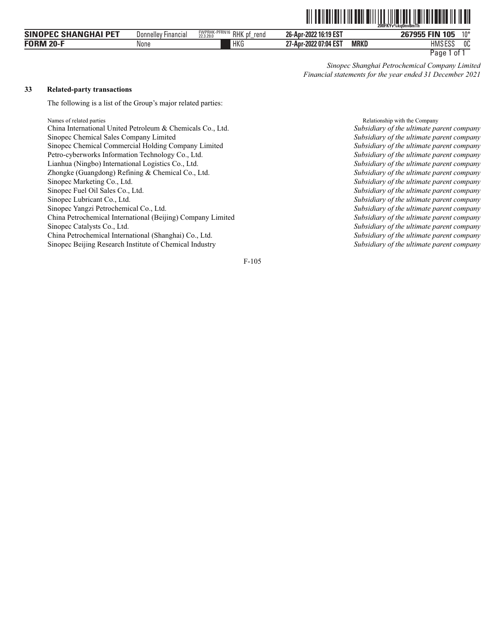|                             |                     |                                                 | ,,,,,,,,,,,,,,,,,,,,,,,, | <u>I IIIEILIJI ILIILIJI EILII ILI</u><br>200FKYv%ka0nv8mTh |       |  |
|-----------------------------|---------------------|-------------------------------------------------|--------------------------|------------------------------------------------------------|-------|--|
| <b>SINOPEC SHANGHAI PET</b> | Donnelley Financial | FWPRHK-PFRN16<br>RHK<br>Dt<br>rend<br>22.3.29.0 | 26-Apr-2022 16:19 EST    | 267955 FIN<br>105                                          | $10*$ |  |
| <b>FORM 20-F</b>            | None                | HKG                                             | 27-Apr-2022 07:04 EST    | <b>HMSESS</b><br><b>MRKD</b>                               | 0C    |  |

*Sinopec Shanghai Petrochemical Company Limited Financial statements for the year ended 31 December 2021*

ˆ200FKYv%kq0nv8mThŠ

#### **33 Related-party transactions**

The following is a list of the Group's major related parties:

China International United Petroleum & Chemicals Co., Ltd. Sinopec Chemical Sales Company Limited *Subsidiary of the ultimate parent company*<br>
Subsidiary of the ultimate parent company<br>
Subsidiary of the ultimate parent company Sinopec Chemical Commercial Holding Company Limited *Subsidiary of the ultimate parent company* Petro-cyberworks Information Technology Co., Ltd. *Subsidiary of the ultimate parent company* Lianhua (Ningbo) International Logistics Co., Ltd. *Subsidiary of the ultimate parent company* Zhongke (Guangdong) Refining & Chemical Co., Ltd. *Subsidiary of the ultimate parent company* Sinopec Marketing Co., Ltd. *Subsidiary of the ultimate parent company* Sinopec Fuel Oil Sales Co., Ltd. *Subsidiary of the ultimate parent company* Sinopec Lubricant Co., Ltd. *Subsidiary of the ultimate parent company* Sinopec Yangzi Petrochemical Co., Ltd. *Subsidiary of the ultimate parent company* China Petrochemical International (Beijing) Company Limited *Subsidiary of the ultimate parent company* Sinopec Catalysts Co., Ltd. *Subsidiary of the ultimate parent company* China Petrochemical International (Shanghai) Co., Ltd. *Subsidiary of the ultimate parent company* Sinopec Beijing Research Institute of Chemical Industry

Names of related parties<br>
China International United Petroleum & Chemicals Co., Ltd.<br>
Subsidiary of the ultimate parent company<br>
Subsidiary of the ultimate parent company

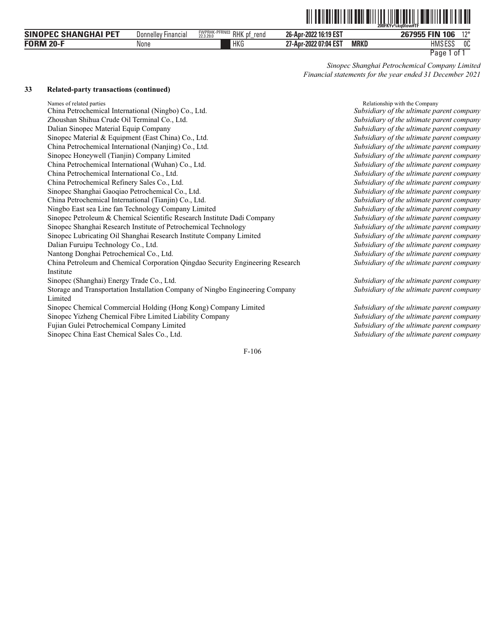|                                                    |                               |                                                |                            |      | 200FKYv%ka0low#TF           |    |
|----------------------------------------------------|-------------------------------|------------------------------------------------|----------------------------|------|-----------------------------|----|
| <b>SHANGH</b><br>$.1$ PF $7$<br><b>SINOPEC</b><br> | <b>Financial</b><br>Donnellev | FWPRHK-PFRN03<br>RHK<br>rend<br>22.3.29.0<br>– | -2022 16:19 EST<br>26-Apr- |      | 106<br><b>FIN</b><br>267955 | 12 |
| <b>FORM 20-1</b>                                   | None                          | <b>HKG</b>                                     | -2022 07:04 EST<br>./-Apr  | MRKD | HMS ESS                     | 0C |

*Sinopec Shanghai Petrochemical Company Limited Financial statements for the year ended 31 December 2021*

TIT TO IT OF THE THE OWNER HE IS NOT THE TELL TO A REAL PROPERTY.

#### **33 Related-party transactions (continued)**

Names of related parties<br>
China Petrochemical International (Ningbo) Co., Ltd.<br>
Subsidiary of the ultimate parent company<br>
Subsidiary of the ultimate parent company China Petrochemical International (Ningbo) Co., Ltd. Zhoushan Shihua Crude Oil Terminal Co., Ltd. *Subsidiary of the ultimate parent company* Dalian Sinopec Material Equip Company *Subsidiary of the ultimate parent company* Sinopec Material & Equipment (East China) Co., Ltd. *Subsidiary of the ultimate parent company* China Petrochemical International (Nanjing) Co., Ltd. *Subsidiary of the ultimate parent company* Sinopec Honeywell (Tianjin) Company Limited *Subsidiary of the ultimate parent company* China Petrochemical International (Wuhan) Co., Ltd. *Subsidiary of the ultimate parent company* China Petrochemical International Co., Ltd. *Subsidiary of the ultimate parent company* China Petrochemical Refinery Sales Co., Ltd. *Subsidiary of the ultimate parent company* Sinopec Shanghai Gaoqiao Petrochemical Co., Ltd. *Subsidiary of the ultimate parent company* China Petrochemical International (Tianjin) Co., Ltd. *Subsidiary of the ultimate parent company* Ningbo East sea Line fan Technology Company Limited *Subsidiary of the ultimate parent company* Sinopec Petroleum & Chemical Scientific Research Institute Dadi Company *Subsidiary of the ultimate parent company* Sinopec Shanghai Research Institute of Petrochemical Technology *Subsidiary of the ultimate parent company* Sinopec Lubricating Oil Shanghai Research Institute Company Limited *Subsidiary of the ultimate parent company* Dalian Furuipu Technology Co., Ltd. *Subsidiary of the ultimate parent company* Nantong Donghai Petrochemical Co., Ltd. *Subsidiary of the ultimate parent company* China Petroleum and Chemical Corporation Qingdao Security Engineering Research Institute that is a set of the set of the set of the set of the set of the set of the set of the set of the set of the set of the set of the set of the set of the set of the set of the set of the set of the set of the set Sinopec (Shanghai) Energy Trade Co., Ltd. *Subsidiary of the ultimate parent company* Storage and Transportation Installation Company of Ningbo Engineering Company Limited Sinopec Chemical Commercial Holding (Hong Kong) Company Limited *Subsidiary of the ultimate parent company* Sinopec Yizheng Chemical Fibre Limited Liability Company *Subsidiary of the ultimate parent company* Fujian Gulei Petrochemical Company Limited *Subsidiary of the ultimate parent company*

Sinopec China East Chemical Sales Co., Ltd. *Subsidiary of the ultimate parent company*

F-106

*Subsidiary of the ultimate parent company*

*Subsidiary of the ultimate parent company*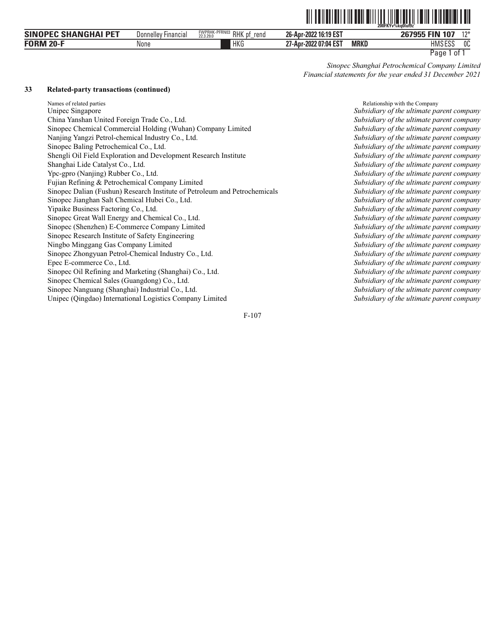|                             |                     |                                                   | .                                    | ,,,,,,,,,,,,,,,,,,,,,,,,,,,,,,,,,,,,<br>200FKYv%ka0luf9z |
|-----------------------------|---------------------|---------------------------------------------------|--------------------------------------|----------------------------------------------------------|
| <b>SINOPEC SHANGHAI PET</b> | Donnelley Financial | FWPRHK-PFRN03<br>RHK<br>rend<br>. DT<br>22.3.29.0 | 26-Apr-2022 16:19 EST                | 267955 FIN<br>1 $7*$<br>.107                             |
| <b>FORM 20-F</b>            | None                | <b>HKG</b>                                        | <b>MRKD</b><br>27-Apr-2022 07:04 EST | HMS ESS<br>0C                                            |

*Sinopec Shanghai Petrochemical Company Limited Financial statements for the year ended 31 December 2021*

<u>oli taliantari tili aali millint lilla taliki talik talikalari tali</u>

#### **33 Related-party transactions (continued)**

Names of related parties **Names** of related parties **Relationship with the Company** Unipec Singapore *Subsidiary of the ultimate parent company* China Yanshan United Foreign Trade Co., Ltd. *Subsidiary of the ultimate parent company* Sinopec Chemical Commercial Holding (Wuhan) Company Limited *Subsidiary of the ultimate parent company* Nanjing Yangzi Petrol-chemical Industry Co., Ltd. *Subsidiary of the ultimate parent company* Sinopec Baling Petrochemical Co., Ltd. *Subsidiary of the ultimate parent company* Shengli Oil Field Exploration and Development Research Institute *Subsidiary of the ultimate parent company* Shanghai Lide Catalyst Co., Ltd. *Subsidiary of the ultimate parent company* Ypc-gpro (Nanjing) Rubber Co., Ltd. *Subsidiary of the ultimate parent company* Fujian Refining & Petrochemical Company Limited *Subsidiary of the ultimate parent company* Sinopec Dalian (Fushun) Research Institute of Petroleum and Petrochemicals *Subsidiary of the ultimate parent company* Sinopec Jianghan Salt Chemical Hubei Co., Ltd. *Subsidiary of the ultimate parent company* Yipaike Business Factoring Co., Ltd. *Subsidiary of the ultimate parent company* Sinopec Great Wall Energy and Chemical Co., Ltd. *Subsidiary of the ultimate parent company* Sinopec (Shenzhen) E-Commerce Company Limited *Subsidiary of the ultimate parent company* Sinopec Research Institute of Safety Engineering *Subsidiary of the ultimate parent company* Ningbo Minggang Gas Company Limited *Subsidiary of the ultimate parent company* Sinopec Zhongyuan Petrol-Chemical Industry Co., Ltd. *Subsidiary of the ultimate parent company* Epec E-commerce Co., Ltd. *Subsidiary of the ultimate parent company* Sinopec Oil Refining and Marketing (Shanghai) Co., Ltd. *Subsidiary of the ultimate parent company* Sinopec Chemical Sales (Guangdong) Co., Ltd. *Subsidiary of the ultimate parent company* Sinopec Nanguang (Shanghai) Industrial Co., Ltd. *Subsidiary of the ultimate parent company* Unipec (Qingdao) International Logistics Company Limited *Subsidiary of the ultimate parent company*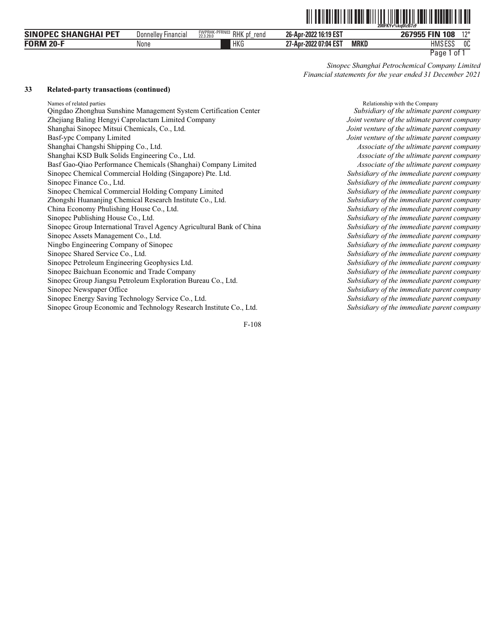|                           |                       | <u> 111   111   111   111   111   111   111   111   111   111   111   111   111   111   11</u><br>200FKYv%ko01zB7zF |
|---------------------------|-----------------------|---------------------------------------------------------------------------------------------------------------------|
| FWPRHK-PFRN03 DUV nf rond | 26 Apr 2022 16:10 ECT | <b>267055 CIN 100</b>                                                                                               |

| <b>SINOPEC SHANGHAI</b><br><b>PFT</b> | Donnelley'<br><b>Financia</b> | FWPRHK-PFRN03<br><b>RHK</b><br>rena<br>. nt<br>22.3.29.0<br>$-$ | 26-Apr-2022 16:19 EST     |      | <b>FIN</b><br>108<br>267951<br>,,,, | $12*$ |
|---------------------------------------|-------------------------------|-----------------------------------------------------------------|---------------------------|------|-------------------------------------|-------|
| <b>FORM</b><br>$20-F$                 | None                          | IIVC<br><b>HNU</b>                                              | 207:04 EST<br>27-Apr-2022 | MRKI | $\cdots$<br>TIVIƏ EƏS               | 0C    |
|                                       |                               |                                                                 |                           |      | Dono                                |       |

*Sinopec Shanghai Petrochemical Company Limited Financial statements for the year ended 31 December 2021*

oli salikariani sila mani militas tilimi meni santi salah mengelisi sa

#### **33 Related-party transactions (continued)**

Names of related parties<br>
Oingdao Zhonghua Sunshine Management System Certification Center<br>
Subsidiary of the ultimate parent company Qingdao Zhonghua Sunshine Management System Certification Center Zhejiang Baling Hengyi Caprolactam Limited Company *Joint venture of the ultimate parent company* Shanghai Sinopec Mitsui Chemicals, Co., Ltd. *Joint venture of the ultimate parent company* Basf-ypc Company Limited *Joint venture of the ultimate parent company* Shanghai Changshi Shipping Co., Ltd. *Associate of the ultimate parent company* Shanghai KSD Bulk Solids Engineering Co., Ltd. *Associate of the ultimate parent company* Basf Gao-Qiao Performance Chemicals (Shanghai) Company Limited *Associate of the ultimate parent company* Sinopec Chemical Commercial Holding (Singapore) Pte. Ltd. *Subsidiary of the immediate parent company* Sinopec Finance Co., Ltd. *Subsidiary of the immediate parent company* Sinopec Chemical Commercial Holding Company Limited *Subsidiary of the immediate parent company* Zhongshi Huananjing Chemical Research Institute Co., Ltd. *Subsidiary of the immediate parent company* China Economy Phulishing House Co., Ltd. *Subsidiary of the immediate parent company* Sinopec Publishing House Co., Ltd. *Subsidiary of the immediate parent company* Sinopec Group International Travel Agency Agricultural Bank of China *Subsidiary of the immediate parent company* Sinopec Assets Management Co., Ltd. *Subsidiary of the immediate parent company* Ningbo Engineering Company of Sinopec *Subsidiary of the immediate parent company* Sinopec Shared Service Co., Ltd. *Subsidiary of the immediate parent company* Sinopec Petroleum Engineering Geophysics Ltd. *Subsidiary of the immediate parent company* Sinopec Baichuan Economic and Trade Company *Subsidiary of the immediate parent company* Sinopec Group Jiangsu Petroleum Exploration Bureau Co., Ltd. *Subsidiary of the immediate parent company* Sinopec Newspaper Office *Subsidiary of the immediate parent company* Sinopec Energy Saving Technology Service Co., Ltd. *Subsidiary of the immediate parent company* Sinopec Group Economic and Technology Research Institute Co., Ltd. *Subsidiary of the immediate parent company*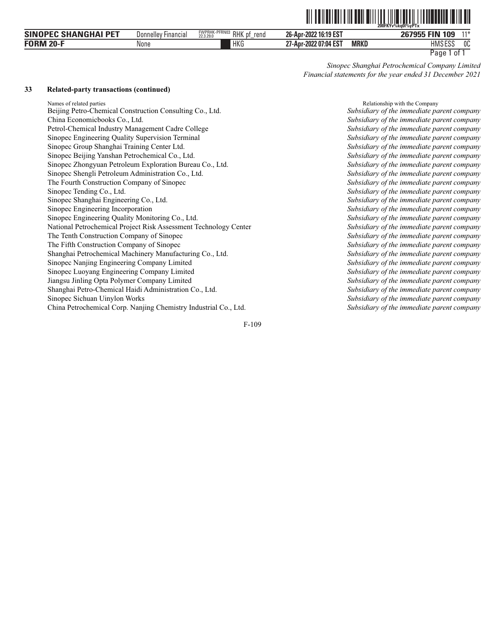|                      |                              |                                        |                   |                                      |      | 200FKYv%ka01%vPTx                      |       |
|----------------------|------------------------------|----------------------------------------|-------------------|--------------------------------------|------|----------------------------------------|-------|
| Sinopec Shanghai Pet | Donnellev<br><b>Hinancia</b> | <b>FWPRHK-</b><br>-PFRN03<br>22.3.29.0 | RHK<br>rend<br>рt | 26-Apr-2022 16:19 EST                |      | <b>FIN</b><br>109<br>יהה<br>7955<br>ΞU | $11*$ |
| FORM<br>$20 -$       | None                         |                                        | <b>HKG</b>        | -2022 07:04 EST<br>$27$ -Apr $\cdot$ | MRKD | <b>HMSESS</b>                          | 0C    |

*Sinopec Shanghai Petrochemical Company Limited Financial statements for the year ended 31 December 2021*

<u>oli tailarlari tila anli alli ta tillari till till tillar anli tall</u>

#### **33 Related-party transactions (continued)**

Names of related parties<br>
Relationship with the Company<br>
Relationship with the Company<br>
Subsidiary of the immediate parent company<br>
Subsidiary of the immediate parent company Beijing Petro-Chemical Construction Consulting Co., Ltd. China Economicbooks Co., Ltd. *Subsidiary of the immediate parent company* Petrol-Chemical Industry Management Cadre College *Subsidiary of the immediate parent company* Sinopec Engineering Quality Supervision Terminal *Subsidiary of the immediate parent company* Sinopec Group Shanghai Training Center Ltd. *Subsidiary of the immediate parent company* Sinopec Beijing Yanshan Petrochemical Co., Ltd. *Subsidiary of the immediate parent company* Sinopec Zhongyuan Petroleum Exploration Bureau Co., Ltd. *Subsidiary of the immediate parent company* Sinopec Shengli Petroleum Administration Co., Ltd. *Subsidiary of the immediate parent company* The Fourth Construction Company of Sinopec *Subsidiary of the immediate parent company* Sinopec Tending Co., Ltd. *Subsidiary of the immediate parent company* Sinopec Shanghai Engineering Co., Ltd. *Subsidiary of the immediate parent company* Sinopec Engineering Incorporation *Subsidiary of the immediate parent company* Sinopec Engineering Quality Monitoring Co., Ltd. *Subsidiary of the immediate parent company* National Petrochemical Project Risk Assessment Technology Center *Subsidiary of the immediate parent company* The Tenth Construction Company of Sinopec *Subsidiary of the immediate parent company* The Fifth Construction Company of Sinopec *Subsidiary of the immediate parent company* Shanghai Petrochemical Machinery Manufacturing Co., Ltd. *Subsidiary of the immediate parent company* Sinopec Nanjing Engineering Company Limited *Subsidiary of the immediate parent company* Sinopec Luoyang Engineering Company Limited *Subsidiary of the immediate parent company* Jiangsu Jinling Opta Polymer Company Limited *Subsidiary of the immediate parent company* Shanghai Petro-Chemical Haidi Administration Co., Ltd. *Subsidiary of the immediate parent company* Sinopec Sichuan Uinylon Works *Subsidiary of the immediate parent company* China Petrochemical Corp. Nanjing Chemistry Industrial Co., Ltd. *Subsidiary of the immediate parent company*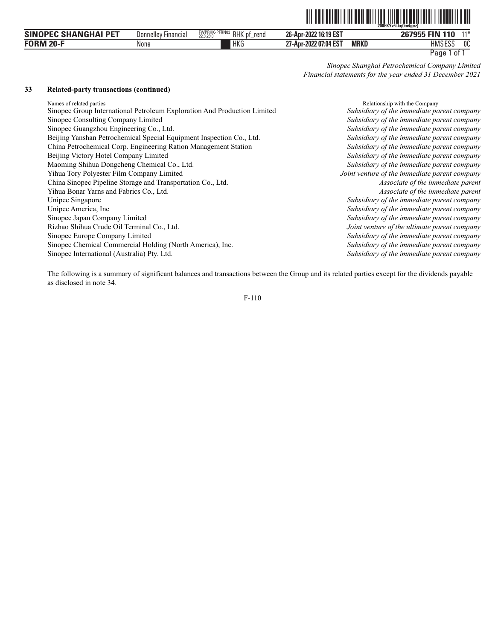

| <b>SINOPEC SHANGHAI PET</b> | Donnelley<br>: Financia. | FWPRHK-PFRN03<br><b>RHK</b><br>rend<br>nt<br>22.3.29.0<br>_ | 2 16:19 EST<br>26-Apr-202?                            |             | -IN         | $A$ $A$ $M$ |
|-----------------------------|--------------------------|-------------------------------------------------------------|-------------------------------------------------------|-------------|-------------|-------------|
| <b>FORM 20-F</b>            | None                     | IIVC<br>nnu                                                 | $1.04 F$ <sup>-</sup><br>-2027<br>/-Apr<br>. <u>.</u> | <b>MRKD</b> | HMS ESS     | OC          |
|                             |                          |                                                             |                                                       |             | 112222<br>- |             |

*Sinopec Shanghai Petrochemical Company Limited Financial statements for the year ended 31 December 2021*

#### **33 Related-party transactions (continued)**

Names of related parties<br>
Sinopec Group International Petroleum Exploration And Production Limited<br>
Subsidiary of the immediate parent company Sinopec Group International Petroleum Exploration And Production Limited Sinopec Consulting Company Limited *Subsidiary of the immediate parent company* Sinopec Guangzhou Engineering Co., Ltd. *Subsidiary of the immediate parent company* Beijing Yanshan Petrochemical Special Equipment Inspection Co., Ltd. *Subsidiary of the immediate parent company* China Petrochemical Corp. Engineering Ration Management Station *Subsidiary of the immediate parent company* Beijing Victory Hotel Company Limited *Subsidiary of the immediate parent company* Maoming Shihua Dongcheng Chemical Co., Ltd. *Subsidiary of the immediate parent company* Yihua Tory Polyester Film Company Limited *Joint venture of the immediate parent company* China Sinopec Pipeline Storage and Transportation Co., Ltd. *Associate of the immediate parent* Yihua Bonar Yarns and Fabrics Co., Ltd. *Associate of the immediate parent* Unipec Singapore *Subsidiary of the immediate parent company* Unipec America, Inc *Subsidiary of the immediate parent company* Sinopec Japan Company Limited *Subsidiary of the immediate parent company* Rizhao Shihua Crude Oil Terminal Co., Ltd. *Joint venture of the ultimate parent company* Sinopec Europe Company Limited *Subsidiary of the immediate parent company* Sinopec Chemical Commercial Holding (North America), Inc. *Subsidiary of the immediate parent company* Sinopec International (Australia) Pty. Ltd. *Subsidiary of the immediate parent company*

The following is a summary of significant balances and transactions between the Group and its related parties except for the dividends payable as disclosed in note 34.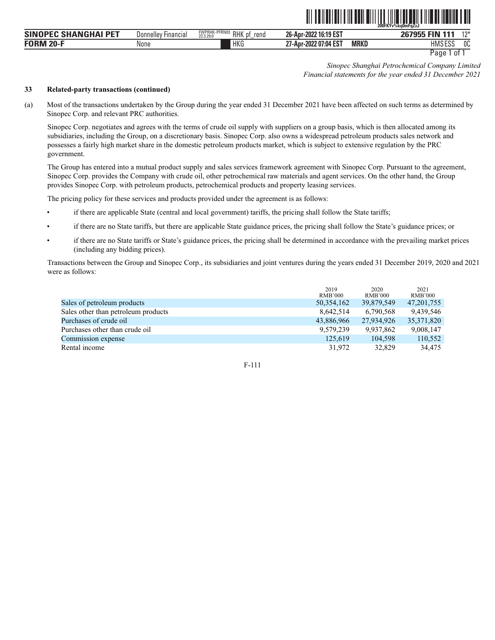| <b>SINOPEC SHANGHAI PET</b> | ' Financial<br>Donnelley F | -PFRN03<br><b>FWPRHK</b><br>RHK<br>rend<br>рt<br>22.3.29.0 | 16:19 EST<br>26-Apr-2<br>$-2022$                                          | an music<br>---<br>ה ה<br>70 F.F<br>FIIN<br>40 | $12*$ |
|-----------------------------|----------------------------|------------------------------------------------------------|---------------------------------------------------------------------------|------------------------------------------------|-------|
| <b>FORM 20-F</b>            | None                       | <b>HKG</b>                                                 | <b>MRKD</b><br>$\sim$<br>7.04 FOT<br>27-Apr-2021<br><sup>5</sup> 07:04 ES | <b>HMSESS</b>                                  | 0C    |
|                             |                            |                                                            |                                                                           |                                                |       |

*Sinopec Shanghai Petrochemical Company Limited Financial statements for the year ended 31 December 2021*

#### **33 Related-party transactions (continued)**

(a) Most of the transactions undertaken by the Group during the year ended 31 December 2021 have been affected on such terms as determined by Sinopec Corp. and relevant PRC authorities.

Sinopec Corp. negotiates and agrees with the terms of crude oil supply with suppliers on a group basis, which is then allocated among its subsidiaries, including the Group, on a discretionary basis. Sinopec Corp. also owns a widespread petroleum products sales network and possesses a fairly high market share in the domestic petroleum products market, which is subject to extensive regulation by the PRC government.

The Group has entered into a mutual product supply and sales services framework agreement with Sinopec Corp. Pursuant to the agreement, Sinopec Corp. provides the Company with crude oil, other petrochemical raw materials and agent services. On the other hand, the Group provides Sinopec Corp. with petroleum products, petrochemical products and property leasing services.

The pricing policy for these services and products provided under the agreement is as follows:

- if there are applicable State (central and local government) tariffs, the pricing shall follow the State tariffs;
- if there are no State tariffs, but there are applicable State guidance prices, the pricing shall follow the State's guidance prices; or
- if there are no State tariffs or State's guidance prices, the pricing shall be determined in accordance with the prevailing market prices (including any bidding prices).

Transactions between the Group and Sinopec Corp., its subsidiaries and joint ventures during the years ended 31 December 2019, 2020 and 2021 were as follows:

|                                     | 2019<br><b>RMB'000</b> | 2020<br>RMB'000 | 2021<br><b>RMB'000</b> |
|-------------------------------------|------------------------|-----------------|------------------------|
| Sales of petroleum products         | 50,354,162             | 39,879,549      | 47, 201, 755           |
| Sales other than petroleum products | 8,642,514              | 6,790,568       | 9,439,546              |
| Purchases of crude oil              | 43,886,966             | 27,934,926      | 35,371,820             |
| Purchases other than crude oil      | 9,579,239              | 9,937,862       | 9,008,147              |
| Commission expense                  | 125,619                | 104.598         | 110,552                |
| Rental income                       | 31,972                 | 32,829          | 34,475                 |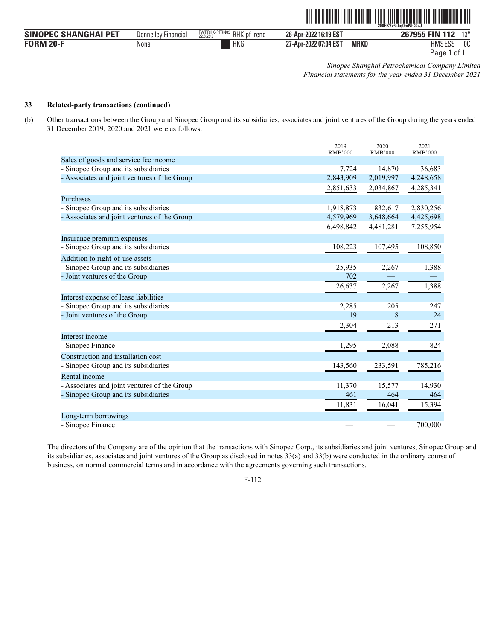

| <b>SINOPEC SHANGHAI PET</b> | <b>Linancial</b><br>Donnellev | -PERNIN<br><b>FWPRHK-</b><br><b>RHK</b><br>eno'<br><b>FILLVL</b><br>22.3.29.0 | ∠6-Apr-2022 16:19 F° <sup>−</sup>  |      | <b>CIAL</b><br>440<br>ur<br>-1 IV | $12*$ |
|-----------------------------|-------------------------------|-------------------------------------------------------------------------------|------------------------------------|------|-----------------------------------|-------|
| FORM<br>, 20-L              | None                          | HKG                                                                           | $-207:04Eo$<br>$\angle$ 1-Anr-2022 | MRKI | $\cdots$ $\cdots$<br>TIVIƏ EƏS    | 0C    |
|                             |                               |                                                                               |                                    |      |                                   |       |

Page 1 of 1

#### **33 Related-party transactions (continued)**

(b) Other transactions between the Group and Sinopec Group and its subsidiaries, associates and joint ventures of the Group during the years ended 31 December 2019, 2020 and 2021 were as follows:

|                                              | 2019<br><b>RMB'000</b> | 2020<br>RMB'000 | 2021<br><b>RMB'000</b> |
|----------------------------------------------|------------------------|-----------------|------------------------|
| Sales of goods and service fee income        |                        |                 |                        |
| - Sinopec Group and its subsidiaries         | 7,724                  | 14,870          | 36,683                 |
| - Associates and joint ventures of the Group | 2,843,909              | 2,019,997       | 4,248,658              |
|                                              | 2,851,633              | 2,034,867       | 4,285,341              |
| Purchases                                    |                        |                 |                        |
| - Sinopec Group and its subsidiaries         | 1,918,873              | 832,617         | 2,830,256              |
| - Associates and joint ventures of the Group | 4,579,969              | 3,648,664       | 4,425,698              |
|                                              | 6,498,842              | 4,481,281       | 7,255,954              |
| Insurance premium expenses                   |                        |                 |                        |
| - Sinopec Group and its subsidiaries         | 108,223                | 107,495         | 108,850                |
| Addition to right-of-use assets              |                        |                 |                        |
| - Sinopec Group and its subsidiaries         | 25,935                 | 2,267           | 1,388                  |
| - Joint ventures of the Group                | 702                    |                 |                        |
|                                              | 26,637                 | 2,267           | 1,388                  |
| Interest expense of lease liabilities        |                        |                 |                        |
| - Sinopec Group and its subsidiaries         | 2,285                  | 205             | 247                    |
| - Joint ventures of the Group                | 19                     | 8               | 24                     |
|                                              | 2,304                  | 213             | 271                    |
| Interest income                              |                        |                 |                        |
| - Sinopec Finance                            | 1,295                  | 2,088           | 824                    |
| Construction and installation cost           |                        |                 |                        |
| - Sinopec Group and its subsidiaries         | 143,560                | 233,591         | 785,216                |
| Rental income                                |                        |                 |                        |
| - Associates and joint ventures of the Group | 11,370                 | 15,577          | 14,930                 |
| - Sinopec Group and its subsidiaries         | 461                    | 464             | 464                    |
|                                              | 11,831                 | 16,041          | 15,394                 |
| Long-term borrowings                         |                        |                 |                        |
| - Sinopec Finance                            |                        |                 | 700,000                |

The directors of the Company are of the opinion that the transactions with Sinopec Corp., its subsidiaries and joint ventures, Sinopec Group and its subsidiaries, associates and joint ventures of the Group as disclosed in notes 33(a) and 33(b) were conducted in the ordinary course of business, on normal commercial terms and in accordance with the agreements governing such transactions.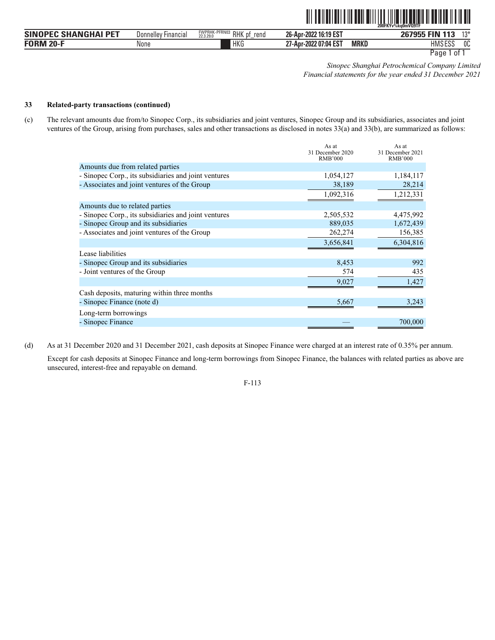

| <b>SINOPEC SHANGHAI PFT</b> | Financial<br>Donnellev | -PFRN0<br><b>FWPRHK-F</b><br><b>RHK</b><br>rend<br>nt<br>22.3.29.0 | ∠16:19 EST<br>26-Anr-2<br>$-2022$                                       | <b>FIN 113</b><br>. . | 12 |
|-----------------------------|------------------------|--------------------------------------------------------------------|-------------------------------------------------------------------------|-----------------------|----|
| $20-F$<br>FUBM              | None                   | <b>HKG</b>                                                         | <b>MRKD</b><br>$\sim$<br>$-200$ $-207$<br>-202<br>2 07:04 EST<br>'/-Anr | <b>HMSESS</b>         | 0C |
|                             |                        |                                                                    |                                                                         |                       |    |

Page 1 of 1

#### **33 Related-party transactions (continued)**

(c) The relevant amounts due from/to Sinopec Corp., its subsidiaries and joint ventures, Sinopec Group and its subsidiaries, associates and joint ventures of the Group, arising from purchases, sales and other transactions as disclosed in notes 33(a) and 33(b), are summarized as follows:

|                                                      | As at<br>31 December 2020<br><b>RMB'000</b> | As at<br>31 December 2021<br><b>RMB'000</b> |
|------------------------------------------------------|---------------------------------------------|---------------------------------------------|
| Amounts due from related parties                     |                                             |                                             |
| - Sinopec Corp., its subsidiaries and joint ventures | 1,054,127                                   | 1,184,117                                   |
| - Associates and joint ventures of the Group         | 38,189                                      | 28,214                                      |
|                                                      | 1,092,316                                   | 1,212,331                                   |
| Amounts due to related parties                       |                                             |                                             |
| - Sinopec Corp., its subsidiaries and joint ventures | 2,505,532                                   | 4,475,992                                   |
| - Sinopec Group and its subsidiaries                 | 889,035                                     | 1,672,439                                   |
| - Associates and joint ventures of the Group         | 262,274                                     | 156,385                                     |
|                                                      | 3,656,841                                   | 6,304,816                                   |
| Lease liabilities                                    |                                             |                                             |
| - Sinopec Group and its subsidiaries                 | 8,453                                       | 992                                         |
| - Joint ventures of the Group                        | 574                                         | 435                                         |
|                                                      | 9,027                                       | 1,427                                       |
| Cash deposits, maturing within three months          |                                             |                                             |
| - Sinopec Finance (note d)                           | 5,667                                       | 3,243                                       |
| Long-term borrowings                                 |                                             |                                             |
| - Sinopec Finance                                    |                                             | 700,000                                     |

(d) As at 31 December 2020 and 31 December 2021, cash deposits at Sinopec Finance were charged at an interest rate of 0.35% per annum.

Except for cash deposits at Sinopec Finance and long-term borrowings from Sinopec Finance, the balances with related parties as above are unsecured, interest-free and repayable on demand.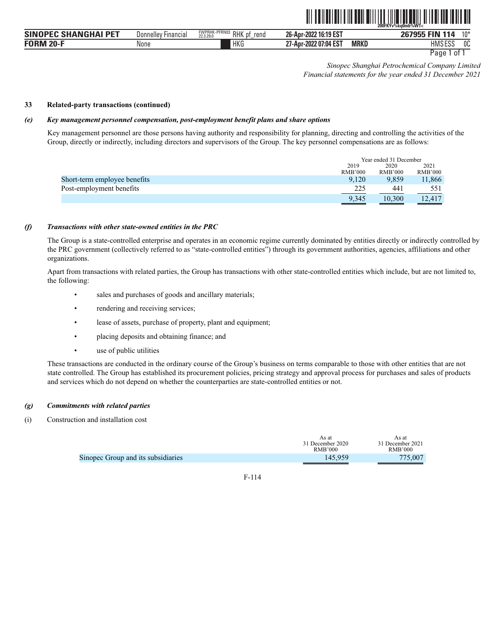

| <b>SINOPEC SHANGHAI PET</b> | <b>⊦</b> ınancıa.<br>Donnellev | -PERNIN<br><b>FWPRHK-</b><br>RHK<br>end'<br>.<br>22.3.29. | 26-Apr-2022 16:19 EST                              | ---<br>7ur<br>-11         | $10*$ |
|-----------------------------|--------------------------------|-----------------------------------------------------------|----------------------------------------------------|---------------------------|-------|
| FORM<br>$20-F$              | None                           | HKG                                                       | MRKI<br>2 07:04 EST<br>$\angle$ <i>l</i> -Anr-2022 | $\mathbf{R}$<br>טסם טועוד | 0C    |
|                             |                                |                                                           |                                                    |                           |       |

Page 1 of 1

#### **33 Related-party transactions (continued)**

#### *(e) Key management personnel compensation, post-employment benefit plans and share options*

Key management personnel are those persons having authority and responsibility for planning, directing and controlling the activities of the Group, directly or indirectly, including directors and supervisors of the Group. The key personnel compensations are as follows:

|                              |                | Year ended 31 December |         |  |
|------------------------------|----------------|------------------------|---------|--|
|                              | 2019           | 2020                   | 2021    |  |
|                              | <b>RMB'000</b> | <b>RMB'000</b>         | RMB'000 |  |
| Short-term employee benefits | 9.120          | 9.859                  | 11,866  |  |
| Post-employment benefits     | 225            | 441                    | 551     |  |
|                              | 9.345          | 10.300                 | 12.417  |  |

#### *(f) Transactions with other state-owned entities in the PRC*

The Group is a state-controlled enterprise and operates in an economic regime currently dominated by entities directly or indirectly controlled by the PRC government (collectively referred to as "state-controlled entities") through its government authorities, agencies, affiliations and other organizations.

Apart from transactions with related parties, the Group has transactions with other state-controlled entities which include, but are not limited to, the following:

- sales and purchases of goods and ancillary materials;
- rendering and receiving services;
- lease of assets, purchase of property, plant and equipment;
- placing deposits and obtaining finance; and
- use of public utilities

These transactions are conducted in the ordinary course of the Group's business on terms comparable to those with other entities that are not state controlled. The Group has established its procurement policies, pricing strategy and approval process for purchases and sales of products and services which do not depend on whether the counterparties are state-controlled entities or not.

#### *(g) Commitments with related parties*

#### (i) Construction and installation cost

|                                    | As at<br>31 December 2020<br>RMB'000 | As at<br>31 December 2021<br>RMB'000 |
|------------------------------------|--------------------------------------|--------------------------------------|
| Sinopec Group and its subsidiaries | 145.959                              | 775,007                              |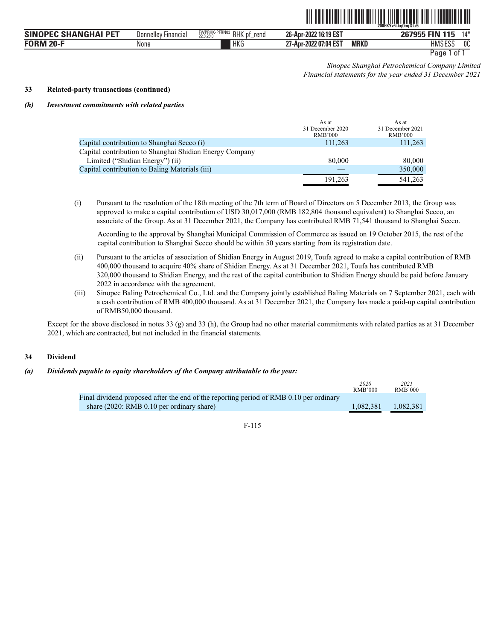| <b>CHANC</b><br><b>PF1</b><br>-НАГ  | · <b>Inancial</b><br>ınellev<br>Uon | FWPRHK-PFRN03<br><b>DIIV</b><br>rend<br><b>KHK</b><br>22.3.29.0 | 16:19 EST<br>ne<br>$-2022$<br>Zb-Apr-  | ---<br>-----<br>-0 | $A$ $A$ $N$<br>، ۱۱ |
|-------------------------------------|-------------------------------------|-----------------------------------------------------------------|----------------------------------------|--------------------|---------------------|
| <b>FORM</b><br><b>00 F</b><br>/II-I | None                                | <b>HKG</b>                                                      | MRKD<br><b>07:04 ES1</b><br>7-Apr-2022 | <b>HMSESS</b>      | 0C                  |
|                                     |                                     |                                                                 |                                        |                    |                     |

*Sinopec Shanghai Petrochemical Company Limited Financial statements for the year ended 31 December 2021*

#### **33 Related-party transactions (continued)**

#### *(h) Investment commitments with related parties*

|                                                         | As at<br>31 December 2020<br><b>RMB'000</b> | As at<br>31 December 2021<br>RMB'000 |
|---------------------------------------------------------|---------------------------------------------|--------------------------------------|
| Capital contribution to Shanghai Secco (i)              | 111.263                                     | 111,263                              |
| Capital contribution to Shanghai Shidian Energy Company |                                             |                                      |
| Limited ("Shidian Energy") (ii)                         | 80,000                                      | 80,000                               |
| Capital contribution to Baling Materials (iii)          |                                             | 350,000                              |
|                                                         | 191,263                                     | 541,263                              |

(i) Pursuant to the resolution of the 18th meeting of the 7th term of Board of Directors on 5 December 2013, the Group was approved to make a capital contribution of USD 30,017,000 (RMB 182,804 thousand equivalent) to Shanghai Secco, an associate of the Group. As at 31 December 2021, the Company has contributed RMB 71,541 thousand to Shanghai Secco.

According to the approval by Shanghai Municipal Commission of Commerce as issued on 19 October 2015, the rest of the capital contribution to Shanghai Secco should be within 50 years starting from its registration date.

- (ii) Pursuant to the articles of association of Shidian Energy in August 2019, Toufa agreed to make a capital contribution of RMB 400,000 thousand to acquire 40% share of Shidian Energy. As at 31 December 2021, Toufa has contributed RMB 320,000 thousand to Shidian Energy, and the rest of the capital contribution to Shidian Energy should be paid before January 2022 in accordance with the agreement.
- (iii) Sinopec Baling Petrochemical Co., Ltd. and the Company jointly established Baling Materials on 7 September 2021, each with a cash contribution of RMB 400,000 thousand. As at 31 December 2021, the Company has made a paid-up capital contribution of RMB50,000 thousand.

Except for the above disclosed in notes 33 (g) and 33 (h), the Group had no other material commitments with related parties as at 31 December 2021, which are contracted, but not included in the financial statements.

#### **34 Dividend**

#### *(a) Dividends payable to equity shareholders of the Company attributable to the year:*

|                                                                                        | 2020<br>RMB'000 | 2021<br>RMB'000 |
|----------------------------------------------------------------------------------------|-----------------|-----------------|
| Final dividend proposed after the end of the reporting period of RMB 0.10 per ordinary |                 |                 |
| share $(2020: RMB 0.10$ per ordinary share)                                            | 1.082.381       | 1.082.381       |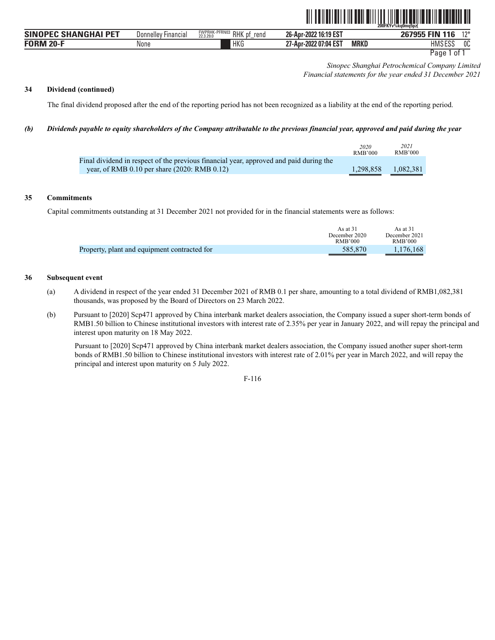

| <b>PFT</b><br>HAI<br>'ANI.<br>` | <b>'</b> -ınancıa.<br>Jonnellev | FWPRHK-PFRN03<br><b>DIIV</b><br>rend<br>KHN,<br>22.3.29.0 | -2022 16:19 EST<br>ne<br>26-Apr-           | <b>FIN 116</b> | 40x          |
|---------------------------------|---------------------------------|-----------------------------------------------------------|--------------------------------------------|----------------|--------------|
| $20-F$<br>FORM                  | None                            | <b>HKG</b>                                                | <b>MRKL</b><br>$-$ u/:04 F°<br>-1-Apr-202° | <b>HMSESS</b>  | $\sim$<br>υu |
|                                 |                                 |                                                           |                                            |                |              |

*Sinopec Shanghai Petrochemical Company Limited Financial statements for the year ended 31 December 2021*

#### **34 Dividend (continued)**

The final dividend proposed after the end of the reporting period has not been recognized as a liability at the end of the reporting period.

#### *(b) Dividends payable to equity shareholders of the Company attributable to the previous financial year, approved and paid during the year*

|                                                                                        | 2020<br>RMB'000 | 2021<br>RMB'000 |
|----------------------------------------------------------------------------------------|-----------------|-----------------|
| Final dividend in respect of the previous financial year, approved and paid during the |                 |                 |
| year, of RMB $0.10$ per share $(2020:$ RMB $0.12)$                                     | 1.298.858       | 1.082.381       |

#### **35 Commitments**

Capital commitments outstanding at 31 December 2021 not provided for in the financial statements were as follows:

|                                              | As at 31<br>December 2020<br>RMB'000 | As at 31<br>December 2021<br>RMB'000 |
|----------------------------------------------|--------------------------------------|--------------------------------------|
| Property, plant and equipment contracted for | 585,870                              | 1.176.168                            |

#### **36 Subsequent event**

- (a) A dividend in respect of the year ended 31 December 2021 of RMB 0.1 per share, amounting to a total dividend of RMB1,082,381 thousands, was proposed by the Board of Directors on 23 March 2022.
- (b) Pursuant to [2020] Scp471 approved by China interbank market dealers association, the Company issued a super short-term bonds of RMB1.50 billion to Chinese institutional investors with interest rate of 2.35% per year in January 2022, and will repay the principal and interest upon maturity on 18 May 2022.

Pursuant to [2020] Scp471 approved by China interbank market dealers association, the Company issued another super short-term bonds of RMB1.50 billion to Chinese institutional investors with interest rate of 2.01% per year in March 2022, and will repay the principal and interest upon maturity on 5 July 2022.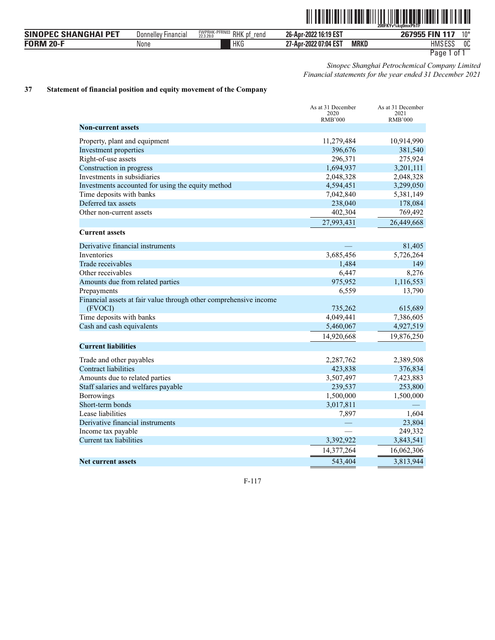

| <b>SINOPEC SHANGHAI PET</b> | Financial<br>Donnell | -PFRN0<br><b>FWPRHK-F</b><br><b>RHK</b><br>rend<br>DŤ<br>22.3.29.0 | 16:19 EST<br>26-Apr-<br>$-2022$                        | ن FIN 11 $^{\circ}$ | $10*$ |
|-----------------------------|----------------------|--------------------------------------------------------------------|--------------------------------------------------------|---------------------|-------|
| $20-F$<br>FUBM              | None                 | <b>HKG</b>                                                         | <b>MRKD</b><br>$\sim$<br>2 07:04 EST<br>.202<br>'/-Anr | <b>HMSESS</b>       | 0C    |
|                             |                      |                                                                    |                                                        |                     |       |

*Sinopec Shanghai Petrochemical Company Limited Financial statements for the year ended 31 December 2021*

#### **37 Statement of financial position and equity movement of the Company**

|                                                                   | As at 31 December<br>2020<br><b>RMB'000</b> | As at 31 December<br>2021<br><b>RMB'000</b> |
|-------------------------------------------------------------------|---------------------------------------------|---------------------------------------------|
| <b>Non-current assets</b>                                         |                                             |                                             |
| Property, plant and equipment                                     | 11,279,484                                  | 10,914,990                                  |
| Investment properties                                             | 396,676                                     | 381,540                                     |
| Right-of-use assets                                               | 296,371                                     | 275,924                                     |
| Construction in progress                                          | 1,694,937                                   | 3,201,111                                   |
| Investments in subsidiaries                                       | 2,048,328                                   | 2,048,328                                   |
| Investments accounted for using the equity method                 | 4,594,451                                   | 3,299,050                                   |
| Time deposits with banks                                          | 7,042,840                                   | 5,381,149                                   |
| Deferred tax assets                                               | 238,040                                     | 178,084                                     |
| Other non-current assets                                          | 402,304                                     | 769,492                                     |
|                                                                   | 27,993,431                                  | 26,449,668                                  |
| <b>Current assets</b>                                             |                                             |                                             |
| Derivative financial instruments                                  |                                             | 81,405                                      |
| <b>Inventories</b>                                                | 3,685,456                                   | 5,726,264                                   |
| Trade receivables                                                 | 1,484                                       | 149                                         |
| Other receivables                                                 | 6,447                                       | 8,276                                       |
| Amounts due from related parties                                  | 975,952                                     | 1,116,553                                   |
| Prepayments                                                       | 6,559                                       | 13,790                                      |
| Financial assets at fair value through other comprehensive income |                                             |                                             |
| (FVOCI)                                                           | 735,262                                     | 615,689                                     |
| Time deposits with banks                                          | 4,049,441                                   | 7,386,605                                   |
| Cash and cash equivalents                                         | 5,460,067                                   | 4,927,519                                   |
|                                                                   | 14,920,668                                  | 19,876,250                                  |
| <b>Current liabilities</b>                                        |                                             |                                             |
| Trade and other payables                                          | 2,287,762                                   | 2,389,508                                   |
| <b>Contract liabilities</b>                                       | 423,838                                     | 376,834                                     |
| Amounts due to related parties                                    | 3,507,497                                   | 7,423,883                                   |
| Staff salaries and welfares payable                               | 239,537                                     | 253,800                                     |
| Borrowings                                                        | 1,500,000                                   | 1,500,000                                   |
| Short-term bonds                                                  | 3,017,811                                   |                                             |
| Lease liabilities                                                 | 7,897                                       | 1,604                                       |
| Derivative financial instruments                                  |                                             | 23,804                                      |
| Income tax payable                                                |                                             | 249,332                                     |
| Current tax liabilities                                           | 3,392,922                                   | 3,843,541                                   |
|                                                                   | 14,377,264                                  | 16,062,306                                  |
| <b>Net current assets</b>                                         | 543,404                                     | 3,813,944                                   |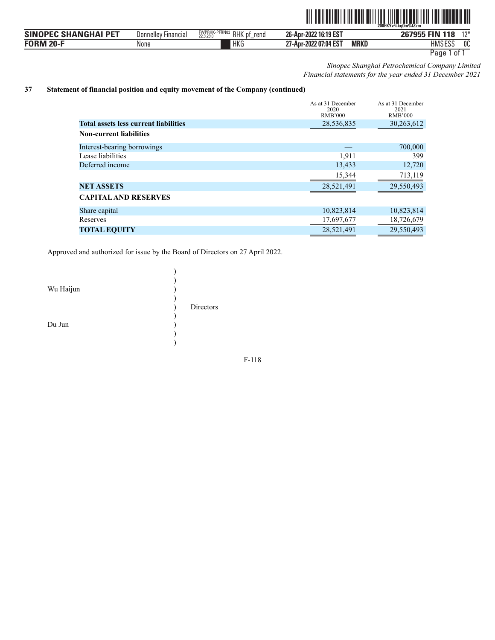

| <b>SINOPEC SHANGHAL</b><br><b>DET</b> | <b>Financial</b><br>Donnelley | :-PFRN0<br><b>FWPRHK-</b><br>RHK<br>rend<br>22.3.29.0 | 26-Apr-2022 16:19 EST                           | 1 $7*$<br><b>CIRE.</b><br>110<br>דמר<br>7QF.I<br>- 10 |
|---------------------------------------|-------------------------------|-------------------------------------------------------|-------------------------------------------------|-------------------------------------------------------|
| $20-F$<br>FUBM                        | None                          | <b>HKG</b>                                            | MRKD<br>207:04E<br>-2022<br>$2$ -Apr- $\degree$ | <b>IIMO FOO</b><br>0C<br>טור<br>– ∟u≀                 |
|                                       |                               |                                                       |                                                 |                                                       |

*Sinopec Shanghai Petrochemical Company Limited Financial statements for the year ended 31 December 2021*

#### **37 Statement of financial position and equity movement of the Company (continued)**

|                                              | As at 31 December<br>2020<br><b>RMB'000</b> | As at 31 December<br>2021<br><b>RMB'000</b> |
|----------------------------------------------|---------------------------------------------|---------------------------------------------|
| <b>Total assets less current liabilities</b> | 28,536,835                                  | 30,263,612                                  |
| <b>Non-current liabilities</b>               |                                             |                                             |
| Interest-bearing borrowings                  |                                             | 700,000                                     |
| Lease liabilities                            | 1,911                                       | 399                                         |
| Deferred income                              | 13,433                                      | 12,720                                      |
|                                              | 15,344                                      | 713,119                                     |
| <b>NET ASSETS</b>                            | 28,521,491                                  | 29,550,493                                  |
| <b>CAPITAL AND RESERVES</b>                  |                                             |                                             |
| Share capital                                | 10,823,814                                  | 10,823,814                                  |
| Reserves                                     | 17,697,677                                  | 18,726,679                                  |
| <b>TOTAL EQUITY</b>                          | 28,521,491                                  | 29,550,493                                  |

Approved and authorized for issue by the Board of Directors on 27 April 2022.

| Wu Haijun |           |
|-----------|-----------|
|           | Directors |
|           |           |
| Du Jun    |           |
|           |           |
|           |           |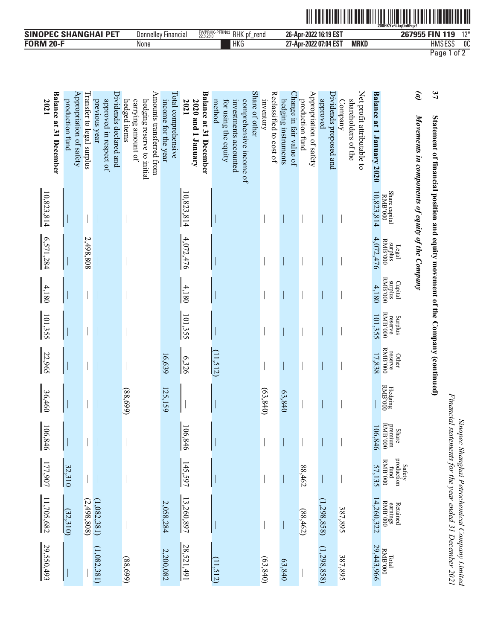| inancial statements for the year ended 31 December 2021<br>Sinopec Shanghai Petrochemical Company Limitea |
|-----------------------------------------------------------------------------------------------------------|
|-----------------------------------------------------------------------------------------------------------|

**37**Statement of financial position and equity movement of the Company (continued) **Statement of financial position and equity movement of the Company (continued)**

| Balance at 31 December<br>2021 | Appropriation of safety<br>production fund | Transfer to legal surplus | Dividends declared and<br>approved in respect of<br>previous year | Amounts transferred from<br>hedged items<br>carrying amount of<br>hedging reserve to initial | Total comprehensive<br>income for the year | <b>Balance at 31 December</b><br>2020 and 1 January<br>2021 | Share of other<br>method<br>comprehensive income of<br>for using the equity<br>investments accounted | Reclassified to cost of<br>mventory | Change in fair value of<br>hedging instruments | Appropriation of safety<br>production fund | Dividends proposed and<br>panorde | Net profit attributable to<br>shareholders of the<br>Company | Balance at 1 January 2020 | $\widehat{a}$<br>Movements in components of equity of the Company |
|--------------------------------|--------------------------------------------|---------------------------|-------------------------------------------------------------------|----------------------------------------------------------------------------------------------|--------------------------------------------|-------------------------------------------------------------|------------------------------------------------------------------------------------------------------|-------------------------------------|------------------------------------------------|--------------------------------------------|-----------------------------------|--------------------------------------------------------------|---------------------------|-------------------------------------------------------------------|
| 10,823,814                     |                                            |                           |                                                                   |                                                                                              |                                            | 10,823,814                                                  |                                                                                                      |                                     |                                                |                                            |                                   |                                                              | 10,823,814                | Share capital<br>000.BVB                                          |
| 6,571,284                      |                                            | 2,498,808                 |                                                                   |                                                                                              |                                            | 4,072,476                                                   |                                                                                                      |                                     |                                                |                                            |                                   |                                                              | 4,072,476                 | <b>RMB'000</b><br>sndms<br>Legal                                  |
| 4,180                          |                                            |                           |                                                                   |                                                                                              |                                            | 4,180                                                       |                                                                                                      |                                     |                                                |                                            |                                   |                                                              | 4,180                     | <b>RMB'000</b><br>sndans<br>Capital                               |
| 101,355                        |                                            |                           |                                                                   |                                                                                              |                                            | 101,355                                                     |                                                                                                      |                                     |                                                |                                            |                                   |                                                              | 101,355                   | <b>RMB'000</b><br>reserve<br>Surplus                              |
| 22,965                         |                                            |                           |                                                                   |                                                                                              | 16,639                                     | 6,326                                                       | (11, 512)                                                                                            |                                     |                                                |                                            |                                   |                                                              | 17,838                    | 000.BVN<br>reserve<br>Other                                       |
| 36,460                         |                                            |                           |                                                                   | (88,699)                                                                                     | 25,159                                     |                                                             |                                                                                                      | (63, 840)                           | 63,840                                         |                                            |                                   |                                                              |                           | Hedging<br>RMB'000                                                |
| 106,846                        |                                            |                           |                                                                   |                                                                                              |                                            | 106,846                                                     |                                                                                                      |                                     |                                                |                                            |                                   |                                                              | 106,846                   | $000. {\rm fM}$<br>RMB.000<br><b>Share</b>                        |
| 177,907                        | 32,310                                     |                           |                                                                   |                                                                                              |                                            | 145,597                                                     |                                                                                                      |                                     |                                                | 88,462                                     |                                   |                                                              | 57,135                    | production<br>$000,$ $B/NB$<br><b>Safety</b><br>hmi               |
| 11,705,682                     | (32,310)                                   | (2,498,808)               | (1,082,381)                                                       |                                                                                              | 2,058,284                                  | 13,260,897                                                  |                                                                                                      |                                     |                                                | (88,462)                                   | (1, 298, 858)                     | 387,895                                                      | 14,260,322                | earnings<br>RMB'000<br>Retained                                   |
| 29,550,493                     |                                            |                           | (1,082,381)                                                       | (88,699)                                                                                     | 2,200,082                                  | 28,521,491                                                  | 11,512                                                                                               | (63, 840)                           | 63,840                                         |                                            | (1,298,858)                       | 387,895                                                      | 29,443,966                | $_{\rm RMB}^{\rm Total}$                                          |

Donnelley Financial 22.3.29.0 RHK pf\_rend

None

**FORM 20-F**



ˆ200FKYv%kq0n6Fqz!Š **200FKYv%kq0n6Fqz!**

**26-Apr-2022 16:19 EST**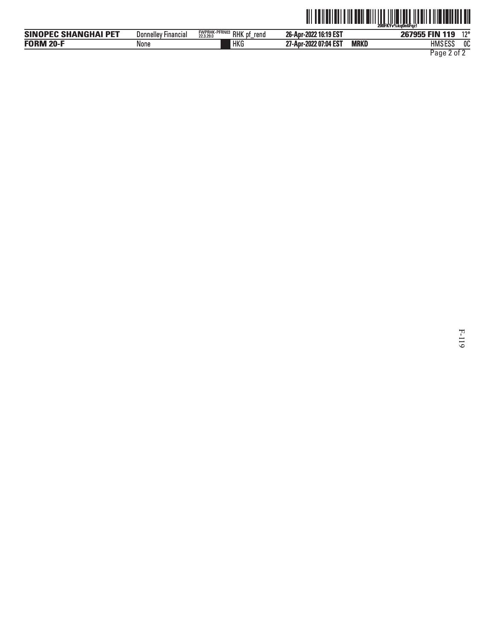

| <b>SINOPEC SHANGHAI PET</b> | <b>Financial</b><br>Jonnellev | rend<br>.nt<br>22.3.29.0 | -2022 16:19 EST<br>-Apr-<br>ZD-1    | <b>FIN 119</b>               | 12        |
|-----------------------------|-------------------------------|--------------------------|-------------------------------------|------------------------------|-----------|
| <b>FORM 20-F</b>            | None                          | <b>HKG</b>               | -2022 07:04 EST<br>65<br>7-Apr<br>" | <b>MRKD</b><br><b>HMSESS</b> | 0C<br>___ |

Page 2 of 2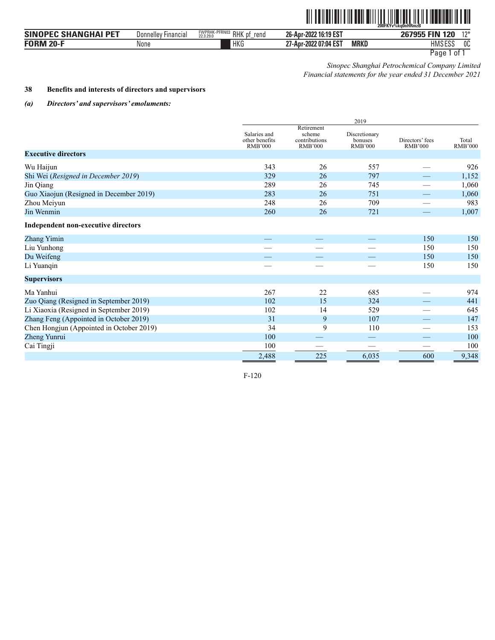| <b>SHANGHAI PFT</b>          | inancia<br>Jor<br>ınellev | <b>DAIDDI</b><br><b>K-PFRNO</b><br><b>DIIV</b><br>-WPRHK-<br>rend<br><b>KHK L</b><br>22.3.29.0 | <b>16:19 EST</b><br>26-Apr-2027                  | 120<br><b>CONTRACT</b><br><u>ACJAFF</u><br>IB<br>-0 | $12*$ |
|------------------------------|---------------------------|------------------------------------------------------------------------------------------------|--------------------------------------------------|-----------------------------------------------------|-------|
| FORM<br><b>00 F</b><br>/II-I | None                      | <b>HKG</b>                                                                                     | MRKD<br>$\sim$ 07:04 F° $^{-}$<br>2022<br>7-Anr- | <b>HMSESS</b>                                       | 0C    |
|                              |                           |                                                                                                |                                                  |                                                     |       |

*Sinopec Shanghai Petrochemical Company Limited Financial statements for the year ended 31 December 2021*

#### **38 Benefits and interests of directors and supervisors**

*(a) Directors' and supervisors' emoluments:*

|                                          | 2019                                             |                                                         |                                            |                                   |                         |
|------------------------------------------|--------------------------------------------------|---------------------------------------------------------|--------------------------------------------|-----------------------------------|-------------------------|
|                                          | Salaries and<br>other benefits<br><b>RMB'000</b> | Retirement<br>scheme<br>contributions<br><b>RMB'000</b> | Discretionary<br>bonuses<br><b>RMB'000</b> | Directors' fees<br><b>RMB'000</b> | Total<br><b>RMB'000</b> |
| <b>Executive directors</b>               |                                                  |                                                         |                                            |                                   |                         |
| Wu Haijun                                | 343                                              | 26                                                      | 557                                        |                                   | 926                     |
| Shi Wei (Resigned in December 2019)      | 329                                              | 26                                                      | 797                                        |                                   | 1,152                   |
| Jin Qiang                                | 289                                              | 26                                                      | 745                                        |                                   | 1,060                   |
| Guo Xiaojun (Resigned in December 2019)  | 283                                              | 26                                                      | 751                                        |                                   | 1,060                   |
| Zhou Meiyun                              | 248                                              | 26                                                      | 709                                        |                                   | 983                     |
| Jin Wenmin                               | 260                                              | 26                                                      | 721                                        |                                   | 1,007                   |
| Independent non-executive directors      |                                                  |                                                         |                                            |                                   |                         |
| <b>Zhang Yimin</b>                       |                                                  |                                                         |                                            | 150                               | 150                     |
| Liu Yunhong                              |                                                  |                                                         |                                            | 150                               | 150                     |
| Du Weifeng                               |                                                  |                                                         |                                            | 150                               | 150                     |
| Li Yuanqin                               |                                                  |                                                         |                                            | 150                               | 150                     |
| <b>Supervisors</b>                       |                                                  |                                                         |                                            |                                   |                         |
| Ma Yanhui                                | 267                                              | 22                                                      | 685                                        |                                   | 974                     |
| Zuo Qiang (Resigned in September 2019)   | 102                                              | 15                                                      | 324                                        |                                   | 441                     |
| Li Xiaoxia (Resigned in September 2019)  | 102                                              | 14                                                      | 529                                        |                                   | 645                     |
| Zhang Feng (Appointed in October 2019)   | 31                                               | 9                                                       | 107                                        |                                   | 147                     |
| Chen Hongjun (Appointed in October 2019) | 34                                               | 9                                                       | 110                                        |                                   | 153                     |
| Zheng Yunrui                             | 100                                              |                                                         |                                            |                                   | 100                     |
| Cai Tingji                               | 100                                              |                                                         |                                            |                                   | 100                     |
|                                          | 2,488                                            | 225                                                     | 6,035                                      | 600                               | 9,348                   |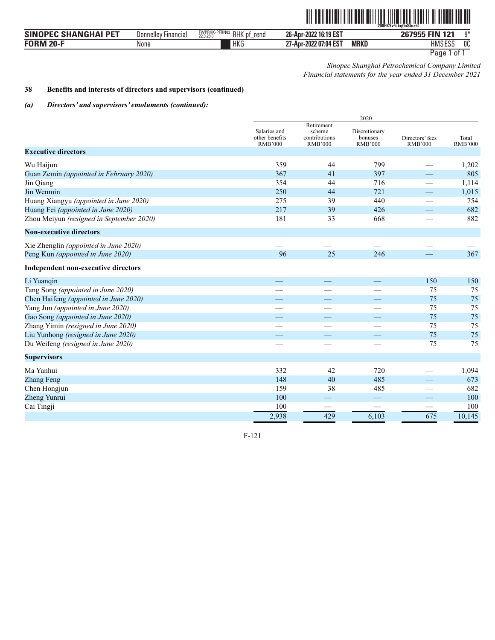# ˆ200FKYv%kq0nSbiz@Š **200FKYv%kq0nSbiz@**

| <b>CINOPEC CHANGHAI</b><br>DET | <b>Financial</b><br>Donnelley | -PFRN03<br>RHK<br><b>FVVPRHK</b><br>rena<br>22.3.29.0 | 26-Apr-2022 16:19 EST              | <b>CIRE</b><br>$A \cap A$<br>דהמ<br>7QF.I<br>40 | n* |
|--------------------------------|-------------------------------|-------------------------------------------------------|------------------------------------|-------------------------------------------------|----|
| $20-F$<br>FUBM                 | None                          | <b>HKG</b>                                            | MRKI<br>2 07:04 EST<br>/1-Anr-2022 | $I$ $I$ $I$ $O$ $I$ $O$ $O$<br>TIVIC<br>'۱۱۰۰.  | OC |
|                                |                               |                                                       |                                    |                                                 |    |

Page 1 of 1

*Sinopec Shanghai Petrochemical Company Limited Financial statements for the year ended 31 December 2021*

#### **38 Benefits and interests of directors and supervisors (continued)**

*(a) Directors' and supervisors' emoluments (continued):*

|                                          |                                                  |                                                         | 2020                                       |                                   |                         |
|------------------------------------------|--------------------------------------------------|---------------------------------------------------------|--------------------------------------------|-----------------------------------|-------------------------|
|                                          | Salaries and<br>other benefits<br><b>RMB'000</b> | Retirement<br>scheme<br>contributions<br><b>RMB'000</b> | Discretionary<br>bonuses<br><b>RMB'000</b> | Directors' fees<br><b>RMB'000</b> | Total<br><b>RMB'000</b> |
| <b>Executive directors</b>               |                                                  |                                                         |                                            |                                   |                         |
| Wu Haijun                                | 359                                              | 44                                                      | 799                                        |                                   | 1,202                   |
| Guan Zemin (appointed in February 2020)  | 367                                              | 41                                                      | 397                                        |                                   | 805                     |
| Jin Qiang                                | 354                                              | 44                                                      | 716                                        |                                   | 1,114                   |
| Jin Wenmin                               | 250                                              | 44                                                      | 721                                        |                                   | 1,015                   |
| Huang Xiangyu (appointed in June 2020)   | 275                                              | 39                                                      | 440                                        |                                   | 754                     |
| Huang Fei (appointed in June 2020)       | 217                                              | 39                                                      | 426                                        |                                   | 682                     |
| Zhou Meiyun (resigned in September 2020) | 181                                              | 33                                                      | 668                                        |                                   | 882                     |
| <b>Non-executive directors</b>           |                                                  |                                                         |                                            |                                   |                         |
| Xie Zhenglin (appointed in June 2020)    |                                                  |                                                         |                                            |                                   |                         |
| Peng Kun (appointed in June 2020)        | 96                                               | 25                                                      | 246                                        |                                   | 367                     |
| Independent non-executive directors      |                                                  |                                                         |                                            |                                   |                         |
| Li Yuanqin                               |                                                  | $\hspace{0.1mm}-\hspace{0.1mm}$                         | $\overline{\phantom{0}}$                   | 150                               | 150                     |
| Tang Song (appointed in June 2020)       |                                                  |                                                         |                                            | 75                                | 75                      |
| Chen Haifeng (appointed in June 2020)    |                                                  |                                                         |                                            | 75                                | 75                      |
| Yang Jun (appointed in June 2020)        |                                                  |                                                         |                                            | 75                                | 75                      |
| Gao Song (appointed in June 2020)        |                                                  |                                                         | —                                          | 75                                | 75                      |
| Zhang Yimin (resigned in June 2020)      |                                                  |                                                         |                                            | 75                                | 75                      |
| Liu Yunhong (resigned in June 2020)      |                                                  |                                                         |                                            | 75                                | 75                      |
| Du Weifeng (resigned in June 2020)       |                                                  |                                                         |                                            | 75                                | 75                      |
| <b>Supervisors</b>                       |                                                  |                                                         |                                            |                                   |                         |
| Ma Yanhui                                | 332                                              | 42                                                      | 720                                        |                                   | 1,094                   |
| <b>Zhang Feng</b>                        | 148                                              | 40                                                      | 485                                        |                                   | 673                     |
| Chen Hongjun                             | 159                                              | 38                                                      | 485                                        |                                   | 682                     |
| Zheng Yunrui                             | 100                                              | $\qquad \qquad -$                                       | $\overline{\phantom{0}}$                   | $\qquad \qquad \longleftarrow$    | 100                     |
| Cai Tingji                               | 100                                              |                                                         |                                            |                                   | 100                     |
|                                          | 2,938                                            | 429                                                     | 6,103                                      | 675                               | 10,145                  |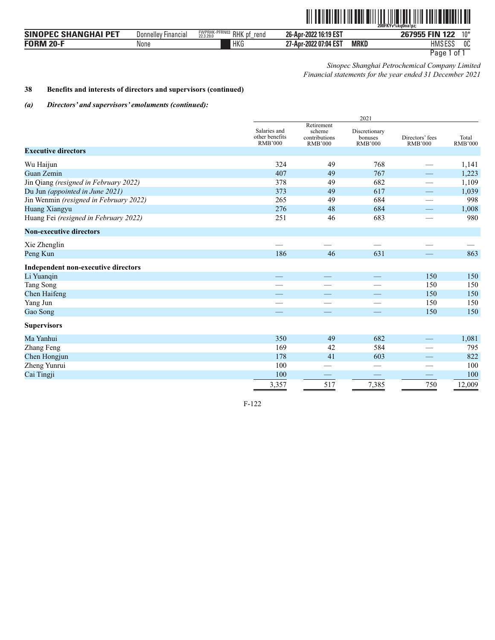# ▌▏▏▌▊▌▏▊▌▏▌▌▎▎▌▕▎▏▊▊▌▏█▎▏▏▏<sub>200FK</sub>vv‰kq0na!pz;<br><sub>«</sub>

| <b>SINOPEC SHANGHAI</b><br><b>DET</b> | Donnelley '<br><b>Financial</b> | :-PFRN0<br>RHK<br><b>FVVPRHK</b><br>rend<br>000000<br>∙zu<br>22.3.29.U | 26-Apr-2022 16:19 EST                      | <b>CIAL</b><br>$\sqrt{2}$<br>אמי<br>---<br>- I I | $10*$ |
|---------------------------------------|---------------------------------|------------------------------------------------------------------------|--------------------------------------------|--------------------------------------------------|-------|
| <b>FORM 20-F</b>                      | None                            | IUVC<br>nno                                                            | MRKI<br>-2022 07:04 FST<br>77-Anr-<br>. LJ | $\mathbf{R}$<br>טסם טועוד                        | 0C    |
|                                       |                                 |                                                                        |                                            |                                                  |       |

Page 1 of 1

*Sinopec Shanghai Petrochemical Company Limited Financial statements for the year ended 31 December 2021*

#### **38 Benefits and interests of directors and supervisors (continued)**

*(a) Directors' and supervisors' emoluments (continued):*

|                                            |                                                  |                                                         | 2021                                       |                                   |                         |
|--------------------------------------------|--------------------------------------------------|---------------------------------------------------------|--------------------------------------------|-----------------------------------|-------------------------|
|                                            | Salaries and<br>other benefits<br><b>RMB'000</b> | Retirement<br>scheme<br>contributions<br><b>RMB'000</b> | Discretionary<br>bonuses<br><b>RMB'000</b> | Directors' fees<br><b>RMB'000</b> | Total<br><b>RMB'000</b> |
| <b>Executive directors</b>                 |                                                  |                                                         |                                            |                                   |                         |
| Wu Haijun                                  | 324                                              | 49                                                      | 768                                        |                                   | 1,141                   |
| Guan Zemin                                 | 407                                              | 49                                                      | 767                                        |                                   | 1,223                   |
| Jin Qiang (resigned in February 2022)      | 378                                              | 49                                                      | 682                                        | $\overline{\phantom{0}}$          | 1,109                   |
| Du Jun (appointed in June 2021)            | 373                                              | 49                                                      | 617                                        |                                   | 1,039                   |
| Jin Wenmin (resigned in February 2022)     | 265                                              | 49                                                      | 684                                        | --                                | 998                     |
| Huang Xiangyu                              | 276                                              | 48                                                      | 684                                        |                                   | 1,008                   |
| Huang Fei (resigned in February 2022)      | 251                                              | 46                                                      | 683                                        |                                   | 980                     |
| <b>Non-executive directors</b>             |                                                  |                                                         |                                            |                                   |                         |
| Xie Zhenglin                               |                                                  |                                                         |                                            |                                   |                         |
| Peng Kun                                   | 186                                              | 46                                                      | 631                                        |                                   | 863                     |
| <b>Independent non-executive directors</b> |                                                  |                                                         |                                            |                                   |                         |
| Li Yuanqin                                 |                                                  |                                                         |                                            | 150                               | 150                     |
| Tang Song                                  |                                                  |                                                         |                                            | 150                               | 150                     |
| Chen Haifeng                               |                                                  |                                                         |                                            | 150                               | 150                     |
| Yang Jun                                   |                                                  |                                                         |                                            | 150                               | 150                     |
| Gao Song                                   |                                                  |                                                         |                                            | 150                               | 150                     |
| <b>Supervisors</b>                         |                                                  |                                                         |                                            |                                   |                         |
| Ma Yanhui                                  | 350                                              | 49                                                      | 682                                        | $\qquad \qquad$                   | 1,081                   |
| Zhang Feng                                 | 169                                              | 42                                                      | 584                                        |                                   | 795                     |
| Chen Hongjun                               | 178                                              | 41                                                      | 603                                        |                                   | 822                     |
| Zheng Yunrui                               | 100                                              |                                                         |                                            |                                   | 100                     |
| Cai Tingji                                 | 100                                              | $\hspace{0.1mm}-\hspace{0.1mm}$                         | $\overline{\phantom{m}}$                   | $\overline{\phantom{m}}$          | 100                     |
|                                            | 3,357                                            | 517                                                     | 7,385                                      | 750                               | 12,009                  |

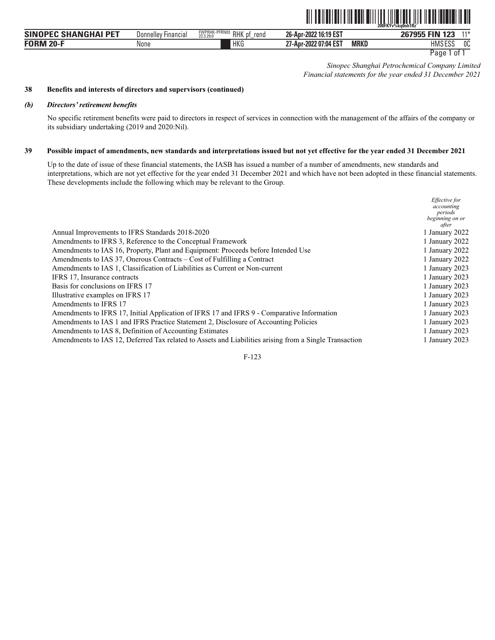

| <b>SINOPEC SHANGHAI</b><br>$\blacksquare$ DET | ⊦ınancıal<br><b>Donnel</b> | <b>FWPRHK-F</b><br>-PFRN03<br><b>RHK</b><br>rend<br>nt<br>22.3.29.0 | 26-Apr<br>16:19 EST<br>$-202$                                              | 100<br>יהה<br>40 | 4.4.2 |
|-----------------------------------------------|----------------------------|---------------------------------------------------------------------|----------------------------------------------------------------------------|------------------|-------|
| $20-F$<br><b>EORM</b>                         | None                       | <b>HKG</b>                                                          | <b>MRKD</b><br>nп<br><b>304 FO'</b><br>-202<br>/ 07:07<br>7-Anr<br>:U4 E.S | <b>HMSESS</b>    | 0C    |
|                                               |                            |                                                                     |                                                                            |                  |       |

Page 1 of 1

#### **38 Benefits and interests of directors and supervisors (continued)**

#### *(b) Directors' retirement benefits*

No specific retirement benefits were paid to directors in respect of services in connection with the management of the affairs of the company or its subsidiary undertaking (2019 and 2020:Nil).

#### **39 Possible impact of amendments, new standards and interpretations issued but not yet effective for the year ended 31 December 2021**

Up to the date of issue of these financial statements, the IASB has issued a number of a number of amendments, new standards and interpretations, which are not yet effective for the year ended 31 December 2021 and which have not been adopted in these financial statements. These developments include the following which may be relevant to the Group.

|                                                                                                        | Effective for<br>accounting<br>periods<br>beginning on or<br>after |
|--------------------------------------------------------------------------------------------------------|--------------------------------------------------------------------|
| Annual Improvements to IFRS Standards 2018-2020                                                        | 1 January 2022                                                     |
| Amendments to IFRS 3, Reference to the Conceptual Framework                                            | 1 January 2022                                                     |
| Amendments to IAS 16, Property, Plant and Equipment: Proceeds before Intended Use                      | 1 January 2022                                                     |
| Amendments to IAS 37, Onerous Contracts – Cost of Fulfilling a Contract                                | 1 January 2022                                                     |
| Amendments to IAS 1, Classification of Liabilities as Current or Non-current                           | 1 January 2023                                                     |
| IFRS 17, Insurance contracts                                                                           | 1 January 2023                                                     |
| Basis for conclusions on IFRS 17                                                                       | 1 January 2023                                                     |
| Illustrative examples on IFRS 17                                                                       | 1 January 2023                                                     |
| Amendments to IFRS 17                                                                                  | 1 January 2023                                                     |
| Amendments to IFRS 17, Initial Application of IFRS 17 and IFRS 9 - Comparative Information             | 1 January 2023                                                     |
| Amendments to IAS 1 and IFRS Practice Statement 2, Disclosure of Accounting Policies                   | 1 January 2023                                                     |
| Amendments to IAS 8, Definition of Accounting Estimates                                                | 1 January 2023                                                     |
| Amendments to IAS 12, Deferred Tax related to Assets and Liabilities arising from a Single Transaction | 1 January 2023                                                     |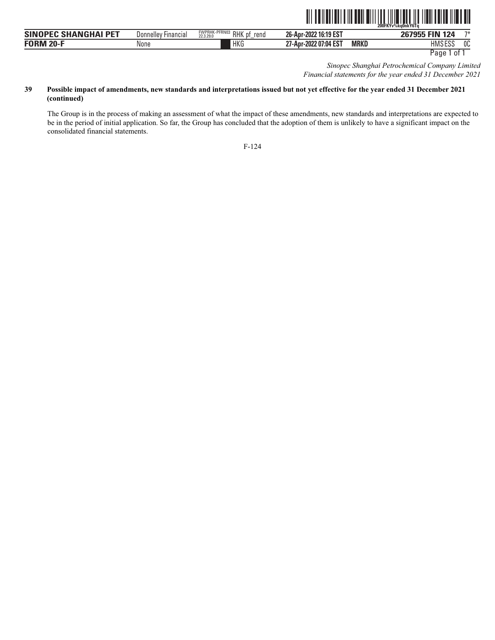

| IDEC CHANCHAI<br>DE1<br><b>SINOI</b><br>٦N. | Financial<br>Donnelley | <b>FWPRHK-F</b><br>-PFRN03<br><b>RHK</b><br>rend<br>DŤ<br>22.3.29.0 | 16:19 EST<br>26-Apr-<br>$-2027$        | , FIN<br>12 <sub>A</sub> | 一个半          |
|---------------------------------------------|------------------------|---------------------------------------------------------------------|----------------------------------------|--------------------------|--------------|
| $20-F$<br>FORM                              | None                   | <b>HKG</b>                                                          | MRKD<br>? 07:04 ES1<br>$-202$<br>/-Apr | <b>HMSESS</b>            | $\sim$<br>υu |
|                                             |                        |                                                                     |                                        |                          |              |

*Sinopec Shanghai Petrochemical Company Limited Financial statements for the year ended 31 December 2021*

#### **39 Possible impact of amendments, new standards and interpretations issued but not yet effective for the year ended 31 December 2021 (continued)**

The Group is in the process of making an assessment of what the impact of these amendments, new standards and interpretations are expected to be in the period of initial application. So far, the Group has concluded that the adoption of them is unlikely to have a significant impact on the consolidated financial statements.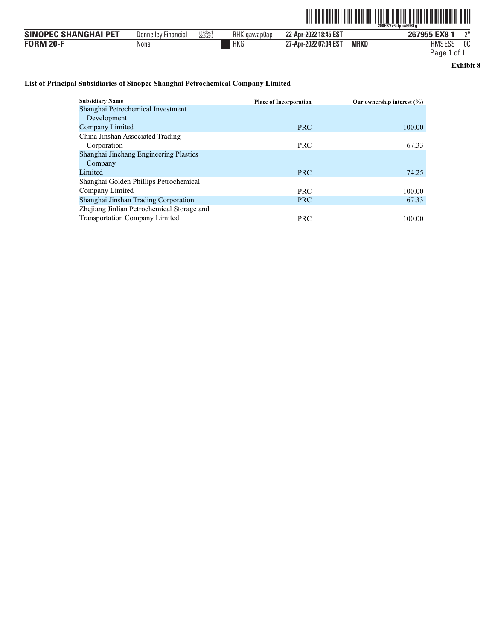### ▌▏▏▌▊▌▏▊▌▏▌▌▎▎▌▕▎▏▊▊▌▏█▎▏▏▏<sub>②</sub><sub>②◎FK</sub>v<sub>v%tpa=5981g</sub>

| <b>SINOPEC SHANGHAI PET</b> | <b>Donnelley</b><br><b>Financial</b> | rhkdoc<br>22.3.29.0 | RHK<br>. aawap0ap        | 18:45 EST<br>$\angle 2$ -Apr-202 $^{\circ}$ |             | F10<br>־ימ<br>-AU        | $\sim$ |
|-----------------------------|--------------------------------------|---------------------|--------------------------|---------------------------------------------|-------------|--------------------------|--------|
| <b>EORM 20-F</b>            | None                                 |                     | <b>HKC</b><br><b>HNU</b> | 7:04 ES1<br>∠ <i>I</i> -Apr-202^<br>07:0'   | <b>MRKD</b> | <b>FOO</b><br>HMS<br>∟ບບ | 0C     |
|                             |                                      |                     |                          |                                             |             |                          |        |

Page 1 of 1

**Exhibit 8**

**List of Principal Subsidiaries of Sinopec Shanghai Petrochemical Company Limited**

| <b>Subsidiary Name</b>                     | <b>Place of Incorporation</b> | Our ownership interest $(\% )$ |
|--------------------------------------------|-------------------------------|--------------------------------|
| Shanghai Petrochemical Investment          |                               |                                |
| Development                                |                               |                                |
| Company Limited                            | <b>PRC</b>                    | 100.00                         |
| China Jinshan Associated Trading           |                               |                                |
| Corporation                                | <b>PRC</b>                    | 67.33                          |
| Shanghai Jinchang Engineering Plastics     |                               |                                |
| Company                                    |                               |                                |
| Limited                                    | <b>PRC</b>                    | 74.25                          |
| Shanghai Golden Phillips Petrochemical     |                               |                                |
| Company Limited                            | <b>PRC</b>                    | 100.00                         |
| Shanghai Jinshan Trading Corporation       | <b>PRC</b>                    | 67.33                          |
| Zhejiang Jinlian Petrochemical Storage and |                               |                                |
| <b>Transportation Company Limited</b>      | <b>PRC</b>                    | 100.00                         |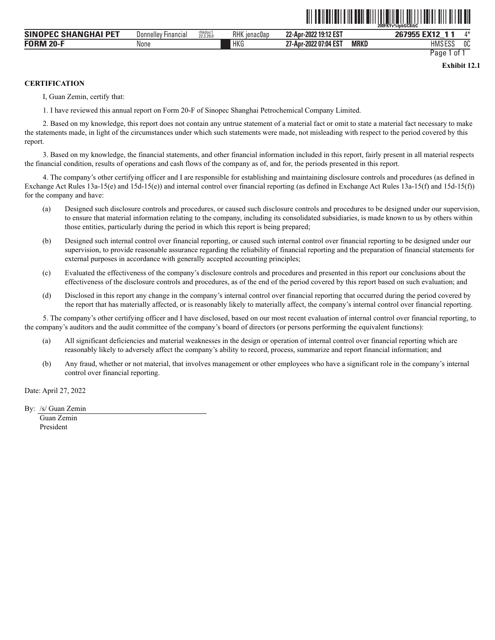|                                           |                               |                      |                  | .                                                             |             | 200FKYv%tpbGC8ibC<br>------------------- |          |
|-------------------------------------------|-------------------------------|----------------------|------------------|---------------------------------------------------------------|-------------|------------------------------------------|----------|
| <b>CURBICUL</b><br>, DET<br><b>SINOPI</b> | Donnellev<br><b>Financial</b> | rhkdoc'<br>22.3.29.0 | RHK<br>-ienac0ap | 10.12 FST<br>nn<br>$-2022$<br>/2-Anr-<br>13. IZ EJ I          |             | $T^{1/4}$<br>ne.                         | A M<br>⋯ |
| <b>FORM</b><br>•ш.                        | None                          |                      | <b>HKG</b>       | רה<br>∠ 07:04 ES <sup>-</sup><br>202.<br>∠/-Anr-⊺<br>.U4 ES ' | <b>MRKD</b> | HMS ESS                                  | 0C       |

<u>oli toimationi tiit oon mittitumin tii toiti toiti tiit oli toimat</u>

# **CERTIFICATION**

I, Guan Zemin, certify that:

1. I have reviewed this annual report on Form 20-F of Sinopec Shanghai Petrochemical Company Limited.

2. Based on my knowledge, this report does not contain any untrue statement of a material fact or omit to state a material fact necessary to make the statements made, in light of the circumstances under which such statements were made, not misleading with respect to the period covered by this report.

3. Based on my knowledge, the financial statements, and other financial information included in this report, fairly present in all material respects the financial condition, results of operations and cash flows of the company as of, and for, the periods presented in this report.

4. The company's other certifying officer and I are responsible for establishing and maintaining disclosure controls and procedures (as defined in Exchange Act Rules 13a-15(e) and 15d-15(e)) and internal control over financial reporting (as defined in Exchange Act Rules 13a-15(f) and 15d-15(f)) for the company and have:

- (a) Designed such disclosure controls and procedures, or caused such disclosure controls and procedures to be designed under our supervision, to ensure that material information relating to the company, including its consolidated subsidiaries, is made known to us by others within those entities, particularly during the period in which this report is being prepared;
- (b) Designed such internal control over financial reporting, or caused such internal control over financial reporting to be designed under our supervision, to provide reasonable assurance regarding the reliability of financial reporting and the preparation of financial statements for external purposes in accordance with generally accepted accounting principles;
- (c) Evaluated the effectiveness of the company's disclosure controls and procedures and presented in this report our conclusions about the effectiveness of the disclosure controls and procedures, as of the end of the period covered by this report based on such evaluation; and
- (d) Disclosed in this report any change in the company's internal control over financial reporting that occurred during the period covered by the report that has materially affected, or is reasonably likely to materially affect, the company's internal control over financial reporting.

5. The company's other certifying officer and I have disclosed, based on our most recent evaluation of internal control over financial reporting, to the company's auditors and the audit committee of the company's board of directors (or persons performing the equivalent functions):

- (a) All significant deficiencies and material weaknesses in the design or operation of internal control over financial reporting which are reasonably likely to adversely affect the company's ability to record, process, summarize and report financial information; and
- (b) Any fraud, whether or not material, that involves management or other employees who have a significant role in the company's internal control over financial reporting.

Date: April 27, 2022

By: /s/ Guan Zemin

 Guan Zemin President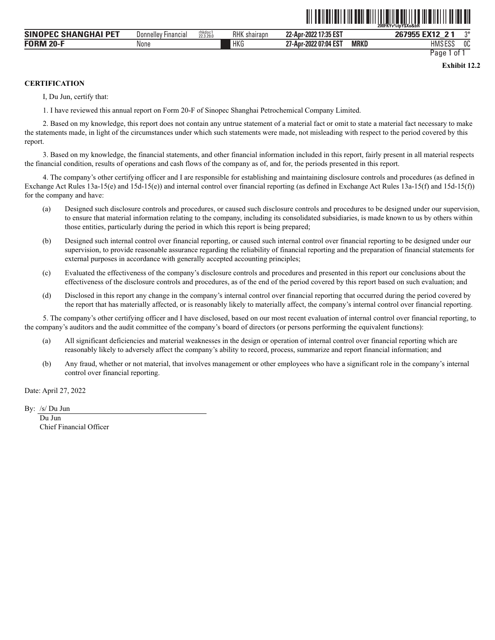|                              |                               |                                  |                    |                                                    |             | 200FKYv%toY\$Xu&bR |              |
|------------------------------|-------------------------------|----------------------------------|--------------------|----------------------------------------------------|-------------|--------------------|--------------|
| <b>PFT</b><br><b>SINOPEC</b> | Donnellev<br><b>Financial</b> | rhkdoc <sup>.</sup><br>22.3.29.0 | RHK<br>shairabh    | 17:35 EST<br>nn<br>$-2022$<br>$2$ -Apr- $\degree$  |             | <b>OCTOEE</b><br>_ | $n*$         |
| <b>FORM 20-</b>              | None                          |                                  | IIVC<br><b>HNU</b> | $-202207:04EST$<br>דה<br>$\angle$ /-Apr- $\degree$ | <b>MRKD</b> | <b>HMSESS</b>      | $\sim$<br>υυ |

Page 1 of 1 **Exhibit 12.2**

ˆ200FKYv%tpY\$Xu&bRŠ **200FKYv%tpY\$Xu&bR**

# **CERTIFICATION**

I, Du Jun, certify that:

1. I have reviewed this annual report on Form 20-F of Sinopec Shanghai Petrochemical Company Limited.

2. Based on my knowledge, this report does not contain any untrue statement of a material fact or omit to state a material fact necessary to make the statements made, in light of the circumstances under which such statements were made, not misleading with respect to the period covered by this report.

3. Based on my knowledge, the financial statements, and other financial information included in this report, fairly present in all material respects the financial condition, results of operations and cash flows of the company as of, and for, the periods presented in this report.

4. The company's other certifying officer and I are responsible for establishing and maintaining disclosure controls and procedures (as defined in Exchange Act Rules 13a-15(e) and 15d-15(e)) and internal control over financial reporting (as defined in Exchange Act Rules 13a-15(f) and 15d-15(f)) for the company and have:

- (a) Designed such disclosure controls and procedures, or caused such disclosure controls and procedures to be designed under our supervision, to ensure that material information relating to the company, including its consolidated subsidiaries, is made known to us by others within those entities, particularly during the period in which this report is being prepared;
- (b) Designed such internal control over financial reporting, or caused such internal control over financial reporting to be designed under our supervision, to provide reasonable assurance regarding the reliability of financial reporting and the preparation of financial statements for external purposes in accordance with generally accepted accounting principles;
- (c) Evaluated the effectiveness of the company's disclosure controls and procedures and presented in this report our conclusions about the effectiveness of the disclosure controls and procedures, as of the end of the period covered by this report based on such evaluation; and
- (d) Disclosed in this report any change in the company's internal control over financial reporting that occurred during the period covered by the report that has materially affected, or is reasonably likely to materially affect, the company's internal control over financial reporting.

5. The company's other certifying officer and I have disclosed, based on our most recent evaluation of internal control over financial reporting, to the company's auditors and the audit committee of the company's board of directors (or persons performing the equivalent functions):

- (a) All significant deficiencies and material weaknesses in the design or operation of internal control over financial reporting which are reasonably likely to adversely affect the company's ability to record, process, summarize and report financial information; and
- (b) Any fraud, whether or not material, that involves management or other employees who have a significant role in the company's internal control over financial reporting.

Date: April 27, 2022

By: /s/ Du Jun

 Du Jun Chief Financial Officer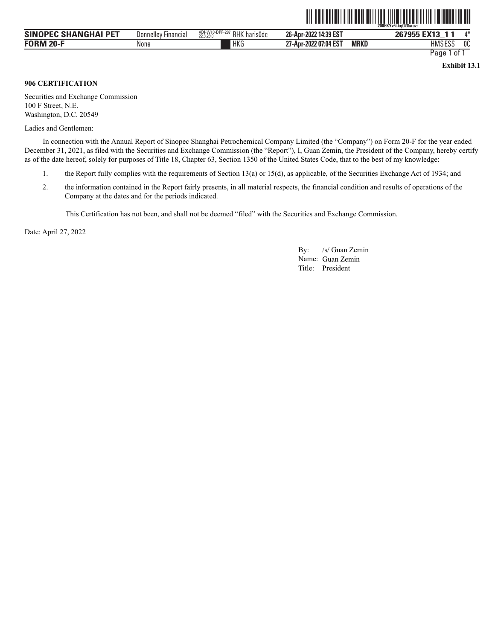|                             |                     |                                              | ,,,,,,,,,,,,,,,,,,,,,,,,,,,, | 200FKYv%ka02&auz:                  |
|-----------------------------|---------------------|----------------------------------------------|------------------------------|------------------------------------|
| <b>SINOPEC SHANGHAI PET</b> | Donnelley Financial | VDI-W10-DPF-297<br>RHK haris0dc<br>22.3.29.0 | 26-Apr-2022 14:39 EST        | 267955 EX13                        |
| <b>FORM 20-F</b>            | None                | HKG                                          | 27-Apr-2022 07:04 EST        | <b>MRKD</b><br><b>HMSESS</b><br>OC |
|                             |                     |                                              |                              | Page<br>0t                         |

**Exhibit 13.1**

<u>oli ta ilati ati tili anti millita tilim i neu nillilli i milmini i ta sli</u>

# **906 CERTIFICATION**

Securities and Exchange Commission 100 F Street, N.E. Washington, D.C. 20549

Ladies and Gentlemen:

In connection with the Annual Report of Sinopec Shanghai Petrochemical Company Limited (the "Company") on Form 20-F for the year ended December 31, 2021, as filed with the Securities and Exchange Commission (the "Report"), I, Guan Zemin, the President of the Company, hereby certify as of the date hereof, solely for purposes of Title 18, Chapter 63, Section 1350 of the United States Code, that to the best of my knowledge:

- 1. the Report fully complies with the requirements of Section 13(a) or 15(d), as applicable, of the Securities Exchange Act of 1934; and
- 2. the information contained in the Report fairly presents, in all material respects, the financial condition and results of operations of the Company at the dates and for the periods indicated.

This Certification has not been, and shall not be deemed "filed" with the Securities and Exchange Commission.

Date: April 27, 2022

By: /s/ Guan Zemin Name: Guan Zemin Title: President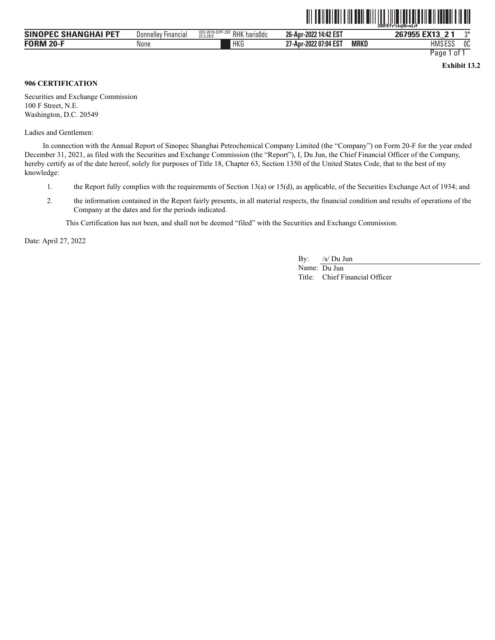|                             |                     |                                                            |                       |             | 200FKYv%ka06=uLzF |    |
|-----------------------------|---------------------|------------------------------------------------------------|-----------------------|-------------|-------------------|----|
| <b>SINOPEC SHANGHAI PET</b> | Donnelley Financial | $_{22.3.29.0}^{VD1-W10-DPF-297}$ RHK haris0dc<br>22.3.29.0 | 26-Apr-2022 14:42 EST |             | 267955 EX13       | ∩¥ |
| <b>FORM 20-F</b>            | None                | HKG                                                        | 27-Apr-2022 07:04 EST | <b>MRKD</b> | HMS ESS           | OC |
|                             |                     |                                                            |                       |             | Page<br>ot        |    |

**Exhibit 13.2**

ˆ200FKYv%kq06=uLzFŠ

# **906 CERTIFICATION**

Securities and Exchange Commission 100 F Street, N.E. Washington, D.C. 20549

Ladies and Gentlemen:

In connection with the Annual Report of Sinopec Shanghai Petrochemical Company Limited (the "Company") on Form 20-F for the year ended December 31, 2021, as filed with the Securities and Exchange Commission (the "Report"), I, Du Jun, the Chief Financial Officer of the Company, hereby certify as of the date hereof, solely for purposes of Title 18, Chapter 63, Section 1350 of the United States Code, that to the best of my knowledge:

- 1. the Report fully complies with the requirements of Section 13(a) or 15(d), as applicable, of the Securities Exchange Act of 1934; and
- 2. the information contained in the Report fairly presents, in all material respects, the financial condition and results of operations of the Company at the dates and for the periods indicated.

This Certification has not been, and shall not be deemed "filed" with the Securities and Exchange Commission.

Date: April 27, 2022

By: /s/ Du Jun Name: Du Jun Title: Chief Financial Officer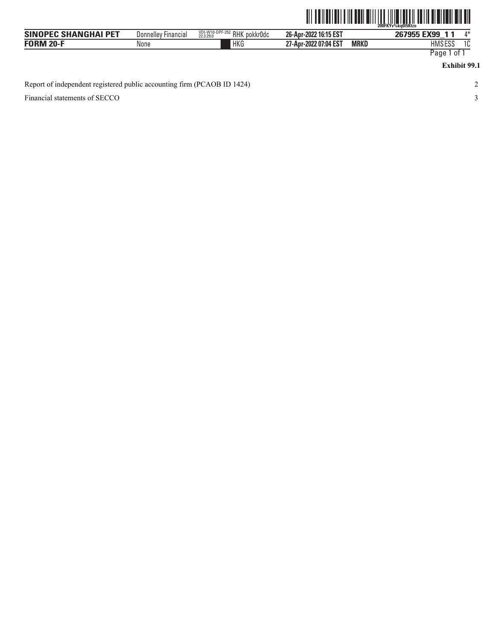| <b>SHANGHAI PFT</b><br>SINOPE <sub>C</sub> | inancia<br>Donnellev | $n - n$<br><b>VDI W/10 DDE</b><br><b>DUV</b><br>pokkrOdc<br>-252<br>VUI-VVIU-UP<br>nnn<br>22.3.29.0 | : 16:15 EST<br>26-Apr<br>$-202$               | $-$ rvoc $-$<br>־20<br>. .<br>40<br>_ |  |
|--------------------------------------------|----------------------|-----------------------------------------------------------------------------------------------------|-----------------------------------------------|---------------------------------------|--|
| FORM<br>$20-F$                             | None                 | <b>HKG</b>                                                                                          | <b>MRKD</b><br>207:04 EST<br>$-202$<br>'/-Apr | <b>IIMO FOO</b><br>MMY F99            |  |

**Exhibit 99.1**

Report of independent registered public accounting firm (PCAOB ID 1424) 2

Financial statements of SECCO 3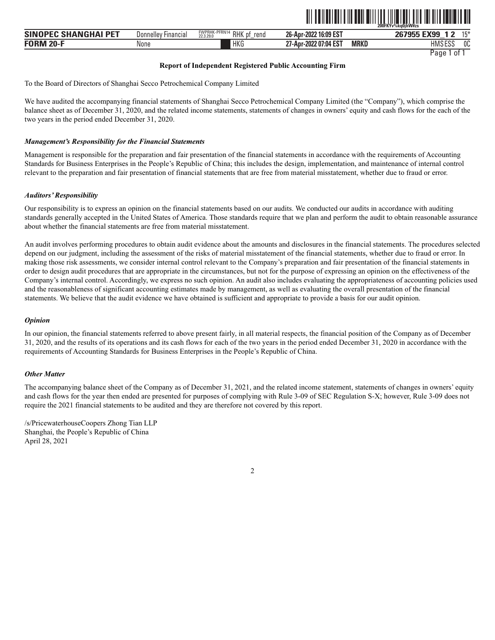

| <b>SINOPEC SHANGHAI PET</b> | \onnelle<br>: Financia. | <b>FWPRHK</b><br>rena<br>n.<br>nnn.<br>22.3.29.0 | 26-Apr-2022 16:09 EST                              | $1E*$<br>Ζu<br>- /\J~<br>. . |
|-----------------------------|-------------------------|--------------------------------------------------|----------------------------------------------------|------------------------------|
| $20-F$<br><b>FORM</b>       | None                    | <b>HKG</b>                                       | <b>MRKL</b><br>207:04 EST<br>$\sim$<br>27-Apr-2022 | <b>HMSESS</b><br>0C          |

# **Report of Independent Registered Public Accounting Firm**

To the Board of Directors of Shanghai Secco Petrochemical Company Limited

We have audited the accompanying financial statements of Shanghai Secco Petrochemical Company Limited (the "Company"), which comprise the balance sheet as of December 31, 2020, and the related income statements, statements of changes in owners' equity and cash flows for the each of the two years in the period ended December 31, 2020.

## *Management's Responsibility for the Financial Statements*

Management is responsible for the preparation and fair presentation of the financial statements in accordance with the requirements of Accounting Standards for Business Enterprises in the People's Republic of China; this includes the design, implementation, and maintenance of internal control relevant to the preparation and fair presentation of financial statements that are free from material misstatement, whether due to fraud or error.

#### *Auditors' Responsibility*

Our responsibility is to express an opinion on the financial statements based on our audits. We conducted our audits in accordance with auditing standards generally accepted in the United States of America. Those standards require that we plan and perform the audit to obtain reasonable assurance about whether the financial statements are free from material misstatement.

An audit involves performing procedures to obtain audit evidence about the amounts and disclosures in the financial statements. The procedures selected depend on our judgment, including the assessment of the risks of material misstatement of the financial statements, whether due to fraud or error. In making those risk assessments, we consider internal control relevant to the Company's preparation and fair presentation of the financial statements in order to design audit procedures that are appropriate in the circumstances, but not for the purpose of expressing an opinion on the effectiveness of the Company's internal control. Accordingly, we express no such opinion. An audit also includes evaluating the appropriateness of accounting policies used and the reasonableness of significant accounting estimates made by management, as well as evaluating the overall presentation of the financial statements. We believe that the audit evidence we have obtained is sufficient and appropriate to provide a basis for our audit opinion.

#### *Opinion*

In our opinion, the financial statements referred to above present fairly, in all material respects, the financial position of the Company as of December 31, 2020, and the results of its operations and its cash flows for each of the two years in the period ended December 31, 2020 in accordance with the requirements of Accounting Standards for Business Enterprises in the People's Republic of China.

#### *Other Matter*

The accompanying balance sheet of the Company as of December 31, 2021, and the related income statement, statements of changes in owners' equity and cash flows for the year then ended are presented for purposes of complying with Rule 3-09 of SEC Regulation S-X; however, Rule 3-09 does not require the 2021 financial statements to be audited and they are therefore not covered by this report.

/s/PricewaterhouseCoopers Zhong Tian LLP Shanghai, the People's Republic of China April 28, 2021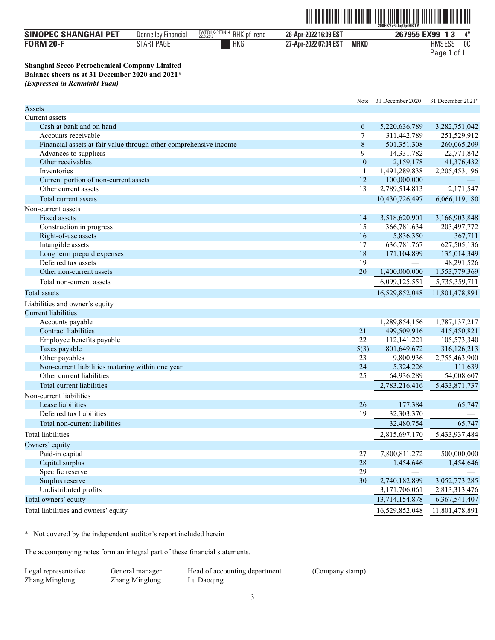| <b>SINOPEC SHANGHAI PET</b> | Donnelley<br><b>Financial</b> | FWPRHK-PFRN14<br>RHK<br>рt<br>rend<br>22.3.29.0 | 26-Apr-2022 16:09 EST |             | ⁄l*<br>. EYQQ<br>267955<br>Zb/ |
|-----------------------------|-------------------------------|-------------------------------------------------|-----------------------|-------------|--------------------------------|
| <b>FORM 20-F</b>            | START PAGE                    | <b>HKG</b>                                      | 27-Apr-2022 07:04 EST | <b>MRKD</b> | <b>HMSESS</b><br>0C            |
|                             |                               |                                                 |                       |             | Page<br>0t                     |

**Shanghai Secco Petrochemical Company Limited Balance sheets as at 31 December 2020 and 2021\*** *(Expressed in Renminbi Yuan)*

|                                                                   |         | Note 31 December 2020 | 31 December 2021* |
|-------------------------------------------------------------------|---------|-----------------------|-------------------|
| Assets                                                            |         |                       |                   |
| Current assets                                                    |         |                       |                   |
| Cash at bank and on hand                                          | 6       | 5,220,636,789         | 3,282,751,042     |
| Accounts receivable                                               | $\tau$  | 311,442,789           | 251,529,912       |
| Financial assets at fair value through other comprehensive income | $\,8\,$ | 501,351,308           | 260,065,209       |
| Advances to suppliers                                             | 9       | 14,331,782            | 22,771,842        |
| Other receivables                                                 | 10      | 2,159,178             | 41,376,432        |
| Inventories                                                       | 11      | 1,491,289,838         | 2,205,453,196     |
| Current portion of non-current assets                             | 12      | 100,000,000           |                   |
| Other current assets                                              | 13      | 2,789,514,813         | 2,171,547         |
| Total current assets                                              |         | 10,430,726,497        | 6,066,119,180     |
| Non-current assets                                                |         |                       |                   |
| <b>Fixed assets</b>                                               | 14      | 3,518,620,901         | 3,166,903,848     |
| Construction in progress                                          | 15      | 366,781,634           | 203, 497, 772     |
| Right-of-use assets                                               | 16      | 5,836,350             | 367,711           |
| Intangible assets                                                 | 17      | 636,781,767           | 627,505,136       |
| Long term prepaid expenses                                        | 18      | 171,104,899           | 135,014,349       |
| Deferred tax assets                                               | 19      |                       | 48,291,526        |
| Other non-current assets                                          | 20      | 1,400,000,000         | 1,553,779,369     |
| Total non-current assets                                          |         | 6,099,125,551         | 5,735,359,711     |
| <b>Total</b> assets                                               |         | 16,529,852,048        | 11,801,478,891    |
| Liabilities and owner's equity                                    |         |                       |                   |
| <b>Current liabilities</b>                                        |         |                       |                   |
| Accounts payable                                                  |         | 1,289,854,156         | 1,787,137,217     |
| Contract liabilities                                              | 21      | 499,509,916           | 415,450,821       |
| Employee benefits payable                                         | 22      | 112, 141, 221         | 105,573,340       |
| Taxes payable                                                     | 5(3)    | 801,649,672           | 316,126,213       |
| Other payables                                                    | 23      | 9,800,936             | 2,755,463,900     |
| Non-current liabilities maturing within one year                  | 24      | 5,324,226             | 111,639           |
| Other current liabilities                                         | 25      | 64,936,289            | 54,008,607        |
| Total current liabilities                                         |         | 2,783,216,416         | 5,433,871,737     |
| Non-current liabilities                                           |         |                       |                   |
| Lease liabilities                                                 | 26      | 177,384               | 65,747            |
| Deferred tax liabilities                                          | 19      | 32,303,370            |                   |
| Total non-current liabilities                                     |         | 32,480,754            | 65,747            |
| <b>Total liabilities</b>                                          |         | 2,815,697,170         | 5,433,937,484     |
| Owners' equity                                                    |         |                       |                   |
| Paid-in capital                                                   | 27      | 7,800,811,272         | 500,000,000       |
| Capital surplus                                                   | 28      | 1,454,646             | 1,454,646         |
| Specific reserve                                                  | 29      |                       |                   |
| Surplus reserve                                                   | 30      | 2,740,182,899         | 3,052,773,285     |
| Undistributed profits                                             |         | 3,171,706,061         | 2,813,313,476     |
| Total owners' equity                                              |         | 13,714,154,878        | 6,367,541,407     |
| Total liabilities and owners' equity                              |         | 16.529.852.048        | 11,801,478,891    |

\* Not covered by the independent auditor's report included herein

| Legal representative | General manager | Head of accounting department | (Company stamp) |
|----------------------|-----------------|-------------------------------|-----------------|
| Zhang Minglong       | Zhang Minglong  | Lu Daoging                    |                 |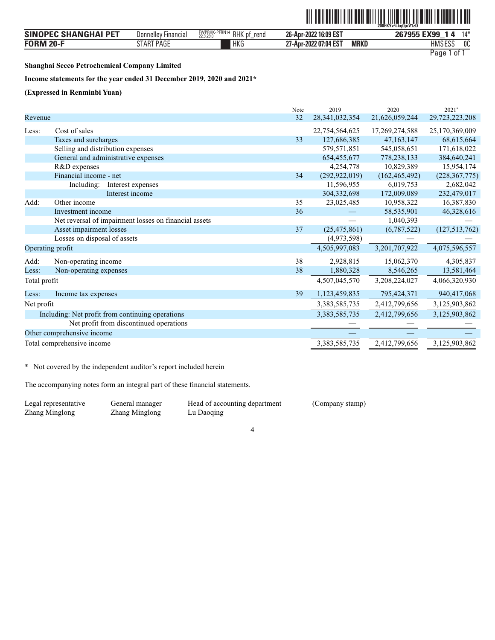# **▌▏▎▌▊▌▏▊▌▏▌▌▎▎▌▕▏▊▊▌▏█▎▏▏▏▁▁▒**▒▛▞▞<sub>Ÿ</sub><sub>▒</sub>▙<sub>▆</sub><sub>▒</sub>▖▞<sub>▘</sub><sub></sub>

| <b>SINOPEC SHANGHAI PET</b> | ·inancial<br>Donnellev | <b>FWPRHK</b><br>DEDN11A<br>F(1)<br>$\cdots$<br>rena<br>nt<br>ĸп<br>22.3.29.0 | 16:09 EST<br><b>OC</b><br>2022<br>26-Apr-"           | המער<br>11 <sup>4</sup><br><b>OCTOEF</b><br>Ð |
|-----------------------------|------------------------|-------------------------------------------------------------------------------|------------------------------------------------------|-----------------------------------------------|
| <b>FORM 20-F</b>            | TART PAGE              | IUVC<br><b>HNU</b>                                                            | <b>MRKD</b><br>-2022 07:04 EST<br>$\sim$<br>∠/-Apr-″ | <b>HMSESS</b><br>$\sim$<br>υu                 |

Page 1 of 1

**Shanghai Secco Petrochemical Company Limited**

# **Income statements for the year ended 31 December 2019, 2020 and 2021\***

# **(Expressed in Renminbi Yuan)**

|                                                       |                                                  | Note | 2019              | 2020            | $2021*$         |
|-------------------------------------------------------|--------------------------------------------------|------|-------------------|-----------------|-----------------|
| Revenue                                               |                                                  | 32   | 28, 341, 032, 354 | 21,626,059,244  | 29,723,223,208  |
| Less:                                                 | Cost of sales                                    |      | 22,754,564,625    | 17,269,274,588  | 25,170,369,009  |
|                                                       | Taxes and surcharges                             | 33   | 127,686,385       | 47, 163, 147    | 68,615,664      |
|                                                       | Selling and distribution expenses                |      | 579,571,851       | 545,058,651     | 171,618,022     |
|                                                       | General and administrative expenses              |      | 654, 455, 677     | 778, 238, 133   | 384,640,241     |
|                                                       | R&D expenses                                     |      | 4,254,778         | 10,829,389      | 15,954,174      |
|                                                       | Financial income - net                           | 34   | (292, 922, 019)   | (162, 465, 492) | (228, 367, 775) |
|                                                       | Including:<br>Interest expenses                  |      | 11,596,955        | 6,019,753       | 2,682,042       |
|                                                       | Interest income                                  |      | 304, 332, 698     | 172,009,089     | 232,479,017     |
| Add:                                                  | Other income                                     | 35   | 23,025,485        | 10,958,322      | 16,387,830      |
| Investment income                                     |                                                  | 36   |                   | 58,535,901      | 46,328,616      |
| Net reversal of impairment losses on financial assets |                                                  |      |                   | 1,040,393       |                 |
|                                                       | Asset impairment losses                          | 37   | (25, 475, 861)    | (6,787,522)     | (127, 513, 762) |
|                                                       | Losses on disposal of assets                     |      | (4,973,598)       |                 |                 |
| Operating profit                                      |                                                  |      | 4,505,997,083     | 3,201,707,922   | 4,075,596,557   |
| Add:                                                  | Non-operating income                             | 38   | 2,928,815         | 15,062,370      | 4,305,837       |
| Less:                                                 | Non-operating expenses                           | 38   | 1,880,328         | 8,546,265       | 13,581,464      |
| Total profit                                          |                                                  |      | 4,507,045,570     | 3,208,224,027   | 4,066,320,930   |
| Less:                                                 | Income tax expenses                              | 39   | 1,123,459,835     | 795,424,371     | 940,417,068     |
| Net profit                                            |                                                  |      | 3,383,585,735     | 2,412,799,656   | 3,125,903,862   |
|                                                       | Including: Net profit from continuing operations |      | 3, 383, 585, 735  | 2,412,799,656   | 3,125,903,862   |
|                                                       | Net profit from discontinued operations          |      |                   |                 |                 |
|                                                       | Other comprehensive income                       |      |                   |                 |                 |
|                                                       | Total comprehensive income                       |      | 3,383,585,735     | 2,412,799,656   | 3,125,903,862   |

\* Not covered by the independent auditor's report included herein

| Legal representative | General manager | Head of accounting department | (Company stamp) |
|----------------------|-----------------|-------------------------------|-----------------|
| Zhang Minglong       | Zhang Minglong  | Lu Daoging                    |                 |

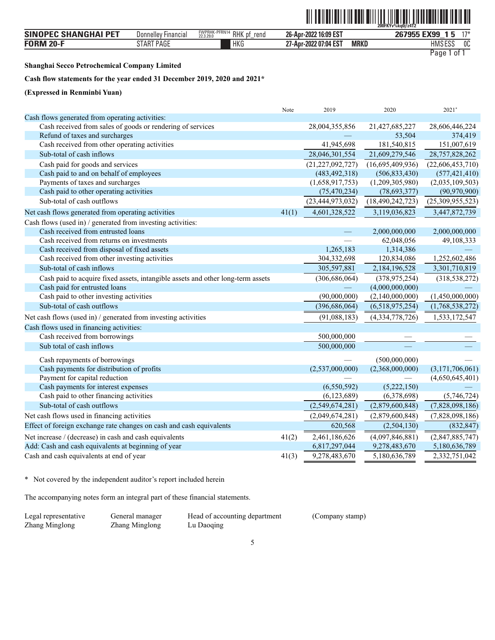# **▌▏▎▌▊▌▏▊▌▏▌▌▎▎▌▕▏▌▊▋▌▏█▎▏▏▏▁▒▒**▛▙▚<sub>ŸŸ</sub><sub>▒</sub>▙<sub>▆</sub><sub>ŎĬĿ≄Ŧ</sub>ŗ<sub>2</sub>

| <b>SINOPEC SHANGHAI PET</b> | Donnelley Financial | <b>FWPRHK-PFRN14</b><br><b>RHK</b><br>rend<br>22.3.29.0 | 26-Apr-2022 16:09 EST                | $17*$<br><b>EX99</b><br>267955<br>5   |
|-----------------------------|---------------------|---------------------------------------------------------|--------------------------------------|---------------------------------------|
| <b>FORM 20-F</b>            | <b>START PAGE</b>   | <b>HKG</b>                                              | <b>MRKD</b><br>27-Apr-2022 07:04 EST | <b>HMSESS</b><br>n <sub>n</sub><br>งเ |
|                             |                     |                                                         |                                      | Page<br>0t                            |

**Shanghai Secco Petrochemical Company Limited**

# **Cash flow statements for the year ended 31 December 2019, 2020 and 2021\***

**(Expressed in Renminbi Yuan)**

|                                                                                 | Note  | 2019                | 2020             | $2021*$          |
|---------------------------------------------------------------------------------|-------|---------------------|------------------|------------------|
| Cash flows generated from operating activities:                                 |       |                     |                  |                  |
| Cash received from sales of goods or rendering of services                      |       | 28,004,355,856      | 21,427,685,227   | 28,606,446,224   |
| Refund of taxes and surcharges                                                  |       |                     | 53,504           | 374,419          |
| Cash received from other operating activities                                   |       | 41,945,698          | 181,540,815      | 151,007,619      |
| Sub-total of cash inflows                                                       |       | 28,046,301,554      | 21,609,279,546   | 28,757,828,262   |
| Cash paid for goods and services                                                |       | (21, 227, 092, 727) | (16,695,409,936) | (22,606,453,710) |
| Cash paid to and on behalf of employees                                         |       | (483, 492, 318)     | (506, 833, 430)  | (577, 421, 410)  |
| Payments of taxes and surcharges                                                |       | (1,658,917,753)     | (1,209,305,980)  | (2,035,109,503)  |
| Cash paid to other operating activities                                         |       | (75, 470, 234)      | (78,693,377)     | (90, 970, 900)   |
| Sub-total of cash outflows                                                      |       | (23, 444, 973, 032) | (18,490,242,723) | (25,309,955,523) |
| Net cash flows generated from operating activities                              | 41(1) | 4,601,328,522       | 3,119,036,823    | 3,447,872,739    |
| Cash flows (used in) / generated from investing activities:                     |       |                     |                  |                  |
| Cash received from entrusted loans                                              |       |                     | 2,000,000,000    | 2,000,000,000    |
| Cash received from returns on investments                                       |       |                     | 62,048,056       | 49,108,333       |
| Cash received from disposal of fixed assets                                     |       | 1,265,183           | 1,314,386        |                  |
| Cash received from other investing activities                                   |       | 304,332,698         | 120,834,086      | 1,252,602,486    |
| Sub-total of cash inflows                                                       |       | 305,597,881         | 2,184,196,528    | 3,301,710,819    |
| Cash paid to acquire fixed assets, intangible assets and other long-term assets |       | (306, 686, 064)     | (378, 975, 254)  | (318, 538, 272)  |
| Cash paid for entrusted loans                                                   |       |                     | (4,000,000,000)  |                  |
| Cash paid to other investing activities                                         |       | (90,000,000)        | (2,140,000,000)  | (1,450,000,000)  |
| Sub-total of cash outflows                                                      |       | (396, 686, 064)     | (6,518,975,254)  | (1,768,538,272)  |
| Net cash flows (used in) / generated from investing activities                  |       | (91,088,183)        | (4,334,778,726)  | 1,533,172,547    |
| Cash flows used in financing activities:                                        |       |                     |                  |                  |
| Cash received from borrowings                                                   |       | 500,000,000         |                  |                  |
| Sub total of cash inflows                                                       |       | 500,000,000         |                  |                  |
| Cash repayments of borrowings                                                   |       |                     | (500,000,000)    |                  |
| Cash payments for distribution of profits                                       |       | (2,537,000,000)     | (2,368,000,000)  | (3,171,706,061)  |
| Payment for capital reduction                                                   |       |                     |                  | (4,650,645,401)  |
| Cash payments for interest expenses                                             |       | (6,550,592)         | (5,222,150)      |                  |
| Cash paid to other financing activities                                         |       | (6, 123, 689)       | (6,378,698)      | (5,746,724)      |
| Sub-total of cash outflows                                                      |       | (2,549,674,281)     | (2,879,600,848)  | (7,828,098,186)  |
| Net cash flows used in financing activities                                     |       | (2,049,674,281)     | (2,879,600,848)  | (7,828,098,186)  |
| Effect of foreign exchange rate changes on cash and cash equivalents            |       | 620,568             | (2,504,130)      | (832, 847)       |
| Net increase / (decrease) in cash and cash equivalents                          | 41(2) | 2,461,186,626       | (4,097,846,881)  | (2,847,885,747)  |
| Add: Cash and cash equivalents at beginning of year                             |       | 6,817,297,044       | 9,278,483,670    | 5,180,636,789    |
| Cash and cash equivalents at end of year                                        | 41(3) | 9,278,483,670       | 5,180,636,789    | 2,332,751,042    |

\* Not covered by the independent auditor's report included herein

| Legal representative | General manager | Head of accounting department | (Company stamp) |
|----------------------|-----------------|-------------------------------|-----------------|
| Zhang Minglong       | Zhang Minglong  | Lu Daoging                    |                 |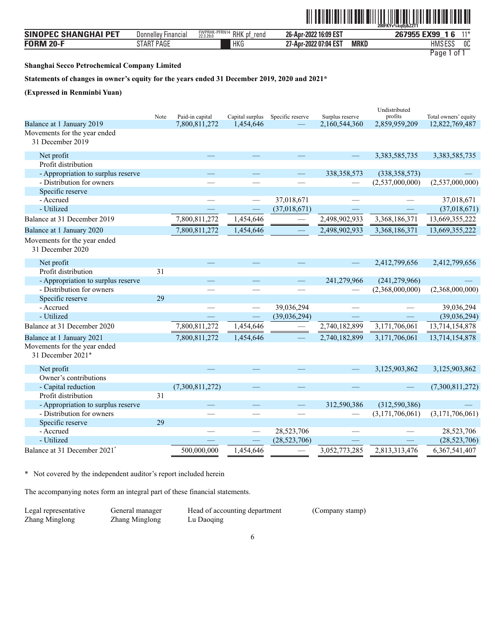

| <b>SINOPEC SHANGHAI</b><br><b>PFT</b> | <b>Financial</b><br><b>Donnellev</b> | -PFRN1<br><b>FWPRHK-</b><br><b>RHK</b><br>rend<br>DŤ<br>22.3.29.0 | 26-Apr-2022 16:09 EST                        | 4.4.2<br><b>EYQC</b><br>b<br>_ |
|---------------------------------------|--------------------------------------|-------------------------------------------------------------------|----------------------------------------------|--------------------------------|
| <b>FORM 20-F</b>                      | ART PAGE<br>SIAK                     | <b>HKG</b>                                                        | <b>MRKL</b><br>$1/207:04 F$ °<br>7-Apr-2022! | <b>HMSESS</b><br>0C            |
|                                       |                                      |                                                                   |                                              |                                |

# **Shanghai Secco Petrochemical Company Limited**

# **Statements of changes in owner's equity for the years ended 31 December 2019, 2020 and 2021\***

**(Expressed in Renminbi Yuan)**

|                                                   |                 |                                  |                              |                          |                                  | Undistributed            |                                        |
|---------------------------------------------------|-----------------|----------------------------------|------------------------------|--------------------------|----------------------------------|--------------------------|----------------------------------------|
| Balance at 1 January 2019                         | Note            | Paid-in capital<br>7,800,811,272 | Capital surplus<br>1,454,646 | Specific reserve         | Surplus reserve<br>2,160,544,360 | profits<br>2,859,959,209 | Total owners' equity<br>12,822,769,487 |
| Movements for the year ended                      |                 |                                  |                              |                          |                                  |                          |                                        |
| 31 December 2019                                  |                 |                                  |                              |                          |                                  |                          |                                        |
| Net profit                                        |                 |                                  |                              |                          |                                  | 3,383,585,735            | 3,383,585,735                          |
| Profit distribution                               |                 |                                  |                              |                          |                                  |                          |                                        |
| - Appropriation to surplus reserve                |                 |                                  |                              | $\overline{\phantom{0}}$ | 338, 358, 573                    | (338, 358, 573)          |                                        |
| - Distribution for owners                         |                 |                                  |                              |                          |                                  | (2,537,000,000)          | (2,537,000,000)                        |
| Specific reserve                                  |                 |                                  |                              |                          |                                  |                          |                                        |
| - Accrued                                         |                 |                                  |                              | 37,018,671               |                                  |                          | 37,018,671                             |
| - Utilized                                        |                 |                                  |                              | (37,018,671)             |                                  |                          | (37,018,671)                           |
| Balance at 31 December 2019                       |                 | 7,800,811,272                    | 1,454,646                    |                          | 2,498,902,933                    | 3,368,186,371            | 13,669,355,222                         |
| Balance at 1 January 2020                         |                 | 7,800,811,272                    | 1,454,646                    |                          | 2,498,902,933                    | 3,368,186,371            | 13,669,355,222                         |
| Movements for the year ended<br>31 December 2020  |                 |                                  |                              |                          |                                  |                          |                                        |
| Net profit                                        |                 |                                  |                              |                          |                                  | 2,412,799,656            | 2,412,799,656                          |
| Profit distribution                               | $\overline{31}$ |                                  |                              |                          |                                  |                          |                                        |
| - Appropriation to surplus reserve                |                 |                                  |                              | $\equiv$                 | 241,279,966                      | (241, 279, 966)          |                                        |
| - Distribution for owners                         |                 |                                  |                              |                          |                                  | (2,368,000,000)          | (2,368,000,000)                        |
| Specific reserve                                  | 29              |                                  |                              |                          |                                  |                          |                                        |
| - Accrued                                         |                 |                                  |                              | 39,036,294               |                                  |                          | 39,036,294                             |
| - Utilized                                        |                 |                                  |                              | (39,036,294)             |                                  |                          | (39,036,294)                           |
| Balance at 31 December 2020                       |                 | 7,800,811,272                    | 1,454,646                    |                          | 2,740,182,899                    | 3,171,706,061            | 13,714,154,878                         |
| Balance at 1 January 2021                         |                 | 7,800,811,272                    | 1,454,646                    |                          | 2,740,182,899                    | 3,171,706,061            | 13,714,154,878                         |
| Movements for the year ended<br>31 December 2021* |                 |                                  |                              |                          |                                  |                          |                                        |
| Net profit                                        |                 |                                  |                              |                          |                                  | 3,125,903,862            | 3,125,903,862                          |
| Owner's contributions                             |                 |                                  |                              |                          |                                  |                          |                                        |
| - Capital reduction                               |                 | (7,300,811,272)                  |                              |                          |                                  |                          | (7,300,811,272)                        |
| Profit distribution                               | 31              |                                  |                              |                          |                                  |                          |                                        |
| - Appropriation to surplus reserve                |                 |                                  |                              | $\qquad \qquad -$        | 312,590,386                      | (312, 590, 386)          |                                        |
| - Distribution for owners                         |                 |                                  |                              |                          |                                  | (3,171,706,061)          | (3,171,706,061)                        |
| Specific reserve                                  | 29              |                                  |                              |                          |                                  |                          |                                        |
| - Accrued                                         |                 |                                  |                              | 28,523,706               |                                  |                          | 28,523,706                             |
| - Utilized                                        |                 |                                  |                              | (28, 523, 706)           |                                  |                          | (28, 523, 706)                         |
| Balance at 31 December 2021 <sup>*</sup>          |                 | 500,000,000                      | 1,454,646                    |                          | 3,052,773,285                    | 2,813,313,476            | 6,367,541,407                          |

\* Not covered by the independent auditor's report included herein

| Legal representative | General manager | Head of accounting department | (Company stamp) |
|----------------------|-----------------|-------------------------------|-----------------|
| Zhang Minglong       | Zhang Minglong  | Lu Daoging                    |                 |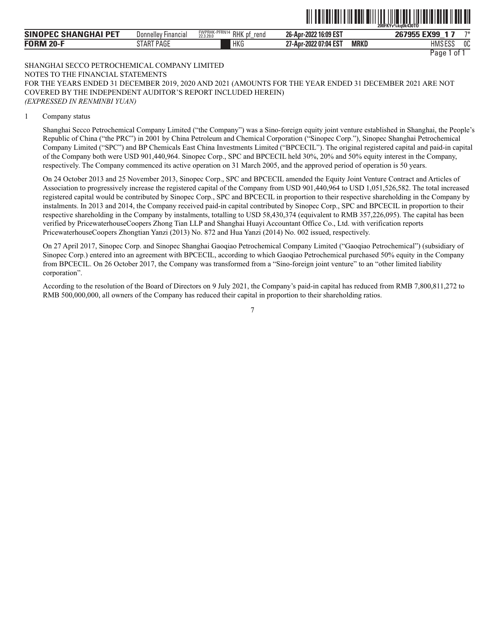

| <b>MRKD</b><br><b>HKG</b><br><b>HMSESS</b><br>. 57. 107<br>/7-Apr-2022 07:04 EST<br><b>FORM 20-F</b><br>יי<br>PAGL<br>ДΗ. | <b>SINOPEC SHANGHAI PET</b> | Donnelley<br><sup>,</sup> Financial | FWPRHK-PFRN14<br>22.3.29.0<br>RHK p<br>rend | 26-Apr-2022 16:09 EST | EYQQ<br><b>OCJOFF</b><br>Ζu<br>∟∧J⊾ | $7*$ |
|---------------------------------------------------------------------------------------------------------------------------|-----------------------------|-------------------------------------|---------------------------------------------|-----------------------|-------------------------------------|------|
|                                                                                                                           |                             |                                     |                                             |                       |                                     | 0C   |

# SHANGHAI SECCO PETROCHEMICAL COMPANY LIMITED NOTES TO THE FINANCIAL STATEMENTS FOR THE YEARS ENDED 31 DECEMBER 2019, 2020 AND 2021 (AMOUNTS FOR THE YEAR ENDED 31 DECEMBER 2021 ARE NOT COVERED BY THE INDEPENDENT AUDITOR'S REPORT INCLUDED HEREIN) *(EXPRESSED IN RENMINBI YUAN)*

# 1 Company status

Shanghai Secco Petrochemical Company Limited ("the Company") was a Sino-foreign equity joint venture established in Shanghai, the People's Republic of China ("the PRC") in 2001 by China Petroleum and Chemical Corporation ("Sinopec Corp."), Sinopec Shanghai Petrochemical Company Limited ("SPC") and BP Chemicals East China Investments Limited ("BPCECIL"). The original registered capital and paid-in capital of the Company both were USD 901,440,964. Sinopec Corp., SPC and BPCECIL held 30%, 20% and 50% equity interest in the Company, respectively. The Company commenced its active operation on 31 March 2005, and the approved period of operation is 50 years.

On 24 October 2013 and 25 November 2013, Sinopec Corp., SPC and BPCECIL amended the Equity Joint Venture Contract and Articles of Association to progressively increase the registered capital of the Company from USD 901,440,964 to USD 1,051,526,582. The total increased registered capital would be contributed by Sinopec Corp., SPC and BPCECIL in proportion to their respective shareholding in the Company by instalments. In 2013 and 2014, the Company received paid-in capital contributed by Sinopec Corp., SPC and BPCECIL in proportion to their respective shareholding in the Company by instalments, totalling to USD 58,430,374 (equivalent to RMB 357,226,095). The capital has been verified by PricewaterhouseCoopers Zhong Tian LLP and Shanghai Huayi Accountant Office Co., Ltd. with verification reports PricewaterhouseCoopers Zhongtian Yanzi (2013) No. 872 and Hua Yanzi (2014) No. 002 issued, respectively.

On 27 April 2017, Sinopec Corp. and Sinopec Shanghai Gaoqiao Petrochemical Company Limited ("Gaoqiao Petrochemical") (subsidiary of Sinopec Corp.) entered into an agreement with BPCECIL, according to which Gaoqiao Petrochemical purchased 50% equity in the Company from BPCECIL. On 26 October 2017, the Company was transformed from a "Sino-foreign joint venture" to an "other limited liability corporation".

According to the resolution of the Board of Directors on 9 July 2021, the Company's paid-in capital has reduced from RMB 7,800,811,272 to RMB 500,000,000, all owners of the Company has reduced their capital in proportion to their shareholding ratios.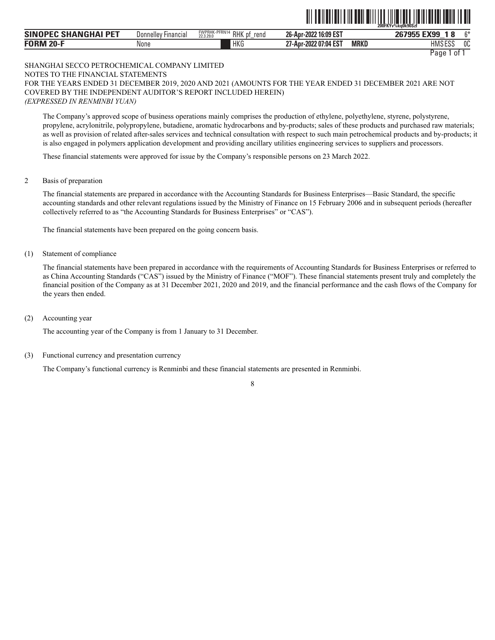

|                          | 22.3.29.0 |                    | 26-Apr-2022 16:09 EST                |             | Δu            |    |
|--------------------------|-----------|--------------------|--------------------------------------|-------------|---------------|----|
| <b>FORM 20-F</b><br>None |           | IUVC<br><b>HNU</b> | 2 07:04 EST<br>$\sim$<br>?7-Apr-2022 | <b>MRKD</b> | <b>HMSESS</b> | OC |

SHANGHAI SECCO PETROCHEMICAL COMPANY LIMITED NOTES TO THE FINANCIAL STATEMENTS FOR THE YEARS ENDED 31 DECEMBER 2019, 2020 AND 2021 (AMOUNTS FOR THE YEAR ENDED 31 DECEMBER 2021 ARE NOT COVERED BY THE INDEPENDENT AUDITOR'S REPORT INCLUDED HEREIN) *(EXPRESSED IN RENMINBI YUAN)*

The Company's approved scope of business operations mainly comprises the production of ethylene, polyethylene, styrene, polystyrene, propylene, acrylonitrile, polypropylene, butadiene, aromatic hydrocarbons and by-products; sales of these products and purchased raw materials; as well as provision of related after-sales services and technical consultation with respect to such main petrochemical products and by-products; it is also engaged in polymers application development and providing ancillary utilities engineering services to suppliers and processors.

These financial statements were approved for issue by the Company's responsible persons on 23 March 2022.

## 2 Basis of preparation

The financial statements are prepared in accordance with the Accounting Standards for Business Enterprises—Basic Standard, the specific accounting standards and other relevant regulations issued by the Ministry of Finance on 15 February 2006 and in subsequent periods (hereafter collectively referred to as "the Accounting Standards for Business Enterprises" or "CAS").

The financial statements have been prepared on the going concern basis.

### (1) Statement of compliance

The financial statements have been prepared in accordance with the requirements of Accounting Standards for Business Enterprises or referred to as China Accounting Standards ("CAS") issued by the Ministry of Finance ("MOF"). These financial statements present truly and completely the financial position of the Company as at 31 December 2021, 2020 and 2019, and the financial performance and the cash flows of the Company for the years then ended.

#### (2) Accounting year

The accounting year of the Company is from 1 January to 31 December.

# (3) Functional currency and presentation currency

The Company's functional currency is Renminbi and these financial statements are presented in Renminbi.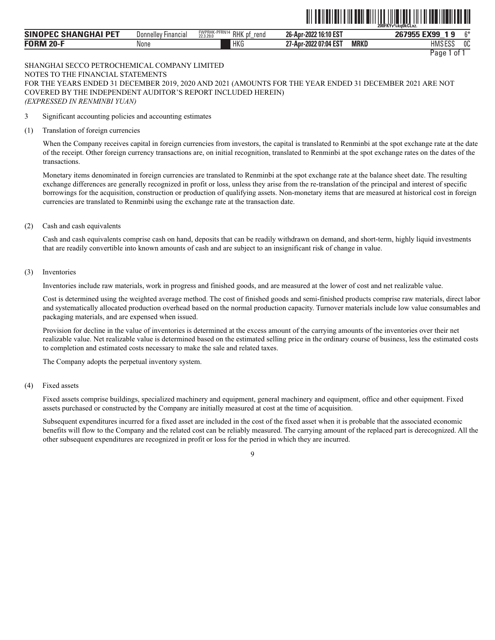|                   |                           |                         | 200FKYv%ka0kCLxz. |
|-------------------|---------------------------|-------------------------|-------------------|
| nnallav Financial | FWPRHK-PFRN14 RHK nf rand | 26. Apr. 2022 16:10 FST | 267955 FY99       |

<u>oli sailististi silessa valittes liitetaa liitosta valitsesti valitses</u>

| <b>SINOPEC SHANGHAI PET</b> | Financia,<br>Donnelley | FWPRHK-PFRN14<br>RHK<br>rend<br>рţ<br>22,3,29.0 | 26-Apr-2022 16:10 EST |             | TUM<br><b>OCJOFF</b><br>EX99<br>,,,,,<br>∠b′<br>- 11 | $6*$ |
|-----------------------------|------------------------|-------------------------------------------------|-----------------------|-------------|------------------------------------------------------|------|
| <b>FORM 20-F</b>            | None                   | IUVC<br>nnu                                     | 27-Apr-2022 07:04 EST | <b>MRKD</b> | <b>HMSESS</b>                                        | 0C   |
|                             |                        |                                                 |                       |             | 0t<br>Page                                           |      |

SHANGHAI SECCO PETROCHEMICAL COMPANY LIMITED NOTES TO THE FINANCIAL STATEMENTS FOR THE YEARS ENDED 31 DECEMBER 2019, 2020 AND 2021 (AMOUNTS FOR THE YEAR ENDED 31 DECEMBER 2021 ARE NOT COVERED BY THE INDEPENDENT AUDITOR'S REPORT INCLUDED HEREIN) *(EXPRESSED IN RENMINBI YUAN)*

#### 3 Significant accounting policies and accounting estimates

#### (1) Translation of foreign currencies

When the Company receives capital in foreign currencies from investors, the capital is translated to Renminbi at the spot exchange rate at the date of the receipt. Other foreign currency transactions are, on initial recognition, translated to Renminbi at the spot exchange rates on the dates of the transactions.

Monetary items denominated in foreign currencies are translated to Renminbi at the spot exchange rate at the balance sheet date. The resulting exchange differences are generally recognized in profit or loss, unless they arise from the re-translation of the principal and interest of specific borrowings for the acquisition, construction or production of qualifying assets. Non-monetary items that are measured at historical cost in foreign currencies are translated to Renminbi using the exchange rate at the transaction date.

#### (2) Cash and cash equivalents

Cash and cash equivalents comprise cash on hand, deposits that can be readily withdrawn on demand, and short-term, highly liquid investments that are readily convertible into known amounts of cash and are subject to an insignificant risk of change in value.

#### (3) Inventories

Inventories include raw materials, work in progress and finished goods, and are measured at the lower of cost and net realizable value.

Cost is determined using the weighted average method. The cost of finished goods and semi-finished products comprise raw materials, direct labor and systematically allocated production overhead based on the normal production capacity. Turnover materials include low value consumables and packaging materials, and are expensed when issued.

Provision for decline in the value of inventories is determined at the excess amount of the carrying amounts of the inventories over their net realizable value. Net realizable value is determined based on the estimated selling price in the ordinary course of business, less the estimated costs to completion and estimated costs necessary to make the sale and related taxes.

The Company adopts the perpetual inventory system.

# (4) Fixed assets

Fixed assets comprise buildings, specialized machinery and equipment, general machinery and equipment, office and other equipment. Fixed assets purchased or constructed by the Company are initially measured at cost at the time of acquisition.

Subsequent expenditures incurred for a fixed asset are included in the cost of the fixed asset when it is probable that the associated economic benefits will flow to the Company and the related cost can be reliably measured. The carrying amount of the replaced part is derecognized. All the other subsequent expenditures are recognized in profit or loss for the period in which they are incurred.

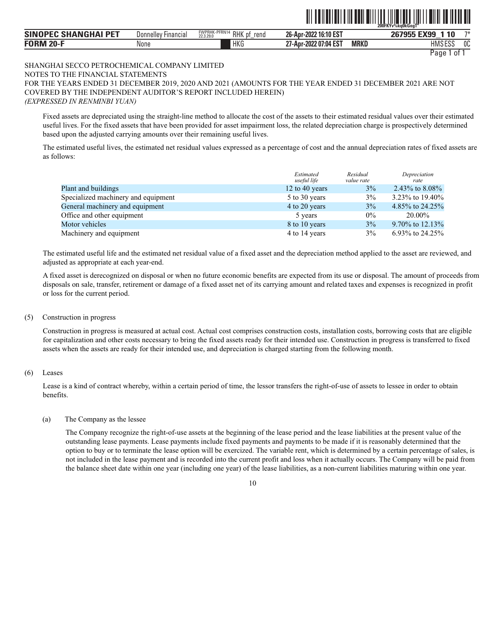|                      |                     |                                                  |                       |             | ,,,,,,<br>200FKYv%ka0kGoaT |    |
|----------------------|---------------------|--------------------------------------------------|-----------------------|-------------|----------------------------|----|
| Sinopec Shanghai Pet | Donnelley Financial | FWPRHK-PFRN14<br>RHK<br>rend<br>.nt<br>22,3,29,0 | 26-Apr-2022 16:10 EST |             | 267955 EX99<br>1 10        |    |
| <b>FORM 20-F</b>     | None                | HKG                                              | 27-Apr-2022 07:04 EST | <b>MRKD</b> | HMS ESS                    | OC |

HMS ESS Page 1 of 1

<u>oli ordinali oli ordinali oli oli oli ordinali oli oli ordinali ordinali ordinali ordinali ordinali or</u>

SHANGHAI SECCO PETROCHEMICAL COMPANY LIMITED NOTES TO THE FINANCIAL STATEMENTS FOR THE YEARS ENDED 31 DECEMBER 2019, 2020 AND 2021 (AMOUNTS FOR THE YEAR ENDED 31 DECEMBER 2021 ARE NOT COVERED BY THE INDEPENDENT AUDITOR'S REPORT INCLUDED HEREIN) *(EXPRESSED IN RENMINBI YUAN)*

Fixed assets are depreciated using the straight-line method to allocate the cost of the assets to their estimated residual values over their estimated useful lives. For the fixed assets that have been provided for asset impairment loss, the related depreciation charge is prospectively determined based upon the adjusted carrying amounts over their remaining useful lives.

The estimated useful lives, the estimated net residual values expressed as a percentage of cost and the annual depreciation rates of fixed assets are as follows:

|                                     | Estimated<br>useful life | Residual<br>value rate | Depreciation<br>rate |
|-------------------------------------|--------------------------|------------------------|----------------------|
| Plant and buildings                 | 12 to 40 years           | 3%                     | 2.43\% to 8.08\%     |
| Specialized machinery and equipment | 5 to 30 years            | $3\%$                  | 3.23% to 19.40%      |
| General machinery and equipment     | 4 to 20 years            | 3%                     | 4.85% to 24.25%      |
| Office and other equipment          | 5 years                  | $0\%$                  | $20.00\%$            |
| Motor vehicles                      | 8 to 10 years            | $3\%$                  | 9.70\% to 12.13\%    |
| Machinery and equipment             | 4 to 14 years            | $3\%$                  | 6.93% to 24.25%      |

The estimated useful life and the estimated net residual value of a fixed asset and the depreciation method applied to the asset are reviewed, and adjusted as appropriate at each year-end.

A fixed asset is derecognized on disposal or when no future economic benefits are expected from its use or disposal. The amount of proceeds from disposals on sale, transfer, retirement or damage of a fixed asset net of its carrying amount and related taxes and expenses is recognized in profit or loss for the current period.

(5) Construction in progress

Construction in progress is measured at actual cost. Actual cost comprises construction costs, installation costs, borrowing costs that are eligible for capitalization and other costs necessary to bring the fixed assets ready for their intended use. Construction in progress is transferred to fixed assets when the assets are ready for their intended use, and depreciation is charged starting from the following month.

(6) Leases

Lease is a kind of contract whereby, within a certain period of time, the lessor transfers the right-of-use of assets to lessee in order to obtain benefits.

(a) The Company as the lessee

The Company recognize the right-of-use assets at the beginning of the lease period and the lease liabilities at the present value of the outstanding lease payments. Lease payments include fixed payments and payments to be made if it is reasonably determined that the option to buy or to terminate the lease option will be exercized. The variable rent, which is determined by a certain percentage of sales, is not included in the lease payment and is recorded into the current profit and loss when it actually occurs. The Company will be paid from the balance sheet date within one year (including one year) of the lease liabilities, as a non-current liabilities maturing within one year.

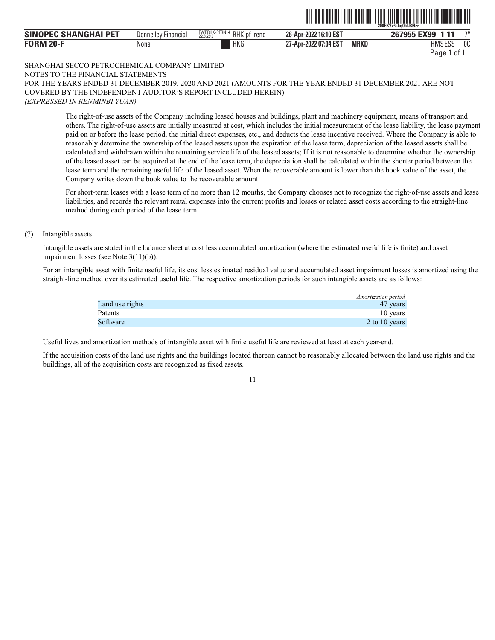|                      |                               |                                              |                       | I TOILOITTIIN TIILOITTIIN KUULIIN JA SEN KUULIIN KUULIIN KUULIIN KUULIIN K<br>200FKYv%ka0kLBNzr |  |
|----------------------|-------------------------------|----------------------------------------------|-----------------------|-------------------------------------------------------------------------------------------------|--|
| Sinopec Shanghai Pet | Jonnellev<br><b>Hinancial</b> | FWPRHK-PFRN14<br>RHK p.<br>rend<br>22.3.29.0 | 26-Apr-2022 16:10 EST | <b>EX99</b><br>267955                                                                           |  |

TIT A BILIBITI DI LITTORI MILITAR TITULITA TITTORI IL ISOTOPICA DI BIL

| <b>OINUFEU OFIANUFIAI FEI</b> | <b>DOILIELEV</b><br>Filidiiuidi | 22.3.29.0 | nпr<br>.<br><b>I</b> AIR | <b>LU-AUI-LULL IU.IU LOI</b>        |             | ZU7JJJ EAJJ   |    |
|-------------------------------|---------------------------------|-----------|--------------------------|-------------------------------------|-------------|---------------|----|
| <b>FORM 20-F</b>              | None                            |           | HKG                      | 2022 07:04 EST<br>∠7-Apr-`<br>-7117 | <b>MRKD</b> | <b>HMSESS</b> | 0C |
|                               |                                 |           |                          |                                     |             | 0Ť<br>Page    |    |

SHANGHAI SECCO PETROCHEMICAL COMPANY LIMITED NOTES TO THE FINANCIAL STATEMENTS FOR THE YEARS ENDED 31 DECEMBER 2019, 2020 AND 2021 (AMOUNTS FOR THE YEAR ENDED 31 DECEMBER 2021 ARE NOT COVERED BY THE INDEPENDENT AUDITOR'S REPORT INCLUDED HEREIN) *(EXPRESSED IN RENMINBI YUAN)*

The right-of-use assets of the Company including leased houses and buildings, plant and machinery equipment, means of transport and others. The right-of-use assets are initially measured at cost, which includes the initial measurement of the lease liability, the lease payment paid on or before the lease period, the initial direct expenses, etc., and deducts the lease incentive received. Where the Company is able to reasonably determine the ownership of the leased assets upon the expiration of the lease term, depreciation of the leased assets shall be calculated and withdrawn within the remaining service life of the leased assets; If it is not reasonable to determine whether the ownership of the leased asset can be acquired at the end of the lease term, the depreciation shall be calculated within the shorter period between the lease term and the remaining useful life of the leased asset. When the recoverable amount is lower than the book value of the asset, the Company writes down the book value to the recoverable amount.

For short-term leases with a lease term of no more than 12 months, the Company chooses not to recognize the right-of-use assets and lease liabilities, and records the relevant rental expenses into the current profits and losses or related asset costs according to the straight-line method during each period of the lease term.

#### (7) Intangible assets

Intangible assets are stated in the balance sheet at cost less accumulated amortization (where the estimated useful life is finite) and asset impairment losses (see Note 3(11)(b)).

For an intangible asset with finite useful life, its cost less estimated residual value and accumulated asset impairment losses is amortized using the straight-line method over its estimated useful life. The respective amortization periods for such intangible assets are as follows:

|                 | Amortization period |
|-----------------|---------------------|
| Land use rights | 47 years            |
| Patents         | 10 years            |
| Software        | 2 to 10 years       |

Useful lives and amortization methods of intangible asset with finite useful life are reviewed at least at each year-end.

If the acquisition costs of the land use rights and the buildings located thereon cannot be reasonably allocated between the land use rights and the buildings, all of the acquisition costs are recognized as fixed assets.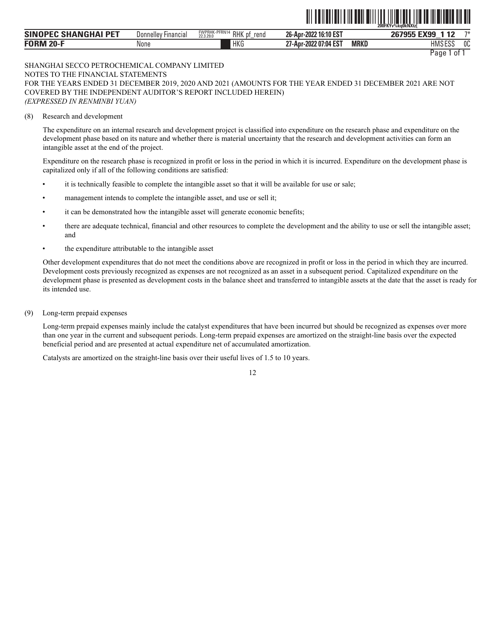|                             | ,,,,,,,,,,,,,,,,,,,,,,,,,,,,,,,,    |                                           | ,,,,,,,,,,,,,,,,,,,,,,,,,,,,,,,,,,,,,<br>200FKYv%ka0kNXtzl |      |                       |    |
|-----------------------------|-------------------------------------|-------------------------------------------|------------------------------------------------------------|------|-----------------------|----|
| <b>SINOPEC SHANGHAI PET</b> | <b>Donnelley</b><br><b>Inancial</b> | FWPRHK-PFRN14<br>RHK<br>rend<br>22.3.29.0 | 26-Apr-2022 16:10 EST                                      |      | <b>EX99</b><br>267955 |    |
| <b>FORM 20-F</b>            | None                                | HKG                                       | 27-Apr-2022 07:04 EST                                      | MRKD | HMS ESJ               | OC |

HMS ESS Page 1 of 1

ˆ200FKYv%kq0kNXtz[Š **200FKYv%kq0kNXtz[**

SHANGHAI SECCO PETROCHEMICAL COMPANY LIMITED NOTES TO THE FINANCIAL STATEMENTS FOR THE YEARS ENDED 31 DECEMBER 2019, 2020 AND 2021 (AMOUNTS FOR THE YEAR ENDED 31 DECEMBER 2021 ARE NOT COVERED BY THE INDEPENDENT AUDITOR'S REPORT INCLUDED HEREIN) *(EXPRESSED IN RENMINBI YUAN)*

### (8) Research and development

The expenditure on an internal research and development project is classified into expenditure on the research phase and expenditure on the development phase based on its nature and whether there is material uncertainty that the research and development activities can form an intangible asset at the end of the project.

Expenditure on the research phase is recognized in profit or loss in the period in which it is incurred. Expenditure on the development phase is capitalized only if all of the following conditions are satisfied:

- it is technically feasible to complete the intangible asset so that it will be available for use or sale;
- management intends to complete the intangible asset, and use or sell it;
- it can be demonstrated how the intangible asset will generate economic benefits;
- there are adequate technical, financial and other resources to complete the development and the ability to use or sell the intangible asset; and
- the expenditure attributable to the intangible asset

Other development expenditures that do not meet the conditions above are recognized in profit or loss in the period in which they are incurred. Development costs previously recognized as expenses are not recognized as an asset in a subsequent period. Capitalized expenditure on the development phase is presented as development costs in the balance sheet and transferred to intangible assets at the date that the asset is ready for its intended use.

(9) Long-term prepaid expenses

Long-term prepaid expenses mainly include the catalyst expenditures that have been incurred but should be recognized as expenses over more than one year in the current and subsequent periods. Long-term prepaid expenses are amortized on the straight-line basis over the expected beneficial period and are presented at actual expenditure net of accumulated amortization.

Catalysts are amortized on the straight-line basis over their useful lives of 1.5 to 10 years.

<sup>12</sup>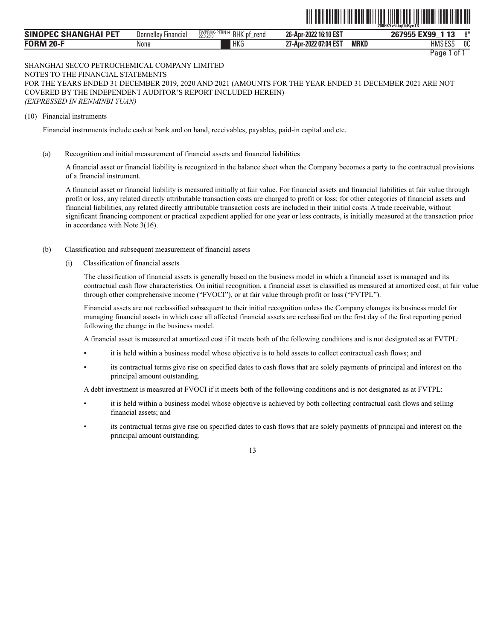|                             |                        |                                                  |                                |             | 200FKYv%ka0kRvcT3                 |     |
|-----------------------------|------------------------|--------------------------------------------------|--------------------------------|-------------|-----------------------------------|-----|
| <b>SINOPEC SHANGHAI PET</b> | Donnelley<br>-ınancıal | FWPRHK-PFRN14<br><b>RHK</b><br>rend<br>22.3.29.0 | 26-Apr-2022 16:10 EST          |             | <b>EX99</b><br>7955<br>∣ 13<br>ΖO | ∩-¥ |
| <b>FORM 20-F</b>            | None                   | HKG                                              | 1-2022 07:04 EST<br>$27$ -Apr- | <b>MRKD</b> | ЧMS<br>∟ບປ                        |     |

<u>oli taliariani tili aan milling lilla tali lingvard i tali lila tali an</u>

SHANGHAI SECCO PETROCHEMICAL COMPANY LIMITED NOTES TO THE FINANCIAL STATEMENTS FOR THE YEARS ENDED 31 DECEMBER 2019, 2020 AND 2021 (AMOUNTS FOR THE YEAR ENDED 31 DECEMBER 2021 ARE NOT COVERED BY THE INDEPENDENT AUDITOR'S REPORT INCLUDED HEREIN) *(EXPRESSED IN RENMINBI YUAN)*

#### (10) Financial instruments

Financial instruments include cash at bank and on hand, receivables, payables, paid-in capital and etc.

(a) Recognition and initial measurement of financial assets and financial liabilities

A financial asset or financial liability is recognized in the balance sheet when the Company becomes a party to the contractual provisions of a financial instrument.

A financial asset or financial liability is measured initially at fair value. For financial assets and financial liabilities at fair value through profit or loss, any related directly attributable transaction costs are charged to profit or loss; for other categories of financial assets and financial liabilities, any related directly attributable transaction costs are included in their initial costs. A trade receivable, without significant financing component or practical expedient applied for one year or less contracts, is initially measured at the transaction price in accordance with Note 3(16).

- (b) Classification and subsequent measurement of financial assets
	- (i) Classification of financial assets

The classification of financial assets is generally based on the business model in which a financial asset is managed and its contractual cash flow characteristics. On initial recognition, a financial asset is classified as measured at amortized cost, at fair value through other comprehensive income ("FVOCI"), or at fair value through profit or loss ("FVTPL").

Financial assets are not reclassified subsequent to their initial recognition unless the Company changes its business model for managing financial assets in which case all affected financial assets are reclassified on the first day of the first reporting period following the change in the business model.

A financial asset is measured at amortized cost if it meets both of the following conditions and is not designated as at FVTPL:

- it is held within a business model whose objective is to hold assets to collect contractual cash flows; and
- its contractual terms give rise on specified dates to cash flows that are solely payments of principal and interest on the principal amount outstanding.

A debt investment is measured at FVOCI if it meets both of the following conditions and is not designated as at FVTPL:

- it is held within a business model whose objective is achieved by both collecting contractual cash flows and selling financial assets; and
- its contractual terms give rise on specified dates to cash flows that are solely payments of principal and interest on the principal amount outstanding.

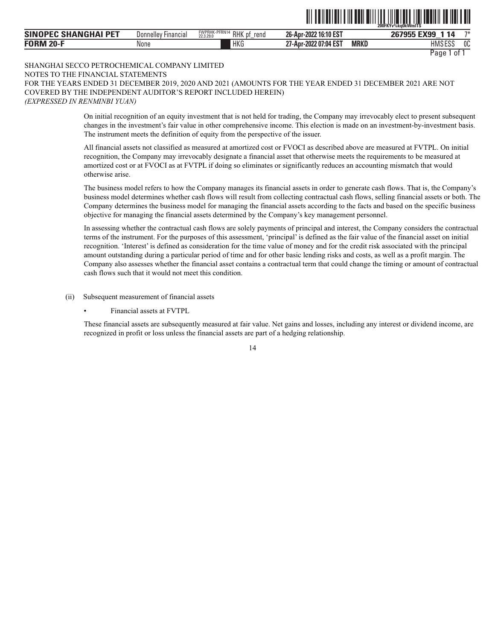|                             |                              |                                                         | ---------------------------- | 200FKYv%ka0kWmITS            |           |
|-----------------------------|------------------------------|---------------------------------------------------------|------------------------------|------------------------------|-----------|
| <b>SINOPEC SHANGHAI PET</b> | Donnellev<br><b>Financia</b> | <b>FWPRHK-PFRN14</b><br><b>RHK</b><br>rend<br>22.3.29.0 | 26-Apr-2022 16:10 EST        | <b>EX99</b><br>14<br>267955  | <b>TA</b> |
| <b>FORM 20-F</b>            | None                         | IUVC<br>nnu                                             | 27-Apr-2022 07:04 EST        | <b>HMSESS</b><br><b>MRKD</b> | OC        |

TITE TO IT OUT THE OWNER WHEN THE TITLE THE TIME IT ON A GIVE THE TIME IT OF T

SHANGHAI SECCO PETROCHEMICAL COMPANY LIMITED NOTES TO THE FINANCIAL STATEMENTS FOR THE YEARS ENDED 31 DECEMBER 2019, 2020 AND 2021 (AMOUNTS FOR THE YEAR ENDED 31 DECEMBER 2021 ARE NOT COVERED BY THE INDEPENDENT AUDITOR'S REPORT INCLUDED HEREIN) *(EXPRESSED IN RENMINBI YUAN)*

> On initial recognition of an equity investment that is not held for trading, the Company may irrevocably elect to present subsequent changes in the investment's fair value in other comprehensive income. This election is made on an investment-by-investment basis. The instrument meets the definition of equity from the perspective of the issuer.

All financial assets not classified as measured at amortized cost or FVOCI as described above are measured at FVTPL. On initial recognition, the Company may irrevocably designate a financial asset that otherwise meets the requirements to be measured at amortized cost or at FVOCI as at FVTPL if doing so eliminates or significantly reduces an accounting mismatch that would otherwise arise.

The business model refers to how the Company manages its financial assets in order to generate cash flows. That is, the Company's business model determines whether cash flows will result from collecting contractual cash flows, selling financial assets or both. The Company determines the business model for managing the financial assets according to the facts and based on the specific business objective for managing the financial assets determined by the Company's key management personnel.

In assessing whether the contractual cash flows are solely payments of principal and interest, the Company considers the contractual terms of the instrument. For the purposes of this assessment, 'principal' is defined as the fair value of the financial asset on initial recognition. 'Interest' is defined as consideration for the time value of money and for the credit risk associated with the principal amount outstanding during a particular period of time and for other basic lending risks and costs, as well as a profit margin. The Company also assesses whether the financial asset contains a contractual term that could change the timing or amount of contractual cash flows such that it would not meet this condition.

- (ii) Subsequent measurement of financial assets
	- Financial assets at FVTPL

These financial assets are subsequently measured at fair value. Net gains and losses, including any interest or dividend income, are recognized in profit or loss unless the financial assets are part of a hedging relationship.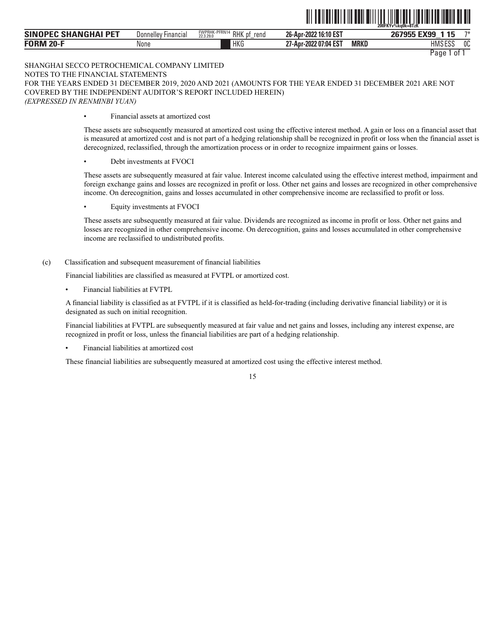|                      |                     |                                                |                       | 200FKYv%ka0k=8TzK         |
|----------------------|---------------------|------------------------------------------------|-----------------------|---------------------------|
| Sinopec Shanghai Pet | Donnelley Financial | FWPRHK-PFRN14<br>RHK pf rend<br>22.3.29.0<br>- | 26-Apr-2022 16:10 EST | $-1$<br>267955 EX99<br>15 |

TIT A BIT OF THE R OF BUILDING THE THE FULL OF A SERVE OF BUILDING OF BUILDING IN THE UNIT OF A BIT OF THE UNI

| <b>OINUFEU OFIANUFIAI FEI</b> | <b>DOILIELEV</b><br>' Filidiluldi | 22.3.29.0 | nпr<br>. UI<br><b>IGIIU</b> | ZU-ANI-ZUZZ 10.10 EJ 1 |             | LUIJJJ LAJJ<br>w |    |
|-------------------------------|-----------------------------------|-----------|-----------------------------|------------------------|-------------|------------------|----|
| <b>FORM 20-F</b>              | None                              |           | <b>HKG</b>                  | 27-Apr-2022 07:04 EST  | <b>MRKD</b> | <b>HMSESS</b>    | 0C |
|                               |                                   |           |                             |                        |             | 0t<br>Page       |    |

SHANGHAI SECCO PETROCHEMICAL COMPANY LIMITED NOTES TO THE FINANCIAL STATEMENTS FOR THE YEARS ENDED 31 DECEMBER 2019, 2020 AND 2021 (AMOUNTS FOR THE YEAR ENDED 31 DECEMBER 2021 ARE NOT COVERED BY THE INDEPENDENT AUDITOR'S REPORT INCLUDED HEREIN) *(EXPRESSED IN RENMINBI YUAN)*

• Financial assets at amortized cost

These assets are subsequently measured at amortized cost using the effective interest method. A gain or loss on a financial asset that is measured at amortized cost and is not part of a hedging relationship shall be recognized in profit or loss when the financial asset is derecognized, reclassified, through the amortization process or in order to recognize impairment gains or losses.

• Debt investments at FVOCI

These assets are subsequently measured at fair value. Interest income calculated using the effective interest method, impairment and foreign exchange gains and losses are recognized in profit or loss. Other net gains and losses are recognized in other comprehensive income. On derecognition, gains and losses accumulated in other comprehensive income are reclassified to profit or loss.

• Equity investments at FVOCI

These assets are subsequently measured at fair value. Dividends are recognized as income in profit or loss. Other net gains and losses are recognized in other comprehensive income. On derecognition, gains and losses accumulated in other comprehensive income are reclassified to undistributed profits.

(c) Classification and subsequent measurement of financial liabilities

Financial liabilities are classified as measured at FVTPL or amortized cost.

• Financial liabilities at FVTPL

A financial liability is classified as at FVTPL if it is classified as held-for-trading (including derivative financial liability) or it is designated as such on initial recognition.

Financial liabilities at FVTPL are subsequently measured at fair value and net gains and losses, including any interest expense, are recognized in profit or loss, unless the financial liabilities are part of a hedging relationship.

• Financial liabilities at amortized cost

These financial liabilities are subsequently measured at amortized cost using the effective interest method.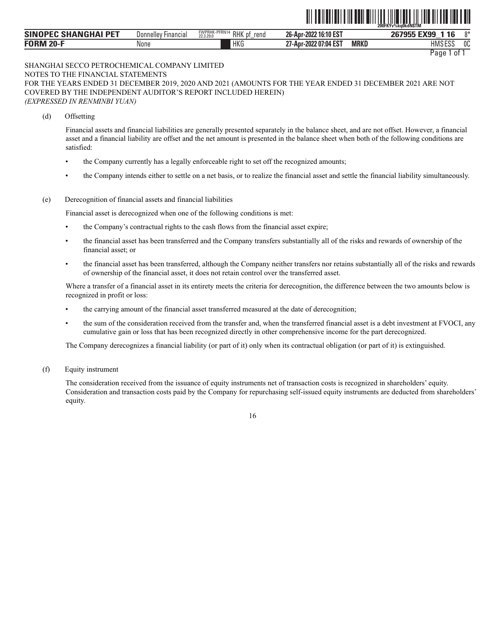|                                                 |                                      |                                                        |                                                | ` 200FKYv%ka0kdN\$TM       |    |
|-------------------------------------------------|--------------------------------------|--------------------------------------------------------|------------------------------------------------|----------------------------|----|
| . CHANCL.<br><b>PET</b><br><b>SINOPI</b><br>ми. | <b>Donnelley</b><br><b>Hinancial</b> | <b>FWPRHK-PFRN1</b><br><b>RHK</b><br>rend<br>22.3.29.0 | 26-Apr-2022 16:10 EST                          | $\overline{a}$<br>16<br>∠b |    |
| <b>FORM 20-1</b>                                | None                                 | <b>HKG</b>                                             | <b>MRKD</b><br>27-Apr-2022 07:04 EST<br>$\sim$ | <b>HMSESS</b>              | OC |

ˆ200FKYv%kq0kdN\$TMŠ **200FKYv%kq0kdN\$TM**

SHANGHAI SECCO PETROCHEMICAL COMPANY LIMITED NOTES TO THE FINANCIAL STATEMENTS FOR THE YEARS ENDED 31 DECEMBER 2019, 2020 AND 2021 (AMOUNTS FOR THE YEAR ENDED 31 DECEMBER 2021 ARE NOT COVERED BY THE INDEPENDENT AUDITOR'S REPORT INCLUDED HEREIN) *(EXPRESSED IN RENMINBI YUAN)*

### (d) Offsetting

Financial assets and financial liabilities are generally presented separately in the balance sheet, and are not offset. However, a financial asset and a financial liability are offset and the net amount is presented in the balance sheet when both of the following conditions are satisfied:

- the Company currently has a legally enforceable right to set off the recognized amounts;
- the Company intends either to settle on a net basis, or to realize the financial asset and settle the financial liability simultaneously.

## (e) Derecognition of financial assets and financial liabilities

Financial asset is derecognized when one of the following conditions is met:

- the Company's contractual rights to the cash flows from the financial asset expire;
- the financial asset has been transferred and the Company transfers substantially all of the risks and rewards of ownership of the financial asset; or
- the financial asset has been transferred, although the Company neither transfers nor retains substantially all of the risks and rewards of ownership of the financial asset, it does not retain control over the transferred asset.

Where a transfer of a financial asset in its entirety meets the criteria for derecognition, the difference between the two amounts below is recognized in profit or loss:

- the carrying amount of the financial asset transferred measured at the date of derecognition;
- the sum of the consideration received from the transfer and, when the transferred financial asset is a debt investment at FVOCI, any cumulative gain or loss that has been recognized directly in other comprehensive income for the part derecognized.

The Company derecognizes a financial liability (or part of it) only when its contractual obligation (or part of it) is extinguished.

(f) Equity instrument

The consideration received from the issuance of equity instruments net of transaction costs is recognized in shareholders' equity. Consideration and transaction costs paid by the Company for repurchasing self-issued equity instruments are deducted from shareholders' equity.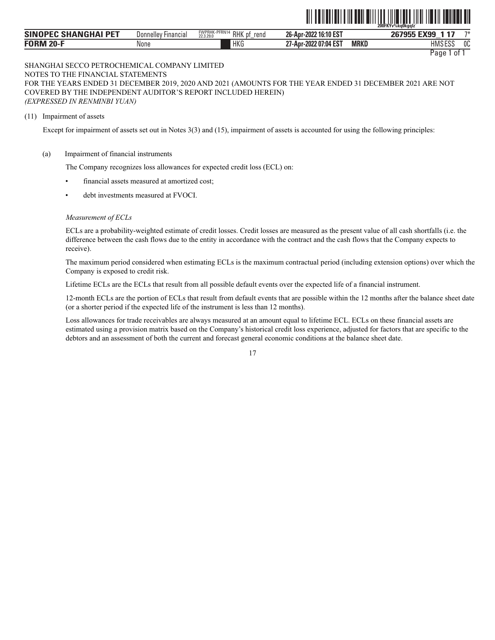|                      |                               |                                              |                       | <u>I IIII IIIII IIII III III III IIIII III III</u><br>200FKYv%kq0kgqlz |
|----------------------|-------------------------------|----------------------------------------------|-----------------------|------------------------------------------------------------------------|
| Sinopec Shanghai Pet | <b>Donnelley</b><br>Financial | FWPRHK-PFRN14<br>RHK pf<br>rend<br>22.3.29.0 | 26-Apr-2022 16:10 EST | 7 <sup>4</sup><br>267955 EX99                                          |

<u>oli od lidelali oli doli dililed illidi od oli lideli od lide dil</u>

|                  |      | 22.3.23.0  |                                     | -----------                  |    |
|------------------|------|------------|-------------------------------------|------------------------------|----|
| <b>FORM 20-F</b> | None | <b>HKG</b> | -2022 07:04 EST<br>nπ.<br>$2$ -Apr- | <b>MRKD</b><br><b>HMSESS</b> | 0C |
|                  |      |            |                                     | 0t<br>Page                   |    |

SHANGHAI SECCO PETROCHEMICAL COMPANY LIMITED NOTES TO THE FINANCIAL STATEMENTS FOR THE YEARS ENDED 31 DECEMBER 2019, 2020 AND 2021 (AMOUNTS FOR THE YEAR ENDED 31 DECEMBER 2021 ARE NOT COVERED BY THE INDEPENDENT AUDITOR'S REPORT INCLUDED HEREIN) *(EXPRESSED IN RENMINBI YUAN)*

### (11) Impairment of assets

Except for impairment of assets set out in Notes 3(3) and (15), impairment of assets is accounted for using the following principles:

## (a) Impairment of financial instruments

The Company recognizes loss allowances for expected credit loss (ECL) on:

- financial assets measured at amortized cost;
- debt investments measured at FVOCI.

#### *Measurement of ECLs*

ECLs are a probability-weighted estimate of credit losses. Credit losses are measured as the present value of all cash shortfalls (i.e. the difference between the cash flows due to the entity in accordance with the contract and the cash flows that the Company expects to receive).

The maximum period considered when estimating ECLs is the maximum contractual period (including extension options) over which the Company is exposed to credit risk.

Lifetime ECLs are the ECLs that result from all possible default events over the expected life of a financial instrument.

12-month ECLs are the portion of ECLs that result from default events that are possible within the 12 months after the balance sheet date (or a shorter period if the expected life of the instrument is less than 12 months).

Loss allowances for trade receivables are always measured at an amount equal to lifetime ECL. ECLs on these financial assets are estimated using a provision matrix based on the Company's historical credit loss experience, adjusted for factors that are specific to the debtors and an assessment of both the current and forecast general economic conditions at the balance sheet date.

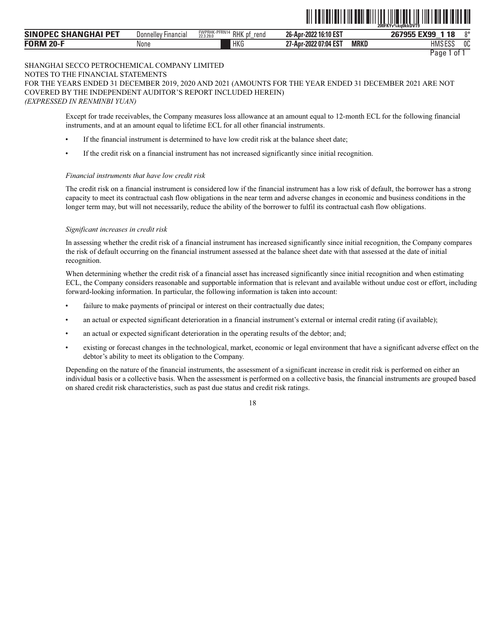|                            |                               |                                                        | ----------------------------            |             | <br>-----<br>.<br>200FKYv%ka0kkDVT9 |          |
|----------------------------|-------------------------------|--------------------------------------------------------|-----------------------------------------|-------------|-------------------------------------|----------|
| <b>IDET</b><br><b>SINO</b> | Donnelley<br><b>Hinancial</b> | <b>FWPRHK-PFRN14</b><br>RHK<br>rend<br>DT<br>22.3.29.0 | -2022 16:10 EST<br>26-Apr               |             | ⊏YQQ<br>- 10<br>$-$                 |          |
| <b>FORM</b><br>120-F       | None                          | <b>HKG</b>                                             | 207:04 EST<br>-2027<br>. . - Apr<br>- 1 | <b>MRKD</b> | <b>IIMO FOO</b><br>MMY F99          | n۵<br>บบ |

<u>oli od iloti oli oli oddi oli i lot ili oli oli ili ili i do lot i di oli oli </u>

# SHANGHAI SECCO PETROCHEMICAL COMPANY LIMITED NOTES TO THE FINANCIAL STATEMENTS FOR THE YEARS ENDED 31 DECEMBER 2019, 2020 AND 2021 (AMOUNTS FOR THE YEAR ENDED 31 DECEMBER 2021 ARE NOT COVERED BY THE INDEPENDENT AUDITOR'S REPORT INCLUDED HEREIN) *(EXPRESSED IN RENMINBI YUAN)*

Except for trade receivables, the Company measures loss allowance at an amount equal to 12-month ECL for the following financial instruments, and at an amount equal to lifetime ECL for all other financial instruments.

- If the financial instrument is determined to have low credit risk at the balance sheet date;
- If the credit risk on a financial instrument has not increased significantly since initial recognition.

# *Financial instruments that have low credit risk*

The credit risk on a financial instrument is considered low if the financial instrument has a low risk of default, the borrower has a strong capacity to meet its contractual cash flow obligations in the near term and adverse changes in economic and business conditions in the longer term may, but will not necessarily, reduce the ability of the borrower to fulfil its contractual cash flow obligations.

# *Significant increases in credit risk*

In assessing whether the credit risk of a financial instrument has increased significantly since initial recognition, the Company compares the risk of default occurring on the financial instrument assessed at the balance sheet date with that assessed at the date of initial recognition.

When determining whether the credit risk of a financial asset has increased significantly since initial recognition and when estimating ECL, the Company considers reasonable and supportable information that is relevant and available without undue cost or effort, including forward-looking information. In particular, the following information is taken into account:

- failure to make payments of principal or interest on their contractually due dates;
- an actual or expected significant deterioration in a financial instrument's external or internal credit rating (if available);
- an actual or expected significant deterioration in the operating results of the debtor; and;
- existing or forecast changes in the technological, market, economic or legal environment that have a significant adverse effect on the debtor's ability to meet its obligation to the Company.

Depending on the nature of the financial instruments, the assessment of a significant increase in credit risk is performed on either an individual basis or a collective basis. When the assessment is performed on a collective basis, the financial instruments are grouped based on shared credit risk characteristics, such as past due status and credit risk ratings.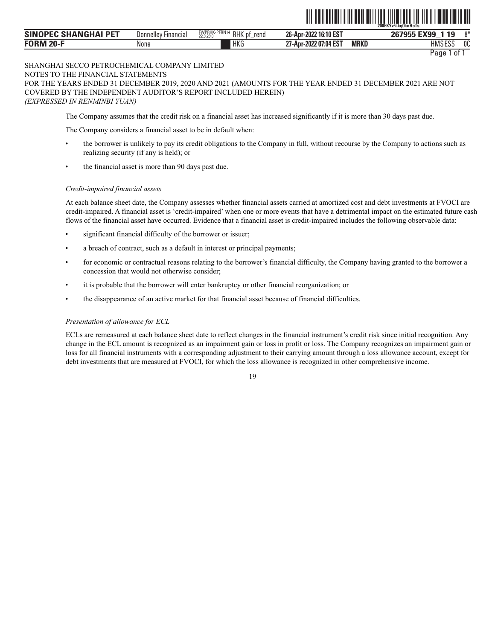|                     |                                                |                       | 200FKYv%ka0knHoTs       |
|---------------------|------------------------------------------------|-----------------------|-------------------------|
| Donnelley Financial | FWPRHK-PFRN14 RHK pf<br>rend<br>22.3.29.0<br>_ | 26-Apr-2022 16:10 EST | 267955 EX99 119<br>$0*$ |

TIT THILLIELLE III HEIL MILLIEL III HEIL III III HEIL HEIL HEIL

| <b>DINUELL ORANUM FEI</b> | <b>DOILIELEV</b><br><b>Filidii</b> uidi | 22.3.29.0 | TIFIN D.<br><b>I</b> Alla | LU-ANI-LULL IU.IU EJI                 |             | LUIJJJ LAJJ<br>- 15 |               |
|---------------------------|-----------------------------------------|-----------|---------------------------|---------------------------------------|-------------|---------------------|---------------|
| <b>FORM 20-F</b>          | None                                    |           | <b>HKG</b>                | -2022 07:04 EST<br>$\sim$<br>∠7-Apr-" | <b>MRKD</b> | <b>HMSESS</b>       | $\sim$<br>็บเ |
|                           |                                         |           |                           |                                       |             | 0t<br>Page          |               |

# SHANGHAI SECCO PETROCHEMICAL COMPANY LIMITED NOTES TO THE FINANCIAL STATEMENTS FOR THE YEARS ENDED 31 DECEMBER 2019, 2020 AND 2021 (AMOUNTS FOR THE YEAR ENDED 31 DECEMBER 2021 ARE NOT COVERED BY THE INDEPENDENT AUDITOR'S REPORT INCLUDED HEREIN) *(EXPRESSED IN RENMINBI YUAN)*

The Company assumes that the credit risk on a financial asset has increased significantly if it is more than 30 days past due.

The Company considers a financial asset to be in default when:

- the borrower is unlikely to pay its credit obligations to the Company in full, without recourse by the Company to actions such as realizing security (if any is held); or
- the financial asset is more than 90 days past due.

### *Credit-impaired financial assets*

**SINOPEC SHANGHAI P** 

At each balance sheet date, the Company assesses whether financial assets carried at amortized cost and debt investments at FVOCI are credit-impaired. A financial asset is 'credit-impaired' when one or more events that have a detrimental impact on the estimated future cash flows of the financial asset have occurred. Evidence that a financial asset is credit-impaired includes the following observable data:

- significant financial difficulty of the borrower or issuer;
- a breach of contract, such as a default in interest or principal payments;
- for economic or contractual reasons relating to the borrower's financial difficulty, the Company having granted to the borrower a concession that would not otherwise consider;
- it is probable that the borrower will enter bankruptcy or other financial reorganization; or
- the disappearance of an active market for that financial asset because of financial difficulties.

#### *Presentation of allowance for ECL*

ECLs are remeasured at each balance sheet date to reflect changes in the financial instrument's credit risk since initial recognition. Any change in the ECL amount is recognized as an impairment gain or loss in profit or loss. The Company recognizes an impairment gain or loss for all financial instruments with a corresponding adjustment to their carrying amount through a loss allowance account, except for debt investments that are measured at FVOCI, for which the loss allowance is recognized in other comprehensive income.

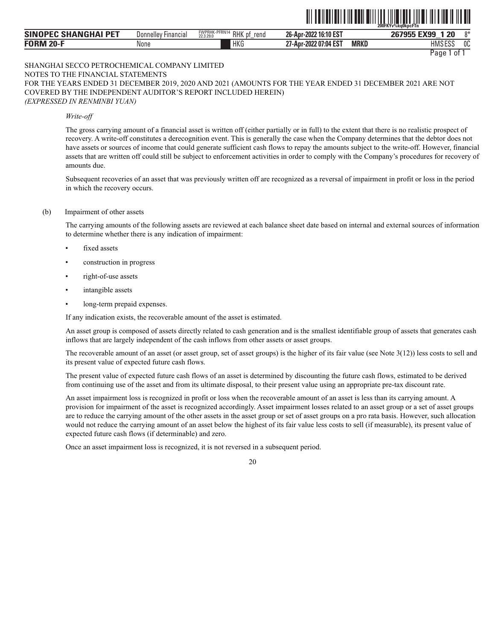|                               |                        |                                                  | - ------. - ---- ---     | 200FKYv%ka0kpcFTn            |      |
|-------------------------------|------------------------|--------------------------------------------------|--------------------------|------------------------------|------|
| <b>SHANGHAI PFT</b><br>SINOPE | Financial<br>Donnellev | FWPRHK-PFRN14<br><b>RHK</b><br>rend<br>22.3.29.0 | 26-Apr-2022 16:10 EST    | 20<br>-<br>--                | $0*$ |
| FORM<br>$20-$                 | None                   | <b>HKG</b>                                       | 207:04 EST<br>7-Apr-2022 | <b>HMSESS</b><br><b>MRKD</b> | 0C   |

ˆ200FKYv%kq0kpcFTnŠ

SHANGHAI SECCO PETROCHEMICAL COMPANY LIMITED NOTES TO THE FINANCIAL STATEMENTS FOR THE YEARS ENDED 31 DECEMBER 2019, 2020 AND 2021 (AMOUNTS FOR THE YEAR ENDED 31 DECEMBER 2021 ARE NOT COVERED BY THE INDEPENDENT AUDITOR'S REPORT INCLUDED HEREIN) *(EXPRESSED IN RENMINBI YUAN)*

#### *Write-off*

The gross carrying amount of a financial asset is written off (either partially or in full) to the extent that there is no realistic prospect of recovery. A write-off constitutes a derecognition event. This is generally the case when the Company determines that the debtor does not have assets or sources of income that could generate sufficient cash flows to repay the amounts subject to the write-off. However, financial assets that are written off could still be subject to enforcement activities in order to comply with the Company's procedures for recovery of amounts due.

Subsequent recoveries of an asset that was previously written off are recognized as a reversal of impairment in profit or loss in the period in which the recovery occurs.

(b) Impairment of other assets

The carrying amounts of the following assets are reviewed at each balance sheet date based on internal and external sources of information to determine whether there is any indication of impairment:

- fixed assets
- construction in progress
- right-of-use assets
- intangible assets
- long-term prepaid expenses.

If any indication exists, the recoverable amount of the asset is estimated.

An asset group is composed of assets directly related to cash generation and is the smallest identifiable group of assets that generates cash inflows that are largely independent of the cash inflows from other assets or asset groups.

The recoverable amount of an asset (or asset group, set of asset groups) is the higher of its fair value (see Note 3(12)) less costs to sell and its present value of expected future cash flows.

The present value of expected future cash flows of an asset is determined by discounting the future cash flows, estimated to be derived from continuing use of the asset and from its ultimate disposal, to their present value using an appropriate pre-tax discount rate.

An asset impairment loss is recognized in profit or loss when the recoverable amount of an asset is less than its carrying amount. A provision for impairment of the asset is recognized accordingly. Asset impairment losses related to an asset group or a set of asset groups are to reduce the carrying amount of the other assets in the asset group or set of asset groups on a pro rata basis. However, such allocation would not reduce the carrying amount of an asset below the highest of its fair value less costs to sell (if measurable), its present value of expected future cash flows (if determinable) and zero.

Once an asset impairment loss is recognized, it is not reversed in a subsequent period.

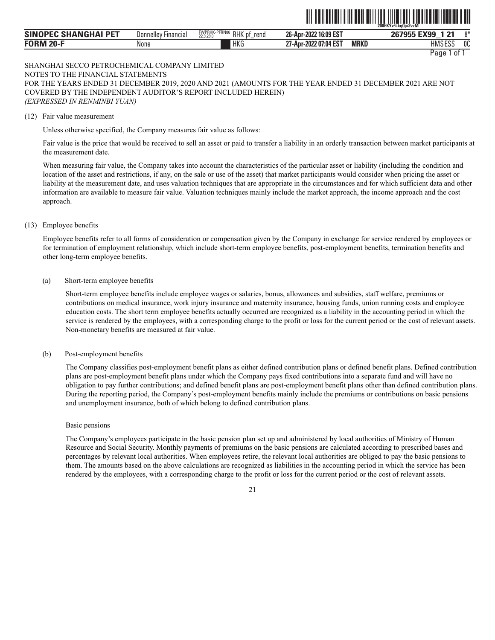|                      |                     |                                             |                       |             | ,,,,,,,,,,,,,,,,,,,,,,,<br>`200FKYv%ka0i=2vzM |    |
|----------------------|---------------------|---------------------------------------------|-----------------------|-------------|-----------------------------------------------|----|
| Sinopec Shanghai Pet | Donnelley Financial | FWPRHK-PFRN06<br>RHK p<br>rend<br>22.3.29.0 | 26-Apr-2022 16:09 EST |             | 267955 EX99                                   | Ω¥ |
| <b>FORM 20-F</b>     | None                | HKG                                         | 27-Apr-2022 07:04 EST | <b>MRKD</b> | HIVID EDL                                     | OC |

ˆ200FKYv%kq0j=2vzMŠ

# SHANGHAI SECCO PETROCHEMICAL COMPANY LIMITED NOTES TO THE FINANCIAL STATEMENTS FOR THE YEARS ENDED 31 DECEMBER 2019, 2020 AND 2021 (AMOUNTS FOR THE YEAR ENDED 31 DECEMBER 2021 ARE NOT COVERED BY THE INDEPENDENT AUDITOR'S REPORT INCLUDED HEREIN) *(EXPRESSED IN RENMINBI YUAN)*

#### (12) Fair value measurement

Unless otherwise specified, the Company measures fair value as follows:

Fair value is the price that would be received to sell an asset or paid to transfer a liability in an orderly transaction between market participants at the measurement date.

When measuring fair value, the Company takes into account the characteristics of the particular asset or liability (including the condition and location of the asset and restrictions, if any, on the sale or use of the asset) that market participants would consider when pricing the asset or liability at the measurement date, and uses valuation techniques that are appropriate in the circumstances and for which sufficient data and other information are available to measure fair value. Valuation techniques mainly include the market approach, the income approach and the cost approach.

## (13) Employee benefits

Employee benefits refer to all forms of consideration or compensation given by the Company in exchange for service rendered by employees or for termination of employment relationship, which include short-term employee benefits, post-employment benefits, termination benefits and other long-term employee benefits.

### (a) Short-term employee benefits

Short-term employee benefits include employee wages or salaries, bonus, allowances and subsidies, staff welfare, premiums or contributions on medical insurance, work injury insurance and maternity insurance, housing funds, union running costs and employee education costs. The short term employee benefits actually occurred are recognized as a liability in the accounting period in which the service is rendered by the employees, with a corresponding charge to the profit or loss for the current period or the cost of relevant assets. Non-monetary benefits are measured at fair value.

# (b) Post-employment benefits

The Company classifies post-employment benefit plans as either defined contribution plans or defined benefit plans. Defined contribution plans are post-employment benefit plans under which the Company pays fixed contributions into a separate fund and will have no obligation to pay further contributions; and defined benefit plans are post-employment benefit plans other than defined contribution plans. During the reporting period, the Company's post-employment benefits mainly include the premiums or contributions on basic pensions and unemployment insurance, both of which belong to defined contribution plans.

### Basic pensions

The Company's employees participate in the basic pension plan set up and administered by local authorities of Ministry of Human Resource and Social Security. Monthly payments of premiums on the basic pensions are calculated according to prescribed bases and percentages by relevant local authorities. When employees retire, the relevant local authorities are obliged to pay the basic pensions to them. The amounts based on the above calculations are recognized as liabilities in the accounting period in which the service has been rendered by the employees, with a corresponding charge to the profit or loss for the current period or the cost of relevant assets.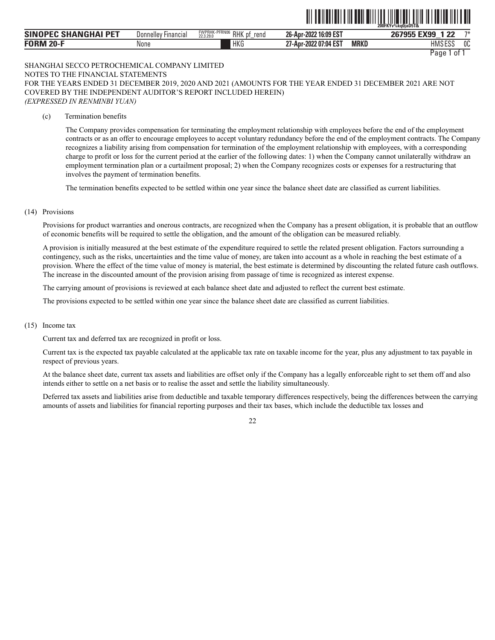|                     |                                              |                       | I TENTETI EDI ENE EDI ENTITLE <u>internet turi meter i per</u><br>200FKYv%ka0iaD5T& |
|---------------------|----------------------------------------------|-----------------------|-------------------------------------------------------------------------------------|
| Donnelley Financial | FWPRHK-PFRN06<br>RHK<br>rand<br>nt<br>000000 | 26-Anr-2022 16:09 FST | 267955 FX99                                                                         |

TA OF A MARIA POLITICA DIA MARIA POLITICA DIA ANGLE DIA ANGLE DIA ANGLE DIA ANGLE DIA ANGLE DIA ANGLE DIA ANG

| <b>JOPEC SHANGHAI PET</b><br><b>SIN</b> | <b>Financial</b><br><b>Jonnellev</b> | -PFRN06<br><b>FWPRHK</b><br><b>RHK</b><br>rend<br>DÎ<br>22.3.29.0 | 26-Apr-2022 16:09 EST |             | $7*$<br>267955 EX99<br>$\sim$ |
|-----------------------------------------|--------------------------------------|-------------------------------------------------------------------|-----------------------|-------------|-------------------------------|
| <b>FORM 20-F</b>                        | None                                 | <b>HKG</b>                                                        | 27-Apr-2022 07:04 EST | <b>MRKD</b> | <b>HMSESS</b><br>0C           |
|                                         |                                      |                                                                   |                       |             | -ot<br>Page                   |

SHANGHAI SECCO PETROCHEMICAL COMPANY LIMITED NOTES TO THE FINANCIAL STATEMENTS FOR THE YEARS ENDED 31 DECEMBER 2019, 2020 AND 2021 (AMOUNTS FOR THE YEAR ENDED 31 DECEMBER 2021 ARE NOT COVERED BY THE INDEPENDENT AUDITOR'S REPORT INCLUDED HEREIN) *(EXPRESSED IN RENMINBI YUAN)*

#### (c) Termination benefits

The Company provides compensation for terminating the employment relationship with employees before the end of the employment contracts or as an offer to encourage employees to accept voluntary redundancy before the end of the employment contracts. The Company recognizes a liability arising from compensation for termination of the employment relationship with employees, with a corresponding charge to profit or loss for the current period at the earlier of the following dates: 1) when the Company cannot unilaterally withdraw an employment termination plan or a curtailment proposal; 2) when the Company recognizes costs or expenses for a restructuring that involves the payment of termination benefits.

The termination benefits expected to be settled within one year since the balance sheet date are classified as current liabilities.

#### (14) Provisions

Provisions for product warranties and onerous contracts, are recognized when the Company has a present obligation, it is probable that an outflow of economic benefits will be required to settle the obligation, and the amount of the obligation can be measured reliably.

A provision is initially measured at the best estimate of the expenditure required to settle the related present obligation. Factors surrounding a contingency, such as the risks, uncertainties and the time value of money, are taken into account as a whole in reaching the best estimate of a provision. Where the effect of the time value of money is material, the best estimate is determined by discounting the related future cash outflows. The increase in the discounted amount of the provision arising from passage of time is recognized as interest expense.

The carrying amount of provisions is reviewed at each balance sheet date and adjusted to reflect the current best estimate.

The provisions expected to be settled within one year since the balance sheet date are classified as current liabilities.

(15) Income tax

Current tax and deferred tax are recognized in profit or loss.

Current tax is the expected tax payable calculated at the applicable tax rate on taxable income for the year, plus any adjustment to tax payable in respect of previous years.

At the balance sheet date, current tax assets and liabilities are offset only if the Company has a legally enforceable right to set them off and also intends either to settle on a net basis or to realise the asset and settle the liability simultaneously.

Deferred tax assets and liabilities arise from deductible and taxable temporary differences respectively, being the differences between the carrying amounts of assets and liabilities for financial reporting purposes and their tax bases, which include the deductible tax losses and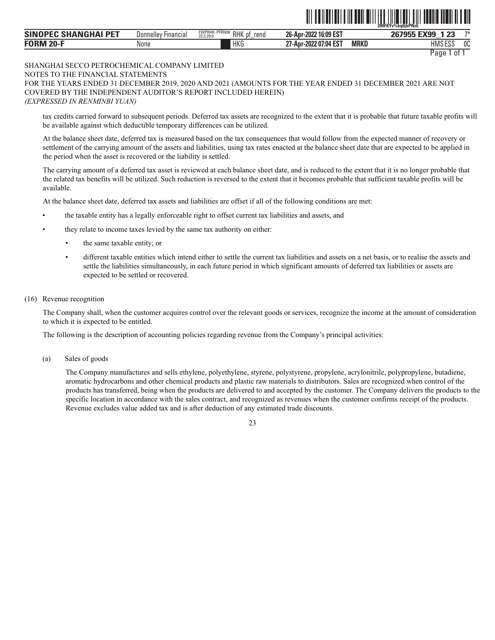|                      |                                 |                                              | Ш<br>,,,,,,,,,,,,,,,,,,, |             | 200FKYv%ka0ibPNzE                |    |  |
|----------------------|---------------------------------|----------------------------------------------|--------------------------|-------------|----------------------------------|----|--|
| Sinopec Shanghai Pet | ∵ Financia.<br><b>Donnelley</b> | FWPRHK-PFRN06<br>RHK p.<br>rend<br>22.3.29.0 | 26-Apr-2022 16:09 EST    |             | <b>EX99</b><br>267955<br>ີ<br>∠J | 一半 |  |
| <b>FORM 20-F</b>     | None                            | <b>HKG</b>                                   | 27-Apr-2022 07:04 EST    | <b>MRKD</b> | <b>HMSESS</b>                    | 0C |  |

| ! 07:04 EST | MKKD |  |
|-------------|------|--|
|             |      |  |
|             |      |  |

TIT TE ITELEFIZIT E ITE EEN EITT TE IT IT ITELEFIZIT EEN FREGI EN EEN

Page 1 of 1

SHANGHAI SECCO PETROCHEMICAL COMPANY LIMITED NOTES TO THE FINANCIAL STATEMENTS FOR THE YEARS ENDED 31 DECEMBER 2019, 2020 AND 2021 (AMOUNTS FOR THE YEAR ENDED 31 DECEMBER 2021 ARE NOT COVERED BY THE INDEPENDENT AUDITOR'S REPORT INCLUDED HEREIN) *(EXPRESSED IN RENMINBI YUAN)*

tax credits carried forward to subsequent periods. Deferred tax assets are recognized to the extent that it is probable that future taxable profits will be available against which deductible temporary differences can be utilized.

At the balance sheet date, deferred tax is measured based on the tax consequences that would follow from the expected manner of recovery or settlement of the carrying amount of the assets and liabilities, using tax rates enacted at the balance sheet date that are expected to be applied in the period when the asset is recovered or the liability is settled.

The carrying amount of a deferred tax asset is reviewed at each balance sheet date, and is reduced to the extent that it is no longer probable that the related tax benefits will be utilized. Such reduction is reversed to the extent that it becomes probable that sufficient taxable profits will be available.

At the balance sheet date, deferred tax assets and liabilities are offset if all of the following conditions are met:

- the taxable entity has a legally enforceable right to offset current tax liabilities and assets, and
- they relate to income taxes levied by the same tax authority on either:

- the same taxable entity; or
- different taxable entities which intend either to settle the current tax liabilities and assets on a net basis, or to realise the assets and settle the liabilities simultaneously, in each future period in which significant amounts of deferred tax liabilities or assets are expected to be settled or recovered.
- (16) Revenue recognition

The Company shall, when the customer acquires control over the relevant goods or services, recognize the income at the amount of consideration to which it is expected to be entitled.

The following is the description of accounting policies regarding revenue from the Company's principal activities:

(a) Sales of goods

The Company manufactures and sells ethylene, polyethylene, styrene, polystyrene, propylene, acrylonitrile, polypropylene, butadiene, aromatic hydrocarbons and other chemical products and plastic raw materials to distributors. Sales are recognized when control of the products has transferred, being when the products are delivered to and accepted by the customer. The Company delivers the products to the specific location in accordance with the sales contract, and recognized as revenues when the customer confirms receipt of the products. Revenue excludes value added tax and is after deduction of any estimated trade discounts.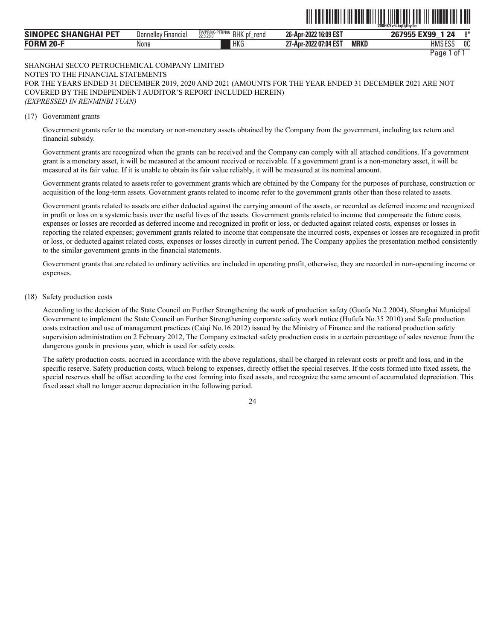|                      |                     |                                                  | ,,,,,,,,,,,,,,,,,,,,,,,,,,, |             | .<br>200FKYv%ka0ifbvTe |          |
|----------------------|---------------------|--------------------------------------------------|-----------------------------|-------------|------------------------|----------|
| Sinopec Shanghai Pet | Donnelley Financial | FWPRHK-PFRN06<br>RHK<br>rend<br>.nt<br>22,3,29.0 | 26-Apr-2022 16:09 EST       |             | 267955 EX99<br>124     |          |
| <b>FORM 20-F</b>     | None                | HKG                                              | 27-Apr-2022 07:04 EST       | <b>MRKD</b> | <b>HMSESS</b>          | nη<br>υu |

<u>oli taliariani tili aan milling lilla lait till lil domaa illi tal</u>

# SHANGHAI SECCO PETROCHEMICAL COMPANY LIMITED NOTES TO THE FINANCIAL STATEMENTS FOR THE YEARS ENDED 31 DECEMBER 2019, 2020 AND 2021 (AMOUNTS FOR THE YEAR ENDED 31 DECEMBER 2021 ARE NOT COVERED BY THE INDEPENDENT AUDITOR'S REPORT INCLUDED HEREIN) *(EXPRESSED IN RENMINBI YUAN)*

#### (17) Government grants

Government grants refer to the monetary or non-monetary assets obtained by the Company from the government, including tax return and financial subsidy.

Government grants are recognized when the grants can be received and the Company can comply with all attached conditions. If a government grant is a monetary asset, it will be measured at the amount received or receivable. If a government grant is a non-monetary asset, it will be measured at its fair value. If it is unable to obtain its fair value reliably, it will be measured at its nominal amount.

Government grants related to assets refer to government grants which are obtained by the Company for the purposes of purchase, construction or acquisition of the long-term assets. Government grants related to income refer to the government grants other than those related to assets.

Government grants related to assets are either deducted against the carrying amount of the assets, or recorded as deferred income and recognized in profit or loss on a systemic basis over the useful lives of the assets. Government grants related to income that compensate the future costs, expenses or losses are recorded as deferred income and recognized in profit or loss, or deducted against related costs, expenses or losses in reporting the related expenses; government grants related to income that compensate the incurred costs, expenses or losses are recognized in profit or loss, or deducted against related costs, expenses or losses directly in current period. The Company applies the presentation method consistently to the similar government grants in the financial statements.

Government grants that are related to ordinary activities are included in operating profit, otherwise, they are recorded in non-operating income or expenses.

#### (18) Safety production costs

According to the decision of the State Council on Further Strengthening the work of production safety (Guofa No.2 2004), Shanghai Municipal Government to implement the State Council on Further Strengthening corporate safety work notice (Hufufa No.35 2010) and Safe production costs extraction and use of management practices (Caiqi No.16 2012) issued by the Ministry of Finance and the national production safety supervision administration on 2 February 2012, The Company extracted safety production costs in a certain percentage of sales revenue from the dangerous goods in previous year, which is used for safety costs.

The safety production costs, accrued in accordance with the above regulations, shall be charged in relevant costs or profit and loss, and in the specific reserve. Safety production costs, which belong to expenses, directly offset the special reserves. If the costs formed into fixed assets, the special reserves shall be offset according to the cost forming into fixed assets, and recognize the same amount of accumulated depreciation. This fixed asset shall no longer accrue depreciation in the following period.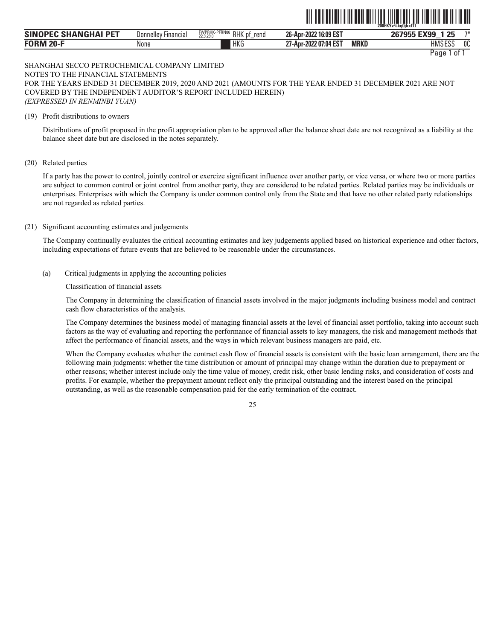|             |                           |                       | 200FKYv%ka0ikxIT   |  |
|-------------|---------------------------|-----------------------|--------------------|--|
| , Einonoiol | FWPRHK-PFRN06 DUK of rond | 26 Apr 2022 16:00 ECT | <b>267055 EVOO</b> |  |

TI I A NICHA DELLA ILIANE MILITARA LILIANE ALL'INDIANA DI LILIANE DI LILIANE DI

| <b>SINOPEC SHANGHAI PET</b> | Donnelley<br><b>Financia</b> | FWPRHK-PFRN06<br>22.3.29.0<br>RHK<br>rend<br>рţ | 26-Apr-2022 16:09 EST |             | <b>EXGQ</b><br>267955<br>っに<br>້<br>_ | $7*$ |
|-----------------------------|------------------------------|-------------------------------------------------|-----------------------|-------------|---------------------------------------|------|
| <b>FORM 20-F</b>            | None                         | <b>LIVC</b><br>nnu                              | 27-Apr-2022 07:04 EST | <b>MRKD</b> | <b>HMSESS</b>                         | 0C   |
|                             |                              |                                                 |                       |             | 0t<br>Page                            |      |

SHANGHAI SECCO PETROCHEMICAL COMPANY LIMITED NOTES TO THE FINANCIAL STATEMENTS FOR THE YEARS ENDED 31 DECEMBER 2019, 2020 AND 2021 (AMOUNTS FOR THE YEAR ENDED 31 DECEMBER 2021 ARE NOT COVERED BY THE INDEPENDENT AUDITOR'S REPORT INCLUDED HEREIN) *(EXPRESSED IN RENMINBI YUAN)*

#### (19) Profit distributions to owners

Distributions of profit proposed in the profit appropriation plan to be approved after the balance sheet date are not recognized as a liability at the balance sheet date but are disclosed in the notes separately.

#### (20) Related parties

If a party has the power to control, jointly control or exercize significant influence over another party, or vice versa, or where two or more parties are subject to common control or joint control from another party, they are considered to be related parties. Related parties may be individuals or enterprises. Enterprises with which the Company is under common control only from the State and that have no other related party relationships are not regarded as related parties.

#### (21) Significant accounting estimates and judgements

The Company continually evaluates the critical accounting estimates and key judgements applied based on historical experience and other factors, including expectations of future events that are believed to be reasonable under the circumstances.

(a) Critical judgments in applying the accounting policies

# Classification of financial assets

The Company in determining the classification of financial assets involved in the major judgments including business model and contract cash flow characteristics of the analysis.

The Company determines the business model of managing financial assets at the level of financial asset portfolio, taking into account such factors as the way of evaluating and reporting the performance of financial assets to key managers, the risk and management methods that affect the performance of financial assets, and the ways in which relevant business managers are paid, etc.

When the Company evaluates whether the contract cash flow of financial assets is consistent with the basic loan arrangement, there are the following main judgments: whether the time distribution or amount of principal may change within the duration due to prepayment or other reasons; whether interest include only the time value of money, credit risk, other basic lending risks, and consideration of costs and profits. For example, whether the prepayment amount reflect only the principal outstanding and the interest based on the principal outstanding, as well as the reasonable compensation paid for the early termination of the contract.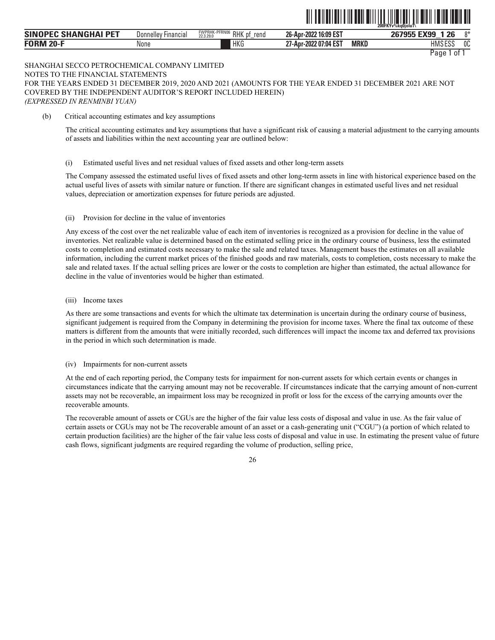|                           |                       | <u> III TOINTITUTTIIN ONNE OITTI JA HUUTTI TUTTI TOINTUU KUULUU KUULUU KUULUU KUULUU KUULUU KUULUU KUULUU KUULUU </u><br>200FKYv%ka0ioluT\ |  |
|---------------------------|-----------------------|--------------------------------------------------------------------------------------------------------------------------------------------|--|
| FWPRHK-PFRN06 RHK nf rond | 26 Apr 2022 16:00 ECT | <b>267055 EV00 1.26</b><br>ο×                                                                                                              |  |

| <b>IPEC SHANGHA'</b><br><b>DET</b><br><b>SIN</b><br>ıΝ | <b>Inancial</b><br>Donnelley | FWPRHK-PFRN06<br>DIII<br>rena<br>D.<br>חחח<br>22.3.29.0<br>$-$ | 16:09 EST<br>26-Apr-<br>פפחפ<br>707.               | <b>OCJOFF</b><br><b>26</b><br>-u<br>$-$        | $0*$ |
|--------------------------------------------------------|------------------------------|----------------------------------------------------------------|----------------------------------------------------|------------------------------------------------|------|
| <b>FORM</b><br>י הר                                    | None                         | HKG                                                            | 207:04 ES1<br>$\sim$<br>$-202^{\circ}$<br>∠/-Apr-∵ | <b>IIMO FOO</b><br><b>MRKD</b><br>טועור<br>∵ت∟ | 0C   |
|                                                        |                              |                                                                |                                                    |                                                |      |

SHANGHAI SECCO PETROCHEMICAL COMPANY LIMITED NOTES TO THE FINANCIAL STATEMENTS FOR THE YEARS ENDED 31 DECEMBER 2019, 2020 AND 2021 (AMOUNTS FOR THE YEAR ENDED 31 DECEMBER 2021 ARE NOT COVERED BY THE INDEPENDENT AUDITOR'S REPORT INCLUDED HEREIN) *(EXPRESSED IN RENMINBI YUAN)*

### (b) Critical accounting estimates and key assumptions

The critical accounting estimates and key assumptions that have a significant risk of causing a material adjustment to the carrying amounts of assets and liabilities within the next accounting year are outlined below:

(i) Estimated useful lives and net residual values of fixed assets and other long-term assets

The Company assessed the estimated useful lives of fixed assets and other long-term assets in line with historical experience based on the actual useful lives of assets with similar nature or function. If there are significant changes in estimated useful lives and net residual values, depreciation or amortization expenses for future periods are adjusted.

### (ii) Provision for decline in the value of inventories

Any excess of the cost over the net realizable value of each item of inventories is recognized as a provision for decline in the value of inventories. Net realizable value is determined based on the estimated selling price in the ordinary course of business, less the estimated costs to completion and estimated costs necessary to make the sale and related taxes. Management bases the estimates on all available information, including the current market prices of the finished goods and raw materials, costs to completion, costs necessary to make the sale and related taxes. If the actual selling prices are lower or the costs to completion are higher than estimated, the actual allowance for decline in the value of inventories would be higher than estimated.

### (iii) Income taxes

As there are some transactions and events for which the ultimate tax determination is uncertain during the ordinary course of business, significant judgement is required from the Company in determining the provision for income taxes. Where the final tax outcome of these matters is different from the amounts that were initially recorded, such differences will impact the income tax and deferred tax provisions in the period in which such determination is made.

#### (iv) Impairments for non-current assets

At the end of each reporting period, the Company tests for impairment for non-current assets for which certain events or changes in circumstances indicate that the carrying amount may not be recoverable. If circumstances indicate that the carrying amount of non-current assets may not be recoverable, an impairment loss may be recognized in profit or loss for the excess of the carrying amounts over the recoverable amounts.

The recoverable amount of assets or CGUs are the higher of the fair value less costs of disposal and value in use. As the fair value of certain assets or CGUs may not be The recoverable amount of an asset or a cash-generating unit ("CGU") (a portion of which related to certain production facilities) are the higher of the fair value less costs of disposal and value in use. In estimating the present value of future cash flows, significant judgments are required regarding the volume of production, selling price,

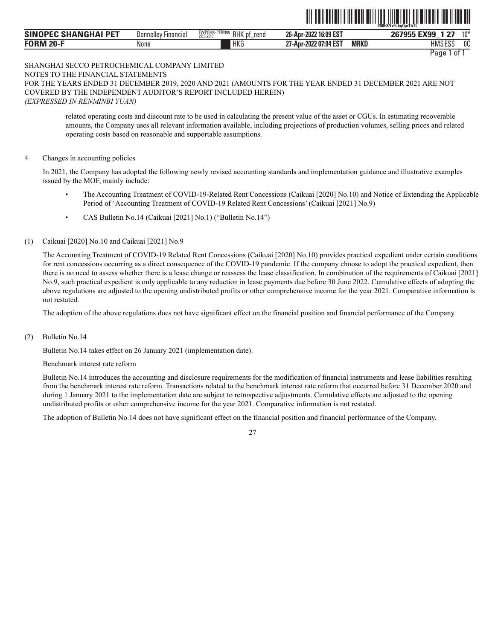|                             |                                      |                                                         |                       |      | ,,,,,,,,,,,,<br>.<br>` 200FKYv%ka0iu1hTL |       |
|-----------------------------|--------------------------------------|---------------------------------------------------------|-----------------------|------|------------------------------------------|-------|
| <b>SINOPEC SHANGHAI PET</b> | <b>Hinancial</b><br><b>Jonnellev</b> | <b>FWPRHK-PFRN06</b><br><b>RHK</b><br>rend<br>22.3.29.0 | 26-Apr-2022 16:09 EST |      | <b>EX99</b><br>$\sim$<br>267955          | $10*$ |
| <b>FORM 20-F</b>            | None                                 | <b>HKG</b>                                              | 27-Apr-2022 07:04 EST | MRKD | HMS ESS                                  | 0C    |

| <b>HMSESS</b> | TH. |
|---------------|-----|
| ne 1          |     |

TIT TUNIULIULI TII UUTI UNITEITTII INTUI TUNIULIULI TII UUTI UUT

SHANGHAI SECCO PETROCHEMICAL COMPANY LIMITED NOTES TO THE FINANCIAL STATEMENTS FOR THE YEARS ENDED 31 DECEMBER 2019, 2020 AND 2021 (AMOUNTS FOR THE YEAR ENDED 31 DECEMBER 2021 ARE NOT COVERED BY THE INDEPENDENT AUDITOR'S REPORT INCLUDED HEREIN) *(EXPRESSED IN RENMINBI YUAN)*

related operating costs and discount rate to be used in calculating the present value of the asset or CGUs. In estimating recoverable amounts, the Company uses all relevant information available, including projections of production volumes, selling prices and related operating costs based on reasonable and supportable assumptions.

# 4 Changes in accounting policies

In 2021, the Company has adopted the following newly revised accounting standards and implementation guidance and illustrative examples issued by the MOF, mainly include:

- The Accounting Treatment of COVID-19-Related Rent Concessions (Caikuai [2020] No.10) and Notice of Extending the Applicable Period of 'Accounting Treatment of COVID-19 Related Rent Concessions' (Caikuai [2021] No.9)
- CAS Bulletin No.14 (Caikuai [2021] No.1) ("Bulletin No.14")

# (1) Caikuai [2020] No.10 and Caikuai [2021] No.9

The Accounting Treatment of COVID-19 Related Rent Concessions (Caikuai [2020] No.10) provides practical expedient under certain conditions for rent concessions occurring as a direct consequence of the COVID-19 pandemic. If the company choose to adopt the practical expedient, then there is no need to assess whether there is a lease change or reassess the lease classification. In combination of the requirements of Caikuai [2021] No.9, such practical expedient is only applicable to any reduction in lease payments due before 30 June 2022. Cumulative effects of adopting the above regulations are adjusted to the opening undistributed profits or other comprehensive income for the year 2021. Comparative information is not restated.

The adoption of the above regulations does not have significant effect on the financial position and financial performance of the Company.

(2) Bulletin No.14

Bulletin No.14 takes effect on 26 January 2021 (implementation date).

### Benchmark interest rate reform

Bulletin No.14 introduces the accounting and disclosure requirements for the modification of financial instruments and lease liabilities resulting from the benchmark interest rate reform. Transactions related to the benchmark interest rate reform that occurred before 31 December 2020 and during 1 January 2021 to the implementation date are subject to retrospective adjustments. Cumulative effects are adjusted to the opening undistributed profits or other comprehensive income for the year 2021. Comparative information is not restated.

The adoption of Bulletin No.14 does not have significant effect on the financial position and financial performance of the Company.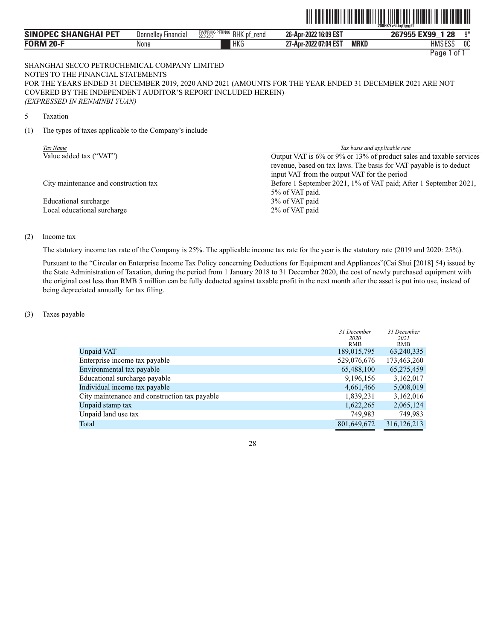|                           |                       | <u> III TOINTITUTTIIN ON ON LIITTYI MUUTTIIN ON L</u><br>200FKYv%ka0ivaf1 |
|---------------------------|-----------------------|---------------------------------------------------------------------------|
| FWPRHK-PFRN06 DUK nf rond | 26 Apr 2022 16:00 ECT | ۵×<br>267055 EVOO                                                         |

| <b>SINOPEC SHANGHAI PET</b> | ' Financial<br><b>Donnellev</b> | FWPRHK-PFRN06<br>RHK<br>rend<br>22.3.29.0<br>IJ<br>$-$ | -2022 16:09 EST<br>ne.<br>26-Apr      |             | <b>EX99</b><br>267955<br>ാ<br>ZO.<br>__ | ሰ* |
|-----------------------------|---------------------------------|--------------------------------------------------------|---------------------------------------|-------------|-----------------------------------------|----|
| <b>FORM 20-F</b>            | None                            | <b>HKG</b>                                             | <b>2022 07:04 EST</b><br>דה<br>27-Apr | <b>MRKD</b> | <b>HMSESS</b>                           | 0C |
|                             |                                 |                                                        |                                       |             | Page<br>- ot                            |    |

SHANGHAI SECCO PETROCHEMICAL COMPANY LIMITED NOTES TO THE FINANCIAL STATEMENTS FOR THE YEARS ENDED 31 DECEMBER 2019, 2020 AND 2021 (AMOUNTS FOR THE YEAR ENDED 31 DECEMBER 2021 ARE NOT COVERED BY THE INDEPENDENT AUDITOR'S REPORT INCLUDED HEREIN) *(EXPRESSED IN RENMINBI YUAN)*

# 5 Taxation

(1) The types of taxes applicable to the Company's include

| Tax Name                              | Tax basis and applicable rate                                       |
|---------------------------------------|---------------------------------------------------------------------|
| Value added tax ("VAT")               | Output VAT is 6% or 9% or 13% of product sales and taxable services |
|                                       | revenue, based on tax laws. The basis for VAT payable is to deduct  |
|                                       | input VAT from the output VAT for the period                        |
| City maintenance and construction tax | Before 1 September 2021, 1% of VAT paid; After 1 September 2021,    |
|                                       | 5% of VAT paid.                                                     |
| Educational surcharge                 | 3% of VAT paid                                                      |
| Local educational surcharge           | 2% of VAT paid                                                      |
|                                       |                                                                     |

#### (2) Income tax

The statutory income tax rate of the Company is 25%. The applicable income tax rate for the year is the statutory rate (2019 and 2020: 25%).

Pursuant to the "Circular on Enterprise Income Tax Policy concerning Deductions for Equipment and Appliances"(Cai Shui [2018] 54) issued by the State Administration of Taxation, during the period from 1 January 2018 to 31 December 2020, the cost of newly purchased equipment with the original cost less than RMB 5 million can be fully deducted against taxable profit in the next month after the asset is put into use, instead of being depreciated annually for tax filing.

# (3) Taxes payable

|                                               | 31 December<br>2020 | 31 December<br>2021 |
|-----------------------------------------------|---------------------|---------------------|
|                                               | <b>RMB</b>          | RMB                 |
| Unpaid VAT                                    | 189,015,795         | 63, 240, 335        |
| Enterprise income tax payable                 | 529,076,676         | 173,463,260         |
| Environmental tax payable                     | 65,488,100          | 65,275,459          |
| Educational surcharge payable                 | 9,196,156           | 3,162,017           |
| Individual income tax payable                 | 4,661,466           | 5,008,019           |
| City maintenance and construction tax payable | 1,839,231           | 3,162,016           |
| Unpaid stamp tax                              | 1,622,265           | 2,065,124           |
| Unpaid land use tax                           | 749,983             | 749,983             |
| Total                                         | 801,649,672         | 316,126,213         |

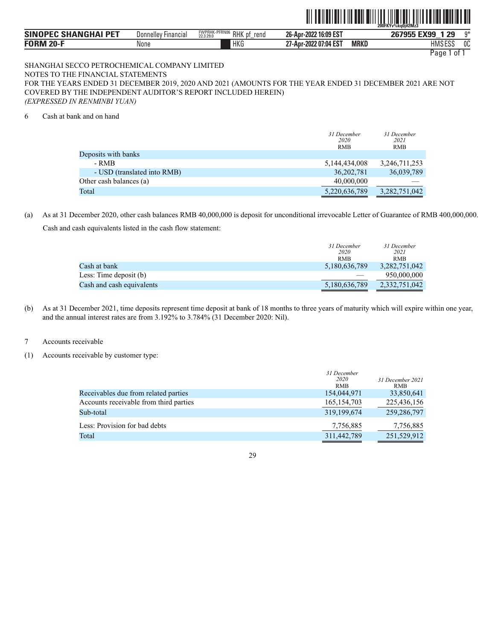

| <b>SINOPEC SHANGHAI PET</b> | <b>Financial</b><br>Donnelle <sup>,</sup> | FWPRHK-PFRN06<br>RHK<br>rena<br>22.3.29.0<br>- | 2022 16:09 EST<br>26-Apr-<br><b>ZUZZ</b>            |             | າດ<br>267955<br><b>FYQQ</b><br>n.<br>__ | ሰ*           |
|-----------------------------|-------------------------------------------|------------------------------------------------|-----------------------------------------------------|-------------|-----------------------------------------|--------------|
| <b>FORM 20-F</b>            | None                                      | <b>HKG</b>                                     | 2022 07:04 EST<br>$\sim$<br>∠/-Apr-∵<br><b>ZUZZ</b> | <b>MRKD</b> | <b>HMSESS</b>                           | $\sim$<br>UU |
|                             |                                           |                                                |                                                     |             |                                         |              |

SHANGHAI SECCO PETROCHEMICAL COMPANY LIMITED NOTES TO THE FINANCIAL STATEMENTS FOR THE YEARS ENDED 31 DECEMBER 2019, 2020 AND 2021 (AMOUNTS FOR THE YEAR ENDED 31 DECEMBER 2021 ARE NOT COVERED BY THE INDEPENDENT AUDITOR'S REPORT INCLUDED HEREIN) *(EXPRESSED IN RENMINBI YUAN)*

## 6 Cash at bank and on hand

|                             | 31 December   | 31 December      |
|-----------------------------|---------------|------------------|
|                             | 2020          | 2021             |
|                             | <b>RMB</b>    | RMB              |
| Deposits with banks         |               |                  |
| - RMB                       | 5,144,434,008 | 3,246,711,253    |
| - USD (translated into RMB) | 36, 202, 781  | 36,039,789       |
| Other cash balances (a)     | 40,000,000    |                  |
| Total                       | 5,220,636,789 | 3, 282, 751, 042 |

(a) As at 31 December 2020, other cash balances RMB 40,000,000 is deposit for unconditional irrevocable Letter of Guarantee of RMB 400,000,000. Cash and cash equivalents listed in the cash flow statement:

|                           | 31 December   | 31 December   |
|---------------------------|---------------|---------------|
|                           | 2020          | 2021          |
|                           | <b>RMB</b>    | <b>RMB</b>    |
| Cash at bank              | 5.180.636.789 | 3,282,751,042 |
| Less: Time deposit (b)    |               | 950,000,000   |
| Cash and cash equivalents | 5,180,636,789 | 2,332,751,042 |

(b) As at 31 December 2021, time deposits represent time deposit at bank of 18 months to three years of maturity which will expire within one year, and the annual interest rates are from 3.192% to 3.784% (31 December 2020: Nil).

# 7 Accounts receivable

(1) Accounts receivable by customer type:

|                                        | 31 December   |                  |
|----------------------------------------|---------------|------------------|
|                                        | 2020          | 31 December 2021 |
|                                        | <b>RMB</b>    | <b>RMB</b>       |
| Receivables due from related parties   | 154,044,971   | 33,850,641       |
| Accounts receivable from third parties | 165, 154, 703 | 225,436,156      |
| Sub-total                              | 319,199,674   | 259,286,797      |
| Less: Provision for bad debts          | 7,756,885     | 7,756,885        |
| Total                                  | 311,442,789   | 251,529,912      |
|                                        |               |                  |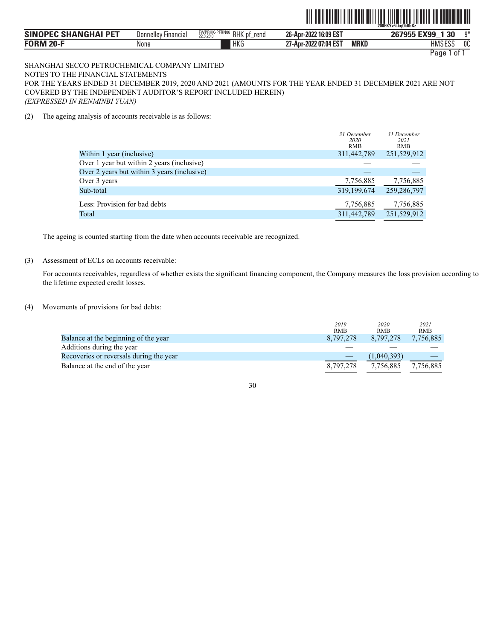

| <b>SINOPEC SHANGHAI PET</b> | <b>Financial</b><br>Donnelle <sup>,</sup> | FWPRHK-PFRN06<br>RHK<br>rena<br>22.3.29.0<br>- | 2022 16:09 EST<br>26-Apr-<br><b>ZUZZ</b>           |             | າດ<br><b>267954</b><br><b>FYQQ</b><br>m<br>JJ.<br>__ | ሰ*           |
|-----------------------------|-------------------------------------------|------------------------------------------------|----------------------------------------------------|-------------|------------------------------------------------------|--------------|
| <b>FORM 20-F</b>            | None                                      | <b>HKG</b>                                     | 2022 07:04 EST<br>$\sim$<br>∠/-Apr-∵<br><b>LUZ</b> | <b>MRKD</b> | <b>HMSESS</b>                                        | $\sim$<br>UU |
|                             |                                           |                                                |                                                    |             |                                                      |              |

SHANGHAI SECCO PETROCHEMICAL COMPANY LIMITED NOTES TO THE FINANCIAL STATEMENTS FOR THE YEARS ENDED 31 DECEMBER 2019, 2020 AND 2021 (AMOUNTS FOR THE YEAR ENDED 31 DECEMBER 2021 ARE NOT COVERED BY THE INDEPENDENT AUDITOR'S REPORT INCLUDED HEREIN) *(EXPRESSED IN RENMINBI YUAN)*

(2) The ageing analysis of accounts receivable is as follows:

|                                             | 31 December<br>2020<br><b>RMB</b> | 31 December<br>2021<br><b>RMB</b> |
|---------------------------------------------|-----------------------------------|-----------------------------------|
| Within 1 year (inclusive)                   | 311,442,789                       | 251,529,912                       |
| Over 1 year but within 2 years (inclusive)  |                                   |                                   |
| Over 2 years but within 3 years (inclusive) |                                   |                                   |
| Over 3 years                                | 7,756,885                         | 7,756,885                         |
| Sub-total                                   | 319,199,674                       | 259,286,797                       |
| Less: Provision for bad debts               | 7,756,885                         | 7,756,885                         |
| Total                                       | 311,442,789                       | 251,529,912                       |

The ageing is counted starting from the date when accounts receivable are recognized.

### (3) Assessment of ECLs on accounts receivable:

For accounts receivables, regardless of whether exists the significant financing component, the Company measures the loss provision according to the lifetime expected credit losses.

(4) Movements of provisions for bad debts:

|                                         | 2019       | 2020        | 2021       |
|-----------------------------------------|------------|-------------|------------|
|                                         | <b>RMB</b> | <b>RMB</b>  | <b>RMB</b> |
| Balance at the beginning of the year    | 8.797.278  | 8.797.278   | 7.756.885  |
| Additions during the year               |            |             |            |
| Recoveries or reversals during the year |            | (1,040,393) |            |
| Balance at the end of the year          | 8.797.278  | 7.756.885   | 7,756,885  |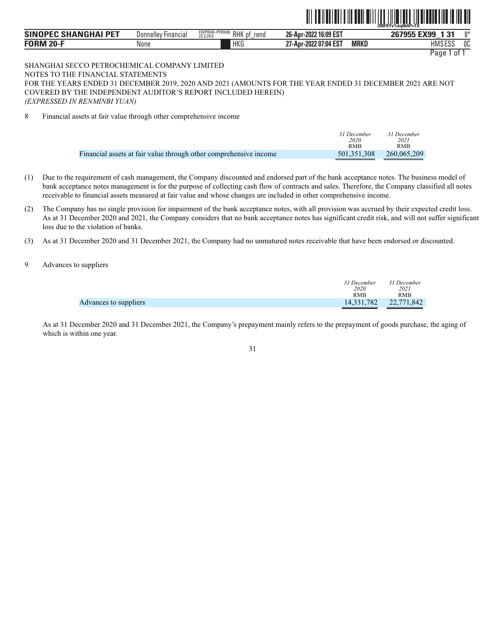

| <b>SINOPEC SHANGHAI PET</b> | ·inancial<br>Donnellev | FWPRHK-PFRN06<br>$\overline{D}$ $\overline{D}$<br>rend<br>nt<br>ĸп<br>22.3.29.0 | 16:09 ES1<br>ne.<br>2022<br>26-Apr-1  |             | -94<br><b>2670EI</b><br>ירי<br>/n/<br>- -<br>_ | 0*           |
|-----------------------------|------------------------|---------------------------------------------------------------------------------|---------------------------------------|-------------|------------------------------------------------|--------------|
| <b>FORM 20-F</b>            | None                   | IUVC<br>nnu                                                                     | -2022 07:04 EST<br>$\sim$<br>∠/-Apr-″ | <b>MRKD</b> | <b>HMSESS</b>                                  | $\sim$<br>υu |
|                             |                        |                                                                                 |                                       |             |                                                |              |

SHANGHAI SECCO PETROCHEMICAL COMPANY LIMITED NOTES TO THE FINANCIAL STATEMENTS FOR THE YEARS ENDED 31 DECEMBER 2019, 2020 AND 2021 (AMOUNTS FOR THE YEAR ENDED 31 DECEMBER 2021 ARE NOT COVERED BY THE INDEPENDENT AUDITOR'S REPORT INCLUDED HEREIN) *(EXPRESSED IN RENMINBI YUAN)*

8 Financial assets at fair value through other comprehensive income

|                                                                   | 31 December<br>2020<br><b>RMB</b> | 31 December<br>2021<br><b>RMB</b> |
|-------------------------------------------------------------------|-----------------------------------|-----------------------------------|
| Financial assets at fair value through other comprehensive income | 501.351.308                       | 260,065,209                       |

- (1) Due to the requirement of cash management, the Company discounted and endorsed part of the bank acceptance notes. The business model of bank acceptance notes management is for the purpose of collecting cash flow of contracts and sales. Therefore, the Company classified all notes receivable to financial assets measured at fair value and whose changes are included in other comprehensive income.
- (2) The Company has no single provision for impairment of the bank acceptance notes, with all provision was accrued by their expected credit loss. As at 31 December 2020 and 2021, the Company considers that no bank acceptance notes has significant credit risk, and will not suffer significant loss due to the violation of banks.
- (3) As at 31 December 2020 and 31 December 2021, the Company had no unmatured notes receivable that have been endorsed or discounted.
- 9 Advances to suppliers

|                       | 31 December<br>2020 | 31 December<br>2021   |
|-----------------------|---------------------|-----------------------|
|                       | <b>RMB</b>          | <b>RMB</b>            |
| Advances to suppliers |                     | 14.331.782 22.771.842 |

As at 31 December 2020 and 31 December 2021, the Company's prepayment mainly refers to the prepayment of goods purchase, the aging of which is within one year.

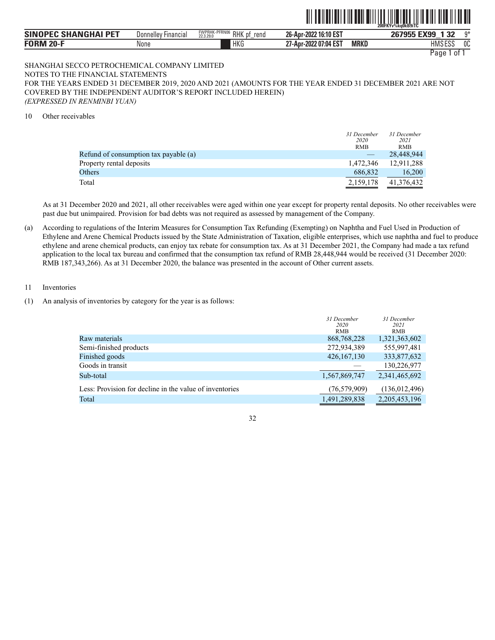

| <b>SINOPEC SHANGHAI PET</b> | Donnellev<br>Financial | FWPRHK-PFRN06<br><b>DIIV</b><br>rend<br>KHN.<br>22.3.29.0 | 216:10 EST<br>26-Apr-2022              |             | -32<br>$\sim$ ryanger<br>∕b /<br>:XY. | n* |
|-----------------------------|------------------------|-----------------------------------------------------------|----------------------------------------|-------------|---------------------------------------|----|
| <b>FORM</b><br>20-F         | None                   | <b>HKG</b>                                                | -2022 07:04 EST<br>$2$ -Apr- $\degree$ | <b>MRKD</b> | <b>HMSESS</b>                         | 0C |
|                             |                        |                                                           |                                        |             |                                       |    |

SHANGHAI SECCO PETROCHEMICAL COMPANY LIMITED NOTES TO THE FINANCIAL STATEMENTS FOR THE YEARS ENDED 31 DECEMBER 2019, 2020 AND 2021 (AMOUNTS FOR THE YEAR ENDED 31 DECEMBER 2021 ARE NOT COVERED BY THE INDEPENDENT AUDITOR'S REPORT INCLUDED HEREIN) *(EXPRESSED IN RENMINBI YUAN)*

## 10 Other receivables

|                                       | 31 December | 31 December |
|---------------------------------------|-------------|-------------|
|                                       | 2020        | 2021        |
|                                       | <b>RMB</b>  | <b>RMB</b>  |
| Refund of consumption tax payable (a) |             | 28,448,944  |
| Property rental deposits              | 1.472.346   | 12.911.288  |
| Others                                | 686,832     | 16,200      |
| Total                                 | 2,159,178   | 41,376,432  |
|                                       |             |             |

As at 31 December 2020 and 2021, all other receivables were aged within one year except for property rental deposits. No other receivables were past due but unimpaired. Provision for bad debts was not required as assessed by management of the Company.

(a) According to regulations of the Interim Measures for Consumption Tax Refunding (Exempting) on Naphtha and Fuel Used in Production of Ethylene and Arene Chemical Products issued by the State Administration of Taxation, eligible enterprises, which use naphtha and fuel to produce ethylene and arene chemical products, can enjoy tax rebate for consumption tax. As at 31 December 2021, the Company had made a tax refund application to the local tax bureau and confirmed that the consumption tax refund of RMB 28,448,944 would be received (31 December 2020: RMB 187,343,266). As at 31 December 2020, the balance was presented in the account of Other current assets.

#### 11 Inventories

(1) An analysis of inventories by category for the year is as follows:

|                                                         | 31 December<br>2020<br><b>RMB</b> | 31 December<br>2021<br><b>RMB</b> |
|---------------------------------------------------------|-----------------------------------|-----------------------------------|
| Raw materials                                           | 868, 768, 228                     | 1,321,363,602                     |
| Semi-finished products                                  | 272,934,389                       | 555,997,481                       |
| Finished goods                                          | 426, 167, 130                     | 333,877,632                       |
| Goods in transit                                        |                                   | 130,226,977                       |
| Sub-total                                               | 1,567,869,747                     | 2,341,465,692                     |
| Less: Provision for decline in the value of inventories | (76, 579, 909)                    | (136, 012, 496)                   |
| Total                                                   | 1,491,289,838                     | 2, 205, 453, 196                  |

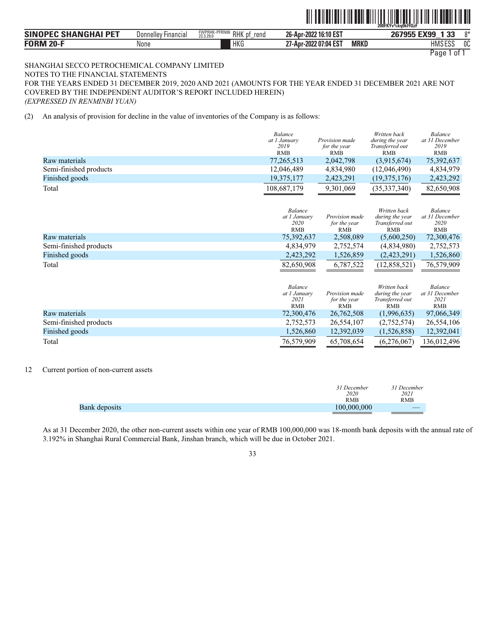|--|--|

| <b>SINOPEC SHANGHAI PET</b> | <b>Financial</b><br>Jonnellev | <b>IK-PFRN06</b><br><b>FWPRHK-</b><br>RHK<br>rend<br>nt<br>22.3.29.0 | 26-Apr-2022 16:10 EST | -3600<br>-00<br>r x ut<br>ZO.<br>ູ<br>. | $0*$ |
|-----------------------------|-------------------------------|----------------------------------------------------------------------|-----------------------|-----------------------------------------|------|
| <b>FORM 20-F</b>            | None                          | <b>HKG</b>                                                           | 27-Apr-2022 07:04 EST | <b>MRKD</b><br><b>HMSESS</b>            | 0C   |

SHANGHAI SECCO PETROCHEMICAL COMPANY LIMITED NOTES TO THE FINANCIAL STATEMENTS FOR THE YEARS ENDED 31 DECEMBER 2019, 2020 AND 2021 (AMOUNTS FOR THE YEAR ENDED 31 DECEMBER 2021 ARE NOT COVERED BY THE INDEPENDENT AUDITOR'S REPORT INCLUDED HEREIN) *(EXPRESSED IN RENMINBI YUAN)*

(2) An analysis of provision for decline in the value of inventories of the Company is as follows:

|                        | <b>Balance</b><br>at 1 January         | Provision made                 | Written back<br>during the year                    | <b>Balance</b><br>at 31 December         |
|------------------------|----------------------------------------|--------------------------------|----------------------------------------------------|------------------------------------------|
|                        | 2019<br><b>RMB</b>                     | for the year<br><b>RMB</b>     | Transferred out<br>RMB                             | 2019<br><b>RMB</b>                       |
| Raw materials          | 77,265,513                             | 2,042,798                      | (3,915,674)                                        | 75,392,637                               |
| Semi-finished products | 12,046,489                             | 4,834,980                      | (12,046,490)                                       | 4,834,979                                |
| Finished goods         | 19,375,177                             | 2,423,291                      | (19, 375, 176)                                     | 2,423,292                                |
| Total                  | 108,687,179                            | 9,301,069                      | (35, 337, 340)                                     | 82,650,908                               |
|                        |                                        |                                |                                                    |                                          |
|                        | <b>Balance</b>                         |                                | Written back                                       | <b>Balance</b>                           |
|                        | at 1 January<br>2020                   | Provision made                 | during the year                                    | at 31 December<br>2020                   |
|                        | <b>RMB</b>                             | for the year<br><b>RMB</b>     | Transferred out<br><b>RMB</b>                      | <b>RMB</b>                               |
| Raw materials          | 75,392,637                             | 2,508,089                      | (5,600,250)                                        | 72,300,476                               |
| Semi-finished products | 4,834,979                              | 2,752,574                      | (4,834,980)                                        | 2,752,573                                |
| Finished goods         | 2,423,292                              | 1,526,859                      | (2,423,291)                                        | 1,526,860                                |
| Total                  | 82,650,908                             | 6,787,522                      | (12, 858, 521)                                     | 76,579,909                               |
|                        |                                        |                                |                                                    |                                          |
|                        | <b>Balance</b><br>at 1 January<br>2021 | Provision made<br>for the year | Written back<br>during the year<br>Transferred out | <b>Balance</b><br>at 31 December<br>2021 |

|                        | ----       | $101$ $110$ $100$ |             | ----        |
|------------------------|------------|-------------------|-------------|-------------|
|                        | <b>RMB</b> | RMB               | <b>RMB</b>  | <b>RMB</b>  |
| Raw materials          | 72,300,476 | 26,762,508        | (1.996.635) | 97,066,349  |
| Semi-finished products | 2,752,573  | 26.554.107        | (2.752.574) | 26.554.106  |
| Finished goods         | 1,526,860  | 12,392,039        | (1.526.858) | 12,392,041  |
| Total                  | 76,579,909 | 65.708.654        | (6.276.067) | 136,012,496 |
|                        |            |                   |             |             |

#### 12 Current portion of non-current assets

|               | 31 December<br>2020<br><b>RMB</b> | 31 December<br>2021<br><b>RMB</b> |
|---------------|-----------------------------------|-----------------------------------|
| Bank deposits | 100,000,000                       | $\overline{\phantom{a}}$          |

As at 31 December 2020, the other non-current assets within one year of RMB 100,000,000 was 18-month bank deposits with the annual rate of 3.192% in Shanghai Rural Commercial Bank, Jinshan branch, which will be due in October 2021.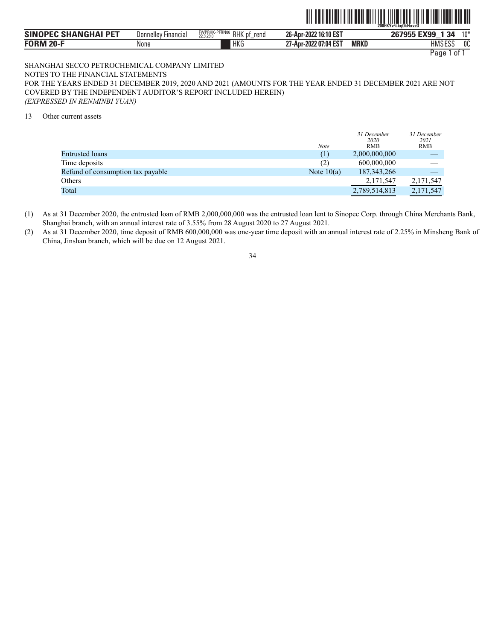

| <b>MRKD</b><br><b>HKG</b><br>-2022 07:04 EST<br>$\sim$<br><b>FORM 20-F</b><br>None<br>∠/-Apr-‴ | <b>SINOPEC SHANGHAI PET</b> | Financial<br>Donnellev | FWPRHM<br>22.3.29.0<br>UZ BEBRIAS<br><b>DIIV</b><br><b>ANUM</b><br>rend<br>'n<br>nnn. | -2022 16:10 EST<br><b>nn</b><br><b>26-Apr-</b> | -34<br><b>267055</b><br><b>EX99</b><br>'n | $10*$ |
|------------------------------------------------------------------------------------------------|-----------------------------|------------------------|---------------------------------------------------------------------------------------|------------------------------------------------|-------------------------------------------|-------|
|                                                                                                |                             |                        |                                                                                       |                                                | <b>HMSESS</b>                             | 0C    |

SHANGHAI SECCO PETROCHEMICAL COMPANY LIMITED NOTES TO THE FINANCIAL STATEMENTS FOR THE YEARS ENDED 31 DECEMBER 2019, 2020 AND 2021 (AMOUNTS FOR THE YEAR ENDED 31 DECEMBER 2021 ARE NOT COVERED BY THE INDEPENDENT AUDITOR'S REPORT INCLUDED HEREIN) *(EXPRESSED IN RENMINBI YUAN)*

## 13 Other current assets

| 31 December |
|-------------|
| 2021        |
| <b>RMB</b>  |
|             |
|             |
|             |
| 2,171,547   |
| 2,171,547   |
|             |

(1) As at 31 December 2020, the entrusted loan of RMB 2,000,000,000 was the entrusted loan lent to Sinopec Corp. through China Merchants Bank, Shanghai branch, with an annual interest rate of 3.55% from 28 August 2020 to 27 August 2021.

(2) As at 31 December 2020, time deposit of RMB 600,000,000 was one-year time deposit with an annual interest rate of 2.25% in Minsheng Bank of China, Jinshan branch, which will be due on 12 August 2021.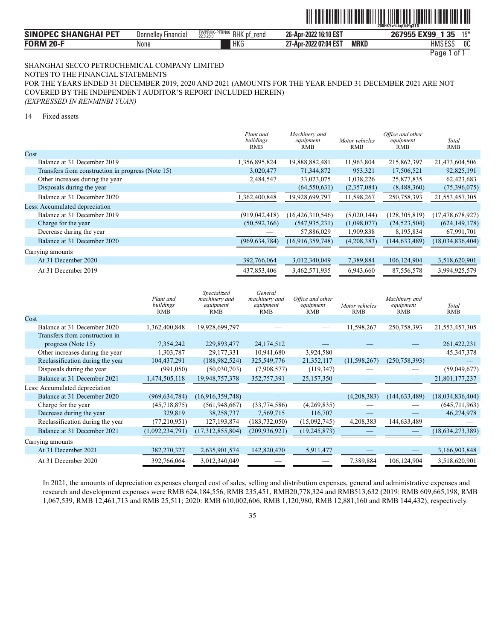| <b>SINOPEC SHANGHAI PET</b> | Financial<br>Donnellev | FWPRI<br>UZ BEBRICO<br><b>DIIV</b><br>d NUM) ،<br>rend<br>'n<br>חחח<br>22.3.29.0 | 2022 16:10 EST<br><b>nn</b><br>26-Apr-"              | $1E^*$<br>-21<br><b>EX99</b><br><b>267055</b><br>'n<br>J.<br>1 J |
|-----------------------------|------------------------|----------------------------------------------------------------------------------|------------------------------------------------------|------------------------------------------------------------------|
| <b>FORM 20-F</b>            | None                   | <b>HKG</b>                                                                       | <b>MRKD</b><br>-2022 07:04 EST<br>$\sim$<br>∠/-Apr-" | <b>HMSESS</b><br>0C                                              |

SHANGHAI SECCO PETROCHEMICAL COMPANY LIMITED NOTES TO THE FINANCIAL STATEMENTS FOR THE YEARS ENDED 31 DECEMBER 2019, 2020 AND 2021 (AMOUNTS FOR THE YEAR ENDED 31 DECEMBER 2021 ARE NOT COVERED BY THE INDEPENDENT AUDITOR'S REPORT INCLUDED HEREIN) *(EXPRESSED IN RENMINBI YUAN)*

14 Fixed assets

|                                                   | Plant and<br>buildings<br><b>RMB</b> | Machinery and<br>equipment<br><b>RMB</b> | Motor vehicles<br><b>RMB</b> | Office and other<br>equipment<br>RMB | Total<br><b>RMB</b> |
|---------------------------------------------------|--------------------------------------|------------------------------------------|------------------------------|--------------------------------------|---------------------|
| Cost                                              |                                      |                                          |                              |                                      |                     |
| Balance at 31 December 2019                       | 1,356,895,824                        | 19,888,882,481                           | 11,963,804                   | 215,862,397                          | 21,473,604,506      |
| Transfers from construction in progress (Note 15) | 3,020,477                            | 71,344,872                               | 953,321                      | 17,506,521                           | 92,825,191          |
| Other increases during the year                   | 2,484,547                            | 33,023,075                               | 1,038,226                    | 25,877,835                           | 62,423,683          |
| Disposals during the year                         |                                      | (64, 550, 631)                           | (2,357,084)                  | (8,488,360)                          | (75,396,075)        |
| Balance at 31 December 2020                       | 1,362,400,848                        | 19,928,699,797                           | 11,598,267                   | 250,758,393                          | 21,553,457,305      |
| Less: Accumulated depreciation                    |                                      |                                          |                              |                                      |                     |
| Balance at 31 December 2019                       | (919, 042, 418)                      | (16, 426, 310, 546)                      | (5,020,144)                  | (128, 305, 819)                      | (17, 478, 678, 927) |
| Charge for the year                               | (50, 592, 366)                       | (547, 935, 231)                          | (1,098,077)                  | (24, 523, 504)                       | (624, 149, 178)     |
| Decrease during the year                          |                                      | 57,886,029                               | 1,909,838                    | 8,195,834                            | 67,991,701          |
| Balance at 31 December 2020                       | (969, 634, 784)                      | (16,916,359,748)                         | (4,208,383)                  | (144, 633, 489)                      | (18,034,836,404)    |
| Carrying amounts                                  |                                      |                                          |                              |                                      |                     |
| At 31 December 2020                               | 392,766,064                          | 3,012,340,049                            | 7,389,884                    | 106,124,904                          | 3,518,620,901       |
| At 31 December 2019                               | 437,853,406                          | 3,462,571,935                            | 6,943,660                    | 87,556,578                           | 3,994,925,579       |

|                                  | Plant and<br>buildings<br><b>RMB</b> | Specialized<br>machinery and<br>equipment<br><b>RMB</b> | General<br>machinery and<br>equipment<br><b>RMB</b> | Office and other<br>equipment<br><b>RMB</b> | Motor vehicles<br><b>RMB</b> | Machinery and<br>equipment<br><b>RMB</b> | Total<br><b>RMB</b> |
|----------------------------------|--------------------------------------|---------------------------------------------------------|-----------------------------------------------------|---------------------------------------------|------------------------------|------------------------------------------|---------------------|
| Cost                             |                                      |                                                         |                                                     |                                             |                              |                                          |                     |
| Balance at 31 December 2020      | 1,362,400,848                        | 19,928,699,797                                          |                                                     |                                             | 11,598,267                   | 250,758,393                              | 21,553,457,305      |
| Transfers from construction in   |                                      |                                                         |                                                     |                                             |                              |                                          |                     |
| progress (Note 15)               | 7,354,242                            | 229,893,477                                             | 24,174,512                                          |                                             |                              |                                          | 261, 422, 231       |
| Other increases during the year  | 1,303,787                            | 29, 177, 331                                            | 10,941,680                                          | 3,924,580                                   |                              |                                          | 45, 347, 378        |
| Reclassification during the year | 104,437,291                          | (188, 982, 524)                                         | 325,549,776                                         | 21,352,117                                  | (11, 598, 267)               | (250, 758, 393)                          |                     |
| Disposals during the year        | (991, 050)                           | (50,030,703)                                            | (7,908,577)                                         | (119, 347)                                  |                              |                                          | (59,049,677)        |
| Balance at 31 December 2021      | 1,474,505,118                        | 19,948,757,378                                          | 352,757,391                                         | 25,157,350                                  |                              |                                          | 21,801,177,237      |
| Less: Accumulated depreciation   |                                      |                                                         |                                                     |                                             |                              |                                          |                     |
| Balance at 31 December 2020      | (969, 634, 784)                      | (16,916,359,748)                                        |                                                     |                                             | (4,208,383)                  | (144, 633, 489)                          | (18,034,836,404)    |
| Charge for the year              | (45,718,875)                         | (561, 948, 667)                                         | (33,774,586)                                        | (4,269,835)                                 |                              |                                          | (645,711,963)       |
| Decrease during the year         | 329,819                              | 38,258,737                                              | 7,569,715                                           | 116,707                                     |                              |                                          | 46,274,978          |
| Reclassification during the year | (77, 210, 951)                       | 127, 193, 874                                           | (183, 732, 050)                                     | (15,092,745)                                | 4,208,383                    | 144,633,489                              |                     |
| Balance at 31 December 2021      | (1,092,234,791)                      | (17,312,855,804)                                        | (209, 936, 921)                                     | (19, 245, 873)                              |                              |                                          | (18, 634, 273, 389) |
| Carrying amounts                 |                                      |                                                         |                                                     |                                             |                              |                                          |                     |
| At 31 December 2021              | 382,270,327                          | 2,635,901,574                                           | 142,820,470                                         | 5,911,477                                   |                              |                                          | 3,166,903,848       |
| At 31 December 2020              | 392,766,064                          | 3,012,340,049                                           |                                                     |                                             | 7,389,884                    | 106,124,904                              | 3,518,620,901       |

In 2021, the amounts of depreciation expenses charged cost of sales, selling and distribution expenses, general and administrative expenses and research and development expenses were RMB 624,184,556, RMB 235,451, RMB20,778,324 and RMB513,632 (2019: RMB 609,665,198, RMB 1,067,539, RMB 12,461,713 and RMB 25,511; 2020: RMB 610,002,606, RMB 1,120,980, RMB 12,881,160 and RMB 144,432), respectively.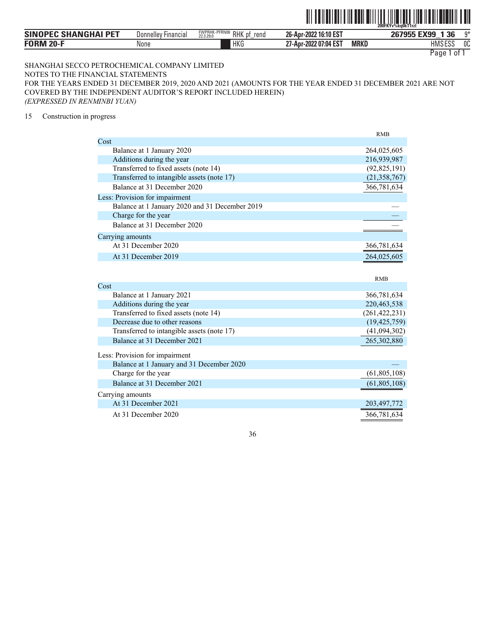|                             |                            |                                        |                       | <u> III TENETETTIIN EEN EIII (TENII) IJO III NEDI EERIN TEN</u><br>200FKYv%ka0kT1rzl |
|-----------------------------|----------------------------|----------------------------------------|-----------------------|--------------------------------------------------------------------------------------|
| <b>SINOPEC SHANGHAI PET</b> | <b>Donnelley Financial</b> | FWPRHK-PFRN06 RHK pf rend<br>22.3.29.0 | 26-Apr-2022 16:10 EST | 267955 EX99 1 36<br>*۵                                                               |

|                  | ----------<br>. <b>.</b> | 22.3.23.0<br>. <b>.</b> .<br>. |                                                     | ----------<br>---<br>__ |    |
|------------------|--------------------------|--------------------------------|-----------------------------------------------------|-------------------------|----|
| <b>FORM 20-F</b> | None                     | <b>HKG</b>                     | <b>MRKD</b><br>/7-Apr-2022 07:04 EST<br>$\sim$<br>" | <b>HMSESS</b>           | 0C |
|                  |                          |                                |                                                     | Page<br>∵o†             |    |

SHANGHAI SECCO PETROCHEMICAL COMPANY LIMITED NOTES TO THE FINANCIAL STATEMENTS FOR THE YEARS ENDED 31 DECEMBER 2019, 2020 AND 2021 (AMOUNTS FOR THE YEAR ENDED 31 DECEMBER 2021 ARE NOT COVERED BY THE INDEPENDENT AUDITOR'S REPORT INCLUDED HEREIN) *(EXPRESSED IN RENMINBI YUAN)*

# 15 Construction in progress

|                                                    | <b>RMB</b>      |
|----------------------------------------------------|-----------------|
| Cost                                               |                 |
| Balance at 1 January 2020                          | 264,025,605     |
| Additions during the year                          | 216,939,987     |
| Transferred to fixed assets (note 14)              | (92, 825, 191)  |
| Transferred to intangible assets (note 17)         | (21, 358, 767)  |
| Balance at 31 December 2020                        | 366,781,634     |
| Less: Provision for impairment                     |                 |
| Balance at 1 January 2020 and 31 December 2019     |                 |
| Charge for the year                                |                 |
| Balance at 31 December 2020                        |                 |
| Carrying amounts                                   |                 |
| At 31 December 2020                                | 366,781,634     |
| At 31 December 2019                                | 264,025,605     |
|                                                    |                 |
|                                                    |                 |
|                                                    | <b>RMB</b>      |
| Cost                                               |                 |
| Balance at 1 January 2021                          | 366,781,634     |
| Additions during the year                          | 220,463,538     |
| Transferred to fixed assets (note 14)              | (261, 422, 231) |
| Decrease due to other reasons                      | (19, 425, 759)  |
| Transferred to intangible assets (note 17)         | (41,094,302)    |
| Balance at 31 December 2021                        | 265,302,880     |
|                                                    |                 |
| Less: Provision for impairment                     |                 |
| Balance at 1 January and 31 December 2020          |                 |
| Charge for the year<br>Balance at 31 December 2021 | (61, 805, 108)  |
|                                                    | (61, 805, 108)  |
| Carrying amounts<br>At 31 December 2021            | 203,497,772     |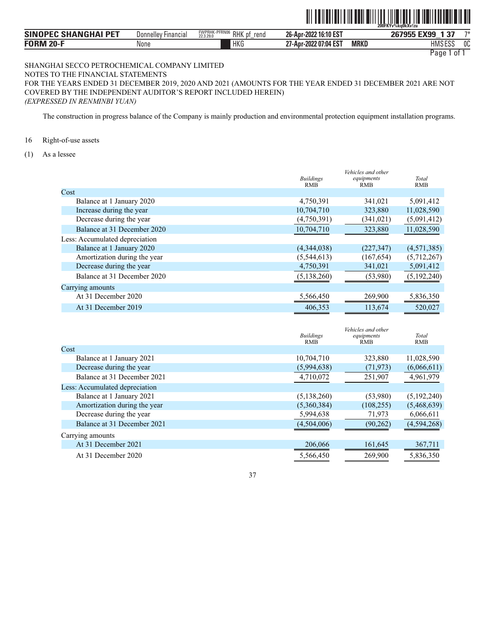|--|--|

| <b>HKG</b><br><b>HMSESS</b><br><b>MRKD</b><br>.7-Apr-2022 07:04 EST<br>$\sim$<br><b>FORM 20-F</b><br>None | <b>SINOPEC SHANGHAI PET</b> | Financial<br>Jonnellev | FWPRHK-PFRN06<br>RHK p<br>rend<br>22,3,29.0 | $.16:10$ $\mathsf{EST}$<br>26-Apr-<br>$-2027$ | - -<br>Zb<br>v.<br>--<br>$\overline{\phantom{a}}$ | 74 |
|-----------------------------------------------------------------------------------------------------------|-----------------------------|------------------------|---------------------------------------------|-----------------------------------------------|---------------------------------------------------|----|
|                                                                                                           |                             |                        |                                             |                                               |                                                   | 0C |

SHANGHAI SECCO PETROCHEMICAL COMPANY LIMITED NOTES TO THE FINANCIAL STATEMENTS FOR THE YEARS ENDED 31 DECEMBER 2019, 2020 AND 2021 (AMOUNTS FOR THE YEAR ENDED 31 DECEMBER 2021 ARE NOT COVERED BY THE INDEPENDENT AUDITOR'S REPORT INCLUDED HEREIN) *(EXPRESSED IN RENMINBI YUAN)*

The construction in progress balance of the Company is mainly production and environmental protection equipment installation programs.

#### 16 Right-of-use assets

(1) As a lessee

|                                | <b>Buildings</b><br>RMB. | Vehicles and other<br>equipments<br><b>RMB</b> | Total<br><b>RMB</b> |
|--------------------------------|--------------------------|------------------------------------------------|---------------------|
| Cost                           |                          |                                                |                     |
| Balance at 1 January 2020      | 4,750,391                | 341,021                                        | 5,091,412           |
| Increase during the year       | 10,704,710               | 323,880                                        | 11,028,590          |
| Decrease during the year       | (4,750,391)              | (341, 021)                                     | (5,091,412)         |
| Balance at 31 December 2020    | 10,704,710               | 323,880                                        | 11,028,590          |
| Less: Accumulated depreciation |                          |                                                |                     |
| Balance at 1 January 2020      | (4,344,038)              | (227, 347)                                     | (4,571,385)         |
| Amortization during the year   | (5,544,613)              | (167, 654)                                     | (5,712,267)         |
| Decrease during the year       | 4,750,391                | 341,021                                        | 5,091,412           |
| Balance at 31 December 2020    | (5, 138, 260)            | (53,980)                                       | (5,192,240)         |
| Carrying amounts               |                          |                                                |                     |
| At 31 December 2020            | 5,566,450                | 269,900                                        | 5,836,350           |
| At 31 December 2019            | 406,353                  | 113,674                                        | 520,027             |

|                                |                         | Vehicles and other       |               |
|--------------------------------|-------------------------|--------------------------|---------------|
|                                | <b>Buildings</b><br>RMB | equipments<br><b>RMB</b> | Total<br>RMB  |
| Cost                           |                         |                          |               |
| Balance at 1 January 2021      | 10,704,710              | 323,880                  | 11,028,590    |
| Decrease during the year       | (5,994,638)             | (71, 973)                | (6,066,611)   |
| Balance at 31 December 2021    | 4,710,072               | 251,907                  | 4,961,979     |
| Less: Accumulated depreciation |                         |                          |               |
| Balance at 1 January 2021      | (5,138,260)             | (53,980)                 | (5,192,240)   |
| Amortization during the year   | (5,360,384)             | (108, 255)               | (5,468,639)   |
| Decrease during the year       | 5,994,638               | 71,973                   | 6,066,611     |
| Balance at 31 December 2021    | (4,504,006)             | (90, 262)                | (4, 594, 268) |
| Carrying amounts               |                         |                          |               |
| At 31 December 2021            | 206,066                 | 161,645                  | 367,711       |
| At 31 December 2020            | 5,566,450               | 269,900                  | 5.836.350     |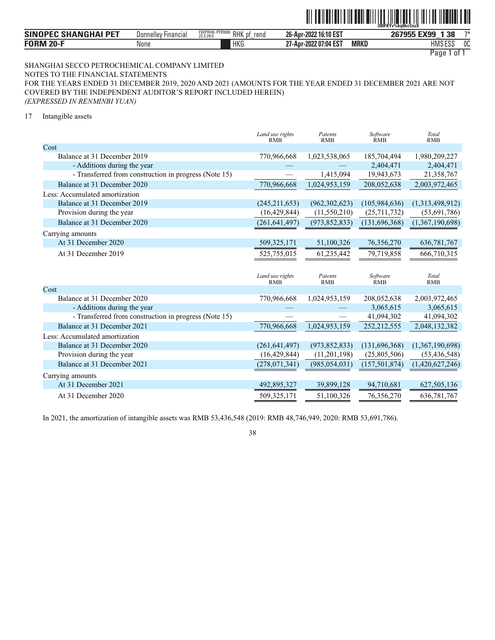|--|--|

| <b>SINOPEC SHANGHAI PET</b> | Financia.<br>Donnelle <sup>,</sup> | K-PFRN06<br><b>FWPRHK-</b><br>RHK<br>rend<br>nt<br>22.3.29.0 | 26-Apr-2022 16:10 EST                | <b>FX99</b><br>267955<br>38<br>__ |    |
|-----------------------------|------------------------------------|--------------------------------------------------------------|--------------------------------------|-----------------------------------|----|
| <b>FORM 20-F</b>            | None                               | IUVC<br>nnu                                                  | <b>MRKD</b><br>27-Apr-2022 07:04 EST | 11880 F00<br>HIVIƏ EƏƏ            | ОC |

SHANGHAI SECCO PETROCHEMICAL COMPANY LIMITED NOTES TO THE FINANCIAL STATEMENTS FOR THE YEARS ENDED 31 DECEMBER 2019, 2020 AND 2021 (AMOUNTS FOR THE YEAR ENDED 31 DECEMBER 2021 ARE NOT COVERED BY THE INDEPENDENT AUDITOR'S REPORT INCLUDED HEREIN) *(EXPRESSED IN RENMINBI YUAN)*

17 Intangible assets

|                                                       | Land use rights<br>RMB | Patents<br><b>RMB</b> | Software<br><b>RMB</b> | Total<br><b>RMB</b> |
|-------------------------------------------------------|------------------------|-----------------------|------------------------|---------------------|
| Cost                                                  |                        |                       |                        |                     |
| Balance at 31 December 2019                           | 770,966,668            | 1,023,538,065         | 185,704,494            | 1,980,209,227       |
| - Additions during the year                           |                        |                       | 2,404,471              | 2,404,471           |
| - Transferred from construction in progress (Note 15) |                        | 1,415,094             | 19,943,673             | 21,358,767          |
| Balance at 31 December 2020                           | 770,966,668            | 1,024,953,159         | 208,052,638            | 2,003,972,465       |
| Less: Accumulated amortization                        |                        |                       |                        |                     |
| Balance at 31 December 2019                           | (245, 211, 653)        | (962, 302, 623)       | (105, 984, 636)        | (1,313,498,912)     |
| Provision during the year                             | (16, 429, 844)         | (11, 550, 210)        | (25,711,732)           | (53,691,786)        |
| Balance at 31 December 2020                           | (261, 641, 497)        | (973, 852, 833)       | (131, 696, 368)        | (1,367,190,698)     |
| Carrying amounts                                      |                        |                       |                        |                     |
| At 31 December 2020                                   | 509, 325, 171          | 51,100,326            | 76,356,270             | 636,781,767         |
| At 31 December 2019                                   | 525,755,015            | 61,235,442            | 79,719,858             | 666,710,315         |
|                                                       |                        |                       |                        |                     |
|                                                       | Land use rights        | Patents               | Software               | Total               |
|                                                       | <b>RMB</b>             | <b>RMB</b>            | RMB                    | <b>RMB</b>          |
| Cost                                                  |                        |                       |                        |                     |
| Balance at 31 December 2020                           | 770,966,668            | 1,024,953,159         | 208,052,638            | 2,003,972,465       |
| - Additions during the year                           |                        |                       | 3,065,615              | 3,065,615           |
| - Transferred from construction in progress (Note 15) |                        |                       | 41,094,302             | 41,094,302          |
| Balance at 31 December 2021                           | 770,966,668            | 1,024,953,159         | 252, 212, 555          | 2,048,132,382       |
| Less: Accumulated amortization                        |                        |                       |                        |                     |
| Balance at 31 December 2020                           | (261, 641, 497)        | (973, 852, 833)       | (131, 696, 368)        | (1,367,190,698)     |
| Provision during the year                             | (16, 429, 844)         | (11,201,198)          | (25,805,506)           | (53, 436, 548)      |
| Balance at 31 December 2021                           | (278, 071, 341)        | (985, 054, 031)       | (157, 501, 874)        | (1,420,627,246)     |
| Carrying amounts                                      |                        |                       |                        |                     |
| At 31 December 2021                                   | 492,895,327            | 39,899,128            | 94,710,681             | 627, 505, 136       |
|                                                       |                        |                       |                        |                     |

In 2021, the amortization of intangible assets was RMB 53,436,548 (2019: RMB 48,746,949, 2020: RMB 53,691,786).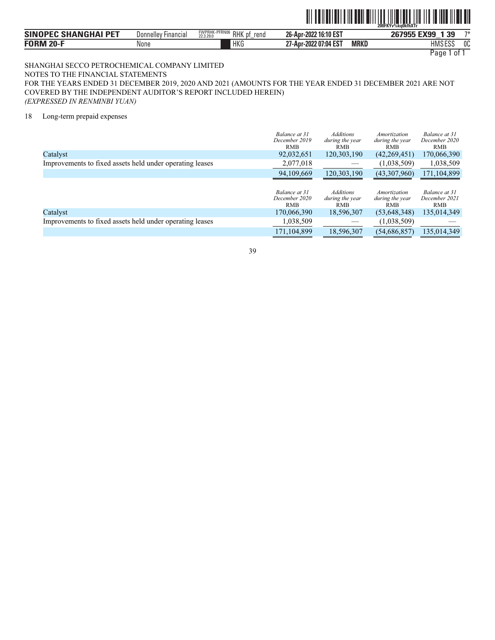

| <b>SINOPEC SHANGHAI PET</b><br>Donnellev | 22.3.29.0  |                                |             | JJ<br>$\overline{\phantom{a}}$ |    |
|------------------------------------------|------------|--------------------------------|-------------|--------------------------------|----|
| <b>FORM 20-F</b><br>None                 | <b>HKG</b> | -2022 07:04 EST<br>דה<br>/-Apr | <b>MRKD</b> | <b>HMSESS</b>                  | 0C |

SHANGHAI SECCO PETROCHEMICAL COMPANY LIMITED NOTES TO THE FINANCIAL STATEMENTS FOR THE YEARS ENDED 31 DECEMBER 2019, 2020 AND 2021 (AMOUNTS FOR THE YEAR ENDED 31 DECEMBER 2021 ARE NOT COVERED BY THE INDEPENDENT AUDITOR'S REPORT INCLUDED HEREIN) *(EXPRESSED IN RENMINBI YUAN)*

# 18 Long-term prepaid expenses

| Balance at 31<br>December 2019<br><b>RMB</b> | <b>Additions</b><br>during the year<br><b>RMB</b> | Amortization<br>during the year<br>RMB | Balance at 31<br>December 2020<br><b>RMB</b> |
|----------------------------------------------|---------------------------------------------------|----------------------------------------|----------------------------------------------|
| 92,032,651                                   | 120,303,190                                       | (42,269,451)                           | 170,066,390                                  |
| 2,077,018                                    |                                                   | (1,038,509)                            | 1,038,509                                    |
| 94,109,669                                   | 120,303,190                                       | (43,307,960)                           | 171,104,899                                  |
|                                              |                                                   |                                        |                                              |
| Balance at 31                                | <b>Additions</b>                                  | Amortization                           | Balance at 31                                |
| <b>RMB</b>                                   | <b>RMB</b>                                        | <b>RMB</b>                             | December 2021<br><b>RMB</b>                  |
| 170,066,390                                  | 18,596,307                                        | (53, 648, 348)                         | 135,014,349                                  |
| 1,038,509                                    |                                                   | (1,038,509)                            |                                              |
| 171,104,899                                  | 18,596,307                                        | (54,686,857)                           | 135,014,349                                  |
|                                              | December 2020                                     | during the year                        | during the year                              |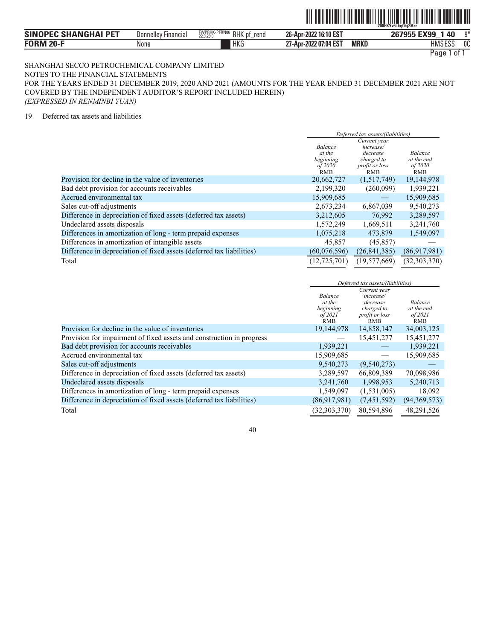|--|

| <b>SINOPEC SHANGHAI PET</b> | `ınancıaı<br>Jonnellev | FWPRHK<br>22.3.29.0<br><b>IK-PFRN06</b><br>RHK<br>rend<br>DŤ | 26-Apr-2022 16:10 EST                | EYQQ<br>40<br>267955<br> | n* |
|-----------------------------|------------------------|--------------------------------------------------------------|--------------------------------------|--------------------------|----|
| <b>FORM 20-F</b>            | None                   | <b>HKG</b>                                                   | <b>MRKD</b><br>27-Apr-2022 07:04 EST | <b>HMSESS</b>            | 0C |

SHANGHAI SECCO PETROCHEMICAL COMPANY LIMITED NOTES TO THE FINANCIAL STATEMENTS FOR THE YEARS ENDED 31 DECEMBER 2019, 2020 AND 2021 (AMOUNTS FOR THE YEAR ENDED 31 DECEMBER 2021 ARE NOT COVERED BY THE INDEPENDENT AUDITOR'S REPORT INCLUDED HEREIN) *(EXPRESSED IN RENMINBI YUAN)*

# 19 Deferred tax assets and liabilities

|                                                                       | Deferred tax assets/(liabilities)                       |                                                                              |                                                       |
|-----------------------------------------------------------------------|---------------------------------------------------------|------------------------------------------------------------------------------|-------------------------------------------------------|
|                                                                       | <b>Balance</b><br>at the<br>beginning<br>of 2020<br>RMB | Current year<br>increase/<br>decrease<br>charged to<br>profit or loss<br>RMB | <b>Balance</b><br>at the end<br>of 2020<br><b>RMB</b> |
| Provision for decline in the value of inventories                     | 20,662,727                                              | (1,517,749)                                                                  | 19,144,978                                            |
| Bad debt provision for accounts receivables                           | 2,199,320                                               | (260,099)                                                                    | 1,939,221                                             |
| Accrued environmental tax                                             | 15,909,685                                              |                                                                              | 15,909,685                                            |
| Sales cut-off adjustments                                             | 2,673,234                                               | 6,867,039                                                                    | 9,540,273                                             |
| Difference in depreciation of fixed assets (deferred tax assets)      | 3,212,605                                               | 76.992                                                                       | 3,289,597                                             |
| Undeclared assets disposals                                           | 1,572,249                                               | 1,669,511                                                                    | 3,241,760                                             |
| Differences in amortization of long - term prepaid expenses           | 1,075,218                                               | 473,879                                                                      | 1,549,097                                             |
| Differences in amortization of intangible assets                      | 45,857                                                  | (45, 857)                                                                    |                                                       |
| Difference in depreciation of fixed assets (deferred tax liabilities) | (60,076,596)                                            | (26, 841, 385)                                                               | (86,917,981)                                          |
| Total                                                                 | (12, 725, 701)                                          | (19, 577, 669)                                                               | (32, 303, 370)                                        |

|                                                                       | Deferred tax assets/(liabilities)                |                                                                       |                                         |
|-----------------------------------------------------------------------|--------------------------------------------------|-----------------------------------------------------------------------|-----------------------------------------|
|                                                                       | <b>Balance</b><br>at the<br>beginning<br>of 2021 | Current year<br>increase/<br>decrease<br>charged to<br>profit or loss | <b>Balance</b><br>at the end<br>of 2021 |
| Provision for decline in the value of inventories                     | <b>RMB</b><br>19,144,978                         | RMB<br>14,858,147                                                     | <b>RMB</b><br>34,003,125                |
| Provision for impairment of fixed assets and construction in progress |                                                  | 15,451,277                                                            | 15,451,277                              |
| Bad debt provision for accounts receivables                           | 1,939,221                                        |                                                                       | 1,939,221                               |
| Accrued environmental tax                                             | 15,909,685                                       |                                                                       | 15,909,685                              |
| Sales cut-off adjustments                                             | 9,540,273                                        | (9,540,273)                                                           |                                         |
| Difference in depreciation of fixed assets (deferred tax assets)      | 3,289,597                                        | 66,809,389                                                            | 70,098,986                              |
| Undeclared assets disposals                                           | 3,241,760                                        | 1,998,953                                                             | 5.240.713                               |
| Differences in amortization of long - term prepaid expenses           | 1,549,097                                        | (1,531,005)                                                           | 18,092                                  |
| Difference in depreciation of fixed assets (deferred tax liabilities) | (86,917,981)                                     | (7,451,592)                                                           | (94,369,573)                            |
| Total                                                                 | (32, 303, 370)                                   | 80,594,896                                                            | 48,291,526                              |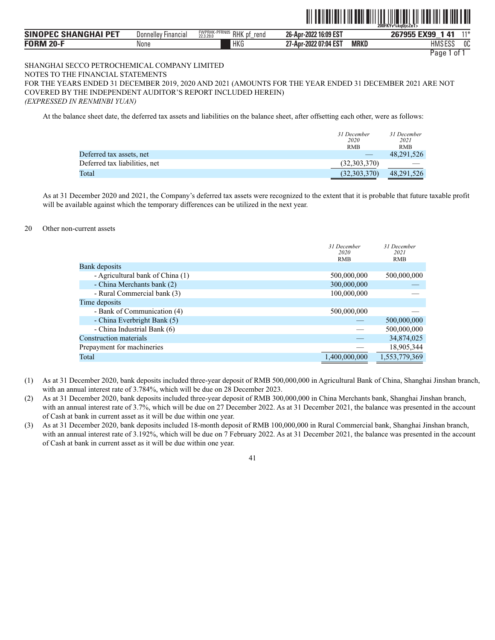|                             |                     |                                           | <u>                         </u> | 200FKYv%ka0ic2eT>  |
|-----------------------------|---------------------|-------------------------------------------|----------------------------------|--------------------|
| <b>SINOPEC SHANGHAI PET</b> | Donnelley Financial | FWPRHK-PFRN05 RHK pi<br>rend<br>22.3.29.0 | 26-Apr-2022 16:09 EST            | 267955 EX99<br>141 |

TIT A NATIONAL A TITULARIA ELITTAR TITULARIA TELEVISION YANG KALENDAR

| <b>OINUFEU OFIANUFIAI FEI</b> | <b>DOILIELEV</b><br><b>Filidii</b> uidi | 22.3.29.0 | nпn<br>-99<br>1611 U | ZU-MUI-ZUZZ<br>. 10.03 E. J |             | ZU7JJJ EAJJ              |    |
|-------------------------------|-----------------------------------------|-----------|----------------------|-----------------------------|-------------|--------------------------|----|
| <b>FORM 20-F</b>              | None                                    |           | <b>HKG</b>           | 27-Apr-2022 07:04 EST       | <b>MRKD</b> | $\mathbf{u}$<br>HIMY F22 | 0C |
|                               |                                         |           |                      |                             |             | Page<br>-01              |    |

SHANGHAI SECCO PETROCHEMICAL COMPANY LIMITED NOTES TO THE FINANCIAL STATEMENTS FOR THE YEARS ENDED 31 DECEMBER 2019, 2020 AND 2021 (AMOUNTS FOR THE YEAR ENDED 31 DECEMBER 2021 ARE NOT COVERED BY THE INDEPENDENT AUDITOR'S REPORT INCLUDED HEREIN) *(EXPRESSED IN RENMINBI YUAN)*

At the balance sheet date, the deferred tax assets and liabilities on the balance sheet, after offsetting each other, were as follows:

|                               | 31 December<br>2020<br>RMB | 31 December<br>2021<br><b>RMB</b> |
|-------------------------------|----------------------------|-----------------------------------|
| Deferred tax assets, net      |                            | 48, 291, 526                      |
| Deferred tax liabilities, net | (32,303,370)               |                                   |
| Total                         | (32,303,370)               | 48, 291, 526                      |

As at 31 December 2020 and 2021, the Company's deferred tax assets were recognized to the extent that it is probable that future taxable profit will be available against which the temporary differences can be utilized in the next year.

#### 20 Other non-current assets

|                                  | 31 December<br>2020<br><b>RMB</b> | 31 December<br>2021<br><b>RMB</b> |
|----------------------------------|-----------------------------------|-----------------------------------|
| Bank deposits                    |                                   |                                   |
| - Agricultural bank of China (1) | 500,000,000                       | 500,000,000                       |
| - China Merchants bank (2)       | 300,000,000                       |                                   |
| - Rural Commercial bank (3)      | 100,000,000                       |                                   |
| Time deposits                    |                                   |                                   |
| - Bank of Communication (4)      | 500,000,000                       |                                   |
| - China Everbright Bank (5)      |                                   | 500,000,000                       |
| - China Industrial Bank (6)      |                                   | 500,000,000                       |
| Construction materials           |                                   | 34,874,025                        |
| Prepayment for machineries       |                                   | 18,905,344                        |
| Total                            | 1.400,000,000                     | 1,553,779,369                     |

- (1) As at 31 December 2020, bank deposits included three-year deposit of RMB 500,000,000 in Agricultural Bank of China, Shanghai Jinshan branch, with an annual interest rate of 3.784%, which will be due on 28 December 2023.
- (2) As at 31 December 2020, bank deposits included three-year deposit of RMB 300,000,000 in China Merchants bank, Shanghai Jinshan branch, with an annual interest rate of 3.7%, which will be due on 27 December 2022. As at 31 December 2021, the balance was presented in the account of Cash at bank in current asset as it will be due within one year.
- (3) As at 31 December 2020, bank deposits included 18-month deposit of RMB 100,000,000 in Rural Commercial bank, Shanghai Jinshan branch, with an annual interest rate of 3.192%, which will be due on 7 February 2022. As at 31 December 2021, the balance was presented in the account of Cash at bank in current asset as it will be due within one year.

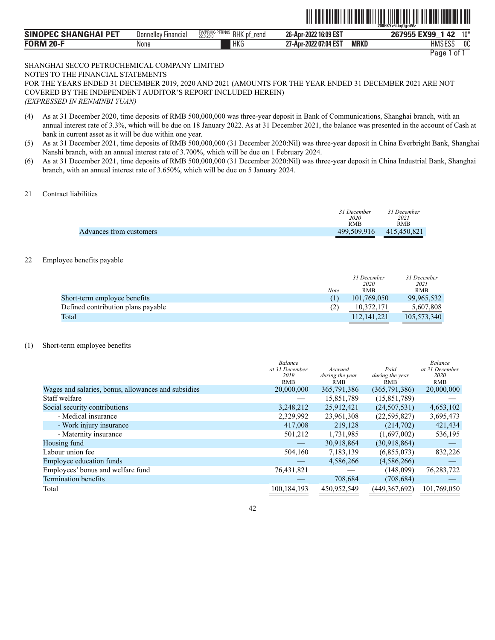|                  |                           |                         | 200FKYv%ka0iioWz        |
|------------------|---------------------------|-------------------------|-------------------------|
| aollov Financial | FWPRHK-PFRN05 RHK nf rond | 26. Apr. 2022 16:00 FCT | <b>267055 EY00 1 12</b> |

ˆ200FKYv%kq0jjoWz‹Š

| <b>SINOPEC SHANGHAI</b><br><b>PET</b> | Donnelley Financial | <b>FWPRHK-PFRN05</b><br><b>RHK</b><br>rend<br>22.3.29.0<br>_ | 26-Apr-2022 16:09 EST |             | <b>267055</b><br>42<br>2b /<br>:כפ | $10^*$ |
|---------------------------------------|---------------------|--------------------------------------------------------------|-----------------------|-------------|------------------------------------|--------|
| <b>FORM 20-F</b>                      | None                | <b>HKG</b>                                                   | 27-Apr-2022 07:04 EST | <b>MRKL</b> | <b>HMSESS</b>                      | 0C     |
|                                       |                     |                                                              |                       |             | 0t<br>Page                         |        |

SHANGHAI SECCO PETROCHEMICAL COMPANY LIMITED NOTES TO THE FINANCIAL STATEMENTS FOR THE YEARS ENDED 31 DECEMBER 2019, 2020 AND 2021 (AMOUNTS FOR THE YEAR ENDED 31 DECEMBER 2021 ARE NOT COVERED BY THE INDEPENDENT AUDITOR'S REPORT INCLUDED HEREIN) *(EXPRESSED IN RENMINBI YUAN)*

- (4) As at 31 December 2020, time deposits of RMB 500,000,000 was three-year deposit in Bank of Communications, Shanghai branch, with an annual interest rate of 3.3%, which will be due on 18 January 2022. As at 31 December 2021, the balance was presented in the account of Cash at bank in current asset as it will be due within one year.
- (5) As at 31 December 2021, time deposits of RMB 500,000,000 (31 December 2020:Nil) was three-year deposit in China Everbright Bank, Shanghai Nanshi branch, with an annual interest rate of 3.700%, which will be due on 1 February 2024.
- (6) As at 31 December 2021, time deposits of RMB 500,000,000 (31 December 2020:Nil) was three-year deposit in China Industrial Bank, Shanghai branch, with an annual interest rate of 3.650%, which will be due on 5 January 2024.

#### 21 Contract liabilities

|                         | 31 December | 31 December |
|-------------------------|-------------|-------------|
|                         | 2020        | 2021        |
|                         | RMB         | <b>RMB</b>  |
| Advances from customers | 499.509.916 | 415.450.821 |
|                         |             |             |

#### 22 Employee benefits payable

|                                    |             | 31 December<br>2020 | 31 December<br>2021 |
|------------------------------------|-------------|---------------------|---------------------|
|                                    | <b>Note</b> | <b>RMB</b>          | <b>RMB</b>          |
| Short-term employee benefits       |             | 101.769.050         | 99,965,532          |
| Defined contribution plans payable | (2)         | 10,372,171          | 5,607,808           |
| Total                              |             | 112.141.221         | 105,573,340         |

#### (1) Short-term employee benefits

|                                                     | <b>Balance</b> |                 |                 | <b>Balance</b> |
|-----------------------------------------------------|----------------|-----------------|-----------------|----------------|
|                                                     | at 31 December | Accrued         | Paid            | at 31 December |
|                                                     | 2019           | during the year | during the year | 2020           |
|                                                     | <b>RMB</b>     | RMB             | <b>RMB</b>      | RMB            |
| Wages and salaries, bonus, allowances and subsidies | 20,000,000     | 365,791,386     | (365,791,386)   | 20,000,000     |
| Staff welfare                                       |                | 15,851,789      | (15,851,789)    |                |
| Social security contributions                       | 3,248,212      | 25,912,421      | (24,507,531)    | 4,653,102      |
| - Medical insurance                                 | 2,329,992      | 23,961,308      | (22, 595, 827)  | 3,695,473      |
| - Work injury insurance                             | 417,008        | 219,128         | (214,702)       | 421,434        |
| - Maternity insurance                               | 501,212        | 1,731,985       | (1,697,002)     | 536,195        |
| Housing fund                                        |                | 30,918,864      | (30,918,864)    |                |
| Labour union fee                                    | 504,160        | 7,183,139       | (6,855,073)     | 832,226        |
| Employee education funds                            |                | 4,586,266       | (4,586,266)     |                |
| Employees' bonus and welfare fund                   | 76,431,821     |                 | (148,099)       | 76, 283, 722   |
| Termination benefits                                |                | 708,684         | (708, 684)      |                |
| Total                                               | 100,184,193    | 450,952,549     | (449, 367, 692) | 101,769,050    |
|                                                     |                |                 |                 |                |

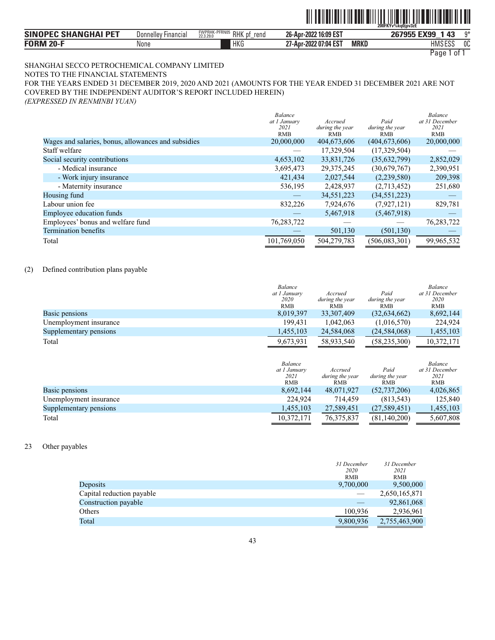| <b>SINOPEC SHANGHAI PET</b> | Jonnellev<br>Financial | FWPRHK-PFRN05<br>RHK<br>rend<br>22.3.29.0 | 16:09 EST<br>26-Apr-<br>-2022            | 267<br>43                    | ∩* |
|-----------------------------|------------------------|-------------------------------------------|------------------------------------------|------------------------------|----|
| <b>FORM 20-F</b>            | None                   | HKG                                       | 207:04 EST<br>$\sim$<br>$-2027$<br>/-Anr | <b>HMSESS</b><br><b>MRKD</b> | OC |

SHANGHAI SECCO PETROCHEMICAL COMPANY LIMITED NOTES TO THE FINANCIAL STATEMENTS

FOR THE YEARS ENDED 31 DECEMBER 2019, 2020 AND 2021 (AMOUNTS FOR THE YEAR ENDED 31 DECEMBER 2021 ARE NOT COVERED BY THE INDEPENDENT AUDITOR'S REPORT INCLUDED HEREIN)

*(EXPRESSED IN RENMINBI YUAN)*

|                                                     | <b>Balance</b><br>at 1 January<br>2021<br><b>RMB</b> | Accrued<br>during the year<br><b>RMB</b> | Paid<br>during the year<br>RMB | <b>Balance</b><br>at 31 December<br>2021<br><b>RMB</b> |
|-----------------------------------------------------|------------------------------------------------------|------------------------------------------|--------------------------------|--------------------------------------------------------|
| Wages and salaries, bonus, allowances and subsidies | 20,000,000                                           | 404,673,606                              | (404, 673, 606)                | 20,000,000                                             |
| Staff welfare                                       |                                                      | 17,329,504                               | (17,329,504)                   |                                                        |
| Social security contributions                       | 4,653,102                                            | 33,831,726                               | (35,632,799)                   | 2,852,029                                              |
| - Medical insurance                                 | 3,695,473                                            | 29, 375, 245                             | (30,679,767)                   | 2,390,951                                              |
| - Work injury insurance                             | 421,434                                              | 2,027,544                                | (2,239,580)                    | 209,398                                                |
| - Maternity insurance                               | 536,195                                              | 2,428,937                                | (2,713,452)                    | 251,680                                                |
| Housing fund                                        |                                                      | 34,551,223                               | (34, 551, 223)                 |                                                        |
| Labour union fee                                    | 832.226                                              | 7,924,676                                | (7,927,121)                    | 829,781                                                |
| <b>Employee education funds</b>                     |                                                      | 5,467,918                                | (5,467,918)                    |                                                        |
| Employees' bonus and welfare fund                   | 76,283,722                                           |                                          |                                | 76,283,722                                             |
| Termination benefits                                |                                                      | 501,130                                  | (501, 130)                     |                                                        |
| Total                                               | 101,769,050                                          | 504,279,783                              | (506, 083, 301)                | 99,965,532                                             |

# (2) Defined contribution plans payable

| <b>Balance</b> |                 |                 | <b>Balance</b> |
|----------------|-----------------|-----------------|----------------|
| at 1 January   | Accrued         | Paid            | at 31 December |
| 2020           | during the year | during the year | 2020           |
| <b>RMB</b>     | RMB             | RMB             | <b>RMB</b>     |
| 8,019,397      | 33, 307, 409    | (32,634,662)    | 8,692,144      |
| 199.431        | 1.042.063       | (1,016,570)     | 224,924        |
| 1,455,103      | 24,584,068      | (24, 584, 068)  | 1,455,103      |
| 9,673,931      | 58,933,540      | (58, 235, 300)  | 10,372,171     |
|                |                 |                 |                |

|                        | <b>Balance</b><br>at 1 January<br>2021<br><b>RMB</b> | Accrued<br>during the year<br>RMB | Paid<br>during the year<br>RMB | <b>Balance</b><br>at 31 December<br>2021<br><b>RMB</b> |
|------------------------|------------------------------------------------------|-----------------------------------|--------------------------------|--------------------------------------------------------|
| Basic pensions         | 8,692,144                                            | 48,071,927                        | (52, 737, 206)                 | 4,026,865                                              |
| Unemployment insurance | 224,924                                              | 714.459                           | (813, 543)                     | 125,840                                                |
| Supplementary pensions | 1.455.103                                            | 27,589,451                        | (27, 589, 451)                 | 1,455,103                                              |
| Total                  | 10,372,171                                           | 76.375.837                        | (81,140,200)                   | 5,607,808                                              |

# 23 Other payables

|                           | 31 December<br>2020<br><b>RMB</b> | 31 December<br>2021<br><b>RMB</b> |
|---------------------------|-----------------------------------|-----------------------------------|
| Deposits                  | 9,700,000                         | 9,500,000                         |
| Capital reduction payable |                                   | 2,650,165,871                     |
| Construction payable      |                                   | 92,861,068                        |
| Others                    | 100.936                           | 2,936,961                         |
| Total                     | 9,800,936                         | 2,755,463,900                     |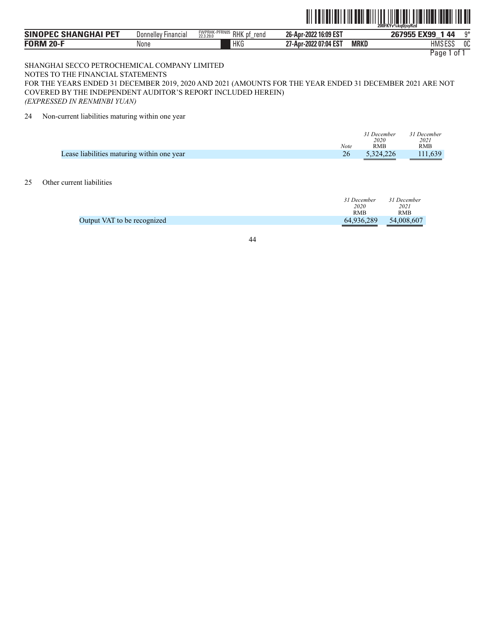

| <b>HKG</b><br><b>HMSESS</b><br><b>MRKD</b><br>.7-Apr-2022 07:04 EST<br>$\sim$<br><b>FORM 20-F</b><br>None | <b>SINOPEC SHANGHAI PET</b> | Financial<br>Jonnellev | FWPRHK-PFRN05<br>RHK p<br>rend<br>22,3,29.0 | 16:09 EST<br>26-Apr-<br>$-2022$ | ΔД<br>Zb.<br>$\overline{\phantom{a}}$ | ∩* |
|-----------------------------------------------------------------------------------------------------------|-----------------------------|------------------------|---------------------------------------------|---------------------------------|---------------------------------------|----|
|                                                                                                           |                             |                        |                                             |                                 |                                       | 0C |

SHANGHAI SECCO PETROCHEMICAL COMPANY LIMITED NOTES TO THE FINANCIAL STATEMENTS FOR THE YEARS ENDED 31 DECEMBER 2019, 2020 AND 2021 (AMOUNTS FOR THE YEAR ENDED 31 DECEMBER 2021 ARE NOT COVERED BY THE INDEPENDENT AUDITOR'S REPORT INCLUDED HEREIN) *(EXPRESSED IN RENMINBI YUAN)*

# 24 Non-current liabilities maturing within one year

|                                            |      | 31 December | 31 December |
|--------------------------------------------|------|-------------|-------------|
|                                            |      | 2020        | 2021        |
|                                            | Note | <b>RMB</b>  | <b>RMB</b>  |
| Lease liabilities maturing within one year |      | 5.324.226   | 111.639     |

# 25 Other current liabilities

|                             | 31 December<br>2020 | 31 December<br>2021 |
|-----------------------------|---------------------|---------------------|
|                             | <b>RMB</b>          | <b>RMB</b>          |
| Output VAT to be recognized | 64.936.289          | 54,008,607          |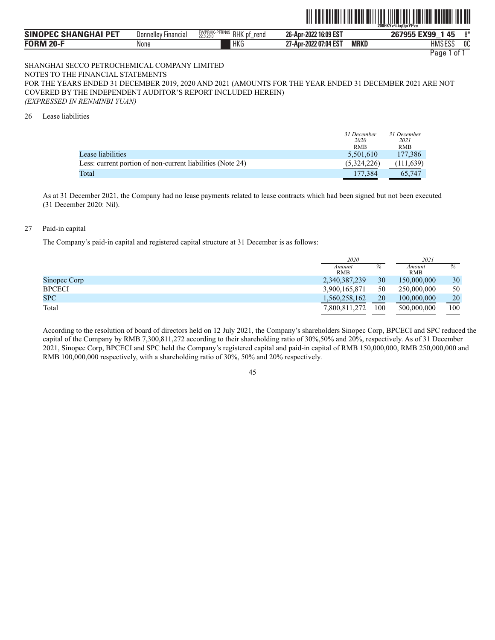|--|

| <b>SINOPFC SHANGHAI PFT</b> | <b>Financial</b><br>Jonnelle <sup>,</sup> | FWPRHK-PFRN05<br>RHK<br>rend<br>22.3.29.0 | 16:09 EST<br>26-Apr-<br>$-2022$ |             | $\mathbf{A}$<br>ZЬ.<br>TV<br>$\overline{\phantom{a}}$ | $0*$ |
|-----------------------------|-------------------------------------------|-------------------------------------------|---------------------------------|-------------|-------------------------------------------------------|------|
| <b>FORM</b><br>. 20-F       | None                                      | <b>HKG</b>                                | .7-Apr-2022 07:04 EST<br>nп     | <b>MRKD</b> | <b>HMSESS</b>                                         | 0C   |
|                             |                                           |                                           |                                 |             |                                                       |      |

SHANGHAI SECCO PETROCHEMICAL COMPANY LIMITED NOTES TO THE FINANCIAL STATEMENTS FOR THE YEARS ENDED 31 DECEMBER 2019, 2020 AND 2021 (AMOUNTS FOR THE YEAR ENDED 31 DECEMBER 2021 ARE NOT COVERED BY THE INDEPENDENT AUDITOR'S REPORT INCLUDED HEREIN) *(EXPRESSED IN RENMINBI YUAN)*

# 26 Lease liabilities

|                                                            | 31 December | 31 December |
|------------------------------------------------------------|-------------|-------------|
|                                                            | 2020        | 2021        |
|                                                            | <b>RMB</b>  | <b>RMB</b>  |
| Lease liabilities                                          | 5,501,610   | 177,386     |
| Less: current portion of non-current liabilities (Note 24) | (5,324,226) | (111.639)   |
| Total                                                      | 177.384     | 65.747      |

As at 31 December 2021, the Company had no lease payments related to lease contracts which had been signed but not been executed (31 December 2020: Nil).

#### 27 Paid-in capital

The Company's paid-in capital and registered capital structure at 31 December is as follows:

|               | 2020                 |      |                      |     |
|---------------|----------------------|------|----------------------|-----|
|               | Amount<br><b>RMB</b> | $\%$ | Amount<br><b>RMB</b> | %   |
| Sinopec Corp  | 2,340,387,239        | 30   | 150,000,000          | 30  |
| <b>BPCECI</b> | 3.900.165.871        | 50   | 250,000,000          | 50  |
| <b>SPC</b>    | 1,560,258,162        | 20   | 100,000,000          | 20  |
| Total         | 7,800,811,272        | 100  | 500,000,000          | 100 |

According to the resolution of board of directors held on 12 July 2021, the Company's shareholders Sinopec Corp, BPCECI and SPC reduced the capital of the Company by RMB 7,300,811,272 according to their shareholding ratio of 30%,50% and 20%, respectively. As of 31 December 2021, Sinopec Corp, BPCECI and SPC held the Company's registered capital and paid-in capital of RMB 150,000,000, RMB 250,000,000 and RMB 100,000,000 respectively, with a shareholding ratio of 30%, 50% and 20% respectively.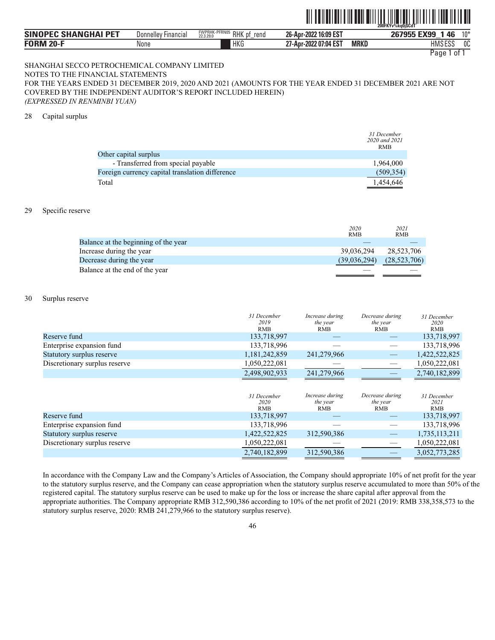|--|

| $\sim$<br><b>FORM 20-F</b> | FWPRHK-PFRN05<br>16:09 EST<br>RHK p<br>$10*$<br>26-Apr-<br>$-2022$<br>267<br>46<br>rend<br>22,3,29.0<br>$\overline{\phantom{a}}$ |  | Financial<br>Jonnellev | <b>SINOPEC SHANGHAI PET</b> |
|----------------------------|----------------------------------------------------------------------------------------------------------------------------------|--|------------------------|-----------------------------|
|                            | <b>HKG</b><br><b>HMSESS</b><br><b>MRKD</b><br>0C<br>.7-Apr-2022 07:04 EST                                                        |  | None                   |                             |

SHANGHAI SECCO PETROCHEMICAL COMPANY LIMITED NOTES TO THE FINANCIAL STATEMENTS FOR THE YEARS ENDED 31 DECEMBER 2019, 2020 AND 2021 (AMOUNTS FOR THE YEAR ENDED 31 DECEMBER 2021 ARE NOT COVERED BY THE INDEPENDENT AUDITOR'S REPORT INCLUDED HEREIN) *(EXPRESSED IN RENMINBI YUAN)*

## 28 Capital surplus

|                                                 | 31 December<br>2020 and 2021<br><b>RMB</b> |
|-------------------------------------------------|--------------------------------------------|
| Other capital surplus                           |                                            |
| - Transferred from special payable              | 1,964,000                                  |
| Foreign currency capital translation difference | (509, 354)                                 |
| Total                                           | 1,454,646                                  |

#### 29 Specific reserve

|                                      | 2020<br><b>RMB</b> | 2021<br><b>RMB</b> |
|--------------------------------------|--------------------|--------------------|
| Balance at the beginning of the year |                    |                    |
| Increase during the year             | 39,036,294         | 28,523,706         |
| Decrease during the year             | (39,036,294)       | (28, 523, 706)     |
| Balance at the end of the year       |                    |                    |

#### 30 Surplus reserve

|                               | 31 December<br>2019<br><b>RMB</b> | Increase during<br>the year<br>RMB | Decrease during<br>the year<br>RMB | 31 December<br>2020<br><b>RMB</b> |
|-------------------------------|-----------------------------------|------------------------------------|------------------------------------|-----------------------------------|
| Reserve fund                  | 133,718,997                       |                                    |                                    | 133,718,997                       |
| Enterprise expansion fund     | 133,718,996                       |                                    |                                    | 133,718,996                       |
| Statutory surplus reserve     | 1,181,242,859                     | 241,279,966                        |                                    | 1,422,522,825                     |
| Discretionary surplus reserve | 1,050,222,081                     |                                    |                                    | 1,050,222,081                     |
|                               | 2,498,902,933                     | 241,279,966                        |                                    | 2,740,182,899                     |
|                               |                                   |                                    |                                    |                                   |
|                               |                                   |                                    |                                    |                                   |
|                               | 31 December<br>2020<br><b>RMB</b> | Increase during<br>the year<br>RMB | Decrease during<br>the year<br>RMB | 31 December<br>2021<br><b>RMB</b> |
| Reserve fund                  | 133,718,997                       |                                    |                                    | 133,718,997                       |
| Enterprise expansion fund     | 133,718,996                       |                                    |                                    | 133,718,996                       |
| Statutory surplus reserve     | 1,422,522,825                     | 312,590,386                        |                                    | 1,735,113,211                     |
| Discretionary surplus reserve | 1,050,222,081                     |                                    |                                    | 1,050,222,081                     |

In accordance with the Company Law and the Company's Articles of Association, the Company should appropriate 10% of net profit for the year to the statutory surplus reserve, and the Company can cease appropriation when the statutory surplus reserve accumulated to more than 50% of the registered capital. The statutory surplus reserve can be used to make up for the loss or increase the share capital after approval from the appropriate authorities. The Company appropriate RMB 312,590,386 according to 10% of the net profit of 2021 (2019: RMB 338,358,573 to the statutory surplus reserve, 2020: RMB 241,279,966 to the statutory surplus reserve).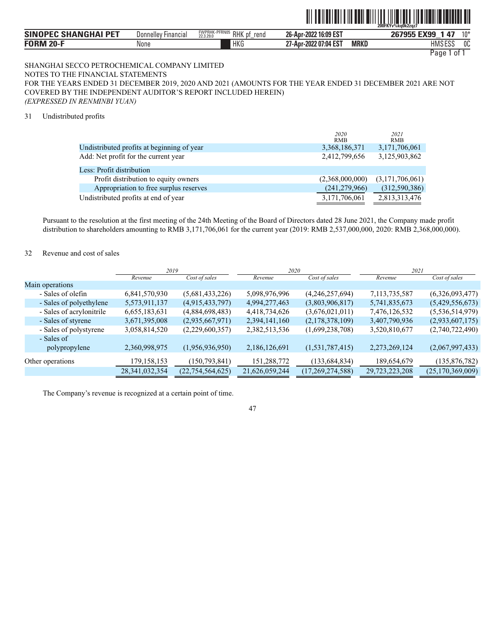|--|

| <b>SINOPEC SHANGHAI PET</b> | Financial<br>Donnellev | FWPRHM<br>22.3.29.0<br>rena<br>nnn. | 2022 16:09 EST<br>26-Apr-"                           | $10*$<br><b>EX99</b><br>47<br>'n |
|-----------------------------|------------------------|-------------------------------------|------------------------------------------------------|----------------------------------|
| <b>FORM 20-F</b>            | None                   | <b>HKG</b>                          | <b>MRKD</b><br>-2022 07:04 EST<br>$\sim$<br>∠/-Apr-‴ | <b>HMSESS</b><br>0C              |

SHANGHAI SECCO PETROCHEMICAL COMPANY LIMITED NOTES TO THE FINANCIAL STATEMENTS FOR THE YEARS ENDED 31 DECEMBER 2019, 2020 AND 2021 (AMOUNTS FOR THE YEAR ENDED 31 DECEMBER 2021 ARE NOT COVERED BY THE INDEPENDENT AUDITOR'S REPORT INCLUDED HEREIN) *(EXPRESSED IN RENMINBI YUAN)*

## 31 Undistributed profits

|                                            | 2020<br><b>RMB</b> | 2021<br><b>RMB</b> |
|--------------------------------------------|--------------------|--------------------|
| Undistributed profits at beginning of year | 3,368,186,371      | 3,171,706,061      |
| Add: Net profit for the current year       | 2,412,799,656      | 3,125,903,862      |
| Less: Profit distribution                  |                    |                    |
| Profit distribution to equity owners       | (2,368,000,000)    | (3,171,706,061)    |
| Appropriation to free surplus reserves     | (241, 279, 966)    | (312,590,386)      |
| Undistributed profits at end of year       | 3,171,706,061      | 2,813,313,476      |

Pursuant to the resolution at the first meeting of the 24th Meeting of the Board of Directors dated 28 June 2021, the Company made profit distribution to shareholders amounting to RMB 3,171,706,061 for the current year (2019: RMB 2,537,000,000, 2020: RMB 2,368,000,000).

# 32 Revenue and cost of sales

|                          | 2019              |                     | 2020           |                     | 2021             |                  |
|--------------------------|-------------------|---------------------|----------------|---------------------|------------------|------------------|
|                          | Revenue           | Cost of sales       | Revenue        | Cost of sales       | Revenue          | Cost of sales    |
| Main operations          |                   |                     |                |                     |                  |                  |
| - Sales of olefin        | 6,841,570,930     | (5,681,433,226)     | 5,098,976,996  | (4,246,257,694)     | 7, 113, 735, 587 | (6,326,093,477)  |
| - Sales of polyethylene  | 5,573,911,137     | (4,915,433,797)     | 4,994,277,463  | (3,803,906,817)     | 5,741,835,673    | (5,429,556,673)  |
| - Sales of acrylonitrile | 6,655,183,631     | (4,884,698,483)     | 4,418,734,626  | (3,676,021,011)     | 7,476,126,532    | (5,536,514,979)  |
| - Sales of styrene       | 3,671,395,008     | (2,935,667,971)     | 2,394,141,160  | (2,178,378,109)     | 3,407,790,936    | (2,933,607,175)  |
| - Sales of polystyrene   | 3,058,814,520     | (2,229,600,357)     | 2,382,513,536  | (1,699,238,708)     | 3,520,810,677    | (2,740,722,490)  |
| - Sales of               |                   |                     |                |                     |                  |                  |
| polypropylene            | 2,360,998,975     | (1,956,936,950)     | 2,186,126,691  | (1,531,787,415)     | 2,273,269,124    | (2,067,997,433)  |
| Other operations         | 179,158,153       | (150, 793, 841)     | 151,288,772    | (133, 684, 834)     | 189,654,679      | (135, 876, 782)  |
|                          | 28, 341, 032, 354 | (22, 754, 564, 625) | 21,626,059,244 | (17, 269, 274, 588) | 29,723,223,208   | (25,170,369,009) |

The Company's revenue is recognized at a certain point of time.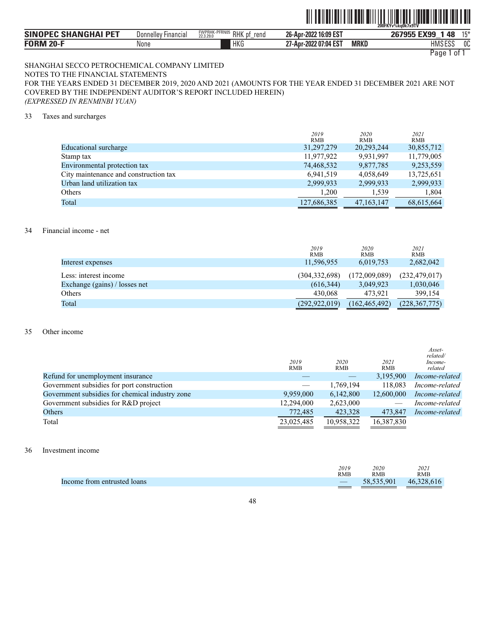|--|--|--|

| <b>HKG</b><br><b>HMSESS</b><br><b>MRKD</b><br>.7-Apr-2022 07:04 EST<br>$\sim$<br><b>FORM 20-F</b><br>None | <b>SINOPEC SHANGHAI PET</b> | Financial<br>Jonnellev | FWPRHK-PFRN05<br>RHK p<br>rend<br>22,3,29.0 | 16:09 EST<br>26-Apr-<br>$-2022$ | 267<br>48<br>$\overline{\phantom{a}}$ | $15*$ |
|-----------------------------------------------------------------------------------------------------------|-----------------------------|------------------------|---------------------------------------------|---------------------------------|---------------------------------------|-------|
|                                                                                                           |                             |                        |                                             |                                 |                                       | 0C    |

SHANGHAI SECCO PETROCHEMICAL COMPANY LIMITED NOTES TO THE FINANCIAL STATEMENTS FOR THE YEARS ENDED 31 DECEMBER 2019, 2020 AND 2021 (AMOUNTS FOR THE YEAR ENDED 31 DECEMBER 2021 ARE NOT COVERED BY THE INDEPENDENT AUDITOR'S REPORT INCLUDED HEREIN) *(EXPRESSED IN RENMINBI YUAN)*

# 33 Taxes and surcharges

|                                       | 2019<br>RMB | 2020<br><b>RMB</b> | 2021<br><b>RMB</b> |
|---------------------------------------|-------------|--------------------|--------------------|
| Educational surcharge                 | 31,297,279  | 20,293,244         | 30,855,712         |
| Stamp tax                             | 11,977,922  | 9,931,997          | 11,779,005         |
| Environmental protection tax          | 74,468,532  | 9,877,785          | 9,253,559          |
| City maintenance and construction tax | 6,941,519   | 4,058,649          | 13,725,651         |
| Urban land utilization tax            | 2,999,933   | 2,999,933          | 2,999,933          |
| Others                                | 1,200       | 1,539              | 1,804              |
| Total                                 | 127,686,385 | 47, 163, 147       | 68,615,664         |

## 34 Financial income - net

|                               | 2019<br><b>RMB</b> | 2020<br><b>RMB</b> | 2021<br><b>RMB</b> |
|-------------------------------|--------------------|--------------------|--------------------|
| Interest expenses             | 11,596,955         | 6,019,753          | 2,682,042          |
| Less: interest income         | (304, 332, 698)    | (172,009,089)      | (232, 479, 017)    |
| Exchange (gains) / losses net | (616, 344)         | 3,049,923          | 1,030,046          |
| Others                        | 430.068            | 473.921            | 399,154            |
| Total                         | (292.922.019)      | (162, 465, 492)    | (228, 367, 775)    |

# 35 Other income

|                                                 |                    |                    |                                | Asset-<br>related/ |
|-------------------------------------------------|--------------------|--------------------|--------------------------------|--------------------|
|                                                 | 2019<br><b>RMB</b> | 2020<br><b>RMB</b> | 2021<br><b>RMB</b>             | Income-<br>related |
| Refund for unemployment insurance               |                    |                    | 3,195,900                      | Income-related     |
| Government subsidies for port construction      |                    | 1,769,194          | 118,083                        | Income-related     |
| Government subsidies for chemical industry zone | 9.959.000          | 6,142,800          | 12,600,000                     | Income-related     |
| Government subsidies for R&D project            | 12,294,000         | 2,623,000          | $\overbrace{\hspace{25mm}}^{}$ | Income-related     |
| Others                                          | 772,485            | 423,328            | 473,847                        | Income-related     |
| Total                                           | 23,025,485         | 10.958.322         | 16,387,830                     |                    |

#### 36 Investment income

|                             | 2019       | 2020       | 2021       |
|-----------------------------|------------|------------|------------|
|                             | <b>RMB</b> | <b>RMB</b> | <b>RMB</b> |
| Income from entrusted loans |            | 58.535.901 | 46.328.616 |

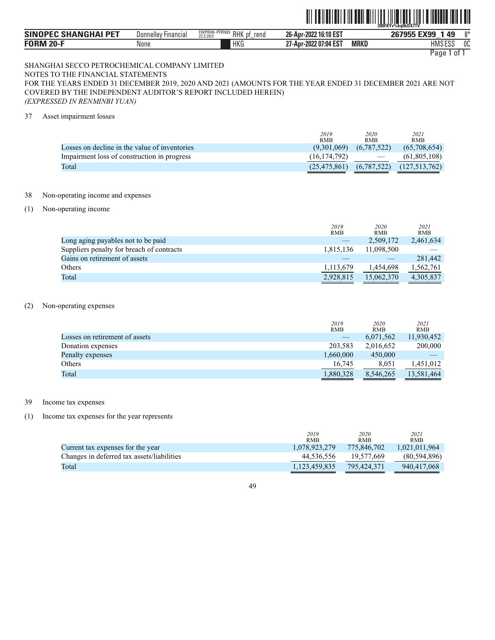

| <b>SINOPEC SHANGHAI PET</b> | Financial<br>Jonnellev | FWPRHK-PFRN05<br>22.3.29.0<br>RHK p.<br>rend | 16:10 EST<br>26-Apr-<br>$-2022$           |             | ДC<br>Zb.<br>_            | $0*$ |
|-----------------------------|------------------------|----------------------------------------------|-------------------------------------------|-------------|---------------------------|------|
| <b>FORM 20-F</b>            | None                   | <b>HKG</b>                                   | 207:04 EST<br>$\sim$<br>$-2022$<br>/-Apr- | <b>MRKD</b> | <b>HMSESS</b>             | 0C   |
|                             |                        |                                              |                                           |             | <b>STATES OF THE REAL</b> |      |

SHANGHAI SECCO PETROCHEMICAL COMPANY LIMITED NOTES TO THE FINANCIAL STATEMENTS FOR THE YEARS ENDED 31 DECEMBER 2019, 2020 AND 2021 (AMOUNTS FOR THE YEAR ENDED 31 DECEMBER 2021 ARE NOT COVERED BY THE INDEPENDENT AUDITOR'S REPORT INCLUDED HEREIN) *(EXPRESSED IN RENMINBI YUAN)*

## 37 Asset impairment losses

|                                               | 2019           | 2020        | 2021                             |
|-----------------------------------------------|----------------|-------------|----------------------------------|
|                                               | <b>RMB</b>     | <b>RMB</b>  | <b>RMB</b>                       |
| Losses on decline in the value of inventories | (9.301.069)    | (6.787.522) | (65,708,654)                     |
| Impairment loss of construction in progress   | (16, 174, 792) | $\sim$ $-$  | (61,805,108)                     |
| Total                                         | (25.475.861)   |             | $(6.787, 522)$ $(127, 513, 762)$ |

# 38 Non-operating income and expenses

## (1) Non-operating income

|                                           | 2019<br><b>RMB</b> | 2020<br><b>RMB</b> | 2021<br><b>RMB</b> |
|-------------------------------------------|--------------------|--------------------|--------------------|
| Long aging payables not to be paid        |                    | 2,509,172          | 2,461,634          |
| Suppliers penalty for breach of contracts | 1,815,136          | 11.098.500         |                    |
| Gains on retirement of assets             |                    |                    | 281,442            |
| Others                                    | 1,113,679          | 1.454.698          | 1,562,761          |
| Total                                     | 2.928.815          | 15,062,370         | 4.305.837          |

# (2) Non-operating expenses

| 2021       |
|------------|
| <b>RMB</b> |
| 11,930,452 |
| 200,000    |
|            |
| 1.451.012  |
| 13,581,464 |
|            |

#### 39 Income tax expenses

# (1) Income tax expenses for the year represents

|                                            | 2019<br>RMB   | 2020<br><b>RMB</b> | 2021<br><b>RMB</b> |
|--------------------------------------------|---------------|--------------------|--------------------|
| Current tax expenses for the year          | 1.078.923.279 | 775,846,702        | 1.021.011.964      |
| Changes in deferred tax assets/liabilities | 44.536.556    | 19.577.669         | (80, 594, 896)     |
| Total                                      | 1.123.459.835 | 795.424.371        | 940.417.068        |

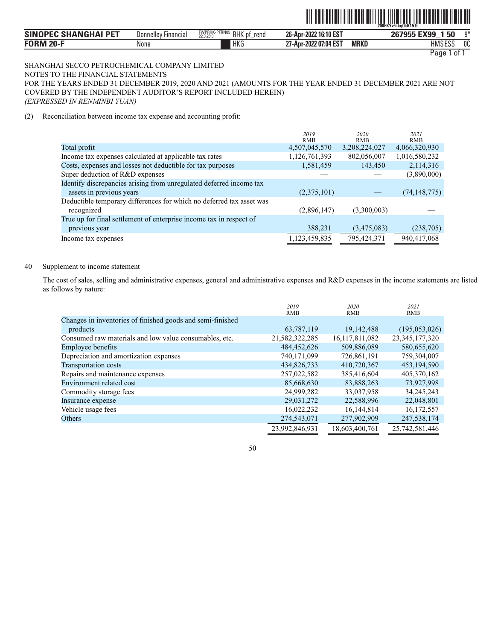|--|--|

| <b>HKG</b><br><b>MRKD</b><br><b>IIMO FOC</b><br>27-Apr-2022 07:04 EST<br><b>FORM 20-F</b><br>None<br>טווח<br>'∙⊔ ∟ | <b>SINOPEC SHANGHAI PET</b> | Financia.<br>Donnelley | FWPRHK-PFRN05<br>22.3.29.0<br><b>RHK</b><br>rend | 26-Apr-2022 16:10 EST | 50<br>EYQQ<br>267955 | n* |
|--------------------------------------------------------------------------------------------------------------------|-----------------------------|------------------------|--------------------------------------------------|-----------------------|----------------------|----|
| <b>STATES OF ALL AND STATES</b>                                                                                    |                             |                        |                                                  |                       |                      | 0C |

SHANGHAI SECCO PETROCHEMICAL COMPANY LIMITED NOTES TO THE FINANCIAL STATEMENTS FOR THE YEARS ENDED 31 DECEMBER 2019, 2020 AND 2021 (AMOUNTS FOR THE YEAR ENDED 31 DECEMBER 2021 ARE NOT COVERED BY THE INDEPENDENT AUDITOR'S REPORT INCLUDED HEREIN) *(EXPRESSED IN RENMINBI YUAN)*

(2) Reconciliation between income tax expense and accounting profit:

|                                                                      | 2019          | 2020             | 2021           |
|----------------------------------------------------------------------|---------------|------------------|----------------|
|                                                                      | <b>RMB</b>    | <b>RMB</b>       | <b>RMB</b>     |
| Total profit                                                         | 4,507,045,570 | 3, 208, 224, 027 | 4,066,320,930  |
| Income tax expenses calculated at applicable tax rates               | 1,126,761,393 | 802,056,007      | 1,016,580,232  |
| Costs, expenses and losses not deductible for tax purposes           | 1,581,459     | 143,450          | 2,114,316      |
| Super deduction of R&D expenses                                      |               |                  | (3,890,000)    |
| Identify discrepancies arising from unregulated deferred income tax  |               |                  |                |
| assets in previous years                                             | (2,375,101)   |                  | (74, 148, 775) |
| Deductible temporary differences for which no deferred tax asset was |               |                  |                |
| recognized                                                           | (2,896,147)   | (3,300,003)      |                |
| True up for final settlement of enterprise income tax in respect of  |               |                  |                |
| previous year                                                        | 388,231       | (3,475,083)      | (238, 705)     |
| Income tax expenses                                                  | 1,123,459,835 | 795,424,371      | 940,417,068    |
|                                                                      |               |                  |                |

# 40 Supplement to income statement

The cost of sales, selling and administrative expenses, general and administrative expenses and R&D expenses in the income statements are listed as follows by nature:

|                                                            | 2019<br><b>RMB</b> | 2020<br><b>RMB</b> | 2021<br><b>RMB</b> |
|------------------------------------------------------------|--------------------|--------------------|--------------------|
| Changes in inventories of finished goods and semi-finished |                    |                    |                    |
| products                                                   | 63,787,119         | 19, 142, 488       | (195,053,026)      |
| Consumed raw materials and low value consumables, etc.     | 21,582,322,285     | 16, 117, 811, 082  | 23, 345, 177, 320  |
| <b>Employee benefits</b>                                   | 484,452,626        | 509,886,089        | 580,655,620        |
| Depreciation and amortization expenses                     | 740,171,099        | 726,861,191        | 759,304,007        |
| Transportation costs                                       | 434,826,733        | 410,720,367        | 453,194,590        |
| Repairs and maintenance expenses                           | 257,022,582        | 385,416,604        | 405,370,162        |
| Environment related cost                                   | 85,668,630         | 83.888.263         | 73,927,998         |
| Commodity storage fees                                     | 24,999,282         | 33,037,958         | 34, 245, 243       |
| Insurance expense                                          | 29,031,272         | 22,588,996         | 22,048,801         |
| Vehicle usage fees                                         | 16,022,232         | 16, 144, 814       | 16, 172, 557       |
| Others                                                     | 274,543,071        | 277,902,909        | 247,538,174        |
|                                                            | 23.992.846.931     | 18,603,400,761     | 25,742,581,446     |

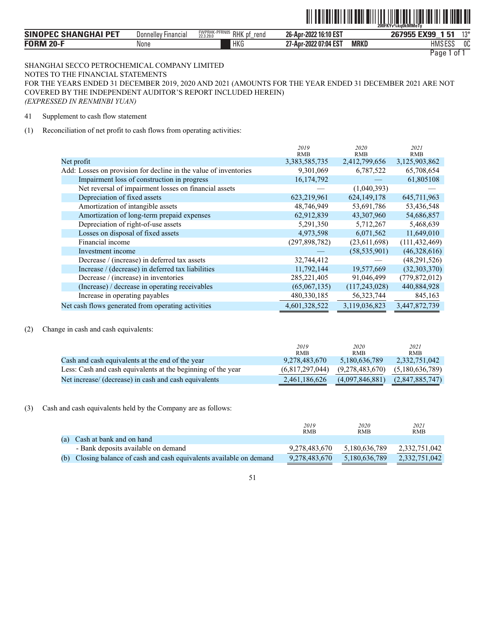|--|

| <b>SINOPEC SHANGHAI PET</b> | <b>Donnelley</b><br><b>Financial</b> | FWPRHK-PFRN05<br>RHK<br>rend<br>рt<br>22.3.29.0 | 26-Apr-2022 16:10 EST |             | 267955 EX99<br>. E d<br>__ | $12*$<br>1 J |
|-----------------------------|--------------------------------------|-------------------------------------------------|-----------------------|-------------|----------------------------|--------------|
| <b>FORM 20-F</b>            | None                                 | <b>HKG</b>                                      | 27-Apr-2022 07:04 EST | <b>MRKD</b> | <b>HMSESS</b>              | 0C           |
|                             |                                      |                                                 |                       |             | Page<br>-ot                |              |

SHANGHAI SECCO PETROCHEMICAL COMPANY LIMITED NOTES TO THE FINANCIAL STATEMENTS FOR THE YEARS ENDED 31 DECEMBER 2019, 2020 AND 2021 (AMOUNTS FOR THE YEAR ENDED 31 DECEMBER 2021 ARE NOT COVERED BY THE INDEPENDENT AUDITOR'S REPORT INCLUDED HEREIN) *(EXPRESSED IN RENMINBI YUAN)*

41 Supplement to cash flow statement

(1) Reconciliation of net profit to cash flows from operating activities:

|                                                                  | 2019<br><b>RMB</b> | 2020<br><b>RMB</b> | 2021<br><b>RMB</b> |
|------------------------------------------------------------------|--------------------|--------------------|--------------------|
| Net profit                                                       | 3, 383, 585, 735   | 2,412,799,656      | 3,125,903,862      |
| Add: Losses on provision for decline in the value of inventories | 9,301,069          | 6,787,522          | 65,708,654         |
| Impairment loss of construction in progress                      | 16,174,792         |                    | 61,805108          |
| Net reversal of impairment losses on financial assets            |                    | (1,040,393)        |                    |
| Depreciation of fixed assets                                     | 623,219,961        | 624, 149, 178      | 645,711,963        |
| Amortization of intangible assets                                | 48,746,949         | 53,691,786         | 53,436,548         |
| Amortization of long-term prepaid expenses                       | 62,912,839         | 43,307,960         | 54,686,857         |
| Depreciation of right-of-use assets                              | 5,291,350          | 5,712,267          | 5,468,639          |
| Losses on disposal of fixed assets                               | 4,973,598          | 6,071,562          | 11,649,010         |
| Financial income                                                 | (297,898,782)      | (23,611,698)       | (111, 432, 469)    |
| Investment income                                                |                    | (58, 535, 901)     | (46,328,616)       |
| Decrease / (increase) in deferred tax assets                     | 32,744,412         |                    | (48, 291, 526)     |
| Increase / (decrease) in deferred tax liabilities                | 11,792,144         | 19,577,669         | (32, 303, 370)     |
| Decrease / (increase) in inventories                             | 285, 221, 405      | 91,046,499         | (779, 872, 012)    |
| (Increase) / decrease in operating receivables                   | (65,067,135)       | (117,243,028)      | 440,884,928        |
| Increase in operating payables                                   | 480, 330, 185      | 56, 323, 744       | 845,163            |
| Net cash flows generated from operating activities               | 4,601,328,522      | 3,119,036,823      | 3,447,872,739      |

# (2) Change in cash and cash equivalents:

|                                                              | 2019<br><b>RMB</b> | 2020<br><b>RMB</b> | 2021<br><b>RMB</b> |
|--------------------------------------------------------------|--------------------|--------------------|--------------------|
| Cash and cash equivalents at the end of the year             | 9.278.483.670      | 5.180.636.789      | 2.332.751.042      |
| Less: Cash and cash equivalents at the beginning of the year | (6.817.297.044)    | (9,278,483,670)    | (5,180,636,789)    |
| Net increase/ (decrease) in cash and cash equivalents        | 2.461.186.626      | (4.097.846.881)    | (2,847,885,747)    |

## (3) Cash and cash equivalents held by the Company are as follows:

|                                                                      | 2019<br><b>RMB</b> | 2020<br><b>RMB</b> | 2021<br><b>RMB</b> |
|----------------------------------------------------------------------|--------------------|--------------------|--------------------|
| (a) Cash at bank and on hand                                         |                    |                    |                    |
| - Bank deposits available on demand                                  | 9.278.483.670      | 5.180.636.789      | 2,332,751,042      |
| (b) Closing balance of cash and cash equivalents available on demand | 9.278.483.670      | 5.180.636.789      | 2.332.751.042      |

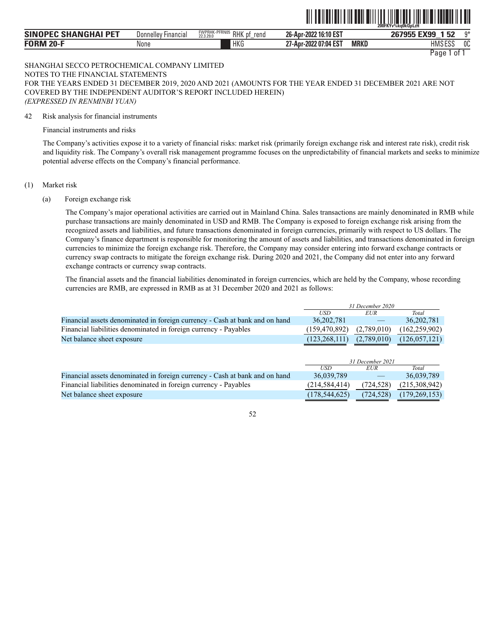|                      |                     |                                                   | <u>HILLITI</u><br>11       11<br>200FKYv%ka0kOnLzH |                              |    |  |
|----------------------|---------------------|---------------------------------------------------|----------------------------------------------------|------------------------------|----|--|
| Sinopec Shanghai Pet | Donnelley Financial | FWPRHK-PFRN05<br>RHK<br>. pt<br>rend<br>22.3.29.0 | 26-Apr-2022 16:10 EST                              | 267955 EX99<br>-52           |    |  |
| <b>FORM 20-F</b>     | None                | <b>HKG</b>                                        | 27-Apr-2022 07:04 EST                              | <b>HMSESS</b><br><b>MRKD</b> | OC |  |

| HMS ESS | III. |
|---------|------|
| Page 1  |      |

<u>ot to the the the self street filled the the street the self of the street  $\mu$ </u>

SHANGHAI SECCO PETROCHEMICAL COMPANY LIMITED NOTES TO THE FINANCIAL STATEMENTS FOR THE YEARS ENDED 31 DECEMBER 2019, 2020 AND 2021 (AMOUNTS FOR THE YEAR ENDED 31 DECEMBER 2021 ARE NOT COVERED BY THE INDEPENDENT AUDITOR'S REPORT INCLUDED HEREIN) *(EXPRESSED IN RENMINBI YUAN)*

## 42 Risk analysis for financial instruments

## Financial instruments and risks

The Company's activities expose it to a variety of financial risks: market risk (primarily foreign exchange risk and interest rate risk), credit risk and liquidity risk. The Company's overall risk management programme focuses on the unpredictability of financial markets and seeks to minimize potential adverse effects on the Company's financial performance.

## (1) Market risk

## (a) Foreign exchange risk

The Company's major operational activities are carried out in Mainland China. Sales transactions are mainly denominated in RMB while purchase transactions are mainly denominated in USD and RMB. The Company is exposed to foreign exchange risk arising from the recognized assets and liabilities, and future transactions denominated in foreign currencies, primarily with respect to US dollars. The Company's finance department is responsible for monitoring the amount of assets and liabilities, and transactions denominated in foreign currencies to minimize the foreign exchange risk. Therefore, the Company may consider entering into forward exchange contracts or currency swap contracts to mitigate the foreign exchange risk. During 2020 and 2021, the Company did not enter into any forward exchange contracts or currency swap contracts.

The financial assets and the financial liabilities denominated in foreign currencies, which are held by the Company, whose recording currencies are RMB, are expressed in RMB as at 31 December 2020 and 2021 as follows:

|                                                                             | 31 December 2020 |                          |                 |
|-----------------------------------------------------------------------------|------------------|--------------------------|-----------------|
|                                                                             | USD              | <i>EUR</i>               | Total           |
| Financial assets denominated in foreign currency - Cash at bank and on hand | 36,202,781       | $\overline{\phantom{m}}$ | 36,202,781      |
| Financial liabilities denominated in foreign currency - Payables            | (159, 470, 892)  | (2,789,010)              | (162, 259, 902) |
| Net balance sheet exposure                                                  | (123, 268, 111)  | (2,789,010)              | (126, 057, 121) |

|                                                                             | 31 December 2021 |                                 |               |
|-----------------------------------------------------------------------------|------------------|---------------------------------|---------------|
|                                                                             | USD <sub></sub>  | <i>EUR</i>                      | Total         |
| Financial assets denominated in foreign currency - Cash at bank and on hand | 36,039,789       | $\hspace{0.1mm}-\hspace{0.1mm}$ | 36,039,789    |
| Financial liabilities denominated in foreign currency - Payables            | (214, 584, 414)  | (724, 528)                      | (215,308,942) |
| Net balance sheet exposure                                                  | (178.544.625)    | (724.528)                       | (179.269.153) |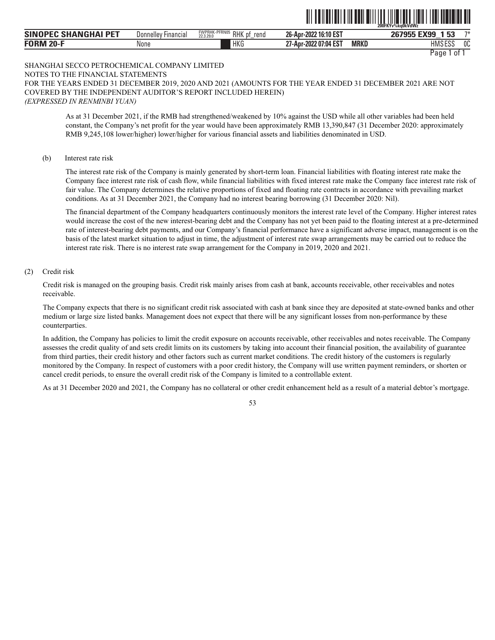|                      |                               |                                                          |                       | <u> 1                    </u><br>200FKYv%ka0kVdWz |
|----------------------|-------------------------------|----------------------------------------------------------|-----------------------|---------------------------------------------------|
| Sinopec Shanghai Pet | Donnelley<br><b>Financial</b> | FWPRHK-PFRN05<br><b>RHK</b><br>rend<br>. pt<br>22.3.29.0 | 26-Apr-2022 16:10 EST | 1 53<br><b>TA</b><br><b>EX99</b><br>267955        |

| <b>OINUFEU OFIANUFIAI FEI</b> | DOIIIIEIIEV<br>Tiidiiuidi | 22.3.29.0 | лпв.<br>- 111<br><b>I BIIL</b> | ZU-ANI-ZUZZ 10.10 EJ 1          |             | LUIJJJ LAJJ<br>JJ                       |    |
|-------------------------------|---------------------------|-----------|--------------------------------|---------------------------------|-------------|-----------------------------------------|----|
| <b>FORM 20-F</b>              | None                      |           | HKG                            | 2022 07:04 EST<br>n-<br>∠/-Apr∹ | <b>MRKD</b> | <b>HMSESS</b>                           | 0C |
|                               |                           |           |                                |                                 |             | $\mathbf{11} \cdot \mathbf{12}$<br>$-1$ |    |

ˆ200FKYv%kq0kVdWz†Š

SHANGHAI SECCO PETROCHEMICAL COMPANY LIMITED NOTES TO THE FINANCIAL STATEMENTS FOR THE YEARS ENDED 31 DECEMBER 2019, 2020 AND 2021 (AMOUNTS FOR THE YEAR ENDED 31 DECEMBER 2021 ARE NOT COVERED BY THE INDEPENDENT AUDITOR'S REPORT INCLUDED HEREIN) *(EXPRESSED IN RENMINBI YUAN)*

As at 31 December 2021, if the RMB had strengthened/weakened by 10% against the USD while all other variables had been held constant, the Company's net profit for the year would have been approximately RMB 13,390,847 (31 December 2020: approximately RMB 9,245,108 lower/higher) lower/higher for various financial assets and liabilities denominated in USD.

## (b) Interest rate risk

The interest rate risk of the Company is mainly generated by short-term loan. Financial liabilities with floating interest rate make the Company face interest rate risk of cash flow, while financial liabilities with fixed interest rate make the Company face interest rate risk of fair value. The Company determines the relative proportions of fixed and floating rate contracts in accordance with prevailing market conditions. As at 31 December 2021, the Company had no interest bearing borrowing (31 December 2020: Nil).

The financial department of the Company headquarters continuously monitors the interest rate level of the Company. Higher interest rates would increase the cost of the new interest-bearing debt and the Company has not yet been paid to the floating interest at a pre-determined rate of interest-bearing debt payments, and our Company's financial performance have a significant adverse impact, management is on the basis of the latest market situation to adjust in time, the adjustment of interest rate swap arrangements may be carried out to reduce the interest rate risk. There is no interest rate swap arrangement for the Company in 2019, 2020 and 2021.

## (2) Credit risk

Credit risk is managed on the grouping basis. Credit risk mainly arises from cash at bank, accounts receivable, other receivables and notes receivable.

The Company expects that there is no significant credit risk associated with cash at bank since they are deposited at state-owned banks and other medium or large size listed banks. Management does not expect that there will be any significant losses from non-performance by these counterparties.

In addition, the Company has policies to limit the credit exposure on accounts receivable, other receivables and notes receivable. The Company assesses the credit quality of and sets credit limits on its customers by taking into account their financial position, the availability of guarantee from third parties, their credit history and other factors such as current market conditions. The credit history of the customers is regularly monitored by the Company. In respect of customers with a poor credit history, the Company will use written payment reminders, or shorten or cancel credit periods, to ensure the overall credit risk of the Company is limited to a controllable extent.

As at 31 December 2020 and 2021, the Company has no collateral or other credit enhancement held as a result of a material debtor's mortgage.

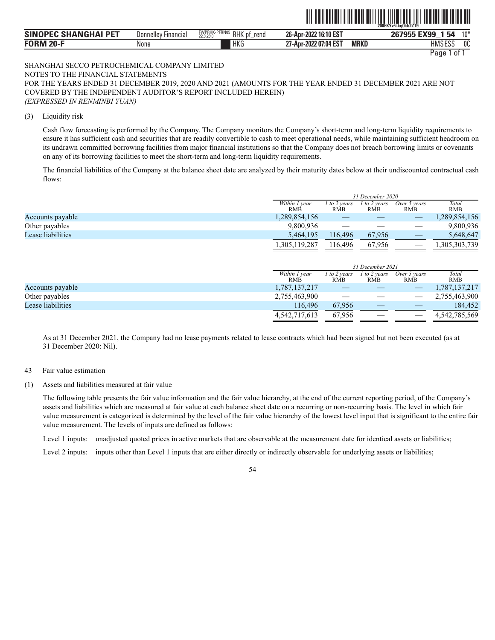|                      |                     |                                                  |                       | . <sup>o</sup> %ka0kb2ZT9<br>200FKYv  |
|----------------------|---------------------|--------------------------------------------------|-----------------------|---------------------------------------|
| Sinopec Shanghai Pet | Donnelley Financial | FWPRHK-PFRN05<br>RHK<br>rend<br>.nt<br>22.3.29.0 | 26-Apr-2022 16:10 EST | -54<br>10 <sup>3</sup><br>267955 EX99 |

| HKG | 27-Apr-2022 07:04 EST | <b>MRKD</b> | <b>HMSESS</b> | 0C |
|-----|-----------------------|-------------|---------------|----|
|     |                       |             | of 1<br>Page  |    |

TIT TU II DITULI TITULU U U DITENTI TITLE TITULU I DITENTI TU II DITENTI U U DITENTI U U DITENTI U U DITENTI U

SHANGHAI SECCO PETROCHEMICAL COMPANY LIMITED NOTES TO THE FINANCIAL STATEMENTS FOR THE YEARS ENDED 31 DECEMBER 2019, 2020 AND 2021 (AMOUNTS FOR THE YEAR ENDED 31 DECEMBER 2021 ARE NOT COVERED BY THE INDEPENDENT AUDITOR'S REPORT INCLUDED HEREIN) *(EXPRESSED IN RENMINBI YUAN)*

## (3) Liquidity risk

**FORM 20-F**

None

Cash flow forecasting is performed by the Company. The Company monitors the Company's short-term and long-term liquidity requirements to ensure it has sufficient cash and securities that are readily convertible to cash to meet operational needs, while maintaining sufficient headroom on its undrawn committed borrowing facilities from major financial institutions so that the Company does not breach borrowing limits or covenants on any of its borrowing facilities to meet the short-term and long-term liquidity requirements.

The financial liabilities of the Company at the balance sheet date are analyzed by their maturity dates below at their undiscounted contractual cash flows:

|                   |                      |                     | 31 December 2020        |                     |                            |
|-------------------|----------------------|---------------------|-------------------------|---------------------|----------------------------|
|                   | Within 1 year<br>RMB | 1 to 2 years<br>RMB | $1$ to $2$ years<br>RMB | Over 5 years<br>RMB | <b>Total</b><br><b>RMB</b> |
| Accounts payable  | 1,289,854,156        |                     |                         |                     | 1,289,854,156              |
| Other payables    | 9,800,936            |                     |                         |                     | 9,800,936                  |
| Lease liabilities | 5.464.195            | 116.496             | 67,956                  |                     | 5,648,647                  |
|                   | 1,305,119,287        | 116.496             | 67.956                  |                     | 1,305,303,739              |

|                         |                             |                     | 31 December 2021        |                          |                            |
|-------------------------|-----------------------------|---------------------|-------------------------|--------------------------|----------------------------|
|                         | Within 1 year<br><b>RMB</b> | 1 to 2 years<br>RMB | $1$ to $2$ years<br>RMB | Over 5 years<br>RMB      | <b>Total</b><br><b>RMB</b> |
| <b>Accounts payable</b> | 1,787,137,217               |                     |                         | $\overline{\phantom{a}}$ | 1,787,137,217              |
| Other payables          | 2,755,463,900               |                     |                         |                          | 2,755,463,900              |
| Lease liabilities       | 116.496                     | 67.956              |                         |                          | 184.452                    |
|                         | 4,542,717,613               | 67.956              |                         |                          | 4,542,785,569              |

As at 31 December 2021, the Company had no lease payments related to lease contracts which had been signed but not been executed (as at 31 December 2020: Nil).

## 43 Fair value estimation

## (1) Assets and liabilities measured at fair value

The following table presents the fair value information and the fair value hierarchy, at the end of the current reporting period, of the Company's assets and liabilities which are measured at fair value at each balance sheet date on a recurring or non-recurring basis. The level in which fair value measurement is categorized is determined by the level of the fair value hierarchy of the lowest level input that is significant to the entire fair value measurement. The levels of inputs are defined as follows:

Level 1 inputs: unadjusted quoted prices in active markets that are observable at the measurement date for identical assets or liabilities;

Level 2 inputs: inputs other than Level 1 inputs that are either directly or indirectly observable for underlying assets or liabilities;

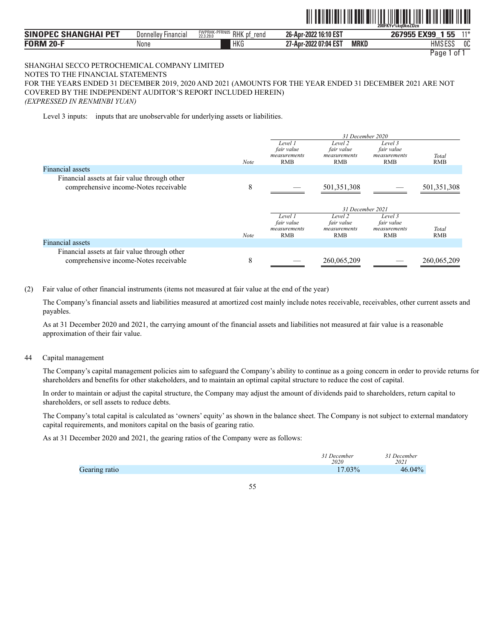|                 |                              |                         | <u>TIT TENEDI BIT BIR BEREBITI ILIŞIN BIT TENEDI BI IN FEBRU ILI BIR.</u><br>200FKYv%ka0keZDzn |
|-----------------|------------------------------|-------------------------|------------------------------------------------------------------------------------------------|
| allay Financial | EWPRHK-PFRN05 RHK nf<br>rand | 26. Apr. 2022 16:10 FST | <b>267955 EY99</b><br>155                                                                      |

| <b>SINOPEC SHANGHAI PET</b> | $\cdots$<br><b>Financial</b><br>Donnellev | <b>K-PERNOR</b><br><b>FWPRHK</b><br>RHK<br>rend<br>DT<br>22.3.29.0 | -2022 16:10 EST<br><b>nn</b><br>-26-Apr |             | -<br>267<br>55 | $11*$ |
|-----------------------------|-------------------------------------------|--------------------------------------------------------------------|-----------------------------------------|-------------|----------------|-------|
| <b>FORM</b><br>. 20-L       | None                                      | IUVC<br>nnu                                                        | -2022 07:04 EST<br>67.<br>/-Apr-<br>"   | <b>MRKL</b> | <b>HMSESS</b>  | 0C    |
|                             |                                           |                                                                    |                                         |             |                |       |

The annual contract of the second contract in the contract of the contract of the second contract of the second

SHANGHAI SECCO PETROCHEMICAL COMPANY LIMITED NOTES TO THE FINANCIAL STATEMENTS FOR THE YEARS ENDED 31 DECEMBER 2019, 2020 AND 2021 (AMOUNTS FOR THE YEAR ENDED 31 DECEMBER 2021 ARE NOT COVERED BY THE INDEPENDENT AUDITOR'S REPORT INCLUDED HEREIN) *(EXPRESSED IN RENMINBI YUAN)*

Level 3 inputs: inputs that are unobservable for underlying assets or liabilities.

|                                                                                       |             |                                                     | 31 December 2020                                    |                                                     |                     |
|---------------------------------------------------------------------------------------|-------------|-----------------------------------------------------|-----------------------------------------------------|-----------------------------------------------------|---------------------|
|                                                                                       | <b>Note</b> | Level 1<br>fair value<br>measurements<br><b>RMB</b> | Level 2<br>fair value<br>measurements<br><b>RMB</b> | Level 3<br>fair value<br>measurements<br><b>RMB</b> | Total<br><b>RMB</b> |
| <b>Financial assets</b>                                                               |             |                                                     |                                                     |                                                     |                     |
| Financial assets at fair value through other                                          |             |                                                     |                                                     |                                                     |                     |
| comprehensive income-Notes receivable                                                 | 8           |                                                     | 501, 351, 308                                       |                                                     | 501, 351, 308       |
|                                                                                       |             |                                                     | 31 December 2021                                    |                                                     |                     |
|                                                                                       | <b>Note</b> | Level i<br>fair value<br>measurements<br><b>RMB</b> | Level 2<br>fair value<br>measurements<br><b>RMB</b> | Level 3<br>fair value<br>measurements<br><b>RMB</b> | Total<br><b>RMB</b> |
| <b>Financial assets</b>                                                               |             |                                                     |                                                     |                                                     |                     |
| Financial assets at fair value through other<br>comprehensive income-Notes receivable | 8           |                                                     | 260,065,209                                         |                                                     | 260,065,209         |

(2) Fair value of other financial instruments (items not measured at fair value at the end of the year)

The Company's financial assets and liabilities measured at amortized cost mainly include notes receivable, receivables, other current assets and payables.

As at 31 December 2020 and 2021, the carrying amount of the financial assets and liabilities not measured at fair value is a reasonable approximation of their fair value.

#### 44 Capital management

The Company's capital management policies aim to safeguard the Company's ability to continue as a going concern in order to provide returns for shareholders and benefits for other stakeholders, and to maintain an optimal capital structure to reduce the cost of capital.

In order to maintain or adjust the capital structure, the Company may adjust the amount of dividends paid to shareholders, return capital to shareholders, or sell assets to reduce debts.

The Company's total capital is calculated as 'owners' equity' as shown in the balance sheet. The Company is not subject to external mandatory capital requirements, and monitors capital on the basis of gearing ratio.

As at 31 December 2020 and 2021, the gearing ratios of the Company were as follows:

|               | 31 December<br>2020 | 31 December<br>2021 |
|---------------|---------------------|---------------------|
| Gearing ratio | 17.03%              | $46.04\%$           |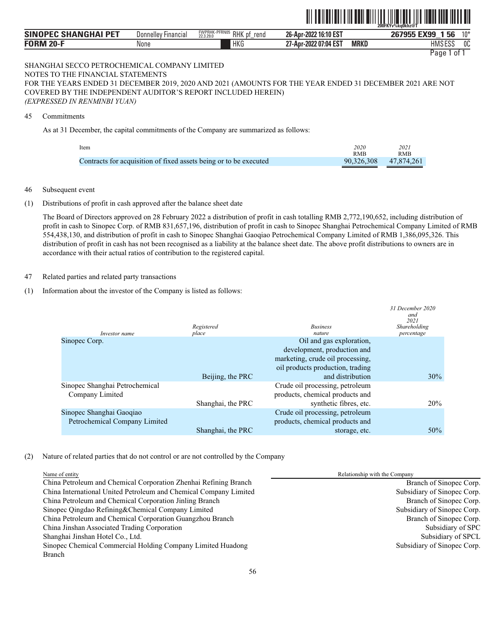|                                                  |                                      |                                                                                 |                                           | 200FKYv%ka0khz@T                         |       |
|--------------------------------------------------|--------------------------------------|---------------------------------------------------------------------------------|-------------------------------------------|------------------------------------------|-------|
| $\cdot$ PFT<br><b>CURBICU</b><br>SIN <sup></sup> | <b>Financial</b><br><b>Donnelley</b> | '-PFRN05<br><b>FWPRHK</b><br><b>DIIV</b><br>rend<br>рţ<br>nni<br>22.3.29.0<br>- | 16:10 EST<br>ne.<br>$-2022$<br>26-Apr-    | 56<br>207<br>_                           | $10*$ |
| <b>FORM</b><br>חר.<br>∠∪-′                       | None                                 | <b>HKG</b>                                                                      | 2 07:04 EST<br>$\sim$<br>2022<br>∠/-Apr-‴ | <b>MRKD</b><br>$\cdots$<br><b>HMSESS</b> | 0C    |

<u>TA OFFICIAL AND THE TALENT AND THE TALENT AND THE T</u>

SHANGHAI SECCO PETROCHEMICAL COMPANY LIMITED NOTES TO THE FINANCIAL STATEMENTS FOR THE YEARS ENDED 31 DECEMBER 2019, 2020 AND 2021 (AMOUNTS FOR THE YEAR ENDED 31 DECEMBER 2021 ARE NOT COVERED BY THE INDEPENDENT AUDITOR'S REPORT INCLUDED HEREIN) *(EXPRESSED IN RENMINBI YUAN)*

#### 45 Commitments

As at 31 December, the capital commitments of the Company are summarized as follows:

| Item                                                              | 2020<br><b>RMB</b>    | 2021<br><b>RMB</b> |
|-------------------------------------------------------------------|-----------------------|--------------------|
| Contracts for acquisition of fixed assets being or to be executed | 90.326.308 47.874.261 |                    |

#### 46 Subsequent event

(1) Distributions of profit in cash approved after the balance sheet date

The Board of Directors approved on 28 February 2022 a distribution of profit in cash totalling RMB 2,772,190,652, including distribution of profit in cash to Sinopec Corp. of RMB 831,657,196, distribution of profit in cash to Sinopec Shanghai Petrochemical Company Limited of RMB 554,438,130, and distribution of profit in cash to Sinopec Shanghai Gaoqiao Petrochemical Company Limited of RMB 1,386,095,326. This distribution of profit in cash has not been recognised as a liability at the balance sheet date. The above profit distributions to owners are in accordance with their actual ratios of contribution to the registered capital.

#### 47 Related parties and related party transactions

(1) Information about the investor of the Company is listed as follows:

| Registered        | <b>Business</b>                  | 31 December 2020<br>and<br>2021<br>Shareholding |
|-------------------|----------------------------------|-------------------------------------------------|
|                   |                                  | percentage                                      |
|                   |                                  |                                                 |
|                   | development, production and      |                                                 |
|                   | marketing, crude oil processing. |                                                 |
|                   | oil products production, trading |                                                 |
| Beijing, the PRC  | and distribution                 | 30%                                             |
|                   | Crude oil processing, petroleum  |                                                 |
|                   | products, chemical products and  |                                                 |
| Shanghai, the PRC | synthetic fibres, etc.           | 20%                                             |
|                   | Crude oil processing, petroleum  |                                                 |
|                   | products, chemical products and  |                                                 |
| Shanghai, the PRC | storage, etc.                    | 50%                                             |
|                   | place                            | nature<br>Oil and gas exploration,              |

(2) Nature of related parties that do not control or are not controlled by the Company

| Name of entity                                                    | Relationship with the Company |
|-------------------------------------------------------------------|-------------------------------|
| China Petroleum and Chemical Corporation Zhenhai Refining Branch  | Branch of Sinopec Corp.       |
| China International United Petroleum and Chemical Company Limited | Subsidiary of Sinopec Corp.   |
| China Petroleum and Chemical Corporation Jinling Branch           | Branch of Sinopec Corp.       |
| Sinopec Qingdao Refining&Chemical Company Limited                 | Subsidiary of Sinopec Corp.   |
| China Petroleum and Chemical Corporation Guangzhou Branch         | Branch of Sinopec Corp.       |
| China Jinshan Associated Trading Corporation                      | Subsidiary of SPC             |
| Shanghai Jinshan Hotel Co., Ltd.                                  | Subsidiary of SPCL            |
| Sinopec Chemical Commercial Holding Company Limited Huadong       | Subsidiary of Sinopec Corp.   |
| Branch                                                            |                               |
|                                                                   |                               |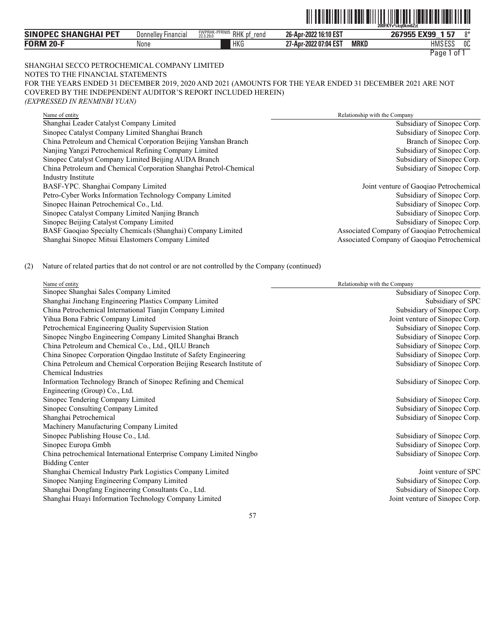|                             |                            |                                              |                                      | $\  \ $<br>$\parallel$<br>200FKYv%ka0km62z |    |
|-----------------------------|----------------------------|----------------------------------------------|--------------------------------------|--------------------------------------------|----|
| <b>SINOPEC SHANGHAI PET</b> | <b>Donnelley Financial</b> | FWPRHK-PFRN05<br>RHK pf<br>rend<br>22.3.29.0 | 26-Apr-2022 16:10 EST                | 267955 EX99<br>157                         | Q* |
| <b>FORM 20-F</b>            | None                       | HKG                                          | <b>MRKD</b><br>27-Apr-2022 07:04 EST | <b>HMSESS</b>                              | 0C |

SHANGHAI SECCO PETROCHEMICAL COMPANY LIMITED NOTES TO THE FINANCIAL STATEMENTS FOR THE YEARS ENDED 31 DECEMBER 2019, 2020 AND 2021 (AMOUNTS FOR THE YEAR ENDED 31 DECEMBER 2021 ARE NOT COVERED BY THE INDEPENDENT AUDITOR'S REPORT INCLUDED HEREIN) *(EXPRESSED IN RENMINBI YUAN)*

| Name of entity                                                    | Relationship with the Company               |
|-------------------------------------------------------------------|---------------------------------------------|
| Shanghai Leader Catalyst Company Limited                          | Subsidiary of Sinopec Corp.                 |
| Sinopec Catalyst Company Limited Shanghai Branch                  | Subsidiary of Sinopec Corp.                 |
| China Petroleum and Chemical Corporation Beijing Yanshan Branch   | Branch of Sinopec Corp.                     |
| Nanjing Yangzi Petrochemical Refining Company Limited             | Subsidiary of Sinopec Corp.                 |
| Sinopec Catalyst Company Limited Beijing AUDA Branch              | Subsidiary of Sinopec Corp.                 |
| China Petroleum and Chemical Corporation Shanghai Petrol-Chemical | Subsidiary of Sinopec Corp.                 |
| Industry Institute                                                |                                             |
| BASF-YPC. Shanghai Company Limited                                | Joint venture of Gaogiao Petrochemical      |
| Petro-Cyber Works Information Technology Company Limited          | Subsidiary of Sinopec Corp.                 |
| Sinopec Hainan Petrochemical Co., Ltd.                            | Subsidiary of Sinopec Corp.                 |
| Sinopec Catalyst Company Limited Nanjing Branch                   | Subsidiary of Sinopec Corp.                 |
| Sinopec Beijing Catalyst Company Limited                          | Subsidiary of Sinopec Corp.                 |
| BASF Gaoqiao Specialty Chemicals (Shanghai) Company Limited       | Associated Company of Gaoqiao Petrochemical |
| Shanghai Sinopec Mitsui Elastomers Company Limited                | Associated Company of Gaogiao Petrochemical |
|                                                                   |                                             |

(2) Nature of related parties that do not control or are not controlled by the Company (continued)

| Name of entity                                                         | Relationship with the Company  |
|------------------------------------------------------------------------|--------------------------------|
| Sinopec Shanghai Sales Company Limited                                 | Subsidiary of Sinopec Corp.    |
| Shanghai Jinchang Engineering Plastics Company Limited                 | Subsidiary of SPC              |
| China Petrochemical International Tianjin Company Limited              | Subsidiary of Sinopec Corp.    |
| Yihua Bona Fabric Company Limited                                      | Joint venture of Sinopec Corp. |
| Petrochemical Engineering Quality Supervision Station                  | Subsidiary of Sinopec Corp.    |
| Sinopec Ningbo Engineering Company Limited Shanghai Branch             | Subsidiary of Sinopec Corp.    |
| China Petroleum and Chemical Co., Ltd., QILU Branch                    | Subsidiary of Sinopec Corp.    |
| China Sinopec Corporation Qingdao Institute of Safety Engineering      | Subsidiary of Sinopec Corp.    |
| China Petroleum and Chemical Corporation Beijing Research Institute of | Subsidiary of Sinopec Corp.    |
| Chemical Industries                                                    |                                |
| Information Technology Branch of Sinopec Refining and Chemical         | Subsidiary of Sinopec Corp.    |
| Engineering (Group) Co., Ltd.                                          |                                |
| Sinopec Tendering Company Limited                                      | Subsidiary of Sinopec Corp.    |
| Sinopec Consulting Company Limited                                     | Subsidiary of Sinopec Corp.    |
| Shanghai Petrochemical                                                 | Subsidiary of Sinopec Corp.    |
| Machinery Manufacturing Company Limited                                |                                |
| Sinopec Publishing House Co., Ltd.                                     | Subsidiary of Sinopec Corp.    |
| Sinopec Europa Gmbh                                                    | Subsidiary of Sinopec Corp.    |
| China petrochemical International Enterprise Company Limited Ningbo    | Subsidiary of Sinopec Corp.    |
| <b>Bidding Center</b>                                                  |                                |
| Shanghai Chemical Industry Park Logistics Company Limited              | Joint venture of SPC           |
| Sinopec Nanjing Engineering Company Limited                            | Subsidiary of Sinopec Corp.    |
| Shanghai Dongfang Engineering Consultants Co., Ltd.                    | Subsidiary of Sinopec Corp.    |
| Shanghai Huayi Information Technology Company Limited                  | Joint venture of Sinopec Corp. |
|                                                                        |                                |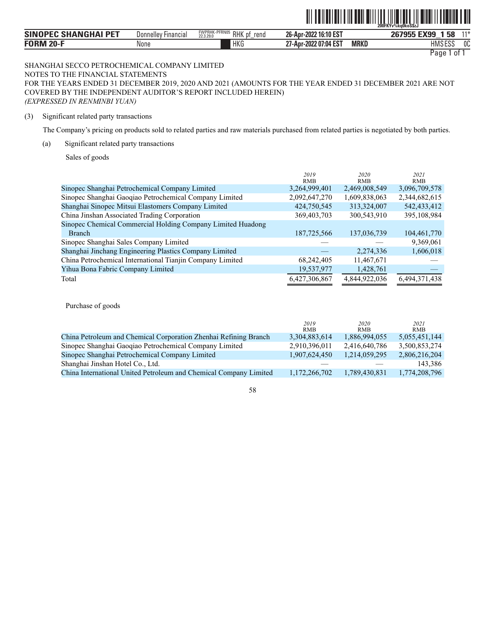| <b>SINOPEC SHANGHAI PET</b> | Financial<br>Jonnellev | FWPRHK-PFRN05<br>22.3.29.0<br>RHK p<br>rend | $.16:10$ $\mathsf{EST}$<br>26-Apr-<br>$-2027$ |             | 58<br>∠b<br>_ | $11*$ |
|-----------------------------|------------------------|---------------------------------------------|-----------------------------------------------|-------------|---------------|-------|
| <b>FORM</b><br>$20-F$       | None                   | <b>HKG</b>                                  | 207:04 EST<br>$\sim$<br>2022<br>/-Anr         | <b>MRKD</b> | <b>HMSESS</b> | 0C    |
|                             |                        |                                             |                                               |             |               |       |

SHANGHAI SECCO PETROCHEMICAL COMPANY LIMITED NOTES TO THE FINANCIAL STATEMENTS FOR THE YEARS ENDED 31 DECEMBER 2019, 2020 AND 2021 (AMOUNTS FOR THE YEAR ENDED 31 DECEMBER 2021 ARE NOT COVERED BY THE INDEPENDENT AUDITOR'S REPORT INCLUDED HEREIN) *(EXPRESSED IN RENMINBI YUAN)*

# (3) Significant related party transactions

The Company's pricing on products sold to related parties and raw materials purchased from related parties is negotiated by both parties.

# (a) Significant related party transactions

Sales of goods

|                                                             | 2019          | 2020          | 2021          |
|-------------------------------------------------------------|---------------|---------------|---------------|
|                                                             | <b>RMB</b>    | <b>RMB</b>    | <b>RMB</b>    |
| Sinopec Shanghai Petrochemical Company Limited              | 3,264,999,401 | 2,469,008,549 | 3,096,709,578 |
| Sinopec Shanghai Gaoqiao Petrochemical Company Limited      | 2,092,647,270 | 1,609,838,063 | 2,344,682,615 |
| Shanghai Sinopec Mitsui Elastomers Company Limited          | 424,750,545   | 313,324,007   | 542,433,412   |
| China Jinshan Associated Trading Corporation                | 369,403,703   | 300.543.910   | 395,108,984   |
| Sinopec Chemical Commercial Holding Company Limited Huadong |               |               |               |
| <b>Branch</b>                                               | 187, 725, 566 | 137,036,739   | 104,461,770   |
| Sinopec Shanghai Sales Company Limited                      |               |               | 9,369,061     |
| Shanghai Jinchang Engineering Plastics Company Limited      |               | 2,274,336     | 1,606,018     |
| China Petrochemical International Tianjin Company Limited   | 68,242,405    | 11,467,671    |               |
| Yihua Bona Fabric Company Limited                           | 19,537,977    | 1,428,761     |               |
| Total                                                       | 6,427,306,867 | 4,844,922,036 | 6,494,371,438 |
|                                                             |               |               |               |

Purchase of goods

|                                                                   | 2019<br><b>RMB</b> | 2020<br><b>RMB</b> | 2021<br><b>RMB</b> |
|-------------------------------------------------------------------|--------------------|--------------------|--------------------|
| China Petroleum and Chemical Corporation Zhenhai Refining Branch  | 3,304,883,614      | 1,886,994,055      | 5,055,451,144      |
| Sinopec Shanghai Gaoqiao Petrochemical Company Limited            | 2,910,396,011      | 2,416,640,786      | 3,500,853,274      |
| Sinopec Shanghai Petrochemical Company Limited                    | 1,907,624,450      | 1,214,059,295      | 2,806,216,204      |
| Shanghai Jinshan Hotel Co., Ltd.                                  |                    |                    | 143.386            |
| China International United Petroleum and Chemical Company Limited | 1,172,266,702      | 1,789,430,831      | 1,774,208,796      |

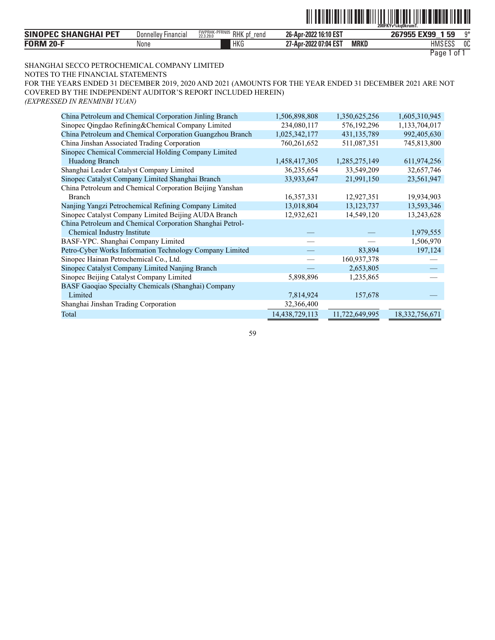|--|--|

| <b>SINOPEC SHANGHAI PET</b> | <b>Financial</b><br>Jonnellev | -PFRN05<br><b>FWPRHK</b><br><b>RHK</b><br>rend<br>Dt<br>22.3.29.0 | 26-Apr-2022 16:10 EST        | 267955 EX99<br>59                 | n* |
|-----------------------------|-------------------------------|-------------------------------------------------------------------|------------------------------|-----------------------------------|----|
| <b>FORM 20-F</b>            | None                          | <b>HKG</b>                                                        | .1-Apr-2022 07:04 EST<br>67. | <b>MRKD</b><br>1100000<br>MMY F22 | ОC |

SHANGHAI SECCO PETROCHEMICAL COMPANY LIMITED NOTES TO THE FINANCIAL STATEMENTS FOR THE YEARS ENDED 31 DECEMBER 2019, 2020 AND 2021 (AMOUNTS FOR THE YEAR ENDED 31 DECEMBER 2021 ARE NOT COVERED BY THE INDEPENDENT AUDITOR'S REPORT INCLUDED HEREIN)

*(EXPRESSED IN RENMINBI YUAN)*

| China Petroleum and Chemical Corporation Jinling Branch   | 1,506,898,808  | 1,350,625,256  | 1,605,310,945  |
|-----------------------------------------------------------|----------------|----------------|----------------|
| Sinopec Qingdao Refining&Chemical Company Limited         | 234,080,117    | 576, 192, 296  | 1,133,704,017  |
| China Petroleum and Chemical Corporation Guangzhou Branch | 1,025,342,177  | 431,135,789    | 992,405,630    |
| China Jinshan Associated Trading Corporation              | 760,261,652    | 511,087,351    | 745,813,800    |
| Sinopec Chemical Commercial Holding Company Limited       |                |                |                |
| Huadong Branch                                            | 1,458,417,305  | 1,285,275,149  | 611,974,256    |
| Shanghai Leader Catalyst Company Limited                  | 36,235,654     | 33,549,209     | 32,657,746     |
| Sinopec Catalyst Company Limited Shanghai Branch          | 33,933,647     | 21,991,150     | 23,561,947     |
| China Petroleum and Chemical Corporation Beijing Yanshan  |                |                |                |
| <b>Branch</b>                                             | 16,357,331     | 12,927,351     | 19,934,903     |
| Nanjing Yangzi Petrochemical Refining Company Limited     | 13,018,804     | 13, 123, 737   | 13,593,346     |
| Sinopec Catalyst Company Limited Beijing AUDA Branch      | 12,932,621     | 14,549,120     | 13,243,628     |
| China Petroleum and Chemical Corporation Shanghai Petrol- |                |                |                |
| Chemical Industry Institute                               |                |                | 1,979,555      |
| BASF-YPC. Shanghai Company Limited                        |                |                | 1,506,970      |
| Petro-Cyber Works Information Technology Company Limited  |                | 83,894         | 197,124        |
| Sinopec Hainan Petrochemical Co., Ltd.                    |                | 160,937,378    |                |
| Sinopec Catalyst Company Limited Nanjing Branch           |                | 2,653,805      |                |
| Sinopec Beijing Catalyst Company Limited                  | 5,898,896      | 1,235,865      |                |
| BASF Gaoqiao Specialty Chemicals (Shanghai) Company       |                |                |                |
| Limited                                                   | 7,814,924      | 157,678        |                |
| Shanghai Jinshan Trading Corporation                      | 32,366,400     |                |                |
| Total                                                     | 14,438,729,113 | 11,722,649,995 | 18,332,756,671 |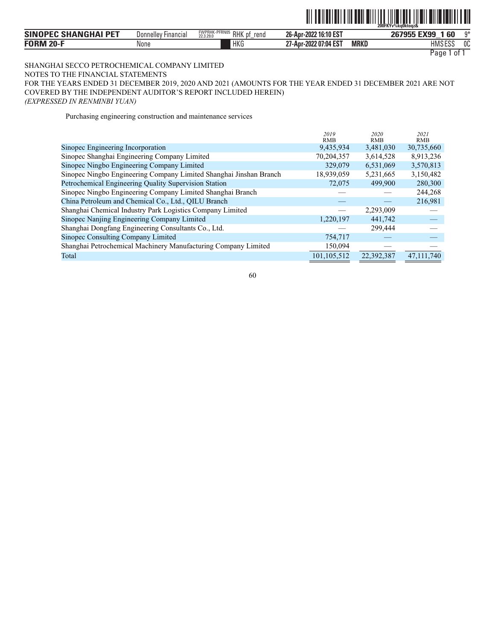| <b>SINOPEC SHANGHAI PET</b> | <b>Financial</b><br>Donnellev | FWPRHK-PFRN05<br>RHK<br>reno<br>22.3.29.0<br>- | 2022 16:10 EST<br>26-Apr-<br><b>ZUZZ</b>      | 60<br><b>EX99</b><br>267955  | በ*           |
|-----------------------------|-------------------------------|------------------------------------------------|-----------------------------------------------|------------------------------|--------------|
| <b>FORM 20-F</b>            | None                          | <b>HKG</b>                                     | 2022 07:04 EST<br>$\sim$<br>$2$ -Apr- $\cdot$ | <b>HMSESS</b><br><b>MRKD</b> | $\sim$<br>UU |

SHANGHAI SECCO PETROCHEMICAL COMPANY LIMITED NOTES TO THE FINANCIAL STATEMENTS FOR THE YEARS ENDED 31 DECEMBER 2019, 2020 AND 2021 (AMOUNTS FOR THE YEAR ENDED 31 DECEMBER 2021 ARE NOT COVERED BY THE INDEPENDENT AUDITOR'S REPORT INCLUDED HEREIN) *(EXPRESSED IN RENMINBI YUAN)*

Purchasing engineering construction and maintenance services

|                                                                    | 2019          | 2020       | 2021         |
|--------------------------------------------------------------------|---------------|------------|--------------|
|                                                                    | <b>RMB</b>    | <b>RMB</b> | <b>RMB</b>   |
| Sinopec Engineering Incorporation                                  | 9,435,934     | 3,481,030  | 30,735,660   |
| Sinopec Shanghai Engineering Company Limited                       | 70,204,357    | 3,614,528  | 8,913,236    |
| Sinopec Ningbo Engineering Company Limited                         | 329,079       | 6,531,069  | 3,570,813    |
| Sinopec Ningbo Engineering Company Limited Shanghai Jinshan Branch | 18,939,059    | 5,231,665  | 3,150,482    |
| Petrochemical Engineering Quality Supervision Station              | 72,075        | 499,900    | 280,300      |
| Sinopec Ningbo Engineering Company Limited Shanghai Branch         |               |            | 244,268      |
| China Petroleum and Chemical Co., Ltd., QILU Branch                |               |            | 216,981      |
| Shanghai Chemical Industry Park Logistics Company Limited          |               | 2,293,009  |              |
| Sinopec Nanjing Engineering Company Limited                        | 1,220,197     | 441,742    |              |
| Shanghai Dongfang Engineering Consultants Co., Ltd.                |               | 299,444    |              |
| Sinopec Consulting Company Limited                                 | 754,717       |            |              |
| Shanghai Petrochemical Machinery Manufacturing Company Limited     | 150,094       |            |              |
| Total                                                              | 101, 105, 512 | 22,392,387 | 47, 111, 740 |
|                                                                    |               |            |              |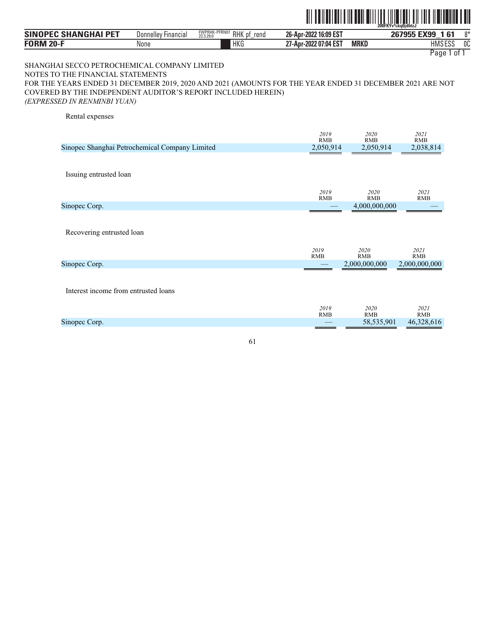

| <b>SINOPEC SHANGHAI PET</b> | <b>Financial</b><br>Jonnelley | FWPRHK-PFRN07<br>22.3.29.0<br>RHK p.<br>rend | 26-Apr-2022 16:09 EST                                    | <b>EX99</b><br><b>C1</b><br><b>D</b> : | $0*$ |
|-----------------------------|-------------------------------|----------------------------------------------|----------------------------------------------------------|----------------------------------------|------|
| <b>FORM</b><br>$20-F$       | None                          | <b>HKG</b>                                   | <b>MRKD</b><br>2022 07:04 EST<br>n <sub>7</sub><br>/-Apr | HMS ESS                                | ОC   |

SHANGHAI SECCO PETROCHEMICAL COMPANY LIMITED NOTES TO THE FINANCIAL STATEMENTS FOR THE YEARS ENDED 31 DECEMBER 2019, 2020 AND 2021 (AMOUNTS FOR THE YEAR ENDED 31 DECEMBER 2021 ARE NOT COVERED BY THE INDEPENDENT AUDITOR'S REPORT INCLUDED HEREIN) *(EXPRESSED IN RENMINBI YUAN)*

Rental expenses

|                                                | 2019<br><b>RMB</b> | 2020<br><b>RMB</b> | 2021<br><b>RMB</b> |
|------------------------------------------------|--------------------|--------------------|--------------------|
| Sinopec Shanghai Petrochemical Company Limited | 2,050,914          | 2,050,914          | 2,038,814          |
|                                                |                    |                    |                    |
| Issuing entrusted loan                         |                    |                    |                    |
|                                                | 2019<br>RMB        | 2020<br><b>RMB</b> | 2021<br><b>RMB</b> |
| Sinopec Corp.                                  |                    | 4,000,000,000      |                    |
|                                                |                    |                    |                    |
| Recovering entrusted loan                      |                    |                    |                    |
|                                                | 2019<br><b>RMB</b> | 2020<br>RMB        | 2021<br><b>RMB</b> |
| Sinopec Corp.                                  |                    | 2,000,000,000      | 2,000,000,000      |
|                                                |                    |                    |                    |
| Interest income from entrusted loans           |                    |                    |                    |
|                                                | 2019<br><b>RMB</b> | 2020<br><b>RMB</b> | 2021<br><b>RMB</b> |
| Sinopec Corp.                                  |                    | 58, 535, 901       | 46,328,616         |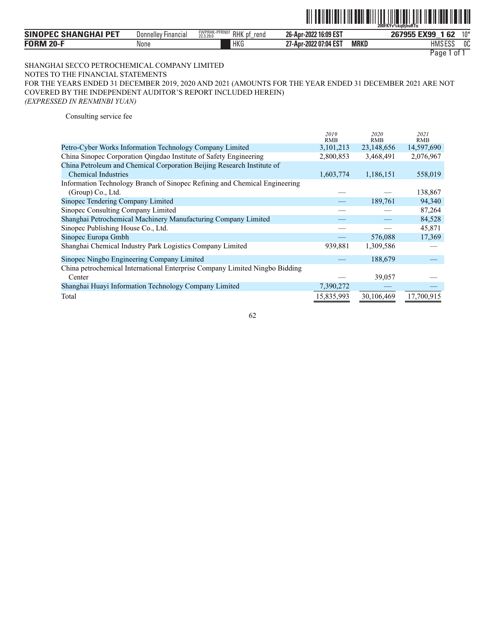| <b>HKG</b><br><b>FORM 20-F</b> |                                                     |             |                                      |    |
|--------------------------------|-----------------------------------------------------|-------------|--------------------------------------|----|
| None                           | 2 07:04 EST<br>$\sim$<br>$-202^{\circ}$<br>∠/-Apr-‴ | <b>MRKD</b> | HMS ESS<br><b>STATES OF THE REAL</b> | 0C |

SHANGHAI SECCO PETROCHEMICAL COMPANY LIMITED NOTES TO THE FINANCIAL STATEMENTS FOR THE YEARS ENDED 31 DECEMBER 2019, 2020 AND 2021 (AMOUNTS FOR THE YEAR ENDED 31 DECEMBER 2021 ARE NOT COVERED BY THE INDEPENDENT AUDITOR'S REPORT INCLUDED HEREIN) *(EXPRESSED IN RENMINBI YUAN)*

Consulting service fee

|                                                                             | 2019<br><b>RMB</b> | 2020<br><b>RMB</b> | 2021<br><b>RMB</b> |
|-----------------------------------------------------------------------------|--------------------|--------------------|--------------------|
| Petro-Cyber Works Information Technology Company Limited                    | 3,101,213          | 23,148,656         | 14,597,690         |
| China Sinopec Corporation Qingdao Institute of Safety Engineering           | 2,800,853          | 3,468,491          | 2,076,967          |
| China Petroleum and Chemical Corporation Beijing Research Institute of      |                    |                    |                    |
| Chemical Industries                                                         | 1,603,774          | 1,186,151          | 558,019            |
| Information Technology Branch of Sinopec Refining and Chemical Engineering  |                    |                    |                    |
| (Group) Co., Ltd.                                                           |                    |                    | 138,867            |
| Sinopec Tendering Company Limited                                           |                    | 189,761            | 94,340             |
| Sinopec Consulting Company Limited                                          |                    |                    | 87,264             |
| Shanghai Petrochemical Machinery Manufacturing Company Limited              |                    |                    | 84,528             |
| Sinopec Publishing House Co., Ltd.                                          |                    |                    | 45,871             |
| Sinopec Europa Gmbh                                                         |                    | 576,088            | 17,369             |
| Shanghai Chemical Industry Park Logistics Company Limited                   | 939,881            | 1,309,586          |                    |
| Sinopec Ningbo Engineering Company Limited                                  |                    | 188,679            |                    |
| China petrochemical International Enterprise Company Limited Ningbo Bidding |                    |                    |                    |
| Center                                                                      |                    | 39,057             |                    |
| Shanghai Huayi Information Technology Company Limited                       | 7,390,272          |                    |                    |
| Total                                                                       | 15,835,993         | 30,106,469         | 17.700.915         |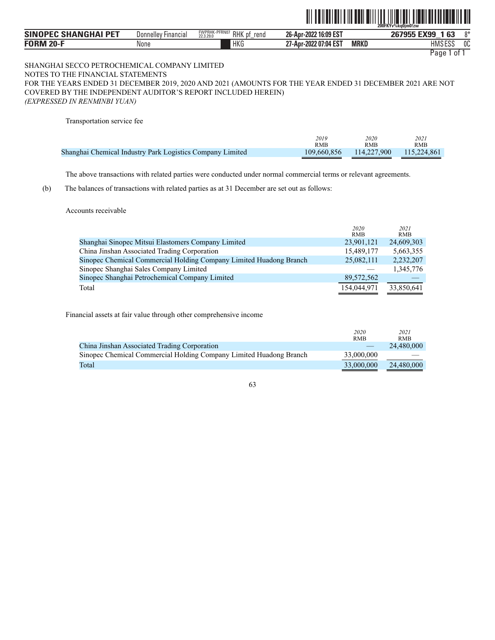| <b>HKG</b><br><b>MRKD</b><br>HMS ESS<br>2 07:04 EST<br>$\sim$<br><b>FORM 20-F</b><br>$-202^{\circ}$<br>None<br>∠/-Apr-‴ | <b>SINOPEC SHANGHAI PET</b> | Financia.<br>Jonnelle <sup>,</sup> | HK-PERNOT<br>FWPRHK<br><b>RHK</b><br>rend | 26-Apr-2022 16:09 EST | <b>EX99</b><br>$\sim$<br>63<br>ZO. | 0* |
|-------------------------------------------------------------------------------------------------------------------------|-----------------------------|------------------------------------|-------------------------------------------|-----------------------|------------------------------------|----|
| <b>STATES OF THE REAL</b>                                                                                               |                             |                                    |                                           |                       |                                    | 0C |

SHANGHAI SECCO PETROCHEMICAL COMPANY LIMITED NOTES TO THE FINANCIAL STATEMENTS FOR THE YEARS ENDED 31 DECEMBER 2019, 2020 AND 2021 (AMOUNTS FOR THE YEAR ENDED 31 DECEMBER 2021 ARE NOT COVERED BY THE INDEPENDENT AUDITOR'S REPORT INCLUDED HEREIN) *(EXPRESSED IN RENMINBI YUAN)*

Transportation service fee

|                                                           | 2019       | 2020                    | 2021        |
|-----------------------------------------------------------|------------|-------------------------|-------------|
|                                                           | <b>RMB</b> | <b>RMB</b>              | <b>RMB</b>  |
| Shanghai Chemical Industry Park Logistics Company Limited |            | 109,660,856 114,227,900 | 115.224.861 |

The above transactions with related parties were conducted under normal commercial terms or relevant agreements.

(b) The balances of transactions with related parties as at 31 December are set out as follows:

Accounts receivable

|                                                                    | 2020<br><b>RMB</b> | 2021<br><b>RMB</b> |
|--------------------------------------------------------------------|--------------------|--------------------|
| Shanghai Sinopec Mitsui Elastomers Company Limited                 | 23,901,121         | 24,609,303         |
| China Jinshan Associated Trading Corporation                       | 15,489,177         | 5,663,355          |
| Sinopec Chemical Commercial Holding Company Limited Huadong Branch | 25,082,111         | 2,232,207          |
| Sinopec Shanghai Sales Company Limited                             |                    | 1,345,776          |
| Sinopec Shanghai Petrochemical Company Limited                     | 89,572,562         |                    |
| Total                                                              | 154,044,971        | 33,850,641         |

Financial assets at fair value through other comprehensive income

|                                                                    | 2020<br><b>RMB</b> | 2021<br><b>RMB</b> |
|--------------------------------------------------------------------|--------------------|--------------------|
| China Jinshan Associated Trading Corporation                       |                    | 24,480,000         |
| Sinopec Chemical Commercial Holding Company Limited Huadong Branch | 33,000,000         |                    |
| Total                                                              | 33,000,000         | 24,480,000         |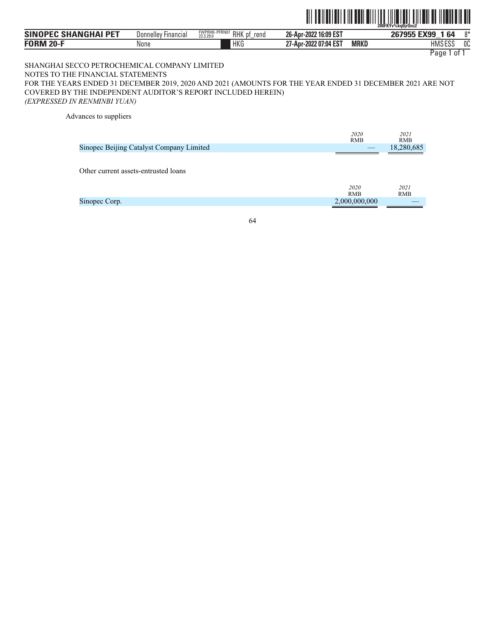

| <b>SINOPEC SHANGHAI PET</b> | <b>Financial</b><br>Donnelle | FWPRHK-PFRN07<br><b>DIIV</b><br>rend<br>рt<br>22.3.29.0<br>וחר | 16:09 EST<br>26-Apr-2022    | 64<br>267Q5F<br>ZD.          | $0*$ |
|-----------------------------|------------------------------|----------------------------------------------------------------|-----------------------------|------------------------------|------|
| $20-I$<br>FORM              | None                         | HKG                                                            | /7-Apr-2022 07:04 EST<br>~- | <b>HMSESS</b><br><b>MRKD</b> | 0C   |

SHANGHAI SECCO PETROCHEMICAL COMPANY LIMITED NOTES TO THE FINANCIAL STATEMENTS FOR THE YEARS ENDED 31 DECEMBER 2019, 2020 AND 2021 (AMOUNTS FOR THE YEAR ENDED 31 DECEMBER 2021 ARE NOT COVERED BY THE INDEPENDENT AUDITOR'S REPORT INCLUDED HEREIN) *(EXPRESSED IN RENMINBI YUAN)*

Advances to suppliers

|                                          | 2020<br><b>RMB</b> | 2021<br><b>RMB</b> |
|------------------------------------------|--------------------|--------------------|
| Sinopec Beijing Catalyst Company Limited |                    | 18,280,685         |
|                                          |                    |                    |
|                                          |                    |                    |

Other current assets-entrusted loans

|               | 2020          | 2021       |
|---------------|---------------|------------|
|               | <b>RMB</b>    | <b>RMB</b> |
| Sinopec Corp. | 2,000,000,000 |            |
|               |               |            |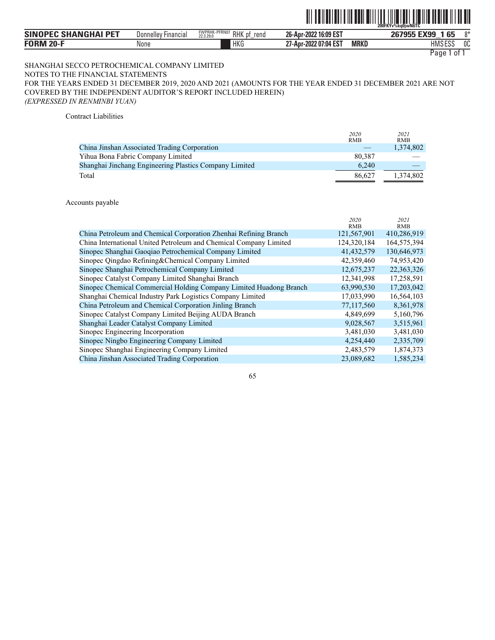|--|--|

| <b>SINOPEC SHANGHAI PET</b> | <b>Financial</b><br>Jonnellev | -PFRN07<br><b>FWPRHK-</b><br>RHK<br>rend<br>Dt<br>22.3.29.0 | 26-Apr-2022 16:09 EST                | $F^{A}$<br>267955<br>65<br>- x ut<br> | 0* |
|-----------------------------|-------------------------------|-------------------------------------------------------------|--------------------------------------|---------------------------------------|----|
| $20-I$<br><b>FORM</b>       | None                          | <b>HKG</b>                                                  | <b>MRKD</b><br>27-Apr-2022 07:04 EST | <b>HMSESS</b>                         | 0C |

SHANGHAI SECCO PETROCHEMICAL COMPANY LIMITED NOTES TO THE FINANCIAL STATEMENTS FOR THE YEARS ENDED 31 DECEMBER 2019, 2020 AND 2021 (AMOUNTS FOR THE YEAR ENDED 31 DECEMBER 2021 ARE NOT COVERED BY THE INDEPENDENT AUDITOR'S REPORT INCLUDED HEREIN) *(EXPRESSED IN RENMINBI YUAN)*

Contract Liabilities

|                                                        | 2020       | 2021       |
|--------------------------------------------------------|------------|------------|
|                                                        | <b>RMB</b> | <b>RMB</b> |
| China Jinshan Associated Trading Corporation           |            | 1,374,802  |
| Yihua Bona Fabric Company Limited                      | 80.387     |            |
| Shanghai Jinchang Engineering Plastics Company Limited | 6.240      |            |
| Total                                                  | 86.627     | 1.374.802  |

Accounts payable

|                                                                    | 2020<br><b>RMB</b> | 2021<br><b>RMB</b> |
|--------------------------------------------------------------------|--------------------|--------------------|
| China Petroleum and Chemical Corporation Zhenhai Refining Branch   | 121,567,901        | 410,286,919        |
| China International United Petroleum and Chemical Company Limited  | 124,320,184        | 164,575,394        |
| Sinopec Shanghai Gaoqiao Petrochemical Company Limited             | 41,432,579         | 130,646,973        |
| Sinopec Qingdao Refining&Chemical Company Limited                  | 42,359,460         | 74,953,420         |
| Sinopec Shanghai Petrochemical Company Limited                     | 12,675,237         | 22,363,326         |
| Sinopec Catalyst Company Limited Shanghai Branch                   | 12,341,998         | 17,258,591         |
| Sinopec Chemical Commercial Holding Company Limited Huadong Branch | 63,990,530         | 17,203,042         |
| Shanghai Chemical Industry Park Logistics Company Limited          | 17,033,990         | 16,564,103         |
| China Petroleum and Chemical Corporation Jinling Branch            | 77,117,560         | 8,361,978          |
| Sinopec Catalyst Company Limited Beijing AUDA Branch               | 4,849,699          | 5,160,796          |
| Shanghai Leader Catalyst Company Limited                           | 9,028,567          | 3,515,961          |
| Sinopec Engineering Incorporation                                  | 3,481,030          | 3,481,030          |
| Sinopec Ningbo Engineering Company Limited                         | 4,254,440          | 2,335,709          |
| Sinopec Shanghai Engineering Company Limited                       | 2,483,579          | 1,874,373          |
| China Jinshan Associated Trading Corporation                       | 23,089,682         | 1,585,234          |
|                                                                    |                    |                    |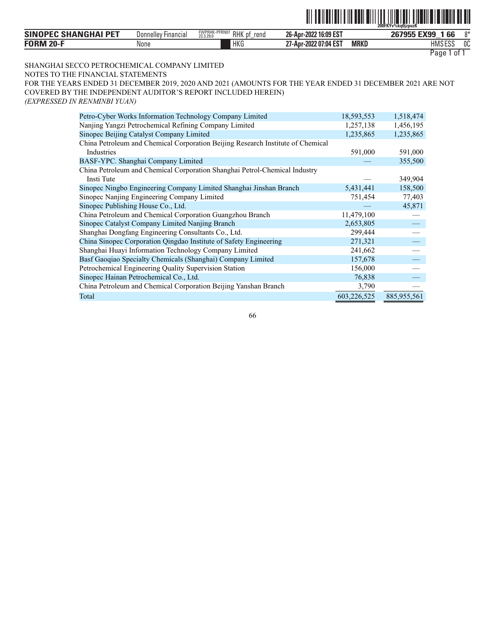|                             |                     |                                           |                                      | 200FKYv%kq0jzpuzK           |    |
|-----------------------------|---------------------|-------------------------------------------|--------------------------------------|-----------------------------|----|
| <b>SINOPEC SHANGHAI PET</b> | Donnelley Financial | FWPRHK-PFRN07<br>RHK<br>rend<br>22.3.29.0 | 26-Apr-2022 16:09 EST                | <b>EX99</b><br>66<br>267955 | Ω¥ |
| <b>FORM 20-F</b>            | None                | HKG                                       | <b>MRKD</b><br>27-Apr-2022 07:04 EST | <b>HMSESJ</b>               | OC |

HMSESS OC Page 1 of 1

<u>od ta da aliyo da da aliyo da da aliyo da aliyo da aliyo da ali</u>

SHANGHAI SECCO PETROCHEMICAL COMPANY LIMITED NOTES TO THE FINANCIAL STATEMENTS FOR THE YEARS ENDED 31 DECEMBER 2019, 2020 AND 2021 (AMOUNTS FOR THE YEAR ENDED 31 DECEMBER 2021 ARE NOT COVERED BY THE INDEPENDENT AUDITOR'S REPORT INCLUDED HEREIN) *(EXPRESSED IN RENMINBI YUAN)*

| Petro-Cyber Works Information Technology Company Limited                        | 18,593,553  | 1,518,474                |
|---------------------------------------------------------------------------------|-------------|--------------------------|
| Nanjing Yangzi Petrochemical Refining Company Limited                           | 1,257,138   | 1,456,195                |
| Sinopec Beijing Catalyst Company Limited                                        | 1,235,865   | 1,235,865                |
| China Petroleum and Chemical Corporation Beijing Research Institute of Chemical |             |                          |
| Industries                                                                      | 591,000     | 591,000                  |
| BASF-YPC. Shanghai Company Limited                                              |             | 355,500                  |
| China Petroleum and Chemical Corporation Shanghai Petrol-Chemical Industry      |             |                          |
| Insti Tute                                                                      |             | 349,904                  |
| Sinopec Ningbo Engineering Company Limited Shanghai Jinshan Branch              | 5,431,441   | 158,500                  |
| Sinopec Nanjing Engineering Company Limited                                     | 751,454     | 77,403                   |
| Sinopec Publishing House Co., Ltd.                                              |             | 45,871                   |
| China Petroleum and Chemical Corporation Guangzhou Branch                       | 11,479,100  |                          |
| Sinopec Catalyst Company Limited Nanjing Branch                                 | 2,653,805   |                          |
| Shanghai Dongfang Engineering Consultants Co., Ltd.                             | 299,444     |                          |
| China Sinopec Corporation Qingdao Institute of Safety Engineering               | 271,321     | $\overline{\phantom{0}}$ |
| Shanghai Huayi Information Technology Company Limited                           | 241,662     |                          |
| Basf Gaoqiao Specialty Chemicals (Shanghai) Company Limited                     | 157,678     |                          |
| Petrochemical Engineering Quality Supervision Station                           | 156,000     |                          |
| Sinopec Hainan Petrochemical Co., Ltd.                                          | 76,838      |                          |
| China Petroleum and Chemical Corporation Beijing Yanshan Branch                 | 3,790       |                          |
| Total                                                                           | 603,226,525 | 885,955,561              |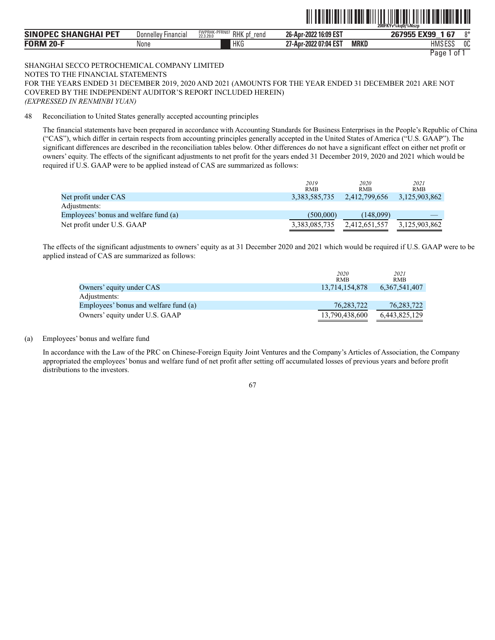

| SINOPEC SHANGHAI PET | Financial<br>Donnellev | FWPRHK-PFRN07<br>RHK ,<br>rend<br>22.3.29.0 | 2 16:09 EST<br>ባድ<br>2022<br>26-Apr- |             | $\sim$<br>-----<br>E. GAL<br>__ | n* |
|----------------------|------------------------|---------------------------------------------|--------------------------------------|-------------|---------------------------------|----|
| <b>FORM 20-F</b>     | None                   | <b>HKG</b>                                  | J∠2 07:04 F°T<br>2022<br>Apr.        | <b>MRKL</b> | <b>HMSESS</b><br>∟∪∪            | 0C |
|                      |                        |                                             |                                      |             |                                 |    |

SHANGHAI SECCO PETROCHEMICAL COMPANY LIMITED NOTES TO THE FINANCIAL STATEMENTS FOR THE YEARS ENDED 31 DECEMBER 2019, 2020 AND 2021 (AMOUNTS FOR THE YEAR ENDED 31 DECEMBER 2021 ARE NOT COVERED BY THE INDEPENDENT AUDITOR'S REPORT INCLUDED HEREIN) *(EXPRESSED IN RENMINBI YUAN)*

48 Reconciliation to United States generally accepted accounting principles

The financial statements have been prepared in accordance with Accounting Standards for Business Enterprises in the People's Republic of China ("CAS"), which differ in certain respects from accounting principles generally accepted in the United States of America ("U.S. GAAP"). The significant differences are described in the reconciliation tables below. Other differences do not have a significant effect on either net profit or owners' equity. The effects of the significant adjustments to net profit for the years ended 31 December 2019, 2020 and 2021 which would be required if U.S. GAAP were to be applied instead of CAS are summarized as follows:

|                                       | 2019<br><b>RMB</b> | 2020<br><b>RMB</b> | 2021<br><b>RMB</b> |
|---------------------------------------|--------------------|--------------------|--------------------|
| Net profit under CAS                  | 3,383,585,735      | 2,412,799,656      | 3,125,903,862      |
| Adjustments:                          |                    |                    |                    |
| Employees' bonus and welfare fund (a) | (500.000)          | (148.099)          |                    |
| Net profit under U.S. GAAP            | 3,383,085,735      | 2,412,651,557      | 3,125,903,862      |

The effects of the significant adjustments to owners' equity as at 31 December 2020 and 2021 which would be required if U.S. GAAP were to be applied instead of CAS are summarized as follows:

|                                       | 2020           | 2021             |
|---------------------------------------|----------------|------------------|
|                                       | <b>RMB</b>     | <b>RMB</b>       |
| Owners' equity under CAS              | 13,714,154,878 | 6, 367, 541, 407 |
| Adjustments:                          |                |                  |
| Employees' bonus and welfare fund (a) | 76.283.722     | 76, 283, 722     |
| Owners' equity under U.S. GAAP        | 13,790,438,600 | 6,443,825,129    |

## (a) Employees' bonus and welfare fund

In accordance with the Law of the PRC on Chinese-Foreign Equity Joint Ventures and the Company's Articles of Association, the Company appropriated the employees' bonus and welfare fund of net profit after setting off accumulated losses of previous years and before profit distributions to the investors.